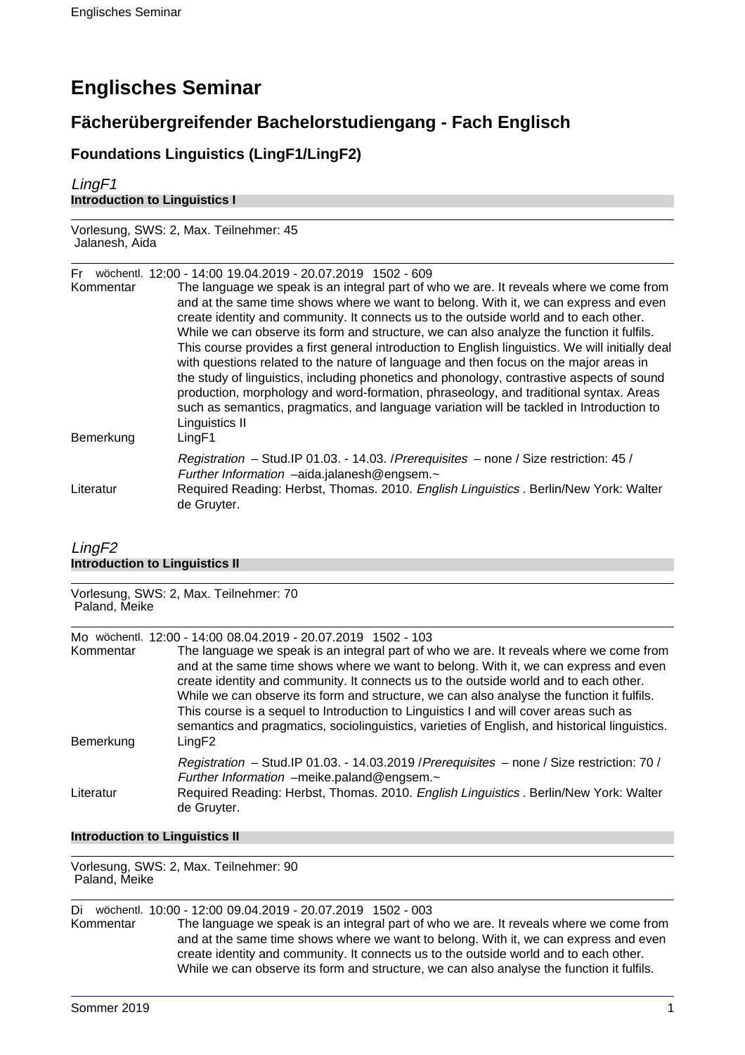# **Englisches Seminar**

# **Fächerübergreifender Bachelorstudiengang - Fach Englisch**

## **Foundations Linguistics (LingF1/LingF2)**

LingF1 **Introduction to Linguistics I**

Vorlesung, SWS: 2, Max. Teilnehmer: 45 Jalanesh, Aida

Fr wöchentl. 12:00 - 14:00 19.04.2019 - 20.07.2019 1502 - 609

| Kommentar<br>Bemerkung | The language we speak is an integral part of who we are. It reveals where we come from<br>and at the same time shows where we want to belong. With it, we can express and even<br>create identity and community. It connects us to the outside world and to each other.<br>While we can observe its form and structure, we can also analyze the function it fulfils.<br>This course provides a first general introduction to English linguistics. We will initially deal<br>with questions related to the nature of language and then focus on the major areas in<br>the study of linguistics, including phonetics and phonology, contrastive aspects of sound<br>production, morphology and word-formation, phraseology, and traditional syntax. Areas<br>such as semantics, pragmatics, and language variation will be tackled in Introduction to<br>Linguistics II<br>LingF1 |
|------------------------|---------------------------------------------------------------------------------------------------------------------------------------------------------------------------------------------------------------------------------------------------------------------------------------------------------------------------------------------------------------------------------------------------------------------------------------------------------------------------------------------------------------------------------------------------------------------------------------------------------------------------------------------------------------------------------------------------------------------------------------------------------------------------------------------------------------------------------------------------------------------------------|
|                        | Registration - Stud. IP 01.03. - 14.03. / Prerequisites - none / Size restriction: 45 /<br>Further Information -aida.jalanesh@engsem.~                                                                                                                                                                                                                                                                                                                                                                                                                                                                                                                                                                                                                                                                                                                                          |
| Literatur              | Required Reading: Herbst, Thomas. 2010. English Linguistics . Berlin/New York: Walter<br>de Gruyter.                                                                                                                                                                                                                                                                                                                                                                                                                                                                                                                                                                                                                                                                                                                                                                            |

### LingF2 **Introduction to Linguistics II**

| Vorlesung, SWS: 2, Max. Teilnehmer: 70<br>Paland, Meike |                                                                                                                                                                                                                                                                                                                                                                                                                                                                                                                                                                          |
|---------------------------------------------------------|--------------------------------------------------------------------------------------------------------------------------------------------------------------------------------------------------------------------------------------------------------------------------------------------------------------------------------------------------------------------------------------------------------------------------------------------------------------------------------------------------------------------------------------------------------------------------|
|                                                         | Mo wöchentl. 12:00 - 14:00 08.04.2019 - 20.07.2019 1502 - 103                                                                                                                                                                                                                                                                                                                                                                                                                                                                                                            |
| Kommentar<br>Bemerkung                                  | The language we speak is an integral part of who we are. It reveals where we come from<br>and at the same time shows where we want to belong. With it, we can express and even<br>create identity and community. It connects us to the outside world and to each other.<br>While we can observe its form and structure, we can also analyse the function it fulfils.<br>This course is a sequel to Introduction to Linguistics I and will cover areas such as<br>semantics and pragmatics, sociolinguistics, varieties of English, and historical linguistics.<br>LingF2 |
|                                                         | Registration - Stud. IP 01.03. - 14.03.2019 / Prerequisites - none / Size restriction: 70 /<br>Further Information -meike.paland@engsem.~                                                                                                                                                                                                                                                                                                                                                                                                                                |
| Literatur                                               | Required Reading: Herbst, Thomas. 2010. English Linguistics . Berlin/New York: Walter<br>de Gruyter.                                                                                                                                                                                                                                                                                                                                                                                                                                                                     |

### **Introduction to Linguistics II**

Vorlesung, SWS: 2, Max. Teilnehmer: 90 Paland, Meike

Di wöchentl. 10:00 - 12:00 09.04.2019 - 20.07.2019 1502 - 003 Kommentar The language we speak is an integral part of who we are. It reveals where we come from and at the same time shows where we want to belong. With it, we can express and even create identity and community. It connects us to the outside world and to each other. While we can observe its form and structure, we can also analyse the function it fulfils.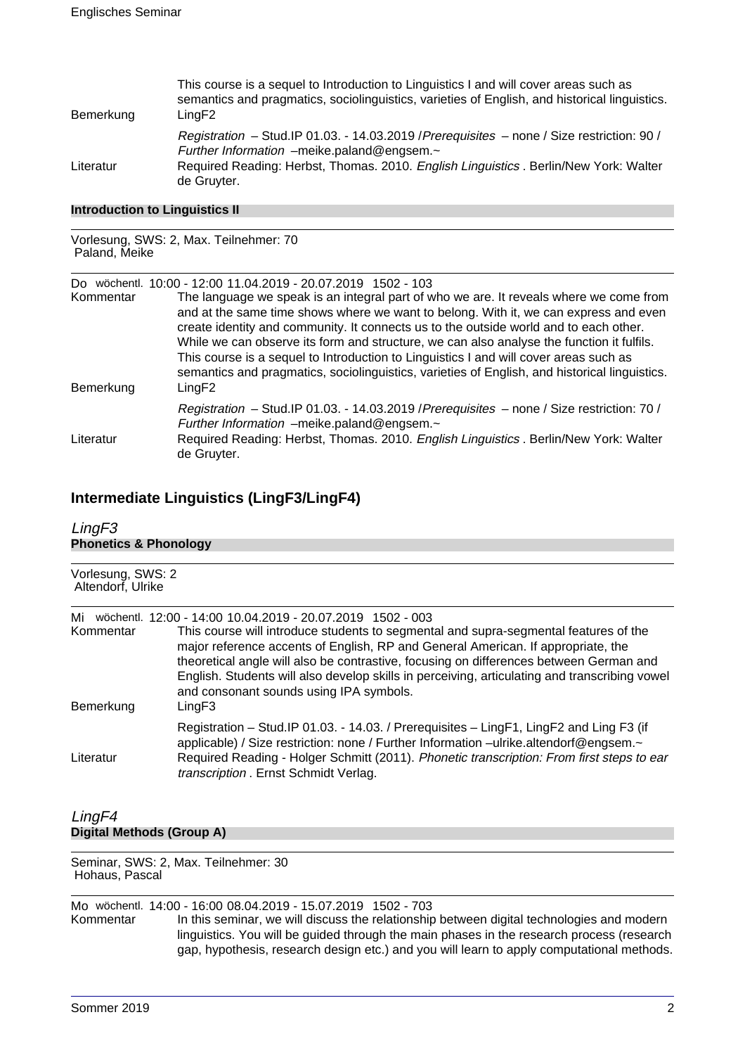| Bemerkung | This course is a sequel to Introduction to Linguistics I and will cover areas such as<br>semantics and pragmatics, sociolinguistics, varieties of English, and historical linguistics.<br>LingF2 |
|-----------|--------------------------------------------------------------------------------------------------------------------------------------------------------------------------------------------------|
|           | Registration - Stud. IP 01.03. - 14.03.2019 / Prerequisites - none / Size restriction: 90 /<br>Further Information -meike.paland@engsem.~                                                        |
| Literatur | Required Reading: Herbst, Thomas. 2010. English Linguistics . Berlin/New York: Walter<br>de Gruyter.                                                                                             |

### **Introduction to Linguistics II**

#### Vorlesung, SWS: 2, Max. Teilnehmer: 70 Paland, Meike

Do wöchentl. 10:00 - 12:00 11.04.2019 - 20.07.2019 1502 - 103

| Kommentar<br>Bemerkung | The language we speak is an integral part of who we are. It reveals where we come from<br>and at the same time shows where we want to belong. With it, we can express and even<br>create identity and community. It connects us to the outside world and to each other.<br>While we can observe its form and structure, we can also analyse the function it fulfils.<br>This course is a sequel to Introduction to Linguistics I and will cover areas such as<br>semantics and pragmatics, sociolinguistics, varieties of English, and historical linguistics.<br>LingF2 |
|------------------------|--------------------------------------------------------------------------------------------------------------------------------------------------------------------------------------------------------------------------------------------------------------------------------------------------------------------------------------------------------------------------------------------------------------------------------------------------------------------------------------------------------------------------------------------------------------------------|
|                        | Registration - Stud. IP 01.03. - 14.03.2019 / Prerequisites - none / Size restriction: 70 /<br>Further Information -meike.paland@engsem.~                                                                                                                                                                                                                                                                                                                                                                                                                                |
| Literatur              | Required Reading: Herbst, Thomas. 2010. English Linguistics . Berlin/New York: Walter<br>de Gruyter.                                                                                                                                                                                                                                                                                                                                                                                                                                                                     |

### **Intermediate Linguistics (LingF3/LingF4)**

| LingF <sub>3</sub>                     |                                                                                                                                                                                                                                                                                                                                                                                                                                                                              |  |
|----------------------------------------|------------------------------------------------------------------------------------------------------------------------------------------------------------------------------------------------------------------------------------------------------------------------------------------------------------------------------------------------------------------------------------------------------------------------------------------------------------------------------|--|
| <b>Phonetics &amp; Phonology</b>       |                                                                                                                                                                                                                                                                                                                                                                                                                                                                              |  |
|                                        |                                                                                                                                                                                                                                                                                                                                                                                                                                                                              |  |
| Vorlesung, SWS: 2<br>Altendorf, Ulrike |                                                                                                                                                                                                                                                                                                                                                                                                                                                                              |  |
| Mi<br>Kommentar                        | wöchentl. 12:00 - 14:00 10.04.2019 - 20.07.2019 1502 - 003<br>This course will introduce students to segmental and supra-segmental features of the<br>major reference accents of English, RP and General American. If appropriate, the<br>theoretical angle will also be contrastive, focusing on differences between German and<br>English. Students will also develop skills in perceiving, articulating and transcribing vowel<br>and consonant sounds using IPA symbols. |  |
| Bemerkung                              | LingF3<br>Registration – Stud. IP 01.03. - 14.03. / Prerequisites – LingF1, LingF2 and Ling F3 (if<br>applicable) / Size restriction: none / Further Information -ulrike.altendorf@engsem.~                                                                                                                                                                                                                                                                                  |  |
| Literatur<br>LingF4                    | Required Reading - Holger Schmitt (2011). Phonetic transcription: From first steps to ear<br>transcription . Ernst Schmidt Verlag.                                                                                                                                                                                                                                                                                                                                           |  |
| <b>Digital Methods (Group A)</b>       |                                                                                                                                                                                                                                                                                                                                                                                                                                                                              |  |

Seminar, SWS: 2, Max. Teilnehmer: 30 Hohaus, Pascal

Mo wöchentl. 14:00 - 16:00 08.04.2019 - 15.07.2019 1502 - 703 In this seminar, we will discuss the relationship between digital technologies and modern linguistics. You will be guided through the main phases in the research process (research gap, hypothesis, research design etc.) and you will learn to apply computational methods.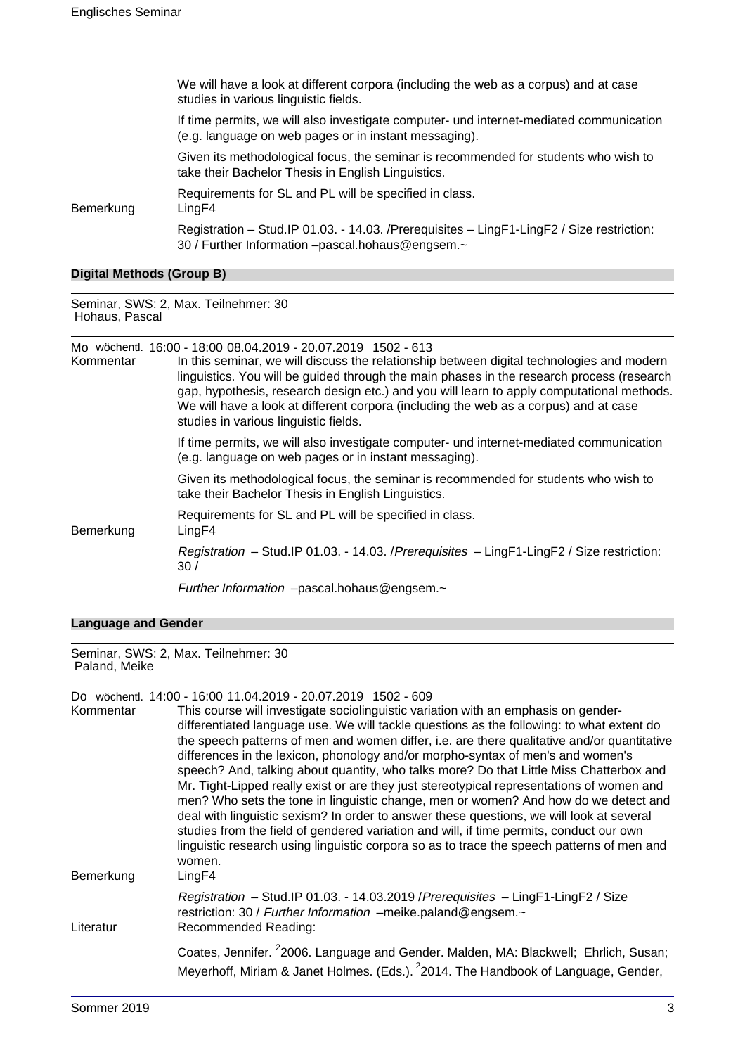|           | We will have a look at different corpora (including the web as a corpus) and at case<br>studies in various linguistic fields.                     |
|-----------|---------------------------------------------------------------------------------------------------------------------------------------------------|
|           | If time permits, we will also investigate computer- und internet-mediated communication<br>(e.g. language on web pages or in instant messaging).  |
|           | Given its methodological focus, the seminar is recommended for students who wish to<br>take their Bachelor Thesis in English Linguistics.         |
| Bemerkung | Requirements for SL and PL will be specified in class.<br>LingF4                                                                                  |
|           | Registration - Stud. IP 01.03. - 14.03. / Prerequisites - Ling F1-Ling F2 / Size restriction:<br>30 / Further Information -pascal.hohaus@engsem.~ |

### **Digital Methods (Group B)**

Seminar, SWS: 2, Max. Teilnehmer: 30 Hohaus, Pascal

Mo wöchentl. 16:00 - 18:00 08.04.2019 - 20.07.2019 1502 - 613

| Kommentar | 100 - 1006 113 1010 1020 1030 1040 1041 1042 1044 1045 1046 1047 1048 1049 1040 1041 1042 1044 1045 1<br>In this seminar, we will discuss the relationship between digital technologies and modern<br>linguistics. You will be guided through the main phases in the research process (research<br>gap, hypothesis, research design etc.) and you will learn to apply computational methods.<br>We will have a look at different corpora (including the web as a corpus) and at case<br>studies in various linguistic fields. |
|-----------|-------------------------------------------------------------------------------------------------------------------------------------------------------------------------------------------------------------------------------------------------------------------------------------------------------------------------------------------------------------------------------------------------------------------------------------------------------------------------------------------------------------------------------|
|           | If time permits, we will also investigate computer- und internet-mediated communication<br>(e.g. language on web pages or in instant messaging).                                                                                                                                                                                                                                                                                                                                                                              |
|           | Given its methodological focus, the seminar is recommended for students who wish to<br>take their Bachelor Thesis in English Linguistics.                                                                                                                                                                                                                                                                                                                                                                                     |
| Bemerkung | Requirements for SL and PL will be specified in class.<br>LingF4                                                                                                                                                                                                                                                                                                                                                                                                                                                              |
|           | Registration - Stud.IP 01.03. - 14.03. / Prerequisites - LingF1-LingF2 / Size restriction:<br>30/                                                                                                                                                                                                                                                                                                                                                                                                                             |
|           | Further Information -pascal.hohaus@engsem.~                                                                                                                                                                                                                                                                                                                                                                                                                                                                                   |

### **Language and Gender**

Seminar, SWS: 2, Max. Teilnehmer: 30 Paland, Meike

Do wöchentl. 14:00 - 16:00 11.04.2019 - 20.07.2019 1502 - 609

| Kommentar<br>Bemerkung | This course will investigate sociolinguistic variation with an emphasis on gender-<br>differentiated language use. We will tackle questions as the following: to what extent do<br>the speech patterns of men and women differ, i.e. are there qualitative and/or quantitative<br>differences in the lexicon, phonology and/or morpho-syntax of men's and women's<br>speech? And, talking about quantity, who talks more? Do that Little Miss Chatterbox and<br>Mr. Tight-Lipped really exist or are they just stereotypical representations of women and<br>men? Who sets the tone in linguistic change, men or women? And how do we detect and<br>deal with linguistic sexism? In order to answer these questions, we will look at several<br>studies from the field of gendered variation and will, if time permits, conduct our own<br>linguistic research using linguistic corpora so as to trace the speech patterns of men and<br>women.<br>LingF4 |
|------------------------|-----------------------------------------------------------------------------------------------------------------------------------------------------------------------------------------------------------------------------------------------------------------------------------------------------------------------------------------------------------------------------------------------------------------------------------------------------------------------------------------------------------------------------------------------------------------------------------------------------------------------------------------------------------------------------------------------------------------------------------------------------------------------------------------------------------------------------------------------------------------------------------------------------------------------------------------------------------|
| Literatur              | Registration - Stud.IP 01.03. - 14.03.2019 / Prerequisites - LingF1-LingF2 / Size<br>restriction: 30 / Further Information -meike.paland@engsem.~<br>Recommended Reading:                                                                                                                                                                                                                                                                                                                                                                                                                                                                                                                                                                                                                                                                                                                                                                                 |
|                        | Coates, Jennifer. <sup>2</sup> 2006. Language and Gender. Malden, MA: Blackwell; Ehrlich, Susan;<br>Meyerhoff, Miriam & Janet Holmes. (Eds.). <sup>2</sup> 2014. The Handbook of Language, Gender,                                                                                                                                                                                                                                                                                                                                                                                                                                                                                                                                                                                                                                                                                                                                                        |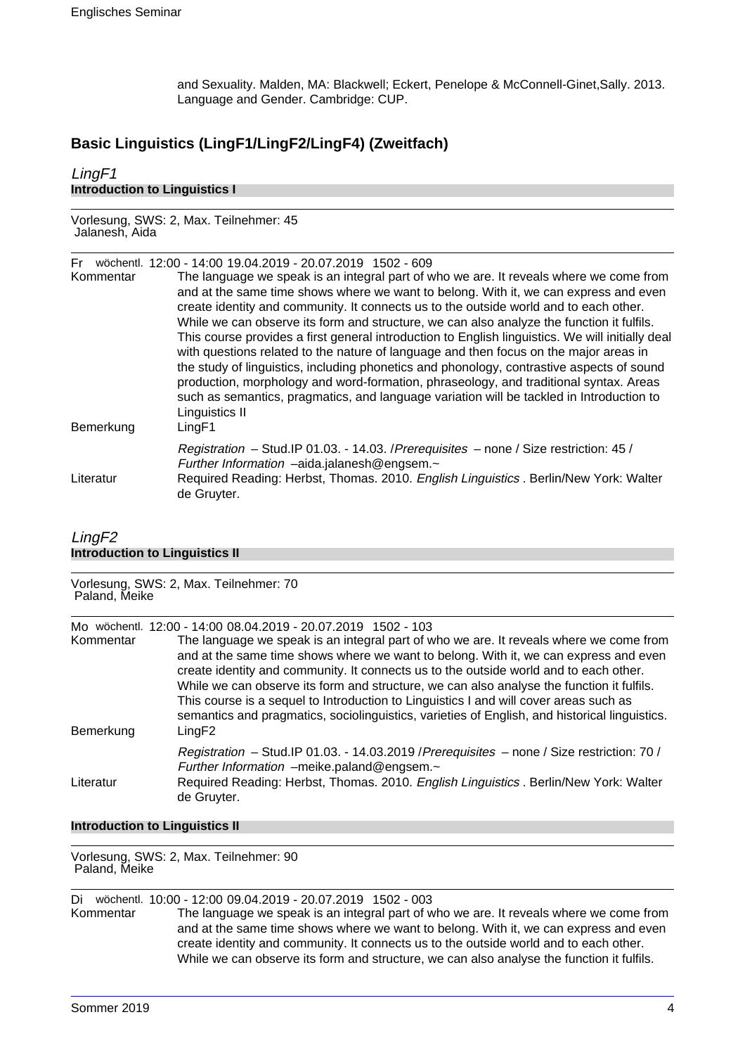and Sexuality. Malden, MA: Blackwell; Eckert, Penelope & McConnell-Ginet,Sally. 2013. Language and Gender. Cambridge: CUP.

### **Basic Linguistics (LingF1/LingF2/LingF4) (Zweitfach)**

### LingF1 **Introduction to Linguistics I**

Vorlesung, SWS: 2, Max. Teilnehmer: 45 Jalanesh, Aida

#### Fr wöchentl. 12:00 - 14:00 19.04.2019 - 20.07.2019 1502 - 609

| Kommentar<br>Bemerkung | The language we speak is an integral part of who we are. It reveals where we come from<br>and at the same time shows where we want to belong. With it, we can express and even<br>create identity and community. It connects us to the outside world and to each other.<br>While we can observe its form and structure, we can also analyze the function it fulfils.<br>This course provides a first general introduction to English linguistics. We will initially deal<br>with questions related to the nature of language and then focus on the major areas in<br>the study of linguistics, including phonetics and phonology, contrastive aspects of sound<br>production, morphology and word-formation, phraseology, and traditional syntax. Areas<br>such as semantics, pragmatics, and language variation will be tackled in Introduction to<br>Linguistics II<br>LingF1 |
|------------------------|---------------------------------------------------------------------------------------------------------------------------------------------------------------------------------------------------------------------------------------------------------------------------------------------------------------------------------------------------------------------------------------------------------------------------------------------------------------------------------------------------------------------------------------------------------------------------------------------------------------------------------------------------------------------------------------------------------------------------------------------------------------------------------------------------------------------------------------------------------------------------------|
| Literatur              | Registration - Stud. IP 01.03. - 14.03. / Prerequisites - none / Size restriction: 45 /<br>Further Information -aida.jalanesh@engsem.~<br>Required Reading: Herbst, Thomas. 2010. English Linguistics . Berlin/New York: Walter<br>de Gruyter.                                                                                                                                                                                                                                                                                                                                                                                                                                                                                                                                                                                                                                  |

### LingF2 **Introduction to Linguistics II**

Vorlesung, SWS: 2, Max. Teilnehmer: 70 Paland, Meike

|           | Mo wöchentl. 12:00 - 14:00 08.04.2019 - 20.07.2019 1502 - 103                                                                                                                                                                                                                                                                                                                                                                                                 |
|-----------|---------------------------------------------------------------------------------------------------------------------------------------------------------------------------------------------------------------------------------------------------------------------------------------------------------------------------------------------------------------------------------------------------------------------------------------------------------------|
| Kommentar | The language we speak is an integral part of who we are. It reveals where we come from<br>and at the same time shows where we want to belong. With it, we can express and even<br>create identity and community. It connects us to the outside world and to each other.<br>While we can observe its form and structure, we can also analyse the function it fulfils.<br>This course is a sequel to Introduction to Linguistics I and will cover areas such as |
| Bemerkung | semantics and pragmatics, sociolinguistics, varieties of English, and historical linguistics.<br>LingF2                                                                                                                                                                                                                                                                                                                                                       |
|           | Registration - Stud. IP 01.03. - 14.03.2019 / Prerequisites - none / Size restriction: 70 /<br>Further Information -meike.paland@engsem.~                                                                                                                                                                                                                                                                                                                     |
| Literatur | Required Reading: Herbst, Thomas. 2010. English Linguistics . Berlin/New York: Walter<br>de Gruyter.                                                                                                                                                                                                                                                                                                                                                          |

### **Introduction to Linguistics II**

Vorlesung, SWS: 2, Max. Teilnehmer: 90 Paland, Meike

Di wöchentl. 10:00 - 12:00 09.04.2019 - 20.07.2019 1502 - 003

Kommentar The language we speak is an integral part of who we are. It reveals where we come from and at the same time shows where we want to belong. With it, we can express and even create identity and community. It connects us to the outside world and to each other. While we can observe its form and structure, we can also analyse the function it fulfils.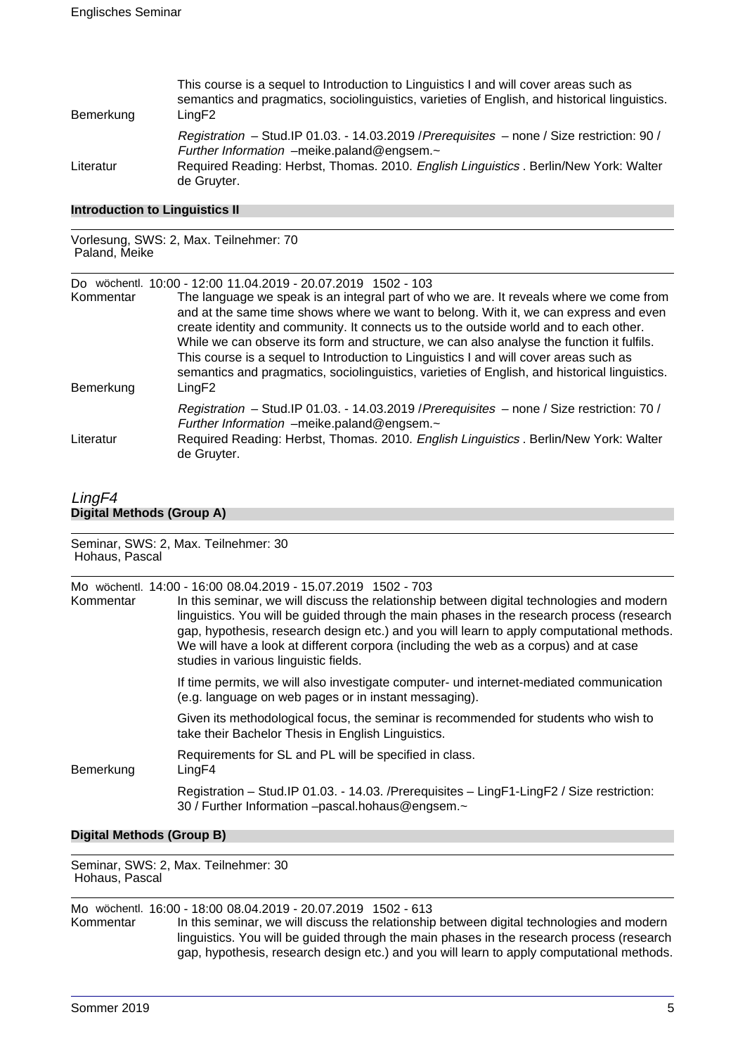| Bemerkung | This course is a sequel to Introduction to Linguistics I and will cover areas such as<br>semantics and pragmatics, sociolinguistics, varieties of English, and historical linguistics.<br>LingF2 |
|-----------|--------------------------------------------------------------------------------------------------------------------------------------------------------------------------------------------------|
|           | Registration - Stud. IP 01.03. - 14.03.2019 / Prerequisites - none / Size restriction: 90 /<br>Further Information -meike.paland@engsem.~                                                        |
| Literatur | Required Reading: Herbst, Thomas. 2010. English Linguistics . Berlin/New York: Walter<br>de Gruyter.                                                                                             |

### **Introduction to Linguistics II**

#### Vorlesung, SWS: 2, Max. Teilnehmer: 70 Paland, Meike

| Do.<br>Kommentar<br>Bemerkung | wöchentl. 10:00 - 12:00 11.04.2019 - 20.07.2019 1502 - 103<br>The language we speak is an integral part of who we are. It reveals where we come from<br>and at the same time shows where we want to belong. With it, we can express and even<br>create identity and community. It connects us to the outside world and to each other.<br>While we can observe its form and structure, we can also analyse the function it fulfils.<br>This course is a sequel to Introduction to Linguistics I and will cover areas such as<br>semantics and pragmatics, sociolinguistics, varieties of English, and historical linguistics.<br>LingF2 |
|-------------------------------|----------------------------------------------------------------------------------------------------------------------------------------------------------------------------------------------------------------------------------------------------------------------------------------------------------------------------------------------------------------------------------------------------------------------------------------------------------------------------------------------------------------------------------------------------------------------------------------------------------------------------------------|
| Literatur                     | Registration - Stud. IP 01.03. - 14.03.2019 / Prerequisites - none / Size restriction: 70 /<br>Further Information -meike.paland@engsem.~<br>Required Reading: Herbst, Thomas. 2010. English Linguistics . Berlin/New York: Walter<br>de Gruyter.                                                                                                                                                                                                                                                                                                                                                                                      |

### LingF4 **Digital Methods (Group A)**

| Seminar, SWS: 2, Max. Teilnehmer: 30<br>Hohaus, Pascal |                                                                                                                                                                                                                                                                                                                                                                                                                                                                                       |
|--------------------------------------------------------|---------------------------------------------------------------------------------------------------------------------------------------------------------------------------------------------------------------------------------------------------------------------------------------------------------------------------------------------------------------------------------------------------------------------------------------------------------------------------------------|
| Kommentar                                              | Mo wöchentl. 14:00 - 16:00 08.04.2019 - 15.07.2019 1502 - 703<br>In this seminar, we will discuss the relationship between digital technologies and modern<br>linguistics. You will be guided through the main phases in the research process (research<br>gap, hypothesis, research design etc.) and you will learn to apply computational methods.<br>We will have a look at different corpora (including the web as a corpus) and at case<br>studies in various linguistic fields. |
|                                                        | If time permits, we will also investigate computer- und internet-mediated communication<br>(e.g. language on web pages or in instant messaging).                                                                                                                                                                                                                                                                                                                                      |
|                                                        | Given its methodological focus, the seminar is recommended for students who wish to<br>take their Bachelor Thesis in English Linguistics.                                                                                                                                                                                                                                                                                                                                             |
| Bemerkung                                              | Requirements for SL and PL will be specified in class.<br>LingF4                                                                                                                                                                                                                                                                                                                                                                                                                      |
|                                                        | Registration - Stud. IP 01.03. - 14.03. / Prerequisites - Ling F1-Ling F2 / Size restriction:<br>30 / Further Information -pascal.hohaus@engsem.~                                                                                                                                                                                                                                                                                                                                     |
|                                                        |                                                                                                                                                                                                                                                                                                                                                                                                                                                                                       |

### **Digital Methods (Group B)**

Seminar, SWS: 2, Max. Teilnehmer: 30 Hohaus, Pascal

Mo wöchentl. 16:00 - 18:00 08.04.2019 - 20.07.2019 1502 - 613<br>Kommentar In this seminar, we will discuss the relationship In this seminar, we will discuss the relationship between digital technologies and modern linguistics. You will be guided through the main phases in the research process (research gap, hypothesis, research design etc.) and you will learn to apply computational methods.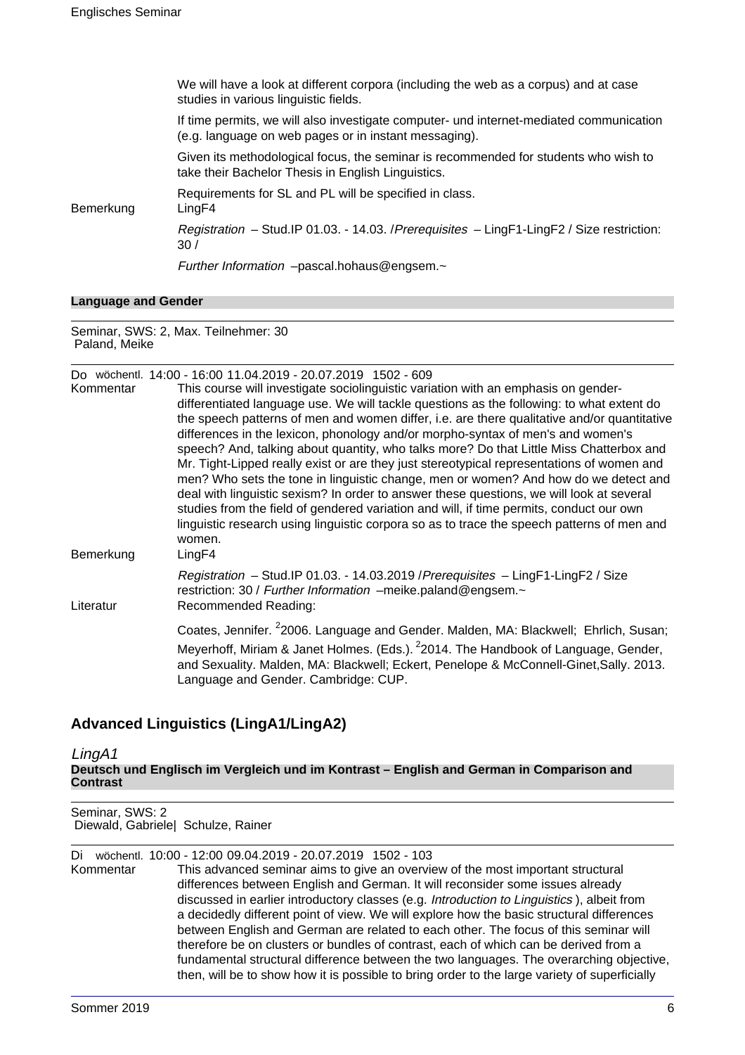|           | We will have a look at different corpora (including the web as a corpus) and at case<br>studies in various linguistic fields.                    |
|-----------|--------------------------------------------------------------------------------------------------------------------------------------------------|
|           | If time permits, we will also investigate computer- und internet-mediated communication<br>(e.g. language on web pages or in instant messaging). |
|           | Given its methodological focus, the seminar is recommended for students who wish to<br>take their Bachelor Thesis in English Linguistics.        |
| Bemerkung | Requirements for SL and PL will be specified in class.<br>LingF4                                                                                 |
|           | Registration - Stud. IP 01.03. - 14.03. / Prerequisites - Ling F1-Ling F2 / Size restriction:<br>30/                                             |
|           | Further Information -pascal.hohaus@engsem.~                                                                                                      |
|           |                                                                                                                                                  |

#### **Language and Gender**

Seminar, SWS: 2, Max. Teilnehmer: 30 Paland, Meike

|                        | Do wöchentl. 14:00 - 16:00 11.04.2019 - 20.07.2019 1502 - 609                                                                                                                                                                                                                                                                                                                                                                                                                                                                                                                                                                                                                                                                                                                                                                                                                                                                                             |
|------------------------|-----------------------------------------------------------------------------------------------------------------------------------------------------------------------------------------------------------------------------------------------------------------------------------------------------------------------------------------------------------------------------------------------------------------------------------------------------------------------------------------------------------------------------------------------------------------------------------------------------------------------------------------------------------------------------------------------------------------------------------------------------------------------------------------------------------------------------------------------------------------------------------------------------------------------------------------------------------|
| Kommentar<br>Bemerkung | This course will investigate sociolinguistic variation with an emphasis on gender-<br>differentiated language use. We will tackle questions as the following: to what extent do<br>the speech patterns of men and women differ, i.e. are there qualitative and/or quantitative<br>differences in the lexicon, phonology and/or morpho-syntax of men's and women's<br>speech? And, talking about quantity, who talks more? Do that Little Miss Chatterbox and<br>Mr. Tight-Lipped really exist or are they just stereotypical representations of women and<br>men? Who sets the tone in linguistic change, men or women? And how do we detect and<br>deal with linguistic sexism? In order to answer these questions, we will look at several<br>studies from the field of gendered variation and will, if time permits, conduct our own<br>linguistic research using linguistic corpora so as to trace the speech patterns of men and<br>women.<br>LingF4 |
|                        |                                                                                                                                                                                                                                                                                                                                                                                                                                                                                                                                                                                                                                                                                                                                                                                                                                                                                                                                                           |
| Literatur              | Registration - Stud.IP 01.03. - 14.03.2019 / Prerequisites - LingF1-LingF2 / Size<br>restriction: 30 / Further Information -meike.paland@engsem.~<br>Recommended Reading:                                                                                                                                                                                                                                                                                                                                                                                                                                                                                                                                                                                                                                                                                                                                                                                 |
|                        | Coates, Jennifer. <sup>2</sup> 2006. Language and Gender. Malden, MA: Blackwell; Ehrlich, Susan;<br>Meyerhoff, Miriam & Janet Holmes. (Eds.). <sup>2</sup> 2014. The Handbook of Language, Gender,<br>and Sexuality. Malden, MA: Blackwell; Eckert, Penelope & McConnell-Ginet, Sally. 2013.<br>Language and Gender. Cambridge: CUP.                                                                                                                                                                                                                                                                                                                                                                                                                                                                                                                                                                                                                      |

### **Advanced Linguistics (LingA1/LingA2)**

LingA1 **Deutsch und Englisch im Vergleich und im Kontrast – English and German in Comparison and Contrast**

Seminar, SWS: 2 Diewald, Gabriele| Schulze, Rainer

Di wöchentl. 10:00 - 12:00 09.04.2019 - 20.07.2019 1502 - 103 This advanced seminar aims to give an overview of the most important structural differences between English and German. It will reconsider some issues already

discussed in earlier introductory classes (e.g. Introduction to Linguistics ), albeit from a decidedly different point of view. We will explore how the basic structural differences between English and German are related to each other. The focus of this seminar will therefore be on clusters or bundles of contrast, each of which can be derived from a fundamental structural difference between the two languages. The overarching objective, then, will be to show how it is possible to bring order to the large variety of superficially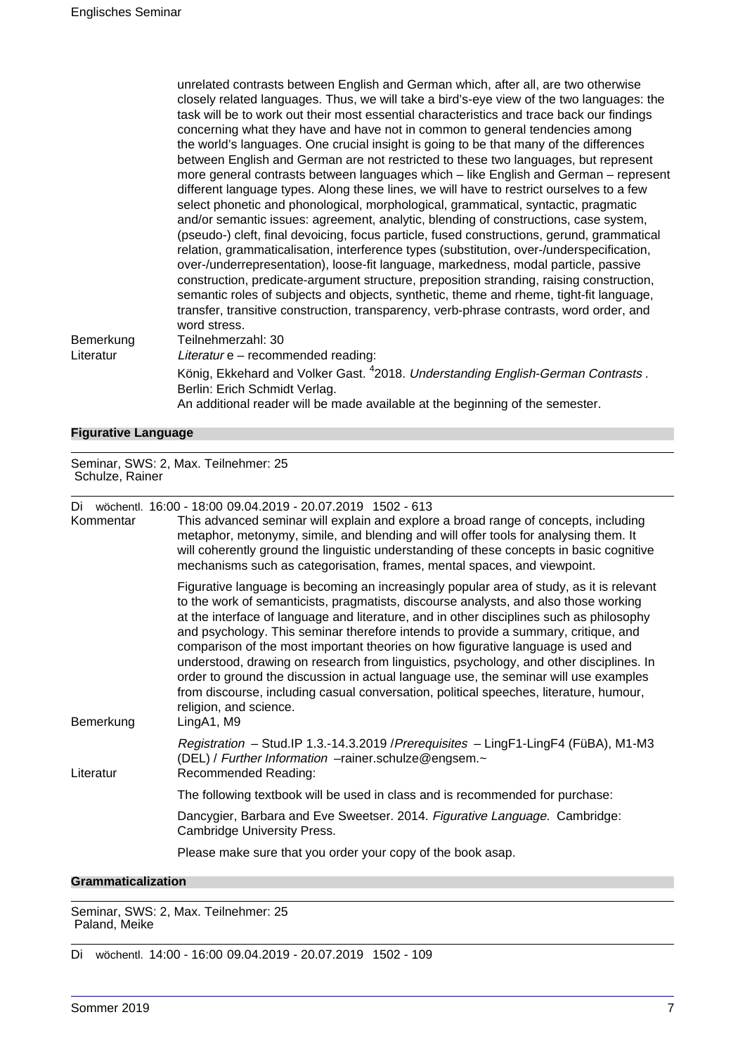unrelated contrasts between English and German which, after all, are two otherwise closely related languages. Thus, we will take a bird's-eye view of the two languages: the task will be to work out their most essential characteristics and trace back our findings concerning what they have and have not in common to general tendencies among the world's languages. One crucial insight is going to be that many of the differences between English and German are not restricted to these two languages, but represent more general contrasts between languages which – like English and German – represent different language types. Along these lines, we will have to restrict ourselves to a few select phonetic and phonological, morphological, grammatical, syntactic, pragmatic and/or semantic issues: agreement, analytic, blending of constructions, case system, (pseudo-) cleft, final devoicing, focus particle, fused constructions, gerund, grammatical relation, grammaticalisation, interference types (substitution, over-/underspecification, over-/underrepresentation), loose-fit language, markedness, modal particle, passive construction, predicate-argument structure, preposition stranding, raising construction, semantic roles of subjects and objects, synthetic, theme and rheme, tight-fit language, transfer, transitive construction, transparency, verb-phrase contrasts, word order, and word stress. Bemerkung Teilnehmerzahl: 30

Literatur Literatur e – recommended reading:

König, Ekkehard and Volker Gast. <sup>4</sup>2018. Understanding English-German Contrasts . Berlin: Erich Schmidt Verlag.

An additional reader will be made available at the beginning of the semester.

### **Figurative Language**

Seminar, SWS: 2, Max. Teilnehmer: 25 Schulze, Rainer

Di wöchentl. 16:00 - 18:00 09.04.2019 - 20.07.2019 1502 - 613

| Kommentar | This advanced seminar will explain and explore a broad range of concepts, including<br>metaphor, metonymy, simile, and blending and will offer tools for analysing them. It<br>will coherently ground the linguistic understanding of these concepts in basic cognitive<br>mechanisms such as categorisation, frames, mental spaces, and viewpoint.                                                                                                                                                                                                                                                                                                                                                                                                                         |
|-----------|-----------------------------------------------------------------------------------------------------------------------------------------------------------------------------------------------------------------------------------------------------------------------------------------------------------------------------------------------------------------------------------------------------------------------------------------------------------------------------------------------------------------------------------------------------------------------------------------------------------------------------------------------------------------------------------------------------------------------------------------------------------------------------|
| Bemerkung | Figurative language is becoming an increasingly popular area of study, as it is relevant<br>to the work of semanticists, pragmatists, discourse analysts, and also those working<br>at the interface of language and literature, and in other disciplines such as philosophy<br>and psychology. This seminar therefore intends to provide a summary, critique, and<br>comparison of the most important theories on how figurative language is used and<br>understood, drawing on research from linguistics, psychology, and other disciplines. In<br>order to ground the discussion in actual language use, the seminar will use examples<br>from discourse, including casual conversation, political speeches, literature, humour,<br>religion, and science.<br>LingA1, M9 |
| Literatur | Registration - Stud.IP 1.3.-14.3.2019 / Prerequisites - LingF1-LingF4 (FüBA), M1-M3<br>(DEL) / Further Information -rainer.schulze@engsem.~<br>Recommended Reading:                                                                                                                                                                                                                                                                                                                                                                                                                                                                                                                                                                                                         |
|           | The following textbook will be used in class and is recommended for purchase:                                                                                                                                                                                                                                                                                                                                                                                                                                                                                                                                                                                                                                                                                               |
|           | Dancygier, Barbara and Eve Sweetser. 2014. Figurative Language. Cambridge:<br><b>Cambridge University Press.</b>                                                                                                                                                                                                                                                                                                                                                                                                                                                                                                                                                                                                                                                            |
|           | Please make sure that you order your copy of the book asap.                                                                                                                                                                                                                                                                                                                                                                                                                                                                                                                                                                                                                                                                                                                 |

### **Grammaticalization**

Seminar, SWS: 2, Max. Teilnehmer: 25 Paland, Meike

Di wöchentl. 14:00 - 16:00 09.04.2019 - 20.07.2019 1502 - 109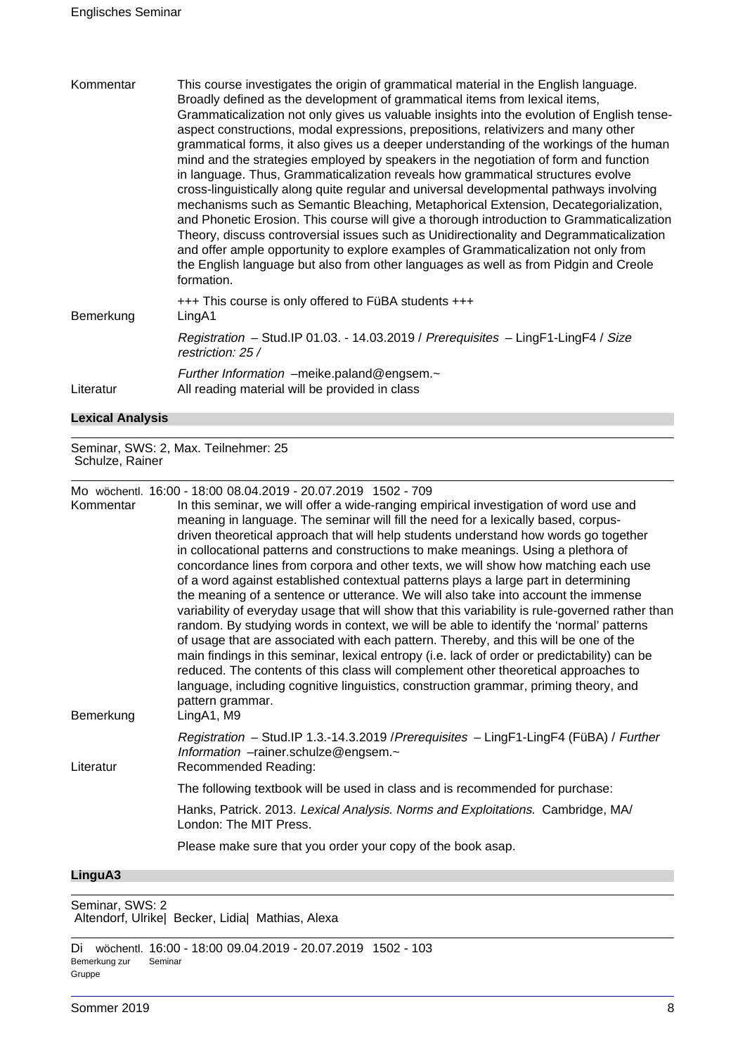| Kommentar | This course investigates the origin of grammatical material in the English language.<br>Broadly defined as the development of grammatical items from lexical items,<br>Grammaticalization not only gives us valuable insights into the evolution of English tense-<br>aspect constructions, modal expressions, prepositions, relativizers and many other<br>grammatical forms, it also gives us a deeper understanding of the workings of the human<br>mind and the strategies employed by speakers in the negotiation of form and function<br>in language. Thus, Grammaticalization reveals how grammatical structures evolve<br>cross-linguistically along quite regular and universal developmental pathways involving<br>mechanisms such as Semantic Bleaching, Metaphorical Extension, Decategorialization,<br>and Phonetic Erosion. This course will give a thorough introduction to Grammaticalization<br>Theory, discuss controversial issues such as Unidirectionality and Degrammaticalization<br>and offer ample opportunity to explore examples of Grammaticalization not only from<br>the English language but also from other languages as well as from Pidgin and Creole<br>formation. |
|-----------|-------------------------------------------------------------------------------------------------------------------------------------------------------------------------------------------------------------------------------------------------------------------------------------------------------------------------------------------------------------------------------------------------------------------------------------------------------------------------------------------------------------------------------------------------------------------------------------------------------------------------------------------------------------------------------------------------------------------------------------------------------------------------------------------------------------------------------------------------------------------------------------------------------------------------------------------------------------------------------------------------------------------------------------------------------------------------------------------------------------------------------------------------------------------------------------------------------|
| Bemerkung | +++ This course is only offered to FüBA students +++<br>LingA1                                                                                                                                                                                                                                                                                                                                                                                                                                                                                                                                                                                                                                                                                                                                                                                                                                                                                                                                                                                                                                                                                                                                        |
|           | Registration - Stud.IP 01.03. - 14.03.2019 / Prerequisites - LingF1-LingF4 / Size<br>restriction: 25 /                                                                                                                                                                                                                                                                                                                                                                                                                                                                                                                                                                                                                                                                                                                                                                                                                                                                                                                                                                                                                                                                                                |
|           | Further Information -meike.paland@engsem.~                                                                                                                                                                                                                                                                                                                                                                                                                                                                                                                                                                                                                                                                                                                                                                                                                                                                                                                                                                                                                                                                                                                                                            |

Literatur All reading material will be provided in class

### **Lexical Analysis**

Seminar, SWS: 2, Max. Teilnehmer: 25 Schulze, Rainer

Mo wöchentl. 16:00 - 18:00 08.04.2019 - 20.07.2019 1502 - 709

| Kommentar | In this seminar, we will offer a wide-ranging empirical investigation of word use and<br>meaning in language. The seminar will fill the need for a lexically based, corpus-<br>driven theoretical approach that will help students understand how words go together<br>in collocational patterns and constructions to make meanings. Using a plethora of<br>concordance lines from corpora and other texts, we will show how matching each use<br>of a word against established contextual patterns plays a large part in determining<br>the meaning of a sentence or utterance. We will also take into account the immense<br>variability of everyday usage that will show that this variability is rule-governed rather than<br>random. By studying words in context, we will be able to identify the 'normal' patterns<br>of usage that are associated with each pattern. Thereby, and this will be one of the<br>main findings in this seminar, lexical entropy (i.e. lack of order or predictability) can be |
|-----------|-------------------------------------------------------------------------------------------------------------------------------------------------------------------------------------------------------------------------------------------------------------------------------------------------------------------------------------------------------------------------------------------------------------------------------------------------------------------------------------------------------------------------------------------------------------------------------------------------------------------------------------------------------------------------------------------------------------------------------------------------------------------------------------------------------------------------------------------------------------------------------------------------------------------------------------------------------------------------------------------------------------------|
| Bemerkung | reduced. The contents of this class will complement other theoretical approaches to<br>language, including cognitive linguistics, construction grammar, priming theory, and<br>pattern grammar.<br>LingA1, M9                                                                                                                                                                                                                                                                                                                                                                                                                                                                                                                                                                                                                                                                                                                                                                                                     |
| Literatur | Registration - Stud.IP 1.3.-14.3.2019 / Prerequisites - LingF1-LingF4 (FüBA) / Further<br>Information -rainer.schulze@engsem.~<br>Recommended Reading:                                                                                                                                                                                                                                                                                                                                                                                                                                                                                                                                                                                                                                                                                                                                                                                                                                                            |
|           | The following textbook will be used in class and is recommended for purchase:                                                                                                                                                                                                                                                                                                                                                                                                                                                                                                                                                                                                                                                                                                                                                                                                                                                                                                                                     |
|           | Hanks, Patrick. 2013. Lexical Analysis. Norms and Exploitations. Cambridge, MA/<br>London: The MIT Press.                                                                                                                                                                                                                                                                                                                                                                                                                                                                                                                                                                                                                                                                                                                                                                                                                                                                                                         |
|           | Please make sure that you order your copy of the book asap.                                                                                                                                                                                                                                                                                                                                                                                                                                                                                                                                                                                                                                                                                                                                                                                                                                                                                                                                                       |
|           |                                                                                                                                                                                                                                                                                                                                                                                                                                                                                                                                                                                                                                                                                                                                                                                                                                                                                                                                                                                                                   |

### **LinguA3**

Seminar, SWS: 2 Altendorf, Ulrike| Becker, Lidia| Mathias, Alexa

Di wöchentl. 16:00 - 18:00 09.04.2019 - 20.07.2019 1502 - 103 Bemerkung zur Gruppe Seminar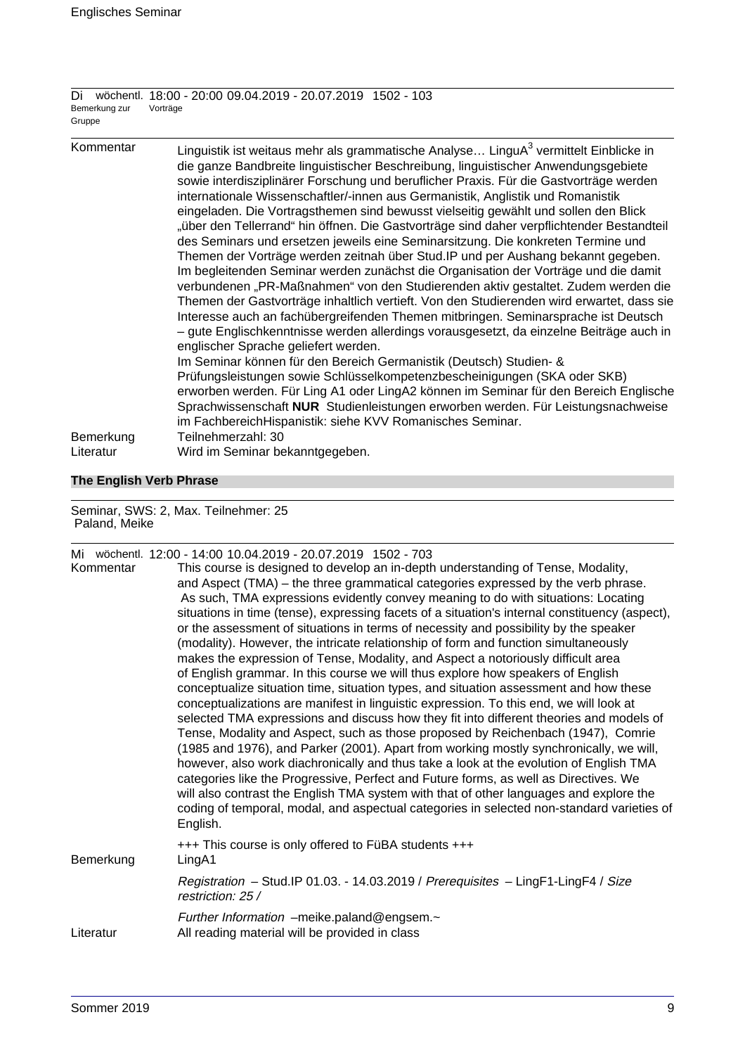Di wöchentl. 18:00 - 20:00 09.04.2019 - 20.07.2019 1502 - 103 Bemerkung zur Gruppe Vorträge

| Kommentar | Linguistik ist weitaus mehr als grammatische Analyse LinguA <sup>3</sup> vermittelt Einblicke in<br>die ganze Bandbreite linguistischer Beschreibung, linguistischer Anwendungsgebiete<br>sowie interdisziplinärer Forschung und beruflicher Praxis. Für die Gastvorträge werden<br>internationale Wissenschaftler/-innen aus Germanistik, Anglistik und Romanistik<br>eingeladen. Die Vortragsthemen sind bewusst vielseitig gewählt und sollen den Blick<br>"über den Tellerrand" hin öffnen. Die Gastvorträge sind daher verpflichtender Bestandteil<br>des Seminars und ersetzen jeweils eine Seminarsitzung. Die konkreten Termine und<br>Themen der Vorträge werden zeitnah über Stud. IP und per Aushang bekannt gegeben.<br>Im begleitenden Seminar werden zunächst die Organisation der Vorträge und die damit<br>verbundenen "PR-Maßnahmen" von den Studierenden aktiv gestaltet. Zudem werden die<br>Themen der Gastvorträge inhaltlich vertieft. Von den Studierenden wird erwartet, dass sie<br>Interesse auch an fachübergreifenden Themen mitbringen. Seminarsprache ist Deutsch<br>- gute Englischkenntnisse werden allerdings vorausgesetzt, da einzelne Beiträge auch in<br>englischer Sprache geliefert werden.<br>Im Seminar können für den Bereich Germanistik (Deutsch) Studien- &<br>Prüfungsleistungen sowie Schlüsselkompetenzbescheinigungen (SKA oder SKB) |
|-----------|---------------------------------------------------------------------------------------------------------------------------------------------------------------------------------------------------------------------------------------------------------------------------------------------------------------------------------------------------------------------------------------------------------------------------------------------------------------------------------------------------------------------------------------------------------------------------------------------------------------------------------------------------------------------------------------------------------------------------------------------------------------------------------------------------------------------------------------------------------------------------------------------------------------------------------------------------------------------------------------------------------------------------------------------------------------------------------------------------------------------------------------------------------------------------------------------------------------------------------------------------------------------------------------------------------------------------------------------------------------------------------------|
|           | erworben werden. Für Ling A1 oder LingA2 können im Seminar für den Bereich Englische<br>Sprachwissenschaft NUR Studienleistungen erworben werden. Für Leistungsnachweise                                                                                                                                                                                                                                                                                                                                                                                                                                                                                                                                                                                                                                                                                                                                                                                                                                                                                                                                                                                                                                                                                                                                                                                                              |
|           | im FachbereichHispanistik: siehe KVV Romanisches Seminar.                                                                                                                                                                                                                                                                                                                                                                                                                                                                                                                                                                                                                                                                                                                                                                                                                                                                                                                                                                                                                                                                                                                                                                                                                                                                                                                             |
| Bemerkung | Teilnehmerzahl: 30                                                                                                                                                                                                                                                                                                                                                                                                                                                                                                                                                                                                                                                                                                                                                                                                                                                                                                                                                                                                                                                                                                                                                                                                                                                                                                                                                                    |
| Literatur | Wird im Seminar bekanntgegeben.                                                                                                                                                                                                                                                                                                                                                                                                                                                                                                                                                                                                                                                                                                                                                                                                                                                                                                                                                                                                                                                                                                                                                                                                                                                                                                                                                       |

### **The English Verb Phrase**

Seminar, SWS: 2, Max. Teilnehmer: 25 Paland, Meike

| Kommentar | Mi wöchentl. 12:00 - 14:00 10:04:2019 - 20:07:2019 1502 - 703<br>This course is designed to develop an in-depth understanding of Tense, Modality,                                                                                                                                                                                                                                                                                                                                                                                                                                                                                                                                                                                                                                                                                                                                                                                                                                                                                                                                                                                                                                                                                                                                                                                                                                                                                                                               |
|-----------|---------------------------------------------------------------------------------------------------------------------------------------------------------------------------------------------------------------------------------------------------------------------------------------------------------------------------------------------------------------------------------------------------------------------------------------------------------------------------------------------------------------------------------------------------------------------------------------------------------------------------------------------------------------------------------------------------------------------------------------------------------------------------------------------------------------------------------------------------------------------------------------------------------------------------------------------------------------------------------------------------------------------------------------------------------------------------------------------------------------------------------------------------------------------------------------------------------------------------------------------------------------------------------------------------------------------------------------------------------------------------------------------------------------------------------------------------------------------------------|
|           | and Aspect (TMA) – the three grammatical categories expressed by the verb phrase.<br>As such, TMA expressions evidently convey meaning to do with situations: Locating<br>situations in time (tense), expressing facets of a situation's internal constituency (aspect),<br>or the assessment of situations in terms of necessity and possibility by the speaker<br>(modality). However, the intricate relationship of form and function simultaneously<br>makes the expression of Tense, Modality, and Aspect a notoriously difficult area<br>of English grammar. In this course we will thus explore how speakers of English<br>conceptualize situation time, situation types, and situation assessment and how these<br>conceptualizations are manifest in linguistic expression. To this end, we will look at<br>selected TMA expressions and discuss how they fit into different theories and models of<br>Tense, Modality and Aspect, such as those proposed by Reichenbach (1947), Comrie<br>(1985 and 1976), and Parker (2001). Apart from working mostly synchronically, we will,<br>however, also work diachronically and thus take a look at the evolution of English TMA<br>categories like the Progressive, Perfect and Future forms, as well as Directives. We<br>will also contrast the English TMA system with that of other languages and explore the<br>coding of temporal, modal, and aspectual categories in selected non-standard varieties of<br>English. |
| Bemerkung | +++ This course is only offered to FüBA students +++<br>LingA1                                                                                                                                                                                                                                                                                                                                                                                                                                                                                                                                                                                                                                                                                                                                                                                                                                                                                                                                                                                                                                                                                                                                                                                                                                                                                                                                                                                                                  |
|           | Registration - Stud.IP 01.03. - 14.03.2019 / Prerequisites - LingF1-LingF4 / Size<br>restriction: 25 /                                                                                                                                                                                                                                                                                                                                                                                                                                                                                                                                                                                                                                                                                                                                                                                                                                                                                                                                                                                                                                                                                                                                                                                                                                                                                                                                                                          |
| Literatur | Further Information -meike.paland@engsem.~<br>All reading material will be provided in class                                                                                                                                                                                                                                                                                                                                                                                                                                                                                                                                                                                                                                                                                                                                                                                                                                                                                                                                                                                                                                                                                                                                                                                                                                                                                                                                                                                    |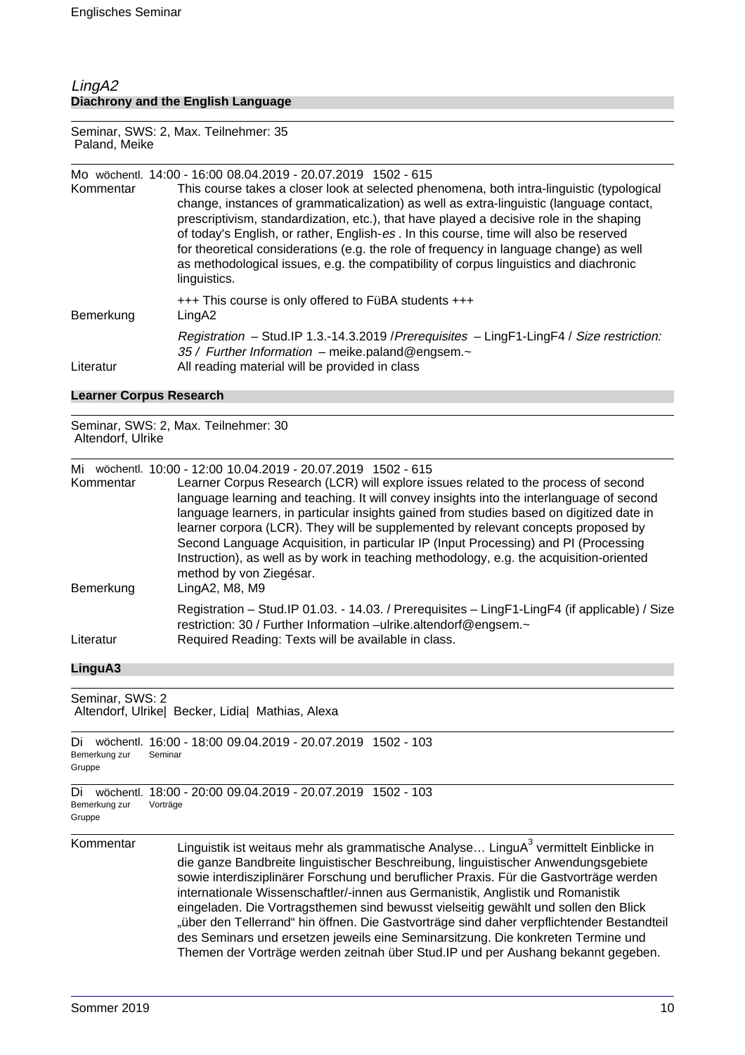### LingA2 **Diachrony and the English Language**

Seminar, SWS: 2, Max. Teilnehmer: 35 Paland, Meike

|           | Mo wöchentl. 14:00 - 16:00 08.04.2019 - 20.07.2019 1502 - 615                                                                                                                                                                                                                                                                                                                                                                                                                                                                                                               |
|-----------|-----------------------------------------------------------------------------------------------------------------------------------------------------------------------------------------------------------------------------------------------------------------------------------------------------------------------------------------------------------------------------------------------------------------------------------------------------------------------------------------------------------------------------------------------------------------------------|
| Kommentar | This course takes a closer look at selected phenomena, both intra-linguistic (typological<br>change, instances of grammaticalization) as well as extra-linguistic (language contact,<br>prescriptivism, standardization, etc.), that have played a decisive role in the shaping<br>of today's English, or rather, English-es. In this course, time will also be reserved<br>for theoretical considerations (e.g. the role of frequency in language change) as well<br>as methodological issues, e.g. the compatibility of corpus linguistics and diachronic<br>linguistics. |
| Bemerkung | +++ This course is only offered to FüBA students +++<br>LingA2                                                                                                                                                                                                                                                                                                                                                                                                                                                                                                              |
| Literatur | Registration - Stud.IP 1.3.-14.3.2019 / Prerequisites - LingF1-LingF4 / Size restriction:<br>35 / Further Information - meike.paland@engsem.~<br>All reading material will be provided in class                                                                                                                                                                                                                                                                                                                                                                             |

### **Learner Corpus Research**

Seminar, SWS: 2, Max. Teilnehmer: 30 Altendorf, Ulrike

| Mi<br>Kommentar | wöchentl. 10:00 - 12:00 10.04.2019 - 20.07.2019 1502 - 615<br>Learner Corpus Research (LCR) will explore issues related to the process of second<br>language learning and teaching. It will convey insights into the interlanguage of second<br>language learners, in particular insights gained from studies based on digitized date in<br>learner corpora (LCR). They will be supplemented by relevant concepts proposed by<br>Second Language Acquisition, in particular IP (Input Processing) and PI (Processing<br>Instruction), as well as by work in teaching methodology, e.g. the acquisition-oriented<br>method by von Ziegésar. |
|-----------------|--------------------------------------------------------------------------------------------------------------------------------------------------------------------------------------------------------------------------------------------------------------------------------------------------------------------------------------------------------------------------------------------------------------------------------------------------------------------------------------------------------------------------------------------------------------------------------------------------------------------------------------------|
| Bemerkung       | LingA2, M8, M9                                                                                                                                                                                                                                                                                                                                                                                                                                                                                                                                                                                                                             |
| Literatur       | Registration - Stud.IP 01.03. - 14.03. / Prerequisites - LingF1-LingF4 (if applicable) / Size<br>restriction: 30 / Further Information -ulrike.altendorf@engsem.~<br>Required Reading: Texts will be available in class.                                                                                                                                                                                                                                                                                                                                                                                                                   |

### **LinguA3**

| Seminar, SWS: 2<br>Altendorf, Ulrike  Becker, Lidia  Mathias, Alexa |                                                                                                                                                                                                                                                                                                                                                                                                                                                                                                                                                                                                                                                                                                                                  |  |
|---------------------------------------------------------------------|----------------------------------------------------------------------------------------------------------------------------------------------------------------------------------------------------------------------------------------------------------------------------------------------------------------------------------------------------------------------------------------------------------------------------------------------------------------------------------------------------------------------------------------------------------------------------------------------------------------------------------------------------------------------------------------------------------------------------------|--|
| Di<br>Bemerkung zur<br>Gruppe                                       | wöchentl. 16:00 - 18:00 09.04.2019 - 20.07.2019 1502 - 103<br>Seminar                                                                                                                                                                                                                                                                                                                                                                                                                                                                                                                                                                                                                                                            |  |
| Di<br>wöchentl.<br>Bemerkung zur<br>Gruppe                          | 18:00 - 20:00 09.04.2019 - 20.07.2019 1502 - 103<br>Vorträge                                                                                                                                                                                                                                                                                                                                                                                                                                                                                                                                                                                                                                                                     |  |
| Kommentar                                                           | Linguistik ist weitaus mehr als grammatische Analyse LinguA <sup>3</sup> vermittelt Einblicke in<br>die ganze Bandbreite linguistischer Beschreibung, linguistischer Anwendungsgebiete<br>sowie interdisziplinärer Forschung und beruflicher Praxis. Für die Gastvorträge werden<br>internationale Wissenschaftler/-innen aus Germanistik, Anglistik und Romanistik<br>eingeladen. Die Vortragsthemen sind bewusst vielseitig gewählt und sollen den Blick<br>"über den Tellerrand" hin öffnen. Die Gastvorträge sind daher verpflichtender Bestandteil<br>des Seminars und ersetzen jeweils eine Seminarsitzung. Die konkreten Termine und<br>Themen der Vorträge werden zeitnah über Stud. IP und per Aushang bekannt gegeben. |  |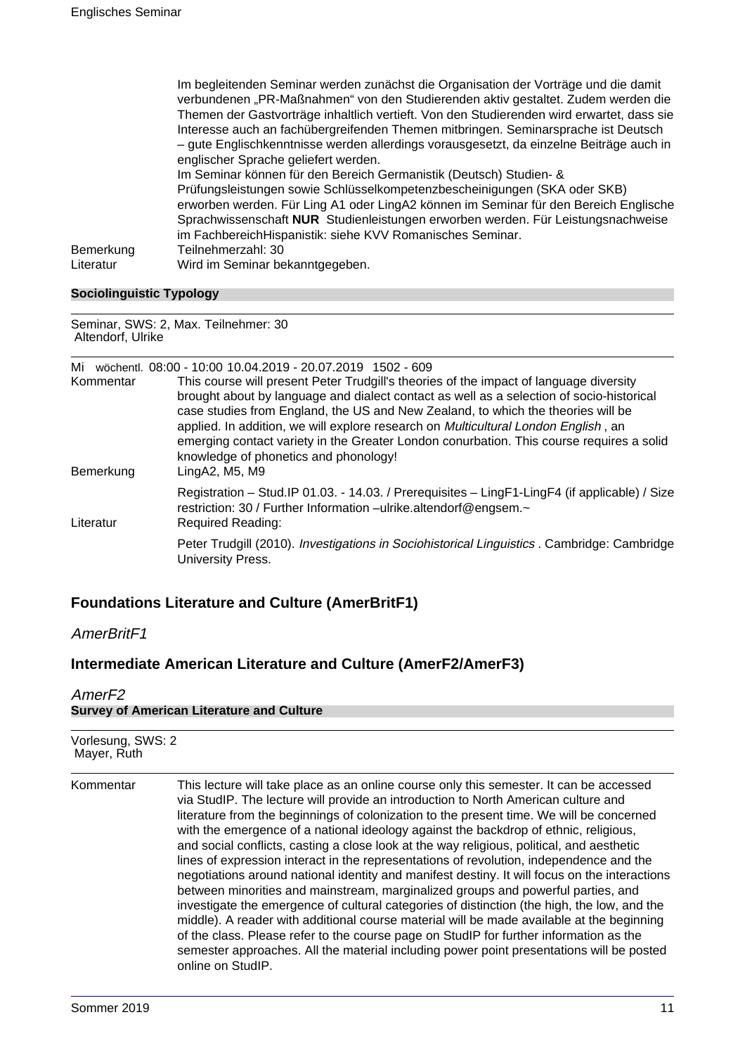|                        | Im begleitenden Seminar werden zunächst die Organisation der Vorträge und die damit<br>verbundenen "PR-Maßnahmen" von den Studierenden aktiv gestaltet. Zudem werden die<br>Themen der Gastvorträge inhaltlich vertieft. Von den Studierenden wird erwartet, dass sie<br>Interesse auch an fachübergreifenden Themen mitbringen. Seminarsprache ist Deutsch<br>- gute Englischkenntnisse werden allerdings vorausgesetzt, da einzelne Beiträge auch in<br>englischer Sprache geliefert werden.<br>Im Seminar können für den Bereich Germanistik (Deutsch) Studien- & |
|------------------------|----------------------------------------------------------------------------------------------------------------------------------------------------------------------------------------------------------------------------------------------------------------------------------------------------------------------------------------------------------------------------------------------------------------------------------------------------------------------------------------------------------------------------------------------------------------------|
| Bemerkung<br>Literatur | Prüfungsleistungen sowie Schlüsselkompetenzbescheinigungen (SKA oder SKB)<br>erworben werden. Für Ling A1 oder LingA2 können im Seminar für den Bereich Englische<br>Sprachwissenschaft NUR Studienleistungen erworben werden. Für Leistungsnachweise<br>im Fachbereich Hispanistik: siehe KVV Romanisches Seminar.<br>Teilnehmerzahl: 30<br>Wird im Seminar bekanntgegeben.                                                                                                                                                                                         |

### **Sociolinguistic Typology**

Seminar, SWS: 2, Max. Teilnehmer: 30 Altendorf, Ulrike

| Mi<br>Kommentar | wöchentl. 08:00 - 10:00 10.04.2019 - 20.07.2019 1502 - 609<br>This course will present Peter Trudgill's theories of the impact of language diversity<br>brought about by language and dialect contact as well as a selection of socio-historical<br>case studies from England, the US and New Zealand, to which the theories will be<br>applied. In addition, we will explore research on <i>Multicultural London English</i> , an<br>emerging contact variety in the Greater London conurbation. This course requires a solid<br>knowledge of phonetics and phonology! |
|-----------------|-------------------------------------------------------------------------------------------------------------------------------------------------------------------------------------------------------------------------------------------------------------------------------------------------------------------------------------------------------------------------------------------------------------------------------------------------------------------------------------------------------------------------------------------------------------------------|
| Bemerkung       | LingA2, M5, M9                                                                                                                                                                                                                                                                                                                                                                                                                                                                                                                                                          |
| Literatur       | Registration - Stud.IP 01.03. - 14.03. / Prerequisites - LingF1-LingF4 (if applicable) / Size<br>restriction: 30 / Further Information -ulrike.altendorf@engsem.~<br>Required Reading:                                                                                                                                                                                                                                                                                                                                                                                  |
|                 | Peter Trudgill (2010). Investigations in Sociohistorical Linguistics . Cambridge: Cambridge<br>University Press.                                                                                                                                                                                                                                                                                                                                                                                                                                                        |

## **Foundations Literature and Culture (AmerBritF1)**

AmerBritF1

### **Intermediate American Literature and Culture (AmerF2/AmerF3)**

### AmerF2 **Survey of American Literature and Culture**

| Vorlesung, SWS: 2<br>Mayer, Ruth |                                                                                                                                                                                                                                                                                                                                                                                                                                                                                                                                                                                                                                                                                                                                                                                                                                                                                                                                                                                                                                                                                                                                                       |
|----------------------------------|-------------------------------------------------------------------------------------------------------------------------------------------------------------------------------------------------------------------------------------------------------------------------------------------------------------------------------------------------------------------------------------------------------------------------------------------------------------------------------------------------------------------------------------------------------------------------------------------------------------------------------------------------------------------------------------------------------------------------------------------------------------------------------------------------------------------------------------------------------------------------------------------------------------------------------------------------------------------------------------------------------------------------------------------------------------------------------------------------------------------------------------------------------|
| Kommentar                        | This lecture will take place as an online course only this semester. It can be accessed<br>via StudIP. The lecture will provide an introduction to North American culture and<br>literature from the beginnings of colonization to the present time. We will be concerned<br>with the emergence of a national ideology against the backdrop of ethnic, religious,<br>and social conflicts, casting a close look at the way religious, political, and aesthetic<br>lines of expression interact in the representations of revolution, independence and the<br>negotiations around national identity and manifest destiny. It will focus on the interactions<br>between minorities and mainstream, marginalized groups and powerful parties, and<br>investigate the emergence of cultural categories of distinction (the high, the low, and the<br>middle). A reader with additional course material will be made available at the beginning<br>of the class. Please refer to the course page on StudIP for further information as the<br>semester approaches. All the material including power point presentations will be posted<br>online on StudIP. |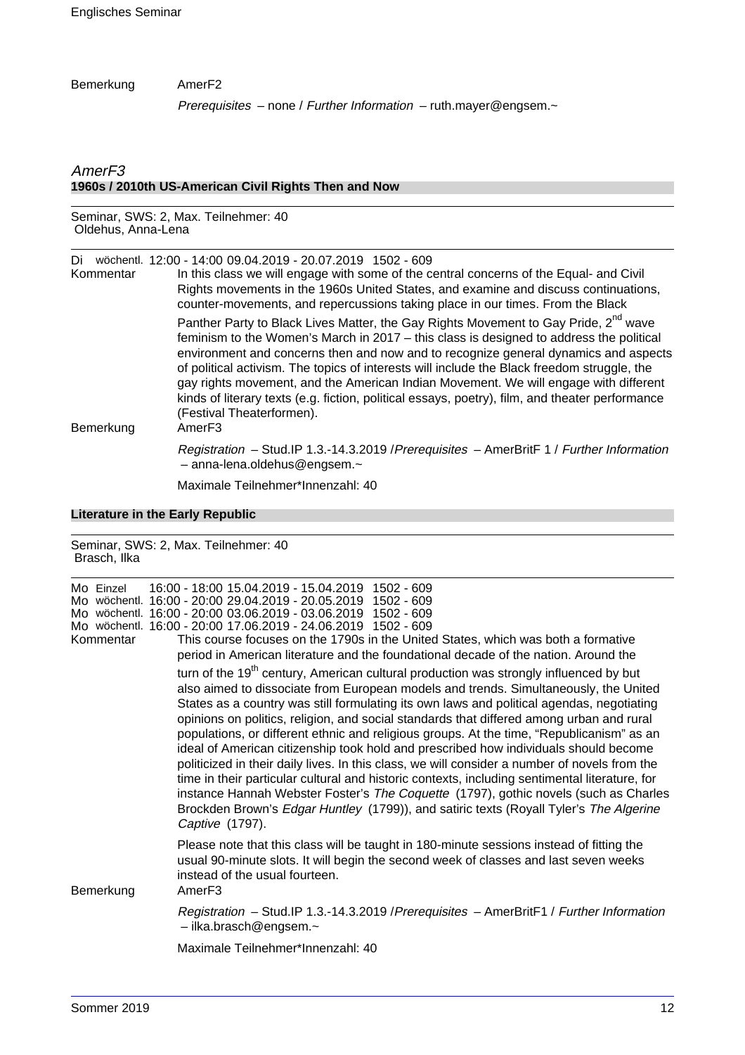### Bemerkung AmerF2

Prerequisites - none / Further Information - ruth.mayer@engsem.~

### AmerF3 **1960s / 2010th US-American Civil Rights Then and Now**

#### Seminar, SWS: 2, Max. Teilnehmer: 40 Oldehus, Anna-Lena

| Di<br>Kommentar | wöchentl. 12:00 - 14:00 09.04.2019 - 20.07.2019 1502 - 609<br>In this class we will engage with some of the central concerns of the Equal- and Civil<br>Rights movements in the 1960s United States, and examine and discuss continuations,<br>counter-movements, and repercussions taking place in our times. From the Black                                                                                                                                                                                                                                                                                                    |
|-----------------|----------------------------------------------------------------------------------------------------------------------------------------------------------------------------------------------------------------------------------------------------------------------------------------------------------------------------------------------------------------------------------------------------------------------------------------------------------------------------------------------------------------------------------------------------------------------------------------------------------------------------------|
| Bemerkung       | Panther Party to Black Lives Matter, the Gay Rights Movement to Gay Pride, 2 <sup>nd</sup> wave<br>feminism to the Women's March in $2017 -$ this class is designed to address the political<br>environment and concerns then and now and to recognize general dynamics and aspects<br>of political activism. The topics of interests will include the Black freedom struggle, the<br>gay rights movement, and the American Indian Movement. We will engage with different<br>kinds of literary texts (e.g. fiction, political essays, poetry), film, and theater performance<br>(Festival Theaterformen).<br>Amer <sub>F3</sub> |
|                 | Registration - Stud.IP 1.3.-14.3.2019 / Prerequisites - AmerBritF 1 / Further Information<br>$-$ anna-lena.oldehus@engsem. $\sim$                                                                                                                                                                                                                                                                                                                                                                                                                                                                                                |
|                 | $M$ o $\cdot$ ineale $T_2$ ilealeneartian an-abl $\cdot$ 40                                                                                                                                                                                                                                                                                                                                                                                                                                                                                                                                                                      |

Maximale Teilnehmer\*Innenzahl: 40

### **Literature in the Early Republic**

| Seminar, SWS: 2, Max. Teilnehmer: 40<br>Brasch, Ilka |                                                                                                                                                                                                                                                                                                                                                                                                                                                                                                                                                                                                                                                                                                                                                                                                                                                                                                                                                                                                                                                                                                                                                                                                                                                                                                                                                                                                                         |
|------------------------------------------------------|-------------------------------------------------------------------------------------------------------------------------------------------------------------------------------------------------------------------------------------------------------------------------------------------------------------------------------------------------------------------------------------------------------------------------------------------------------------------------------------------------------------------------------------------------------------------------------------------------------------------------------------------------------------------------------------------------------------------------------------------------------------------------------------------------------------------------------------------------------------------------------------------------------------------------------------------------------------------------------------------------------------------------------------------------------------------------------------------------------------------------------------------------------------------------------------------------------------------------------------------------------------------------------------------------------------------------------------------------------------------------------------------------------------------------|
| Mo Einzel<br>Kommentar                               | 16:00 - 18:00 15.04.2019 - 15.04.2019 1502 - 609<br>Mo wöchentl. 16:00 - 20:00 29.04.2019 - 20.05.2019<br>$1502 - 609$<br>Mo wöchentl. 16:00 - 20:00 03.06.2019 - 03.06.2019 1502 - 609<br>Mo wöchentl. 16:00 - 20:00 17.06.2019 - 24.06.2019 1502 - 609<br>This course focuses on the 1790s in the United States, which was both a formative<br>period in American literature and the foundational decade of the nation. Around the<br>turn of the 19 <sup>th</sup> century, American cultural production was strongly influenced by but<br>also aimed to dissociate from European models and trends. Simultaneously, the United<br>States as a country was still formulating its own laws and political agendas, negotiating<br>opinions on politics, religion, and social standards that differed among urban and rural<br>populations, or different ethnic and religious groups. At the time, "Republicanism" as an<br>ideal of American citizenship took hold and prescribed how individuals should become<br>politicized in their daily lives. In this class, we will consider a number of novels from the<br>time in their particular cultural and historic contexts, including sentimental literature, for<br>instance Hannah Webster Foster's The Coquette (1797), gothic novels (such as Charles<br>Brockden Brown's Edgar Huntley (1799)), and satiric texts (Royall Tyler's The Algerine<br>Captive (1797). |
| Bemerkung                                            | Please note that this class will be taught in 180-minute sessions instead of fitting the<br>usual 90-minute slots. It will begin the second week of classes and last seven weeks<br>instead of the usual fourteen.<br>Amer <sub>F3</sub><br>Registration - Stud.IP 1.3.-14.3.2019 / Prerequisites - AmerBritF1 / Further Information<br>$-$ ilka.brasch@engsem. $\sim$<br>Maximale Teilnehmer*Innenzahl: 40                                                                                                                                                                                                                                                                                                                                                                                                                                                                                                                                                                                                                                                                                                                                                                                                                                                                                                                                                                                                             |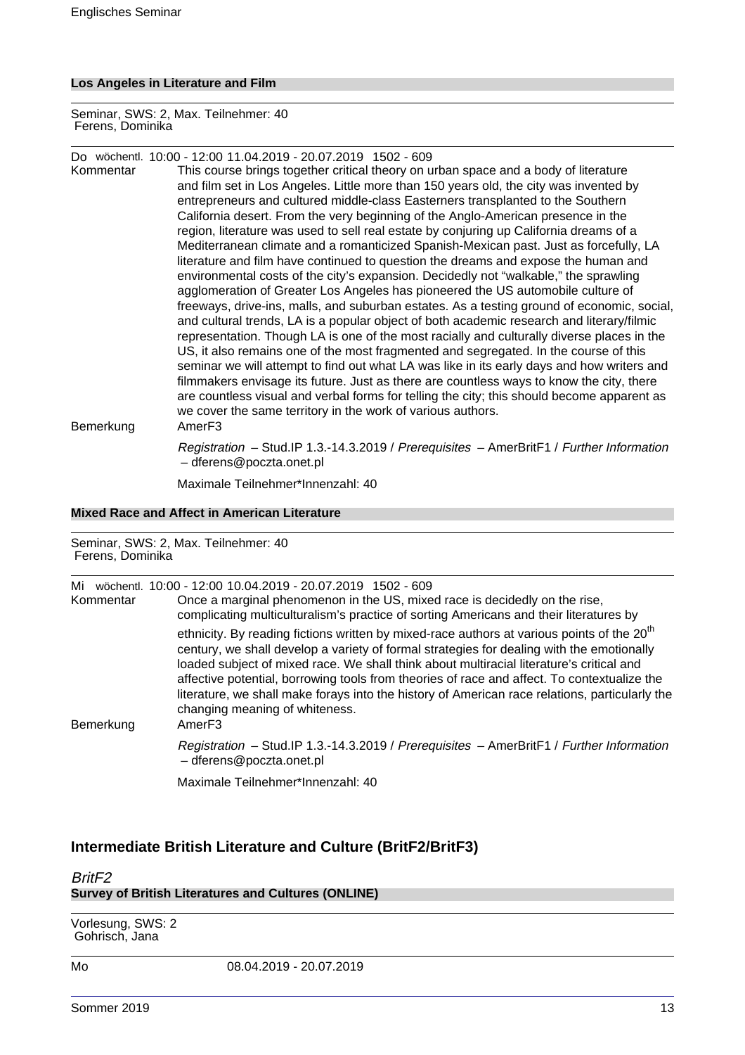### **Los Angeles in Literature and Film**

Seminar, SWS: 2, Max. Teilnehmer: 40 Ferens, Dominika

Do wöchentl. 10:00 - 12:00 11.04.2019 - 20.07.2019 1502 - 609

This course brings together critical theory on urban space and a body of literature and film set in Los Angeles. Little more than 150 years old, the city was invented by entrepreneurs and cultured middle-class Easterners transplanted to the Southern California desert. From the very beginning of the Anglo-American presence in the region, literature was used to sell real estate by conjuring up California dreams of a Mediterranean climate and a romanticized Spanish-Mexican past. Just as forcefully, LA literature and film have continued to question the dreams and expose the human and environmental costs of the city's expansion. Decidedly not "walkable," the sprawling agglomeration of Greater Los Angeles has pioneered the US automobile culture of freeways, drive-ins, malls, and suburban estates. As a testing ground of economic, social, and cultural trends, LA is a popular object of both academic research and literary/filmic representation. Though LA is one of the most racially and culturally diverse places in the US, it also remains one of the most fragmented and segregated. In the course of this seminar we will attempt to find out what LA was like in its early days and how writers and filmmakers envisage its future. Just as there are countless ways to know the city, there are countless visual and verbal forms for telling the city; this should become apparent as we cover the same territory in the work of various authors. Bemerkung AmerF3

> Registration – Stud.IP 1.3.-14.3.2019 / Prerequisites – AmerBritF1 / Further Information – dferens@poczta.onet.pl

Maximale Teilnehmer\*Innenzahl: 40

### **Mixed Race and Affect in American Literature**

| Seminar, SWS: 2, Max. Teilnehmer: 40<br>Ferens, Dominika |                                                                                                                                                                                                                                                                                                                                                                                                                                                                                                                                                          |
|----------------------------------------------------------|----------------------------------------------------------------------------------------------------------------------------------------------------------------------------------------------------------------------------------------------------------------------------------------------------------------------------------------------------------------------------------------------------------------------------------------------------------------------------------------------------------------------------------------------------------|
| Mi<br>Kommentar                                          | wöchentl. 10:00 - 12:00 10.04.2019 - 20.07.2019 1502 - 609<br>Once a marginal phenomenon in the US, mixed race is decidedly on the rise,<br>complicating multiculturalism's practice of sorting Americans and their literatures by                                                                                                                                                                                                                                                                                                                       |
| Bemerkung                                                | ethnicity. By reading fictions written by mixed-race authors at various points of the 20 <sup>th</sup><br>century, we shall develop a variety of formal strategies for dealing with the emotionally<br>loaded subject of mixed race. We shall think about multiracial literature's critical and<br>affective potential, borrowing tools from theories of race and affect. To contextualize the<br>literature, we shall make forays into the history of American race relations, particularly the<br>changing meaning of whiteness.<br>Amer <sub>F3</sub> |
|                                                          | Registration - Stud.IP 1.3.-14.3.2019 / Prerequisites - AmerBritF1 / Further Information<br>- dferens@poczta.onet.pl                                                                                                                                                                                                                                                                                                                                                                                                                                     |
|                                                          | Maximale Teilnehmer*Innenzahl: 40                                                                                                                                                                                                                                                                                                                                                                                                                                                                                                                        |

### **Intermediate British Literature and Culture (BritF2/BritF3)**

### BritF2 **Survey of British Literatures and Cultures (ONLINE)**

Vorlesung, SWS: 2 Gohrisch, Jana

Mo 08.04.2019 - 20.07.2019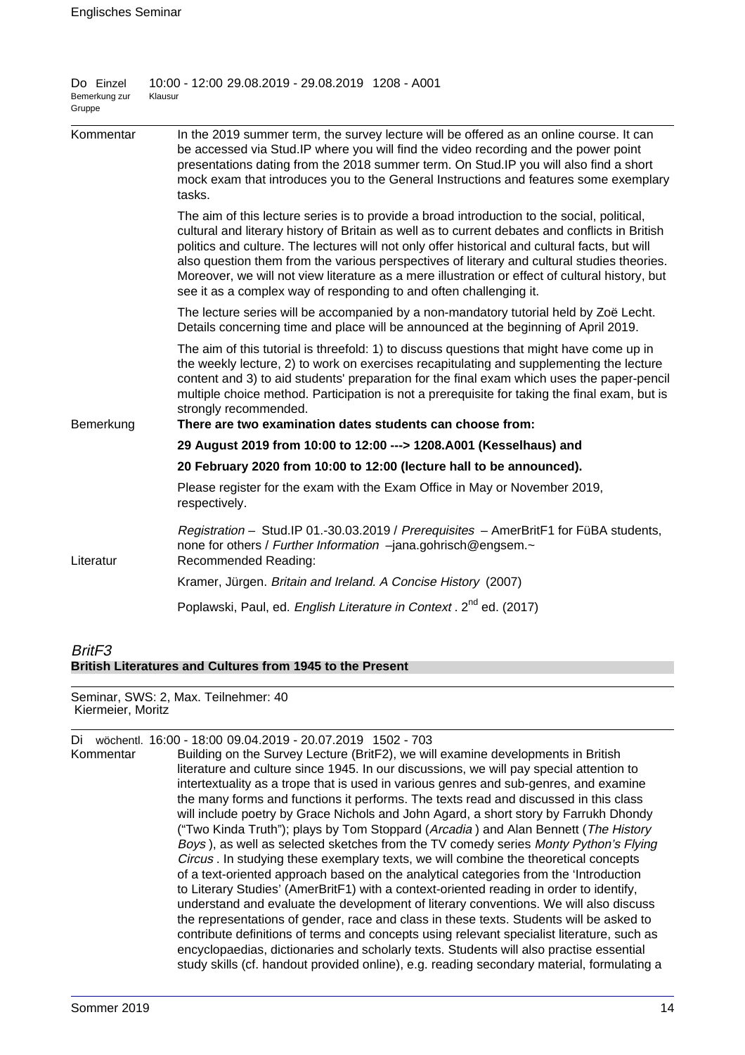| Do Einzel<br>Bemerkung zur<br>Gruppe | 10:00 - 12:00 29.08.2019 - 29.08.2019 1208 - A001<br>Klausur                                                                                                                                                                                                                                                                                                                                                                                                                                                                                                             |
|--------------------------------------|--------------------------------------------------------------------------------------------------------------------------------------------------------------------------------------------------------------------------------------------------------------------------------------------------------------------------------------------------------------------------------------------------------------------------------------------------------------------------------------------------------------------------------------------------------------------------|
| Kommentar                            | In the 2019 summer term, the survey lecture will be offered as an online course. It can<br>be accessed via Stud. IP where you will find the video recording and the power point<br>presentations dating from the 2018 summer term. On Stud. IP you will also find a short<br>mock exam that introduces you to the General Instructions and features some exemplary<br>tasks.                                                                                                                                                                                             |
|                                      | The aim of this lecture series is to provide a broad introduction to the social, political,<br>cultural and literary history of Britain as well as to current debates and conflicts in British<br>politics and culture. The lectures will not only offer historical and cultural facts, but will<br>also question them from the various perspectives of literary and cultural studies theories.<br>Moreover, we will not view literature as a mere illustration or effect of cultural history, but<br>see it as a complex way of responding to and often challenging it. |
|                                      | The lecture series will be accompanied by a non-mandatory tutorial held by Zoë Lecht.<br>Details concerning time and place will be announced at the beginning of April 2019.                                                                                                                                                                                                                                                                                                                                                                                             |
|                                      | The aim of this tutorial is threefold: 1) to discuss questions that might have come up in<br>the weekly lecture, 2) to work on exercises recapitulating and supplementing the lecture<br>content and 3) to aid students' preparation for the final exam which uses the paper-pencil<br>multiple choice method. Participation is not a prerequisite for taking the final exam, but is<br>strongly recommended.                                                                                                                                                            |
| Bemerkung                            | There are two examination dates students can choose from:                                                                                                                                                                                                                                                                                                                                                                                                                                                                                                                |
|                                      | 29 August 2019 from 10:00 to 12:00 ---> 1208.A001 (Kesselhaus) and                                                                                                                                                                                                                                                                                                                                                                                                                                                                                                       |
|                                      | 20 February 2020 from 10:00 to 12:00 (lecture hall to be announced).                                                                                                                                                                                                                                                                                                                                                                                                                                                                                                     |
|                                      | Please register for the exam with the Exam Office in May or November 2019,<br>respectively.                                                                                                                                                                                                                                                                                                                                                                                                                                                                              |
| Literatur                            | Registration - Stud.IP 01.-30.03.2019 / Prerequisites - AmerBritF1 for FüBA students,<br>none for others / Further Information -jana.gohrisch@engsem.~<br>Recommended Reading:                                                                                                                                                                                                                                                                                                                                                                                           |
|                                      | Kramer, Jürgen. Britain and Ireland. A Concise History (2007)                                                                                                                                                                                                                                                                                                                                                                                                                                                                                                            |
|                                      | Poplawski, Paul, ed. English Literature in Context. 2 <sup>nd</sup> ed. (2017)                                                                                                                                                                                                                                                                                                                                                                                                                                                                                           |
| $\cdot$ $ \sim$                      |                                                                                                                                                                                                                                                                                                                                                                                                                                                                                                                                                                          |

### BritF3 **British Literatures and Cultures from 1945 to the Present**

Seminar, SWS: 2, Max. Teilnehmer: 40 Kiermeier, Moritz

| Di<br>Kommentar | wöchentl. 16:00 - 18:00 09.04.2019 - 20.07.2019 1502 - 703<br>Building on the Survey Lecture (BritF2), we will examine developments in British<br>literature and culture since 1945. In our discussions, we will pay special attention to<br>intertextuality as a trope that is used in various genres and sub-genres, and examine<br>the many forms and functions it performs. The texts read and discussed in this class<br>will include poetry by Grace Nichols and John Agard, a short story by Farrukh Dhondy<br>("Two Kinda Truth"); plays by Tom Stoppard (Arcadia) and Alan Bennett (The History<br>Boys), as well as selected sketches from the TV comedy series Monty Python's Flying<br>Circus . In studying these exemplary texts, we will combine the theoretical concepts<br>of a text-oriented approach based on the analytical categories from the 'Introduction<br>to Literary Studies' (AmerBritF1) with a context-oriented reading in order to identify,<br>understand and evaluate the development of literary conventions. We will also discuss<br>the representations of gender, race and class in these texts. Students will be asked to<br>contribute definitions of terms and concepts using relevant specialist literature, such as<br>encyclopaedias, dictionaries and scholarly texts. Students will also practise essential<br>study skills (cf. handout provided online), e.g. reading secondary material, formulating a |
|-----------------|--------------------------------------------------------------------------------------------------------------------------------------------------------------------------------------------------------------------------------------------------------------------------------------------------------------------------------------------------------------------------------------------------------------------------------------------------------------------------------------------------------------------------------------------------------------------------------------------------------------------------------------------------------------------------------------------------------------------------------------------------------------------------------------------------------------------------------------------------------------------------------------------------------------------------------------------------------------------------------------------------------------------------------------------------------------------------------------------------------------------------------------------------------------------------------------------------------------------------------------------------------------------------------------------------------------------------------------------------------------------------------------------------------------------------------------------------------|
|                 |                                                                                                                                                                                                                                                                                                                                                                                                                                                                                                                                                                                                                                                                                                                                                                                                                                                                                                                                                                                                                                                                                                                                                                                                                                                                                                                                                                                                                                                        |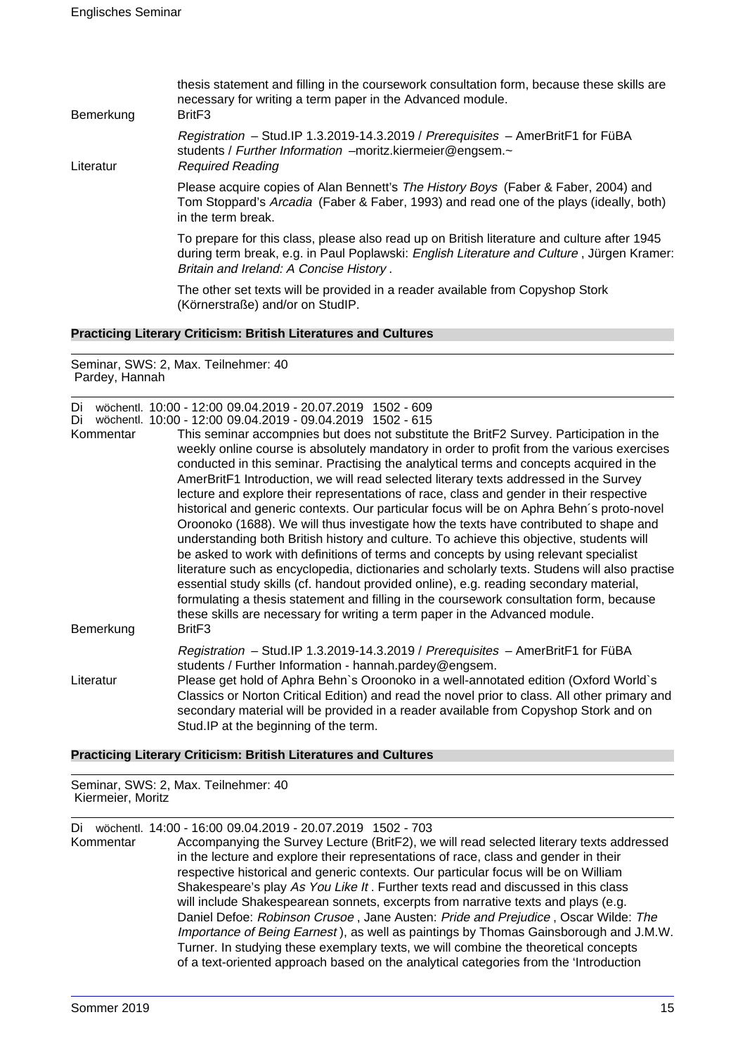| Bemerkung | thesis statement and filling in the coursework consultation form, because these skills are<br>necessary for writing a term paper in the Advanced module.<br>Brit <sub>F3</sub>                                                              |
|-----------|---------------------------------------------------------------------------------------------------------------------------------------------------------------------------------------------------------------------------------------------|
| Literatur | Registration – Stud. IP 1.3.2019-14.3.2019 / Prerequisites – AmerBritF1 for FüBA<br>students / Further Information -moritz.kiermeier@engsem.~<br><b>Required Reading</b>                                                                    |
|           | Please acquire copies of Alan Bennett's The History Boys (Faber & Faber, 2004) and<br>Tom Stoppard's Arcadia (Faber & Faber, 1993) and read one of the plays (ideally, both)<br>in the term break.                                          |
|           | To prepare for this class, please also read up on British literature and culture after 1945<br>during term break, e.g. in Paul Poplawski: <i>English Literature and Culture</i> , Jürgen Kramer:<br>Britain and Ireland: A Concise History. |
|           | The other set texts will be provided in a reader available from Copyshop Stork<br>(Körnerstraße) and/or on StudIP.                                                                                                                          |
|           |                                                                                                                                                                                                                                             |

### **Practicing Literary Criticism: British Literatures and Cultures**

Seminar, SWS: 2, Max. Teilnehmer: 40 Pardey, Hannah

Di wöchentl. 10:00 - 12:00 09.04.2019 - 20.07.2019 1502 - 609 Di wöchentl. 10:00 - 12:00 09.04.2019 - 09.04.2019 1502 - 615

| Kommentar<br>Bemerkung | This seminar accompnies but does not substitute the BritF2 Survey. Participation in the<br>weekly online course is absolutely mandatory in order to profit from the various exercises<br>conducted in this seminar. Practising the analytical terms and concepts acquired in the<br>AmerBritF1 Introduction, we will read selected literary texts addressed in the Survey<br>lecture and explore their representations of race, class and gender in their respective<br>historical and generic contexts. Our particular focus will be on Aphra Behn's proto-novel<br>Oroonoko (1688). We will thus investigate how the texts have contributed to shape and<br>understanding both British history and culture. To achieve this objective, students will<br>be asked to work with definitions of terms and concepts by using relevant specialist<br>literature such as encyclopedia, dictionaries and scholarly texts. Studens will also practise<br>essential study skills (cf. handout provided online), e.g. reading secondary material,<br>formulating a thesis statement and filling in the coursework consultation form, because<br>these skills are necessary for writing a term paper in the Advanced module.<br>Brit <sub>F3</sub> |
|------------------------|-------------------------------------------------------------------------------------------------------------------------------------------------------------------------------------------------------------------------------------------------------------------------------------------------------------------------------------------------------------------------------------------------------------------------------------------------------------------------------------------------------------------------------------------------------------------------------------------------------------------------------------------------------------------------------------------------------------------------------------------------------------------------------------------------------------------------------------------------------------------------------------------------------------------------------------------------------------------------------------------------------------------------------------------------------------------------------------------------------------------------------------------------------------------------------------------------------------------------------------------|
| Literatur              | Registration - Stud.IP 1.3.2019-14.3.2019 / Prerequisites - AmerBritF1 for FüBA<br>students / Further Information - hannah.pardey@engsem.<br>Please get hold of Aphra Behn's Oroonoko in a well-annotated edition (Oxford World's<br>Classics or Norton Critical Edition) and read the novel prior to class. All other primary and<br>secondary material will be provided in a reader available from Copyshop Stork and on<br>Stud.IP at the beginning of the term.                                                                                                                                                                                                                                                                                                                                                                                                                                                                                                                                                                                                                                                                                                                                                                       |

### **Practicing Literary Criticism: British Literatures and Cultures**

Seminar, SWS: 2, Max. Teilnehmer: 40 Kiermeier, Moritz

Di wöchentl. 14:00 - 16:00 09.04.2019 - 20.07.2019 1502 - 703

Accompanying the Survey Lecture (BritF2), we will read selected literary texts addressed in the lecture and explore their representations of race, class and gender in their respective historical and generic contexts. Our particular focus will be on William Shakespeare's play As You Like It . Further texts read and discussed in this class will include Shakespearean sonnets, excerpts from narrative texts and plays (e.g. Daniel Defoe: Robinson Crusoe , Jane Austen: Pride and Prejudice , Oscar Wilde: The Importance of Being Earnest ), as well as paintings by Thomas Gainsborough and J.M.W. Turner. In studying these exemplary texts, we will combine the theoretical concepts of a text-oriented approach based on the analytical categories from the 'Introduction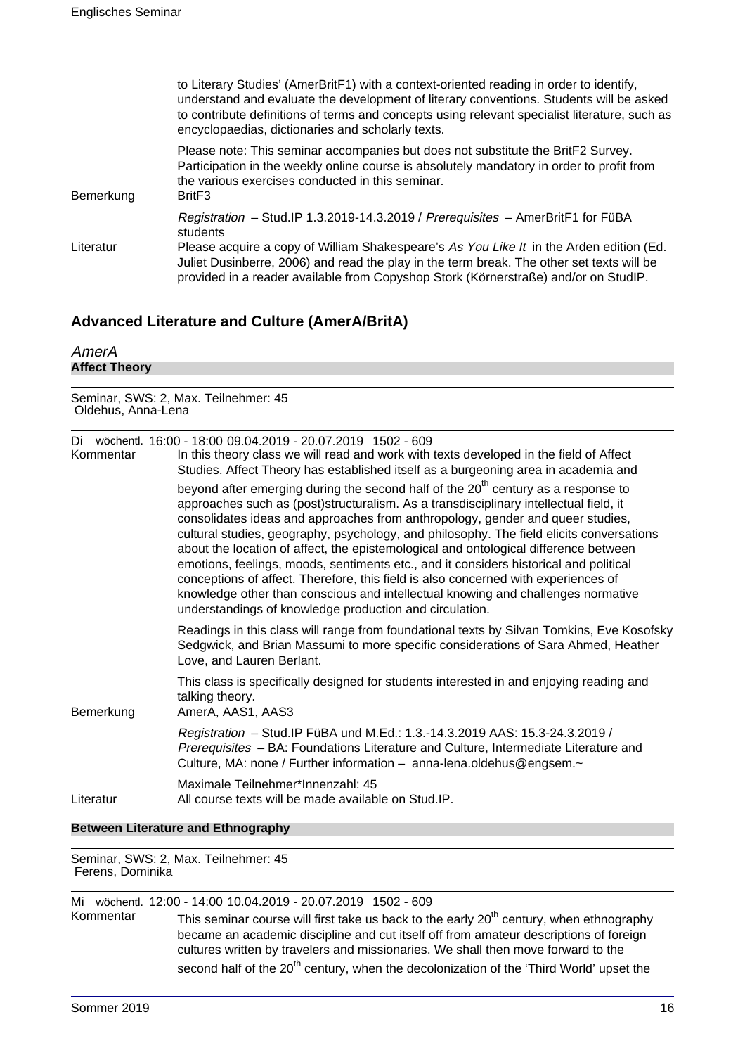|           | to Literary Studies' (AmerBritF1) with a context-oriented reading in order to identify,<br>understand and evaluate the development of literary conventions. Students will be asked<br>to contribute definitions of terms and concepts using relevant specialist literature, such as<br>encyclopaedias, dictionaries and scholarly texts.                                   |
|-----------|----------------------------------------------------------------------------------------------------------------------------------------------------------------------------------------------------------------------------------------------------------------------------------------------------------------------------------------------------------------------------|
| Bemerkung | Please note: This seminar accompanies but does not substitute the BritF2 Survey.<br>Participation in the weekly online course is absolutely mandatory in order to profit from<br>the various exercises conducted in this seminar.<br>Brit <sub>F3</sub>                                                                                                                    |
| Literatur | Registration - Stud.IP 1.3.2019-14.3.2019 / Prerequisites - AmerBritF1 for FüBA<br>students<br>Please acquire a copy of William Shakespeare's As You Like It in the Arden edition (Ed.<br>Juliet Dusinberre, 2006) and read the play in the term break. The other set texts will be<br>provided in a reader available from Copyshop Stork (Körnerstraße) and/or on StudIP. |

## **Advanced Literature and Culture (AmerA/BritA)**

| AmerA<br><b>Affect Theory</b> |                                                                                                                                                                                                                                                                                                                                                                                                                                                                                                                                                                                                                                                                                                                                                                                            |  |  |
|-------------------------------|--------------------------------------------------------------------------------------------------------------------------------------------------------------------------------------------------------------------------------------------------------------------------------------------------------------------------------------------------------------------------------------------------------------------------------------------------------------------------------------------------------------------------------------------------------------------------------------------------------------------------------------------------------------------------------------------------------------------------------------------------------------------------------------------|--|--|
|                               | Seminar, SWS: 2, Max. Teilnehmer: 45<br>Oldehus, Anna-Lena                                                                                                                                                                                                                                                                                                                                                                                                                                                                                                                                                                                                                                                                                                                                 |  |  |
| Kommentar                     | Di wöchentl. 16:00 - 18:00 09:04.2019 - 20:07.2019 1502 - 609<br>In this theory class we will read and work with texts developed in the field of Affect<br>Studies. Affect Theory has established itself as a burgeoning area in academia and                                                                                                                                                                                                                                                                                                                                                                                                                                                                                                                                              |  |  |
|                               | beyond after emerging during the second half of the 20 <sup>th</sup> century as a response to<br>approaches such as (post)structuralism. As a transdisciplinary intellectual field, it<br>consolidates ideas and approaches from anthropology, gender and queer studies,<br>cultural studies, geography, psychology, and philosophy. The field elicits conversations<br>about the location of affect, the epistemological and ontological difference between<br>emotions, feelings, moods, sentiments etc., and it considers historical and political<br>conceptions of affect. Therefore, this field is also concerned with experiences of<br>knowledge other than conscious and intellectual knowing and challenges normative<br>understandings of knowledge production and circulation. |  |  |
|                               | Readings in this class will range from foundational texts by Silvan Tomkins, Eve Kosofsky<br>Sedgwick, and Brian Massumi to more specific considerations of Sara Ahmed, Heather<br>Love, and Lauren Berlant.                                                                                                                                                                                                                                                                                                                                                                                                                                                                                                                                                                               |  |  |
| Bemerkung                     | This class is specifically designed for students interested in and enjoying reading and<br>talking theory.<br>AmerA, AAS1, AAS3                                                                                                                                                                                                                                                                                                                                                                                                                                                                                                                                                                                                                                                            |  |  |
|                               | Registration - Stud. IP FüBA und M.Ed.: 1.3.-14.3.2019 AAS: 15.3-24.3.2019 /<br>Prerequisites - BA: Foundations Literature and Culture, Intermediate Literature and<br>Culture, MA: none / Further information - anna-lena.oldehus@engsem.~                                                                                                                                                                                                                                                                                                                                                                                                                                                                                                                                                |  |  |
| Literatur                     | Maximale Teilnehmer*Innenzahl: 45<br>All course texts will be made available on Stud. IP.                                                                                                                                                                                                                                                                                                                                                                                                                                                                                                                                                                                                                                                                                                  |  |  |

### **Between Literature and Ethnography**

Seminar, SWS: 2, Max. Teilnehmer: 45 Ferens, Dominika

|           | Mi wöchentl. 12:00 - 14:00 10.04.2019 - 20.07.2019 1502 - 609                                                                                                              |
|-----------|----------------------------------------------------------------------------------------------------------------------------------------------------------------------------|
| Kommentar | This seminar course will first take us back to the early 20 <sup>th</sup> century, when ethnography                                                                        |
|           | became an academic discipline and cut itself off from amateur descriptions of foreign<br>cultures written by travelers and missionaries. We shall then move forward to the |
|           |                                                                                                                                                                            |
|           | second half of the 20 <sup>th</sup> century, when the decolonization of the 'Third World' upset the                                                                        |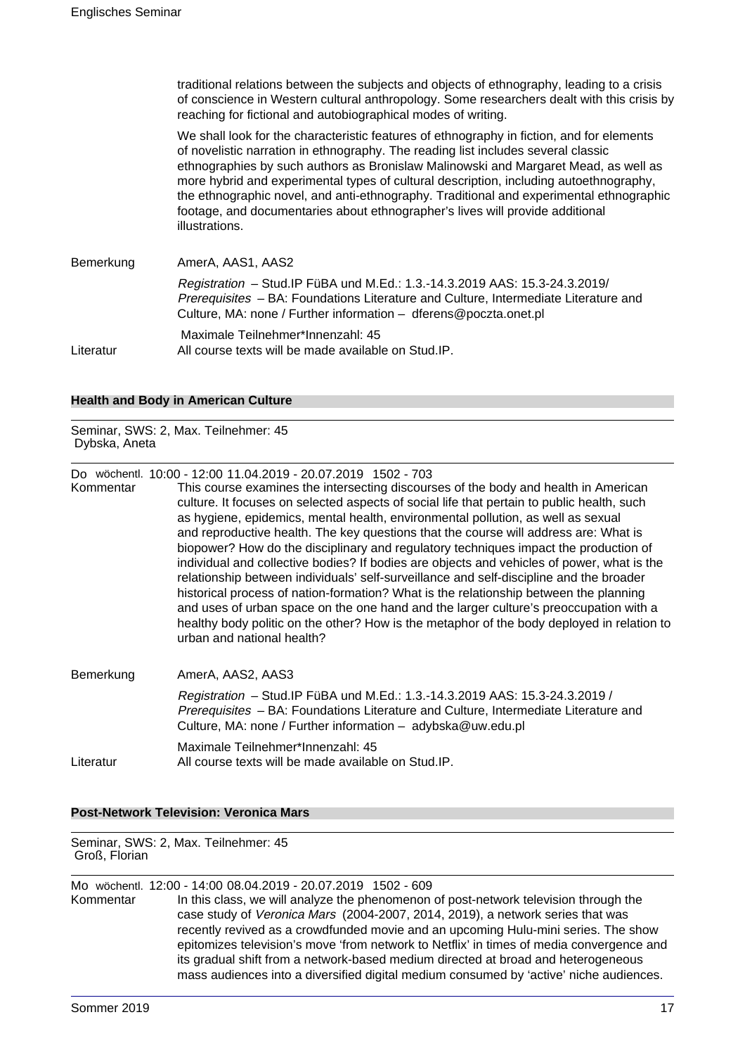traditional relations between the subjects and objects of ethnography, leading to a crisis of conscience in Western cultural anthropology. Some researchers dealt with this crisis by reaching for fictional and autobiographical modes of writing.

We shall look for the characteristic features of ethnography in fiction, and for elements of novelistic narration in ethnography. The reading list includes several classic ethnographies by such authors as Bronislaw Malinowski and Margaret Mead, as well as more hybrid and experimental types of cultural description, including autoethnography, the ethnographic novel, and anti-ethnography. Traditional and experimental ethnographic footage, and documentaries about ethnographer's lives will provide additional illustrations.

| Bemerkung | AmerA, AAS1, AAS2                                                                                                                                                                                                                      |
|-----------|----------------------------------------------------------------------------------------------------------------------------------------------------------------------------------------------------------------------------------------|
|           | Registration - Stud. IP FüBA und M.Ed.: 1.3.-14.3.2019 AAS: 15.3-24.3.2019/<br>Prerequisites - BA: Foundations Literature and Culture, Intermediate Literature and<br>Culture, MA: none / Further information - dferens@poczta.onet.pl |
| Literatur | Maximale Teilnehmer*Innenzahl: 45<br>All course texts will be made available on Stud.IP.                                                                                                                                               |

### **Health and Body in American Culture**

Seminar, SWS: 2, Max. Teilnehmer: 45 Dybska, Aneta

Do wöchentl. 10:00 - 12:00 11.04.2019 - 20.07.2019 1502 - 703

Kommentar This course examines the intersecting discourses of the body and health in American culture. It focuses on selected aspects of social life that pertain to public health, such as hygiene, epidemics, mental health, environmental pollution, as well as sexual and reproductive health. The key questions that the course will address are: What is biopower? How do the disciplinary and regulatory techniques impact the production of individual and collective bodies? If bodies are objects and vehicles of power, what is the relationship between individuals' self-surveillance and self-discipline and the broader historical process of nation-formation? What is the relationship between the planning and uses of urban space on the one hand and the larger culture's preoccupation with a healthy body politic on the other? How is the metaphor of the body deployed in relation to urban and national health?

| Bemerkung | AmerA, AAS2, AAS3                                                                                                                                                                                                                  |
|-----------|------------------------------------------------------------------------------------------------------------------------------------------------------------------------------------------------------------------------------------|
|           | Registration - Stud. IP FüBA und M.Ed.: 1.3.-14.3.2019 AAS: 15.3-24.3.2019 /<br>Prerequisites - BA: Foundations Literature and Culture, Intermediate Literature and<br>Culture, MA: none / Further information - adybska@uw.edu.pl |
| Literatur | Maximale Teilnehmer*Innenzahl: 45<br>All course texts will be made available on Stud.IP.                                                                                                                                           |

**Post-Network Television: Veronica Mars**

Seminar, SWS: 2, Max. Teilnehmer: 45 Groß, Florian

Mo wöchentl. 12:00 - 14:00 08.04.2019 - 20.07.2019 1502 - 609 Kommentar In this class, we will analyze the phenomenon of post-network television through the case study of Veronica Mars (2004-2007, 2014, 2019), a network series that was recently revived as a crowdfunded movie and an upcoming Hulu-mini series. The show epitomizes television's move 'from network to Netflix' in times of media convergence and its gradual shift from a network-based medium directed at broad and heterogeneous mass audiences into a diversified digital medium consumed by 'active' niche audiences.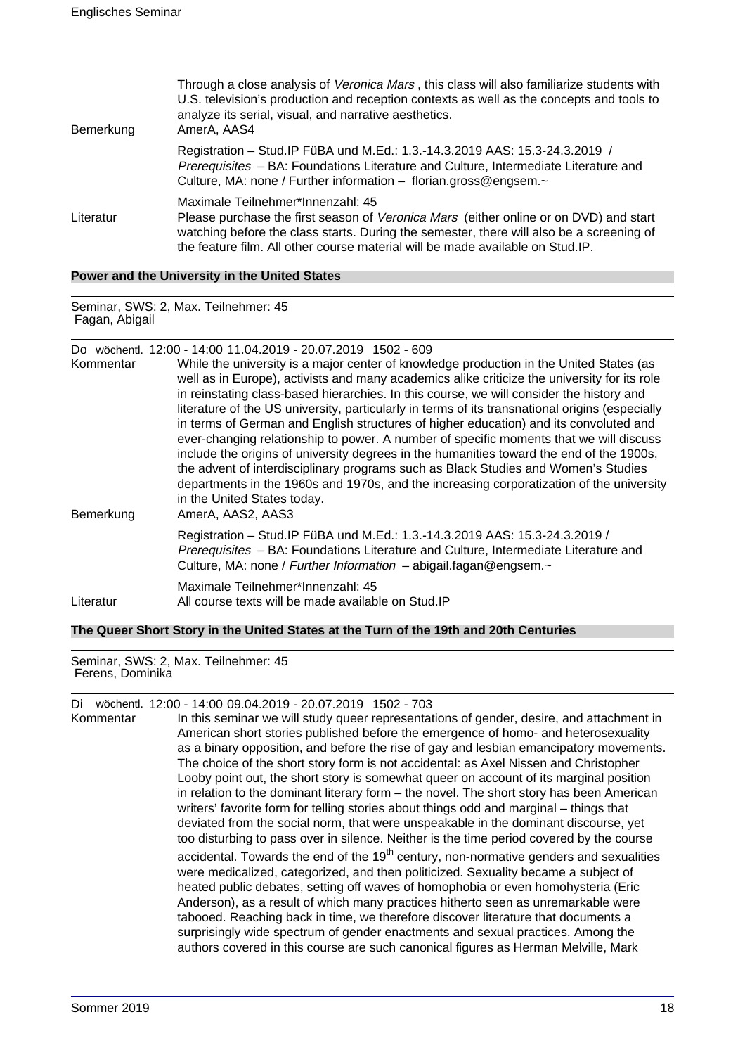| Bemerkung | Through a close analysis of Veronica Mars, this class will also familiarize students with<br>U.S. television's production and reception contexts as well as the concepts and tools to<br>analyze its serial, visual, and narrative aesthetics.<br>AmerA, AAS4                                             |
|-----------|-----------------------------------------------------------------------------------------------------------------------------------------------------------------------------------------------------------------------------------------------------------------------------------------------------------|
|           | Registration - Stud. IP FüBA und M.Ed.: 1.3.-14.3.2019 AAS: 15.3-24.3.2019 /<br>Prerequisites - BA: Foundations Literature and Culture, Intermediate Literature and<br>Culture, MA: none / Further information - florian.gross@engsem.~                                                                   |
| Literatur | Maximale Teilnehmer*Innenzahl: 45<br>Please purchase the first season of Veronica Mars (either online or on DVD) and start<br>watching before the class starts. During the semester, there will also be a screening of<br>the feature film. All other course material will be made available on Stud. IP. |

### **Power and the University in the United States**

Seminar, SWS: 2, Max. Teilnehmer: 45 Fagan, Abigail

|  | Do wöchentl. 12:00 - 14:00 11.04.2019 - 20.07.2019 1502 - 609 |  |
|--|---------------------------------------------------------------|--|
|  |                                                               |  |

| Kommentar<br>Bemerkung | While the university is a major center of knowledge production in the United States (as<br>well as in Europe), activists and many academics alike criticize the university for its role<br>in reinstating class-based hierarchies. In this course, we will consider the history and<br>literature of the US university, particularly in terms of its transnational origins (especially<br>in terms of German and English structures of higher education) and its convoluted and<br>ever-changing relationship to power. A number of specific moments that we will discuss<br>include the origins of university degrees in the humanities toward the end of the 1900s,<br>the advent of interdisciplinary programs such as Black Studies and Women's Studies<br>departments in the 1960s and 1970s, and the increasing corporatization of the university<br>in the United States today.<br>AmerA, AAS2, AAS3 |
|------------------------|-------------------------------------------------------------------------------------------------------------------------------------------------------------------------------------------------------------------------------------------------------------------------------------------------------------------------------------------------------------------------------------------------------------------------------------------------------------------------------------------------------------------------------------------------------------------------------------------------------------------------------------------------------------------------------------------------------------------------------------------------------------------------------------------------------------------------------------------------------------------------------------------------------------|
|                        | Registration - Stud. IP FüBA und M.Ed.: 1.3.-14.3.2019 AAS: 15.3-24.3.2019 /<br>Prerequisites - BA: Foundations Literature and Culture, Intermediate Literature and<br>Culture, MA: none / Further Information - abigail.fagan@engsem.~                                                                                                                                                                                                                                                                                                                                                                                                                                                                                                                                                                                                                                                                     |
| Literatur              | Maximale Teilnehmer*Innenzahl: 45<br>All course texts will be made available on Stud. IP                                                                                                                                                                                                                                                                                                                                                                                                                                                                                                                                                                                                                                                                                                                                                                                                                    |

### **The Queer Short Story in the United States at the Turn of the 19th and 20th Centuries**

Seminar, SWS: 2, Max. Teilnehmer: 45 Ferens, Dominika

Di wöchentl. 12:00 - 14:00 09.04.2019 - 20.07.2019 1502 - 703

Kommentar In this seminar we will study queer representations of gender, desire, and attachment in American short stories published before the emergence of homo- and heterosexuality as a binary opposition, and before the rise of gay and lesbian emancipatory movements. The choice of the short story form is not accidental: as Axel Nissen and Christopher Looby point out, the short story is somewhat queer on account of its marginal position in relation to the dominant literary form – the novel. The short story has been American writers' favorite form for telling stories about things odd and marginal – things that deviated from the social norm, that were unspeakable in the dominant discourse, yet too disturbing to pass over in silence. Neither is the time period covered by the course accidental. Towards the end of the  $19<sup>th</sup>$  century, non-normative genders and sexualities were medicalized, categorized, and then politicized. Sexuality became a subject of heated public debates, setting off waves of homophobia or even homohysteria (Eric Anderson), as a result of which many practices hitherto seen as unremarkable were tabooed. Reaching back in time, we therefore discover literature that documents a surprisingly wide spectrum of gender enactments and sexual practices. Among the authors covered in this course are such canonical figures as Herman Melville, Mark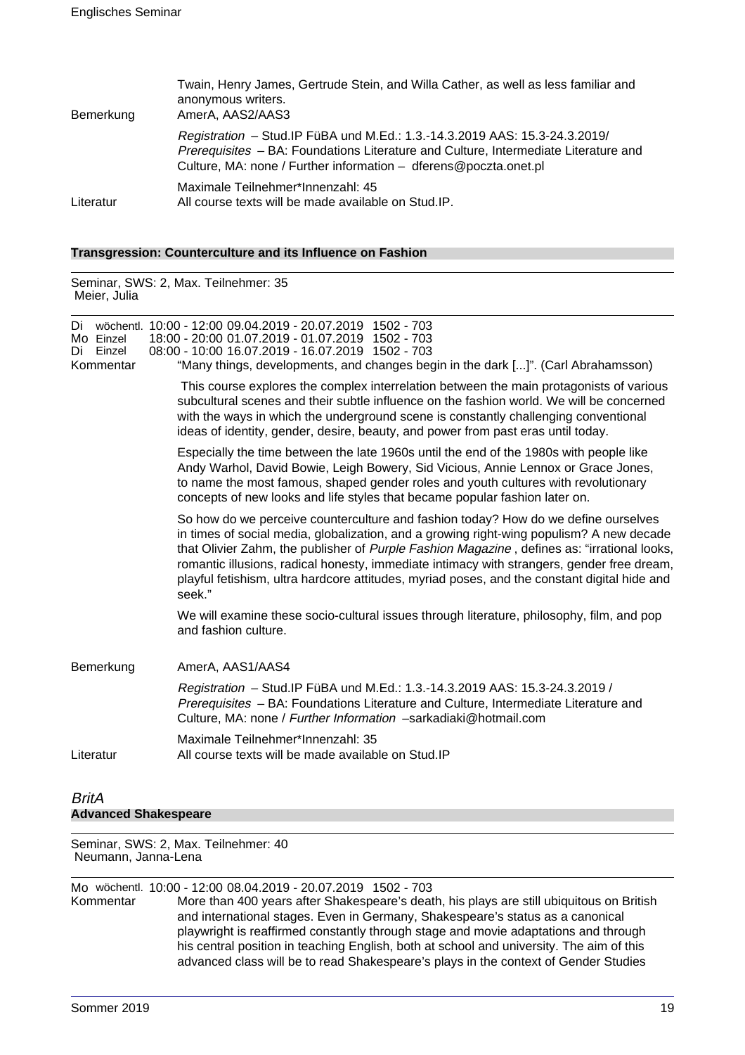| Bemerkung | Twain, Henry James, Gertrude Stein, and Willa Cather, as well as less familiar and<br>anonymous writers.<br>AmerA, AAS2/AAS3                                                                                                           |
|-----------|----------------------------------------------------------------------------------------------------------------------------------------------------------------------------------------------------------------------------------------|
|           | Registration - Stud. IP FüBA und M.Ed.: 1.3.-14.3.2019 AAS: 15.3-24.3.2019/<br>Prerequisites - BA: Foundations Literature and Culture, Intermediate Literature and<br>Culture, MA: none / Further information - dferens@poczta.onet.pl |
| Literatur | Maximale Teilnehmer*Innenzahl: 45<br>All course texts will be made available on Stud.IP.                                                                                                                                               |

#### **Transgression: Counterculture and its Influence on Fashion**

Seminar, SWS: 2, Max. Teilnehmer: 35 Meier, Julia Di wöchentl. 10:00 - 12:00 09.04.2019 - 20.07.2019 1502 - 703 Mo Einzel 18:00 - 20:00 01.07.2019 - 01.07.2019 1502 - 703 Di Einzel 08:00 - 10:00 16.07.2019 - 16.07.2019 1502 - 703 Kommentar "Many things, developments, and changes begin in the dark [...]". (Carl Abrahamsson) This course explores the complex interrelation between the main protagonists of various subcultural scenes and their subtle influence on the fashion world. We will be concerned with the ways in which the underground scene is constantly challenging conventional ideas of identity, gender, desire, beauty, and power from past eras until today. Especially the time between the late 1960s until the end of the 1980s with people like Andy Warhol, David Bowie, Leigh Bowery, Sid Vicious, Annie Lennox or Grace Jones, to name the most famous, shaped gender roles and youth cultures with revolutionary concepts of new looks and life styles that became popular fashion later on. So how do we perceive counterculture and fashion today? How do we define ourselves in times of social media, globalization, and a growing right-wing populism? A new decade that Olivier Zahm, the publisher of Purple Fashion Magazine, defines as: "irrational looks, romantic illusions, radical honesty, immediate intimacy with strangers, gender free dream, playful fetishism, ultra hardcore attitudes, myriad poses, and the constant digital hide and seek." We will examine these socio-cultural issues through literature, philosophy, film, and pop and fashion culture. Bemerkung AmerA, AAS1/AAS4 Registration – Stud.IP FüBA und M.Ed.: 1.3.-14.3.2019 AAS: 15.3-24.3.2019 / Prerequisites – BA: Foundations Literature and Culture, Intermediate Literature and Culture, MA: none / Further Information –sarkadiaki@hotmail.com Maximale Teilnehmer\*Innenzahl: 35 Literatur All course texts will be made available on Stud.IP

### **BritA Advanced Shakespeare**

Seminar, SWS: 2, Max. Teilnehmer: 40 Neumann, Janna-Lena

Mo wöchentl. 10:00 - 12:00 08.04.2019 - 20.07.2019 1502 - 703 More than 400 years after Shakespeare's death, his plays are still ubiquitous on British and international stages. Even in Germany, Shakespeare's status as a canonical playwright is reaffirmed constantly through stage and movie adaptations and through his central position in teaching English, both at school and university. The aim of this advanced class will be to read Shakespeare's plays in the context of Gender Studies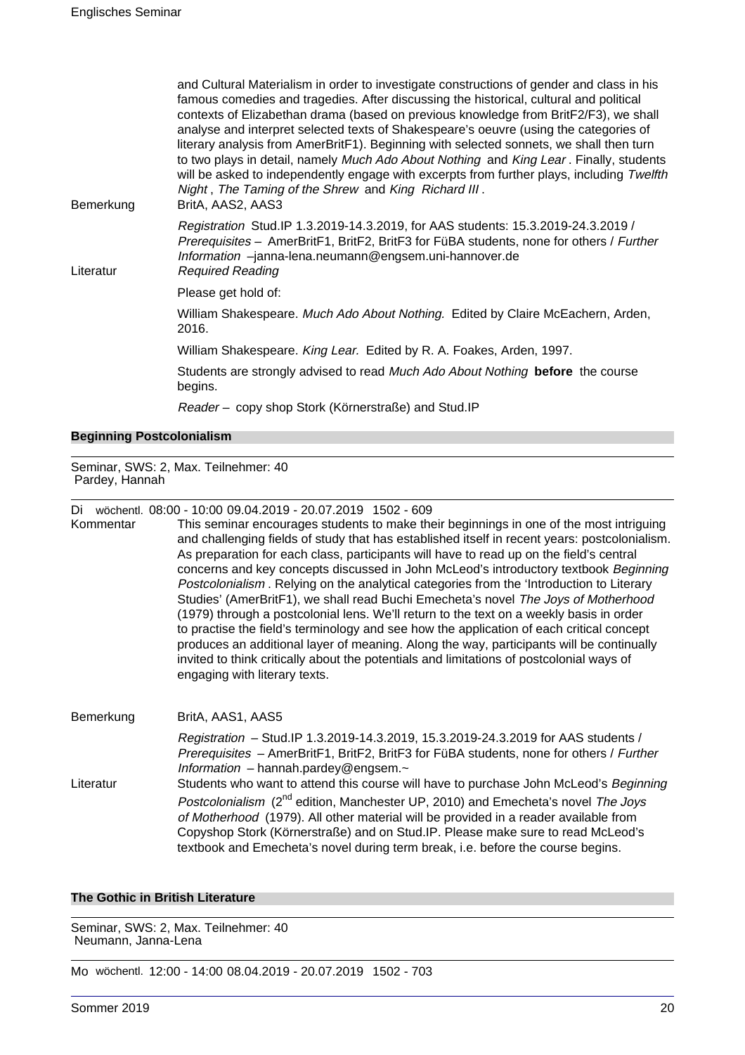| Bemerkung                        | and Cultural Materialism in order to investigate constructions of gender and class in his<br>famous comedies and tragedies. After discussing the historical, cultural and political<br>contexts of Elizabethan drama (based on previous knowledge from BritF2/F3), we shall<br>analyse and interpret selected texts of Shakespeare's oeuvre (using the categories of<br>literary analysis from AmerBritF1). Beginning with selected sonnets, we shall then turn<br>to two plays in detail, namely Much Ado About Nothing and King Lear. Finally, students<br>will be asked to independently engage with excerpts from further plays, including Twelfth<br>Night, The Taming of the Shrew and King Richard III.<br>BritA, AAS2, AAS3 |
|----------------------------------|-------------------------------------------------------------------------------------------------------------------------------------------------------------------------------------------------------------------------------------------------------------------------------------------------------------------------------------------------------------------------------------------------------------------------------------------------------------------------------------------------------------------------------------------------------------------------------------------------------------------------------------------------------------------------------------------------------------------------------------|
| Literatur                        | Registration Stud.IP 1.3.2019-14.3.2019, for AAS students: 15.3.2019-24.3.2019 /<br>Prerequisites - AmerBritF1, BritF2, BritF3 for FüBA students, none for others / Further<br>Information -janna-lena.neumann@engsem.uni-hannover.de<br><b>Required Reading</b>                                                                                                                                                                                                                                                                                                                                                                                                                                                                    |
|                                  | Please get hold of:                                                                                                                                                                                                                                                                                                                                                                                                                                                                                                                                                                                                                                                                                                                 |
|                                  | William Shakespeare. Much Ado About Nothing. Edited by Claire McEachern, Arden,<br>2016.                                                                                                                                                                                                                                                                                                                                                                                                                                                                                                                                                                                                                                            |
|                                  | William Shakespeare. King Lear. Edited by R. A. Foakes, Arden, 1997.                                                                                                                                                                                                                                                                                                                                                                                                                                                                                                                                                                                                                                                                |
|                                  | Students are strongly advised to read Much Ado About Nothing before the course<br>begins.                                                                                                                                                                                                                                                                                                                                                                                                                                                                                                                                                                                                                                           |
|                                  | Reader - copy shop Stork (Körnerstraße) and Stud.IP                                                                                                                                                                                                                                                                                                                                                                                                                                                                                                                                                                                                                                                                                 |
| <b>Beginning Postcolonialism</b> |                                                                                                                                                                                                                                                                                                                                                                                                                                                                                                                                                                                                                                                                                                                                     |

Seminar, SWS: 2, Max. Teilnehmer: 40 Pardey, Hannah

Di wöchentl. 08:00 - 10:00 09.04.2019 - 20.07.2019 1502 - 609

Kommentar This seminar encourages students to make their beginnings in one of the most intriguing and challenging fields of study that has established itself in recent years: postcolonialism. As preparation for each class, participants will have to read up on the field's central concerns and key concepts discussed in John McLeod's introductory textbook Beginning Postcolonialism . Relying on the analytical categories from the 'Introduction to Literary Studies' (AmerBritF1), we shall read Buchi Emecheta's novel The Joys of Motherhood (1979) through a postcolonial lens. We'll return to the text on a weekly basis in order to practise the field's terminology and see how the application of each critical concept produces an additional layer of meaning. Along the way, participants will be continually invited to think critically about the potentials and limitations of postcolonial ways of engaging with literary texts.

Bemerkung BritA, AAS1, AAS5 Registration – Stud.IP 1.3.2019-14.3.2019, 15.3.2019-24.3.2019 for AAS students / Prerequisites – AmerBritF1, BritF2, BritF3 for FüBA students, none for others / Further Information – hannah.pardey@engsem. $\sim$ Literatur Students who want to attend this course will have to purchase John McLeod's Beginning Postcolonialism (2<sup>nd</sup> edition, Manchester UP, 2010) and Emecheta's novel The Joys of Motherhood (1979). All other material will be provided in a reader available from Copyshop Stork (Körnerstraße) and on Stud.IP. Please make sure to read McLeod's textbook and Emecheta's novel during term break, i.e. before the course begins.

#### **The Gothic in British Literature**

Seminar, SWS: 2, Max. Teilnehmer: 40 Neumann, Janna-Lena

Mo wöchentl. 12:00 - 14:00 08.04.2019 - 20.07.2019 1502 - 703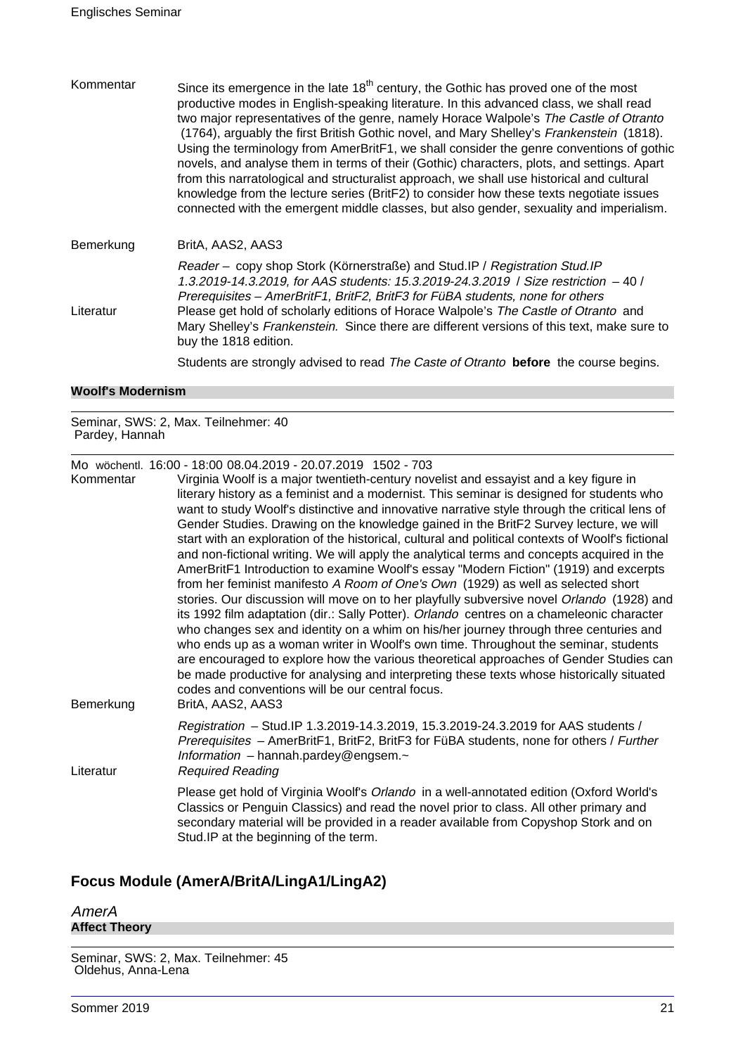Kommentar Since its emergence in the late  $18<sup>th</sup>$  century, the Gothic has proved one of the most productive modes in English-speaking literature. In this advanced class, we shall read two major representatives of the genre, namely Horace Walpole's The Castle of Otranto (1764), arguably the first British Gothic novel, and Mary Shelley's Frankenstein (1818). Using the terminology from AmerBritF1, we shall consider the genre conventions of gothic novels, and analyse them in terms of their (Gothic) characters, plots, and settings. Apart from this narratological and structuralist approach, we shall use historical and cultural knowledge from the lecture series (BritF2) to consider how these texts negotiate issues connected with the emergent middle classes, but also gender, sexuality and imperialism.

Bemerkung BritA, AAS2, AAS3

Reader – copy shop Stork (Körnerstraße) and Stud.IP / Registration Stud.IP 1.3.2019-14.3.2019, for AAS students: 15.3.2019-24.3.2019 / Size restriction – 40 / Prerequisites – AmerBritF1, BritF2, BritF3 for FüBA students, none for others Literatur Please get hold of scholarly editions of Horace Walpole's The Castle of Otranto and Mary Shelley's Frankenstein. Since there are different versions of this text, make sure to buy the 1818 edition.

Students are strongly advised to read The Caste of Otranto **before** the course begins.

### **Woolf's Modernism**

Seminar, SWS: 2, Max. Teilnehmer: 40 Pardey, Hannah

Mo wöchentl. 16:00 - 18:00 08.04.2019 - 20.07.2019 1502 - 703

Kommentar Virginia Woolf is a major twentieth-century novelist and essayist and a key figure in literary history as a feminist and a modernist. This seminar is designed for students who want to study Woolf's distinctive and innovative narrative style through the critical lens of Gender Studies. Drawing on the knowledge gained in the BritF2 Survey lecture, we will start with an exploration of the historical, cultural and political contexts of Woolf's fictional and non-fictional writing. We will apply the analytical terms and concepts acquired in the AmerBritF1 Introduction to examine Woolf's essay "Modern Fiction" (1919) and excerpts from her feminist manifesto A Room of One's Own (1929) as well as selected short stories. Our discussion will move on to her playfully subversive novel Orlando (1928) and its 1992 film adaptation (dir.: Sally Potter). Orlando centres on a chameleonic character who changes sex and identity on a whim on his/her journey through three centuries and who ends up as a woman writer in Woolf's own time. Throughout the seminar, students are encouraged to explore how the various theoretical approaches of Gender Studies can be made productive for analysing and interpreting these texts whose historically situated codes and conventions will be our central focus. Bemerkung BritA, AAS2, AAS3 Registration – Stud.IP 1.3.2019-14.3.2019, 15.3.2019-24.3.2019 for AAS students / Prerequisites - AmerBritF1, BritF2, BritF3 for FüBA students, none for others / Further Information – hannah.pardey@engsem. $\sim$ Literatur Required Reading Please get hold of Virginia Woolf's Orlando in a well-annotated edition (Oxford World's Classics or Penguin Classics) and read the novel prior to class. All other primary and secondary material will be provided in a reader available from Copyshop Stork and on Stud.IP at the beginning of the term.

### **Focus Module (AmerA/BritA/LingA1/LingA2)**

AmerA **Affect Theory**

Seminar, SWS: 2, Max. Teilnehmer: 45 Oldehus, Anna-Lena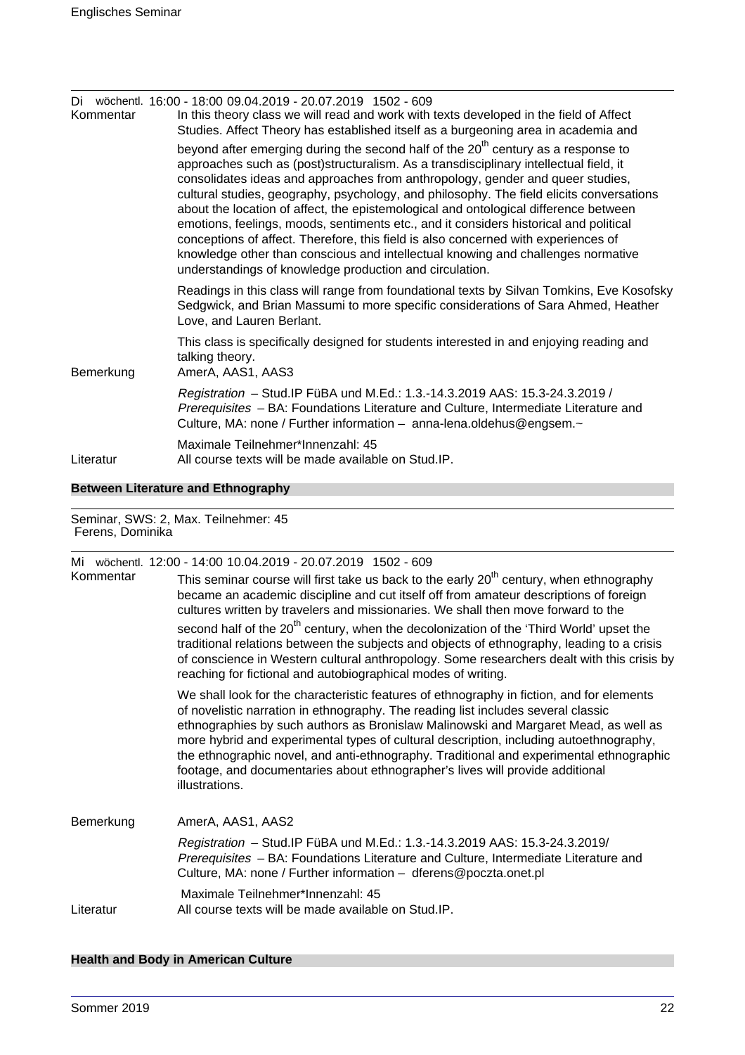| Kommentar | Di wöchentl. 16:00 - 18:00 09.04.2019 - 20.07.2019 1502 - 609<br>In this theory class we will read and work with texts developed in the field of Affect<br>Studies. Affect Theory has established itself as a burgeoning area in academia and                                                                                                                                                                                                                                                                                                                                                                                                                                                                                                                                              |
|-----------|--------------------------------------------------------------------------------------------------------------------------------------------------------------------------------------------------------------------------------------------------------------------------------------------------------------------------------------------------------------------------------------------------------------------------------------------------------------------------------------------------------------------------------------------------------------------------------------------------------------------------------------------------------------------------------------------------------------------------------------------------------------------------------------------|
|           | beyond after emerging during the second half of the 20 <sup>th</sup> century as a response to<br>approaches such as (post)structuralism. As a transdisciplinary intellectual field, it<br>consolidates ideas and approaches from anthropology, gender and queer studies,<br>cultural studies, geography, psychology, and philosophy. The field elicits conversations<br>about the location of affect, the epistemological and ontological difference between<br>emotions, feelings, moods, sentiments etc., and it considers historical and political<br>conceptions of affect. Therefore, this field is also concerned with experiences of<br>knowledge other than conscious and intellectual knowing and challenges normative<br>understandings of knowledge production and circulation. |
|           | Readings in this class will range from foundational texts by Silvan Tomkins, Eve Kosofsky<br>Sedgwick, and Brian Massumi to more specific considerations of Sara Ahmed, Heather<br>Love, and Lauren Berlant.                                                                                                                                                                                                                                                                                                                                                                                                                                                                                                                                                                               |
| Bemerkung | This class is specifically designed for students interested in and enjoying reading and<br>talking theory.<br>AmerA, AAS1, AAS3                                                                                                                                                                                                                                                                                                                                                                                                                                                                                                                                                                                                                                                            |
|           | Registration - Stud. IP FüBA und M.Ed.: 1.3.-14.3.2019 AAS: 15.3-24.3.2019 /<br>Prerequisites - BA: Foundations Literature and Culture, Intermediate Literature and<br>Culture, MA: none / Further information - anna-lena.oldehus@engsem.~                                                                                                                                                                                                                                                                                                                                                                                                                                                                                                                                                |
| Literatur | Maximale Teilnehmer*Innenzahl: 45<br>All course texts will be made available on Stud. IP.                                                                                                                                                                                                                                                                                                                                                                                                                                                                                                                                                                                                                                                                                                  |

### **Between Literature and Ethnography**

Seminar, SWS: 2, Max. Teilnehmer: 45 Ferens, Dominika

|           | Mi wöchentl. 12:00 - 14:00 10.04.2019 - 20.07.2019 1502 - 609                                                                                                                                                                                                                                                                                                                                                                                                                                                                                                 |
|-----------|---------------------------------------------------------------------------------------------------------------------------------------------------------------------------------------------------------------------------------------------------------------------------------------------------------------------------------------------------------------------------------------------------------------------------------------------------------------------------------------------------------------------------------------------------------------|
| Kommentar | This seminar course will first take us back to the early 20 <sup>th</sup> century, when ethnography<br>became an academic discipline and cut itself off from amateur descriptions of foreign<br>cultures written by travelers and missionaries. We shall then move forward to the                                                                                                                                                                                                                                                                             |
|           | second half of the 20 <sup>th</sup> century, when the decolonization of the 'Third World' upset the<br>traditional relations between the subjects and objects of ethnography, leading to a crisis<br>of conscience in Western cultural anthropology. Some researchers dealt with this crisis by<br>reaching for fictional and autobiographical modes of writing.                                                                                                                                                                                              |
|           | We shall look for the characteristic features of ethnography in fiction, and for elements<br>of novelistic narration in ethnography. The reading list includes several classic<br>ethnographies by such authors as Bronislaw Malinowski and Margaret Mead, as well as<br>more hybrid and experimental types of cultural description, including autoethnography,<br>the ethnographic novel, and anti-ethnography. Traditional and experimental ethnographic<br>footage, and documentaries about ethnographer's lives will provide additional<br>illustrations. |
| Bemerkung | AmerA, AAS1, AAS2                                                                                                                                                                                                                                                                                                                                                                                                                                                                                                                                             |
|           | Registration - Stud. IP FüBA und M.Ed.: 1.3.-14.3.2019 AAS: 15.3-24.3.2019/<br>Prerequisites - BA: Foundations Literature and Culture, Intermediate Literature and<br>Culture, MA: none / Further information - dferens@poczta.onet.pl                                                                                                                                                                                                                                                                                                                        |
| Literatur | Maximale Teilnehmer*Innenzahl: 45<br>All course texts will be made available on Stud.IP.                                                                                                                                                                                                                                                                                                                                                                                                                                                                      |
|           |                                                                                                                                                                                                                                                                                                                                                                                                                                                                                                                                                               |

# **Health and Body in American Culture**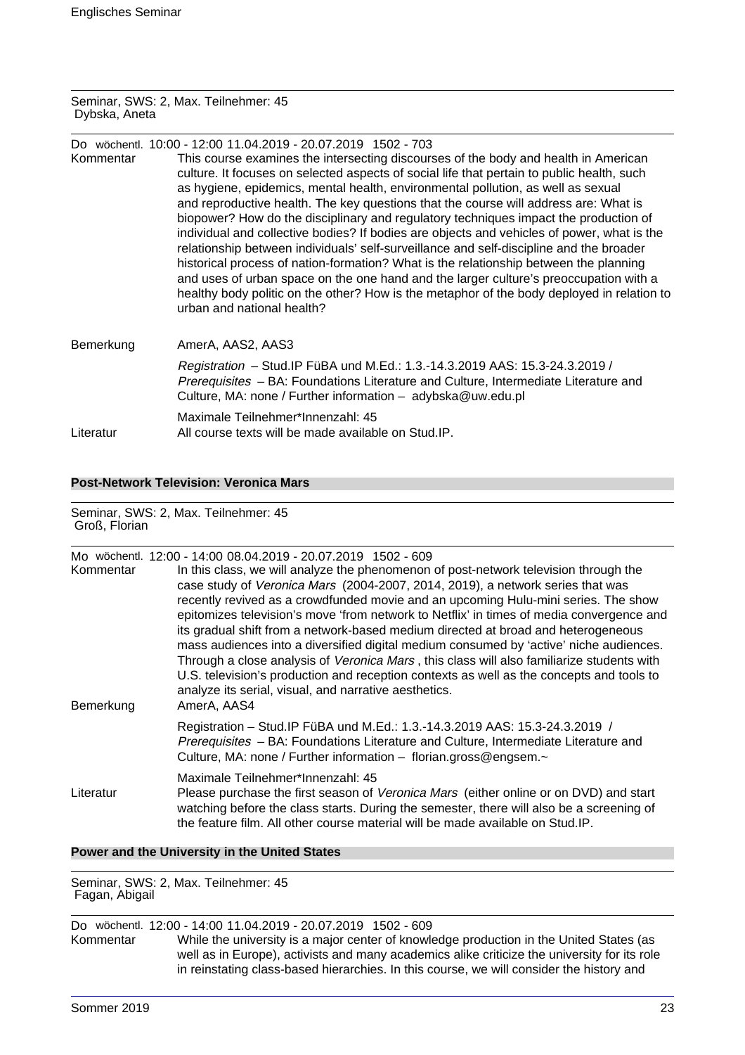#### Seminar, SWS: 2, Max. Teilnehmer: 45 Dybska, Aneta

| Kommentar | Do wöchentl. 10:00 - 12:00 11.04.2019 - 20.07.2019 1502 - 703<br>This course examines the intersecting discourses of the body and health in American<br>culture. It focuses on selected aspects of social life that pertain to public health, such<br>as hygiene, epidemics, mental health, environmental pollution, as well as sexual<br>and reproductive health. The key questions that the course will address are: What is<br>biopower? How do the disciplinary and regulatory techniques impact the production of<br>individual and collective bodies? If bodies are objects and vehicles of power, what is the<br>relationship between individuals' self-surveillance and self-discipline and the broader<br>historical process of nation-formation? What is the relationship between the planning<br>and uses of urban space on the one hand and the larger culture's preoccupation with a<br>healthy body politic on the other? How is the metaphor of the body deployed in relation to<br>urban and national health? |
|-----------|-------------------------------------------------------------------------------------------------------------------------------------------------------------------------------------------------------------------------------------------------------------------------------------------------------------------------------------------------------------------------------------------------------------------------------------------------------------------------------------------------------------------------------------------------------------------------------------------------------------------------------------------------------------------------------------------------------------------------------------------------------------------------------------------------------------------------------------------------------------------------------------------------------------------------------------------------------------------------------------------------------------------------------|
| Bemerkung | AmerA, AAS2, AAS3                                                                                                                                                                                                                                                                                                                                                                                                                                                                                                                                                                                                                                                                                                                                                                                                                                                                                                                                                                                                             |
|           | Registration - Stud. IP FüBA und M.Ed.: 1.3.-14.3.2019 AAS: 15.3-24.3.2019 /<br>Prerequisites - BA: Foundations Literature and Culture, Intermediate Literature and<br>Culture, MA: none / Further information - adybska@uw.edu.pl                                                                                                                                                                                                                                                                                                                                                                                                                                                                                                                                                                                                                                                                                                                                                                                            |
| Literatur | Maximale Teilnehmer*Innenzahl: 45<br>All course texts will be made available on Stud.IP.                                                                                                                                                                                                                                                                                                                                                                                                                                                                                                                                                                                                                                                                                                                                                                                                                                                                                                                                      |

**Post-Network Television: Veronica Mars**

Seminar, SWS: 2, Max. Teilnehmer: 45 Groß, Florian

| Kommentar<br>Bemerkung | Mo wöchentl. 12:00 - 14:00 08.04.2019 - 20.07.2019 1502 - 609<br>In this class, we will analyze the phenomenon of post-network television through the<br>case study of Veronica Mars (2004-2007, 2014, 2019), a network series that was<br>recently revived as a crowdfunded movie and an upcoming Hulu-mini series. The show<br>epitomizes television's move 'from network to Netflix' in times of media convergence and<br>its gradual shift from a network-based medium directed at broad and heterogeneous<br>mass audiences into a diversified digital medium consumed by 'active' niche audiences.<br>Through a close analysis of Veronica Mars, this class will also familiarize students with<br>U.S. television's production and reception contexts as well as the concepts and tools to<br>analyze its serial, visual, and narrative aesthetics.<br>AmerA, AAS4 |
|------------------------|---------------------------------------------------------------------------------------------------------------------------------------------------------------------------------------------------------------------------------------------------------------------------------------------------------------------------------------------------------------------------------------------------------------------------------------------------------------------------------------------------------------------------------------------------------------------------------------------------------------------------------------------------------------------------------------------------------------------------------------------------------------------------------------------------------------------------------------------------------------------------|
|                        | Registration - Stud. IP FüBA und M.Ed.: 1.3.-14.3.2019 AAS: 15.3-24.3.2019 /<br>Prerequisites - BA: Foundations Literature and Culture, Intermediate Literature and<br>Culture, MA: none / Further information - florian.gross@engsem.~                                                                                                                                                                                                                                                                                                                                                                                                                                                                                                                                                                                                                                   |
| Literatur              | Maximale Teilnehmer*Innenzahl: 45<br>Please purchase the first season of Veronica Mars (either online or on DVD) and start<br>watching before the class starts. During the semester, there will also be a screening of<br>the feature film. All other course material will be made available on Stud. IP.                                                                                                                                                                                                                                                                                                                                                                                                                                                                                                                                                                 |

### **Power and the University in the United States**

Seminar, SWS: 2, Max. Teilnehmer: 45 Fagan, Abigail

# Do wöchentl. 12:00 - 14:00 11.04.2019 - 20.07.2019 1502 - 609

While the university is a major center of knowledge production in the United States (as well as in Europe), activists and many academics alike criticize the university for its role in reinstating class-based hierarchies. In this course, we will consider the history and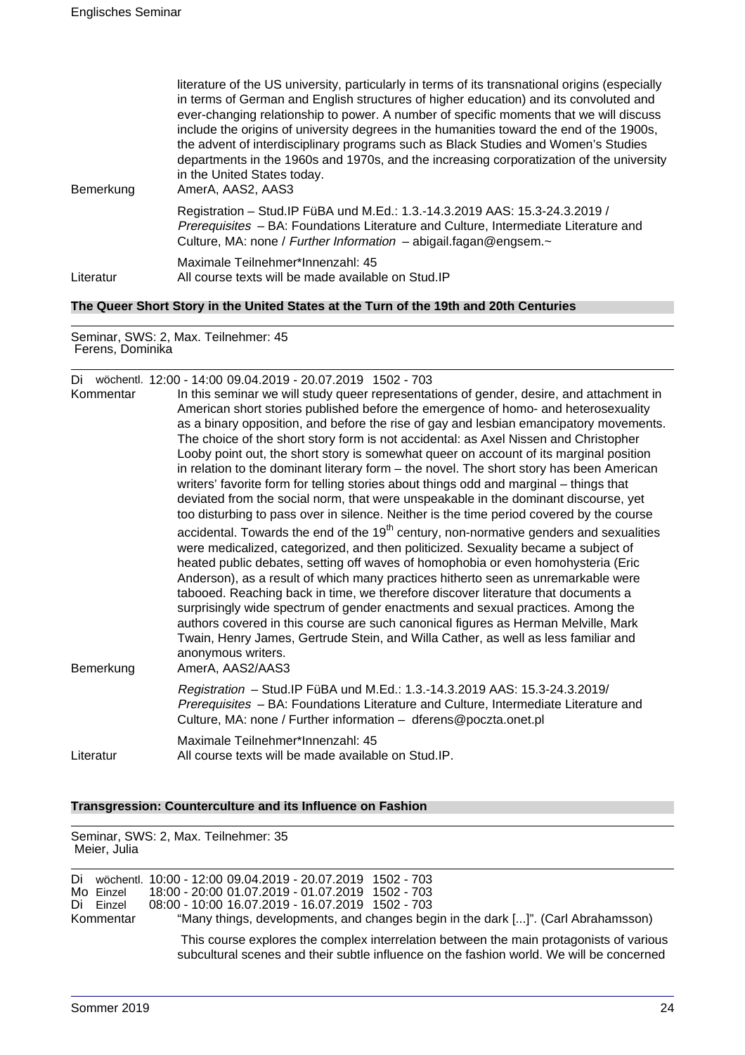| Bemerkung                                                                             | literature of the US university, particularly in terms of its transnational origins (especially<br>in terms of German and English structures of higher education) and its convoluted and<br>ever-changing relationship to power. A number of specific moments that we will discuss<br>include the origins of university degrees in the humanities toward the end of the 1900s,<br>the advent of interdisciplinary programs such as Black Studies and Women's Studies<br>departments in the 1960s and 1970s, and the increasing corporatization of the university<br>in the United States today.<br>AmerA, AAS2, AAS3 |  |
|---------------------------------------------------------------------------------------|----------------------------------------------------------------------------------------------------------------------------------------------------------------------------------------------------------------------------------------------------------------------------------------------------------------------------------------------------------------------------------------------------------------------------------------------------------------------------------------------------------------------------------------------------------------------------------------------------------------------|--|
|                                                                                       | Registration - Stud.IP FüBA und M.Ed.: 1.3.-14.3.2019 AAS: 15.3-24.3.2019 /<br>Prerequisites - BA: Foundations Literature and Culture, Intermediate Literature and<br>Culture, MA: none / Further Information $-$ abigail.fagan@engsem. $\sim$                                                                                                                                                                                                                                                                                                                                                                       |  |
| Literatur                                                                             | Maximale Teilnehmer*Innenzahl: 45<br>All course texts will be made available on Stud. IP                                                                                                                                                                                                                                                                                                                                                                                                                                                                                                                             |  |
| The Queer Short Story in the United States at the Turn of the 19th and 20th Centuries |                                                                                                                                                                                                                                                                                                                                                                                                                                                                                                                                                                                                                      |  |

Seminar, SWS: 2, Max. Teilnehmer: 45 Ferens, Dominika

| Kommentar | Di wöchentl. 12:00 - 14:00 09.04.2019 - 20.07.2019 1502 - 703<br>In this seminar we will study queer representations of gender, desire, and attachment in<br>American short stories published before the emergence of homo- and heterosexuality<br>as a binary opposition, and before the rise of gay and lesbian emancipatory movements.<br>The choice of the short story form is not accidental: as Axel Nissen and Christopher<br>Looby point out, the short story is somewhat queer on account of its marginal position<br>in relation to the dominant literary form – the novel. The short story has been American<br>writers' favorite form for telling stories about things odd and marginal – things that<br>deviated from the social norm, that were unspeakable in the dominant discourse, yet<br>too disturbing to pass over in silence. Neither is the time period covered by the course |
|-----------|------------------------------------------------------------------------------------------------------------------------------------------------------------------------------------------------------------------------------------------------------------------------------------------------------------------------------------------------------------------------------------------------------------------------------------------------------------------------------------------------------------------------------------------------------------------------------------------------------------------------------------------------------------------------------------------------------------------------------------------------------------------------------------------------------------------------------------------------------------------------------------------------------|
| Bemerkung | accidental. Towards the end of the 19 <sup>th</sup> century, non-normative genders and sexualities<br>were medicalized, categorized, and then politicized. Sexuality became a subject of<br>heated public debates, setting off waves of homophobia or even homohysteria (Eric<br>Anderson), as a result of which many practices hitherto seen as unremarkable were<br>tabooed. Reaching back in time, we therefore discover literature that documents a<br>surprisingly wide spectrum of gender enactments and sexual practices. Among the<br>authors covered in this course are such canonical figures as Herman Melville, Mark<br>Twain, Henry James, Gertrude Stein, and Willa Cather, as well as less familiar and<br>anonymous writers.<br>AmerA, AAS2/AAS3                                                                                                                                     |
|           | Registration - Stud.IP FüBA und M.Ed.: 1.3.-14.3.2019 AAS: 15.3-24.3.2019/<br>Prerequisites - BA: Foundations Literature and Culture, Intermediate Literature and<br>Culture, MA: none / Further information - dferens@poczta.onet.pl                                                                                                                                                                                                                                                                                                                                                                                                                                                                                                                                                                                                                                                                |
| Literatur | Maximale Teilnehmer*Innenzahl: 45<br>All course texts will be made available on Stud.IP.                                                                                                                                                                                                                                                                                                                                                                                                                                                                                                                                                                                                                                                                                                                                                                                                             |

### **Transgression: Counterculture and its Influence on Fashion**

Seminar, SWS: 2, Max. Teilnehmer: 35

| Meier, Julia |                                     |                                                                                                                                                                                                                                                            |
|--------------|-------------------------------------|------------------------------------------------------------------------------------------------------------------------------------------------------------------------------------------------------------------------------------------------------------|
|              | Mo Einzel<br>Di Einzel<br>Kommentar | Di wöchentl. 10:00 - 12:00 09.04.2019 - 20.07.2019 1502 - 703<br>18:00 - 20:00 01.07.2019 - 01.07.2019 1502 - 703<br>08:00 - 10:00 16.07.2019 - 16.07.2019 1502 - 703<br>"Many things, developments, and changes begin in the dark []". (Carl Abrahamsson) |
|              |                                     | This course explores the complex interrelation between the main protagonists of various<br>subcultural scenes and their subtle influence on the fashion world. We will be concerned                                                                        |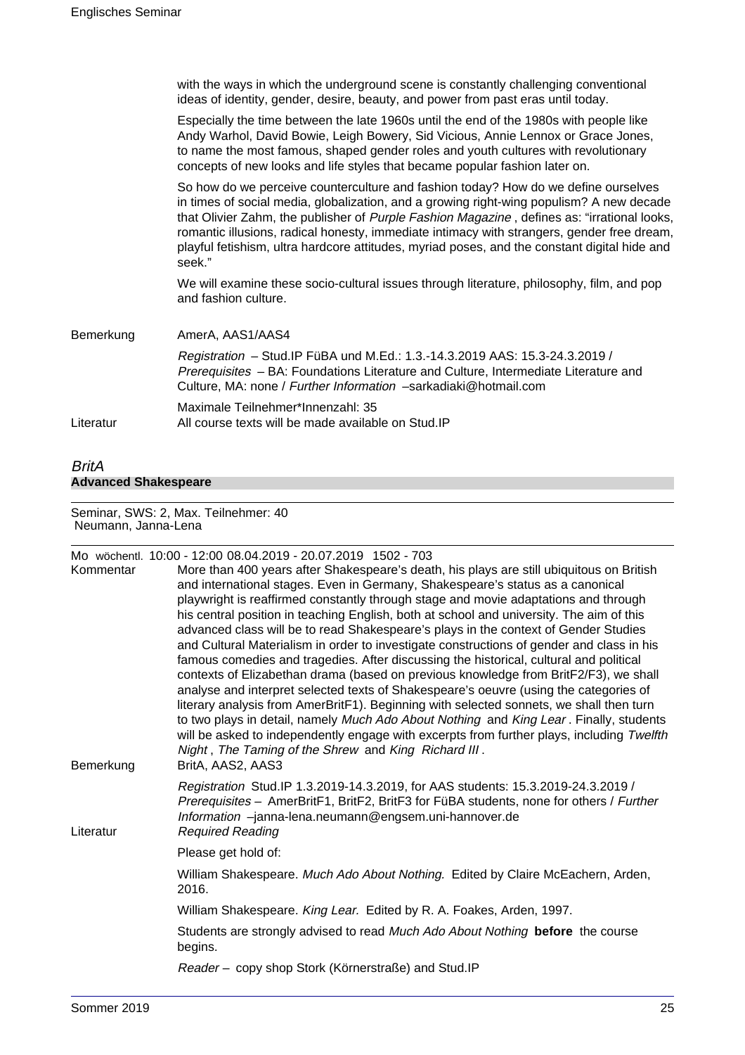|           | with the ways in which the underground scene is constantly challenging conventional<br>ideas of identity, gender, desire, beauty, and power from past eras until today.                                                                                                                                                                                                                                                                                                               |
|-----------|---------------------------------------------------------------------------------------------------------------------------------------------------------------------------------------------------------------------------------------------------------------------------------------------------------------------------------------------------------------------------------------------------------------------------------------------------------------------------------------|
|           | Especially the time between the late 1960s until the end of the 1980s with people like<br>Andy Warhol, David Bowie, Leigh Bowery, Sid Vicious, Annie Lennox or Grace Jones,<br>to name the most famous, shaped gender roles and youth cultures with revolutionary<br>concepts of new looks and life styles that became popular fashion later on.                                                                                                                                      |
|           | So how do we perceive counterculture and fashion today? How do we define ourselves<br>in times of social media, globalization, and a growing right-wing populism? A new decade<br>that Olivier Zahm, the publisher of Purple Fashion Magazine, defines as: "irrational looks,<br>romantic illusions, radical honesty, immediate intimacy with strangers, gender free dream,<br>playful fetishism, ultra hardcore attitudes, myriad poses, and the constant digital hide and<br>seek." |
|           | We will examine these socio-cultural issues through literature, philosophy, film, and pop<br>and fashion culture.                                                                                                                                                                                                                                                                                                                                                                     |
| Bemerkung | AmerA, AAS1/AAS4                                                                                                                                                                                                                                                                                                                                                                                                                                                                      |
|           | Registration - Stud.IP FüBA und M.Ed.: 1.3.-14.3.2019 AAS: 15.3-24.3.2019 /<br>Prerequisites - BA: Foundations Literature and Culture, Intermediate Literature and<br>Culture, MA: none / Further Information -sarkadiaki@hotmail.com                                                                                                                                                                                                                                                 |
| Literatur | Maximale Teilnehmer*Innenzahl: 35<br>All course texts will be made available on Stud. IP                                                                                                                                                                                                                                                                                                                                                                                              |
|           |                                                                                                                                                                                                                                                                                                                                                                                                                                                                                       |

### BritA **Advanced Shakespeare**

#### Seminar, SWS: 2, Max. Teilnehmer: 40 Neumann, Janna-Lena

|           | Mo wöchentl. 10:00 - 12:00 08.04.2019 - 20.07.2019 1502 - 703                                                                                                                                                                                                                                                                                                                                                                                                                                                                                                                                                                                                                                                                       |
|-----------|-------------------------------------------------------------------------------------------------------------------------------------------------------------------------------------------------------------------------------------------------------------------------------------------------------------------------------------------------------------------------------------------------------------------------------------------------------------------------------------------------------------------------------------------------------------------------------------------------------------------------------------------------------------------------------------------------------------------------------------|
| Kommentar | More than 400 years after Shakespeare's death, his plays are still ubiquitous on British<br>and international stages. Even in Germany, Shakespeare's status as a canonical<br>playwright is reaffirmed constantly through stage and movie adaptations and through<br>his central position in teaching English, both at school and university. The aim of this<br>advanced class will be to read Shakespeare's plays in the context of Gender Studies                                                                                                                                                                                                                                                                                |
|           | and Cultural Materialism in order to investigate constructions of gender and class in his<br>famous comedies and tragedies. After discussing the historical, cultural and political<br>contexts of Elizabethan drama (based on previous knowledge from BritF2/F3), we shall<br>analyse and interpret selected texts of Shakespeare's oeuvre (using the categories of<br>literary analysis from AmerBritF1). Beginning with selected sonnets, we shall then turn<br>to two plays in detail, namely Much Ado About Nothing and King Lear. Finally, students<br>will be asked to independently engage with excerpts from further plays, including Twelfth<br>Night, The Taming of the Shrew and King Richard III.<br>BritA, AAS2, AAS3 |
| Bemerkung | Registration Stud.IP 1.3.2019-14.3.2019, for AAS students: 15.3.2019-24.3.2019 /<br>Prerequisites - AmerBritF1, BritF2, BritF3 for FüBA students, none for others / Further<br>Information -janna-lena.neumann@engsem.uni-hannover.de                                                                                                                                                                                                                                                                                                                                                                                                                                                                                               |
| Literatur | <b>Required Reading</b>                                                                                                                                                                                                                                                                                                                                                                                                                                                                                                                                                                                                                                                                                                             |
|           | Please get hold of:                                                                                                                                                                                                                                                                                                                                                                                                                                                                                                                                                                                                                                                                                                                 |
|           | William Shakespeare. Much Ado About Nothing. Edited by Claire McEachern, Arden,<br>2016.                                                                                                                                                                                                                                                                                                                                                                                                                                                                                                                                                                                                                                            |
|           | William Shakespeare. King Lear. Edited by R. A. Foakes, Arden, 1997.                                                                                                                                                                                                                                                                                                                                                                                                                                                                                                                                                                                                                                                                |
|           | Students are strongly advised to read Much Ado About Nothing before the course<br>begins.                                                                                                                                                                                                                                                                                                                                                                                                                                                                                                                                                                                                                                           |
|           | Reader - copy shop Stork (Körnerstraße) and Stud.IP                                                                                                                                                                                                                                                                                                                                                                                                                                                                                                                                                                                                                                                                                 |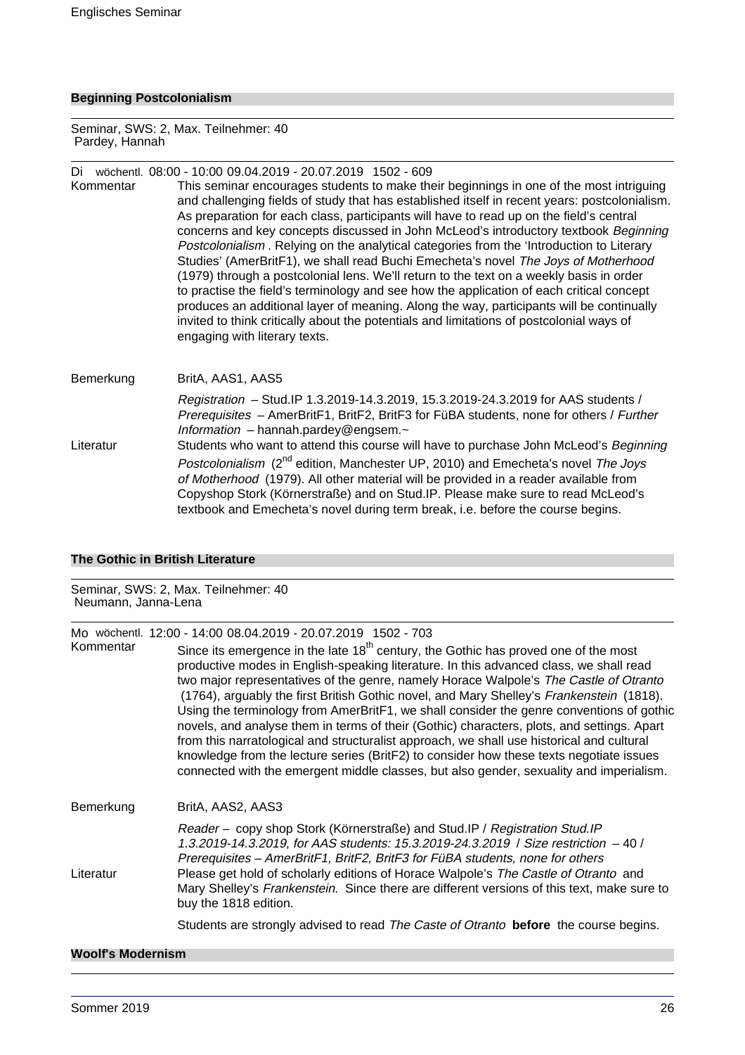### **Beginning Postcolonialism**

Seminar, SWS: 2, Max. Teilnehmer: 40 Pardey, Hannah

### Di wöchentl. 08:00 - 10:00 09.04.2019 - 20.07.2019 1502 - 609

Kommentar This seminar encourages students to make their beginnings in one of the most intriguing and challenging fields of study that has established itself in recent years: postcolonialism. As preparation for each class, participants will have to read up on the field's central concerns and key concepts discussed in John McLeod's introductory textbook Beginning Postcolonialism . Relying on the analytical categories from the 'Introduction to Literary Studies' (AmerBritF1), we shall read Buchi Emecheta's novel The Joys of Motherhood (1979) through a postcolonial lens. We'll return to the text on a weekly basis in order to practise the field's terminology and see how the application of each critical concept produces an additional layer of meaning. Along the way, participants will be continually invited to think critically about the potentials and limitations of postcolonial ways of engaging with literary texts.

### Bemerkung BritA, AAS1, AAS5 Registration – Stud.IP 1.3.2019-14.3.2019, 15.3.2019-24.3.2019 for AAS students / Prerequisites – AmerBritF1, BritF2, BritF3 for FüBA students, none for others / Further Information – hannah.pardey@engsem.~ Literatur Students who want to attend this course will have to purchase John McLeod's Beginning Postcolonialism (2<sup>nd</sup> edition, Manchester UP, 2010) and Emecheta's novel The Joys of Motherhood (1979). All other material will be provided in a reader available from Copyshop Stork (Körnerstraße) and on Stud.IP. Please make sure to read McLeod's textbook and Emecheta's novel during term break, i.e. before the course begins.

### **The Gothic in British Literature**

#### Seminar, SWS: 2, Max. Teilnehmer: 40 Neumann, Janna-Lena

Mo wöchentl. 12:00 - 14:00 08.04.2019 - 20.07.2019 1502 - 703

| Kommentar | Since its emergence in the late $18th$ century, the Gothic has proved one of the most<br>productive modes in English-speaking literature. In this advanced class, we shall read<br>two major representatives of the genre, namely Horace Walpole's The Castle of Otranto<br>(1764), arguably the first British Gothic novel, and Mary Shelley's Frankenstein (1818).<br>Using the terminology from AmerBritF1, we shall consider the genre conventions of gothic<br>novels, and analyse them in terms of their (Gothic) characters, plots, and settings. Apart<br>from this narratological and structuralist approach, we shall use historical and cultural<br>knowledge from the lecture series (BritF2) to consider how these texts negotiate issues<br>connected with the emergent middle classes, but also gender, sexuality and imperialism. |
|-----------|---------------------------------------------------------------------------------------------------------------------------------------------------------------------------------------------------------------------------------------------------------------------------------------------------------------------------------------------------------------------------------------------------------------------------------------------------------------------------------------------------------------------------------------------------------------------------------------------------------------------------------------------------------------------------------------------------------------------------------------------------------------------------------------------------------------------------------------------------|
| Bemerkung | BritA, AAS2, AAS3                                                                                                                                                                                                                                                                                                                                                                                                                                                                                                                                                                                                                                                                                                                                                                                                                                 |
| Literatur | Reader - copy shop Stork (Körnerstraße) and Stud.IP / Registration Stud.IP<br>1.3.2019-14.3.2019, for AAS students: 15.3.2019-24.3.2019 / Size restriction -40 /<br>Prerequisites - AmerBritF1, BritF2, BritF3 for FüBA students, none for others<br>Please get hold of scholarly editions of Horace Walpole's The Castle of Otranto and<br>Mary Shelley's Frankenstein. Since there are different versions of this text, make sure to<br>buy the 1818 edition.                                                                                                                                                                                                                                                                                                                                                                                   |
|           | Students are strongly advised to read The Caste of Otranto before the course begins.                                                                                                                                                                                                                                                                                                                                                                                                                                                                                                                                                                                                                                                                                                                                                              |

### **Woolf's Modernism**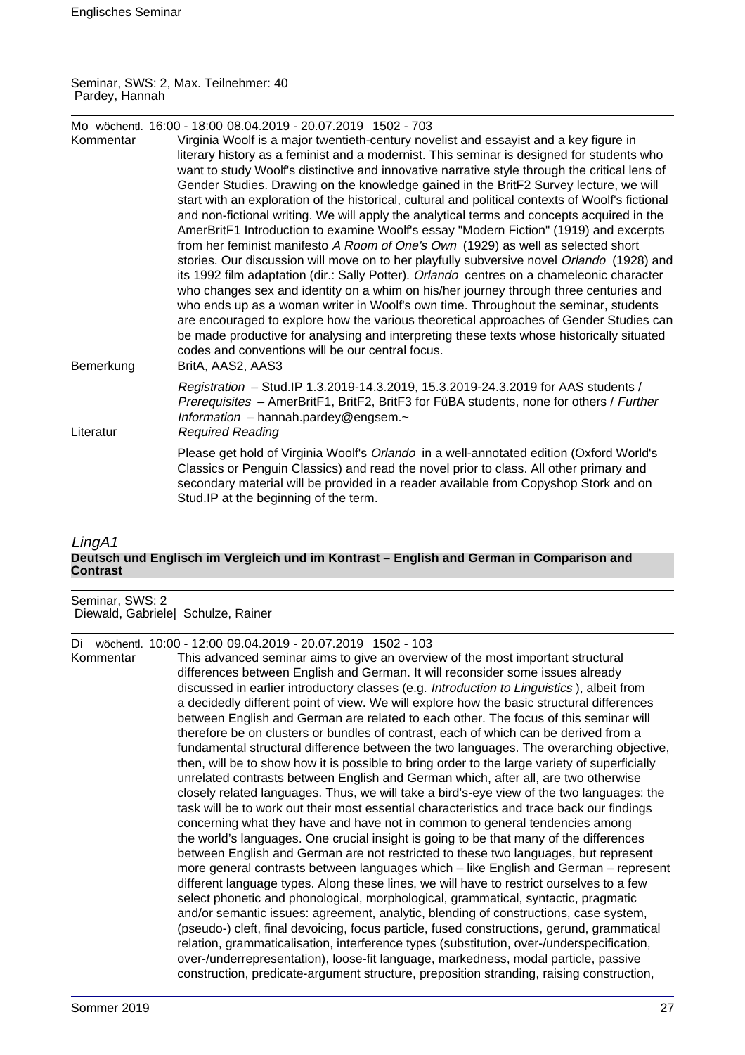Seminar, SWS: 2, Max. Teilnehmer: 40 Pardey, Hannah

| Kommentar | Mo wöchentl. 16:00 - 18:00 08.04.2019 - 20.07.2019 1502 - 703<br>Virginia Woolf is a major twentieth-century novelist and essayist and a key figure in                                                                                                                                                                                                                                                                                                                                                                                                                                                                                                                                                                                                                                                                                                                                                                                                                                                                                                                                                                                                                                                                                                                                   |
|-----------|------------------------------------------------------------------------------------------------------------------------------------------------------------------------------------------------------------------------------------------------------------------------------------------------------------------------------------------------------------------------------------------------------------------------------------------------------------------------------------------------------------------------------------------------------------------------------------------------------------------------------------------------------------------------------------------------------------------------------------------------------------------------------------------------------------------------------------------------------------------------------------------------------------------------------------------------------------------------------------------------------------------------------------------------------------------------------------------------------------------------------------------------------------------------------------------------------------------------------------------------------------------------------------------|
|           | literary history as a feminist and a modernist. This seminar is designed for students who<br>want to study Woolf's distinctive and innovative narrative style through the critical lens of<br>Gender Studies. Drawing on the knowledge gained in the BritF2 Survey lecture, we will<br>start with an exploration of the historical, cultural and political contexts of Woolf's fictional<br>and non-fictional writing. We will apply the analytical terms and concepts acquired in the<br>AmerBritF1 Introduction to examine Woolf's essay "Modern Fiction" (1919) and excerpts<br>from her feminist manifesto A Room of One's Own (1929) as well as selected short<br>stories. Our discussion will move on to her playfully subversive novel Orlando (1928) and<br>its 1992 film adaptation (dir.: Sally Potter). Orlando centres on a chameleonic character<br>who changes sex and identity on a whim on his/her journey through three centuries and<br>who ends up as a woman writer in Woolf's own time. Throughout the seminar, students<br>are encouraged to explore how the various theoretical approaches of Gender Studies can<br>be made productive for analysing and interpreting these texts whose historically situated<br>codes and conventions will be our central focus. |
| Bemerkung | BritA, AAS2, AAS3                                                                                                                                                                                                                                                                                                                                                                                                                                                                                                                                                                                                                                                                                                                                                                                                                                                                                                                                                                                                                                                                                                                                                                                                                                                                        |
| Literatur | Registration - Stud. IP 1.3.2019-14.3.2019, 15.3.2019-24.3.2019 for AAS students /<br>Prerequisites - AmerBritF1, BritF2, BritF3 for FüBA students, none for others / Further<br>Information $-$ hannah.pardey@engsem. $\sim$<br><b>Required Reading</b>                                                                                                                                                                                                                                                                                                                                                                                                                                                                                                                                                                                                                                                                                                                                                                                                                                                                                                                                                                                                                                 |
|           | Please get hold of Virginia Woolf's Orlando in a well-annotated edition (Oxford World's<br>Classics or Penguin Classics) and read the novel prior to class. All other primary and<br>secondary material will be provided in a reader available from Copyshop Stork and on<br>Stud.IP at the beginning of the term.                                                                                                                                                                                                                                                                                                                                                                                                                                                                                                                                                                                                                                                                                                                                                                                                                                                                                                                                                                       |

### LingA1 **Deutsch und Englisch im Vergleich und im Kontrast – English and German in Comparison and Contrast**

Seminar, SWS: 2 Diewald, Gabriele| Schulze, Rainer

Di wöchentl. 10:00 - 12:00 09.04.2019 - 20.07.2019 1502 - 103

Kommentar This advanced seminar aims to give an overview of the most important structural differences between English and German. It will reconsider some issues already discussed in earlier introductory classes (e.g. Introduction to Linguistics ), albeit from a decidedly different point of view. We will explore how the basic structural differences between English and German are related to each other. The focus of this seminar will therefore be on clusters or bundles of contrast, each of which can be derived from a fundamental structural difference between the two languages. The overarching objective, then, will be to show how it is possible to bring order to the large variety of superficially unrelated contrasts between English and German which, after all, are two otherwise closely related languages. Thus, we will take a bird's-eye view of the two languages: the task will be to work out their most essential characteristics and trace back our findings concerning what they have and have not in common to general tendencies among the world's languages. One crucial insight is going to be that many of the differences between English and German are not restricted to these two languages, but represent more general contrasts between languages which – like English and German – represent different language types. Along these lines, we will have to restrict ourselves to a few select phonetic and phonological, morphological, grammatical, syntactic, pragmatic and/or semantic issues: agreement, analytic, blending of constructions, case system, (pseudo-) cleft, final devoicing, focus particle, fused constructions, gerund, grammatical relation, grammaticalisation, interference types (substitution, over-/underspecification, over-/underrepresentation), loose-fit language, markedness, modal particle, passive construction, predicate-argument structure, preposition stranding, raising construction,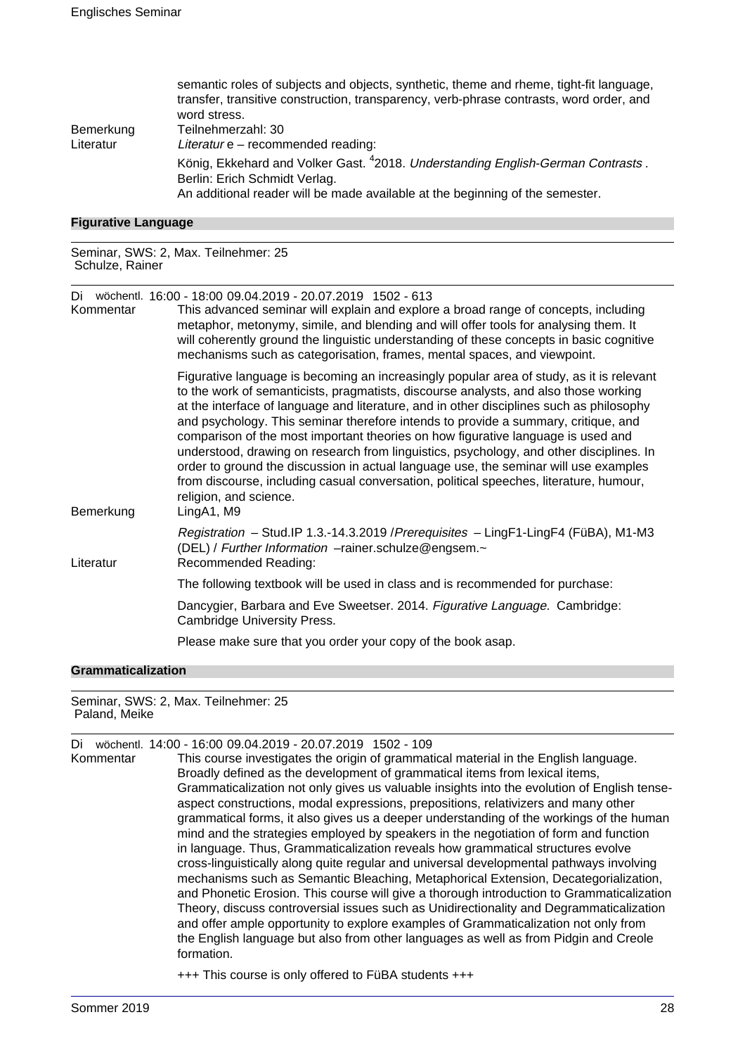|           | semantic roles of subjects and objects, synthetic, theme and rheme, tight-fit language,<br>transfer, transitive construction, transparency, verb-phrase contrasts, word order, and<br>word stress. |
|-----------|----------------------------------------------------------------------------------------------------------------------------------------------------------------------------------------------------|
| Bemerkung | Teilnehmerzahl: 30                                                                                                                                                                                 |
| Literatur | Literatur e - recommended reading:                                                                                                                                                                 |
|           | König, Ekkehard and Volker Gast. <sup>4</sup> 2018. Understanding English-German Contrasts.<br>Berlin: Erich Schmidt Verlag.                                                                       |
|           | An additional reader will be made available at the beginning of the semester.                                                                                                                      |

### **Figurative Language**

Seminar, SWS: 2, Max. Teilnehmer: 25 Schulze, Rainer

Di wöchentl. 16:00 - 18:00 09.04.2019 - 20.07.2019 1502 - 613

| Kommentar | This advanced seminar will explain and explore a broad range of concepts, including<br>metaphor, metonymy, simile, and blending and will offer tools for analysing them. It<br>will coherently ground the linguistic understanding of these concepts in basic cognitive<br>mechanisms such as categorisation, frames, mental spaces, and viewpoint.                                                                                                                                                                                                                                                                                                                                                                                                                         |
|-----------|-----------------------------------------------------------------------------------------------------------------------------------------------------------------------------------------------------------------------------------------------------------------------------------------------------------------------------------------------------------------------------------------------------------------------------------------------------------------------------------------------------------------------------------------------------------------------------------------------------------------------------------------------------------------------------------------------------------------------------------------------------------------------------|
| Bemerkung | Figurative language is becoming an increasingly popular area of study, as it is relevant<br>to the work of semanticists, pragmatists, discourse analysts, and also those working<br>at the interface of language and literature, and in other disciplines such as philosophy<br>and psychology. This seminar therefore intends to provide a summary, critique, and<br>comparison of the most important theories on how figurative language is used and<br>understood, drawing on research from linguistics, psychology, and other disciplines. In<br>order to ground the discussion in actual language use, the seminar will use examples<br>from discourse, including casual conversation, political speeches, literature, humour,<br>religion, and science.<br>LingA1, M9 |
| Literatur | Registration - Stud. IP 1.3.-14.3.2019 / Prerequisites - LingF1-LingF4 (FüBA), M1-M3<br>(DEL) / Further Information -rainer.schulze@engsem.~<br>Recommended Reading:                                                                                                                                                                                                                                                                                                                                                                                                                                                                                                                                                                                                        |
|           | The following textbook will be used in class and is recommended for purchase:                                                                                                                                                                                                                                                                                                                                                                                                                                                                                                                                                                                                                                                                                               |
|           | Dancygier, Barbara and Eve Sweetser. 2014. Figurative Language. Cambridge:<br>Cambridge University Press.                                                                                                                                                                                                                                                                                                                                                                                                                                                                                                                                                                                                                                                                   |
|           | Please make sure that you order your copy of the book asap.                                                                                                                                                                                                                                                                                                                                                                                                                                                                                                                                                                                                                                                                                                                 |

### **Grammaticalization**

Seminar, SWS: 2, Max. Teilnehmer: 25 Paland, Meike

| Di        | wöchentl. 14:00 - 16:00 09.04.2019 - 20.07.2019 1502 - 109                                  |
|-----------|---------------------------------------------------------------------------------------------|
| Kommentar | This course investigates the origin of grammatical material in the English language.        |
|           | Broadly defined as the development of grammatical items from lexical items,                 |
|           | Grammaticalization not only gives us valuable insights into the evolution of English tense- |
|           | aspect constructions, modal expressions, prepositions, relativizers and many other          |
|           | grammatical forms, it also gives us a deeper understanding of the workings of the human     |
|           | mind and the strategies employed by speakers in the negotiation of form and function        |
|           | in language. Thus, Grammaticalization reveals how grammatical structures evolve             |
|           | cross-linguistically along quite regular and universal developmental pathways involving     |
|           | mechanisms such as Semantic Bleaching, Metaphorical Extension, Decategorialization,         |
|           | and Phonetic Erosion. This course will give a thorough introduction to Grammaticalization   |
|           | Theory, discuss controversial issues such as Unidirectionality and Degrammaticalization     |
|           | and offer ample opportunity to explore examples of Grammaticalization not only from         |
|           | the English language but also from other languages as well as from Pidgin and Creole        |
|           | formation.                                                                                  |
|           |                                                                                             |

+++ This course is only offered to FüBA students +++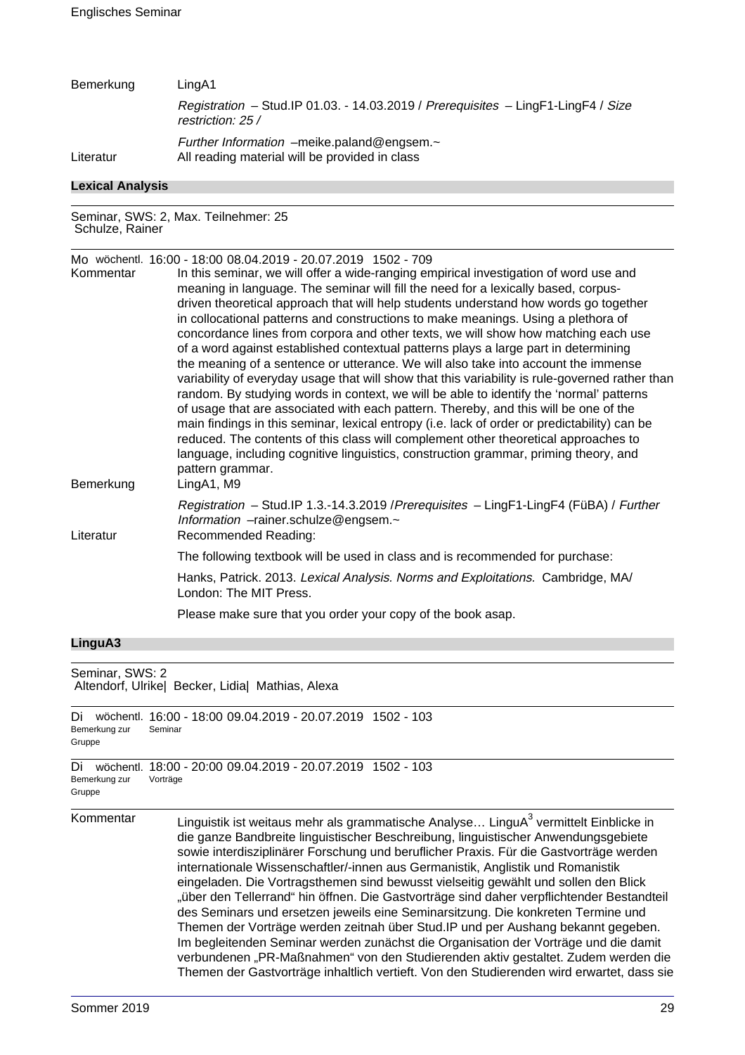| Bemerkung               | LingA1                                                                                                 |
|-------------------------|--------------------------------------------------------------------------------------------------------|
|                         | Registration - Stud.IP 01.03. - 14.03.2019 / Prerequisites - LingF1-LingF4 / Size<br>restriction: 25 / |
| Literatur               | Further Information $-$ meike.paland@engsem. $\sim$<br>All reading material will be provided in class  |
| <b>Lexical Analysis</b> |                                                                                                        |

Seminar, SWS: 2, Max. Teilnehmer: 25 Schulze, Rainer

| Kommentar<br>Bemerkung | Mo wöchentl. 16:00 - 18:00 08.04.2019 - 20.07.2019 1502 - 709<br>In this seminar, we will offer a wide-ranging empirical investigation of word use and<br>meaning in language. The seminar will fill the need for a lexically based, corpus-<br>driven theoretical approach that will help students understand how words go together<br>in collocational patterns and constructions to make meanings. Using a plethora of<br>concordance lines from corpora and other texts, we will show how matching each use<br>of a word against established contextual patterns plays a large part in determining<br>the meaning of a sentence or utterance. We will also take into account the immense<br>variability of everyday usage that will show that this variability is rule-governed rather than<br>random. By studying words in context, we will be able to identify the 'normal' patterns<br>of usage that are associated with each pattern. Thereby, and this will be one of the<br>main findings in this seminar, lexical entropy (i.e. lack of order or predictability) can be<br>reduced. The contents of this class will complement other theoretical approaches to<br>language, including cognitive linguistics, construction grammar, priming theory, and<br>pattern grammar.<br>LingA1, M9 |
|------------------------|-----------------------------------------------------------------------------------------------------------------------------------------------------------------------------------------------------------------------------------------------------------------------------------------------------------------------------------------------------------------------------------------------------------------------------------------------------------------------------------------------------------------------------------------------------------------------------------------------------------------------------------------------------------------------------------------------------------------------------------------------------------------------------------------------------------------------------------------------------------------------------------------------------------------------------------------------------------------------------------------------------------------------------------------------------------------------------------------------------------------------------------------------------------------------------------------------------------------------------------------------------------------------------------------------------|
| Literatur              | Registration - Stud.IP 1.3.-14.3.2019 / Prerequisites - LingF1-LingF4 (FüBA) / Further<br>Information -rainer.schulze@engsem.~<br>Recommended Reading:                                                                                                                                                                                                                                                                                                                                                                                                                                                                                                                                                                                                                                                                                                                                                                                                                                                                                                                                                                                                                                                                                                                                              |
|                        | The following textbook will be used in class and is recommended for purchase:                                                                                                                                                                                                                                                                                                                                                                                                                                                                                                                                                                                                                                                                                                                                                                                                                                                                                                                                                                                                                                                                                                                                                                                                                       |
|                        | Hanks, Patrick. 2013. Lexical Analysis. Norms and Exploitations. Cambridge, MA/<br>London: The MIT Press.                                                                                                                                                                                                                                                                                                                                                                                                                                                                                                                                                                                                                                                                                                                                                                                                                                                                                                                                                                                                                                                                                                                                                                                           |
|                        | Please make sure that you order your copy of the book asap.                                                                                                                                                                                                                                                                                                                                                                                                                                                                                                                                                                                                                                                                                                                                                                                                                                                                                                                                                                                                                                                                                                                                                                                                                                         |
|                        |                                                                                                                                                                                                                                                                                                                                                                                                                                                                                                                                                                                                                                                                                                                                                                                                                                                                                                                                                                                                                                                                                                                                                                                                                                                                                                     |

### **LinguA3**

| Seminar, SWS: 2<br>Altendorf, Ulrike  Becker, Lidia  Mathias, Alexa |                                                                                                                                                                                                                                                                                                                                                                                                                                                                                                                                                                                                                                                                                                                                                                                                                                                                                                                                                                                                           |
|---------------------------------------------------------------------|-----------------------------------------------------------------------------------------------------------------------------------------------------------------------------------------------------------------------------------------------------------------------------------------------------------------------------------------------------------------------------------------------------------------------------------------------------------------------------------------------------------------------------------------------------------------------------------------------------------------------------------------------------------------------------------------------------------------------------------------------------------------------------------------------------------------------------------------------------------------------------------------------------------------------------------------------------------------------------------------------------------|
| Di<br>Bemerkung zur<br>Gruppe                                       | wöchentl. 16:00 - 18:00 09.04.2019 - 20.07.2019 1502 - 103<br>Seminar                                                                                                                                                                                                                                                                                                                                                                                                                                                                                                                                                                                                                                                                                                                                                                                                                                                                                                                                     |
| Di<br>Bemerkung zur<br>Gruppe                                       | wöchentl. 18:00 - 20:00 09.04.2019 - 20.07.2019 1502 - 103<br>Vorträge                                                                                                                                                                                                                                                                                                                                                                                                                                                                                                                                                                                                                                                                                                                                                                                                                                                                                                                                    |
| Kommentar                                                           | Linguistik ist weitaus mehr als grammatische Analyse LinguA <sup>3</sup> vermittelt Einblicke in<br>die ganze Bandbreite linguistischer Beschreibung, linguistischer Anwendungsgebiete<br>sowie interdisziplinärer Forschung und beruflicher Praxis. Für die Gastvorträge werden<br>internationale Wissenschaftler/-innen aus Germanistik, Anglistik und Romanistik<br>eingeladen. Die Vortragsthemen sind bewusst vielseitig gewählt und sollen den Blick<br>"über den Tellerrand" hin öffnen. Die Gastvorträge sind daher verpflichtender Bestandteil<br>des Seminars und ersetzen jeweils eine Seminarsitzung. Die konkreten Termine und<br>Themen der Vorträge werden zeitnah über Stud. IP und per Aushang bekannt gegeben.<br>Im begleitenden Seminar werden zunächst die Organisation der Vorträge und die damit<br>verbundenen "PR-Maßnahmen" von den Studierenden aktiv gestaltet. Zudem werden die<br>Themen der Gastvorträge inhaltlich vertieft. Von den Studierenden wird erwartet, dass sie |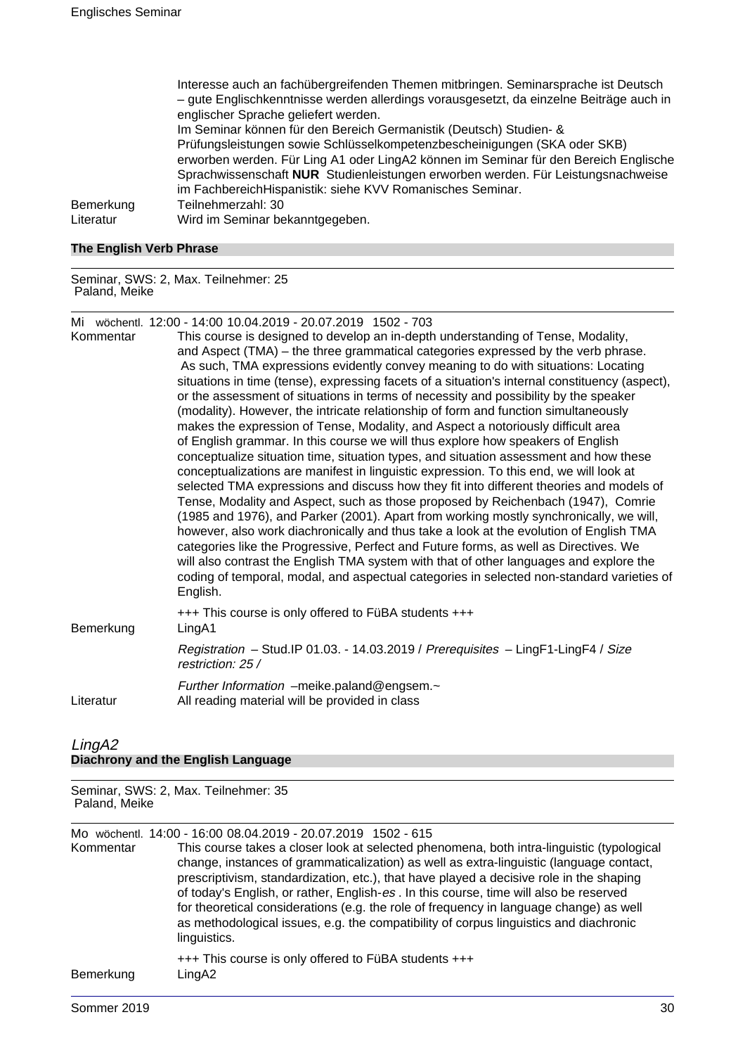Interesse auch an fachübergreifenden Themen mitbringen. Seminarsprache ist Deutsch – gute Englischkenntnisse werden allerdings vorausgesetzt, da einzelne Beiträge auch in englischer Sprache geliefert werden. Im Seminar können für den Bereich Germanistik (Deutsch) Studien- & Prüfungsleistungen sowie Schlüsselkompetenzbescheinigungen (SKA oder SKB) erworben werden. Für Ling A1 oder LingA2 können im Seminar für den Bereich Englische Sprachwissenschaft **NUR** Studienleistungen erworben werden. Für Leistungsnachweise im FachbereichHispanistik: siehe KVV Romanisches Seminar. Bemerkung Teilnehmerzahl: 30 Literatur Wird im Seminar bekanntgegeben.

### **The English Verb Phrase**

Seminar, SWS: 2, Max. Teilnehmer: 25 Paland, Meike

Mi wöchentl. 12:00 - 14:00 10.04.2019 - 20.07.2019 1502 - 703

| Kommentar | This course is designed to develop an in-depth understanding of Tense, Modality,<br>and Aspect (TMA) – the three grammatical categories expressed by the verb phrase.<br>As such, TMA expressions evidently convey meaning to do with situations: Locating<br>situations in time (tense), expressing facets of a situation's internal constituency (aspect),                                                                                                                                                                                                                                                                                                                                                                                                                                                                                                                                                                                                                                                         |
|-----------|----------------------------------------------------------------------------------------------------------------------------------------------------------------------------------------------------------------------------------------------------------------------------------------------------------------------------------------------------------------------------------------------------------------------------------------------------------------------------------------------------------------------------------------------------------------------------------------------------------------------------------------------------------------------------------------------------------------------------------------------------------------------------------------------------------------------------------------------------------------------------------------------------------------------------------------------------------------------------------------------------------------------|
|           | or the assessment of situations in terms of necessity and possibility by the speaker<br>(modality). However, the intricate relationship of form and function simultaneously                                                                                                                                                                                                                                                                                                                                                                                                                                                                                                                                                                                                                                                                                                                                                                                                                                          |
|           | makes the expression of Tense, Modality, and Aspect a notoriously difficult area<br>of English grammar. In this course we will thus explore how speakers of English<br>conceptualize situation time, situation types, and situation assessment and how these<br>conceptualizations are manifest in linguistic expression. To this end, we will look at<br>selected TMA expressions and discuss how they fit into different theories and models of<br>Tense, Modality and Aspect, such as those proposed by Reichenbach (1947), Comrie<br>(1985 and 1976), and Parker (2001). Apart from working mostly synchronically, we will,<br>however, also work diachronically and thus take a look at the evolution of English TMA<br>categories like the Progressive, Perfect and Future forms, as well as Directives. We<br>will also contrast the English TMA system with that of other languages and explore the<br>coding of temporal, modal, and aspectual categories in selected non-standard varieties of<br>English. |
| Bemerkung | +++ This course is only offered to FüBA students +++<br>LingA1                                                                                                                                                                                                                                                                                                                                                                                                                                                                                                                                                                                                                                                                                                                                                                                                                                                                                                                                                       |
|           | Registration - Stud.IP 01.03. - 14.03.2019 / Prerequisites - LingF1-LingF4 / Size<br>restriction: 25 /                                                                                                                                                                                                                                                                                                                                                                                                                                                                                                                                                                                                                                                                                                                                                                                                                                                                                                               |
| Literatur | Further Information -meike.paland@engsem.~<br>All reading material will be provided in class                                                                                                                                                                                                                                                                                                                                                                                                                                                                                                                                                                                                                                                                                                                                                                                                                                                                                                                         |

### LingA2 **Diachrony and the English Language**

Seminar, SWS: 2, Max. Teilnehmer: 35 Paland, Meike

| Kommentar | Mo wöchentl. 14:00 - 16:00 08.04.2019 - 20.07.2019 1502 - 615<br>This course takes a closer look at selected phenomena, both intra-linguistic (typological<br>change, instances of grammaticalization) as well as extra-linguistic (language contact,<br>prescriptivism, standardization, etc.), that have played a decisive role in the shaping<br>of today's English, or rather, English-es. In this course, time will also be reserved<br>for theoretical considerations (e.g. the role of frequency in language change) as well<br>as methodological issues, e.g. the compatibility of corpus linguistics and diachronic<br>linguistics. |
|-----------|----------------------------------------------------------------------------------------------------------------------------------------------------------------------------------------------------------------------------------------------------------------------------------------------------------------------------------------------------------------------------------------------------------------------------------------------------------------------------------------------------------------------------------------------------------------------------------------------------------------------------------------------|
| Bemerkung | +++ This course is only offered to FüBA students +++<br>LingA2                                                                                                                                                                                                                                                                                                                                                                                                                                                                                                                                                                               |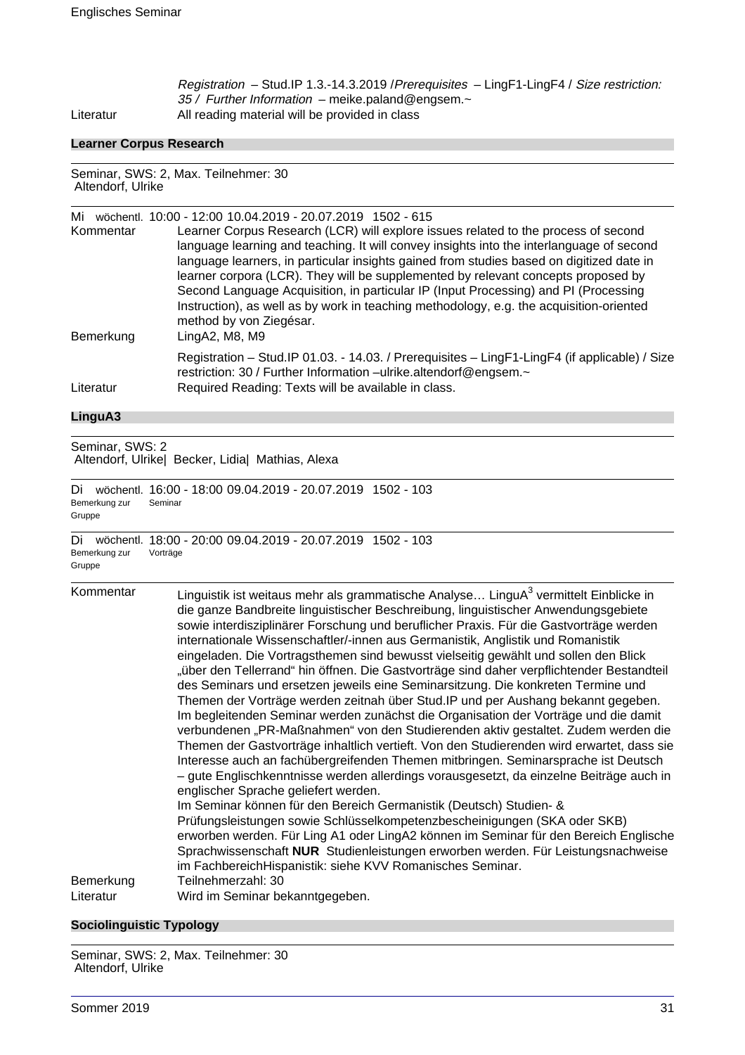Registration – Stud.IP 1.3.-14.3.2019 /Prerequisites – LingF1-LingF4 / Size restriction: 35 / Further Information - meike.paland@engsem.~ Literatur All reading material will be provided in class

### **Learner Corpus Research**

Seminar, SWS: 2, Max. Teilnehmer: 30 Altendorf, Ulrike

| Mi        | wöchentl. 10:00 - 12:00 10.04.2019 - 20.07.2019 1502 - 615                                                                                                         |
|-----------|--------------------------------------------------------------------------------------------------------------------------------------------------------------------|
| Kommentar | Learner Corpus Research (LCR) will explore issues related to the process of second                                                                                 |
|           | language learning and teaching. It will convey insights into the interlanguage of second                                                                           |
|           | language learners, in particular insights gained from studies based on digitized date in                                                                           |
|           | learner corpora (LCR). They will be supplemented by relevant concepts proposed by                                                                                  |
|           | Second Language Acquisition, in particular IP (Input Processing) and PI (Processing                                                                                |
|           | Instruction), as well as by work in teaching methodology, e.g. the acquisition-oriented<br>method by von Ziegésar.                                                 |
| Bemerkung | LingA2, M8, M9                                                                                                                                                     |
|           | Registration - Stud. IP 01.03. - 14.03. / Prerequisites - LingF1-LingF4 (if applicable) / Size<br>restriction: 30 / Further Information -ulrike.altendorf@engsem.~ |
| Literatur | Required Reading: Texts will be available in class.                                                                                                                |

### **LinguA3**

Seminar, SWS: 2 Altendorf, Ulrike| Becker, Lidia| Mathias, Alexa

Di wöchentl. 16:00 - 18:00 09.04.2019 - 20.07.2019 1502 - 103 Bemerkung zur Gruppe Seminar

Di wöchentl. 18:00 - 20:00 09.04.2019 - 20.07.2019 1502 - 103 Bemerkung zur Gruppe Vorträge

| Kommentar              | Linguistik ist weitaus mehr als grammatische Analyse LinguA <sup>3</sup> vermittelt Einblicke in<br>die ganze Bandbreite linguistischer Beschreibung, linguistischer Anwendungsgebiete<br>sowie interdisziplinärer Forschung und beruflicher Praxis. Für die Gastvorträge werden<br>internationale Wissenschaftler/-innen aus Germanistik, Anglistik und Romanistik<br>eingeladen. Die Vortragsthemen sind bewusst vielseitig gewählt und sollen den Blick<br>"über den Tellerrand" hin öffnen. Die Gastvorträge sind daher verpflichtender Bestandteil<br>des Seminars und ersetzen jeweils eine Seminarsitzung. Die konkreten Termine und<br>Themen der Vorträge werden zeitnah über Stud. IP und per Aushang bekannt gegeben.<br>Im begleitenden Seminar werden zunächst die Organisation der Vorträge und die damit<br>verbundenen "PR-Maßnahmen" von den Studierenden aktiv gestaltet. Zudem werden die<br>Themen der Gastvorträge inhaltlich vertieft. Von den Studierenden wird erwartet, dass sie<br>Interesse auch an fachübergreifenden Themen mitbringen. Seminarsprache ist Deutsch<br>- gute Englischkenntnisse werden allerdings vorausgesetzt, da einzelne Beiträge auch in<br>englischer Sprache geliefert werden.<br>Im Seminar können für den Bereich Germanistik (Deutsch) Studien- &<br>Prüfungsleistungen sowie Schlüsselkompetenzbescheinigungen (SKA oder SKB)<br>erworben werden. Für Ling A1 oder LingA2 können im Seminar für den Bereich Englische<br>Sprachwissenschaft NUR Studienleistungen erworben werden. Für Leistungsnachweise<br>im FachbereichHispanistik: siehe KVV Romanisches Seminar. |
|------------------------|--------------------------------------------------------------------------------------------------------------------------------------------------------------------------------------------------------------------------------------------------------------------------------------------------------------------------------------------------------------------------------------------------------------------------------------------------------------------------------------------------------------------------------------------------------------------------------------------------------------------------------------------------------------------------------------------------------------------------------------------------------------------------------------------------------------------------------------------------------------------------------------------------------------------------------------------------------------------------------------------------------------------------------------------------------------------------------------------------------------------------------------------------------------------------------------------------------------------------------------------------------------------------------------------------------------------------------------------------------------------------------------------------------------------------------------------------------------------------------------------------------------------------------------------------------------------------------------------------------------------------------|
| Bemerkung<br>Literatur | Teilnehmerzahl: 30<br>Wird im Seminar bekanntgegeben.                                                                                                                                                                                                                                                                                                                                                                                                                                                                                                                                                                                                                                                                                                                                                                                                                                                                                                                                                                                                                                                                                                                                                                                                                                                                                                                                                                                                                                                                                                                                                                          |
|                        |                                                                                                                                                                                                                                                                                                                                                                                                                                                                                                                                                                                                                                                                                                                                                                                                                                                                                                                                                                                                                                                                                                                                                                                                                                                                                                                                                                                                                                                                                                                                                                                                                                |

### **Sociolinguistic Typology**

Seminar, SWS: 2, Max. Teilnehmer: 30 Altendorf, Ulrike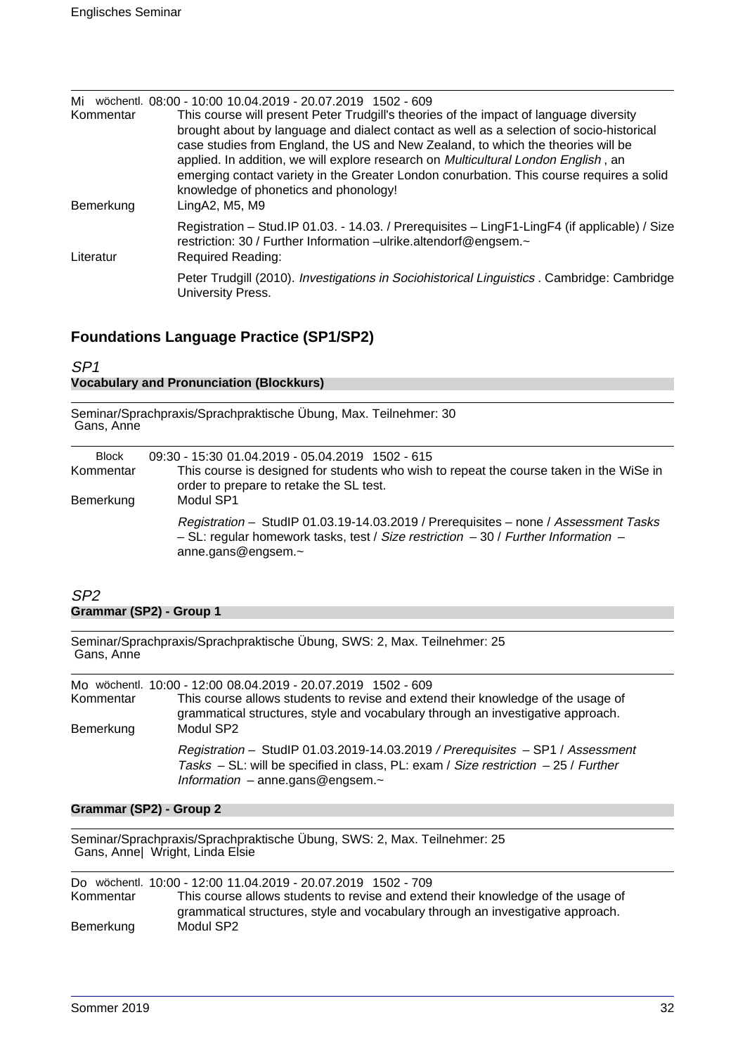| Mi<br>Kommentar | wöchentl, 08:00 - 10:00 10.04.2019 - 20.07.2019 1502 - 609<br>This course will present Peter Trudgill's theories of the impact of language diversity<br>brought about by language and dialect contact as well as a selection of socio-historical<br>case studies from England, the US and New Zealand, to which the theories will be<br>applied. In addition, we will explore research on Multicultural London English, an<br>emerging contact variety in the Greater London conurbation. This course requires a solid<br>knowledge of phonetics and phonology! |
|-----------------|-----------------------------------------------------------------------------------------------------------------------------------------------------------------------------------------------------------------------------------------------------------------------------------------------------------------------------------------------------------------------------------------------------------------------------------------------------------------------------------------------------------------------------------------------------------------|
| Bemerkung       | LingA2, M5, M9                                                                                                                                                                                                                                                                                                                                                                                                                                                                                                                                                  |
| Literatur       | Registration - Stud. IP 01.03. - 14.03. / Prerequisites - LingF1-LingF4 (if applicable) / Size<br>restriction: 30 / Further Information -ulrike.altendorf@engsem.~<br><b>Required Reading:</b>                                                                                                                                                                                                                                                                                                                                                                  |
|                 | Peter Trudgill (2010). Investigations in Sociohistorical Linguistics . Cambridge: Cambridge<br>University Press.                                                                                                                                                                                                                                                                                                                                                                                                                                                |

### **Foundations Language Practice (SP1/SP2)**

### SP1 **Vocabulary and Pronunciation (Blockkurs)**

| Seminar/Sprachpraxis/Sprachpraktische Übung, Max. Teilnehmer: 30<br>Gans, Anne |                                                                                                                                                                                                                    |  |
|--------------------------------------------------------------------------------|--------------------------------------------------------------------------------------------------------------------------------------------------------------------------------------------------------------------|--|
| <b>Block</b><br>Kommentar                                                      | 09:30 - 15:30 01.04.2019 - 05.04.2019 1502 - 615<br>This course is designed for students who wish to repeat the course taken in the WiSe in<br>order to prepare to retake the SL test.                             |  |
| Bemerkung                                                                      | Modul SP1<br>Registration - StudIP 01.03.19-14.03.2019 / Prerequisites - none / Assessment Tasks<br>$-$ SL: regular homework tasks, test / Size restriction $-$ 30 / Further Information $-$<br>anne.gans@engsem.~ |  |

### SP2 **Grammar (SP2) - Group 1**

Seminar/Sprachpraxis/Sprachpraktische Übung, SWS: 2, Max. Teilnehmer: 25 Gans, Anne

|           | Mo wöchentl. 10:00 - 12:00 08.04.2019 - 20.07.2019 1502 - 609                                                                                                                                                        |
|-----------|----------------------------------------------------------------------------------------------------------------------------------------------------------------------------------------------------------------------|
| Kommentar | This course allows students to revise and extend their knowledge of the usage of<br>grammatical structures, style and vocabulary through an investigative approach.                                                  |
| Bemerkung | Modul SP2                                                                                                                                                                                                            |
|           | Registration - StudIP 01.03.2019-14.03.2019 / Prerequisites - SP1 / Assessment<br>Tasks $-$ SL: will be specified in class, PL: exam / Size restriction $-$ 25 / Further<br>Information $-$ anne.gans@engsem. $\sim$ |

### **Grammar (SP2) - Group 2**

Seminar/Sprachpraxis/Sprachpraktische Übung, SWS: 2, Max. Teilnehmer: 25 Gans, Anne| Wright, Linda Elsie

|           | Do wöchentl. 10:00 - 12:00 11.04.2019 - 20.07.2019 1502 - 709                    |
|-----------|----------------------------------------------------------------------------------|
| Kommentar | This course allows students to revise and extend their knowledge of the usage of |
|           | grammatical structures, style and vocabulary through an investigative approach.  |
| Bemerkung | Modul SP2                                                                        |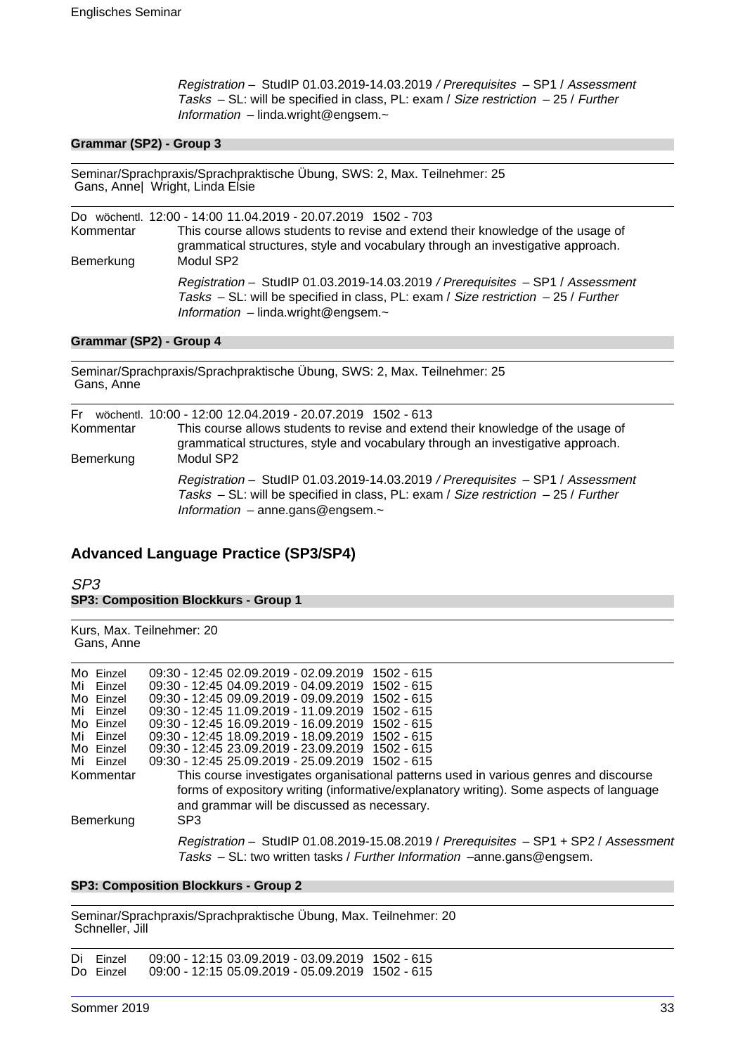Registration – StudIP 01.03.2019-14.03.2019 / Prerequisites – SP1 / Assessment Tasks – SL: will be specified in class, PL: exam / Size restriction – 25 / Further Information  $-$  linda.wright@engsem. $\sim$ 

### **Grammar (SP2) - Group 3**

Seminar/Sprachpraxis/Sprachpraktische Übung, SWS: 2, Max. Teilnehmer: 25 Gans, Anne| Wright, Linda Elsie

|           | Do wöchentl. 12:00 - 14:00 11.04.2019 - 20.07.2019 1502 - 703                                                                                                                                                           |
|-----------|-------------------------------------------------------------------------------------------------------------------------------------------------------------------------------------------------------------------------|
| Kommentar | This course allows students to revise and extend their knowledge of the usage of<br>grammatical structures, style and vocabulary through an investigative approach.                                                     |
| Bemerkung | Modul SP2                                                                                                                                                                                                               |
|           | Registration - StudIP 01.03.2019-14.03.2019 / Prerequisites - SP1 / Assessment<br>Tasks $-$ SL: will be specified in class, PL: exam / Size restriction $-$ 25 / Further<br>Information $-$ linda.wright@engsem. $\sim$ |

### **Grammar (SP2) - Group 4**

Seminar/Sprachpraxis/Sprachpraktische Übung, SWS: 2, Max. Teilnehmer: 25 Gans, Anne

| Kommentar<br>Bemerkung | Fr wöchentl. 10:00 - 12:00 12.04.2019 - 20.07.2019 1502 - 613<br>This course allows students to revise and extend their knowledge of the usage of<br>grammatical structures, style and vocabulary through an investigative approach.<br>Modul SP2 |
|------------------------|---------------------------------------------------------------------------------------------------------------------------------------------------------------------------------------------------------------------------------------------------|
|                        | Registration - StudIP 01.03.2019-14.03.2019 / Prerequisites - SP1 / Assessment<br>Tasks $-$ SL: will be specified in class, PL: exam / Size restriction $-$ 25 / Further<br>Information $-$ anne.gans@engsem. $\sim$                              |

### **Advanced Language Practice (SP3/SP4)**

### SP3 **SP3: Composition Blockkurs - Group 1**

#### Kurs, Max. Teilnehmer: 20 Gans, Anne

| Mo Einzel | 09:30 - 12:45 02.09.2019 - 02.09.2019 1502 - 615                                        |
|-----------|-----------------------------------------------------------------------------------------|
| Mi Einzel | 09:30 - 12:45 04:09:2019 - 04:09:2019 1502 - 615                                        |
| Mo Einzel | 09:30 - 12:45 09:09.2019 - 09:09.2019<br>1502 - 615                                     |
| Mi Finzel | 09:30 - 12:45 11:09.2019 - 11:09.2019 1502 - 615                                        |
| Mo Einzel | 09:30 - 12:45 16.09.2019 - 16.09.2019 1502 - 615                                        |
| Mi Einzel | 09:30 - 12:45 18:09.2019 - 18:09.2019 1502 - 615                                        |
| Mo Einzel | 09:30 - 12:45 23.09.2019 - 23.09.2019 1502 - 615                                        |
| Mi Einzel | 09:30 - 12:45 25.09.2019 - 25.09.2019 1502 - 615                                        |
| Kommentar | This course investigates organisational patterns used in various genres and discourse   |
|           | forms of expository writing (informative/explanatory writing). Some aspects of language |
|           | and grammar will be discussed as necessary.                                             |
|           | SP <sub>3</sub>                                                                         |
| Bemerkung |                                                                                         |
|           | Registration - StudIP 01.08.2019-15.08.2019 / Prerequisites - SP1 + SP2 / Assessment    |
|           | Tasks - SL: two written tasks / Further Information -anne.gans@engsem.                  |
|           |                                                                                         |

#### **SP3: Composition Blockkurs - Group 2**

Seminar/Sprachpraxis/Sprachpraktische Übung, Max. Teilnehmer: 20 Schneller, Jill

Di Einzel 09:00 - 12:15 03.09.2019 - 03.09.2019 1502 - 615 09:00 - 12:15 05.09.2019 - 05.09.2019 1502 - 615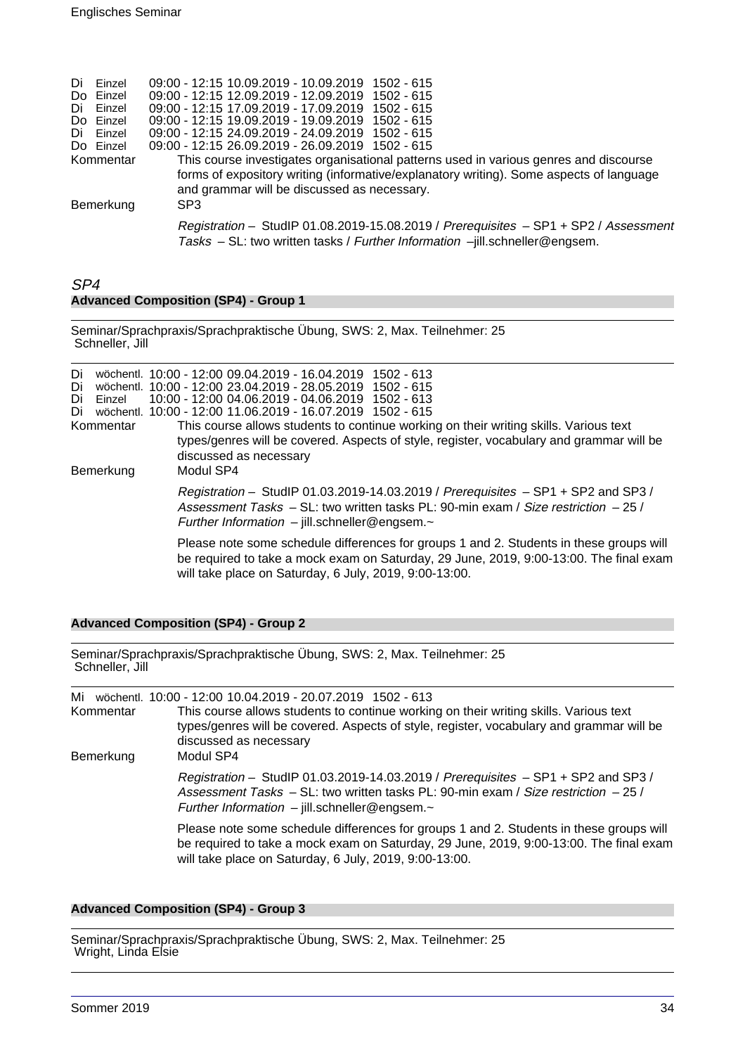| Di Einzel | 09:00 - 12:15 10.09.2019 - 10.09.2019 1502 - 615                                        |
|-----------|-----------------------------------------------------------------------------------------|
| Do Einzel | 09:00 - 12:15 12.09.2019 - 12.09.2019 1502 - 615                                        |
| Di Einzel | 09:00 - 12:15 17.09.2019 - 17.09.2019 1502 - 615                                        |
| Do Einzel | 09:00 - 12:15 19.09.2019 - 19.09.2019 1502 - 615                                        |
| Di Einzel | 09:00 - 12:15 24.09.2019 - 24.09.2019 1502 - 615                                        |
| Do Einzel | 09:00 - 12:15 26.09.2019 - 26.09.2019 1502 - 615                                        |
| Kommentar | This course investigates organisational patterns used in various genres and discourse   |
|           | forms of expository writing (informative/explanatory writing). Some aspects of language |
|           | and grammar will be discussed as necessary.                                             |
| Bemerkung | SP <sub>3</sub>                                                                         |
|           |                                                                                         |
|           | Registration - StudIP 01.08.2019-15.08.2019 / Prerequisites - SP1 + SP2 / Assessment    |
|           | Tasks - SL: two written tasks / Further Information -jill.schneller@engsem.             |
|           |                                                                                         |

### SP4 **Advanced Composition (SP4) - Group 1**

Seminar/Sprachpraxis/Sprachpraktische Übung, SWS: 2, Max. Teilnehmer: 25 Schneller, Jill

| Di<br>Di<br>Di<br>Einzel<br>Di<br>Kommentar<br>Bemerkung |  | wöchentl. 10:00 - 12:00 09:04.2019 - 16:04.2019 1502 - 613<br>wöchentl. 10:00 - 12:00 23.04.2019 - 28.05.2019 1502 - 615<br>10:00 - 12:00 04.06.2019 - 04.06.2019 1502 - 613<br>wöchentl. 10:00 - 12:00 11.06.2019 - 16.07.2019 1502 - 615<br>This course allows students to continue working on their writing skills. Various text<br>types/genres will be covered. Aspects of style, register, vocabulary and grammar will be<br>discussed as necessary<br>Modul SP4 |
|----------------------------------------------------------|--|------------------------------------------------------------------------------------------------------------------------------------------------------------------------------------------------------------------------------------------------------------------------------------------------------------------------------------------------------------------------------------------------------------------------------------------------------------------------|
|                                                          |  | Registration - StudIP 01.03.2019-14.03.2019 / Prerequisites - SP1 + SP2 and SP3 /<br>Assessment Tasks – SL: two written tasks PL: 90-min exam / Size restriction – 25 /<br>Further Information $-$ jill.schneller@engsem. $\sim$                                                                                                                                                                                                                                       |
|                                                          |  | Please note some schedule differences for groups 1 and 2. Students in these groups will<br>be required to take a mock exam on Saturday, 29 June, 2019, 9:00-13:00. The final exam<br>will take place on Saturday, 6 July, 2019, 9:00-13:00.                                                                                                                                                                                                                            |

### **Advanced Composition (SP4) - Group 2**

| Seminar/Sprachpraxis/Sprachpraktische Übung, SWS: 2, Max. Teilnehmer: 25 |  |
|--------------------------------------------------------------------------|--|
| Schneller, Jill                                                          |  |
|                                                                          |  |

| Mi<br>Kommentar<br>Bemerkung | wöchentl. 10:00 - 12:00 10.04.2019 - 20.07.2019 1502 - 613<br>This course allows students to continue working on their writing skills. Various text<br>types/genres will be covered. Aspects of style, register, vocabulary and grammar will be<br>discussed as necessary<br>Modul SP4 |
|------------------------------|----------------------------------------------------------------------------------------------------------------------------------------------------------------------------------------------------------------------------------------------------------------------------------------|
|                              | Registration - StudIP 01.03.2019-14.03.2019 / Prerequisites - SP1 + SP2 and SP3 /<br>Assessment Tasks - SL: two written tasks PL: 90-min exam / Size restriction - 25 /<br>Further Information $-$ jill.schneller@engsem. $\sim$                                                       |
|                              | Please note some schedule differences for groups 1 and 2. Students in these groups will<br>be required to take a mock exam on Saturday, 29 June, 2019, 9:00-13:00. The final exam<br>will take place on Saturday, 6 July, 2019, 9:00-13:00.                                            |

### **Advanced Composition (SP4) - Group 3**

Seminar/Sprachpraxis/Sprachpraktische Übung, SWS: 2, Max. Teilnehmer: 25 Wright, Linda Elsie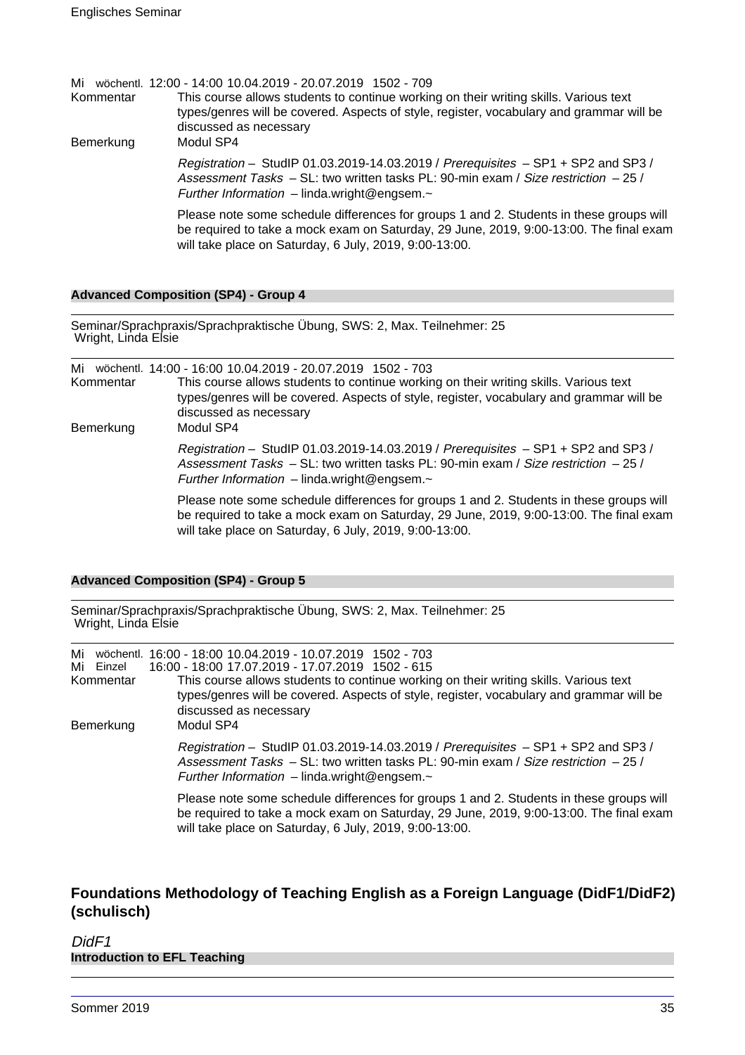|           | Mi wöchentl. 12:00 - 14:00 10.04.2019 - 20.07.2019 1502 - 709                                                                                                                                                                               |
|-----------|---------------------------------------------------------------------------------------------------------------------------------------------------------------------------------------------------------------------------------------------|
| Kommentar | This course allows students to continue working on their writing skills. Various text<br>types/genres will be covered. Aspects of style, register, vocabulary and grammar will be<br>discussed as necessary                                 |
| Bemerkung | Modul SP4                                                                                                                                                                                                                                   |
|           | Registration - StudIP 01.03.2019-14.03.2019 / Prerequisites - SP1 + SP2 and SP3 /<br>Assessment Tasks - SL: two written tasks PL: 90-min exam / Size restriction - 25 /<br>Further Information $-$ linda.wright@engsem. $\sim$              |
|           | Please note some schedule differences for groups 1 and 2. Students in these groups will<br>be required to take a mock exam on Saturday, 29 June, 2019, 9:00-13:00. The final exam<br>will take place on Saturday, 6 July, 2019, 9:00-13:00. |

### **Advanced Composition (SP4) - Group 4**

Seminar/Sprachpraxis/Sprachpraktische Übung, SWS: 2, Max. Teilnehmer: 25 Wright, Linda Elsie

| Kommentar<br>Bemerkung | Mi wöchentl. 14:00 - 16:00 10.04.2019 - 20.07.2019 1502 - 703<br>This course allows students to continue working on their writing skills. Various text<br>types/genres will be covered. Aspects of style, register, vocabulary and grammar will be<br>discussed as necessary<br>Modul SP4 |
|------------------------|-------------------------------------------------------------------------------------------------------------------------------------------------------------------------------------------------------------------------------------------------------------------------------------------|
|                        | Registration - StudIP 01.03.2019-14.03.2019 / Prerequisites - SP1 + SP2 and SP3 /<br>Assessment Tasks - SL: two written tasks PL: 90-min exam / Size restriction - 25 /<br>Further Information $-$ linda.wright@engsem. $\sim$                                                            |
|                        | Please note some schedule differences for groups 1 and 2. Students in these groups will<br>be required to take a mock exam on Saturday, 29 June, 2019, 9:00-13:00. The final exam<br>will take place on Saturday, 6 July, 2019, 9:00-13:00.                                               |

### **Advanced Composition (SP4) - Group 5**

Seminar/Sprachpraxis/Sprachpraktische Übung, SWS: 2, Max. Teilnehmer: 25 Wright, Linda Elsie

| Mi<br>Mi Einzel<br>Kommentar<br>Bemerkung | wöchentl. 16:00 - 18:00 10.04.2019 - 10.07.2019 1502 - 703<br>16:00 - 18:00 17.07.2019 - 17.07.2019 1502 - 615<br>This course allows students to continue working on their writing skills. Various text<br>types/genres will be covered. Aspects of style, register, vocabulary and grammar will be<br>discussed as necessary<br>Modul SP4 |
|-------------------------------------------|--------------------------------------------------------------------------------------------------------------------------------------------------------------------------------------------------------------------------------------------------------------------------------------------------------------------------------------------|
|                                           | Registration - StudIP 01.03.2019-14.03.2019 / Prerequisites - SP1 + SP2 and SP3 /<br>Assessment Tasks $-$ SL: two written tasks PL: 90-min exam / Size restriction $-$ 25 /<br>Further Information $-$ linda.wright@engsem. $\sim$                                                                                                         |
|                                           | Please note some schedule differences for groups 1 and 2. Students in these groups will<br>be required to take a mock exam on Saturday, 29 June, 2019, 9:00-13:00. The final exam<br>will take place on Saturday, 6 July, 2019, 9:00-13:00.                                                                                                |

### **Foundations Methodology of Teaching English as a Foreign Language (DidF1/DidF2) (schulisch)**

### DidF<sub>1</sub> **Introduction to EFL Teaching**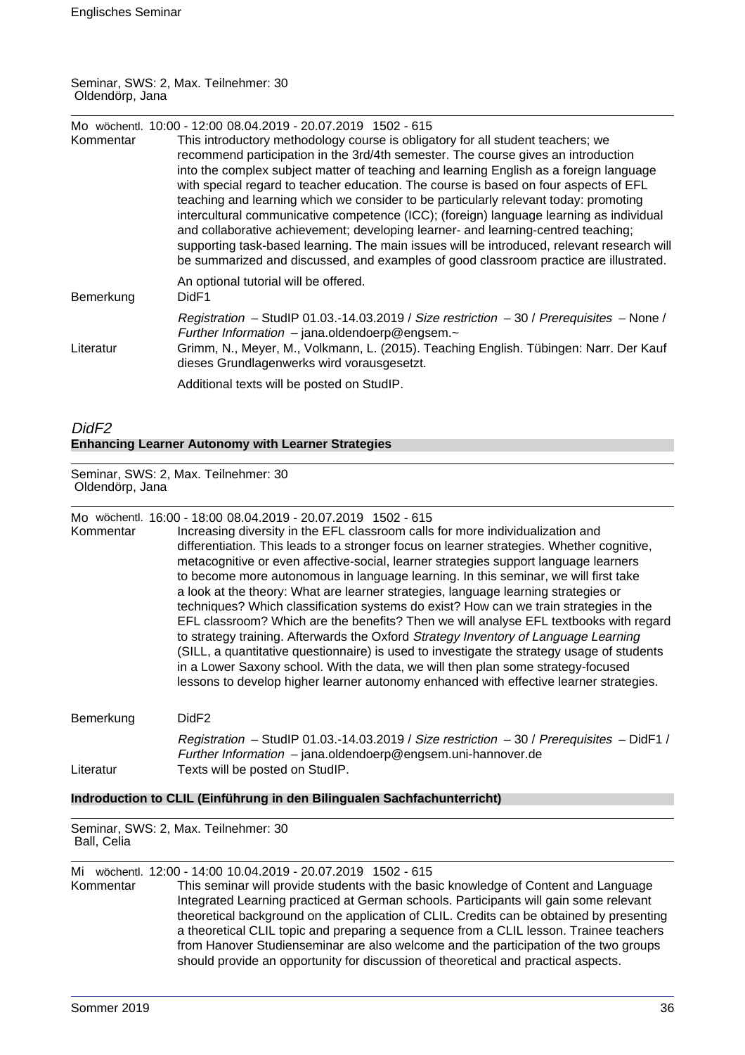### Seminar, SWS: 2, Max. Teilnehmer: 30 Oldendörp, Jana

| Kommentar | Mo wöchentl. 10:00 - 12:00 08.04.2019 - 20.07.2019 1502 - 615<br>This introductory methodology course is obligatory for all student teachers; we<br>recommend participation in the 3rd/4th semester. The course gives an introduction<br>into the complex subject matter of teaching and learning English as a foreign language<br>with special regard to teacher education. The course is based on four aspects of EFL<br>teaching and learning which we consider to be particularly relevant today: promoting<br>intercultural communicative competence (ICC); (foreign) language learning as individual<br>and collaborative achievement; developing learner- and learning-centred teaching;<br>supporting task-based learning. The main issues will be introduced, relevant research will<br>be summarized and discussed, and examples of good classroom practice are illustrated. |
|-----------|----------------------------------------------------------------------------------------------------------------------------------------------------------------------------------------------------------------------------------------------------------------------------------------------------------------------------------------------------------------------------------------------------------------------------------------------------------------------------------------------------------------------------------------------------------------------------------------------------------------------------------------------------------------------------------------------------------------------------------------------------------------------------------------------------------------------------------------------------------------------------------------|
| Bemerkung | An optional tutorial will be offered.<br>DidF1                                                                                                                                                                                                                                                                                                                                                                                                                                                                                                                                                                                                                                                                                                                                                                                                                                         |
| Literatur | Registration – StudIP 01.03.-14.03.2019 / Size restriction – 30 / Prerequisites – None /<br>Further Information $-$ jana.oldendoerp@engsem. $\sim$<br>Grimm, N., Meyer, M., Volkmann, L. (2015). Teaching English. Tübingen: Narr. Der Kauf<br>dieses Grundlagenwerks wird vorausgesetzt.<br>Additional texts will be posted on StudIP.                                                                                                                                                                                                                                                                                                                                                                                                                                                                                                                                                |

### DidF2 **Enhancing Learner Autonomy with Learner Strategies**

Seminar, SWS: 2, Max. Teilnehmer: 30 Oldendörp, Jana

Mo wöchentl. 16:00 - 18:00 08.04.2019 - 20.07.2019 1502 - 615

| Kommentar | Increasing diversity in the EFL classroom calls for more individualization and<br>differentiation. This leads to a stronger focus on learner strategies. Whether cognitive,<br>metacognitive or even affective-social, learner strategies support language learners<br>to become more autonomous in language learning. In this seminar, we will first take<br>a look at the theory: What are learner strategies, language learning strategies or<br>techniques? Which classification systems do exist? How can we train strategies in the<br>EFL classroom? Which are the benefits? Then we will analyse EFL textbooks with regard<br>to strategy training. Afterwards the Oxford Strategy Inventory of Language Learning<br>(SILL, a quantitative questionnaire) is used to investigate the strategy usage of students<br>in a Lower Saxony school. With the data, we will then plan some strategy-focused<br>lessons to develop higher learner autonomy enhanced with effective learner strategies. |
|-----------|-------------------------------------------------------------------------------------------------------------------------------------------------------------------------------------------------------------------------------------------------------------------------------------------------------------------------------------------------------------------------------------------------------------------------------------------------------------------------------------------------------------------------------------------------------------------------------------------------------------------------------------------------------------------------------------------------------------------------------------------------------------------------------------------------------------------------------------------------------------------------------------------------------------------------------------------------------------------------------------------------------|
| Bemerkung | DidF <sub>2</sub>                                                                                                                                                                                                                                                                                                                                                                                                                                                                                                                                                                                                                                                                                                                                                                                                                                                                                                                                                                                     |
| Literatur | Registration - StudIP 01.03.-14.03.2019 / Size restriction $-30$ / Prerequisites - DidF1 /<br>Further Information - jana.oldendoerp@engsem.uni-hannover.de<br>Texts will be posted on StudIP.                                                                                                                                                                                                                                                                                                                                                                                                                                                                                                                                                                                                                                                                                                                                                                                                         |

### **Indroduction to CLIL (Einführung in den Bilingualen Sachfachunterricht)**

Seminar, SWS: 2, Max. Teilnehmer: 30 Ball, Celia

Mi wöchentl. 12:00 - 14:00 10.04.2019 - 20.07.2019 1502 - 615

This seminar will provide students with the basic knowledge of Content and Language Integrated Learning practiced at German schools. Participants will gain some relevant theoretical background on the application of CLIL. Credits can be obtained by presenting a theoretical CLIL topic and preparing a sequence from a CLIL lesson. Trainee teachers from Hanover Studienseminar are also welcome and the participation of the two groups should provide an opportunity for discussion of theoretical and practical aspects.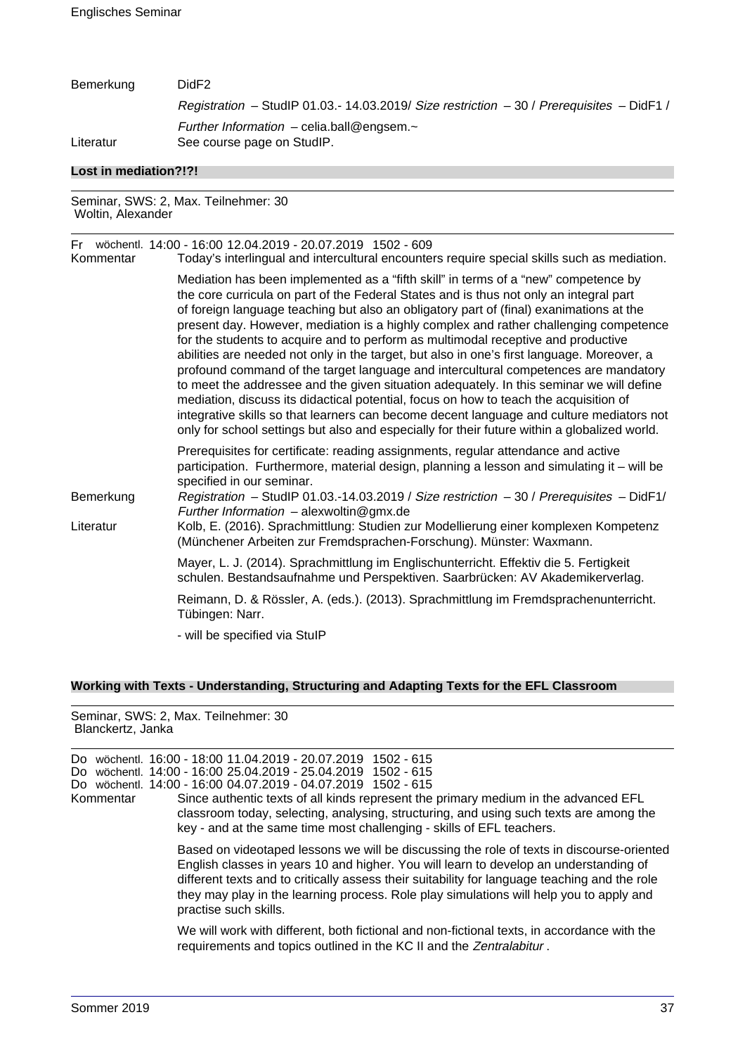| Bemerkung             | DidF <sub>2</sub>                                                                            |
|-----------------------|----------------------------------------------------------------------------------------------|
|                       | Registration - StudIP 01.03.- 14.03.2019/ Size restriction $-30$ / Prerequisites $-$ DidF1 / |
| Literatur             | Further Information - celia.ball@engsem. $\sim$<br>See course page on StudIP.                |
| Lost in mediation?!?! |                                                                                              |
|                       | Seminar, SWS: 2, Max. Teilnehmer: 30                                                         |

| Kommentar | Fr wöchentl. 14:00 - 16:00 12.04.2019 - 20.07.2019 1502 - 609<br>Today's interlingual and intercultural encounters require special skills such as mediation.                                                                                                                                                                                                                                                                                                                                                                                                                                                                                                                                                                                                                                                                                                                                                                                                                                                                 |
|-----------|------------------------------------------------------------------------------------------------------------------------------------------------------------------------------------------------------------------------------------------------------------------------------------------------------------------------------------------------------------------------------------------------------------------------------------------------------------------------------------------------------------------------------------------------------------------------------------------------------------------------------------------------------------------------------------------------------------------------------------------------------------------------------------------------------------------------------------------------------------------------------------------------------------------------------------------------------------------------------------------------------------------------------|
|           | Mediation has been implemented as a "fifth skill" in terms of a "new" competence by<br>the core curricula on part of the Federal States and is thus not only an integral part<br>of foreign language teaching but also an obligatory part of (final) exanimations at the<br>present day. However, mediation is a highly complex and rather challenging competence<br>for the students to acquire and to perform as multimodal receptive and productive<br>abilities are needed not only in the target, but also in one's first language. Moreover, a<br>profound command of the target language and intercultural competences are mandatory<br>to meet the addressee and the given situation adequately. In this seminar we will define<br>mediation, discuss its didactical potential, focus on how to teach the acquisition of<br>integrative skills so that learners can become decent language and culture mediators not<br>only for school settings but also and especially for their future within a globalized world. |
| Bemerkung | Prerequisites for certificate: reading assignments, regular attendance and active<br>participation. Furthermore, material design, planning a lesson and simulating it – will be<br>specified in our seminar.<br>Registration - StudIP 01.03.-14.03.2019 / Size restriction $-30$ / Prerequisites - DidF1/<br>Further Information $-$ alexwoltin@gmx.de                                                                                                                                                                                                                                                                                                                                                                                                                                                                                                                                                                                                                                                                       |
| Literatur | Kolb, E. (2016). Sprachmittlung: Studien zur Modellierung einer komplexen Kompetenz<br>(Münchener Arbeiten zur Fremdsprachen-Forschung). Münster: Waxmann.                                                                                                                                                                                                                                                                                                                                                                                                                                                                                                                                                                                                                                                                                                                                                                                                                                                                   |
|           | Mayer, L. J. (2014). Sprachmittlung im Englischunterricht. Effektiv die 5. Fertigkeit<br>schulen. Bestandsaufnahme und Perspektiven. Saarbrücken: AV Akademikerverlag.                                                                                                                                                                                                                                                                                                                                                                                                                                                                                                                                                                                                                                                                                                                                                                                                                                                       |
|           | Reimann, D. & Rössler, A. (eds.). (2013). Sprachmittlung im Fremdsprachenunterricht.<br>Tübingen: Narr.                                                                                                                                                                                                                                                                                                                                                                                                                                                                                                                                                                                                                                                                                                                                                                                                                                                                                                                      |
|           | - will be specified via StulP                                                                                                                                                                                                                                                                                                                                                                                                                                                                                                                                                                                                                                                                                                                                                                                                                                                                                                                                                                                                |

# **Working with Texts - Understanding, Structuring and Adapting Texts for the EFL Classroom**

Seminar, SWS: 2, Max. Teilnehmer: 30 Blanckertz, Janka

| Do.<br>Do.<br>Kommentar | wöchentl. 16:00 - 18:00 11.04.2019 - 20.07.2019 1502 - 615<br>wöchentl. 14:00 - 16:00 25.04.2019 - 25.04.2019 1502 - 615<br>Do wöchentl. 14:00 - 16:00 04.07.2019 - 04.07.2019 1502 - 615<br>Since authentic texts of all kinds represent the primary medium in the advanced EFL<br>classroom today, selecting, analysing, structuring, and using such texts are among the<br>key - and at the same time most challenging - skills of EFL teachers. |
|-------------------------|-----------------------------------------------------------------------------------------------------------------------------------------------------------------------------------------------------------------------------------------------------------------------------------------------------------------------------------------------------------------------------------------------------------------------------------------------------|
|                         | Based on videotaped lessons we will be discussing the role of texts in discourse-oriented<br>English classes in years 10 and higher. You will learn to develop an understanding of<br>different texts and to critically assess their suitability for language teaching and the role<br>they may play in the learning process. Role play simulations will help you to apply and<br>practise such skills.                                             |
|                         | We will work with different, both fictional and non-fictional texts, in accordance with the<br>requirements and topics outlined in the KC II and the Zentralabitur.                                                                                                                                                                                                                                                                                 |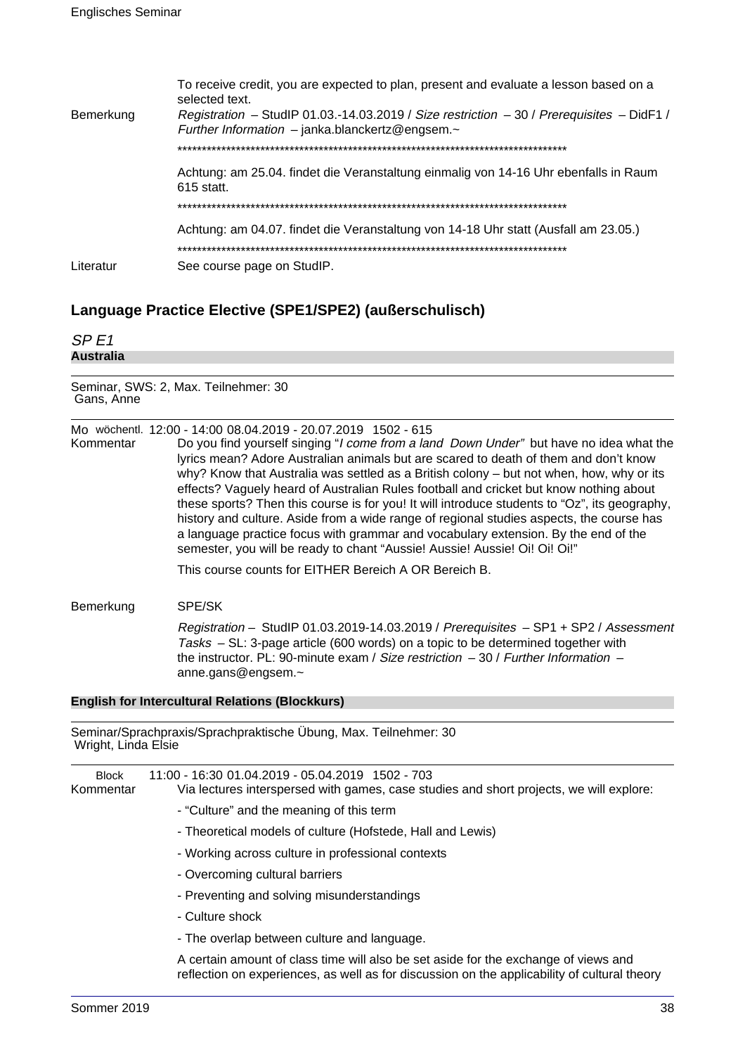|           | To receive credit, you are expected to plan, present and evaluate a lesson based on a<br>selected text.                                              |
|-----------|------------------------------------------------------------------------------------------------------------------------------------------------------|
| Bemerkung | Registration - StudIP 01.03.-14.03.2019 / Size restriction - 30 / Prerequisites - DidF1 /<br>Further Information $-$ janka.blanckertz@engsem. $\sim$ |
|           |                                                                                                                                                      |
|           | Achtung: am 25.04. findet die Veranstaltung einmalig von 14-16 Uhr ebenfalls in Raum<br>615 statt.                                                   |
|           |                                                                                                                                                      |
|           | Achtung: am 04.07. findet die Veranstaltung von 14-18 Uhr statt (Ausfall am 23.05.)                                                                  |
|           |                                                                                                                                                      |
| Literatur | See course page on StudIP.                                                                                                                           |

# **Language Practice Elective (SPE1/SPE2) (außerschulisch)**

| SPF1      |  |  |
|-----------|--|--|
| Australia |  |  |
|           |  |  |

Seminar, SWS: 2, Max. Teilnehmer: 30 Gans, Anne

|           | Mo wöchentl. 12:00 - 14:00 08.04.2019 - 20.07.2019 1502 - 615                                                                                                                                                                                                                                                                                                                                                                                                                                                                                                                                                                                                                                                                         |
|-----------|---------------------------------------------------------------------------------------------------------------------------------------------------------------------------------------------------------------------------------------------------------------------------------------------------------------------------------------------------------------------------------------------------------------------------------------------------------------------------------------------------------------------------------------------------------------------------------------------------------------------------------------------------------------------------------------------------------------------------------------|
| Kommentar | Do you find yourself singing "I come from a land Down Under" but have no idea what the<br>lyrics mean? Adore Australian animals but are scared to death of them and don't know<br>why? Know that Australia was settled as a British colony – but not when, how, why or its<br>effects? Vaguely heard of Australian Rules football and cricket but know nothing about<br>these sports? Then this course is for you! It will introduce students to "Oz", its geography,<br>history and culture. Aside from a wide range of regional studies aspects, the course has<br>a language practice focus with grammar and vocabulary extension. By the end of the<br>semester, you will be ready to chant "Aussie! Aussie! Aussie! Oi! Oi! Oi!" |
|           | This course counts for EITHER Bereich A OR Bereich B.                                                                                                                                                                                                                                                                                                                                                                                                                                                                                                                                                                                                                                                                                 |
| Bemerkung | SPE/SK                                                                                                                                                                                                                                                                                                                                                                                                                                                                                                                                                                                                                                                                                                                                |
|           | Registration - StudIP 01.03.2019-14.03.2019 / Prerequisites - SP1 + SP2 / Assessment<br>Tasks - SL: 3-page article (600 words) on a topic to be determined together with<br>the instructor. PL: 90-minute exam / Size restriction $-30$ / Further Information $-$<br>anne.gans@engsem. $\sim$                                                                                                                                                                                                                                                                                                                                                                                                                                         |

## **English for Intercultural Relations (Blockkurs)**

| Seminar/Sprachpraxis/Sprachpraktische Übung, Max. Teilnehmer: 30<br>Wright, Linda Elsie |                                                                                                                                                                                     |  |
|-----------------------------------------------------------------------------------------|-------------------------------------------------------------------------------------------------------------------------------------------------------------------------------------|--|
| <b>Block</b><br>Kommentar                                                               | 11:00 - 16:30 01.04.2019 - 05.04.2019 1502 - 703<br>Via lectures interspersed with games, case studies and short projects, we will explore:                                         |  |
|                                                                                         | - "Culture" and the meaning of this term                                                                                                                                            |  |
|                                                                                         | - Theoretical models of culture (Hofstede, Hall and Lewis)                                                                                                                          |  |
|                                                                                         | - Working across culture in professional contexts                                                                                                                                   |  |
|                                                                                         | - Overcoming cultural barriers                                                                                                                                                      |  |
|                                                                                         | - Preventing and solving misunderstandings                                                                                                                                          |  |
|                                                                                         | - Culture shock                                                                                                                                                                     |  |
|                                                                                         | - The overlap between culture and language.                                                                                                                                         |  |
|                                                                                         | A certain amount of class time will also be set aside for the exchange of views and<br>reflection on experiences, as well as for discussion on the applicability of cultural theory |  |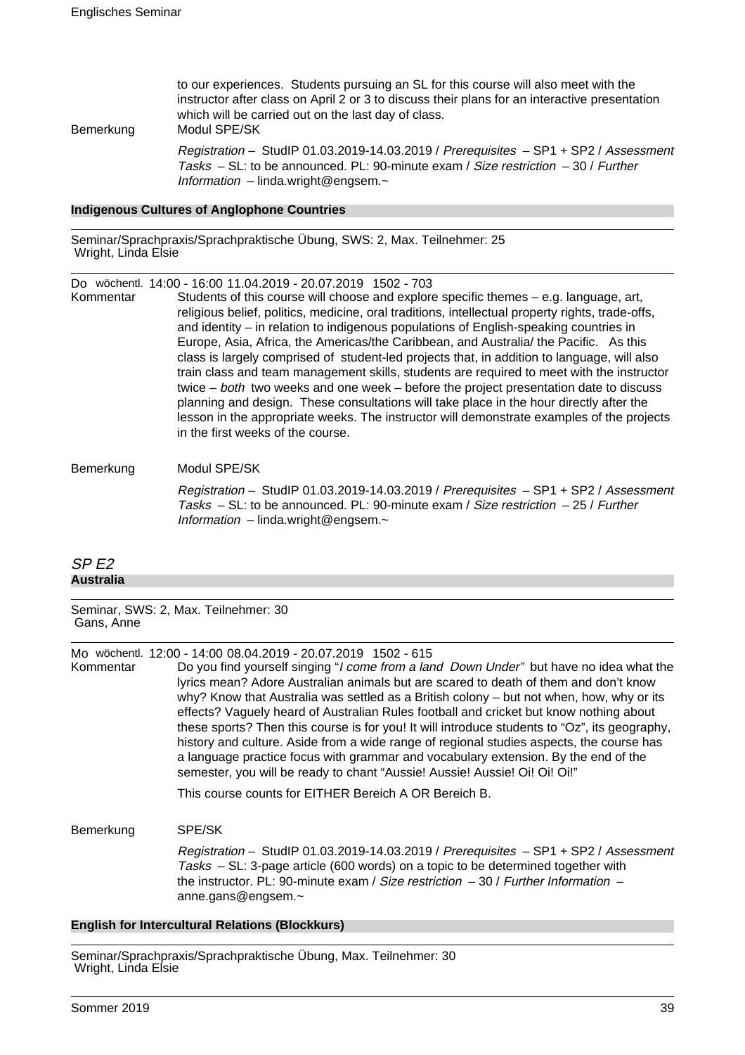to our experiences. Students pursuing an SL for this course will also meet with the instructor after class on April 2 or 3 to discuss their plans for an interactive presentation which will be carried out on the last day of class. Bemerkung Modul SPE/SK

> Registration – StudIP 01.03.2019-14.03.2019 / Prerequisites – SP1 + SP2 / Assessment Tasks  $-$  SL: to be announced. PL: 90-minute exam / Size restriction  $-$  30 / Further Information – linda.wright@engsem. $\sim$

#### **Indigenous Cultures of Anglophone Countries**

Seminar/Sprachpraxis/Sprachpraktische Übung, SWS: 2, Max. Teilnehmer: 25 Wright, Linda Elsie

Do wöchentl. 14:00 - 16:00 11.04.2019 - 20.07.2019 1502 - 703

Kommentar Students of this course will choose and explore specific themes – e.g. language, art, religious belief, politics, medicine, oral traditions, intellectual property rights, trade-offs, and identity – in relation to indigenous populations of English-speaking countries in Europe, Asia, Africa, the Americas/the Caribbean, and Australia/ the Pacific. As this class is largely comprised of student-led projects that, in addition to language, will also train class and team management skills, students are required to meet with the instructor twice – both two weeks and one week – before the project presentation date to discuss planning and design. These consultations will take place in the hour directly after the lesson in the appropriate weeks. The instructor will demonstrate examples of the projects in the first weeks of the course.

#### Bemerkung Modul SPE/SK

Registration – StudIP 01.03.2019-14.03.2019 / Prerequisites – SP1 + SP2 / Assessment Tasks – SL: to be announced. PL: 90-minute exam / Size restriction  $-25$  / Further Information – linda.wright@engsem. $\sim$ 

## SP E2 **Australia**

Seminar, SWS: 2, Max. Teilnehmer: 30 Gans, Anne

Mo wöchentl. 12:00 - 14:00 08.04.2019 - 20.07.2019 1502 - 615

Kommentar Do you find yourself singing "I come from a land Down Under" but have no idea what the lyrics mean? Adore Australian animals but are scared to death of them and don't know why? Know that Australia was settled as a British colony – but not when, how, why or its effects? Vaguely heard of Australian Rules football and cricket but know nothing about these sports? Then this course is for you! It will introduce students to "Oz", its geography, history and culture. Aside from a wide range of regional studies aspects, the course has a language practice focus with grammar and vocabulary extension. By the end of the semester, you will be ready to chant "Aussie! Aussie! Aussie! Oi! Oi! Oi!"

This course counts for EITHER Bereich A OR Bereich B.

#### Bemerkung SPE/SK

Registration – StudIP 01.03.2019-14.03.2019 / Prerequisites – SP1 + SP2 / Assessment Tasks – SL: 3-page article (600 words) on a topic to be determined together with the instructor. PL: 90-minute exam / Size restriction  $-30$  / Further Information  $$ anne.gans@engsem.~

## **English for Intercultural Relations (Blockkurs)**

Seminar/Sprachpraxis/Sprachpraktische Übung, Max. Teilnehmer: 30 Wright, Linda Elsie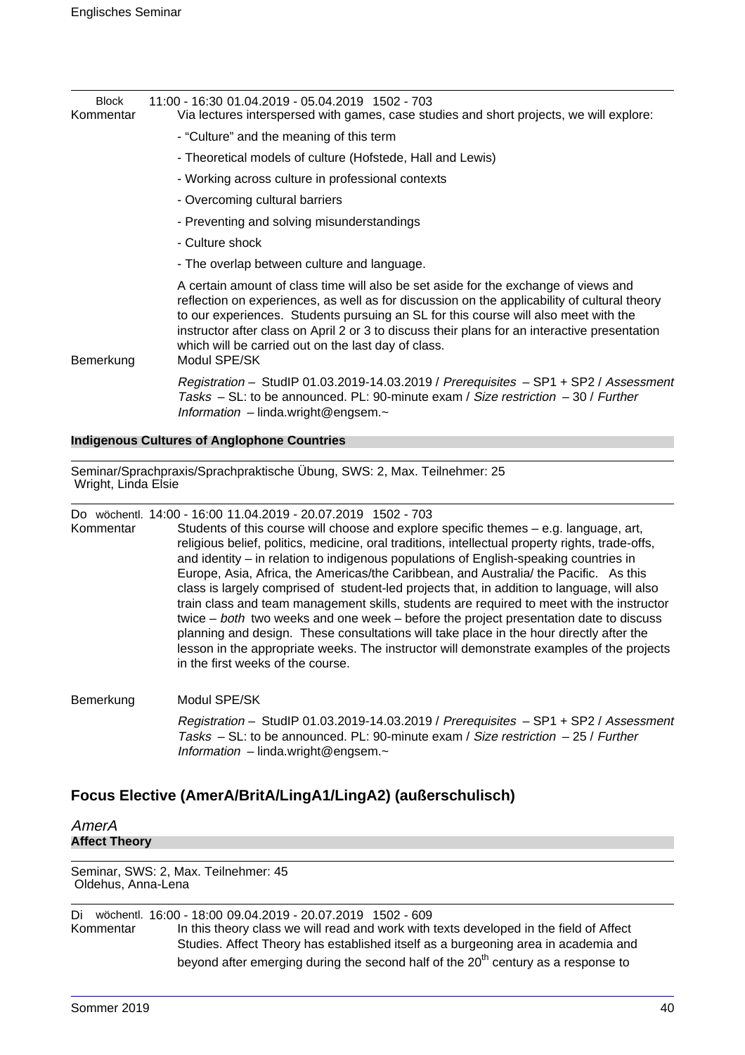| <b>Block</b><br>Kommentar | 11:00 - 16:30 01.04.2019 - 05.04.2019 1502 - 703<br>Via lectures interspersed with games, case studies and short projects, we will explore:                                                                                                                                                                                                                                                                                                        |
|---------------------------|----------------------------------------------------------------------------------------------------------------------------------------------------------------------------------------------------------------------------------------------------------------------------------------------------------------------------------------------------------------------------------------------------------------------------------------------------|
|                           | - "Culture" and the meaning of this term                                                                                                                                                                                                                                                                                                                                                                                                           |
|                           | - Theoretical models of culture (Hofstede, Hall and Lewis)                                                                                                                                                                                                                                                                                                                                                                                         |
|                           | - Working across culture in professional contexts                                                                                                                                                                                                                                                                                                                                                                                                  |
|                           | - Overcoming cultural barriers                                                                                                                                                                                                                                                                                                                                                                                                                     |
|                           | - Preventing and solving misunderstandings                                                                                                                                                                                                                                                                                                                                                                                                         |
|                           | - Culture shock                                                                                                                                                                                                                                                                                                                                                                                                                                    |
|                           | - The overlap between culture and language.                                                                                                                                                                                                                                                                                                                                                                                                        |
| Bemerkung                 | A certain amount of class time will also be set aside for the exchange of views and<br>reflection on experiences, as well as for discussion on the applicability of cultural theory<br>to our experiences. Students pursuing an SL for this course will also meet with the<br>instructor after class on April 2 or 3 to discuss their plans for an interactive presentation<br>which will be carried out on the last day of class.<br>Modul SPE/SK |
|                           | Registration - StudIP 01.03.2019-14.03.2019 / Prerequisites - SP1 + SP2 / Assessment<br>Tasks - SL: to be announced. PL: 90-minute exam / Size restriction - 30 / Further<br>Information $-$ linda.wright@engsem. $\sim$                                                                                                                                                                                                                           |

#### **Indigenous Cultures of Anglophone Countries**

Seminar/Sprachpraxis/Sprachpraktische Übung, SWS: 2, Max. Teilnehmer: 25 Wright, Linda Elsie

Do wöchentl. 14:00 - 16:00 11.04.2019 - 20.07.2019 1502 - 703

Kommentar Students of this course will choose and explore specific themes – e.g. language, art, religious belief, politics, medicine, oral traditions, intellectual property rights, trade-offs, and identity – in relation to indigenous populations of English-speaking countries in Europe, Asia, Africa, the Americas/the Caribbean, and Australia/ the Pacific. As this class is largely comprised of student-led projects that, in addition to language, will also train class and team management skills, students are required to meet with the instructor twice – both two weeks and one week – before the project presentation date to discuss planning and design. These consultations will take place in the hour directly after the lesson in the appropriate weeks. The instructor will demonstrate examples of the projects in the first weeks of the course.

Bemerkung Modul SPE/SK

Registration – StudIP 01.03.2019-14.03.2019 / Prerequisites – SP1 + SP2 / Assessment Tasks – SL: to be announced. PL: 90-minute exam / Size restriction – 25 / Further Information – linda.wright@engsem. $\sim$ 

## **Focus Elective (AmerA/BritA/LingA1/LingA2) (außerschulisch)**

AmerA **Affect Theory**

Seminar, SWS: 2, Max. Teilnehmer: 45 Oldehus, Anna-Lena

Di wöchentl. 16:00 - 18:00 09.04.2019 - 20.07.2019 1502 - 609 In this theory class we will read and work with texts developed in the field of Affect Studies. Affect Theory has established itself as a burgeoning area in academia and beyond after emerging during the second half of the  $20<sup>th</sup>$  century as a response to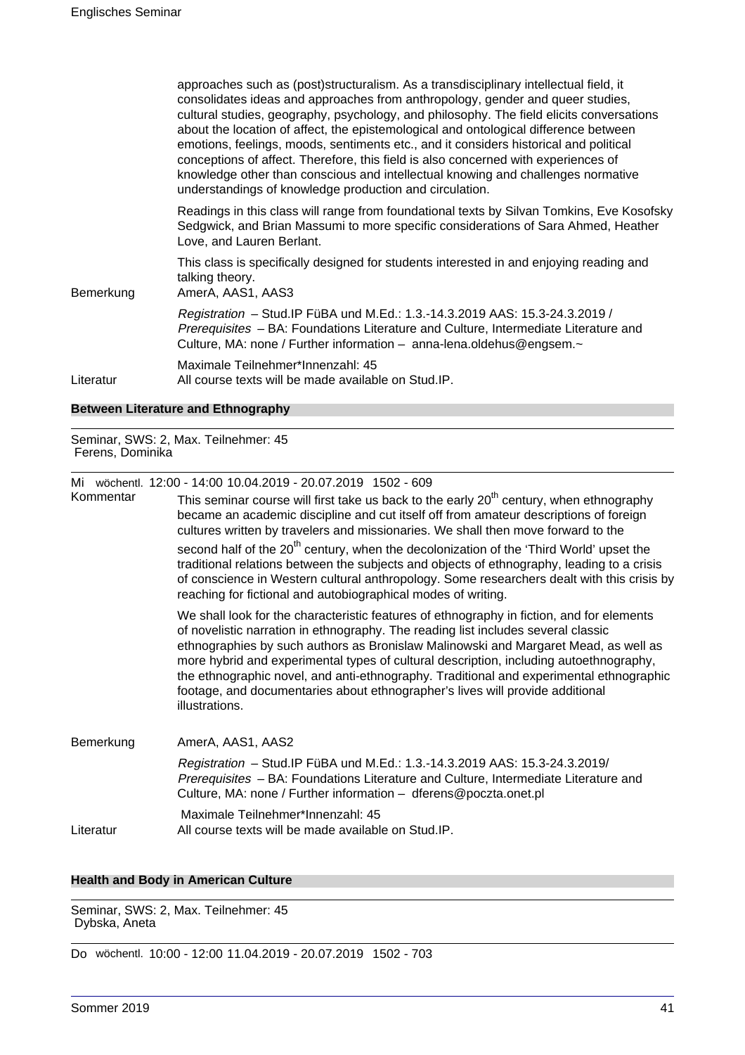|           | approaches such as (post)structuralism. As a transdisciplinary intellectual field, it<br>consolidates ideas and approaches from anthropology, gender and queer studies,<br>cultural studies, geography, psychology, and philosophy. The field elicits conversations<br>about the location of affect, the epistemological and ontological difference between<br>emotions, feelings, moods, sentiments etc., and it considers historical and political<br>conceptions of affect. Therefore, this field is also concerned with experiences of<br>knowledge other than conscious and intellectual knowing and challenges normative<br>understandings of knowledge production and circulation. |
|-----------|-------------------------------------------------------------------------------------------------------------------------------------------------------------------------------------------------------------------------------------------------------------------------------------------------------------------------------------------------------------------------------------------------------------------------------------------------------------------------------------------------------------------------------------------------------------------------------------------------------------------------------------------------------------------------------------------|
|           | Readings in this class will range from foundational texts by Silvan Tomkins, Eve Kosofsky<br>Sedgwick, and Brian Massumi to more specific considerations of Sara Ahmed, Heather<br>Love, and Lauren Berlant.                                                                                                                                                                                                                                                                                                                                                                                                                                                                              |
| Bemerkung | This class is specifically designed for students interested in and enjoying reading and<br>talking theory.<br>AmerA, AAS1, AAS3                                                                                                                                                                                                                                                                                                                                                                                                                                                                                                                                                           |
|           | Registration - Stud. IP FüBA und M.Ed.: 1.3.-14.3.2019 AAS: 15.3-24.3.2019 /<br>Prerequisites - BA: Foundations Literature and Culture, Intermediate Literature and<br>Culture, MA: none / Further information - anna-lena.oldehus@engsem.~                                                                                                                                                                                                                                                                                                                                                                                                                                               |
| Literatur | Maximale Teilnehmer*Innenzahl: 45<br>All course texts will be made available on Stud.IP.                                                                                                                                                                                                                                                                                                                                                                                                                                                                                                                                                                                                  |
|           |                                                                                                                                                                                                                                                                                                                                                                                                                                                                                                                                                                                                                                                                                           |

## **Between Literature and Ethnography**

Seminar, SWS: 2, Max. Teilnehmer: 45 Ferens, Dominika

|           | Mi wöchentl. 12:00 - 14:00 10.04.2019 - 20.07.2019 1502 - 609                                                                                                                                                                                                                                                                                                                                                                                                                                                                                                 |
|-----------|---------------------------------------------------------------------------------------------------------------------------------------------------------------------------------------------------------------------------------------------------------------------------------------------------------------------------------------------------------------------------------------------------------------------------------------------------------------------------------------------------------------------------------------------------------------|
| Kommentar | This seminar course will first take us back to the early 20 <sup>th</sup> century, when ethnography<br>became an academic discipline and cut itself off from amateur descriptions of foreign<br>cultures written by travelers and missionaries. We shall then move forward to the                                                                                                                                                                                                                                                                             |
|           | second half of the 20 <sup>th</sup> century, when the decolonization of the 'Third World' upset the<br>traditional relations between the subjects and objects of ethnography, leading to a crisis<br>of conscience in Western cultural anthropology. Some researchers dealt with this crisis by<br>reaching for fictional and autobiographical modes of writing.                                                                                                                                                                                              |
|           | We shall look for the characteristic features of ethnography in fiction, and for elements<br>of novelistic narration in ethnography. The reading list includes several classic<br>ethnographies by such authors as Bronislaw Malinowski and Margaret Mead, as well as<br>more hybrid and experimental types of cultural description, including autoethnography,<br>the ethnographic novel, and anti-ethnography. Traditional and experimental ethnographic<br>footage, and documentaries about ethnographer's lives will provide additional<br>illustrations. |
| Bemerkung | AmerA, AAS1, AAS2                                                                                                                                                                                                                                                                                                                                                                                                                                                                                                                                             |
|           | Registration - Stud. IP FüBA und M.Ed.: 1.3.-14.3.2019 AAS: 15.3-24.3.2019/<br>Prerequisites - BA: Foundations Literature and Culture, Intermediate Literature and<br>Culture, MA: none / Further information - dferens@poczta.onet.pl                                                                                                                                                                                                                                                                                                                        |
| Literatur | Maximale Teilnehmer*Innenzahl: 45<br>All course texts will be made available on Stud. IP.                                                                                                                                                                                                                                                                                                                                                                                                                                                                     |

## **Health and Body in American Culture**

Seminar, SWS: 2, Max. Teilnehmer: 45 Dybska, Aneta

Do wöchentl. 10:00 - 12:00 11.04.2019 - 20.07.2019 1502 - 703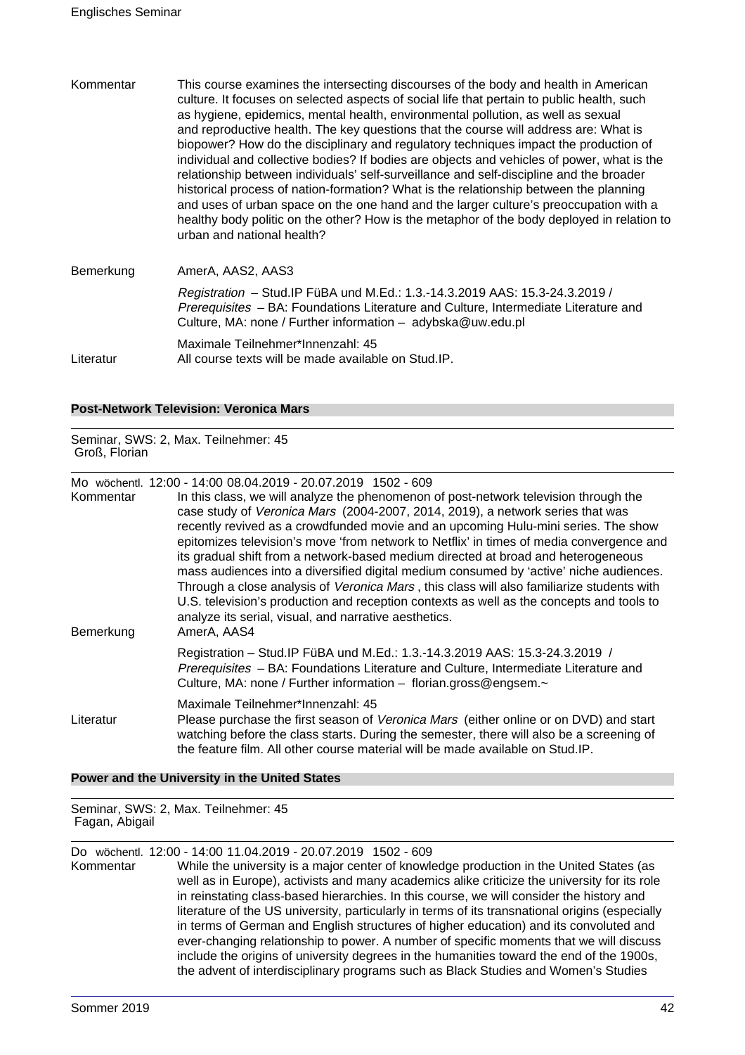Kommentar This course examines the intersecting discourses of the body and health in American culture. It focuses on selected aspects of social life that pertain to public health, such as hygiene, epidemics, mental health, environmental pollution, as well as sexual and reproductive health. The key questions that the course will address are: What is biopower? How do the disciplinary and regulatory techniques impact the production of individual and collective bodies? If bodies are objects and vehicles of power, what is the relationship between individuals' self-surveillance and self-discipline and the broader historical process of nation-formation? What is the relationship between the planning and uses of urban space on the one hand and the larger culture's preoccupation with a healthy body politic on the other? How is the metaphor of the body deployed in relation to urban and national health? Bemerkung AmerA, AAS2, AAS3 Registration – Stud.IP FüBA und M.Ed.: 1.3.-14.3.2019 AAS: 15.3-24.3.2019 /

Prerequisites – BA: Foundations Literature and Culture, Intermediate Literature and Culture, MA: none / Further information – adybska@uw.edu.pl Maximale Teilnehmer\*Innenzahl: 45

Literatur All course texts will be made available on Stud.IP.

## **Post-Network Television: Veronica Mars**

Seminar, SWS: 2, Max. Teilnehmer: 45 Groß, Florian

Mo wöchentl. 12:00 - 14:00 08.04.2019 - 20.07.2019 1502 - 609

| Kommentar<br>Bemerkung | In this class, we will analyze the phenomenon of post-network television through the<br>case study of Veronica Mars (2004-2007, 2014, 2019), a network series that was<br>recently revived as a crowdfunded movie and an upcoming Hulu-mini series. The show<br>epitomizes television's move 'from network to Netflix' in times of media convergence and<br>its gradual shift from a network-based medium directed at broad and heterogeneous<br>mass audiences into a diversified digital medium consumed by 'active' niche audiences.<br>Through a close analysis of Veronica Mars, this class will also familiarize students with<br>U.S. television's production and reception contexts as well as the concepts and tools to<br>analyze its serial, visual, and narrative aesthetics.<br>AmerA, AAS4 |
|------------------------|----------------------------------------------------------------------------------------------------------------------------------------------------------------------------------------------------------------------------------------------------------------------------------------------------------------------------------------------------------------------------------------------------------------------------------------------------------------------------------------------------------------------------------------------------------------------------------------------------------------------------------------------------------------------------------------------------------------------------------------------------------------------------------------------------------|
|                        | Registration - Stud. IP FüBA und M.Ed.: 1.3.-14.3.2019 AAS: 15.3-24.3.2019 /<br>Prerequisites - BA: Foundations Literature and Culture, Intermediate Literature and<br>Culture, MA: none / Further information - florian.gross@engsem.~                                                                                                                                                                                                                                                                                                                                                                                                                                                                                                                                                                  |
| Literatur              | Maximale Teilnehmer*Innenzahl: 45<br>Please purchase the first season of Veronica Mars (either online or on DVD) and start<br>watching before the class starts. During the semester, there will also be a screening of<br>the feature film. All other course material will be made available on Stud. IP.                                                                                                                                                                                                                                                                                                                                                                                                                                                                                                |

## **Power and the University in the United States**

Seminar, SWS: 2, Max. Teilnehmer: 45 Fagan, Abigail

Do wöchentl. 12:00 - 14:00 11.04.2019 - 20.07.2019 1502 - 609

While the university is a major center of knowledge production in the United States (as well as in Europe), activists and many academics alike criticize the university for its role in reinstating class-based hierarchies. In this course, we will consider the history and literature of the US university, particularly in terms of its transnational origins (especially in terms of German and English structures of higher education) and its convoluted and ever-changing relationship to power. A number of specific moments that we will discuss include the origins of university degrees in the humanities toward the end of the 1900s, the advent of interdisciplinary programs such as Black Studies and Women's Studies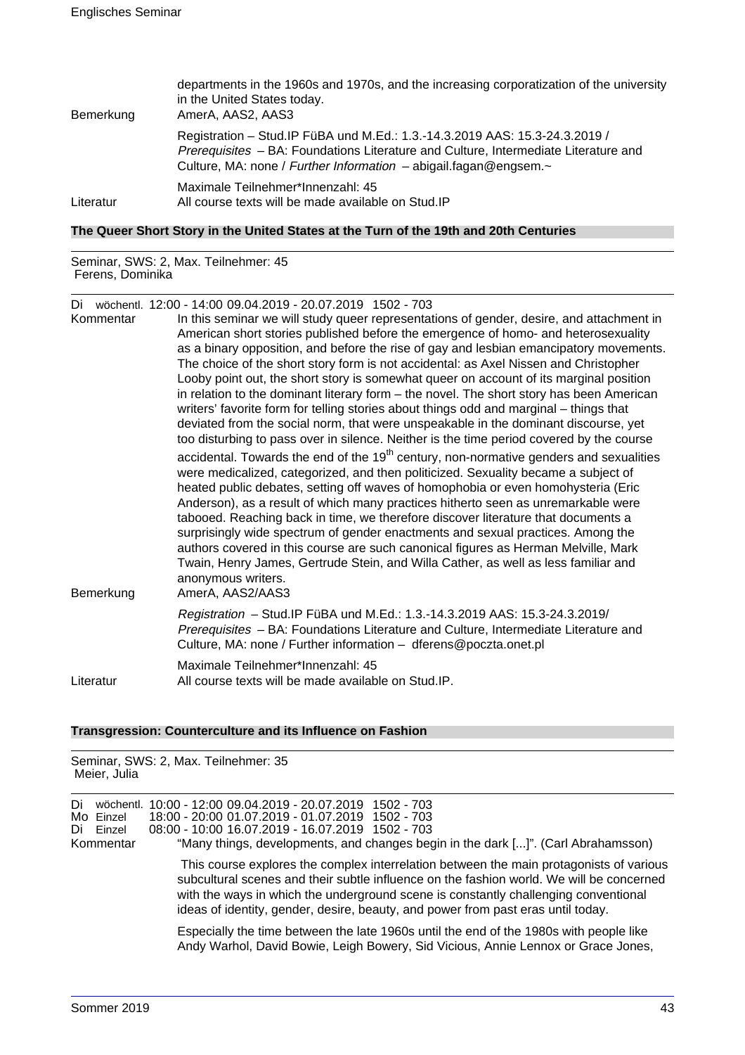| Bemerkung | departments in the 1960s and 1970s, and the increasing corporatization of the university<br>in the United States today.<br>AmerA, AAS2, AAS3                                                                                                    |
|-----------|-------------------------------------------------------------------------------------------------------------------------------------------------------------------------------------------------------------------------------------------------|
|           | Registration - Stud. IP FüBA und M.Ed.: 1.3.-14.3.2019 AAS: 15.3-24.3.2019 /<br>Prerequisites - BA: Foundations Literature and Culture, Intermediate Literature and<br>Culture, MA: none / Further Information $-$ abigail.fagan@engsem. $\sim$ |
| Literatur | Maximale Teilnehmer*Innenzahl: 45<br>All course texts will be made available on Stud. IP                                                                                                                                                        |

## **The Queer Short Story in the United States at the Turn of the 19th and 20th Centuries**

Seminar, SWS: 2, Max. Teilnehmer: 45 Ferens, Dominika

Di wöchentl. 12:00 - 14:00 09.04.2019 - 20.07.2019 1502 - 703

| Kommentar | In this seminar we will study queer representations of gender, desire, and attachment in<br>American short stories published before the emergence of homo- and heterosexuality<br>as a binary opposition, and before the rise of gay and lesbian emancipatory movements.<br>The choice of the short story form is not accidental: as Axel Nissen and Christopher<br>Looby point out, the short story is somewhat queer on account of its marginal position<br>in relation to the dominant literary form – the novel. The short story has been American<br>writers' favorite form for telling stories about things odd and marginal – things that<br>deviated from the social norm, that were unspeakable in the dominant discourse, yet                                                                                                            |
|-----------|----------------------------------------------------------------------------------------------------------------------------------------------------------------------------------------------------------------------------------------------------------------------------------------------------------------------------------------------------------------------------------------------------------------------------------------------------------------------------------------------------------------------------------------------------------------------------------------------------------------------------------------------------------------------------------------------------------------------------------------------------------------------------------------------------------------------------------------------------|
| Bemerkung | too disturbing to pass over in silence. Neither is the time period covered by the course<br>accidental. Towards the end of the $19th$ century, non-normative genders and sexualities<br>were medicalized, categorized, and then politicized. Sexuality became a subject of<br>heated public debates, setting off waves of homophobia or even homohysteria (Eric<br>Anderson), as a result of which many practices hitherto seen as unremarkable were<br>tabooed. Reaching back in time, we therefore discover literature that documents a<br>surprisingly wide spectrum of gender enactments and sexual practices. Among the<br>authors covered in this course are such canonical figures as Herman Melville, Mark<br>Twain, Henry James, Gertrude Stein, and Willa Cather, as well as less familiar and<br>anonymous writers.<br>AmerA, AAS2/AAS3 |
|           | Registration - Stud.IP FüBA und M.Ed.: 1.3.-14.3.2019 AAS: 15.3-24.3.2019/<br>Prerequisites - BA: Foundations Literature and Culture, Intermediate Literature and<br>Culture, MA: none / Further information - dferens@poczta.onet.pl                                                                                                                                                                                                                                                                                                                                                                                                                                                                                                                                                                                                              |
| Literatur | Maximale Teilnehmer*Innenzahl: 45<br>All course texts will be made available on Stud. IP.                                                                                                                                                                                                                                                                                                                                                                                                                                                                                                                                                                                                                                                                                                                                                          |

## **Transgression: Counterculture and its Influence on Fashion**

Seminar, SWS: 2, Max. Teilnehmer: 35 Meier, Julia

| Di<br>Mo Einzel<br>Di Einzel<br>Kommentar |                                                                                                                                                                             | wöchentl. 10:00 - 12:00 09.04.2019 - 20.07.2019 1502 - 703<br>18:00 - 20:00 01.07.2019 - 01.07.2019 1502 - 703<br>08:00 - 10:00 16.07.2019 - 16.07.2019 1502 - 703<br>"Many things, developments, and changes begin in the dark []". (Carl Abrahamsson)                                                                                                        |
|-------------------------------------------|-----------------------------------------------------------------------------------------------------------------------------------------------------------------------------|----------------------------------------------------------------------------------------------------------------------------------------------------------------------------------------------------------------------------------------------------------------------------------------------------------------------------------------------------------------|
|                                           |                                                                                                                                                                             | This course explores the complex interrelation between the main protagonists of various<br>subcultural scenes and their subtle influence on the fashion world. We will be concerned<br>with the ways in which the underground scene is constantly challenging conventional<br>ideas of identity, gender, desire, beauty, and power from past eras until today. |
|                                           | Especially the time between the late 1960s until the end of the 1980s with people like<br>Andy Warhol, David Bowie, Leigh Bowery, Sid Vicious, Annie Lennox or Grace Jones, |                                                                                                                                                                                                                                                                                                                                                                |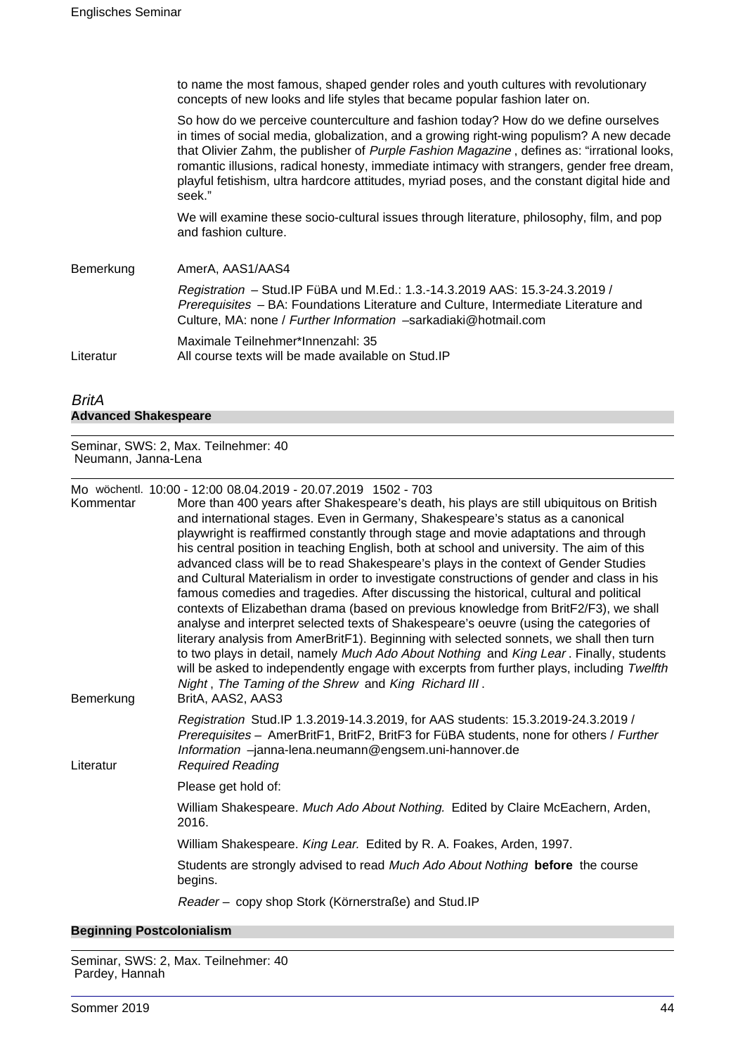to name the most famous, shaped gender roles and youth cultures with revolutionary concepts of new looks and life styles that became popular fashion later on.

So how do we perceive counterculture and fashion today? How do we define ourselves in times of social media, globalization, and a growing right-wing populism? A new decade that Olivier Zahm, the publisher of Purple Fashion Magazine, defines as: "irrational looks, romantic illusions, radical honesty, immediate intimacy with strangers, gender free dream, playful fetishism, ultra hardcore attitudes, myriad poses, and the constant digital hide and seek."

We will examine these socio-cultural issues through literature, philosophy, film, and pop and fashion culture.

Bemerkung AmerA, AAS1/AAS4 Registration – Stud.IP FüBA und M.Ed.: 1.3.-14.3.2019 AAS: 15.3-24.3.2019 / Prerequisites – BA: Foundations Literature and Culture, Intermediate Literature and Culture, MA: none / Further Information –sarkadiaki@hotmail.com Maximale Teilnehmer\*Innenzahl: 35 Literatur All course texts will be made available on Stud.IP

## BritA **Advanced Shakespeare**

Seminar, SWS: 2, Max. Teilnehmer: 40 Neumann, Janna-Lena

Mo wöchentl. 10:00 - 12:00 08.04.2019 - 20.07.2019 1502 - 703

| Kommentar<br>Bemerkung | More than 400 years after Shakespeare's death, his plays are still ubiquitous on British<br>and international stages. Even in Germany, Shakespeare's status as a canonical<br>playwright is reaffirmed constantly through stage and movie adaptations and through<br>his central position in teaching English, both at school and university. The aim of this<br>advanced class will be to read Shakespeare's plays in the context of Gender Studies<br>and Cultural Materialism in order to investigate constructions of gender and class in his<br>famous comedies and tragedies. After discussing the historical, cultural and political<br>contexts of Elizabethan drama (based on previous knowledge from BritF2/F3), we shall<br>analyse and interpret selected texts of Shakespeare's oeuvre (using the categories of<br>literary analysis from AmerBritF1). Beginning with selected sonnets, we shall then turn<br>to two plays in detail, namely Much Ado About Nothing and King Lear. Finally, students<br>will be asked to independently engage with excerpts from further plays, including Twelfth<br>Night, The Taming of the Shrew and King Richard III.<br>BritA, AAS2, AAS3 |  |
|------------------------|---------------------------------------------------------------------------------------------------------------------------------------------------------------------------------------------------------------------------------------------------------------------------------------------------------------------------------------------------------------------------------------------------------------------------------------------------------------------------------------------------------------------------------------------------------------------------------------------------------------------------------------------------------------------------------------------------------------------------------------------------------------------------------------------------------------------------------------------------------------------------------------------------------------------------------------------------------------------------------------------------------------------------------------------------------------------------------------------------------------------------------------------------------------------------------------------|--|
| Literatur              | Registration Stud.IP 1.3.2019-14.3.2019, for AAS students: 15.3.2019-24.3.2019 /<br>Prerequisites - AmerBritF1, BritF2, BritF3 for FüBA students, none for others / Further<br>Information -janna-lena.neumann@engsem.uni-hannover.de<br><b>Required Reading</b>                                                                                                                                                                                                                                                                                                                                                                                                                                                                                                                                                                                                                                                                                                                                                                                                                                                                                                                            |  |
|                        | Please get hold of:                                                                                                                                                                                                                                                                                                                                                                                                                                                                                                                                                                                                                                                                                                                                                                                                                                                                                                                                                                                                                                                                                                                                                                         |  |
|                        | William Shakespeare. Much Ado About Nothing. Edited by Claire McEachern, Arden,<br>2016.                                                                                                                                                                                                                                                                                                                                                                                                                                                                                                                                                                                                                                                                                                                                                                                                                                                                                                                                                                                                                                                                                                    |  |
|                        | William Shakespeare. King Lear. Edited by R. A. Foakes, Arden, 1997.                                                                                                                                                                                                                                                                                                                                                                                                                                                                                                                                                                                                                                                                                                                                                                                                                                                                                                                                                                                                                                                                                                                        |  |
|                        | Students are strongly advised to read Much Ado About Nothing before the course<br>begins.                                                                                                                                                                                                                                                                                                                                                                                                                                                                                                                                                                                                                                                                                                                                                                                                                                                                                                                                                                                                                                                                                                   |  |
|                        | Reader - copy shop Stork (Körnerstraße) and Stud. IP                                                                                                                                                                                                                                                                                                                                                                                                                                                                                                                                                                                                                                                                                                                                                                                                                                                                                                                                                                                                                                                                                                                                        |  |

#### **Beginning Postcolonialism**

Seminar, SWS: 2, Max. Teilnehmer: 40 Pardey, Hannah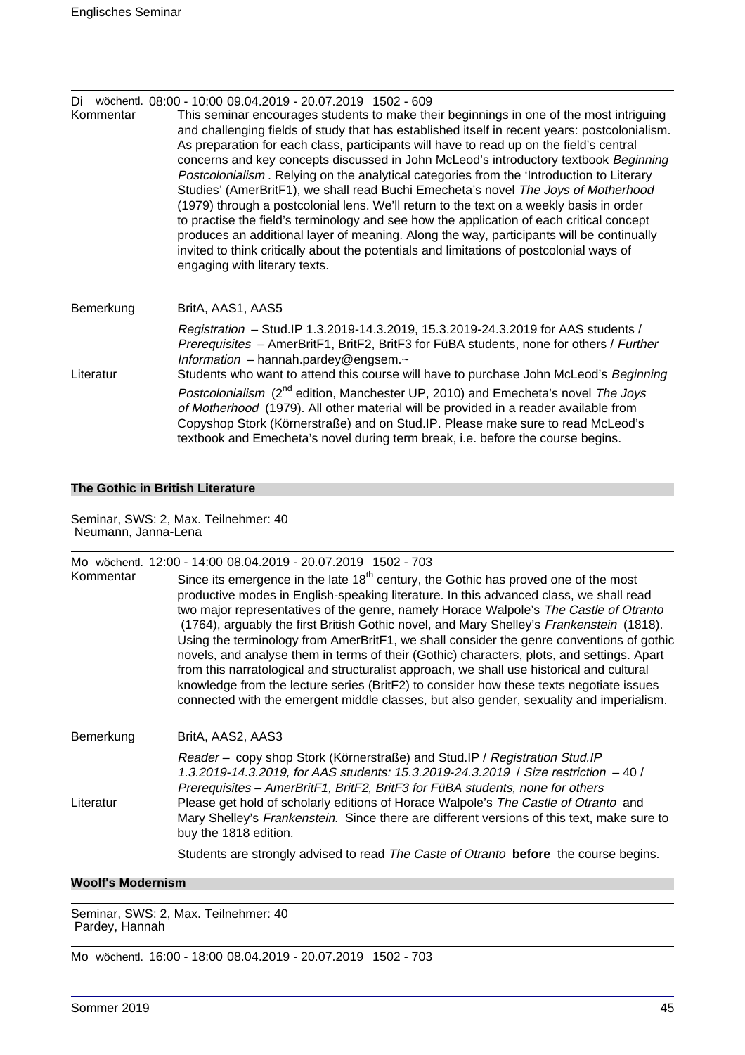| Di<br>Kommentar | wöchentl, 08:00 - 10:00 09:04.2019 - 20:07.2019 1502 - 609<br>This seminar encourages students to make their beginnings in one of the most intriguing<br>and challenging fields of study that has established itself in recent years: postcolonialism.<br>As preparation for each class, participants will have to read up on the field's central<br>concerns and key concepts discussed in John McLeod's introductory textbook Beginning<br>Postcolonialism. Relying on the analytical categories from the 'Introduction to Literary<br>Studies' (AmerBritF1), we shall read Buchi Emecheta's novel The Joys of Motherhood<br>(1979) through a postcolonial lens. We'll return to the text on a weekly basis in order<br>to practise the field's terminology and see how the application of each critical concept<br>produces an additional layer of meaning. Along the way, participants will be continually<br>invited to think critically about the potentials and limitations of postcolonial ways of<br>engaging with literary texts. |
|-----------------|---------------------------------------------------------------------------------------------------------------------------------------------------------------------------------------------------------------------------------------------------------------------------------------------------------------------------------------------------------------------------------------------------------------------------------------------------------------------------------------------------------------------------------------------------------------------------------------------------------------------------------------------------------------------------------------------------------------------------------------------------------------------------------------------------------------------------------------------------------------------------------------------------------------------------------------------------------------------------------------------------------------------------------------------|
| Bemerkung       | BritA, AAS1, AAS5                                                                                                                                                                                                                                                                                                                                                                                                                                                                                                                                                                                                                                                                                                                                                                                                                                                                                                                                                                                                                           |
| Literatur       | Registration - Stud. IP 1.3.2019-14.3.2019, 15.3.2019-24.3.2019 for AAS students /<br>Prerequisites - AmerBritF1, BritF2, BritF3 for FüBA students, none for others / Further<br>Information - hannah.pardey@engsem. $\sim$<br>Students who want to attend this course will have to purchase John McLeod's Beginning                                                                                                                                                                                                                                                                                                                                                                                                                                                                                                                                                                                                                                                                                                                        |
|                 | Postcolonialism (2 <sup>nd</sup> edition, Manchester UP, 2010) and Emecheta's novel The Joys<br>of Motherhood (1979). All other material will be provided in a reader available from<br>Copyshop Stork (Körnerstraße) and on Stud. IP. Please make sure to read McLeod's<br>textbook and Emecheta's novel during term break, i.e. before the course begins.                                                                                                                                                                                                                                                                                                                                                                                                                                                                                                                                                                                                                                                                                 |

## **The Gothic in British Literature**

Seminar, SWS: 2, Max. Teilnehmer: 40 Neumann, Janna-Lena

| Kommentar | Mo wöchentl. 12:00 - 14:00 08.04.2019 - 20.07.2019 1502 - 703<br>Since its emergence in the late $18th$ century, the Gothic has proved one of the most<br>productive modes in English-speaking literature. In this advanced class, we shall read<br>two major representatives of the genre, namely Horace Walpole's The Castle of Otranto<br>(1764), arguably the first British Gothic novel, and Mary Shelley's Frankenstein (1818).<br>Using the terminology from AmerBritF1, we shall consider the genre conventions of gothic<br>novels, and analyse them in terms of their (Gothic) characters, plots, and settings. Apart<br>from this narratological and structuralist approach, we shall use historical and cultural<br>knowledge from the lecture series (BritF2) to consider how these texts negotiate issues |
|-----------|-------------------------------------------------------------------------------------------------------------------------------------------------------------------------------------------------------------------------------------------------------------------------------------------------------------------------------------------------------------------------------------------------------------------------------------------------------------------------------------------------------------------------------------------------------------------------------------------------------------------------------------------------------------------------------------------------------------------------------------------------------------------------------------------------------------------------|
| Bemerkung | connected with the emergent middle classes, but also gender, sexuality and imperialism.<br>BritA, AAS2, AAS3                                                                                                                                                                                                                                                                                                                                                                                                                                                                                                                                                                                                                                                                                                            |
| Literatur | Reader – copy shop Stork (Körnerstraße) and Stud.IP / Registration Stud.IP<br>1.3.2019-14.3.2019, for AAS students: 15.3.2019-24.3.2019 / Size restriction -40 /<br>Prerequisites - AmerBritF1, BritF2, BritF3 for FüBA students, none for others<br>Please get hold of scholarly editions of Horace Walpole's The Castle of Otranto and<br>Mary Shelley's Frankenstein. Since there are different versions of this text, make sure to<br>buy the 1818 edition.                                                                                                                                                                                                                                                                                                                                                         |
|           | Students are strongly advised to read The Caste of Otranto before the course begins.                                                                                                                                                                                                                                                                                                                                                                                                                                                                                                                                                                                                                                                                                                                                    |

## **Woolf's Modernism**

Seminar, SWS: 2, Max. Teilnehmer: 40 Pardey, Hannah

Mo wöchentl. 16:00 - 18:00 08.04.2019 - 20.07.2019 1502 - 703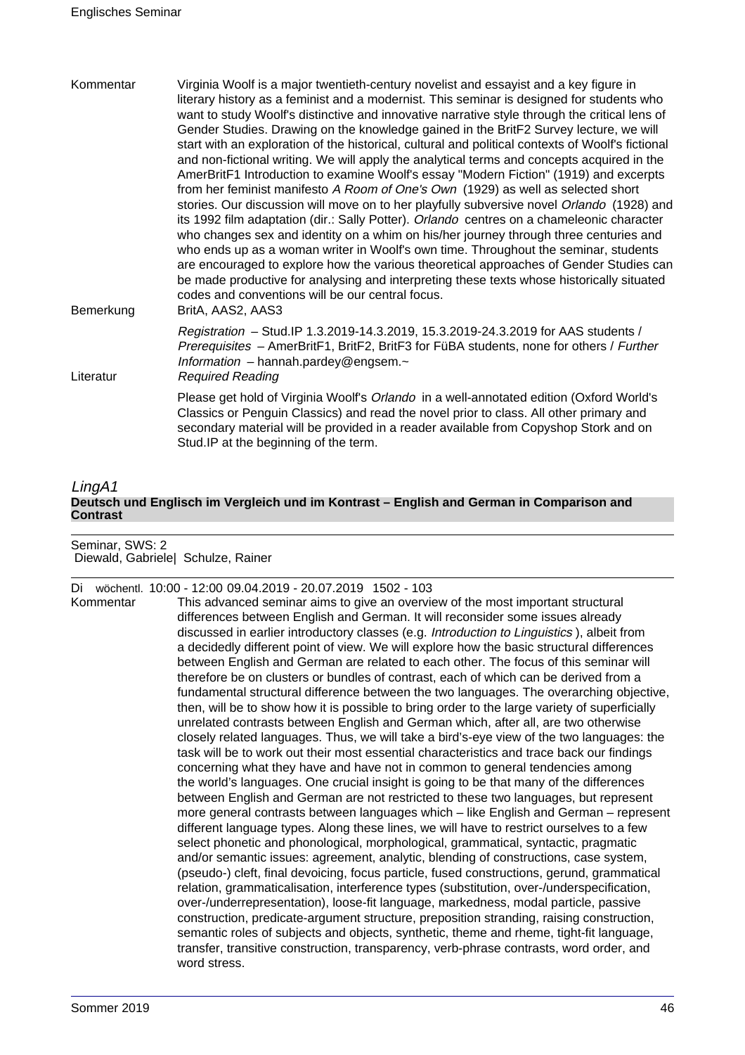| Kommentar<br>Bemerkung | Virginia Woolf is a major twentieth-century novelist and essayist and a key figure in<br>literary history as a feminist and a modernist. This seminar is designed for students who<br>want to study Woolf's distinctive and innovative narrative style through the critical lens of<br>Gender Studies. Drawing on the knowledge gained in the BritF2 Survey lecture, we will<br>start with an exploration of the historical, cultural and political contexts of Woolf's fictional<br>and non-fictional writing. We will apply the analytical terms and concepts acquired in the<br>AmerBritF1 Introduction to examine Woolf's essay "Modern Fiction" (1919) and excerpts<br>from her feminist manifesto A Room of One's Own (1929) as well as selected short<br>stories. Our discussion will move on to her playfully subversive novel Orlando (1928) and<br>its 1992 film adaptation (dir.: Sally Potter). Orlando centres on a chameleonic character<br>who changes sex and identity on a whim on his/her journey through three centuries and<br>who ends up as a woman writer in Woolf's own time. Throughout the seminar, students<br>are encouraged to explore how the various theoretical approaches of Gender Studies can<br>be made productive for analysing and interpreting these texts whose historically situated<br>codes and conventions will be our central focus. |  |
|------------------------|-----------------------------------------------------------------------------------------------------------------------------------------------------------------------------------------------------------------------------------------------------------------------------------------------------------------------------------------------------------------------------------------------------------------------------------------------------------------------------------------------------------------------------------------------------------------------------------------------------------------------------------------------------------------------------------------------------------------------------------------------------------------------------------------------------------------------------------------------------------------------------------------------------------------------------------------------------------------------------------------------------------------------------------------------------------------------------------------------------------------------------------------------------------------------------------------------------------------------------------------------------------------------------------------------------------------------------------------------------------------------------------|--|
| Literatur              | BritA, AAS2, AAS3<br>Registration - Stud. IP 1.3.2019-14.3.2019, 15.3.2019-24.3.2019 for AAS students /<br>Prerequisites - AmerBritF1, BritF2, BritF3 for FüBA students, none for others / Further<br>Information - hannah.pardey@engsem.~<br><b>Required Reading</b>                                                                                                                                                                                                                                                                                                                                                                                                                                                                                                                                                                                                                                                                                                                                                                                                                                                                                                                                                                                                                                                                                                             |  |
|                        | Please get hold of Virginia Woolf's Orlando in a well-annotated edition (Oxford World's<br>Classics or Penguin Classics) and read the novel prior to class. All other primary and<br>secondary material will be provided in a reader available from Copyshop Stork and on<br>Stud. IP at the beginning of the term.                                                                                                                                                                                                                                                                                                                                                                                                                                                                                                                                                                                                                                                                                                                                                                                                                                                                                                                                                                                                                                                               |  |

## LingA1 **Deutsch und Englisch im Vergleich und im Kontrast – English and German in Comparison and Contrast**

Seminar, SWS: 2 Diewald, Gabriele| Schulze, Rainer

Di wöchentl. 10:00 - 12:00 09.04.2019 - 20.07.2019 1502 - 103

Kommentar This advanced seminar aims to give an overview of the most important structural differences between English and German. It will reconsider some issues already discussed in earlier introductory classes (e.g. Introduction to Linguistics ), albeit from a decidedly different point of view. We will explore how the basic structural differences between English and German are related to each other. The focus of this seminar will therefore be on clusters or bundles of contrast, each of which can be derived from a fundamental structural difference between the two languages. The overarching objective, then, will be to show how it is possible to bring order to the large variety of superficially unrelated contrasts between English and German which, after all, are two otherwise closely related languages. Thus, we will take a bird's-eye view of the two languages: the task will be to work out their most essential characteristics and trace back our findings concerning what they have and have not in common to general tendencies among the world's languages. One crucial insight is going to be that many of the differences between English and German are not restricted to these two languages, but represent more general contrasts between languages which – like English and German – represent different language types. Along these lines, we will have to restrict ourselves to a few select phonetic and phonological, morphological, grammatical, syntactic, pragmatic and/or semantic issues: agreement, analytic, blending of constructions, case system, (pseudo-) cleft, final devoicing, focus particle, fused constructions, gerund, grammatical relation, grammaticalisation, interference types (substitution, over-/underspecification, over-/underrepresentation), loose-fit language, markedness, modal particle, passive construction, predicate-argument structure, preposition stranding, raising construction, semantic roles of subjects and objects, synthetic, theme and rheme, tight-fit language, transfer, transitive construction, transparency, verb-phrase contrasts, word order, and word stress.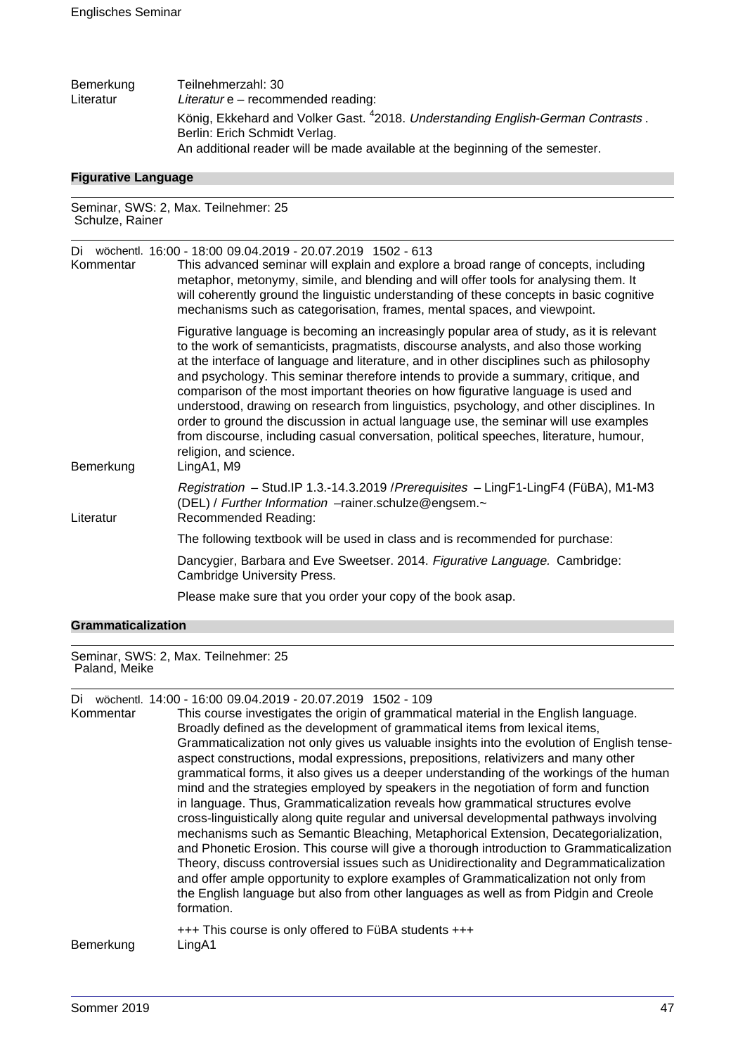| Bemerkung | Teilnehmerzahl: 30                                                                          |
|-----------|---------------------------------------------------------------------------------------------|
| Literatur | Literatur $e$ – recommended reading:                                                        |
|           | König, Ekkehard and Volker Gast. <sup>4</sup> 2018. Understanding English-German Contrasts. |
|           | Berlin: Erich Schmidt Verlag.                                                               |
|           | An additional reader will be made available at the beginning of the semester.               |

#### **Figurative Language**

Seminar, SWS: 2, Max. Teilnehmer: 25 Schulze, Rainer

| Kommentar | Di wöchentl. 16:00 - 18:00 09.04.2019 - 20.07.2019 1502 - 613<br>This advanced seminar will explain and explore a broad range of concepts, including<br>metaphor, metonymy, simile, and blending and will offer tools for analysing them. It<br>will coherently ground the linguistic understanding of these concepts in basic cognitive<br>mechanisms such as categorisation, frames, mental spaces, and viewpoint.                                                                                                                                                                                                                                                                                                                                                        |
|-----------|-----------------------------------------------------------------------------------------------------------------------------------------------------------------------------------------------------------------------------------------------------------------------------------------------------------------------------------------------------------------------------------------------------------------------------------------------------------------------------------------------------------------------------------------------------------------------------------------------------------------------------------------------------------------------------------------------------------------------------------------------------------------------------|
| Bemerkung | Figurative language is becoming an increasingly popular area of study, as it is relevant<br>to the work of semanticists, pragmatists, discourse analysts, and also those working<br>at the interface of language and literature, and in other disciplines such as philosophy<br>and psychology. This seminar therefore intends to provide a summary, critique, and<br>comparison of the most important theories on how figurative language is used and<br>understood, drawing on research from linguistics, psychology, and other disciplines. In<br>order to ground the discussion in actual language use, the seminar will use examples<br>from discourse, including casual conversation, political speeches, literature, humour,<br>religion, and science.<br>LingA1, M9 |
| Literatur | Registration - Stud.IP 1.3.-14.3.2019 / Prerequisites - LingF1-LingF4 (FüBA), M1-M3<br>(DEL) / Further Information -rainer.schulze@engsem.~<br>Recommended Reading:                                                                                                                                                                                                                                                                                                                                                                                                                                                                                                                                                                                                         |
|           | The following textbook will be used in class and is recommended for purchase:                                                                                                                                                                                                                                                                                                                                                                                                                                                                                                                                                                                                                                                                                               |
|           | Dancygier, Barbara and Eve Sweetser. 2014. Figurative Language. Cambridge:<br>Cambridge University Press.                                                                                                                                                                                                                                                                                                                                                                                                                                                                                                                                                                                                                                                                   |
|           | Please make sure that you order your copy of the book asap.                                                                                                                                                                                                                                                                                                                                                                                                                                                                                                                                                                                                                                                                                                                 |
|           |                                                                                                                                                                                                                                                                                                                                                                                                                                                                                                                                                                                                                                                                                                                                                                             |

#### **Grammaticalization**

Seminar, SWS: 2, Max. Teilnehmer: 25 Paland, Meike

Di wöchentl. 14:00 - 16:00 09.04.2019 - 20.07.2019 1502 - 109

Kommentar This course investigates the origin of grammatical material in the English language. Broadly defined as the development of grammatical items from lexical items, Grammaticalization not only gives us valuable insights into the evolution of English tenseaspect constructions, modal expressions, prepositions, relativizers and many other grammatical forms, it also gives us a deeper understanding of the workings of the human mind and the strategies employed by speakers in the negotiation of form and function in language. Thus, Grammaticalization reveals how grammatical structures evolve cross-linguistically along quite regular and universal developmental pathways involving mechanisms such as Semantic Bleaching, Metaphorical Extension, Decategorialization, and Phonetic Erosion. This course will give a thorough introduction to Grammaticalization Theory, discuss controversial issues such as Unidirectionality and Degrammaticalization and offer ample opportunity to explore examples of Grammaticalization not only from the English language but also from other languages as well as from Pidgin and Creole formation.

## +++ This course is only offered to FüBA students +++ Bemerkung LingA1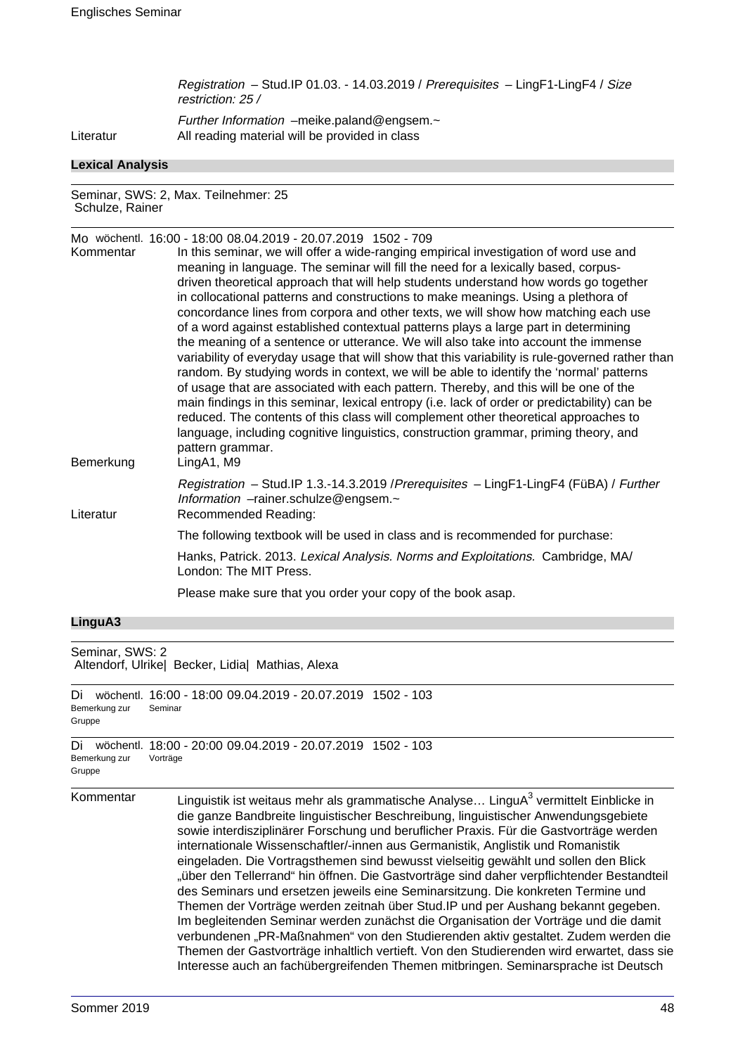Registration – Stud.IP 01.03. - 14.03.2019 / Prerequisites – LingF1-LingF4 / Size restriction: 25 /

Further Information –meike.paland@engsem. $\sim$ Literatur All reading material will be provided in class

### **Lexical Analysis**

Seminar, SWS: 2, Max. Teilnehmer: 25 Schulze, Rainer

Mo wöchentl. 16:00 - 18:00 08.04.2019 - 20.07.2019 1502 - 709 Kommentar In this seminar, we will offer a wide-ranging empirical investigation of word use and meaning in language. The seminar will fill the need for a lexically based, corpusdriven theoretical approach that will help students understand how words go together in collocational patterns and constructions to make meanings. Using a plethora of concordance lines from corpora and other texts, we will show how matching each use of a word against established contextual patterns plays a large part in determining the meaning of a sentence or utterance. We will also take into account the immense variability of everyday usage that will show that this variability is rule-governed rather than random. By studying words in context, we will be able to identify the 'normal' patterns of usage that are associated with each pattern. Thereby, and this will be one of the main findings in this seminar, lexical entropy (i.e. lack of order or predictability) can be reduced. The contents of this class will complement other theoretical approaches to language, including cognitive linguistics, construction grammar, priming theory, and pattern grammar. Bemerkung LingA1, M9 Registration – Stud.IP 1.3.-14.3.2019 /Prerequisites – LingF1-LingF4 (FüBA) / Further Information –rainer.schulze@engsem.~ Literatur Recommended Reading: The following textbook will be used in class and is recommended for purchase: Hanks, Patrick. 2013. Lexical Analysis. Norms and Exploitations. Cambridge, MA/ London: The MIT Press. Please make sure that you order your copy of the book asap.

#### **LinguA3**

Seminar, SWS: 2 Altendorf, Ulrike| Becker, Lidia| Mathias, Alexa

Vorträge

```
Di wöchentl. 16:00 - 18:00 09.04.2019 - 20.07.2019 1502 - 103
Bemerkung zur
Gruppe
              Seminar
Di wöchentl. 18:00 - 20:00 09.04.2019 - 20.07.2019 1502 - 103
```

```
Bemerkung zur
```
# Gruppe

Kommentar binguistik ist weitaus mehr als grammatische Analyse... LinguA $^3$  vermittelt Einblicke in die ganze Bandbreite linguistischer Beschreibung, linguistischer Anwendungsgebiete sowie interdisziplinärer Forschung und beruflicher Praxis. Für die Gastvorträge werden internationale Wissenschaftler/-innen aus Germanistik, Anglistik und Romanistik eingeladen. Die Vortragsthemen sind bewusst vielseitig gewählt und sollen den Blick "über den Tellerrand" hin öffnen. Die Gastvorträge sind daher verpflichtender Bestandteil des Seminars und ersetzen jeweils eine Seminarsitzung. Die konkreten Termine und Themen der Vorträge werden zeitnah über Stud.IP und per Aushang bekannt gegeben. Im begleitenden Seminar werden zunächst die Organisation der Vorträge und die damit verbundenen "PR-Maßnahmen" von den Studierenden aktiv gestaltet. Zudem werden die Themen der Gastvorträge inhaltlich vertieft. Von den Studierenden wird erwartet, dass sie Interesse auch an fachübergreifenden Themen mitbringen. Seminarsprache ist Deutsch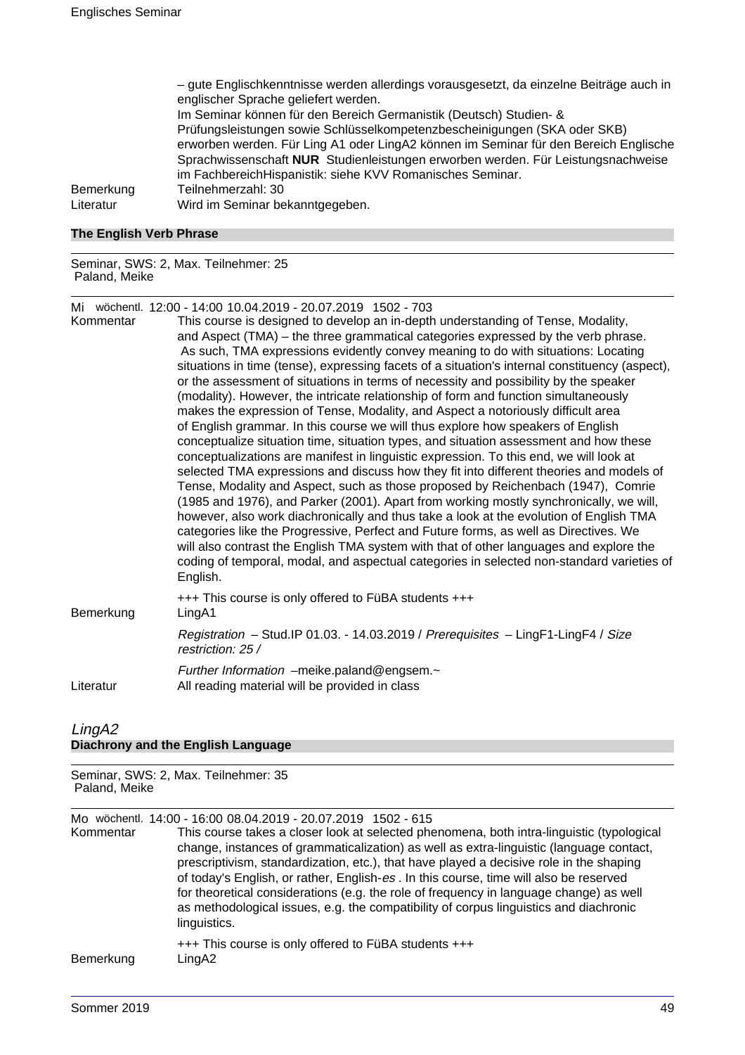– gute Englischkenntnisse werden allerdings vorausgesetzt, da einzelne Beiträge auch in englischer Sprache geliefert werden. Im Seminar können für den Bereich Germanistik (Deutsch) Studien- & Prüfungsleistungen sowie Schlüsselkompetenzbescheinigungen (SKA oder SKB) erworben werden. Für Ling A1 oder LingA2 können im Seminar für den Bereich Englische Sprachwissenschaft **NUR** Studienleistungen erworben werden. Für Leistungsnachweise im FachbereichHispanistik: siehe KVV Romanisches Seminar. Bemerkung Teilnehmerzahl: 30 Literatur Wird im Seminar bekanntgegeben.

#### **The English Verb Phrase**

Seminar, SWS: 2, Max. Teilnehmer: 25 Paland, Meike

Mi wöchentl. 12:00 - 14:00 10.04.2019 - 20.07.2019 1502 - 703

This course is designed to develop an in-depth understanding of Tense, Modality, and Aspect (TMA) – the three grammatical categories expressed by the verb phrase. As such, TMA expressions evidently convey meaning to do with situations: Locating situations in time (tense), expressing facets of a situation's internal constituency (aspect), or the assessment of situations in terms of necessity and possibility by the speaker (modality). However, the intricate relationship of form and function simultaneously makes the expression of Tense, Modality, and Aspect a notoriously difficult area of English grammar. In this course we will thus explore how speakers of English conceptualize situation time, situation types, and situation assessment and how these conceptualizations are manifest in linguistic expression. To this end, we will look at selected TMA expressions and discuss how they fit into different theories and models of Tense, Modality and Aspect, such as those proposed by Reichenbach (1947), Comrie (1985 and 1976), and Parker (2001). Apart from working mostly synchronically, we will, however, also work diachronically and thus take a look at the evolution of English TMA categories like the Progressive, Perfect and Future forms, as well as Directives. We will also contrast the English TMA system with that of other languages and explore the coding of temporal, modal, and aspectual categories in selected non-standard varieties of English. +++ This course is only offered to FüBA students +++ Bemerkung LingA1

Registration – Stud.IP 01.03. - 14.03.2019 / Prerequisites – LingF1-LingF4 / Size restriction: 25 /

Further Information –meike.paland@engsem.~ Literatur All reading material will be provided in class

# LingA2

**Diachrony and the English Language**

Seminar, SWS: 2, Max. Teilnehmer: 35 Paland, Meike

Mo wöchentl. 14:00 - 16:00 08.04.2019 - 20.07.2019 1502 - 615

Kommentar This course takes a closer look at selected phenomena, both intra-linguistic (typological change, instances of grammaticalization) as well as extra-linguistic (language contact, prescriptivism, standardization, etc.), that have played a decisive role in the shaping of today's English, or rather, English-es . In this course, time will also be reserved for theoretical considerations (e.g. the role of frequency in language change) as well as methodological issues, e.g. the compatibility of corpus linguistics and diachronic linguistics.

#### +++ This course is only offered to FüBA students +++ Bemerkung LingA2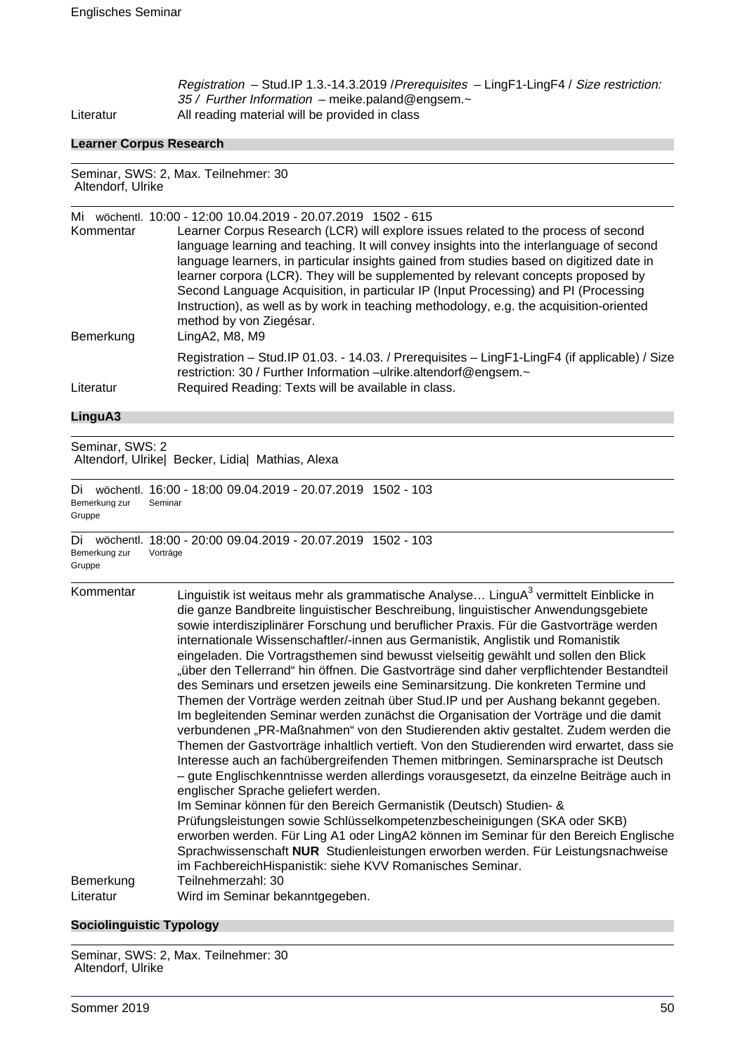Registration – Stud.IP 1.3.-14.3.2019 /Prerequisites – LingF1-LingF4 / Size restriction: 35 / Further Information - meike.paland@engsem.~ Literatur All reading material will be provided in class

## **Learner Corpus Research**

Seminar, SWS: 2, Max. Teilnehmer: 30 Altendorf, Ulrike

| Mi        | wöchentl. 10:00 - 12:00 10.04.2019 - 20.07.2019 1502 - 615                                                                                                         |
|-----------|--------------------------------------------------------------------------------------------------------------------------------------------------------------------|
| Kommentar | Learner Corpus Research (LCR) will explore issues related to the process of second                                                                                 |
|           | language learning and teaching. It will convey insights into the interlanguage of second                                                                           |
|           | language learners, in particular insights gained from studies based on digitized date in                                                                           |
|           | learner corpora (LCR). They will be supplemented by relevant concepts proposed by                                                                                  |
|           | Second Language Acquisition, in particular IP (Input Processing) and PI (Processing                                                                                |
|           | Instruction), as well as by work in teaching methodology, e.g. the acquisition-oriented<br>method by von Ziegésar.                                                 |
| Bemerkung | LingA2, M8, M9                                                                                                                                                     |
|           | Registration - Stud. IP 01.03. - 14.03. / Prerequisites - LingF1-LingF4 (if applicable) / Size<br>restriction: 30 / Further Information -ulrike.altendorf@engsem.~ |
| Literatur | Required Reading: Texts will be available in class.                                                                                                                |

## **LinguA3**

Seminar, SWS: 2 Altendorf, Ulrike| Becker, Lidia| Mathias, Alexa

Di wöchentl. 16:00 - 18:00 09.04.2019 - 20.07.2019 1502 - 103 Bemerkung zur Gruppe Seminar

Di wöchentl. 18:00 - 20:00 09.04.2019 - 20.07.2019 1502 - 103 Bemerkung zur Gruppe Vorträge

| Kommentar              | Linguistik ist weitaus mehr als grammatische Analyse LinguA <sup>3</sup> vermittelt Einblicke in<br>die ganze Bandbreite linguistischer Beschreibung, linguistischer Anwendungsgebiete<br>sowie interdisziplinärer Forschung und beruflicher Praxis. Für die Gastvorträge werden<br>internationale Wissenschaftler/-innen aus Germanistik, Anglistik und Romanistik<br>eingeladen. Die Vortragsthemen sind bewusst vielseitig gewählt und sollen den Blick<br>"über den Tellerrand" hin öffnen. Die Gastvorträge sind daher verpflichtender Bestandteil<br>des Seminars und ersetzen jeweils eine Seminarsitzung. Die konkreten Termine und<br>Themen der Vorträge werden zeitnah über Stud. IP und per Aushang bekannt gegeben.<br>Im begleitenden Seminar werden zunächst die Organisation der Vorträge und die damit<br>verbundenen "PR-Maßnahmen" von den Studierenden aktiv gestaltet. Zudem werden die<br>Themen der Gastvorträge inhaltlich vertieft. Von den Studierenden wird erwartet, dass sie<br>Interesse auch an fachübergreifenden Themen mitbringen. Seminarsprache ist Deutsch<br>- gute Englischkenntnisse werden allerdings vorausgesetzt, da einzelne Beiträge auch in<br>englischer Sprache geliefert werden.<br>Im Seminar können für den Bereich Germanistik (Deutsch) Studien- &<br>Prüfungsleistungen sowie Schlüsselkompetenzbescheinigungen (SKA oder SKB)<br>erworben werden. Für Ling A1 oder LingA2 können im Seminar für den Bereich Englische<br>Sprachwissenschaft NUR Studienleistungen erworben werden. Für Leistungsnachweise<br>im FachbereichHispanistik: siehe KVV Romanisches Seminar. |
|------------------------|--------------------------------------------------------------------------------------------------------------------------------------------------------------------------------------------------------------------------------------------------------------------------------------------------------------------------------------------------------------------------------------------------------------------------------------------------------------------------------------------------------------------------------------------------------------------------------------------------------------------------------------------------------------------------------------------------------------------------------------------------------------------------------------------------------------------------------------------------------------------------------------------------------------------------------------------------------------------------------------------------------------------------------------------------------------------------------------------------------------------------------------------------------------------------------------------------------------------------------------------------------------------------------------------------------------------------------------------------------------------------------------------------------------------------------------------------------------------------------------------------------------------------------------------------------------------------------------------------------------------------------|
| Bemerkung<br>Literatur | Teilnehmerzahl: 30<br>Wird im Seminar bekanntgegeben.                                                                                                                                                                                                                                                                                                                                                                                                                                                                                                                                                                                                                                                                                                                                                                                                                                                                                                                                                                                                                                                                                                                                                                                                                                                                                                                                                                                                                                                                                                                                                                          |
|                        |                                                                                                                                                                                                                                                                                                                                                                                                                                                                                                                                                                                                                                                                                                                                                                                                                                                                                                                                                                                                                                                                                                                                                                                                                                                                                                                                                                                                                                                                                                                                                                                                                                |

## **Sociolinguistic Typology**

Seminar, SWS: 2, Max. Teilnehmer: 30 Altendorf, Ulrike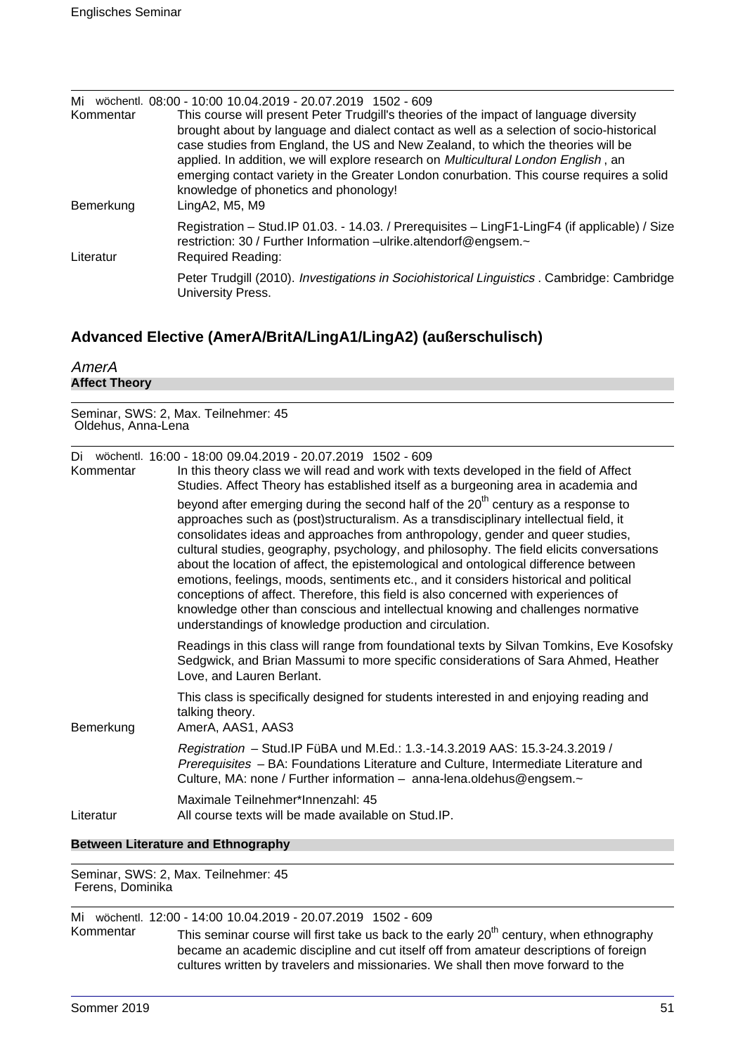| Mi<br>Kommentar | wöchentl, 08:00 - 10:00 10.04.2019 - 20.07.2019 1502 - 609<br>This course will present Peter Trudgill's theories of the impact of language diversity<br>brought about by language and dialect contact as well as a selection of socio-historical<br>case studies from England, the US and New Zealand, to which the theories will be<br>applied. In addition, we will explore research on Multicultural London English, an<br>emerging contact variety in the Greater London conurbation. This course requires a solid<br>knowledge of phonetics and phonology! |
|-----------------|-----------------------------------------------------------------------------------------------------------------------------------------------------------------------------------------------------------------------------------------------------------------------------------------------------------------------------------------------------------------------------------------------------------------------------------------------------------------------------------------------------------------------------------------------------------------|
| Bemerkung       | LingA2, M5, M9                                                                                                                                                                                                                                                                                                                                                                                                                                                                                                                                                  |
| Literatur       | Registration - Stud. IP 01.03. - 14.03. / Prerequisites - LingF1-LingF4 (if applicable) / Size<br>restriction: 30 / Further Information -ulrike.altendorf@engsem.~<br><b>Required Reading:</b>                                                                                                                                                                                                                                                                                                                                                                  |
|                 | Peter Trudgill (2010). Investigations in Sociohistorical Linguistics . Cambridge: Cambridge<br>University Press.                                                                                                                                                                                                                                                                                                                                                                                                                                                |

# **Advanced Elective (AmerA/BritA/LingA1/LingA2) (außerschulisch)**

| AmerA                |  |  |
|----------------------|--|--|
| <b>Affect Theory</b> |  |  |

Seminar, SWS: 2, Max. Teilnehmer: 45 Oldehus, Anna-Lena

| Di<br>Kommentar | wöchentl. 16:00 - 18:00 09.04.2019 - 20.07.2019 1502 - 609<br>In this theory class we will read and work with texts developed in the field of Affect<br>Studies. Affect Theory has established itself as a burgeoning area in academia and<br>beyond after emerging during the second half of the 20 <sup>th</sup> century as a response to<br>approaches such as (post)structuralism. As a transdisciplinary intellectual field, it<br>consolidates ideas and approaches from anthropology, gender and queer studies,<br>cultural studies, geography, psychology, and philosophy. The field elicits conversations<br>about the location of affect, the epistemological and ontological difference between<br>emotions, feelings, moods, sentiments etc., and it considers historical and political<br>conceptions of affect. Therefore, this field is also concerned with experiences of<br>knowledge other than conscious and intellectual knowing and challenges normative<br>understandings of knowledge production and circulation. |
|-----------------|------------------------------------------------------------------------------------------------------------------------------------------------------------------------------------------------------------------------------------------------------------------------------------------------------------------------------------------------------------------------------------------------------------------------------------------------------------------------------------------------------------------------------------------------------------------------------------------------------------------------------------------------------------------------------------------------------------------------------------------------------------------------------------------------------------------------------------------------------------------------------------------------------------------------------------------------------------------------------------------------------------------------------------------|
|                 | Readings in this class will range from foundational texts by Silvan Tomkins, Eve Kosofsky<br>Sedgwick, and Brian Massumi to more specific considerations of Sara Ahmed, Heather<br>Love, and Lauren Berlant.                                                                                                                                                                                                                                                                                                                                                                                                                                                                                                                                                                                                                                                                                                                                                                                                                             |
| Bemerkung       | This class is specifically designed for students interested in and enjoying reading and<br>talking theory.<br>AmerA, AAS1, AAS3                                                                                                                                                                                                                                                                                                                                                                                                                                                                                                                                                                                                                                                                                                                                                                                                                                                                                                          |
|                 | Registration - Stud. IP FüBA und M.Ed.: 1.3.-14.3.2019 AAS: 15.3-24.3.2019 /<br>Prerequisites - BA: Foundations Literature and Culture, Intermediate Literature and<br>Culture, MA: none / Further information - anna-lena.oldehus@engsem.~                                                                                                                                                                                                                                                                                                                                                                                                                                                                                                                                                                                                                                                                                                                                                                                              |
| Literatur       | Maximale Teilnehmer*Innenzahl: 45<br>All course texts will be made available on Stud. IP.                                                                                                                                                                                                                                                                                                                                                                                                                                                                                                                                                                                                                                                                                                                                                                                                                                                                                                                                                |
|                 |                                                                                                                                                                                                                                                                                                                                                                                                                                                                                                                                                                                                                                                                                                                                                                                                                                                                                                                                                                                                                                          |

## **Between Literature and Ethnography**

Seminar, SWS: 2, Max. Teilnehmer: 45 Ferens, Dominika

Mi wöchentl. 12:00 - 14:00 10.04.2019 - 20.07.2019 1502 - 609

Kommentar This seminar course will first take us back to the early 20<sup>th</sup> century, when ethnography became an academic discipline and cut itself off from amateur descriptions of foreign cultures written by travelers and missionaries. We shall then move forward to the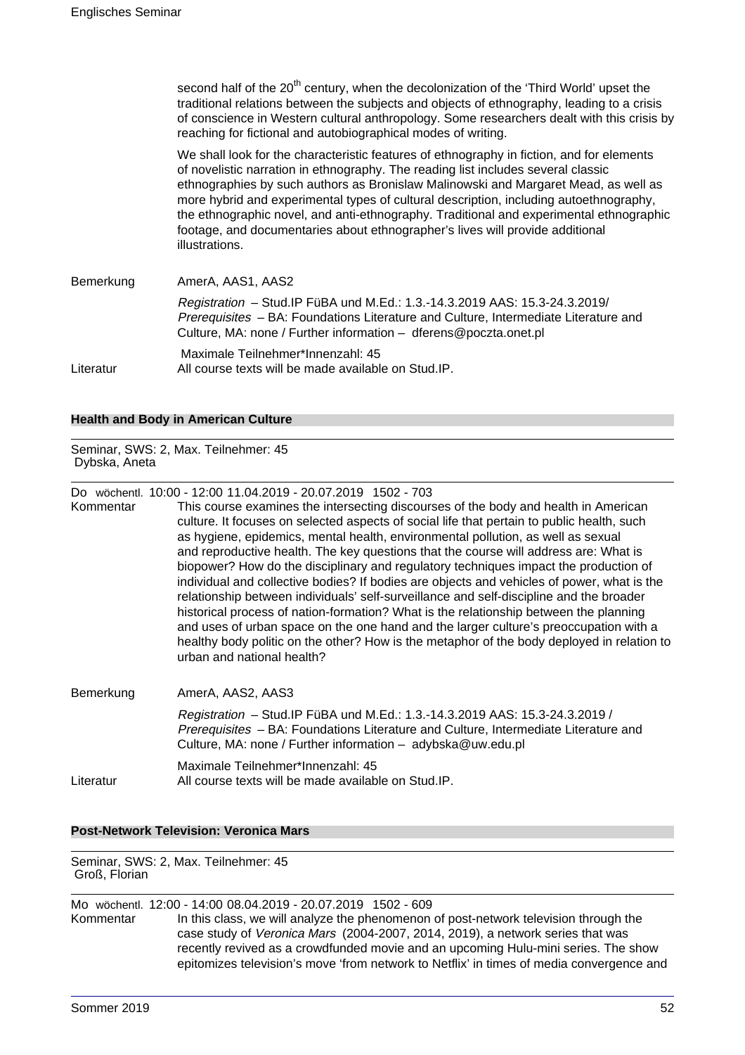second half of the  $20<sup>th</sup>$  century, when the decolonization of the 'Third World' upset the traditional relations between the subjects and objects of ethnography, leading to a crisis of conscience in Western cultural anthropology. Some researchers dealt with this crisis by reaching for fictional and autobiographical modes of writing. We shall look for the characteristic features of ethnography in fiction, and for elements of novelistic narration in ethnography. The reading list includes several classic ethnographies by such authors as Bronislaw Malinowski and Margaret Mead, as well as more hybrid and experimental types of cultural description, including autoethnography, the ethnographic novel, and anti-ethnography. Traditional and experimental ethnographic footage, and documentaries about ethnographer's lives will provide additional illustrations. Bemerkung AmerA, AAS1, AAS2 Registration – Stud.IP FüBA und M.Ed.: 1.3.-14.3.2019 AAS: 15.3-24.3.2019/ Prerequisites – BA: Foundations Literature and Culture, Intermediate Literature and Culture, MA: none / Further information – dferens@poczta.onet.pl Maximale Teilnehmer\*Innenzahl: 45 Literatur All course texts will be made available on Stud.IP.

## **Health and Body in American Culture**

Seminar, SWS: 2, Max. Teilnehmer: 45 Dybska, Aneta

Do wöchentl. 10:00 - 12:00 11.04.2019 - 20.07.2019 1502 - 703

Kommentar This course examines the intersecting discourses of the body and health in American culture. It focuses on selected aspects of social life that pertain to public health, such as hygiene, epidemics, mental health, environmental pollution, as well as sexual and reproductive health. The key questions that the course will address are: What is biopower? How do the disciplinary and regulatory techniques impact the production of individual and collective bodies? If bodies are objects and vehicles of power, what is the relationship between individuals' self-surveillance and self-discipline and the broader historical process of nation-formation? What is the relationship between the planning and uses of urban space on the one hand and the larger culture's preoccupation with a healthy body politic on the other? How is the metaphor of the body deployed in relation to urban and national health?

| Bemerkung | AmerA, AAS2, AAS3                                                                                                                                                                                                                         |  |  |  |  |
|-----------|-------------------------------------------------------------------------------------------------------------------------------------------------------------------------------------------------------------------------------------------|--|--|--|--|
|           | Registration - Stud. IP FüBA und M.Ed.: 1.3.-14.3.2019 AAS: 15.3-24.3.2019 /<br><i>Prerequisites</i> – BA: Foundations Literature and Culture, Intermediate Literature and<br>Culture, MA: none / Further information - adybska@uw.edu.pl |  |  |  |  |
| Literatur | Maximale Teilnehmer*Innenzahl: 45<br>All course texts will be made available on Stud. IP.                                                                                                                                                 |  |  |  |  |

## **Post-Network Television: Veronica Mars**

Seminar, SWS: 2, Max. Teilnehmer: 45 Groß, Florian

Mo wöchentl. 12:00 - 14:00 08.04.2019 - 20.07.2019 1502 - 609 Kommentar In this class, we will analyze the phenomenon of post-network television through the case study of Veronica Mars (2004-2007, 2014, 2019), a network series that was recently revived as a crowdfunded movie and an upcoming Hulu-mini series. The show epitomizes television's move 'from network to Netflix' in times of media convergence and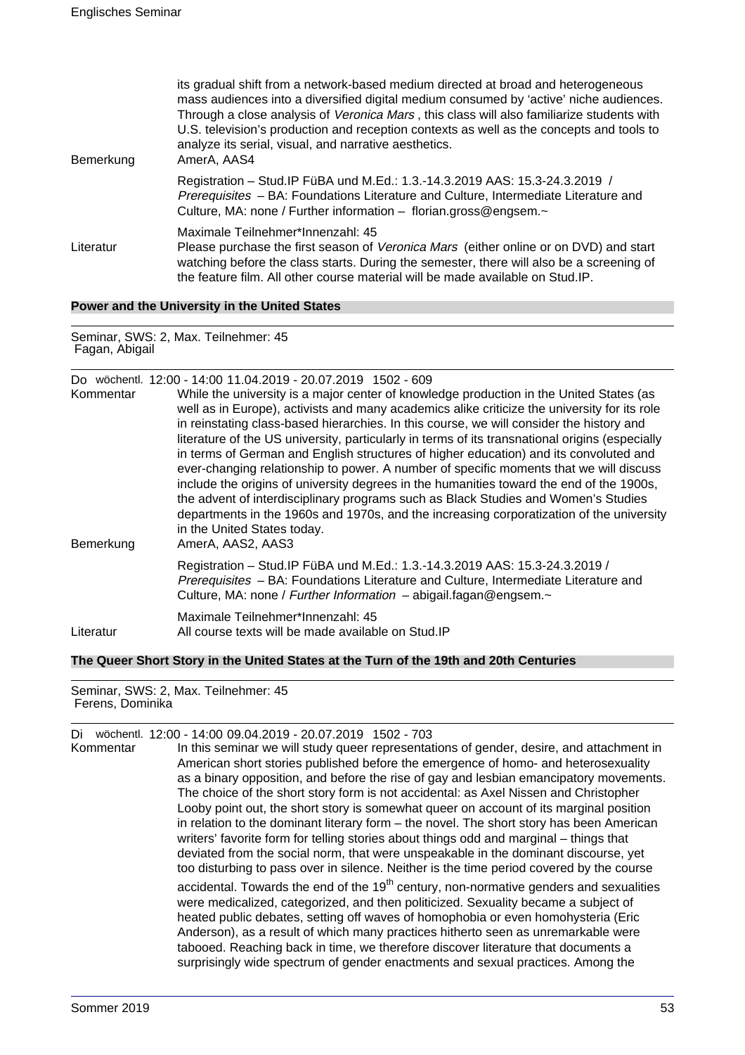| Bemerkung | its gradual shift from a network-based medium directed at broad and heterogeneous<br>mass audiences into a diversified digital medium consumed by 'active' niche audiences.<br>Through a close analysis of Veronica Mars, this class will also familiarize students with<br>U.S. television's production and reception contexts as well as the concepts and tools to<br>analyze its serial, visual, and narrative aesthetics.<br>AmerA, AAS4 |
|-----------|----------------------------------------------------------------------------------------------------------------------------------------------------------------------------------------------------------------------------------------------------------------------------------------------------------------------------------------------------------------------------------------------------------------------------------------------|
|           | Registration - Stud. IP FüBA und M.Ed.: 1.3.-14.3.2019 AAS: 15.3-24.3.2019 /<br>Prerequisites - BA: Foundations Literature and Culture, Intermediate Literature and<br>Culture, MA: none / Further information - florian.gross@engsem.~                                                                                                                                                                                                      |
| Literatur | Maximale Teilnehmer*Innenzahl: 45<br>Please purchase the first season of Veronica Mars (either online or on DVD) and start<br>watching before the class starts. During the semester, there will also be a screening of<br>the feature film. All other course material will be made available on Stud. IP.                                                                                                                                    |

**Power and the University in the United States**

Seminar, SWS: 2, Max. Teilnehmer: 45 Fagan, Abigail

| Kommentar | Do wöchentl. 12:00 - 14:00 11.04.2019 - 20.07.2019 1502 - 609<br>While the university is a major center of knowledge production in the United States (as<br>well as in Europe), activists and many academics alike criticize the university for its role<br>in reinstating class-based hierarchies. In this course, we will consider the history and<br>literature of the US university, particularly in terms of its transnational origins (especially<br>in terms of German and English structures of higher education) and its convoluted and<br>ever-changing relationship to power. A number of specific moments that we will discuss<br>include the origins of university degrees in the humanities toward the end of the 1900s,<br>the advent of interdisciplinary programs such as Black Studies and Women's Studies<br>departments in the 1960s and 1970s, and the increasing corporatization of the university<br>in the United States today. |
|-----------|---------------------------------------------------------------------------------------------------------------------------------------------------------------------------------------------------------------------------------------------------------------------------------------------------------------------------------------------------------------------------------------------------------------------------------------------------------------------------------------------------------------------------------------------------------------------------------------------------------------------------------------------------------------------------------------------------------------------------------------------------------------------------------------------------------------------------------------------------------------------------------------------------------------------------------------------------------|
| Bemerkung | AmerA, AAS2, AAS3                                                                                                                                                                                                                                                                                                                                                                                                                                                                                                                                                                                                                                                                                                                                                                                                                                                                                                                                       |
|           | Registration - Stud. IP FüBA und M.Ed.: 1.3.-14.3.2019 AAS: 15.3-24.3.2019 /<br>Prerequisites - BA: Foundations Literature and Culture, Intermediate Literature and<br>Culture, MA: none / Further Information - abigail.fagan@engsem.~                                                                                                                                                                                                                                                                                                                                                                                                                                                                                                                                                                                                                                                                                                                 |
| Literatur | Maximale Teilnehmer*Innenzahl: 45<br>All course texts will be made available on Stud. IP                                                                                                                                                                                                                                                                                                                                                                                                                                                                                                                                                                                                                                                                                                                                                                                                                                                                |

**The Queer Short Story in the United States at the Turn of the 19th and 20th Centuries**

Seminar, SWS: 2, Max. Teilnehmer: 45 Ferens, Dominika

| Di        | wöchentl. 12:00 - 14:00 09.04.2019 - 20.07.2019 1502 - 703                                                                                                                                                                                                                                                                                                                                                                                                                                                                       |
|-----------|----------------------------------------------------------------------------------------------------------------------------------------------------------------------------------------------------------------------------------------------------------------------------------------------------------------------------------------------------------------------------------------------------------------------------------------------------------------------------------------------------------------------------------|
| Kommentar | In this seminar we will study queer representations of gender, desire, and attachment in                                                                                                                                                                                                                                                                                                                                                                                                                                         |
|           | American short stories published before the emergence of homo- and heterosexuality                                                                                                                                                                                                                                                                                                                                                                                                                                               |
|           | as a binary opposition, and before the rise of gay and lesbian emancipatory movements.                                                                                                                                                                                                                                                                                                                                                                                                                                           |
|           | The choice of the short story form is not accidental: as Axel Nissen and Christopher                                                                                                                                                                                                                                                                                                                                                                                                                                             |
|           | Looby point out, the short story is somewhat queer on account of its marginal position                                                                                                                                                                                                                                                                                                                                                                                                                                           |
|           | in relation to the dominant literary form $-$ the novel. The short story has been American                                                                                                                                                                                                                                                                                                                                                                                                                                       |
|           | writers' favorite form for telling stories about things odd and marginal – things that                                                                                                                                                                                                                                                                                                                                                                                                                                           |
|           | deviated from the social norm, that were unspeakable in the dominant discourse, yet                                                                                                                                                                                                                                                                                                                                                                                                                                              |
|           | too disturbing to pass over in silence. Neither is the time period covered by the course                                                                                                                                                                                                                                                                                                                                                                                                                                         |
|           | accidental. Towards the end of the $19th$ century, non-normative genders and sexualities<br>were medicalized, categorized, and then politicized. Sexuality became a subject of<br>heated public debates, setting off waves of homophobia or even homohysteria (Eric<br>Anderson), as a result of which many practices hitherto seen as unremarkable were<br>tabooed. Reaching back in time, we therefore discover literature that documents a<br>surprisingly wide spectrum of gender enactments and sexual practices. Among the |
|           |                                                                                                                                                                                                                                                                                                                                                                                                                                                                                                                                  |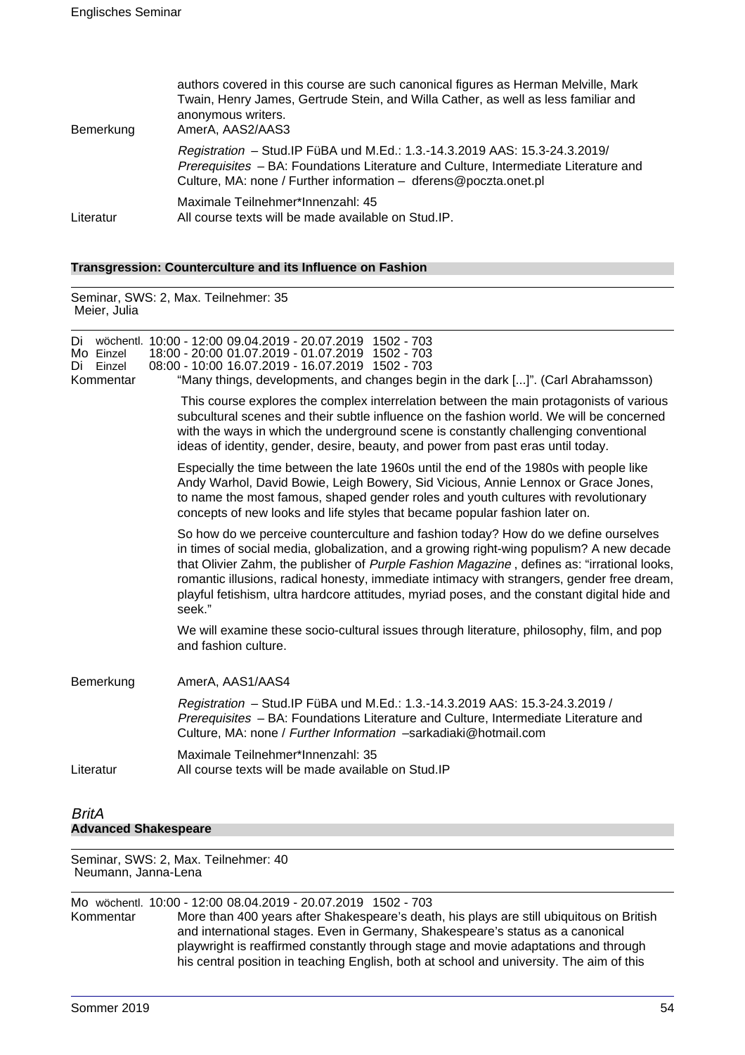| Bemerkung | authors covered in this course are such canonical figures as Herman Melville, Mark<br>Twain, Henry James, Gertrude Stein, and Willa Cather, as well as less familiar and<br>anonymous writers.<br>AmerA, AAS2/AAS3                     |  |  |  |  |
|-----------|----------------------------------------------------------------------------------------------------------------------------------------------------------------------------------------------------------------------------------------|--|--|--|--|
|           | Registration - Stud. IP FüBA und M.Ed.: 1.3.-14.3.2019 AAS: 15.3-24.3.2019/<br>Prerequisites - BA: Foundations Literature and Culture, Intermediate Literature and<br>Culture, MA: none / Further information - dferens@poczta.onet.pl |  |  |  |  |
| Literatur | Maximale Teilnehmer*Innenzahl: 45<br>All course texts will be made available on Stud.IP.                                                                                                                                               |  |  |  |  |

## **Transgression: Counterculture and its Influence on Fashion**

Seminar, SWS: 2, Max. Teilnehmer: 35 Meier, Julia

| Mo Einzel<br>Einzel<br>Di<br>Kommentar | Di wöchentl. 10:00 - 12:00 09.04.2019 - 20.07.2019 1502 - 703<br>18:00 - 20:00 01.07.2019 - 01.07.2019 1502 - 703<br>08:00 - 10:00 16.07.2019 - 16.07.2019 1502 - 703<br>"Many things, developments, and changes begin in the dark []". (Carl Abrahamsson)                                                                                                                                                                                                                            |
|----------------------------------------|---------------------------------------------------------------------------------------------------------------------------------------------------------------------------------------------------------------------------------------------------------------------------------------------------------------------------------------------------------------------------------------------------------------------------------------------------------------------------------------|
|                                        | This course explores the complex interrelation between the main protagonists of various<br>subcultural scenes and their subtle influence on the fashion world. We will be concerned<br>with the ways in which the underground scene is constantly challenging conventional<br>ideas of identity, gender, desire, beauty, and power from past eras until today.                                                                                                                        |
|                                        | Especially the time between the late 1960s until the end of the 1980s with people like<br>Andy Warhol, David Bowie, Leigh Bowery, Sid Vicious, Annie Lennox or Grace Jones,<br>to name the most famous, shaped gender roles and youth cultures with revolutionary<br>concepts of new looks and life styles that became popular fashion later on.                                                                                                                                      |
|                                        | So how do we perceive counterculture and fashion today? How do we define ourselves<br>in times of social media, globalization, and a growing right-wing populism? A new decade<br>that Olivier Zahm, the publisher of Purple Fashion Magazine, defines as: "irrational looks,<br>romantic illusions, radical honesty, immediate intimacy with strangers, gender free dream,<br>playful fetishism, ultra hardcore attitudes, myriad poses, and the constant digital hide and<br>seek." |
|                                        | We will examine these socio-cultural issues through literature, philosophy, film, and pop<br>and fashion culture.                                                                                                                                                                                                                                                                                                                                                                     |
| Bemerkung                              | AmerA, AAS1/AAS4                                                                                                                                                                                                                                                                                                                                                                                                                                                                      |
|                                        | Registration - Stud. IP FüBA und M.Ed.: 1.3.-14.3.2019 AAS: 15.3-24.3.2019 /<br>Prerequisites - BA: Foundations Literature and Culture, Intermediate Literature and<br>Culture, MA: none / Further Information -sarkadiaki@hotmail.com                                                                                                                                                                                                                                                |
| Literatur                              | Maximale Teilnehmer*Innenzahl: 35<br>All course texts will be made available on Stud. IP                                                                                                                                                                                                                                                                                                                                                                                              |
|                                        |                                                                                                                                                                                                                                                                                                                                                                                                                                                                                       |
| <b>BritA</b>                           |                                                                                                                                                                                                                                                                                                                                                                                                                                                                                       |
| <b>Advanced Shakespeare</b>            |                                                                                                                                                                                                                                                                                                                                                                                                                                                                                       |

Seminar, SWS: 2, Max. Teilnehmer: 40 Neumann, Janna-Lena

Mo wöchentl. 10:00 - 12:00 08.04.2019 - 20.07.2019 1502 - 703 More than 400 years after Shakespeare's death, his plays are still ubiquitous on British and international stages. Even in Germany, Shakespeare's status as a canonical playwright is reaffirmed constantly through stage and movie adaptations and through his central position in teaching English, both at school and university. The aim of this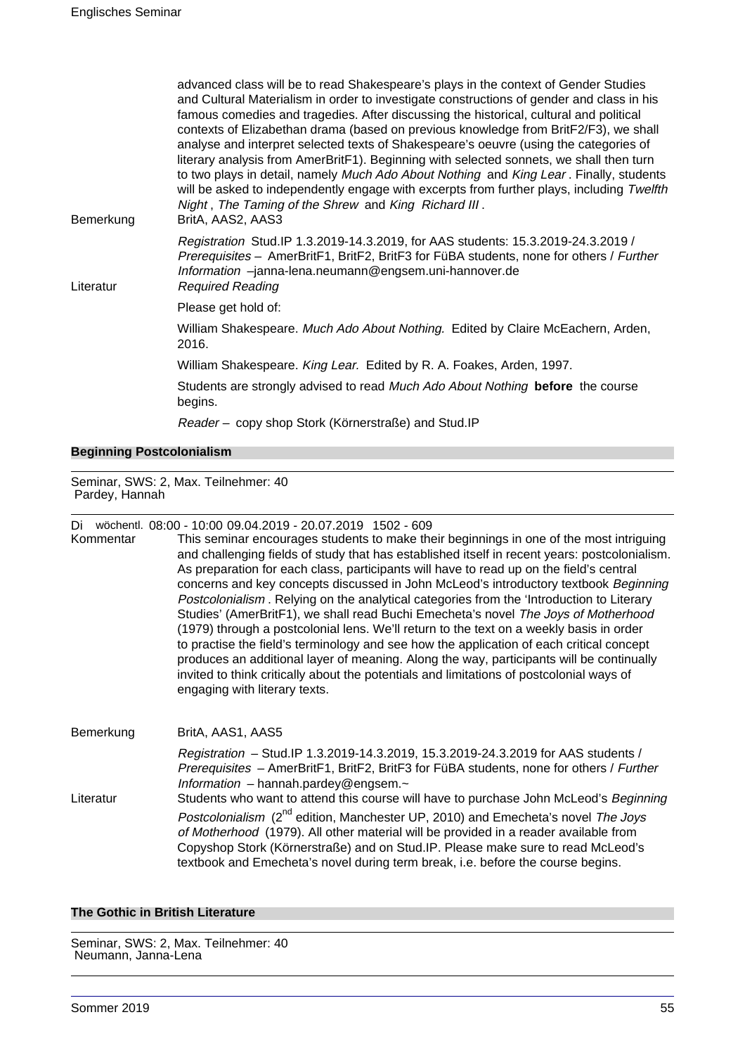| Bemerkung | advanced class will be to read Shakespeare's plays in the context of Gender Studies<br>and Cultural Materialism in order to investigate constructions of gender and class in his<br>famous comedies and tragedies. After discussing the historical, cultural and political<br>contexts of Elizabethan drama (based on previous knowledge from BritF2/F3), we shall<br>analyse and interpret selected texts of Shakespeare's oeuvre (using the categories of<br>literary analysis from AmerBritF1). Beginning with selected sonnets, we shall then turn<br>to two plays in detail, namely Much Ado About Nothing and King Lear. Finally, students<br>will be asked to independently engage with excerpts from further plays, including Twelfth<br>Night, The Taming of the Shrew and King Richard III.<br>BritA, AAS2, AAS3 |
|-----------|----------------------------------------------------------------------------------------------------------------------------------------------------------------------------------------------------------------------------------------------------------------------------------------------------------------------------------------------------------------------------------------------------------------------------------------------------------------------------------------------------------------------------------------------------------------------------------------------------------------------------------------------------------------------------------------------------------------------------------------------------------------------------------------------------------------------------|
| Literatur | Registration Stud.IP 1.3.2019-14.3.2019, for AAS students: 15.3.2019-24.3.2019 /<br>Prerequisites - AmerBritF1, BritF2, BritF3 for FüBA students, none for others / Further<br>Information -janna-lena.neumann@engsem.uni-hannover.de<br><b>Required Reading</b>                                                                                                                                                                                                                                                                                                                                                                                                                                                                                                                                                           |
|           | Please get hold of:                                                                                                                                                                                                                                                                                                                                                                                                                                                                                                                                                                                                                                                                                                                                                                                                        |
|           | William Shakespeare. Much Ado About Nothing. Edited by Claire McEachern, Arden,<br>2016.                                                                                                                                                                                                                                                                                                                                                                                                                                                                                                                                                                                                                                                                                                                                   |
|           | William Shakespeare. King Lear. Edited by R. A. Foakes, Arden, 1997.                                                                                                                                                                                                                                                                                                                                                                                                                                                                                                                                                                                                                                                                                                                                                       |
|           | Students are strongly advised to read Much Ado About Nothing before the course<br>begins.                                                                                                                                                                                                                                                                                                                                                                                                                                                                                                                                                                                                                                                                                                                                  |
|           | Reader - copy shop Stork (Körnerstraße) and Stud.IP                                                                                                                                                                                                                                                                                                                                                                                                                                                                                                                                                                                                                                                                                                                                                                        |

#### **Beginning Postcolonialism**

Seminar, SWS: 2, Max. Teilnehmer: 40 Pardey, Hannah

Di wöchentl. 08:00 - 10:00 09.04.2019 - 20.07.2019 1502 - 609

Kommentar This seminar encourages students to make their beginnings in one of the most intriguing and challenging fields of study that has established itself in recent years: postcolonialism. As preparation for each class, participants will have to read up on the field's central concerns and key concepts discussed in John McLeod's introductory textbook Beginning Postcolonialism . Relying on the analytical categories from the 'Introduction to Literary Studies' (AmerBritF1), we shall read Buchi Emecheta's novel The Joys of Motherhood (1979) through a postcolonial lens. We'll return to the text on a weekly basis in order to practise the field's terminology and see how the application of each critical concept produces an additional layer of meaning. Along the way, participants will be continually invited to think critically about the potentials and limitations of postcolonial ways of engaging with literary texts.

Bemerkung BritA, AAS1, AAS5 Registration – Stud.IP 1.3.2019-14.3.2019, 15.3.2019-24.3.2019 for AAS students / Prerequisites - AmerBritF1, BritF2, BritF3 for FüBA students, none for others / Further Information – hannah.pardey@engsem. $\sim$ Literatur Students who want to attend this course will have to purchase John McLeod's Beginning Postcolonialism (2<sup>nd</sup> edition, Manchester UP, 2010) and Emecheta's novel The Joys of Motherhood (1979). All other material will be provided in a reader available from Copyshop Stork (Körnerstraße) and on Stud.IP. Please make sure to read McLeod's textbook and Emecheta's novel during term break, i.e. before the course begins.

## **The Gothic in British Literature**

Seminar, SWS: 2, Max. Teilnehmer: 40 Neumann, Janna-Lena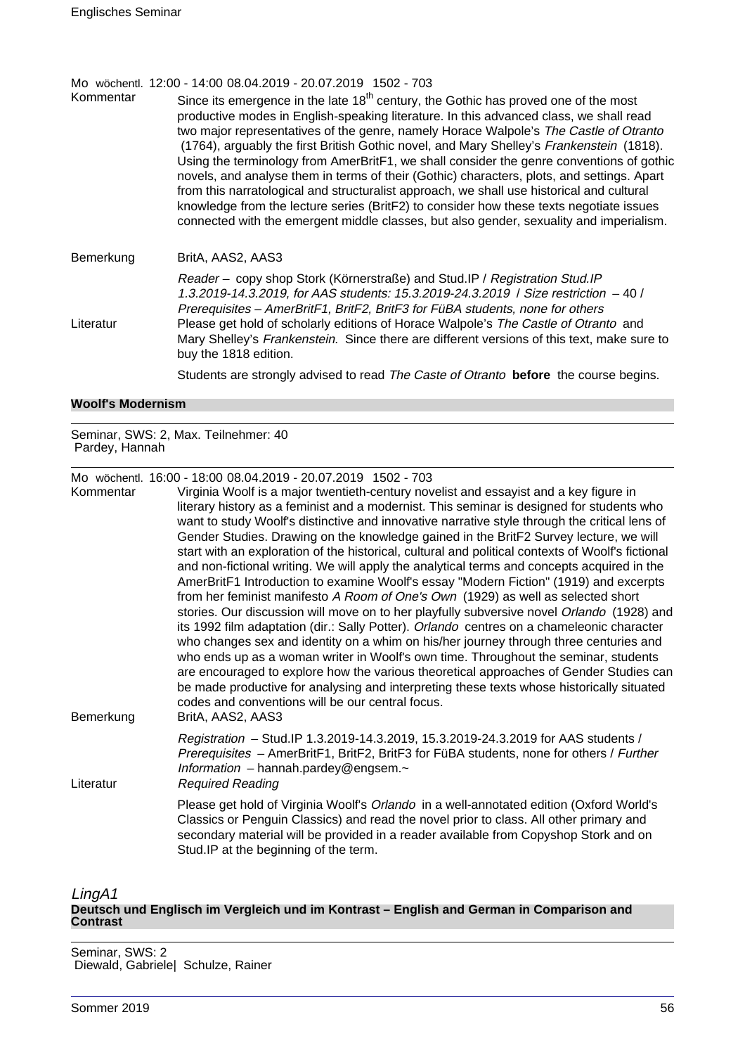Mo wöchentl. 12:00 - 14:00 08.04.2019 - 20.07.2019 1502 - 703

Kommentar Since its emergence in the late  $18<sup>th</sup>$  century, the Gothic has proved one of the most productive modes in English-speaking literature. In this advanced class, we shall read two major representatives of the genre, namely Horace Walpole's The Castle of Otranto (1764), arguably the first British Gothic novel, and Mary Shelley's Frankenstein (1818). Using the terminology from AmerBritF1, we shall consider the genre conventions of gothic novels, and analyse them in terms of their (Gothic) characters, plots, and settings. Apart from this narratological and structuralist approach, we shall use historical and cultural knowledge from the lecture series (BritF2) to consider how these texts negotiate issues connected with the emergent middle classes, but also gender, sexuality and imperialism.

Bemerkung BritA, AAS2, AAS3

Reader – copy shop Stork (Körnerstraße) and Stud.IP / Registration Stud.IP 1.3.2019-14.3.2019, for AAS students: 15.3.2019-24.3.2019 / Size restriction – 40 / Prerequisites – AmerBritF1, BritF2, BritF3 for FüBA students, none for others Literatur Please get hold of scholarly editions of Horace Walpole's The Castle of Otranto and Mary Shelley's Frankenstein. Since there are different versions of this text, make sure to buy the 1818 edition.

Students are strongly advised to read The Caste of Otranto **before** the course begins.

#### **Woolf's Modernism**

Seminar, SWS: 2, Max. Teilnehmer: 40 Pardey, Hannah

Mo wöchentl. 16:00 - 18:00 08.04.2019 - 20.07.2019 1502 - 703

Kommentar Virginia Woolf is a major twentieth-century novelist and essayist and a key figure in literary history as a feminist and a modernist. This seminar is designed for students who want to study Woolf's distinctive and innovative narrative style through the critical lens of Gender Studies. Drawing on the knowledge gained in the BritF2 Survey lecture, we will start with an exploration of the historical, cultural and political contexts of Woolf's fictional and non-fictional writing. We will apply the analytical terms and concepts acquired in the AmerBritF1 Introduction to examine Woolf's essay "Modern Fiction" (1919) and excerpts from her feminist manifesto A Room of One's Own (1929) as well as selected short stories. Our discussion will move on to her playfully subversive novel Orlando (1928) and its 1992 film adaptation (dir.: Sally Potter). Orlando centres on a chameleonic character who changes sex and identity on a whim on his/her journey through three centuries and who ends up as a woman writer in Woolf's own time. Throughout the seminar, students are encouraged to explore how the various theoretical approaches of Gender Studies can be made productive for analysing and interpreting these texts whose historically situated codes and conventions will be our central focus. Bemerkung BritA, AAS2, AAS3

Registration – Stud.IP 1.3.2019-14.3.2019, 15.3.2019-24.3.2019 for AAS students / Prerequisites – AmerBritF1, BritF2, BritF3 for FüBA students, none for others / Further Information – hannah.pardey@engsem.~ Literatur Required Reading

> Please get hold of Virginia Woolf's Orlando in a well-annotated edition (Oxford World's Classics or Penguin Classics) and read the novel prior to class. All other primary and secondary material will be provided in a reader available from Copyshop Stork and on Stud.IP at the beginning of the term.

#### LingA1 **Deutsch und Englisch im Vergleich und im Kontrast – English and German in Comparison and Contrast**

Seminar, SWS: 2 Diewald, Gabriele| Schulze, Rainer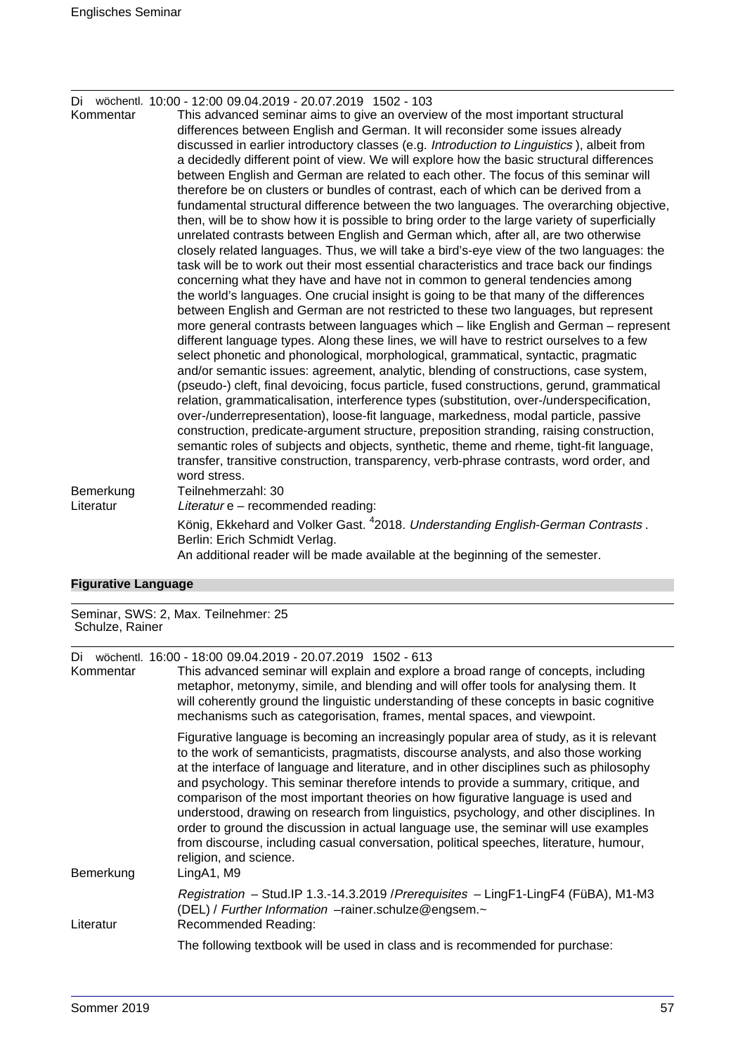|  | Di wöchentl. 10:00 - 12:00 09.04.2019 - 20.07.2019 1502 - 103 |  |  |
|--|---------------------------------------------------------------|--|--|
|  |                                                               |  |  |

Kommentar This advanced seminar aims to give an overview of the most important structural differences between English and German. It will reconsider some issues already discussed in earlier introductory classes (e.g. Introduction to Linguistics ), albeit from a decidedly different point of view. We will explore how the basic structural differences between English and German are related to each other. The focus of this seminar will therefore be on clusters or bundles of contrast, each of which can be derived from a fundamental structural difference between the two languages. The overarching objective, then, will be to show how it is possible to bring order to the large variety of superficially unrelated contrasts between English and German which, after all, are two otherwise closely related languages. Thus, we will take a bird's-eye view of the two languages: the task will be to work out their most essential characteristics and trace back our findings concerning what they have and have not in common to general tendencies among the world's languages. One crucial insight is going to be that many of the differences between English and German are not restricted to these two languages, but represent more general contrasts between languages which – like English and German – represent different language types. Along these lines, we will have to restrict ourselves to a few select phonetic and phonological, morphological, grammatical, syntactic, pragmatic and/or semantic issues: agreement, analytic, blending of constructions, case system, (pseudo-) cleft, final devoicing, focus particle, fused constructions, gerund, grammatical relation, grammaticalisation, interference types (substitution, over-/underspecification, over-/underrepresentation), loose-fit language, markedness, modal particle, passive construction, predicate-argument structure, preposition stranding, raising construction, semantic roles of subjects and objects, synthetic, theme and rheme, tight-fit language, transfer, transitive construction, transparency, verb-phrase contrasts, word order, and word stress. Bemerkung Teilnehmerzahl: 30 Literatur Literatur e – recommended reading: König, Ekkehard and Volker Gast. <sup>4</sup>2018. Understanding English-German Contrasts . Berlin: Erich Schmidt Verlag. An additional reader will be made available at the beginning of the semester.

#### **Figurative Language**

Seminar, SWS: 2, Max. Teilnehmer: 25 Schulze, Rainer

|  |  |  |  |  | Di wöchentl. 16:00 - 18:00 09.04.2019 - 20.07.2019 1502 - 613 |  |
|--|--|--|--|--|---------------------------------------------------------------|--|
|--|--|--|--|--|---------------------------------------------------------------|--|

| Kommentar | This advanced seminar will explain and explore a broad range of concepts, including<br>metaphor, metonymy, simile, and blending and will offer tools for analysing them. It<br>will coherently ground the linguistic understanding of these concepts in basic cognitive<br>mechanisms such as categorisation, frames, mental spaces, and viewpoint.                                                                                                                                                                                                                                                                                                                                                                                                                         |
|-----------|-----------------------------------------------------------------------------------------------------------------------------------------------------------------------------------------------------------------------------------------------------------------------------------------------------------------------------------------------------------------------------------------------------------------------------------------------------------------------------------------------------------------------------------------------------------------------------------------------------------------------------------------------------------------------------------------------------------------------------------------------------------------------------|
| Bemerkung | Figurative language is becoming an increasingly popular area of study, as it is relevant<br>to the work of semanticists, pragmatists, discourse analysts, and also those working<br>at the interface of language and literature, and in other disciplines such as philosophy<br>and psychology. This seminar therefore intends to provide a summary, critique, and<br>comparison of the most important theories on how figurative language is used and<br>understood, drawing on research from linguistics, psychology, and other disciplines. In<br>order to ground the discussion in actual language use, the seminar will use examples<br>from discourse, including casual conversation, political speeches, literature, humour,<br>religion, and science.<br>LingA1, M9 |
| Literatur | Registration - Stud.IP 1.3.-14.3.2019 / Prerequisites - LingF1-LingF4 (FüBA), M1-M3<br>(DEL) / Further Information -rainer.schulze@engsem.~<br>Recommended Reading:                                                                                                                                                                                                                                                                                                                                                                                                                                                                                                                                                                                                         |
|           | The following textbook will be used in class and is recommended for purchase:                                                                                                                                                                                                                                                                                                                                                                                                                                                                                                                                                                                                                                                                                               |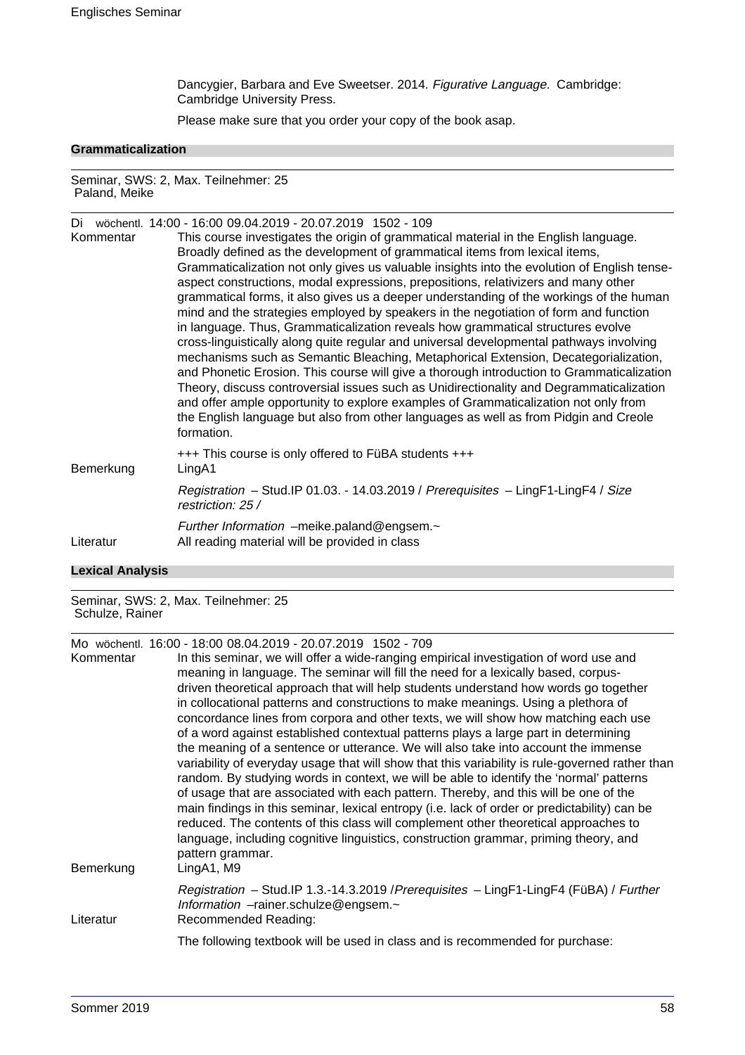Dancygier, Barbara and Eve Sweetser. 2014. Figurative Language. Cambridge: Cambridge University Press.

Please make sure that you order your copy of the book asap.

## **Grammaticalization**

Seminar, SWS: 2, Max. Teilnehmer: 25 Paland, Meike

|                         | Di wöchentl. 14:00 - 16:00 09.04.2019 - 20.07.2019 1502 - 109                               |
|-------------------------|---------------------------------------------------------------------------------------------|
| Kommentar               | This course investigates the origin of grammatical material in the English language.        |
|                         | Broadly defined as the development of grammatical items from lexical items,                 |
|                         | Grammaticalization not only gives us valuable insights into the evolution of English tense- |
|                         | aspect constructions, modal expressions, prepositions, relativizers and many other          |
|                         | grammatical forms, it also gives us a deeper understanding of the workings of the human     |
|                         | mind and the strategies employed by speakers in the negotiation of form and function        |
|                         | in language. Thus, Grammaticalization reveals how grammatical structures evolve             |
|                         | cross-linguistically along quite regular and universal developmental pathways involving     |
|                         | mechanisms such as Semantic Bleaching, Metaphorical Extension, Decategorialization,         |
|                         | and Phonetic Erosion. This course will give a thorough introduction to Grammaticalization   |
|                         | Theory, discuss controversial issues such as Unidirectionality and Degrammaticalization     |
|                         | and offer ample opportunity to explore examples of Grammaticalization not only from         |
|                         | the English language but also from other languages as well as from Pidgin and Creole        |
|                         | formation.                                                                                  |
|                         | +++ This course is only offered to FüBA students +++                                        |
| Bemerkung               | LingA1                                                                                      |
|                         | Registration - Stud.IP 01.03. - 14.03.2019 / Prerequisites - LingF1-LingF4 / Size           |
|                         | restriction: 25 /                                                                           |
|                         |                                                                                             |
|                         | Further Information -meike.paland@engsem.~                                                  |
| Literatur               | All reading material will be provided in class                                              |
| <b>Lexical Analysis</b> |                                                                                             |
|                         |                                                                                             |

Seminar, SWS: 2, Max. Teilnehmer: 25 Schulze, Rainer

Mo wöchentl. 16:00 - 18:00 08.04.2019 - 20.07.2019 1502 - 709

| Kommentar | $10.00$ 00.01.2010 20.01.2010 1002 100<br>In this seminar, we will offer a wide-ranging empirical investigation of word use and                                                                                                                                                                                                                                                                                                                                                                                                                                                                                                                                                           |
|-----------|-------------------------------------------------------------------------------------------------------------------------------------------------------------------------------------------------------------------------------------------------------------------------------------------------------------------------------------------------------------------------------------------------------------------------------------------------------------------------------------------------------------------------------------------------------------------------------------------------------------------------------------------------------------------------------------------|
|           | meaning in language. The seminar will fill the need for a lexically based, corpus-                                                                                                                                                                                                                                                                                                                                                                                                                                                                                                                                                                                                        |
|           | driven theoretical approach that will help students understand how words go together                                                                                                                                                                                                                                                                                                                                                                                                                                                                                                                                                                                                      |
|           | in collocational patterns and constructions to make meanings. Using a plethora of                                                                                                                                                                                                                                                                                                                                                                                                                                                                                                                                                                                                         |
|           | concordance lines from corpora and other texts, we will show how matching each use                                                                                                                                                                                                                                                                                                                                                                                                                                                                                                                                                                                                        |
|           | of a word against established contextual patterns plays a large part in determining                                                                                                                                                                                                                                                                                                                                                                                                                                                                                                                                                                                                       |
| Bemerkung | the meaning of a sentence or utterance. We will also take into account the immense<br>variability of everyday usage that will show that this variability is rule-governed rather than<br>random. By studying words in context, we will be able to identify the 'normal' patterns<br>of usage that are associated with each pattern. Thereby, and this will be one of the<br>main findings in this seminar, lexical entropy (i.e. lack of order or predictability) can be<br>reduced. The contents of this class will complement other theoretical approaches to<br>language, including cognitive linguistics, construction grammar, priming theory, and<br>pattern grammar.<br>LingA1, M9 |
| Literatur | Registration - Stud.IP 1.3.-14.3.2019 / Prerequisites - LingF1-LingF4 (FüBA) / Further<br>Information -rainer.schulze@engsem.~<br>Recommended Reading:                                                                                                                                                                                                                                                                                                                                                                                                                                                                                                                                    |
|           |                                                                                                                                                                                                                                                                                                                                                                                                                                                                                                                                                                                                                                                                                           |
|           | The following textbook will be used in class and is recommended for purchase:                                                                                                                                                                                                                                                                                                                                                                                                                                                                                                                                                                                                             |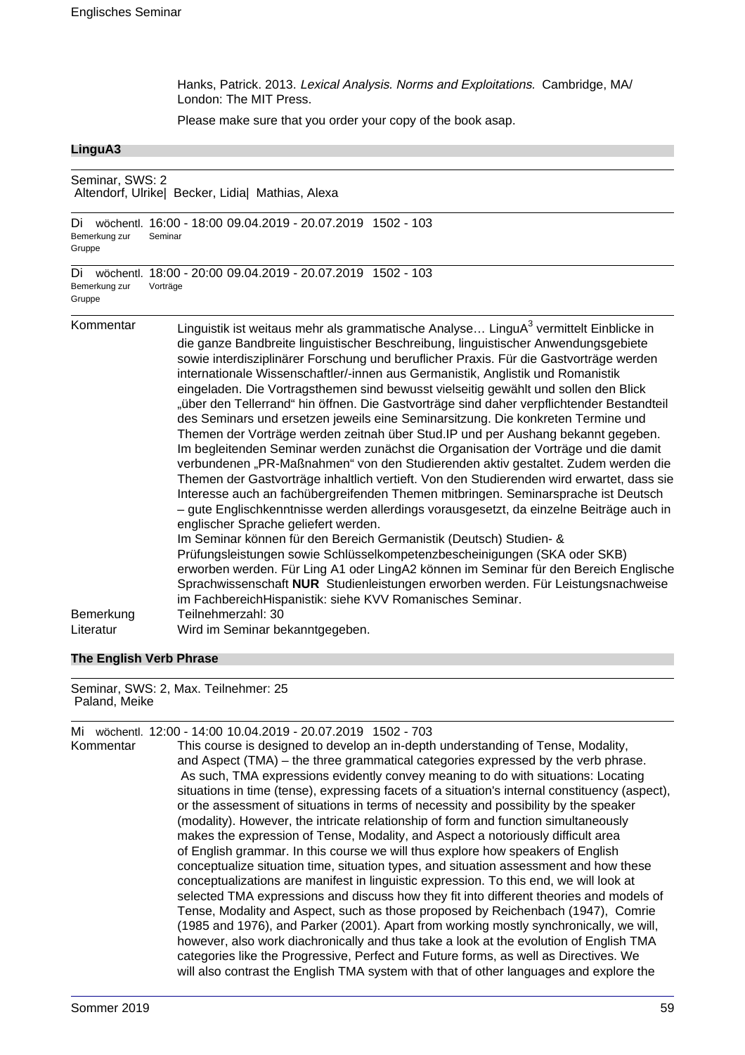Hanks, Patrick. 2013. Lexical Analysis. Norms and Exploitations. Cambridge, MA/ London: The MIT Press.

Please make sure that you order your copy of the book asap.

#### **LinguA3**

### Seminar, SWS: 2 Altendorf, Ulrike| Becker, Lidia| Mathias, Alexa

```
Di wöchentl. 16:00 - 18:00 09.04.2019 - 20.07.2019 1502 - 103
Bemerkung zur
Gruppe
              Seminar
```
Di wöchentl. 18:00 - 20:00 09.04.2019 - 20.07.2019 1502 - 103 Bemerkung zur Gruppe Vorträge

Kommentar binguistik ist weitaus mehr als grammatische Analyse... LinguA $^3$  vermittelt Einblicke in die ganze Bandbreite linguistischer Beschreibung, linguistischer Anwendungsgebiete sowie interdisziplinärer Forschung und beruflicher Praxis. Für die Gastvorträge werden internationale Wissenschaftler/-innen aus Germanistik, Anglistik und Romanistik eingeladen. Die Vortragsthemen sind bewusst vielseitig gewählt und sollen den Blick "über den Tellerrand" hin öffnen. Die Gastvorträge sind daher verpflichtender Bestandteil des Seminars und ersetzen jeweils eine Seminarsitzung. Die konkreten Termine und Themen der Vorträge werden zeitnah über Stud.IP und per Aushang bekannt gegeben. Im begleitenden Seminar werden zunächst die Organisation der Vorträge und die damit verbundenen "PR-Maßnahmen" von den Studierenden aktiv gestaltet. Zudem werden die Themen der Gastvorträge inhaltlich vertieft. Von den Studierenden wird erwartet, dass sie Interesse auch an fachübergreifenden Themen mitbringen. Seminarsprache ist Deutsch – gute Englischkenntnisse werden allerdings vorausgesetzt, da einzelne Beiträge auch in englischer Sprache geliefert werden. Im Seminar können für den Bereich Germanistik (Deutsch) Studien- & Prüfungsleistungen sowie Schlüsselkompetenzbescheinigungen (SKA oder SKB) erworben werden. Für Ling A1 oder LingA2 können im Seminar für den Bereich Englische Sprachwissenschaft **NUR** Studienleistungen erworben werden. Für Leistungsnachweise im FachbereichHispanistik: siehe KVV Romanisches Seminar. Bemerkung Teilnehmerzahl: 30 Literatur Wird im Seminar bekanntgegeben.

#### **The English Verb Phrase**

Seminar, SWS: 2, Max. Teilnehmer: 25 Paland, Meike

| Mi        | wöchentl. 12:00 - 14:00 10.04.2019 - 20.07.2019 1502 - 703                                     |
|-----------|------------------------------------------------------------------------------------------------|
| Kommentar | This course is designed to develop an in-depth understanding of Tense, Modality,               |
|           | and Aspect (TMA) – the three grammatical categories expressed by the verb phrase.              |
|           | As such, TMA expressions evidently convey meaning to do with situations: Locating              |
|           | situations in time (tense), expressing facets of a situation's internal constituency (aspect), |
|           | or the assessment of situations in terms of necessity and possibility by the speaker           |
|           | (modality). However, the intricate relationship of form and function simultaneously            |
|           | makes the expression of Tense, Modality, and Aspect a notoriously difficult area               |
|           | of English grammar. In this course we will thus explore how speakers of English                |
|           | conceptualize situation time, situation types, and situation assessment and how these          |
|           | conceptualizations are manifest in linguistic expression. To this end, we will look at         |
|           | selected TMA expressions and discuss how they fit into different theories and models of        |
|           | Tense, Modality and Aspect, such as those proposed by Reichenbach (1947), Comrie               |
|           | (1985 and 1976), and Parker (2001). Apart from working mostly synchronically, we will,         |
|           | however, also work diachronically and thus take a look at the evolution of English TMA         |
|           | categories like the Progressive, Perfect and Future forms, as well as Directives. We           |
|           | will also contrast the English TMA system with that of other languages and explore the         |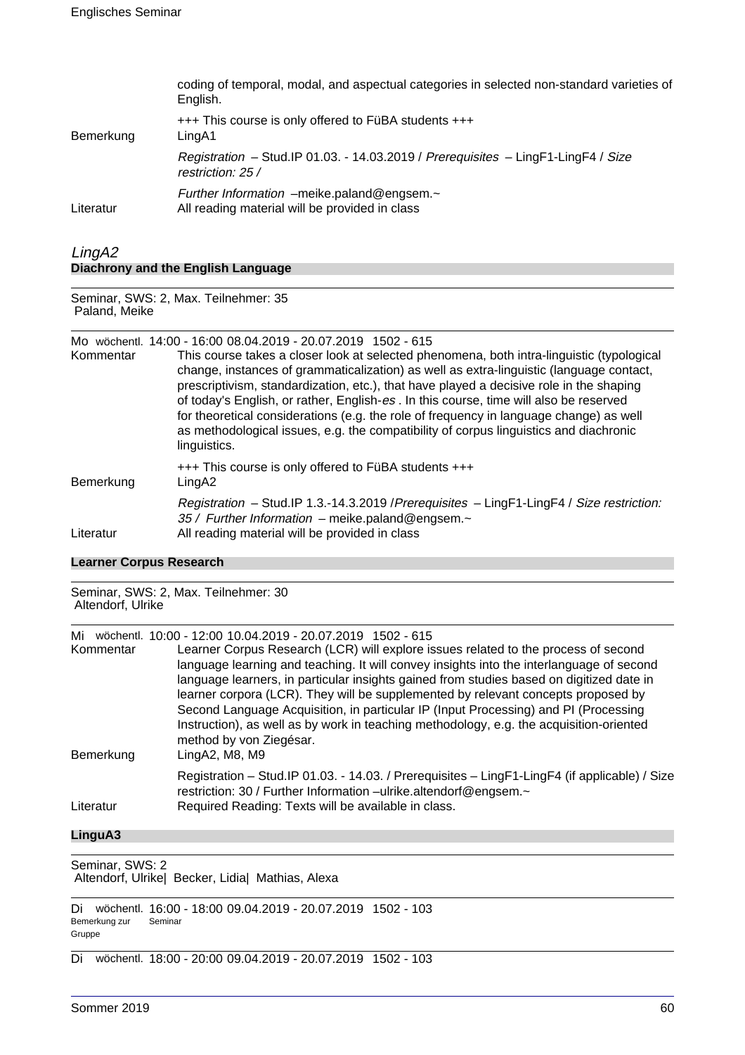| coding of temporal, modal, and aspectual categories in selected non-standard varieties of |
|-------------------------------------------------------------------------------------------|
|                                                                                           |
| Registration - Stud.IP 01.03. - 14.03.2019 / Prerequisites - LingF1-LingF4 / Size         |
|                                                                                           |
|                                                                                           |

## LingA2 **Diachrony and the English Language**

Seminar, SWS: 2, Max. Teilnehmer: 35 Paland, Meike

#### Mo wöchentl. 14:00 - 16:00 08.04.2019 - 20.07.2019 1502 - 615

| Kommentar | This course takes a closer look at selected phenomena, both intra-linguistic (typological<br>change, instances of grammaticalization) as well as extra-linguistic (language contact,<br>prescriptivism, standardization, etc.), that have played a decisive role in the shaping<br>of today's English, or rather, English-es. In this course, time will also be reserved<br>for theoretical considerations (e.g. the role of frequency in language change) as well<br>as methodological issues, e.g. the compatibility of corpus linguistics and diachronic<br>linguistics. |
|-----------|-----------------------------------------------------------------------------------------------------------------------------------------------------------------------------------------------------------------------------------------------------------------------------------------------------------------------------------------------------------------------------------------------------------------------------------------------------------------------------------------------------------------------------------------------------------------------------|
| Bemerkung | +++ This course is only offered to FüBA students +++<br>LingA2                                                                                                                                                                                                                                                                                                                                                                                                                                                                                                              |
| Literatur | Registration - Stud.IP 1.3.-14.3.2019 / Prerequisites - LingF1-LingF4 / Size restriction:<br>35 / Further Information - meike.paland@engsem.~<br>All reading material will be provided in class                                                                                                                                                                                                                                                                                                                                                                             |

#### **Learner Corpus Research**

Seminar, SWS: 2, Max. Teilnehmer: 30 Altendorf, Ulrike Mi wöchentl. 10:00 - 12:00 10.04.2019 - 20.07.2019 1502 - 615 Kommentar Learner Corpus Research (LCR) will explore issues related to the process of second language learning and teaching. It will convey insights into the interlanguage of second language learners, in particular insights gained from studies based on digitized date in learner corpora (LCR). They will be supplemented by relevant concepts proposed by Second Language Acquisition, in particular IP (Input Processing) and PI (Processing Instruction), as well as by work in teaching methodology, e.g. the acquisition-oriented method by von Ziegésar. Bemerkung LingA2, M8, M9 Registration – Stud.IP 01.03. - 14.03. / Prerequisites – LingF1-LingF4 (if applicable) / Size restriction: 30 / Further Information –ulrike.altendorf@engsem.~ Literatur Required Reading: Texts will be available in class.

## **LinguA3**

Seminar, SWS: 2 Altendorf, Ulrike| Becker, Lidia| Mathias, Alexa

Di wöchentl. 16:00 - 18:00 09.04.2019 - 20.07.2019 1502 - 103 Bemerkung zur Gruppe Seminar

Di wöchentl. 18:00 - 20:00 09.04.2019 - 20.07.2019 1502 - 103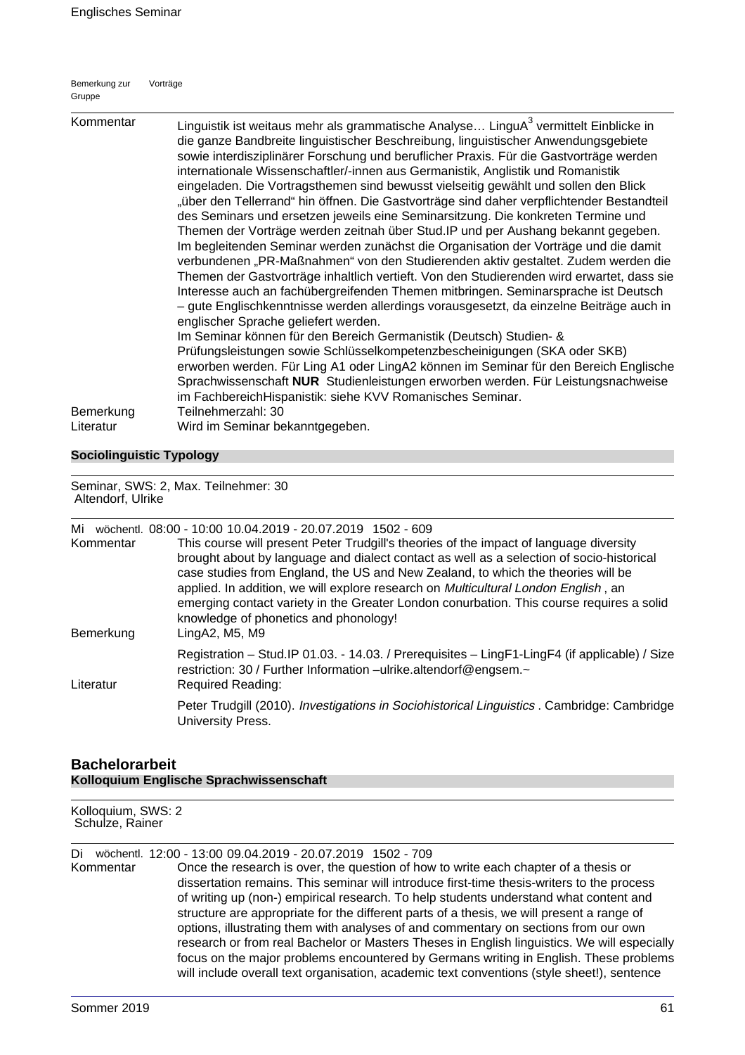| Bemerkung zur | Vorträge |
|---------------|----------|
| Gruppe        |          |

| Kommentar              | Linguistik ist weitaus mehr als grammatische Analyse LinguA <sup>3</sup> vermittelt Einblicke in<br>die ganze Bandbreite linguistischer Beschreibung, linguistischer Anwendungsgebiete<br>sowie interdisziplinärer Forschung und beruflicher Praxis. Für die Gastvorträge werden<br>internationale Wissenschaftler/-innen aus Germanistik, Anglistik und Romanistik<br>eingeladen. Die Vortragsthemen sind bewusst vielseitig gewählt und sollen den Blick<br>"über den Tellerrand" hin öffnen. Die Gastvorträge sind daher verpflichtender Bestandteil<br>des Seminars und ersetzen jeweils eine Seminarsitzung. Die konkreten Termine und<br>Themen der Vorträge werden zeitnah über Stud. IP und per Aushang bekannt gegeben.<br>Im begleitenden Seminar werden zunächst die Organisation der Vorträge und die damit<br>verbundenen "PR-Maßnahmen" von den Studierenden aktiv gestaltet. Zudem werden die<br>Themen der Gastvorträge inhaltlich vertieft. Von den Studierenden wird erwartet, dass sie<br>Interesse auch an fachübergreifenden Themen mitbringen. Seminarsprache ist Deutsch<br>- gute Englischkenntnisse werden allerdings vorausgesetzt, da einzelne Beiträge auch in<br>englischer Sprache geliefert werden.<br>Im Seminar können für den Bereich Germanistik (Deutsch) Studien- &<br>Prüfungsleistungen sowie Schlüsselkompetenzbescheinigungen (SKA oder SKB)<br>erworben werden. Für Ling A1 oder LingA2 können im Seminar für den Bereich Englische<br>Sprachwissenschaft NUR Studienleistungen erworben werden. Für Leistungsnachweise |
|------------------------|-------------------------------------------------------------------------------------------------------------------------------------------------------------------------------------------------------------------------------------------------------------------------------------------------------------------------------------------------------------------------------------------------------------------------------------------------------------------------------------------------------------------------------------------------------------------------------------------------------------------------------------------------------------------------------------------------------------------------------------------------------------------------------------------------------------------------------------------------------------------------------------------------------------------------------------------------------------------------------------------------------------------------------------------------------------------------------------------------------------------------------------------------------------------------------------------------------------------------------------------------------------------------------------------------------------------------------------------------------------------------------------------------------------------------------------------------------------------------------------------------------------------------------------------------------------------|
| Bemerkung<br>Literatur | im FachbereichHispanistik: siehe KVV Romanisches Seminar.<br>Teilnehmerzahl: 30<br>Wird im Seminar bekanntgegeben.                                                                                                                                                                                                                                                                                                                                                                                                                                                                                                                                                                                                                                                                                                                                                                                                                                                                                                                                                                                                                                                                                                                                                                                                                                                                                                                                                                                                                                                |

## **Sociolinguistic Typology**

#### Seminar, SWS: 2, Max. Teilnehmer: 30 Altendorf, Ulrike

| Mi<br>Kommentar<br>Bemerkung | wöchentl. 08:00 - 10:00 10.04.2019 - 20.07.2019 1502 - 609<br>This course will present Peter Trudgill's theories of the impact of language diversity<br>brought about by language and dialect contact as well as a selection of socio-historical<br>case studies from England, the US and New Zealand, to which the theories will be<br>applied. In addition, we will explore research on Multicultural London English, an<br>emerging contact variety in the Greater London conurbation. This course requires a solid<br>knowledge of phonetics and phonology!<br>LingA2, M5, M9 |
|------------------------------|-----------------------------------------------------------------------------------------------------------------------------------------------------------------------------------------------------------------------------------------------------------------------------------------------------------------------------------------------------------------------------------------------------------------------------------------------------------------------------------------------------------------------------------------------------------------------------------|
| Literatur                    | Registration - Stud.IP 01.03. - 14.03. / Prerequisites - LingF1-LingF4 (if applicable) / Size<br>restriction: 30 / Further Information -ulrike.altendorf@engsem.~<br><b>Required Reading:</b>                                                                                                                                                                                                                                                                                                                                                                                     |
|                              | Peter Trudgill (2010). Investigations in Sociohistorical Linguistics . Cambridge: Cambridge<br>University Press.                                                                                                                                                                                                                                                                                                                                                                                                                                                                  |

## **Bachelorarbeit Kolloquium Englische Sprachwissenschaft**

Kolloquium, SWS: 2 Schulze, Rainer

Di wöchentl. 12:00 - 13:00 09.04.2019 - 20.07.2019 1502 - 709

Kommentar Once the research is over, the question of how to write each chapter of a thesis or dissertation remains. This seminar will introduce first-time thesis-writers to the process of writing up (non-) empirical research. To help students understand what content and structure are appropriate for the different parts of a thesis, we will present a range of options, illustrating them with analyses of and commentary on sections from our own research or from real Bachelor or Masters Theses in English linguistics. We will especially focus on the major problems encountered by Germans writing in English. These problems will include overall text organisation, academic text conventions (style sheet!), sentence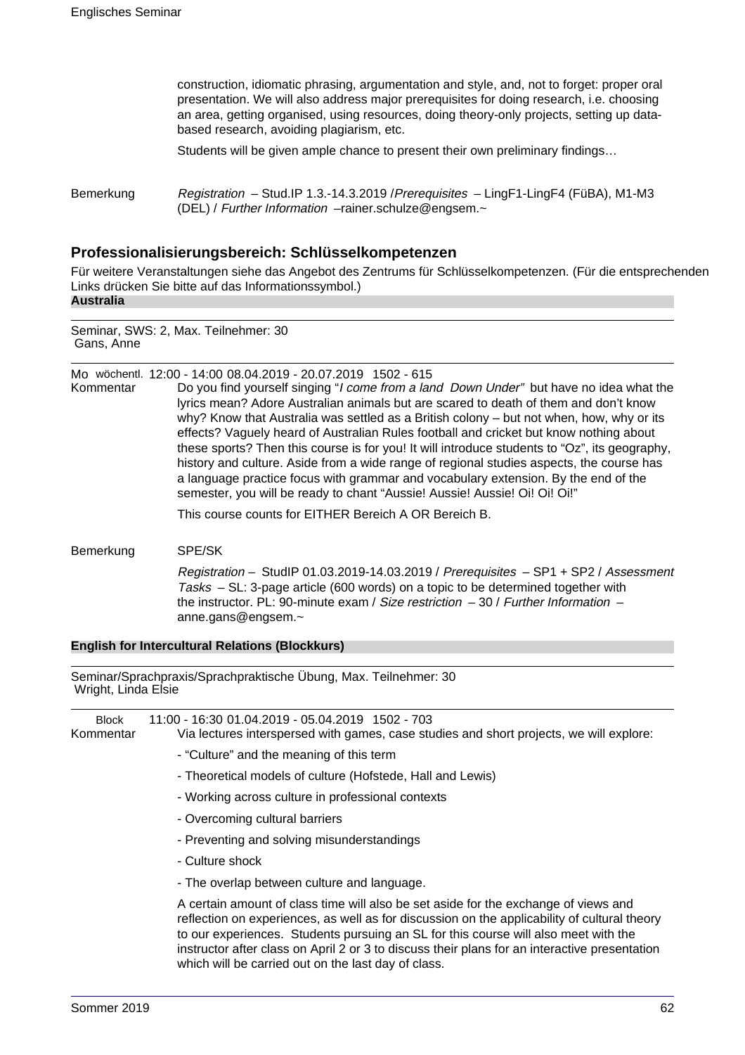construction, idiomatic phrasing, argumentation and style, and, not to forget: proper oral presentation. We will also address major prerequisites for doing research, i.e. choosing an area, getting organised, using resources, doing theory-only projects, setting up databased research, avoiding plagiarism, etc.

Students will be given ample chance to present their own preliminary findings…

Bemerkung Registration – Stud.IP 1.3.-14.3.2019 /Prerequisites – LingF1-LingF4 (FüBA), M1-M3 (DEL) / Further Information –rainer.schulze@engsem.~

## **Professionalisierungsbereich: Schlüsselkompetenzen**

Für weitere Veranstaltungen siehe das Angebot des Zentrums für Schlüsselkompetenzen. (Für die entsprechenden Links drücken Sie bitte auf das Informationssymbol.) **Australia**

Seminar, SWS: 2, Max. Teilnehmer: 30 Gans, Anne

Mo wöchentl. 12:00 - 14:00 08.04.2019 - 20.07.2019 1502 - 615

Kommentar Do you find yourself singing "I come from a land Down Under" but have no idea what the lyrics mean? Adore Australian animals but are scared to death of them and don't know why? Know that Australia was settled as a British colony – but not when, how, why or its effects? Vaguely heard of Australian Rules football and cricket but know nothing about these sports? Then this course is for you! It will introduce students to "Oz", its geography, history and culture. Aside from a wide range of regional studies aspects, the course has a language practice focus with grammar and vocabulary extension. By the end of the semester, you will be ready to chant "Aussie! Aussie! Aussie! Oi! Oi! Oi!"

This course counts for EITHER Bereich A OR Bereich B.

Bemerkung SPE/SK

Registration – StudIP 01.03.2019-14.03.2019 / Prerequisites – SP1 + SP2 / Assessment Tasks – SL: 3-page article (600 words) on a topic to be determined together with the instructor. PL: 90-minute exam / Size restriction  $-30$  / Further Information  $$ anne.gans@engsem.~

#### **English for Intercultural Relations (Blockkurs)**

Seminar/Sprachpraxis/Sprachpraktische Übung, Max. Teilnehmer: 30 Wright, Linda Elsie

| <b>Block</b><br>Kommentar | 11:00 - 16:30 01.04.2019 - 05.04.2019 1502 - 703<br>Via lectures interspersed with games, case studies and short projects, we will explore:                                                                                                                                                                                                                                                                                        |
|---------------------------|------------------------------------------------------------------------------------------------------------------------------------------------------------------------------------------------------------------------------------------------------------------------------------------------------------------------------------------------------------------------------------------------------------------------------------|
|                           | - "Culture" and the meaning of this term                                                                                                                                                                                                                                                                                                                                                                                           |
|                           | - Theoretical models of culture (Hofstede, Hall and Lewis)                                                                                                                                                                                                                                                                                                                                                                         |
|                           | - Working across culture in professional contexts                                                                                                                                                                                                                                                                                                                                                                                  |
|                           | - Overcoming cultural barriers                                                                                                                                                                                                                                                                                                                                                                                                     |
|                           | - Preventing and solving misunderstandings                                                                                                                                                                                                                                                                                                                                                                                         |
|                           | - Culture shock                                                                                                                                                                                                                                                                                                                                                                                                                    |
|                           | - The overlap between culture and language.                                                                                                                                                                                                                                                                                                                                                                                        |
|                           | A certain amount of class time will also be set aside for the exchange of views and<br>reflection on experiences, as well as for discussion on the applicability of cultural theory<br>to our experiences. Students pursuing an SL for this course will also meet with the<br>instructor after class on April 2 or 3 to discuss their plans for an interactive presentation<br>which will be carried out on the last day of class. |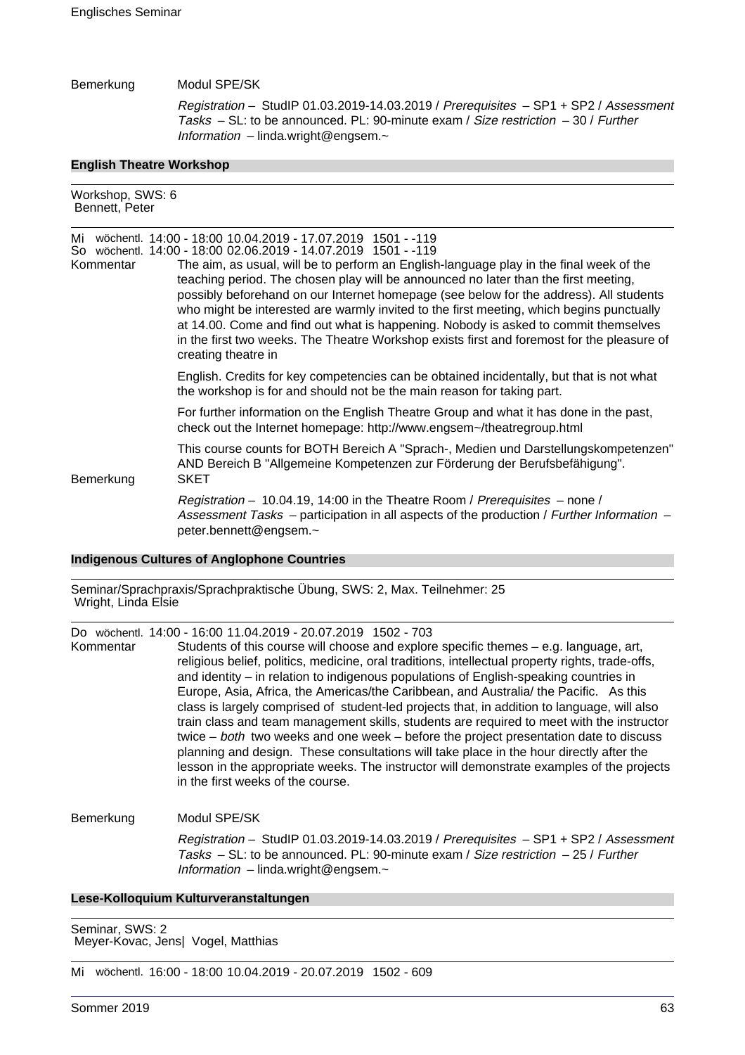## Bemerkung Modul SPE/SK

Registration – StudIP 01.03.2019-14.03.2019 / Prerequisites – SP1 + SP2 / Assessment Tasks – SL: to be announced. PL: 90-minute exam / Size restriction – 30 / Further Information – linda.wright@engsem.~

#### **English Theatre Workshop**

| Workshop, SWS: 6<br>Bennett, Peter |                                                                                                                                                                                                                                                                                                                                                                                                                                                                                                                                                                                                                                                                                                                                                                                                               |
|------------------------------------|---------------------------------------------------------------------------------------------------------------------------------------------------------------------------------------------------------------------------------------------------------------------------------------------------------------------------------------------------------------------------------------------------------------------------------------------------------------------------------------------------------------------------------------------------------------------------------------------------------------------------------------------------------------------------------------------------------------------------------------------------------------------------------------------------------------|
| Mi<br>Kommentar                    | wöchentl. 14:00 - 18:00 10.04.2019 - 17.07.2019 1501 - -119<br>So wöchentl. 14:00 - 18:00 02.06.2019 - 14.07.2019 1501 - -119<br>The aim, as usual, will be to perform an English-language play in the final week of the<br>teaching period. The chosen play will be announced no later than the first meeting,<br>possibly beforehand on our Internet homepage (see below for the address). All students<br>who might be interested are warmly invited to the first meeting, which begins punctually<br>at 14.00. Come and find out what is happening. Nobody is asked to commit themselves<br>in the first two weeks. The Theatre Workshop exists first and foremost for the pleasure of<br>creating theatre in<br>English. Credits for key competencies can be obtained incidentally, but that is not what |
|                                    | the workshop is for and should not be the main reason for taking part.                                                                                                                                                                                                                                                                                                                                                                                                                                                                                                                                                                                                                                                                                                                                        |
|                                    | For further information on the English Theatre Group and what it has done in the past,<br>check out the Internet homepage: http://www.engsem~/theatregroup.html                                                                                                                                                                                                                                                                                                                                                                                                                                                                                                                                                                                                                                               |
| Bemerkung                          | This course counts for BOTH Bereich A "Sprach-, Medien und Darstellungskompetenzen"<br>AND Bereich B "Allgemeine Kompetenzen zur Förderung der Berufsbefähigung".<br>SKET                                                                                                                                                                                                                                                                                                                                                                                                                                                                                                                                                                                                                                     |
|                                    | Registration – 10.04.19, 14:00 in the Theatre Room / Prerequisites – none /<br>Assessment Tasks – participation in all aspects of the production / Further Information –<br>peter.bennett@engsem.~                                                                                                                                                                                                                                                                                                                                                                                                                                                                                                                                                                                                            |

#### **Indigenous Cultures of Anglophone Countries**

Seminar/Sprachpraxis/Sprachpraktische Übung, SWS: 2, Max. Teilnehmer: 25 Wright, Linda Elsie

Do wöchentl. 14:00 - 16:00 11.04.2019 - 20.07.2019 1502 - 703

| Kommentar | Students of this course will choose and explore specific themes $-$ e.g. language, art,<br>religious belief, politics, medicine, oral traditions, intellectual property rights, trade-offs,<br>and identity – in relation to indigenous populations of English-speaking countries in<br>Europe, Asia, Africa, the Americas/the Caribbean, and Australia/ the Pacific. As this<br>class is largely comprised of student-led projects that, in addition to language, will also<br>train class and team management skills, students are required to meet with the instructor<br>twice $-$ both two weeks and one week $-$ before the project presentation date to discuss<br>planning and design. These consultations will take place in the hour directly after the<br>lesson in the appropriate weeks. The instructor will demonstrate examples of the projects<br>in the first weeks of the course. |
|-----------|-----------------------------------------------------------------------------------------------------------------------------------------------------------------------------------------------------------------------------------------------------------------------------------------------------------------------------------------------------------------------------------------------------------------------------------------------------------------------------------------------------------------------------------------------------------------------------------------------------------------------------------------------------------------------------------------------------------------------------------------------------------------------------------------------------------------------------------------------------------------------------------------------------|
|-----------|-----------------------------------------------------------------------------------------------------------------------------------------------------------------------------------------------------------------------------------------------------------------------------------------------------------------------------------------------------------------------------------------------------------------------------------------------------------------------------------------------------------------------------------------------------------------------------------------------------------------------------------------------------------------------------------------------------------------------------------------------------------------------------------------------------------------------------------------------------------------------------------------------------|

## Bemerkung Modul SPE/SK

Registration – StudIP 01.03.2019-14.03.2019 / Prerequisites – SP1 + SP2 / Assessment Tasks  $-$  SL: to be announced. PL: 90-minute exam / Size restriction  $-$  25 / Further Information – linda.wright@engsem.~

## **Lese-Kolloquium Kulturveranstaltungen**

Seminar, SWS: 2 Meyer-Kovac, Jens| Vogel, Matthias

Mi wöchentl. 16:00 - 18:00 10.04.2019 - 20.07.2019 1502 - 609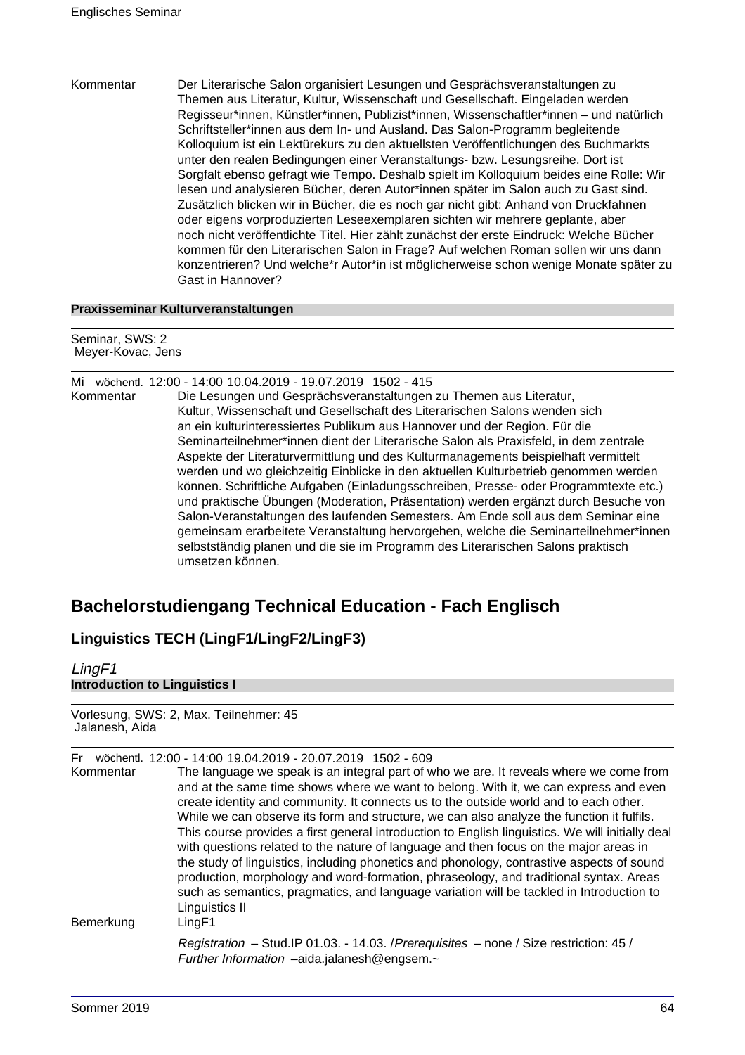Kommentar Der Literarische Salon organisiert Lesungen und Gesprächsveranstaltungen zu Themen aus Literatur, Kultur, Wissenschaft und Gesellschaft. Eingeladen werden Regisseur\*innen, Künstler\*innen, Publizist\*innen, Wissenschaftler\*innen – und natürlich Schriftsteller\*innen aus dem In- und Ausland. Das Salon-Programm begleitende Kolloquium ist ein Lektürekurs zu den aktuellsten Veröffentlichungen des Buchmarkts unter den realen Bedingungen einer Veranstaltungs- bzw. Lesungsreihe. Dort ist Sorgfalt ebenso gefragt wie Tempo. Deshalb spielt im Kolloquium beides eine Rolle: Wir lesen und analysieren Bücher, deren Autor\*innen später im Salon auch zu Gast sind. Zusätzlich blicken wir in Bücher, die es noch gar nicht gibt: Anhand von Druckfahnen oder eigens vorproduzierten Leseexemplaren sichten wir mehrere geplante, aber noch nicht veröffentlichte Titel. Hier zählt zunächst der erste Eindruck: Welche Bücher kommen für den Literarischen Salon in Frage? Auf welchen Roman sollen wir uns dann konzentrieren? Und welche\*r Autor\*in ist möglicherweise schon wenige Monate später zu Gast in Hannover?

## **Praxisseminar Kulturveranstaltungen**

Seminar, SWS: 2 Meyer-Kovac, Jens

| Mi        | wöchentl. 12:00 - 14:00 10.04.2019 - 19.07.2019 1502 - 415                           |
|-----------|--------------------------------------------------------------------------------------|
| Kommentar | Die Lesungen und Gesprächsveranstaltungen zu Themen aus Literatur,                   |
|           | Kultur, Wissenschaft und Gesellschaft des Literarischen Salons wenden sich           |
|           | an ein kulturinteressiertes Publikum aus Hannover und der Region. Für die            |
|           | Seminarteilnehmer*innen dient der Literarische Salon als Praxisfeld, in dem zentrale |
|           | Aspekte der Literaturvermittlung und des Kulturmanagements beispielhaft vermittelt   |
|           | werden und wo gleichzeitig Einblicke in den aktuellen Kulturbetrieb genommen werden  |
|           | können. Schriftliche Aufgaben (Einladungsschreiben, Presse- oder Programmtexte etc.) |
|           | und praktische Übungen (Moderation, Präsentation) werden ergänzt durch Besuche von   |
|           | Salon-Veranstaltungen des laufenden Semesters. Am Ende soll aus dem Seminar eine     |
|           | gemeinsam erarbeitete Veranstaltung hervorgehen, welche die Seminarteilnehmer*innen  |
|           | selbstständig planen und die sie im Programm des Literarischen Salons praktisch      |
|           | umsetzen können.                                                                     |
|           |                                                                                      |

# **Bachelorstudiengang Technical Education - Fach Englisch**

# **Linguistics TECH (LingF1/LingF2/LingF3)**

| <b>Introduction to Linguistics I</b><br>Vorlesung, SWS: 2, Max. Teilnehmer: 45<br>Jalanesh, Aida |                                                                                                                                                 |
|--------------------------------------------------------------------------------------------------|-------------------------------------------------------------------------------------------------------------------------------------------------|
|                                                                                                  |                                                                                                                                                 |
| Bemerkung                                                                                        | LingF1<br>Registration - Stud.IP 01.03. - 14.03. / Prerequisites - none / Size restriction: 45 /<br>Further Information -aida.jalanesh@engsem.~ |

LingF1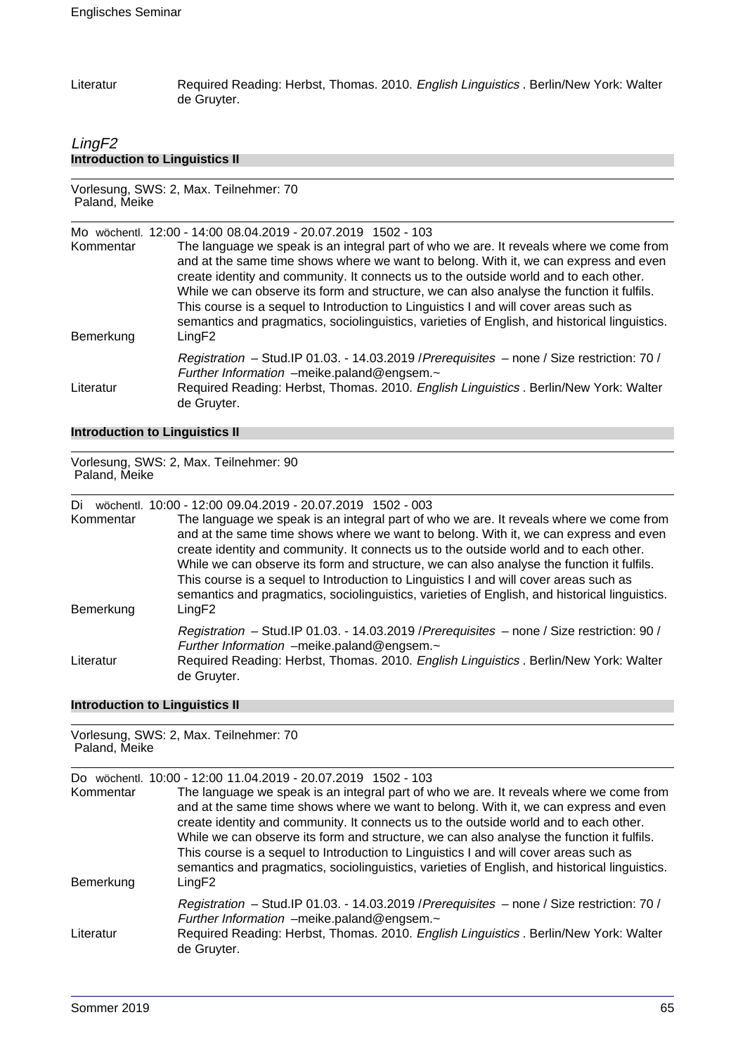Literatur Required Reading: Herbst, Thomas. 2010. English Linguistics . Berlin/New York: Walter de Gruyter.

## LingF2 **Introduction to Linguistics II**

Vorlesung, SWS: 2, Max. Teilnehmer: 70 Paland, Meike

Mo wöchentl. 12:00 - 14:00 08.04.2019 - 20.07.2019 1502 - 103 Kommentar The language we speak is an integral part of who we are. It reveals where we come from and at the same time shows where we want to belong. With it, we can express and even create identity and community. It connects us to the outside world and to each other. While we can observe its form and structure, we can also analyse the function it fulfils. This course is a sequel to Introduction to Linguistics I and will cover areas such as semantics and pragmatics, sociolinguistics, varieties of English, and historical linguistics. Bemerkung LingF2 Registration – Stud.IP 01.03. - 14.03.2019 /Prerequisites – none / Size restriction: 70 / Further Information –meike.paland@engsem.~ Literatur Required Reading: Herbst, Thomas. 2010. English Linguistics . Berlin/New York: Walter de Gruyter.

#### **Introduction to Linguistics II**

Vorlesung, SWS: 2, Max. Teilnehmer: 90 Paland, Meike

Di wöchentl. 10:00 - 12:00 09.04.2019 - 20.07.2019 1502 - 003

Kommentar The language we speak is an integral part of who we are. It reveals where we come from and at the same time shows where we want to belong. With it, we can express and even create identity and community. It connects us to the outside world and to each other. While we can observe its form and structure, we can also analyse the function it fulfils. This course is a sequel to Introduction to Linguistics I and will cover areas such as semantics and pragmatics, sociolinguistics, varieties of English, and historical linguistics. Bemerkung LingF2 Registration – Stud.IP 01.03. - 14.03.2019 /Prerequisites – none / Size restriction: 90 / Further Information –meike.paland@engsem.~ Literatur Required Reading: Herbst, Thomas. 2010. English Linguistics . Berlin/New York: Walter de Gruyter.

#### **Introduction to Linguistics II**

Vorlesung, SWS: 2, Max. Teilnehmer: 70

| Paland, Meike    |                                                                                                                                                                                                                                                                                                                                                                                                                                                                                                                                                                                                                              |  |  |  |
|------------------|------------------------------------------------------------------------------------------------------------------------------------------------------------------------------------------------------------------------------------------------------------------------------------------------------------------------------------------------------------------------------------------------------------------------------------------------------------------------------------------------------------------------------------------------------------------------------------------------------------------------------|--|--|--|
| Do.<br>Kommentar | wöchentl. 10:00 - 12:00 11.04.2019 - 20.07.2019 1502 - 103<br>The language we speak is an integral part of who we are. It reveals where we come from<br>and at the same time shows where we want to belong. With it, we can express and even<br>create identity and community. It connects us to the outside world and to each other.<br>While we can observe its form and structure, we can also analyse the function it fulfils.<br>This course is a sequel to Introduction to Linguistics I and will cover areas such as<br>semantics and pragmatics, sociolinguistics, varieties of English, and historical linguistics. |  |  |  |
| Bemerkung        | LingF2                                                                                                                                                                                                                                                                                                                                                                                                                                                                                                                                                                                                                       |  |  |  |
| Literatur        | Registration - Stud.IP 01.03. - 14.03.2019 / Prerequisites - none / Size restriction: 70 /<br>Further Information -meike.paland@engsem.~<br>Required Reading: Herbst, Thomas. 2010. English Linguistics . Berlin/New York: Walter<br>de Gruyter.                                                                                                                                                                                                                                                                                                                                                                             |  |  |  |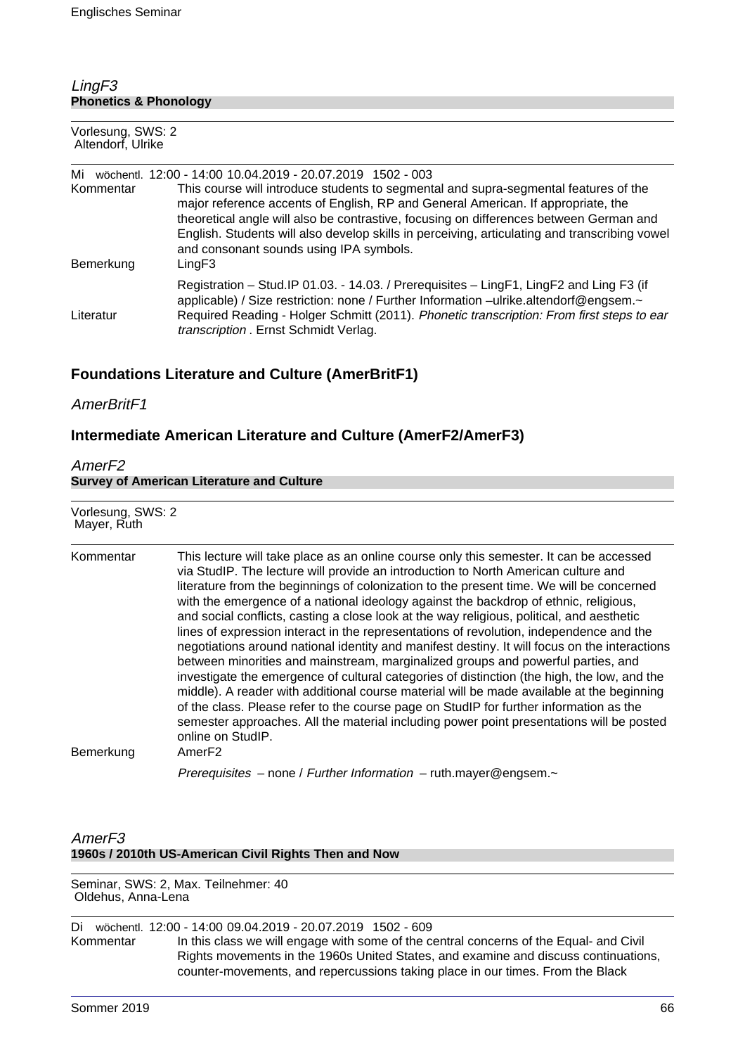## LingF3 **Phonetics & Phonology**

| Vorlesung, SWS: 2<br>Altendorf, Ulrike |                                                                                                                                                                                                                                                                                                                                                                                                                                                                                        |  |  |
|----------------------------------------|----------------------------------------------------------------------------------------------------------------------------------------------------------------------------------------------------------------------------------------------------------------------------------------------------------------------------------------------------------------------------------------------------------------------------------------------------------------------------------------|--|--|
| Mi<br>Kommentar<br>Bemerkung           | wöchentl. 12:00 - 14:00 10.04.2019 - 20.07.2019 1502 - 003<br>This course will introduce students to segmental and supra-segmental features of the<br>major reference accents of English, RP and General American. If appropriate, the<br>theoretical angle will also be contrastive, focusing on differences between German and<br>English. Students will also develop skills in perceiving, articulating and transcribing vowel<br>and consonant sounds using IPA symbols.<br>LingF3 |  |  |
| Literatur                              | Registration – Stud. IP 01.03. - 14.03. / Prerequisites – LingF1, LingF2 and Ling F3 (if<br>applicable) / Size restriction: none / Further Information -ulrike.altendorf@engsem.~<br>Required Reading - Holger Schmitt (2011). Phonetic transcription: From first steps to ear<br>transcription . Ernst Schmidt Verlag.                                                                                                                                                                |  |  |

# **Foundations Literature and Culture (AmerBritF1)**

## AmerBritF1

# **Intermediate American Literature and Culture (AmerF2/AmerF3)**

## AmerF2

|  | <b>Survey of American Literature and Culture</b> |  |  |
|--|--------------------------------------------------|--|--|
|  |                                                  |  |  |

| Vorlesung, SWS: 2<br>Mayer, Ruth |                                                                                                                                                                                                                                                                                                                                                                                                                                                                                                                                                                                                                                                                                                                                                                                                                                                                                                                                                                                                                                                                                                                                                                 |
|----------------------------------|-----------------------------------------------------------------------------------------------------------------------------------------------------------------------------------------------------------------------------------------------------------------------------------------------------------------------------------------------------------------------------------------------------------------------------------------------------------------------------------------------------------------------------------------------------------------------------------------------------------------------------------------------------------------------------------------------------------------------------------------------------------------------------------------------------------------------------------------------------------------------------------------------------------------------------------------------------------------------------------------------------------------------------------------------------------------------------------------------------------------------------------------------------------------|
| Kommentar<br>Bemerkung           | This lecture will take place as an online course only this semester. It can be accessed<br>via StudIP. The lecture will provide an introduction to North American culture and<br>literature from the beginnings of colonization to the present time. We will be concerned<br>with the emergence of a national ideology against the backdrop of ethnic, religious,<br>and social conflicts, casting a close look at the way religious, political, and aesthetic<br>lines of expression interact in the representations of revolution, independence and the<br>negotiations around national identity and manifest destiny. It will focus on the interactions<br>between minorities and mainstream, marginalized groups and powerful parties, and<br>investigate the emergence of cultural categories of distinction (the high, the low, and the<br>middle). A reader with additional course material will be made available at the beginning<br>of the class. Please refer to the course page on StudIP for further information as the<br>semester approaches. All the material including power point presentations will be posted<br>online on StudIP.<br>AmerF2 |
|                                  | Prerequisites - none / Further Information - ruth.mayer@engsem.~                                                                                                                                                                                                                                                                                                                                                                                                                                                                                                                                                                                                                                                                                                                                                                                                                                                                                                                                                                                                                                                                                                |

## AmerF3 **1960s / 2010th US-American Civil Rights Then and Now**

Seminar, SWS: 2, Max. Teilnehmer: 40 Oldehus, Anna-Lena

Di wöchentl. 12:00 - 14:00 09.04.2019 - 20.07.2019 1502 - 609 Kommentar In this class we will engage with some of the central concerns of the Equal- and Civil Rights movements in the 1960s United States, and examine and discuss continuations, counter-movements, and repercussions taking place in our times. From the Black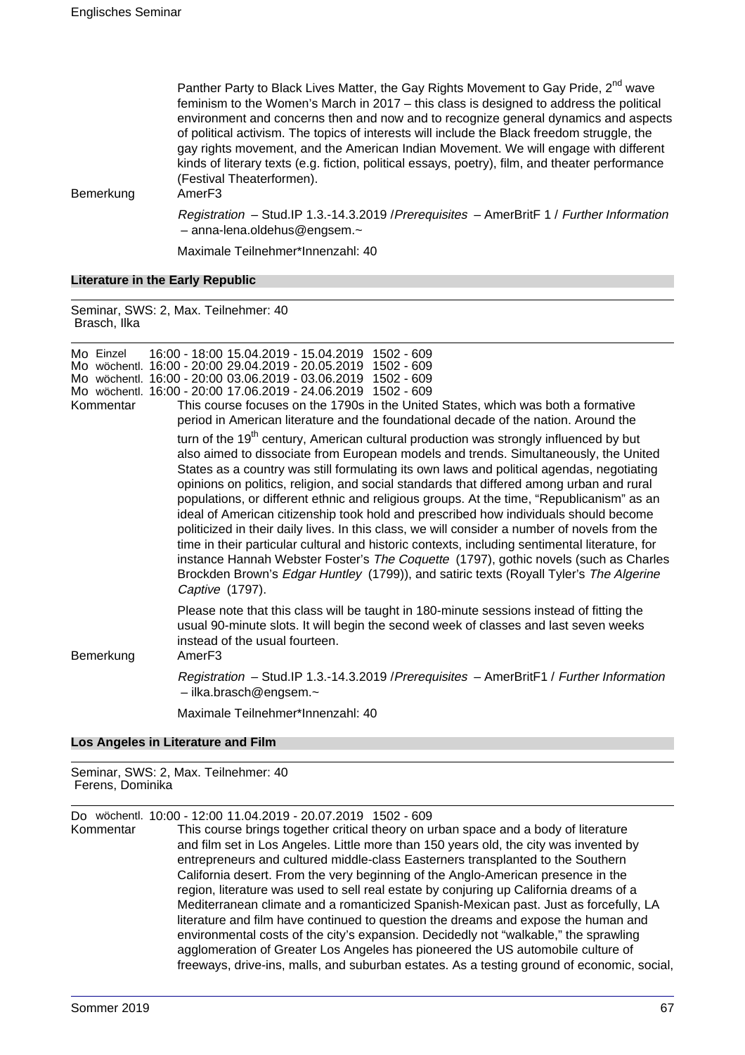Panther Party to Black Lives Matter, the Gay Rights Movement to Gay Pride, 2<sup>nd</sup> wave feminism to the Women's March in 2017 – this class is designed to address the political environment and concerns then and now and to recognize general dynamics and aspects of political activism. The topics of interests will include the Black freedom struggle, the gay rights movement, and the American Indian Movement. We will engage with different kinds of literary texts (e.g. fiction, political essays, poetry), film, and theater performance (Festival Theaterformen).

Bemerkung AmerF3

Registration – Stud.IP 1.3.-14.3.2019 /Prerequisites – AmerBritF 1 / Further Information – anna-lena.oldehus@engsem.~

Maximale Teilnehmer\*Innenzahl: 40

#### **Literature in the Early Republic**

Seminar, SWS: 2, Max. Teilnehmer: 40 Brasch, Ilka

| Mo Finzel | 16:00 - 18:00 15.04.2019 - 15.04.2019 1502 - 609              |  |
|-----------|---------------------------------------------------------------|--|
|           | Mo wöchentl. 16:00 - 20:00 29.04.2019 - 20.05.2019 1502 - 609 |  |
|           | Mo wöchentl. 16:00 - 20:00 03.06.2019 - 03.06.2019 1502 - 609 |  |
|           | Mo wöchentl. 16:00 - 20:00 17.06.2019 - 24.06.2019 1502 - 609 |  |

Kommentar This course focuses on the 1790s in the United States, which was both a formative period in American literature and the foundational decade of the nation. Around the turn of the  $19<sup>th</sup>$  century, American cultural production was strongly influenced by but also aimed to dissociate from European models and trends. Simultaneously, the United States as a country was still formulating its own laws and political agendas, negotiating opinions on politics, religion, and social standards that differed among urban and rural populations, or different ethnic and religious groups. At the time, "Republicanism" as an ideal of American citizenship took hold and prescribed how individuals should become

politicized in their daily lives. In this class, we will consider a number of novels from the time in their particular cultural and historic contexts, including sentimental literature, for instance Hannah Webster Foster's The Coquette (1797), gothic novels (such as Charles Brockden Brown's Edgar Huntley (1799)), and satiric texts (Royall Tyler's The Algerine Captive (1797).

Please note that this class will be taught in 180-minute sessions instead of fitting the usual 90-minute slots. It will begin the second week of classes and last seven weeks instead of the usual fourteen.

Bemerkung AmerF3

Registration – Stud.IP 1.3.-14.3.2019 /Prerequisites – AmerBritF1 / Further Information – ilka.brasch@engsem.~

Maximale Teilnehmer\*Innenzahl: 40

#### **Los Angeles in Literature and Film**

Seminar, SWS: 2, Max. Teilnehmer: 40 Ferens, Dominika

Do wöchentl. 10:00 - 12:00 11.04.2019 - 20.07.2019 1502 - 609

Kommentar This course brings together critical theory on urban space and a body of literature and film set in Los Angeles. Little more than 150 years old, the city was invented by entrepreneurs and cultured middle-class Easterners transplanted to the Southern California desert. From the very beginning of the Anglo-American presence in the region, literature was used to sell real estate by conjuring up California dreams of a Mediterranean climate and a romanticized Spanish-Mexican past. Just as forcefully, LA literature and film have continued to question the dreams and expose the human and environmental costs of the city's expansion. Decidedly not "walkable," the sprawling agglomeration of Greater Los Angeles has pioneered the US automobile culture of freeways, drive-ins, malls, and suburban estates. As a testing ground of economic, social,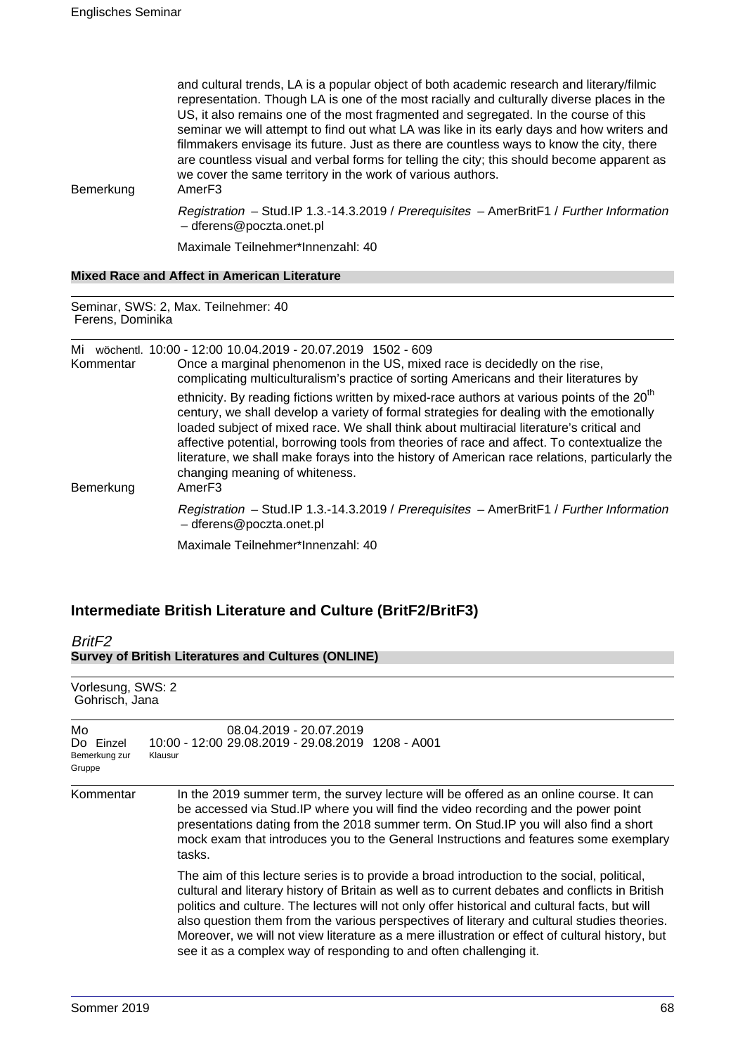| Bemerkung        | and cultural trends, LA is a popular object of both academic research and literary/filmic<br>representation. Though LA is one of the most racially and culturally diverse places in the<br>US, it also remains one of the most fragmented and segregated. In the course of this<br>seminar we will attempt to find out what LA was like in its early days and how writers and<br>filmmakers envisage its future. Just as there are countless ways to know the city, there<br>are countless visual and verbal forms for telling the city; this should become apparent as<br>we cover the same territory in the work of various authors.<br>Amer <sub>F3</sub> |  |  |
|------------------|--------------------------------------------------------------------------------------------------------------------------------------------------------------------------------------------------------------------------------------------------------------------------------------------------------------------------------------------------------------------------------------------------------------------------------------------------------------------------------------------------------------------------------------------------------------------------------------------------------------------------------------------------------------|--|--|
|                  | Registration - Stud.IP 1.3.-14.3.2019 / Prerequisites - AmerBritF1 / Further Information<br>- dferens@poczta.onet.pl                                                                                                                                                                                                                                                                                                                                                                                                                                                                                                                                         |  |  |
|                  | Maximale Teilnehmer*Innenzahl: 40                                                                                                                                                                                                                                                                                                                                                                                                                                                                                                                                                                                                                            |  |  |
|                  | <b>Mixed Race and Affect in American Literature</b>                                                                                                                                                                                                                                                                                                                                                                                                                                                                                                                                                                                                          |  |  |
| Ferens, Dominika | Seminar, SWS: 2, Max. Teilnehmer: 40                                                                                                                                                                                                                                                                                                                                                                                                                                                                                                                                                                                                                         |  |  |
| Kommentar        | Mi wöchentl. 10:00 - 12:00 10.04.2019 - 20.07.2019 1502 - 609<br>Once a marginal phenomenon in the US, mixed race is decidedly on the rise,<br>complicating multiculturalism's practice of sorting Americans and their literatures by                                                                                                                                                                                                                                                                                                                                                                                                                        |  |  |
| Bemerkung        | ethnicity. By reading fictions written by mixed-race authors at various points of the 20 <sup>th</sup><br>century, we shall develop a variety of formal strategies for dealing with the emotionally<br>loaded subject of mixed race. We shall think about multiracial literature's critical and<br>affective potential, borrowing tools from theories of race and affect. To contextualize the<br>literature, we shall make forays into the history of American race relations, particularly the<br>changing meaning of whiteness.<br>Amer <sub>F3</sub>                                                                                                     |  |  |
|                  | Registration - Stud.IP 1.3.-14.3.2019 / Prerequisites - AmerBritF1 / Further Information                                                                                                                                                                                                                                                                                                                                                                                                                                                                                                                                                                     |  |  |

– dferens@poczta.onet.pl

Maximale Teilnehmer\*Innenzahl: 40

# **Intermediate British Literature and Culture (BritF2/BritF3)**

BritF2 **Survey of British Literatures and Cultures (ONLINE)**

| Vorlesung, SWS: 2<br>Gohrisch, Jana        |                                                                                                                                                                                                                                                                                                                                                                                                                                                                                                                                                                          |
|--------------------------------------------|--------------------------------------------------------------------------------------------------------------------------------------------------------------------------------------------------------------------------------------------------------------------------------------------------------------------------------------------------------------------------------------------------------------------------------------------------------------------------------------------------------------------------------------------------------------------------|
| Mo<br>Do Einzel<br>Bemerkung zur<br>Gruppe | 08.04.2019 - 20.07.2019<br>10:00 - 12:00 29.08.2019 - 29.08.2019 1208 - A001<br>Klausur                                                                                                                                                                                                                                                                                                                                                                                                                                                                                  |
| Kommentar                                  | In the 2019 summer term, the survey lecture will be offered as an online course. It can<br>be accessed via Stud. IP where you will find the video recording and the power point<br>presentations dating from the 2018 summer term. On Stud. IP you will also find a short<br>mock exam that introduces you to the General Instructions and features some exemplary<br>tasks.                                                                                                                                                                                             |
|                                            | The aim of this lecture series is to provide a broad introduction to the social, political,<br>cultural and literary history of Britain as well as to current debates and conflicts in British<br>politics and culture. The lectures will not only offer historical and cultural facts, but will<br>also question them from the various perspectives of literary and cultural studies theories.<br>Moreover, we will not view literature as a mere illustration or effect of cultural history, but<br>see it as a complex way of responding to and often challenging it. |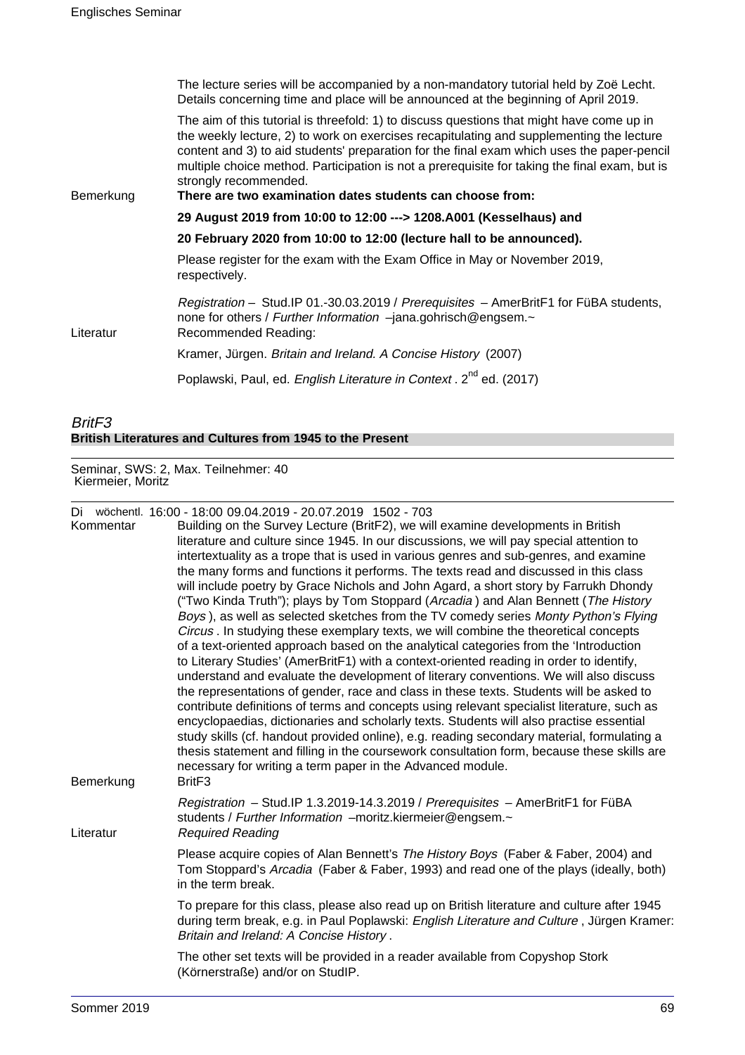|           | The lecture series will be accompanied by a non-mandatory tutorial held by Zoë Lecht.<br>Details concerning time and place will be announced at the beginning of April 2019.                                                                                                                                                                                                                                                                                               |
|-----------|----------------------------------------------------------------------------------------------------------------------------------------------------------------------------------------------------------------------------------------------------------------------------------------------------------------------------------------------------------------------------------------------------------------------------------------------------------------------------|
| Bemerkung | The aim of this tutorial is threefold: 1) to discuss questions that might have come up in<br>the weekly lecture, 2) to work on exercises recapitulating and supplementing the lecture<br>content and 3) to aid students' preparation for the final exam which uses the paper-pencil<br>multiple choice method. Participation is not a prerequisite for taking the final exam, but is<br>strongly recommended.<br>There are two examination dates students can choose from: |
|           | 29 August 2019 from 10:00 to 12:00 ---> 1208.A001 (Kesselhaus) and                                                                                                                                                                                                                                                                                                                                                                                                         |
|           | 20 February 2020 from 10:00 to 12:00 (lecture hall to be announced).                                                                                                                                                                                                                                                                                                                                                                                                       |
|           | Please register for the exam with the Exam Office in May or November 2019,<br>respectively.                                                                                                                                                                                                                                                                                                                                                                                |
| Literatur | Registration – Stud. IP 01.-30.03.2019 / Prerequisites – AmerBritF1 for FüBA students,<br>none for others / Further Information -jana.gohrisch@engsem.~<br>Recommended Reading:                                                                                                                                                                                                                                                                                            |
|           | Kramer, Jürgen. Britain and Ireland. A Concise History (2007)                                                                                                                                                                                                                                                                                                                                                                                                              |
|           | Poplawski, Paul, ed. English Literature in Context. 2 <sup>nd</sup> ed. (2017)                                                                                                                                                                                                                                                                                                                                                                                             |

## BritF3 **British Literatures and Cultures from 1945 to the Present**

Seminar, SWS: 2, Max. Teilnehmer: 40 Kiermeier, Moritz

Di wöchentl. 16:00 - 18:00 09.04.2019 - 20.07.2019 1502 - 703

| Kommentar | <b>DI WOUTERNE. 10.00 - 10.00 03.04.2013 - 20.07.2013 1302 - 703</b><br>Building on the Survey Lecture (BritF2), we will examine developments in British<br>literature and culture since 1945. In our discussions, we will pay special attention to<br>intertextuality as a trope that is used in various genres and sub-genres, and examine<br>the many forms and functions it performs. The texts read and discussed in this class<br>will include poetry by Grace Nichols and John Agard, a short story by Farrukh Dhondy<br>("Two Kinda Truth"); plays by Tom Stoppard (Arcadia) and Alan Bennett (The History<br>Boys), as well as selected sketches from the TV comedy series Monty Python's Flying<br>Circus . In studying these exemplary texts, we will combine the theoretical concepts                                             |
|-----------|-----------------------------------------------------------------------------------------------------------------------------------------------------------------------------------------------------------------------------------------------------------------------------------------------------------------------------------------------------------------------------------------------------------------------------------------------------------------------------------------------------------------------------------------------------------------------------------------------------------------------------------------------------------------------------------------------------------------------------------------------------------------------------------------------------------------------------------------------|
| Bemerkung | of a text-oriented approach based on the analytical categories from the 'Introduction<br>to Literary Studies' (AmerBritF1) with a context-oriented reading in order to identify,<br>understand and evaluate the development of literary conventions. We will also discuss<br>the representations of gender, race and class in these texts. Students will be asked to<br>contribute definitions of terms and concepts using relevant specialist literature, such as<br>encyclopaedias, dictionaries and scholarly texts. Students will also practise essential<br>study skills (cf. handout provided online), e.g. reading secondary material, formulating a<br>thesis statement and filling in the coursework consultation form, because these skills are<br>necessary for writing a term paper in the Advanced module.<br>Brit <sub>F3</sub> |
| Literatur | Registration - Stud.IP 1.3.2019-14.3.2019 / Prerequisites - AmerBritF1 for FüBA<br>students / Further Information -moritz.kiermeier@engsem.~<br><b>Required Reading</b>                                                                                                                                                                                                                                                                                                                                                                                                                                                                                                                                                                                                                                                                       |
|           | Please acquire copies of Alan Bennett's The History Boys (Faber & Faber, 2004) and<br>Tom Stoppard's Arcadia (Faber & Faber, 1993) and read one of the plays (ideally, both)<br>in the term break.                                                                                                                                                                                                                                                                                                                                                                                                                                                                                                                                                                                                                                            |
|           | To prepare for this class, please also read up on British literature and culture after 1945<br>during term break, e.g. in Paul Poplawski: English Literature and Culture, Jürgen Kramer:<br>Britain and Ireland: A Concise History.                                                                                                                                                                                                                                                                                                                                                                                                                                                                                                                                                                                                           |
|           | The other set texts will be provided in a reader available from Copyshop Stork<br>(Körnerstraße) and/or on StudIP.                                                                                                                                                                                                                                                                                                                                                                                                                                                                                                                                                                                                                                                                                                                            |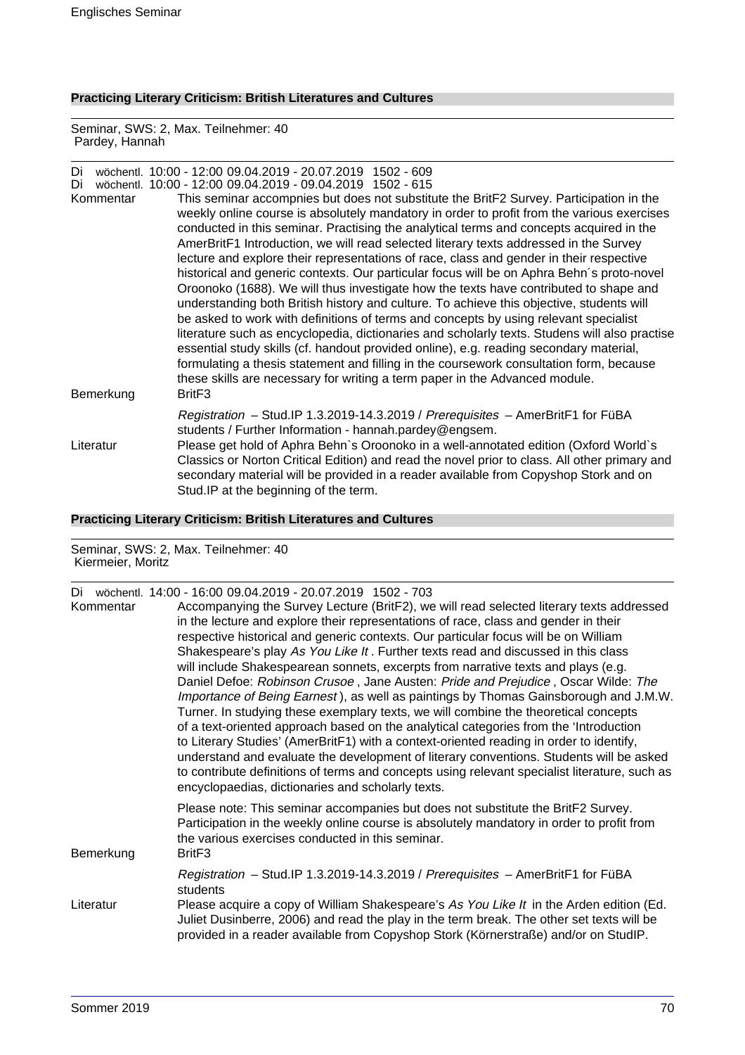# **Practicing Literary Criticism: British Literatures and Cultures**

Seminar, SWS: 2, Max. Teilnehmer: 40 Pardey, Hannah

| Di<br>Di<br>Kommentar | wöchentl. 10:00 - 12:00 09.04.2019 - 20.07.2019 1502 - 609<br>wöchentl. 10:00 - 12:00 09.04.2019 - 09.04.2019 1502 - 615<br>This seminar accompnies but does not substitute the BritF2 Survey. Participation in the<br>weekly online course is absolutely mandatory in order to profit from the various exercises<br>conducted in this seminar. Practising the analytical terms and concepts acquired in the<br>AmerBritF1 Introduction, we will read selected literary texts addressed in the Survey<br>lecture and explore their representations of race, class and gender in their respective<br>historical and generic contexts. Our particular focus will be on Aphra Behn's proto-novel<br>Oroonoko (1688). We will thus investigate how the texts have contributed to shape and<br>understanding both British history and culture. To achieve this objective, students will<br>be asked to work with definitions of terms and concepts by using relevant specialist<br>literature such as encyclopedia, dictionaries and scholarly texts. Studens will also practise<br>essential study skills (cf. handout provided online), e.g. reading secondary material,<br>formulating a thesis statement and filling in the coursework consultation form, because<br>these skills are necessary for writing a term paper in the Advanced module. |
|-----------------------|-------------------------------------------------------------------------------------------------------------------------------------------------------------------------------------------------------------------------------------------------------------------------------------------------------------------------------------------------------------------------------------------------------------------------------------------------------------------------------------------------------------------------------------------------------------------------------------------------------------------------------------------------------------------------------------------------------------------------------------------------------------------------------------------------------------------------------------------------------------------------------------------------------------------------------------------------------------------------------------------------------------------------------------------------------------------------------------------------------------------------------------------------------------------------------------------------------------------------------------------------------------------------------------------------------------------------------------------------|
| Bemerkung             | Brit <sub>F3</sub>                                                                                                                                                                                                                                                                                                                                                                                                                                                                                                                                                                                                                                                                                                                                                                                                                                                                                                                                                                                                                                                                                                                                                                                                                                                                                                                              |
| Literatur             | Registration - Stud.IP 1.3.2019-14.3.2019 / Prerequisites - AmerBritF1 for FüBA<br>students / Further Information - hannah.pardey@engsem.<br>Please get hold of Aphra Behn's Oroonoko in a well-annotated edition (Oxford World's<br>Classics or Norton Critical Edition) and read the novel prior to class. All other primary and<br>secondary material will be provided in a reader available from Copyshop Stork and on<br>Stud. IP at the beginning of the term.                                                                                                                                                                                                                                                                                                                                                                                                                                                                                                                                                                                                                                                                                                                                                                                                                                                                            |

## **Practicing Literary Criticism: British Literatures and Cultures**

Seminar, SWS: 2, Max. Teilnehmer: 40 Kiermeier, Moritz

| Di<br>Kommentar | wöchentl. 14:00 - 16:00 09.04.2019 - 20.07.2019 1502 - 703<br>Accompanying the Survey Lecture (BritF2), we will read selected literary texts addressed<br>in the lecture and explore their representations of race, class and gender in their<br>respective historical and generic contexts. Our particular focus will be on William<br>Shakespeare's play As You Like It. Further texts read and discussed in this class<br>will include Shakespearean sonnets, excerpts from narrative texts and plays (e.g.<br>Daniel Defoe: Robinson Crusoe, Jane Austen: Pride and Prejudice, Oscar Wilde: The<br>Importance of Being Earnest), as well as paintings by Thomas Gainsborough and J.M.W.<br>Turner. In studying these exemplary texts, we will combine the theoretical concepts<br>of a text-oriented approach based on the analytical categories from the 'Introduction<br>to Literary Studies' (AmerBritF1) with a context-oriented reading in order to identify,<br>understand and evaluate the development of literary conventions. Students will be asked<br>to contribute definitions of terms and concepts using relevant specialist literature, such as<br>encyclopaedias, dictionaries and scholarly texts. |
|-----------------|-------------------------------------------------------------------------------------------------------------------------------------------------------------------------------------------------------------------------------------------------------------------------------------------------------------------------------------------------------------------------------------------------------------------------------------------------------------------------------------------------------------------------------------------------------------------------------------------------------------------------------------------------------------------------------------------------------------------------------------------------------------------------------------------------------------------------------------------------------------------------------------------------------------------------------------------------------------------------------------------------------------------------------------------------------------------------------------------------------------------------------------------------------------------------------------------------------------------------|
| Bemerkung       | Please note: This seminar accompanies but does not substitute the BritF2 Survey.<br>Participation in the weekly online course is absolutely mandatory in order to profit from<br>the various exercises conducted in this seminar.<br>Brit <sub>F3</sub>                                                                                                                                                                                                                                                                                                                                                                                                                                                                                                                                                                                                                                                                                                                                                                                                                                                                                                                                                                 |
| Literatur       | Registration - Stud.IP 1.3.2019-14.3.2019 / Prerequisites - AmerBritF1 for FüBA<br>students<br>Please acquire a copy of William Shakespeare's As You Like It in the Arden edition (Ed.<br>Juliet Dusinberre, 2006) and read the play in the term break. The other set texts will be<br>provided in a reader available from Copyshop Stork (Körnerstraße) and/or on StudIP.                                                                                                                                                                                                                                                                                                                                                                                                                                                                                                                                                                                                                                                                                                                                                                                                                                              |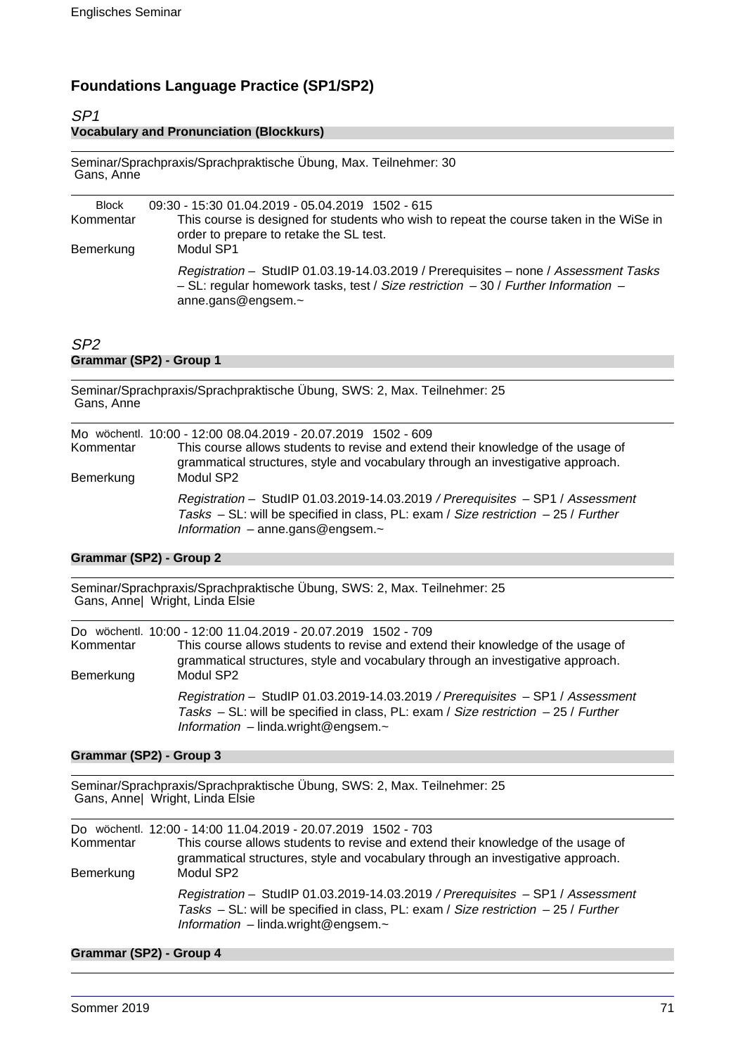# **Foundations Language Practice (SP1/SP2)**

| SP <sub>1</sub>                                 |  |
|-------------------------------------------------|--|
| <b>Vocabulary and Pronunciation (Blockkurs)</b> |  |

Seminar/Sprachpraxis/Sprachpraktische Übung, Max. Teilnehmer: 30 Gans, Anne

| <b>Block</b><br>Kommentar | 09:30 - 15:30 01.04.2019 - 05.04.2019 1502 - 615<br>This course is designed for students who wish to repeat the course taken in the WiSe in<br>order to prepare to retake the SL test.          |
|---------------------------|-------------------------------------------------------------------------------------------------------------------------------------------------------------------------------------------------|
| Bemerkung                 | Modul SP1                                                                                                                                                                                       |
|                           | Registration - StudIP 01.03.19-14.03.2019 / Prerequisites - none / Assessment Tasks<br>- SL: regular homework tasks, test / Size restriction - 30 / Further Information -<br>anne.gans@engsem.~ |

# SP2

**Grammar (SP2) - Group 1**

| Gans, Anne             |                                                                                                                                                                                                                                                   |  |
|------------------------|---------------------------------------------------------------------------------------------------------------------------------------------------------------------------------------------------------------------------------------------------|--|
| Kommentar<br>Bemerkung | Mo wöchentl. 10:00 - 12:00 08.04.2019 - 20.07.2019 1502 - 609<br>This course allows students to revise and extend their knowledge of the usage of<br>grammatical structures, style and vocabulary through an investigative approach.<br>Modul SP2 |  |
|                        | Registration - StudIP 01.03.2019-14.03.2019 / Prerequisites - SP1 / Assessment<br>Tasks - SL: will be specified in class, PL: exam / Size restriction - 25 / Further<br>Information $-$ anne.gans@engsem. $\sim$                                  |  |

## **Grammar (SP2) - Group 2**

Seminar/Sprachpraxis/Sprachpraktische Übung, SWS: 2, Max. Teilnehmer: 25 Gans, Anne| Wright, Linda Elsie

Seminar/Sprachpraxis/Sprachpraktische Übung, SWS: 2, Max. Teilnehmer: 25

| Kommentar<br>Bemerkung | Do wöchentl. 10:00 - 12:00 11.04.2019 - 20.07.2019 1502 - 709<br>This course allows students to revise and extend their knowledge of the usage of<br>grammatical structures, style and vocabulary through an investigative approach.<br>Modul SP2 |  |
|------------------------|---------------------------------------------------------------------------------------------------------------------------------------------------------------------------------------------------------------------------------------------------|--|
|                        | Registration - StudIP 01.03.2019-14.03.2019 / Prerequisites - SP1 / Assessment<br>Tasks – SL: will be specified in class, PL: exam / Size restriction – 25 / Further<br>Information $-$ linda.wright@engsem. $\sim$                               |  |

## **Grammar (SP2) - Group 3**

Seminar/Sprachpraxis/Sprachpraktische Übung, SWS: 2, Max. Teilnehmer: 25 Gans, Anne| Wright, Linda Elsie

| Kommentar<br>Bemerkung | Do wöchentl. 12:00 - 14:00 11.04.2019 - 20.07.2019 1502 - 703<br>This course allows students to revise and extend their knowledge of the usage of<br>grammatical structures, style and vocabulary through an investigative approach.<br>Modul SP2 |
|------------------------|---------------------------------------------------------------------------------------------------------------------------------------------------------------------------------------------------------------------------------------------------|
|                        | Registration - StudIP 01.03.2019-14.03.2019 / Prerequisites - SP1 / Assessment<br>Tasks $-$ SL: will be specified in class, PL: exam / Size restriction $-$ 25 / Further<br>Information $-$ linda.wright@engsem. $\sim$                           |

## **Grammar (SP2) - Group 4**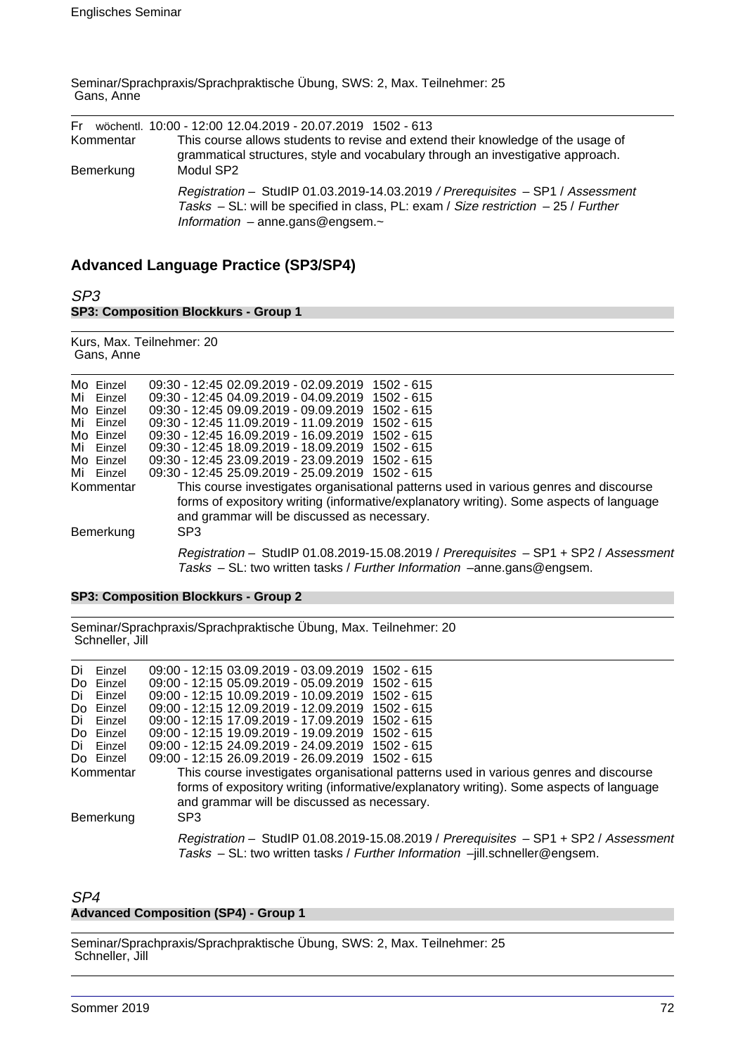Seminar/Sprachpraxis/Sprachpraktische Übung, SWS: 2, Max. Teilnehmer: 25 Gans, Anne

| Kommentar<br>Bemerkung | Fr wöchentl. 10:00 - 12:00 12.04.2019 - 20.07.2019 1502 - 613<br>This course allows students to revise and extend their knowledge of the usage of<br>grammatical structures, style and vocabulary through an investigative approach.<br>Modul SP2 |
|------------------------|---------------------------------------------------------------------------------------------------------------------------------------------------------------------------------------------------------------------------------------------------|
|                        | Registration - StudIP 01.03.2019-14.03.2019 / Prerequisites - SP1 / Assessment<br>Tasks – SL: will be specified in class, PL: exam / Size restriction – 25 / Further<br>Information - anne.gans@engsem.~                                          |

## **Advanced Language Practice (SP3/SP4)**

SP3 **SP3: Composition Blockkurs - Group 1**

Kurs, Max. Teilnehmer: 20 Gans, Anne

| Mo Einzel | 09:30 - 12:45 02:09.2019 - 02:09.2019 1502 - 615                                                                                                               |
|-----------|----------------------------------------------------------------------------------------------------------------------------------------------------------------|
| Mi Einzel | 09:30 - 12:45 04:09.2019 - 04:09.2019 1502 - 615                                                                                                               |
| Mo Einzel | 09:30 - 12:45 09:09:2019 - 09:09:2019 1502 - 615                                                                                                               |
| Mi Einzel | 09:30 - 12:45 11.09.2019 - 11.09.2019 1502 - 615                                                                                                               |
| Mo Einzel | 09:30 - 12:45 16:09:2019 - 16:09:2019 1502 - 615                                                                                                               |
| Mi Einzel | 09:30 - 12:45 18:09.2019 - 18:09.2019 1502 - 615                                                                                                               |
| Mo Einzel | 09:30 - 12:45 23.09.2019 - 23.09.2019 1502 - 615                                                                                                               |
| Mi Einzel | 09:30 - 12:45 25.09.2019 - 25.09.2019 1502 - 615                                                                                                               |
| Kommentar | This course investigates organisational patterns used in various genres and discourse                                                                          |
|           | forms of expository writing (informative/explanatory writing). Some aspects of language                                                                        |
|           | and grammar will be discussed as necessary.                                                                                                                    |
| Bemerkung | SP <sub>3</sub>                                                                                                                                                |
|           | Registration - StudIP 01.08.2019-15.08.2019 / Prerequisites - SP1 + SP2 / Assessment<br>Tasks - SL: two written tasks / Further Information -anne.gans@engsem. |

## **SP3: Composition Blockkurs - Group 2**

Seminar/Sprachpraxis/Sprachpraktische Übung, Max. Teilnehmer: 20 Schneller, Jill

| Di | Einzel    | 09:00 - 12:15 03.09.2019 - 03.09.2019 1502 - 615                                                                                                                    |
|----|-----------|---------------------------------------------------------------------------------------------------------------------------------------------------------------------|
|    | Do Einzel | 09:00 - 12:15 05:09:2019 - 05:09:2019 1502 - 615                                                                                                                    |
| Di | Einzel    | 09:00 - 12:15 10:09.2019 - 10:09.2019<br>1502 - 615                                                                                                                 |
|    | Do Einzel | 09:00 - 12:15 12.09.2019 - 12.09.2019<br>1502 - 615                                                                                                                 |
| Di | Einzel    | 09:00 - 12:15 17:09.2019 - 17:09.2019 1502 - 615                                                                                                                    |
|    | Do Einzel | 09:00 - 12:15 19.09.2019 - 19.09.2019 1502 - 615                                                                                                                    |
| Di | Einzel    | 09:00 - 12:15 24.09.2019 - 24.09.2019 1502 - 615                                                                                                                    |
|    | Do Einzel | 09:00 - 12:15 26.09.2019 - 26.09.2019 1502 - 615                                                                                                                    |
|    | Kommentar | This course investigates organisational patterns used in various genres and discourse                                                                               |
|    |           | forms of expository writing (informative/explanatory writing). Some aspects of language<br>and grammar will be discussed as necessary.                              |
|    | Bemerkung | SP <sub>3</sub>                                                                                                                                                     |
|    |           | Registration - StudIP 01.08.2019-15.08.2019 / Prerequisites - SP1 + SP2 / Assessment<br>Tasks - SL: two written tasks / Further Information -jill.schneller@engsem. |

## SP4 **Advanced Composition (SP4) - Group 1**

Seminar/Sprachpraxis/Sprachpraktische Übung, SWS: 2, Max. Teilnehmer: 25 Schneller, Jill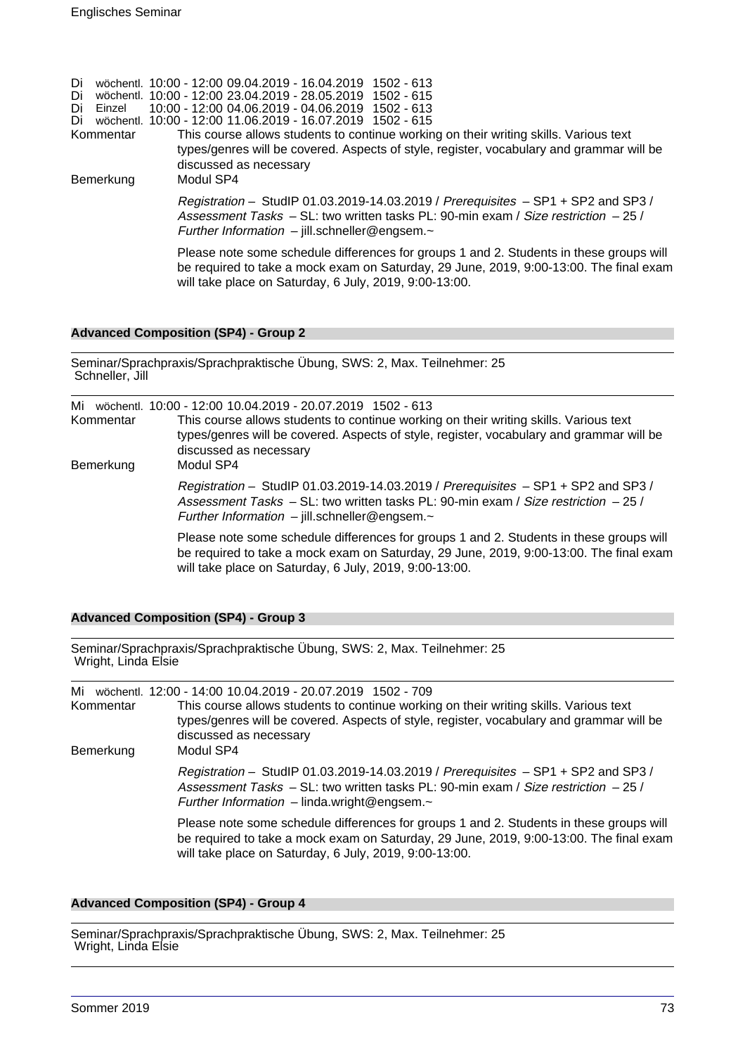Di wöchentl. 10:00 - 12:00 09.04.2019 - 16.04.2019 1502 - 613 Di wöchentl. 10:00 - 12:00 23.04.2019 - 28.05.2019 1502 - 615 Di Einzel 10:00 - 12:00 04.06.2019 - 04.06.2019 1502 - 613 Di wöchentl. 10:00 - 12:00 11.06.2019 - 16.07.2019 1502 - 615 Kommentar This course allows students to continue working on their writing skills. Various text types/genres will be covered. Aspects of style, register, vocabulary and grammar will be discussed as necessary Bemerkung Modul SP4 Registration – StudIP 01.03.2019-14.03.2019 / Prerequisites – SP1 + SP2 and SP3 / Assessment Tasks – SL: two written tasks PL: 90-min exam / Size restriction – 25 / Further Information – jill.schneller@engsem.~ Please note some schedule differences for groups 1 and 2. Students in these groups will be required to take a mock exam on Saturday, 29 June, 2019, 9:00-13:00. The final exam

will take place on Saturday, 6 July, 2019, 9:00-13:00.

Seminar/Sprachpraxis/Sprachpraktische Übung, SWS: 2, Max. Teilnehmer: 25

#### **Advanced Composition (SP4) - Group 2**

| Schneller, Jill |                                                                                                                                                                                                                                                                           |  |
|-----------------|---------------------------------------------------------------------------------------------------------------------------------------------------------------------------------------------------------------------------------------------------------------------------|--|
| Mi<br>Kommentar | wöchentl. 10:00 - 12:00 10.04.2019 - 20.07.2019 1502 - 613<br>This course allows students to continue working on their writing skills. Various text<br>types/genres will be covered. Aspects of style, register, vocabulary and grammar will be<br>discussed as necessary |  |
| Bemerkung       | Modul SP4<br>Registration - StudIP 01.03.2019-14.03.2019 / Prerequisites $-$ SP1 + SP2 and SP3 /<br>Assessment Tasks – SL: two written tasks PL: 90-min exam / Size restriction – 25 /<br>Further Information $-$ jill.schneller@engsem. $\sim$                           |  |
|                 | Please note some schedule differences for groups 1 and 2. Students in these groups will<br>be required to take a mock exam on Saturday, 29 June, 2019, 9:00-13:00. The final exam<br>will take place on Saturday, 6 July, 2019, 9:00-13:00.                               |  |

#### **Advanced Composition (SP4) - Group 3**

Seminar/Sprachpraxis/Sprachpraktische Übung, SWS: 2, Max. Teilnehmer: 25 Wright, Linda Elsie

Mi wöchentl. 12:00 - 14:00 10.04.2019 - 20.07.2019 1502 - 709 Kommentar This course allows students to continue working on their writing skills. Various text types/genres will be covered. Aspects of style, register, vocabulary and grammar will be discussed as necessary Bemerkung Modul SP4 Registration – StudIP 01.03.2019-14.03.2019 / Prerequisites – SP1 + SP2 and SP3 / Assessment Tasks – SL: two written tasks PL: 90-min exam / Size restriction – 25 / Further Information – linda.wright@engsem. $\sim$ Please note some schedule differences for groups 1 and 2. Students in these groups will be required to take a mock exam on Saturday, 29 June, 2019, 9:00-13:00. The final exam will take place on Saturday, 6 July, 2019, 9:00-13:00.

#### **Advanced Composition (SP4) - Group 4**

Seminar/Sprachpraxis/Sprachpraktische Übung, SWS: 2, Max. Teilnehmer: 25 Wright, Linda Elsie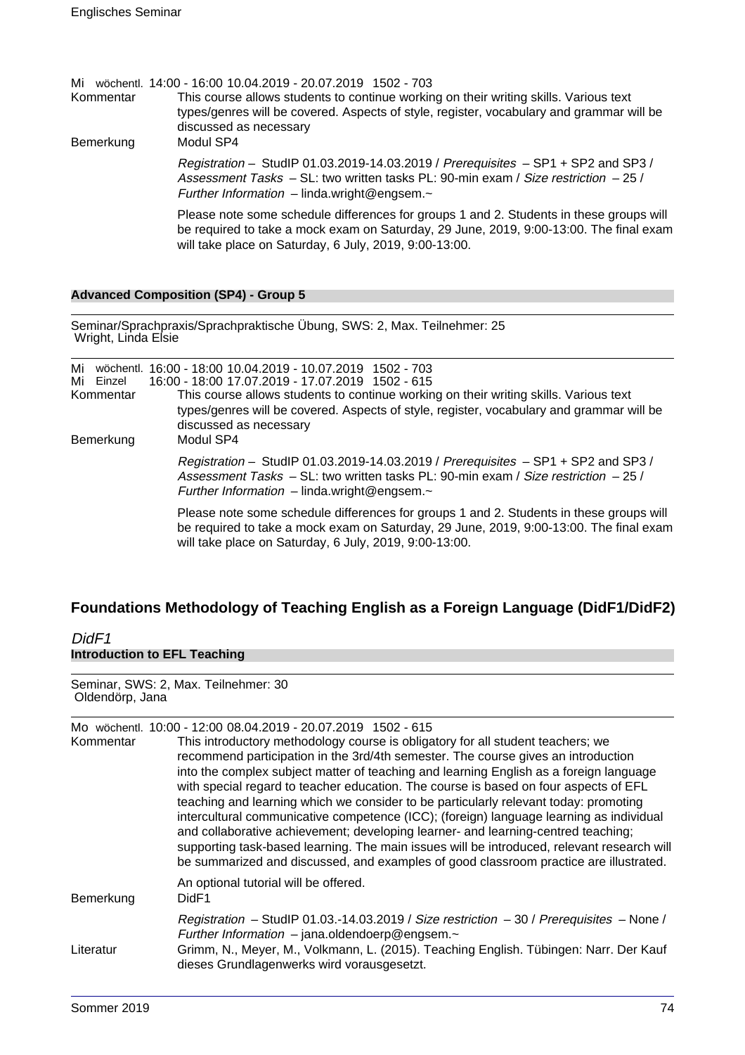| Kommentar<br>Bemerkung | Mi wöchentl. 14:00 - 16:00 10.04.2019 - 20.07.2019 1502 - 703<br>This course allows students to continue working on their writing skills. Various text<br>types/genres will be covered. Aspects of style, register, vocabulary and grammar will be<br>discussed as necessary<br>Modul SP4 |
|------------------------|-------------------------------------------------------------------------------------------------------------------------------------------------------------------------------------------------------------------------------------------------------------------------------------------|
|                        | Registration - StudIP 01.03.2019-14.03.2019 / Prerequisites - SP1 + SP2 and SP3 /<br>Assessment Tasks $-$ SL: two written tasks PL: 90-min exam / Size restriction $-$ 25 /<br>Further Information $-$ linda.wright@engsem. $\sim$                                                        |
|                        | Please note some schedule differences for groups 1 and 2. Students in these groups will<br>be required to take a mock exam on Saturday, 29 June, 2019, 9:00-13:00. The final exam<br>will take place on Saturday, 6 July, 2019, 9:00-13:00.                                               |

# **Advanced Composition (SP4) - Group 5**

| Seminar/Sprachpraxis/Sprachpraktische Übung, SWS: 2, Max. Teilnehmer: 25<br>Wright, Linda Elsie |                                                                                                                                                                                                                                                                                                                                            |
|-------------------------------------------------------------------------------------------------|--------------------------------------------------------------------------------------------------------------------------------------------------------------------------------------------------------------------------------------------------------------------------------------------------------------------------------------------|
| Mi<br>Mi<br>Einzel<br>Kommentar<br>Bemerkung                                                    | wöchentl. 16:00 - 18:00 10.04.2019 - 10.07.2019 1502 - 703<br>16:00 - 18:00 17.07.2019 - 17.07.2019 1502 - 615<br>This course allows students to continue working on their writing skills. Various text<br>types/genres will be covered. Aspects of style, register, vocabulary and grammar will be<br>discussed as necessary<br>Modul SP4 |
|                                                                                                 | Registration – StudIP 01.03.2019-14.03.2019 / Prerequisites – SP1 + SP2 and SP3 /<br>Assessment Tasks $-$ SL: two written tasks PL: 90-min exam / Size restriction $-$ 25 /<br>Further Information $-$ linda.wright@engsem. $\sim$                                                                                                         |
|                                                                                                 | Please note some schedule differences for groups 1 and 2. Students in these groups will<br>be required to take a mock exam on Saturday, 29 June, 2019, 9:00-13:00. The final exam<br>will take place on Saturday, 6 July, 2019, 9:00-13:00.                                                                                                |

# **Foundations Methodology of Teaching English as a Foreign Language (DidF1/DidF2)**

# DidF<sub>1</sub> **Introduction to EFL Teaching**

Seminar, SWS: 2, Max. Teilnehmer: 30 Oldendörp, Jana

| Kommentar | Mo wöchentl. 10:00 - 12:00 08.04.2019 - 20.07.2019 1502 - 615<br>This introductory methodology course is obligatory for all student teachers; we<br>recommend participation in the 3rd/4th semester. The course gives an introduction<br>into the complex subject matter of teaching and learning English as a foreign language<br>with special regard to teacher education. The course is based on four aspects of EFL<br>teaching and learning which we consider to be particularly relevant today: promoting<br>intercultural communicative competence (ICC); (foreign) language learning as individual<br>and collaborative achievement; developing learner- and learning-centred teaching;<br>supporting task-based learning. The main issues will be introduced, relevant research will<br>be summarized and discussed, and examples of good classroom practice are illustrated. |
|-----------|----------------------------------------------------------------------------------------------------------------------------------------------------------------------------------------------------------------------------------------------------------------------------------------------------------------------------------------------------------------------------------------------------------------------------------------------------------------------------------------------------------------------------------------------------------------------------------------------------------------------------------------------------------------------------------------------------------------------------------------------------------------------------------------------------------------------------------------------------------------------------------------|
| Bemerkung | An optional tutorial will be offered.<br>DidF1                                                                                                                                                                                                                                                                                                                                                                                                                                                                                                                                                                                                                                                                                                                                                                                                                                         |
| Literatur | Registration - StudIP 01.03.-14.03.2019 / Size restriction - 30 / Prerequisites - None /<br>Further Information $-$ jana.oldendoerp@engsem. $\sim$<br>Grimm, N., Meyer, M., Volkmann, L. (2015). Teaching English. Tübingen: Narr. Der Kauf<br>dieses Grundlagenwerks wird vorausgesetzt.                                                                                                                                                                                                                                                                                                                                                                                                                                                                                                                                                                                              |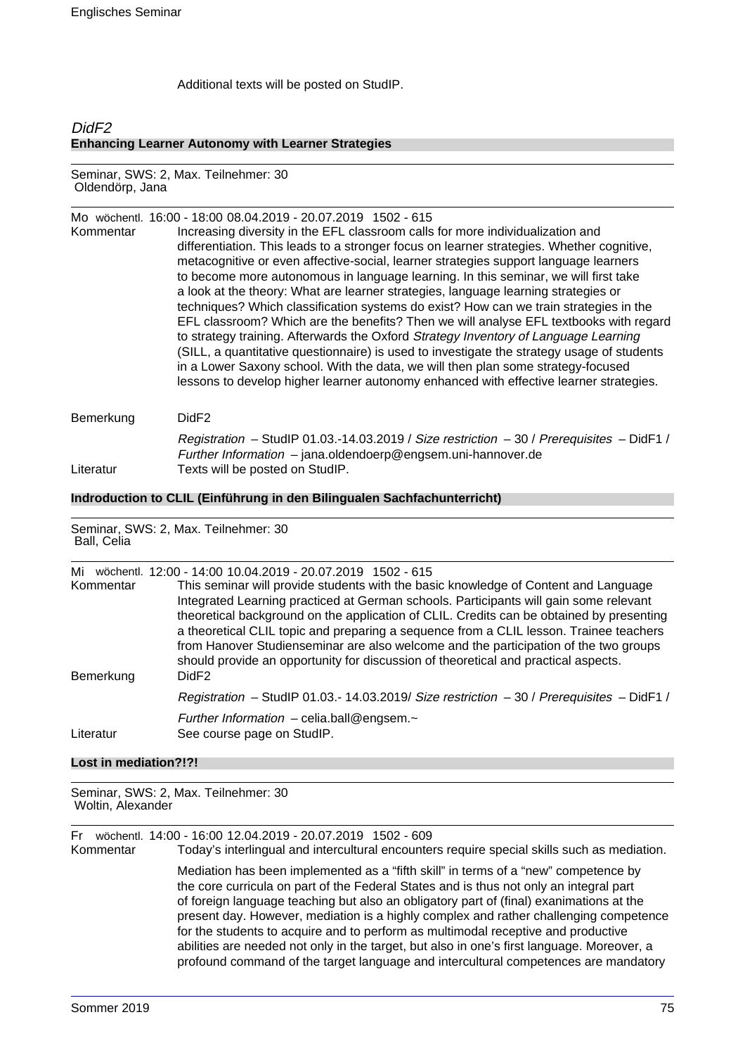Additional texts will be posted on StudIP.

# Did<sub>F2</sub> **Enhancing Learner Autonomy with Learner Strategies**

Seminar, SWS: 2, Max. Teilnehmer: 30 Oldendörp, Jana

Mo wöchentl. 16:00 - 18:00 08.04.2019 - 20.07.2019 1502 - 615 Kommentar Increasing diversity in the EFL classroom calls for more individualization and differentiation. This leads to a stronger focus on learner strategies. Whether cognitive, metacognitive or even affective-social, learner strategies support language learners to become more autonomous in language learning. In this seminar, we will first take a look at the theory: What are learner strategies, language learning strategies or techniques? Which classification systems do exist? How can we train strategies in the EFL classroom? Which are the benefits? Then we will analyse EFL textbooks with regard to strategy training. Afterwards the Oxford Strategy Inventory of Language Learning (SILL, a quantitative questionnaire) is used to investigate the strategy usage of students in a Lower Saxony school. With the data, we will then plan some strategy-focused lessons to develop higher learner autonomy enhanced with effective learner strategies.

| DidF <sub>2</sub>                                                                         |
|-------------------------------------------------------------------------------------------|
| Registration - StudIP 01.03.-14.03.2019 / Size restriction - 30 / Prerequisites - DidF1 / |
| Further Information $-$ jana.oldendoerp@engsem.uni-hannover.de                            |
| Texts will be posted on StudIP.                                                           |
|                                                                                           |

#### **Indroduction to CLIL (Einführung in den Bilingualen Sachfachunterricht)**

Seminar, SWS: 2, Max. Teilnehmer: 30 Ball, Celia

| Mi<br>Kommentar<br>Bemerkung | wöchentl. 12:00 - 14:00 10.04.2019 - 20.07.2019 1502 - 615<br>This seminar will provide students with the basic knowledge of Content and Language<br>Integrated Learning practiced at German schools. Participants will gain some relevant<br>theoretical background on the application of CLIL. Credits can be obtained by presenting<br>a theoretical CLIL topic and preparing a sequence from a CLIL lesson. Trainee teachers<br>from Hanover Studienseminar are also welcome and the participation of the two groups<br>should provide an opportunity for discussion of theoretical and practical aspects.<br>DidF <sub>2</sub> |
|------------------------------|-------------------------------------------------------------------------------------------------------------------------------------------------------------------------------------------------------------------------------------------------------------------------------------------------------------------------------------------------------------------------------------------------------------------------------------------------------------------------------------------------------------------------------------------------------------------------------------------------------------------------------------|
|                              | Registration - StudIP 01.03.- 14.03.2019/ Size restriction $-30$ / Prerequisites - DidF1 /                                                                                                                                                                                                                                                                                                                                                                                                                                                                                                                                          |
| Literatur                    | Further Information $-$ celia.ball@engsem. $\sim$<br>See course page on StudIP.                                                                                                                                                                                                                                                                                                                                                                                                                                                                                                                                                     |

## **Lost in mediation?!?!**

Seminar, SWS: 2, Max. Teilnehmer: 30 Woltin, Alexander

Fr wöchentl. 14:00 - 16:00 12.04.2019 - 20.07.2019 1502 - 609 Today's interlingual and intercultural encounters require special skills such as mediation. Mediation has been implemented as a "fifth skill" in terms of a "new" competence by the core curricula on part of the Federal States and is thus not only an integral part of foreign language teaching but also an obligatory part of (final) exanimations at the present day. However, mediation is a highly complex and rather challenging competence for the students to acquire and to perform as multimodal receptive and productive abilities are needed not only in the target, but also in one's first language. Moreover, a profound command of the target language and intercultural competences are mandatory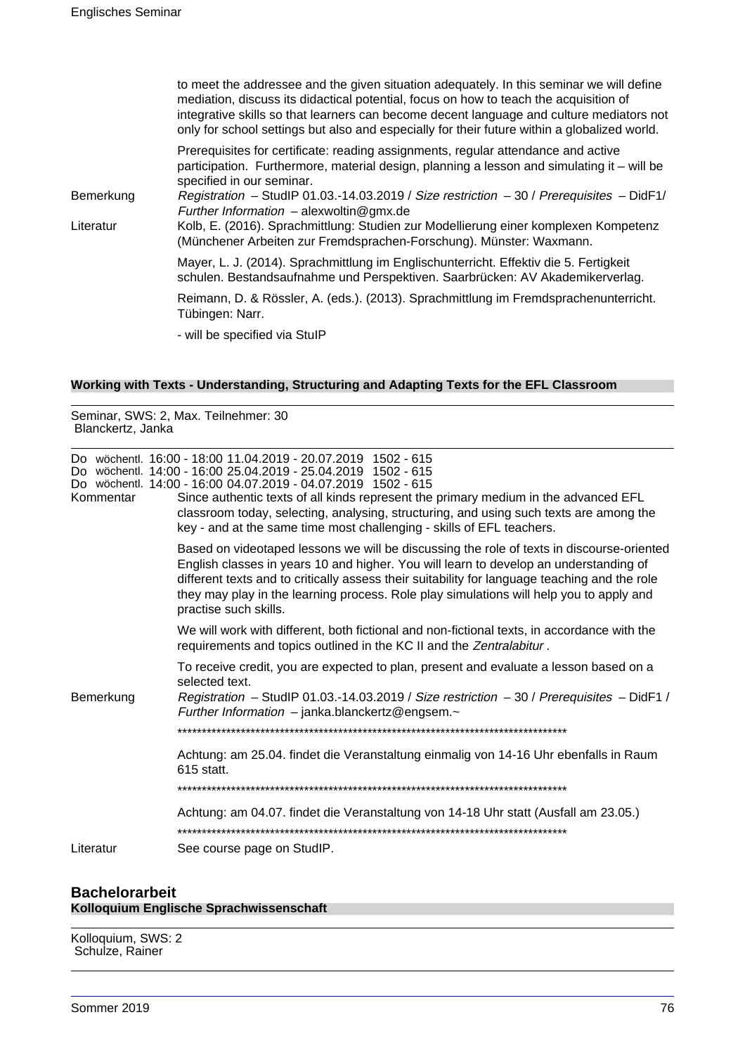|           | to meet the addressee and the given situation adequately. In this seminar we will define<br>mediation, discuss its didactical potential, focus on how to teach the acquisition of<br>integrative skills so that learners can become decent language and culture mediators not<br>only for school settings but also and especially for their future within a globalized world. |
|-----------|-------------------------------------------------------------------------------------------------------------------------------------------------------------------------------------------------------------------------------------------------------------------------------------------------------------------------------------------------------------------------------|
|           | Prerequisites for certificate: reading assignments, regular attendance and active<br>participation. Furthermore, material design, planning a lesson and simulating it – will be<br>specified in our seminar.                                                                                                                                                                  |
| Bemerkung | Registration - StudIP 01.03.-14.03.2019 / Size restriction - 30 / Prerequisites - DidF1/<br>Further Information $-$ alexwoltin@gmx.de                                                                                                                                                                                                                                         |
| Literatur | Kolb, E. (2016). Sprachmittlung: Studien zur Modellierung einer komplexen Kompetenz<br>(Münchener Arbeiten zur Fremdsprachen-Forschung). Münster: Waxmann.                                                                                                                                                                                                                    |
|           | Mayer, L. J. (2014). Sprachmittlung im Englischunterricht. Effektiv die 5. Fertigkeit<br>schulen. Bestandsaufnahme und Perspektiven. Saarbrücken: AV Akademikerverlag.                                                                                                                                                                                                        |
|           | Reimann, D. & Rössler, A. (eds.). (2013). Sprachmittlung im Fremdsprachenunterricht.<br>Tübingen: Narr.                                                                                                                                                                                                                                                                       |
|           | - will be specified via StulP                                                                                                                                                                                                                                                                                                                                                 |
|           |                                                                                                                                                                                                                                                                                                                                                                               |

# **Working with Texts - Understanding, Structuring and Adapting Texts for the EFL Classroom**

| Seminar, SWS: 2, Max. Teilnehmer: 30<br>Blanckertz, Janka |                                                                                                                                                                                                                                                                                                                                                                                                                                                           |
|-----------------------------------------------------------|-----------------------------------------------------------------------------------------------------------------------------------------------------------------------------------------------------------------------------------------------------------------------------------------------------------------------------------------------------------------------------------------------------------------------------------------------------------|
| Kommentar                                                 | Do wöchentl. 16:00 - 18:00 11.04.2019 - 20.07.2019 1502 - 615<br>Do wöchentl. 14:00 - 16:00 25.04.2019 - 25.04.2019 1502 - 615<br>Do wöchentl. 14:00 - 16:00 04.07.2019 - 04.07.2019 1502 - 615<br>Since authentic texts of all kinds represent the primary medium in the advanced EFL<br>classroom today, selecting, analysing, structuring, and using such texts are among the<br>key - and at the same time most challenging - skills of EFL teachers. |
|                                                           | Based on videotaped lessons we will be discussing the role of texts in discourse-oriented<br>English classes in years 10 and higher. You will learn to develop an understanding of<br>different texts and to critically assess their suitability for language teaching and the role<br>they may play in the learning process. Role play simulations will help you to apply and<br>practise such skills.                                                   |
|                                                           | We will work with different, both fictional and non-fictional texts, in accordance with the<br>requirements and topics outlined in the KC II and the Zentralabitur.                                                                                                                                                                                                                                                                                       |
| Bemerkung                                                 | To receive credit, you are expected to plan, present and evaluate a lesson based on a<br>selected text.<br>Registration - StudIP 01.03.-14.03.2019 / Size restriction - 30 / Prerequisites - DidF1 /<br>Further Information $-$ janka.blanckertz@engsem. $\sim$                                                                                                                                                                                           |
|                                                           |                                                                                                                                                                                                                                                                                                                                                                                                                                                           |
|                                                           | Achtung: am 25.04. findet die Veranstaltung einmalig von 14-16 Uhr ebenfalls in Raum<br>615 statt.                                                                                                                                                                                                                                                                                                                                                        |
|                                                           |                                                                                                                                                                                                                                                                                                                                                                                                                                                           |
|                                                           | Achtung: am 04.07. findet die Veranstaltung von 14-18 Uhr statt (Ausfall am 23.05.)                                                                                                                                                                                                                                                                                                                                                                       |
| Literatur                                                 | See course page on StudIP.                                                                                                                                                                                                                                                                                                                                                                                                                                |
|                                                           |                                                                                                                                                                                                                                                                                                                                                                                                                                                           |

# **Bachelorarbeit Kolloquium Englische Sprachwissenschaft**

Kolloquium, SWS: 2 Schulze, Rainer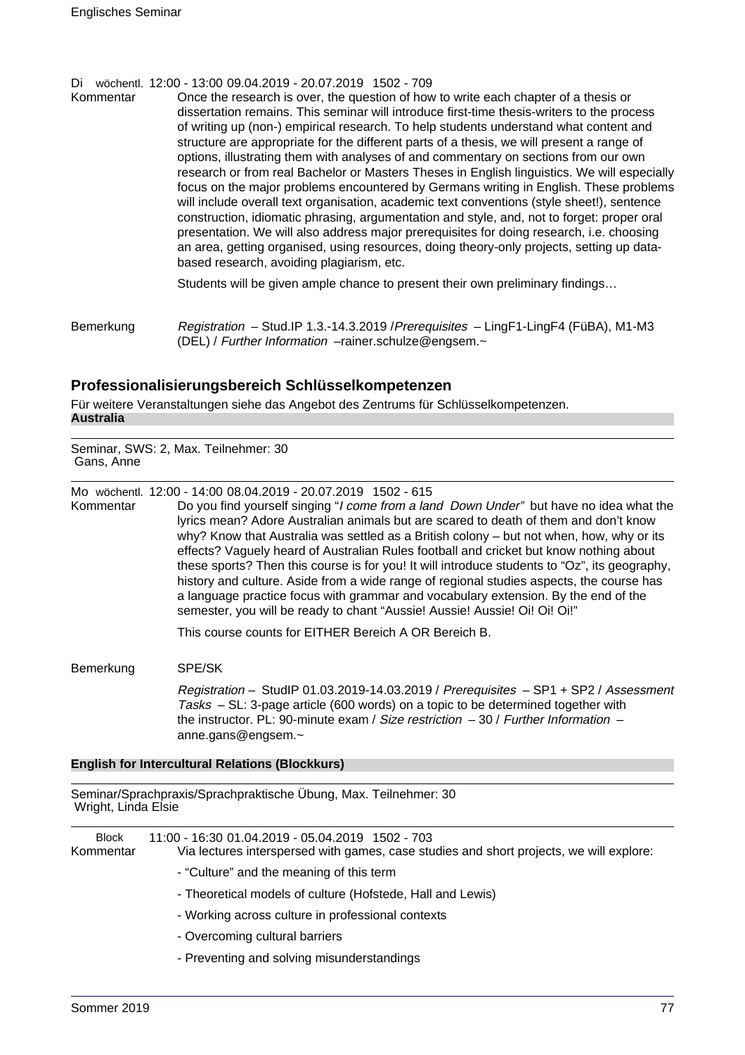Di wöchentl. 12:00 - 13:00 09.04.2019 - 20.07.2019 1502 - 709<br>Kommentar Once the research is over, the question of how

Once the research is over, the question of how to write each chapter of a thesis or dissertation remains. This seminar will introduce first-time thesis-writers to the process of writing up (non-) empirical research. To help students understand what content and structure are appropriate for the different parts of a thesis, we will present a range of options, illustrating them with analyses of and commentary on sections from our own research or from real Bachelor or Masters Theses in English linguistics. We will especially focus on the major problems encountered by Germans writing in English. These problems will include overall text organisation, academic text conventions (style sheet!), sentence construction, idiomatic phrasing, argumentation and style, and, not to forget: proper oral presentation. We will also address major prerequisites for doing research, i.e. choosing an area, getting organised, using resources, doing theory-only projects, setting up databased research, avoiding plagiarism, etc.

Students will be given ample chance to present their own preliminary findings…

Bemerkung Registration – Stud.IP 1.3.-14.3.2019 / Prerequisites – LingF1-LingF4 (FüBA), M1-M3 (DEL) / Further Information –rainer.schulze@engsem.~

# **Professionalisierungsbereich Schlüsselkompetenzen**

Für weitere Veranstaltungen siehe das Angebot des Zentrums für Schlüsselkompetenzen. **Australia**

Seminar, SWS: 2, Max. Teilnehmer: 30 Gans, Anne

Mo wöchentl. 12:00 - 14:00 08.04.2019 - 20.07.2019 1502 - 615

Kommentar Do you find yourself singing "I come from a land Down Under" but have no idea what the lyrics mean? Adore Australian animals but are scared to death of them and don't know why? Know that Australia was settled as a British colony – but not when, how, why or its effects? Vaguely heard of Australian Rules football and cricket but know nothing about these sports? Then this course is for you! It will introduce students to "Oz", its geography, history and culture. Aside from a wide range of regional studies aspects, the course has a language practice focus with grammar and vocabulary extension. By the end of the semester, you will be ready to chant "Aussie! Aussie! Aussie! Oi! Oi! Oi!"

This course counts for EITHER Bereich A OR Bereich B.

#### Bemerkung SPE/SK

Registration – StudIP 01.03.2019-14.03.2019 / Prerequisites – SP1 + SP2 / Assessment Tasks – SL: 3-page article (600 words) on a topic to be determined together with the instructor. PL: 90-minute exam / Size restriction  $-30$  / Further Information  $$ anne.gans@engsem.~

#### **English for Intercultural Relations (Blockkurs)**

Seminar/Sprachpraxis/Sprachpraktische Übung, Max. Teilnehmer: 30 Wright, Linda Elsie

| <b>Block</b><br>Kommentar | 11:00 - 16:30 01.04.2019 - 05.04.2019 1502 - 703<br>Via lectures interspersed with games, case studies and short projects, we will explore: |
|---------------------------|---------------------------------------------------------------------------------------------------------------------------------------------|
|                           | - "Culture" and the meaning of this term                                                                                                    |
|                           | - Theoretical models of culture (Hofstede, Hall and Lewis)                                                                                  |
|                           | - Working across culture in professional contexts                                                                                           |
|                           | - Overcoming cultural barriers                                                                                                              |
|                           | - Preventing and solving misunderstandings                                                                                                  |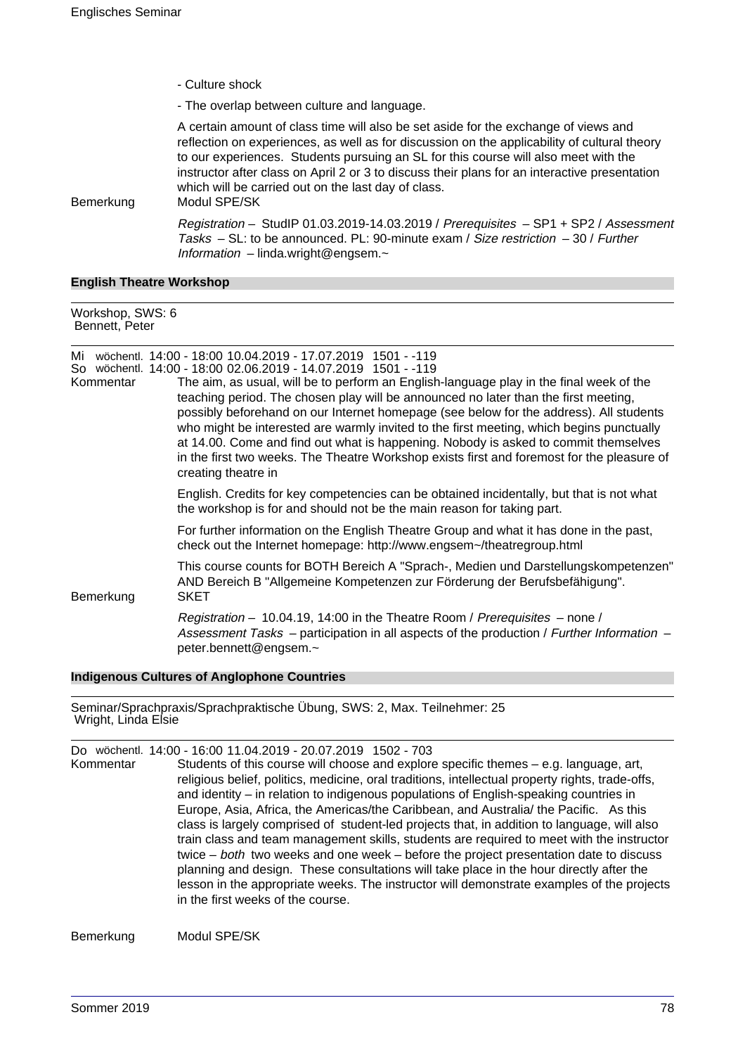- Culture shock

- The overlap between culture and language.

A certain amount of class time will also be set aside for the exchange of views and reflection on experiences, as well as for discussion on the applicability of cultural theory to our experiences. Students pursuing an SL for this course will also meet with the instructor after class on April 2 or 3 to discuss their plans for an interactive presentation which will be carried out on the last day of class.

Bemerkung Modul SPE/SK

Registration – StudIP 01.03.2019-14.03.2019 / Prerequisites – SP1 + SP2 / Assessment Tasks  $-$  SL: to be announced. PL: 90-minute exam / Size restriction  $-$  30 / Further Information – linda.wright@engsem.~

#### **English Theatre Workshop**

| Workshop, SWS: 6<br>Bennett, Peter |                                                                                                                                                                                                                                                                                                                                                                                                                                                                                                                                                                                                                                                                                                                   |
|------------------------------------|-------------------------------------------------------------------------------------------------------------------------------------------------------------------------------------------------------------------------------------------------------------------------------------------------------------------------------------------------------------------------------------------------------------------------------------------------------------------------------------------------------------------------------------------------------------------------------------------------------------------------------------------------------------------------------------------------------------------|
| Mi<br>Kommentar                    | wöchentl. 14:00 - 18:00 10.04.2019 - 17.07.2019 1501 - -119<br>So wöchentl. 14:00 - 18:00 02.06.2019 - 14.07.2019 1501 - -119<br>The aim, as usual, will be to perform an English-language play in the final week of the<br>teaching period. The chosen play will be announced no later than the first meeting,<br>possibly beforehand on our Internet homepage (see below for the address). All students<br>who might be interested are warmly invited to the first meeting, which begins punctually<br>at 14.00. Come and find out what is happening. Nobody is asked to commit themselves<br>in the first two weeks. The Theatre Workshop exists first and foremost for the pleasure of<br>creating theatre in |
|                                    | English. Credits for key competencies can be obtained incidentally, but that is not what<br>the workshop is for and should not be the main reason for taking part.                                                                                                                                                                                                                                                                                                                                                                                                                                                                                                                                                |
|                                    | For further information on the English Theatre Group and what it has done in the past,<br>check out the Internet homepage: http://www.engsem~/theatregroup.html                                                                                                                                                                                                                                                                                                                                                                                                                                                                                                                                                   |
| Bemerkung                          | This course counts for BOTH Bereich A "Sprach-, Medien und Darstellungskompetenzen"<br>AND Bereich B "Allgemeine Kompetenzen zur Förderung der Berufsbefähigung".<br><b>SKET</b>                                                                                                                                                                                                                                                                                                                                                                                                                                                                                                                                  |
|                                    | Registration – 10.04.19, 14:00 in the Theatre Room / Prerequisites – none /<br>Assessment Tasks – participation in all aspects of the production / Further Information –<br>peter.bennett@engsem.~                                                                                                                                                                                                                                                                                                                                                                                                                                                                                                                |

#### **Indigenous Cultures of Anglophone Countries**

Seminar/Sprachpraxis/Sprachpraktische Übung, SWS: 2, Max. Teilnehmer: 25 Wright, Linda Elsie

Do wöchentl. 14:00 - 16:00 11.04.2019 - 20.07.2019 1502 - 703 Students of this course will choose and explore specific themes  $-$  e.g. language, art, religious belief, politics, medicine, oral traditions, intellectual property rights, trade-offs, and identity – in relation to indigenous populations of English-speaking countries in Europe, Asia, Africa, the Americas/the Caribbean, and Australia/ the Pacific. As this class is largely comprised of student-led projects that, in addition to language, will also train class and team management skills, students are required to meet with the instructor twice – both two weeks and one week – before the project presentation date to discuss planning and design. These consultations will take place in the hour directly after the lesson in the appropriate weeks. The instructor will demonstrate examples of the projects in the first weeks of the course.

Bemerkung Modul SPE/SK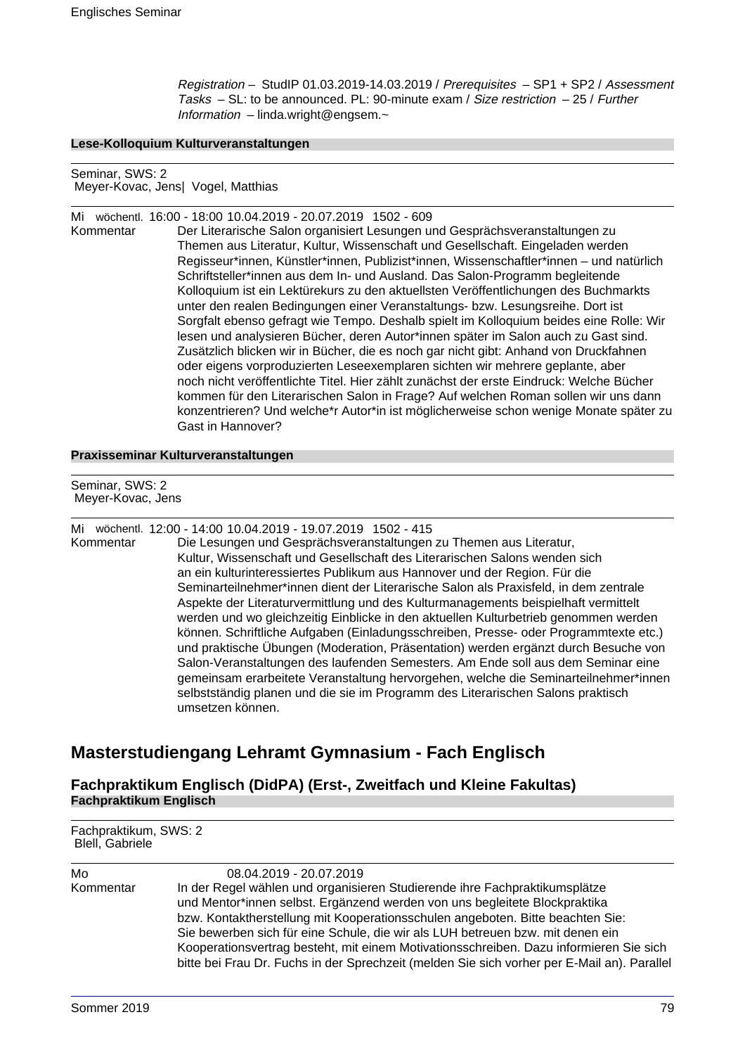Registration – StudIP 01.03.2019-14.03.2019 / Prerequisites – SP1 + SP2 / Assessment Tasks – SL: to be announced. PL: 90-minute exam / Size restriction – 25 / Further Information – linda.wright@engsem.~

#### **Lese-Kolloquium Kulturveranstaltungen**

Seminar, SWS: 2 Meyer-Kovac, Jens| Vogel, Matthias

Mi wöchentl. 16:00 - 18:00 10.04.2019 - 20.07.2019 1502 - 609

Der Literarische Salon organisiert Lesungen und Gesprächsveranstaltungen zu Themen aus Literatur, Kultur, Wissenschaft und Gesellschaft. Eingeladen werden Regisseur\*innen, Künstler\*innen, Publizist\*innen, Wissenschaftler\*innen – und natürlich Schriftsteller\*innen aus dem In- und Ausland. Das Salon-Programm begleitende Kolloquium ist ein Lektürekurs zu den aktuellsten Veröffentlichungen des Buchmarkts unter den realen Bedingungen einer Veranstaltungs- bzw. Lesungsreihe. Dort ist Sorgfalt ebenso gefragt wie Tempo. Deshalb spielt im Kolloquium beides eine Rolle: Wir lesen und analysieren Bücher, deren Autor\*innen später im Salon auch zu Gast sind. Zusätzlich blicken wir in Bücher, die es noch gar nicht gibt: Anhand von Druckfahnen oder eigens vorproduzierten Leseexemplaren sichten wir mehrere geplante, aber noch nicht veröffentlichte Titel. Hier zählt zunächst der erste Eindruck: Welche Bücher kommen für den Literarischen Salon in Frage? Auf welchen Roman sollen wir uns dann konzentrieren? Und welche\*r Autor\*in ist möglicherweise schon wenige Monate später zu Gast in Hannover?

#### **Praxisseminar Kulturveranstaltungen**

Seminar, SWS: 2 Meyer-Kovac, Jens

Mi wöchentl. 12:00 - 14:00 10.04.2019 - 19.07.2019 1502 - 415

Die Lesungen und Gesprächsveranstaltungen zu Themen aus Literatur, Kultur, Wissenschaft und Gesellschaft des Literarischen Salons wenden sich an ein kulturinteressiertes Publikum aus Hannover und der Region. Für die Seminarteilnehmer\*innen dient der Literarische Salon als Praxisfeld, in dem zentrale Aspekte der Literaturvermittlung und des Kulturmanagements beispielhaft vermittelt werden und wo gleichzeitig Einblicke in den aktuellen Kulturbetrieb genommen werden können. Schriftliche Aufgaben (Einladungsschreiben, Presse- oder Programmtexte etc.) und praktische Übungen (Moderation, Präsentation) werden ergänzt durch Besuche von Salon-Veranstaltungen des laufenden Semesters. Am Ende soll aus dem Seminar eine gemeinsam erarbeitete Veranstaltung hervorgehen, welche die Seminarteilnehmer\*innen selbstständig planen und die sie im Programm des Literarischen Salons praktisch umsetzen können.

# **Masterstudiengang Lehramt Gymnasium - Fach Englisch**

## **Fachpraktikum Englisch (DidPA) (Erst-, Zweitfach und Kleine Fakultas) Fachpraktikum Englisch**

Fachpraktikum, SWS: 2 Blell, Gabriele

| 08.04.2019 - 20.07.2019                                                                                                                                                               |
|---------------------------------------------------------------------------------------------------------------------------------------------------------------------------------------|
| In der Regel wählen und organisieren Studierende ihre Fachpraktikumsplätze                                                                                                            |
| und Mentor*innen selbst. Ergänzend werden von uns begleitete Blockpraktika                                                                                                            |
| bzw. Kontaktherstellung mit Kooperationsschulen angeboten. Bitte beachten Sie:                                                                                                        |
| Sie bewerben sich für eine Schule, die wir als LUH betreuen bzw. mit denen ein                                                                                                        |
| Kooperationsvertrag besteht, mit einem Motivationsschreiben. Dazu informieren Sie sich<br>bitte bei Frau Dr. Fuchs in der Sprechzeit (melden Sie sich vorher per E-Mail an). Parallel |
|                                                                                                                                                                                       |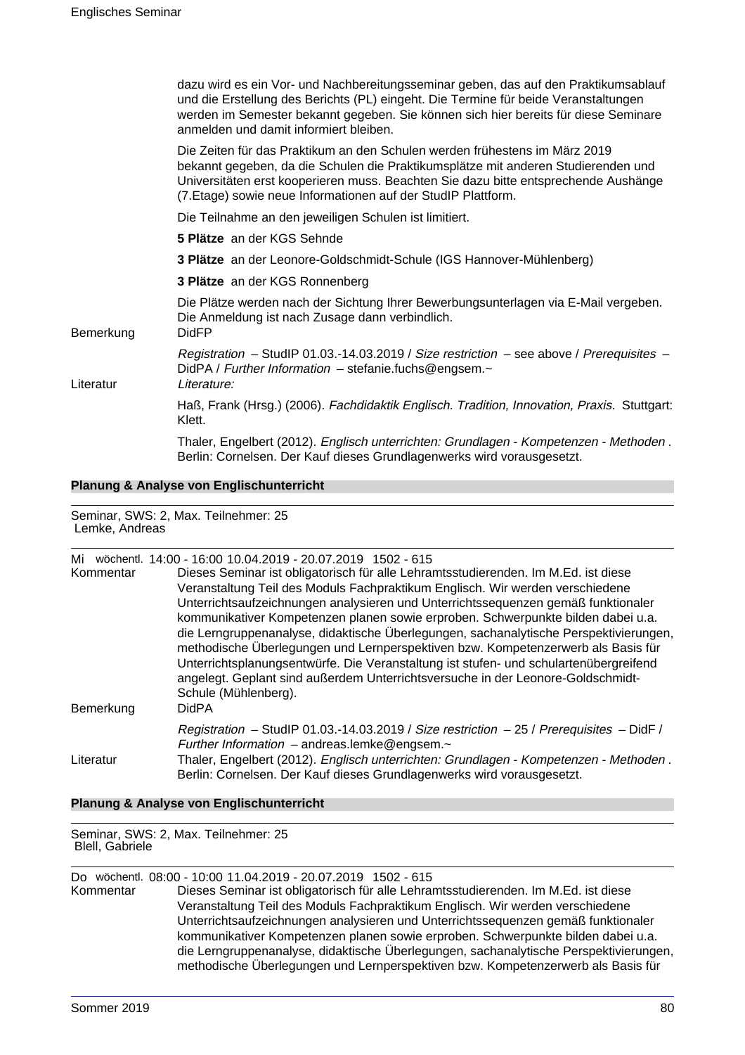|           | dazu wird es ein Vor- und Nachbereitungsseminar geben, das auf den Praktikumsablauf<br>und die Erstellung des Berichts (PL) eingeht. Die Termine für beide Veranstaltungen<br>werden im Semester bekannt gegeben. Sie können sich hier bereits für diese Seminare<br>anmelden und damit informiert bleiben.             |
|-----------|-------------------------------------------------------------------------------------------------------------------------------------------------------------------------------------------------------------------------------------------------------------------------------------------------------------------------|
|           | Die Zeiten für das Praktikum an den Schulen werden frühestens im März 2019<br>bekannt gegeben, da die Schulen die Praktikumsplätze mit anderen Studierenden und<br>Universitäten erst kooperieren muss. Beachten Sie dazu bitte entsprechende Aushänge<br>(7. Etage) sowie neue Informationen auf der StudIP Plattform. |
|           | Die Teilnahme an den jeweiligen Schulen ist limitiert.                                                                                                                                                                                                                                                                  |
|           | 5 Plätze an der KGS Sehnde                                                                                                                                                                                                                                                                                              |
|           | 3 Plätze an der Leonore-Goldschmidt-Schule (IGS Hannover-Mühlenberg)                                                                                                                                                                                                                                                    |
|           | 3 Plätze an der KGS Ronnenberg                                                                                                                                                                                                                                                                                          |
| Bemerkung | Die Plätze werden nach der Sichtung Ihrer Bewerbungsunterlagen via E-Mail vergeben.<br>Die Anmeldung ist nach Zusage dann verbindlich.<br><b>DidFP</b>                                                                                                                                                                  |
| Literatur | Registration - StudIP 01.03.-14.03.2019 / Size restriction - see above / Prerequisites -<br>DidPA / Further Information - stefanie.fuchs@engsem.~<br>Literature:                                                                                                                                                        |
|           | Haß, Frank (Hrsg.) (2006). Fachdidaktik Englisch. Tradition, Innovation, Praxis. Stuttgart:<br>Klett.                                                                                                                                                                                                                   |
|           | Thaler, Engelbert (2012). Englisch unterrichten: Grundlagen - Kompetenzen - Methoden.<br>Berlin: Cornelsen. Der Kauf dieses Grundlagenwerks wird vorausgesetzt.                                                                                                                                                         |
|           |                                                                                                                                                                                                                                                                                                                         |

**Planung & Analyse von Englischunterricht**

Seminar, SWS: 2, Max. Teilnehmer: 25 Lemke, Andreas

| Mi<br>Kommentar<br>Bemerkung | wöchentl. 14:00 - 16:00 10.04.2019 - 20.07.2019 1502 - 615<br>Dieses Seminar ist obligatorisch für alle Lehramtsstudierenden. Im M.Ed. ist diese<br>Veranstaltung Teil des Moduls Fachpraktikum Englisch. Wir werden verschiedene<br>Unterrichtsaufzeichnungen analysieren und Unterrichtssequenzen gemäß funktionaler<br>kommunikativer Kompetenzen planen sowie erproben. Schwerpunkte bilden dabei u.a.<br>die Lerngruppenanalyse, didaktische Überlegungen, sachanalytische Perspektivierungen,<br>methodische Überlegungen und Lernperspektiven bzw. Kompetenzerwerb als Basis für<br>Unterrichtsplanungsentwürfe. Die Veranstaltung ist stufen- und schulartenübergreifend<br>angelegt. Geplant sind außerdem Unterrichtsversuche in der Leonore-Goldschmidt-<br>Schule (Mühlenberg).<br><b>DidPA</b> |
|------------------------------|-------------------------------------------------------------------------------------------------------------------------------------------------------------------------------------------------------------------------------------------------------------------------------------------------------------------------------------------------------------------------------------------------------------------------------------------------------------------------------------------------------------------------------------------------------------------------------------------------------------------------------------------------------------------------------------------------------------------------------------------------------------------------------------------------------------|
| Literatur                    | Registration - StudIP 01.03.-14.03.2019 / Size restriction - 25 / Prerequisites - DidF /<br>Further Information $-$ andreas.lemke@engsem. $\sim$<br>Thaler, Engelbert (2012). Englisch unterrichten: Grundlagen - Kompetenzen - Methoden.<br>Berlin: Cornelsen. Der Kauf dieses Grundlagenwerks wird vorausgesetzt.                                                                                                                                                                                                                                                                                                                                                                                                                                                                                         |

# **Planung & Analyse von Englischunterricht**

Seminar, SWS: 2, Max. Teilnehmer: 25 Blell, Gabriele

Do wöchentl. 08:00 - 10:00 11.04.2019 - 20.07.2019 1502 - 615

Dieses Seminar ist obligatorisch für alle Lehramtsstudierenden. Im M.Ed. ist diese Veranstaltung Teil des Moduls Fachpraktikum Englisch. Wir werden verschiedene Unterrichtsaufzeichnungen analysieren und Unterrichtssequenzen gemäß funktionaler kommunikativer Kompetenzen planen sowie erproben. Schwerpunkte bilden dabei u.a. die Lerngruppenanalyse, didaktische Überlegungen, sachanalytische Perspektivierungen, methodische Überlegungen und Lernperspektiven bzw. Kompetenzerwerb als Basis für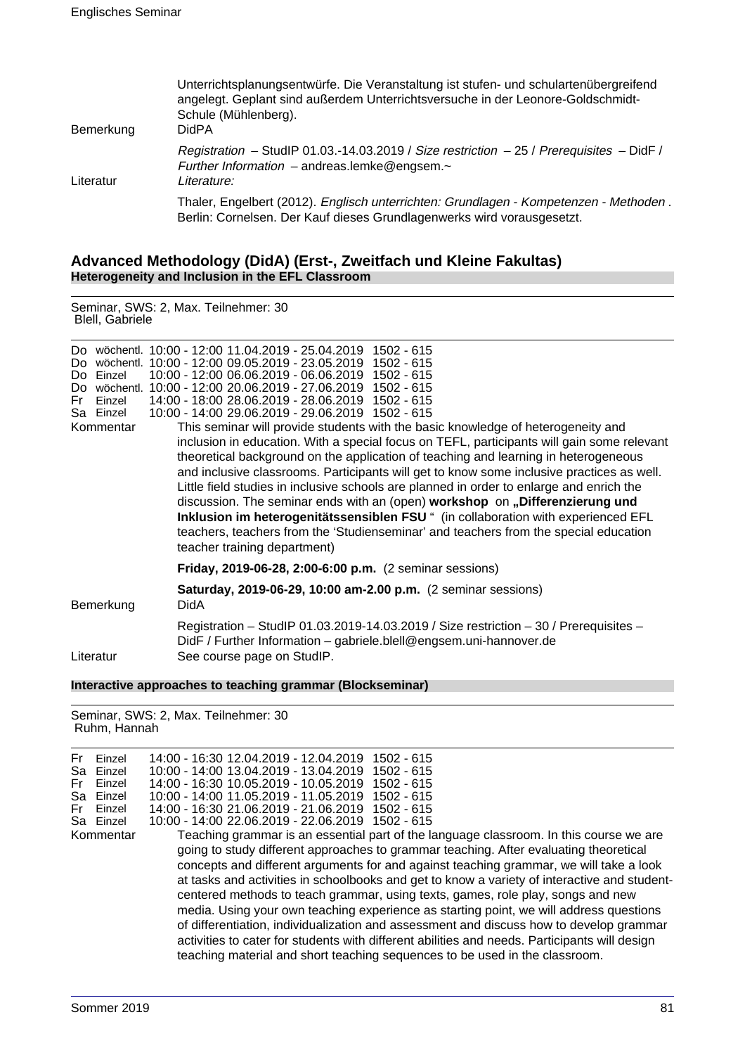| Bemerkung | Unterrichtsplanungsentwürfe. Die Veranstaltung ist stufen- und schulartenübergreifend<br>angelegt. Geplant sind außerdem Unterrichtsversuche in der Leonore-Goldschmidt-<br>Schule (Mühlenberg).<br>DidPA |
|-----------|-----------------------------------------------------------------------------------------------------------------------------------------------------------------------------------------------------------|
| Literatur | Registration - StudIP 01.03.-14.03.2019 / Size restriction - 25 / Prerequisites - DidF /<br>Further Information $-$ andreas.lemke@engsem. $\sim$<br>Literature:                                           |
|           | Thaler, Engelbert (2012). Englisch unterrichten: Grundlagen - Kompetenzen - Methoden.<br>Berlin: Cornelsen. Der Kauf dieses Grundlagenwerks wird vorausgesetzt.                                           |

### **Advanced Methodology (DidA) (Erst-, Zweitfach und Kleine Fakultas) Heterogeneity and Inclusion in the EFL Classroom**

Seminar, SWS: 2, Max. Teilnehmer: 30 Blell, Gabriele

|  | Fr Finzel | Do wöchentl. 10:00 - 12:00 11.04.2019 - 25.04.2019 1502 - 615<br>Do wöchentl. 10:00 - 12:00 09.05.2019 - 23.05.2019 1502 - 615<br>Do Einzel 10:00 - 12:00 06.06.2019 - 06.06.2019 1502 - 615<br>Do wöchentl. 10:00 - 12:00 20.06.2019 - 27.06.2019 1502 - 615<br>14:00 - 18:00 28.06.2019 - 28.06.2019 1502 - 615<br>Sa Einzel  10:00 - 14:00 29.06.2019 - 29.06.2019 1502 - 615 |
|--|-----------|----------------------------------------------------------------------------------------------------------------------------------------------------------------------------------------------------------------------------------------------------------------------------------------------------------------------------------------------------------------------------------|

Kommentar This seminar will provide students with the basic knowledge of heterogeneity and inclusion in education. With a special focus on TEFL, participants will gain some relevant theoretical background on the application of teaching and learning in heterogeneous and inclusive classrooms. Participants will get to know some inclusive practices as well. Little field studies in inclusive schools are planned in order to enlarge and enrich the discussion. The seminar ends with an (open) **workshop** on **"Differenzierung und Inklusion im heterogenitätssensiblen FSU** " (in collaboration with experienced EFL teachers, teachers from the 'Studienseminar' and teachers from the special education teacher training department)

#### **Friday, 2019-06-28, 2:00-6:00 p.m.** (2 seminar sessions)

| Bemerkung | Saturday, 2019-06-29, 10:00 am-2.00 p.m. (2 seminar sessions)<br>DidA                                                                                                                     |
|-----------|-------------------------------------------------------------------------------------------------------------------------------------------------------------------------------------------|
| Literatur | Registration - StudIP 01.03.2019-14.03.2019 / Size restriction - 30 / Prerequisites -<br>DidF / Further Information - gabriele.blell@engsem.uni-hannover.de<br>See course page on StudIP. |

#### **Interactive approaches to teaching grammar (Blockseminar)**

Seminar, SWS: 2, Max. Teilnehmer: 30 Ruhm, Hannah

| Fr<br>Sa<br>Fr<br>Fr | Einzel<br>Einzel<br>Einzel<br>Sa Einzel<br>Einzel<br>Sa Einzel | 14:00 - 16:30 12.04.2019 - 12.04.2019 1502 - 615<br>10:00 - 14:00 13:04 2019 - 13:04 2019<br>1502 - 615<br>14:00 - 16:30 10:05.2019 - 10:05.2019<br>$1502 - 615$<br>10:00 - 14:00 11.05.2019 - 11.05.2019<br>1502 - 615<br>14:00 - 16:30 21.06.2019 - 21.06.2019<br>1502 - 615<br>10:00 - 14:00 22.06.2019 - 22.06.2019 1502 - 615                                                                                                                                                                                                                                                                                                                |
|----------------------|----------------------------------------------------------------|---------------------------------------------------------------------------------------------------------------------------------------------------------------------------------------------------------------------------------------------------------------------------------------------------------------------------------------------------------------------------------------------------------------------------------------------------------------------------------------------------------------------------------------------------------------------------------------------------------------------------------------------------|
|                      | Kommentar                                                      | Teaching grammar is an essential part of the language classroom. In this course we are<br>going to study different approaches to grammar teaching. After evaluating theoretical<br>concepts and different arguments for and against teaching grammar, we will take a look<br>at tasks and activities in schoolbooks and get to know a variety of interactive and student-<br>centered methods to teach grammar, using texts, games, role play, songs and new<br>media. Using your own teaching experience as starting point, we will address questions<br>of differentiation, individualization and assessment and discuss how to develop grammar |
|                      |                                                                | activities to cater for students with different abilities and needs. Participants will design<br>teaching material and short teaching sequences to be used in the classroom.                                                                                                                                                                                                                                                                                                                                                                                                                                                                      |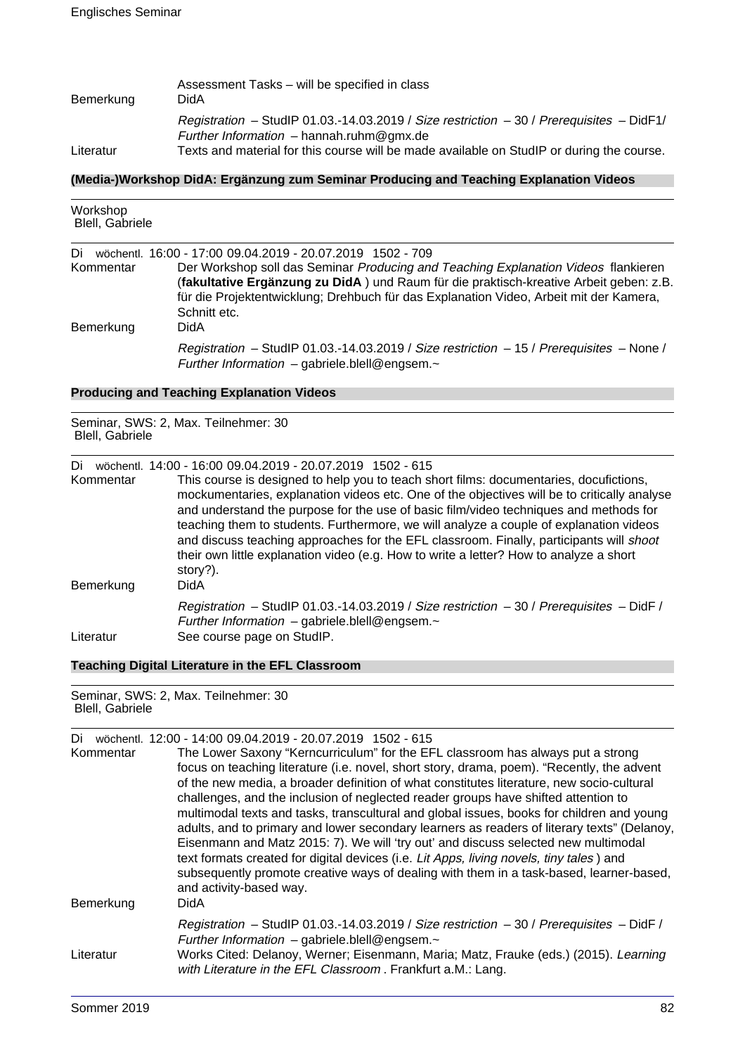| Bemerkung | Assessment Tasks – will be specified in class<br>DidA                                                                                  |
|-----------|----------------------------------------------------------------------------------------------------------------------------------------|
|           | Registration - StudIP 01.03.-14.03.2019 / Size restriction - 30 / Prerequisites - DidF1/<br>Further Information $-$ hannah.ruhm@gmx.de |
| Literatur | Texts and material for this course will be made available on StudIP or during the course.                                              |

#### **(Media-)Workshop DidA: Ergänzung zum Seminar Producing and Teaching Explanation Videos**

| Workshop<br>Blell, Gabriele |                                                                                                                                                                                                                                                                                                                                                      |
|-----------------------------|------------------------------------------------------------------------------------------------------------------------------------------------------------------------------------------------------------------------------------------------------------------------------------------------------------------------------------------------------|
| Di<br>Kommentar             | wöchentl. 16:00 - 17:00 09:04.2019 - 20:07.2019 1502 - 709<br>Der Workshop soll das Seminar Producing and Teaching Explanation Videos flankieren<br>(fakultative Ergänzung zu DidA) und Raum für die praktisch-kreative Arbeit geben: z.B.<br>für die Projektentwicklung; Drehbuch für das Explanation Video, Arbeit mit der Kamera,<br>Schnitt etc. |
| Bemerkung                   | DidA<br>Registration - StudIP 01.03.-14.03.2019 / Size restriction - 15 / Prerequisites - None /<br>Further Information - gabriele.blell@engsem.~                                                                                                                                                                                                    |

# **Producing and Teaching Explanation Videos**

Seminar, SWS: 2, Max. Teilnehmer: 30 Blell, Gabriele

Di wöchentl. 14:00 - 16:00 09.04.2019 - 20.07.2019 1502 - 615

Kommentar This course is designed to help you to teach short films: documentaries, docufictions, mockumentaries, explanation videos etc. One of the objectives will be to critically analyse and understand the purpose for the use of basic film/video techniques and methods for teaching them to students. Furthermore, we will analyze a couple of explanation videos and discuss teaching approaches for the EFL classroom. Finally, participants will shoot their own little explanation video (e.g. How to write a letter? How to analyze a short story?). Bemerkung DidA Registration – StudIP 01.03.-14.03.2019 / Size restriction – 30 / Prerequisites – DidF / Further Information – gabriele.blell@engsem.~ Literatur See course page on StudIP.

# **Teaching Digital Literature in the EFL Classroom**

Seminar, SWS: 2, Max. Teilnehmer: 30 Blell, Gabriele

| Di        | wöchentl. 12:00 - 14:00 09.04.2019 - 20.07.2019 1502 - 615                                  |
|-----------|---------------------------------------------------------------------------------------------|
| Kommentar | The Lower Saxony "Kerncurriculum" for the EFL classroom has always put a strong             |
|           | focus on teaching literature (i.e. novel, short story, drama, poem). "Recently, the advent  |
|           | of the new media, a broader definition of what constitutes literature, new socio-cultural   |
|           | challenges, and the inclusion of neglected reader groups have shifted attention to          |
|           | multimodal texts and tasks, transcultural and global issues, books for children and young   |
|           | adults, and to primary and lower secondary learners as readers of literary texts" (Delanoy, |
|           | Eisenmann and Matz 2015: 7). We will 'try out' and discuss selected new multimodal          |
|           | text formats created for digital devices (i.e. Lit Apps, living novels, tiny tales) and     |
|           | subsequently promote creative ways of dealing with them in a task-based, learner-based,     |
|           | and activity-based way.                                                                     |
| Bemerkung | DidA                                                                                        |
|           | Registration - StudIP 01.03.-14.03.2019 / Size restriction - 30 / Prerequisites - DidF /    |
|           | Further Information - gabriele.blell@engsem.~                                               |
| Literatur | Works Cited: Delanoy, Werner; Eisenmann, Maria; Matz, Frauke (eds.) (2015). Learning        |
|           | with Literature in the EFL Classroom. Frankfurt a.M.: Lang.                                 |
|           |                                                                                             |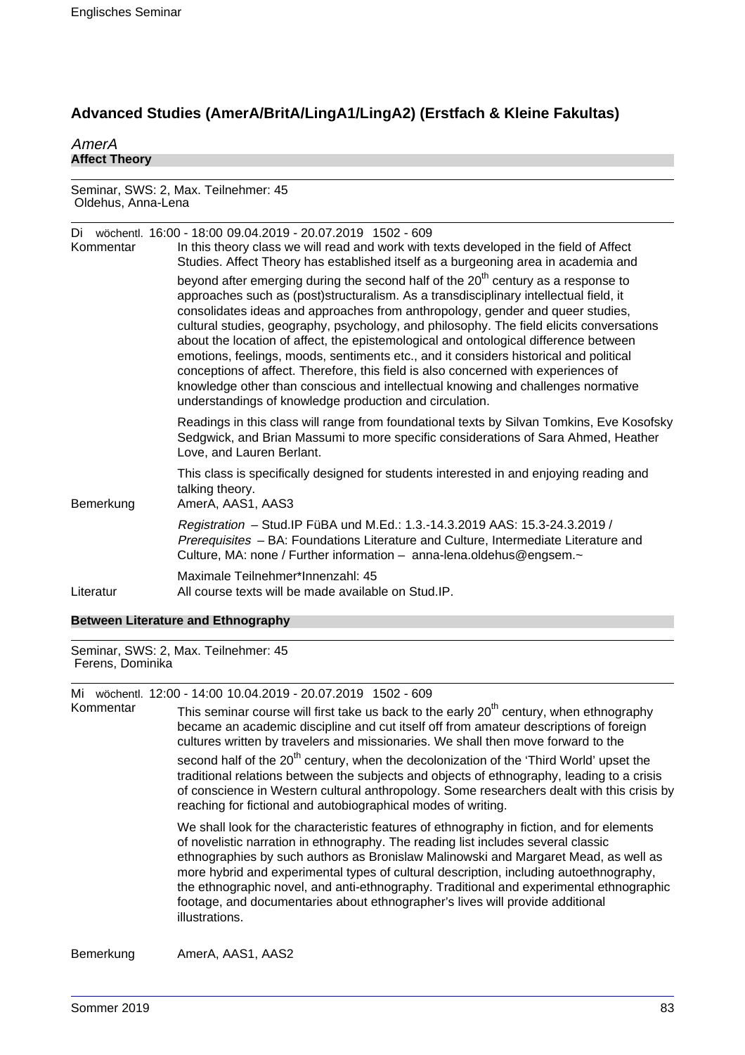# **Advanced Studies (AmerA/BritA/LingA1/LingA2) (Erstfach & Kleine Fakultas)**

### AmerA **Affect Theory**

Seminar, SWS: 2, Max. Teilnehmer: 45 Oldehus, Anna-Lena

| Di<br>Kommentar | wöchentl. 16:00 - 18:00 09:04.2019 - 20:07.2019 1502 - 609<br>In this theory class we will read and work with texts developed in the field of Affect<br>Studies. Affect Theory has established itself as a burgeoning area in academia and<br>beyond after emerging during the second half of the 20 <sup>th</sup> century as a response to<br>approaches such as (post)structuralism. As a transdisciplinary intellectual field, it<br>consolidates ideas and approaches from anthropology, gender and queer studies,<br>cultural studies, geography, psychology, and philosophy. The field elicits conversations<br>about the location of affect, the epistemological and ontological difference between<br>emotions, feelings, moods, sentiments etc., and it considers historical and political<br>conceptions of affect. Therefore, this field is also concerned with experiences of<br>knowledge other than conscious and intellectual knowing and challenges normative<br>understandings of knowledge production and circulation. |
|-----------------|------------------------------------------------------------------------------------------------------------------------------------------------------------------------------------------------------------------------------------------------------------------------------------------------------------------------------------------------------------------------------------------------------------------------------------------------------------------------------------------------------------------------------------------------------------------------------------------------------------------------------------------------------------------------------------------------------------------------------------------------------------------------------------------------------------------------------------------------------------------------------------------------------------------------------------------------------------------------------------------------------------------------------------------|
|                 | Readings in this class will range from foundational texts by Silvan Tomkins, Eve Kosofsky<br>Sedgwick, and Brian Massumi to more specific considerations of Sara Ahmed, Heather<br>Love, and Lauren Berlant.                                                                                                                                                                                                                                                                                                                                                                                                                                                                                                                                                                                                                                                                                                                                                                                                                             |
| Bemerkung       | This class is specifically designed for students interested in and enjoying reading and<br>talking theory.<br>AmerA, AAS1, AAS3                                                                                                                                                                                                                                                                                                                                                                                                                                                                                                                                                                                                                                                                                                                                                                                                                                                                                                          |
|                 | Registration - Stud. IP FüBA und M.Ed.: 1.3.-14.3.2019 AAS: 15.3-24.3.2019 /<br>Prerequisites - BA: Foundations Literature and Culture, Intermediate Literature and<br>Culture, MA: none / Further information - anna-lena.oldehus@engsem.~                                                                                                                                                                                                                                                                                                                                                                                                                                                                                                                                                                                                                                                                                                                                                                                              |
| Literatur       | Maximale Teilnehmer*Innenzahl: 45<br>All course texts will be made available on Stud IP.                                                                                                                                                                                                                                                                                                                                                                                                                                                                                                                                                                                                                                                                                                                                                                                                                                                                                                                                                 |

# **Between Literature and Ethnography**

Seminar, SWS: 2, Max. Teilnehmer: 45 Ferens, Dominika

Mi wöchentl. 12:00 - 14:00 10.04.2019 - 20.07.2019 1502 - 609

| Kommentar | This seminar course will first take us back to the early 20 <sup>th</sup> century, when ethnography<br>became an academic discipline and cut itself off from amateur descriptions of foreign<br>cultures written by travelers and missionaries. We shall then move forward to the<br>second half of the 20 <sup>th</sup> century, when the decolonization of the 'Third World' upset the<br>traditional relations between the subjects and objects of ethnography, leading to a crisis<br>of conscience in Western cultural anthropology. Some researchers dealt with this crisis by<br>reaching for fictional and autobiographical modes of writing. |
|-----------|-------------------------------------------------------------------------------------------------------------------------------------------------------------------------------------------------------------------------------------------------------------------------------------------------------------------------------------------------------------------------------------------------------------------------------------------------------------------------------------------------------------------------------------------------------------------------------------------------------------------------------------------------------|
|           | We shall look for the characteristic features of ethnography in fiction, and for elements<br>of novelistic narration in ethnography. The reading list includes several classic<br>ethnographies by such authors as Bronislaw Malinowski and Margaret Mead, as well as<br>more hybrid and experimental types of cultural description, including autoethnography,<br>the ethnographic novel, and anti-ethnography. Traditional and experimental ethnographic<br>footage, and documentaries about ethnographer's lives will provide additional<br>illustrations.                                                                                         |
| Bemerkung | AmerA, AAS1, AAS2                                                                                                                                                                                                                                                                                                                                                                                                                                                                                                                                                                                                                                     |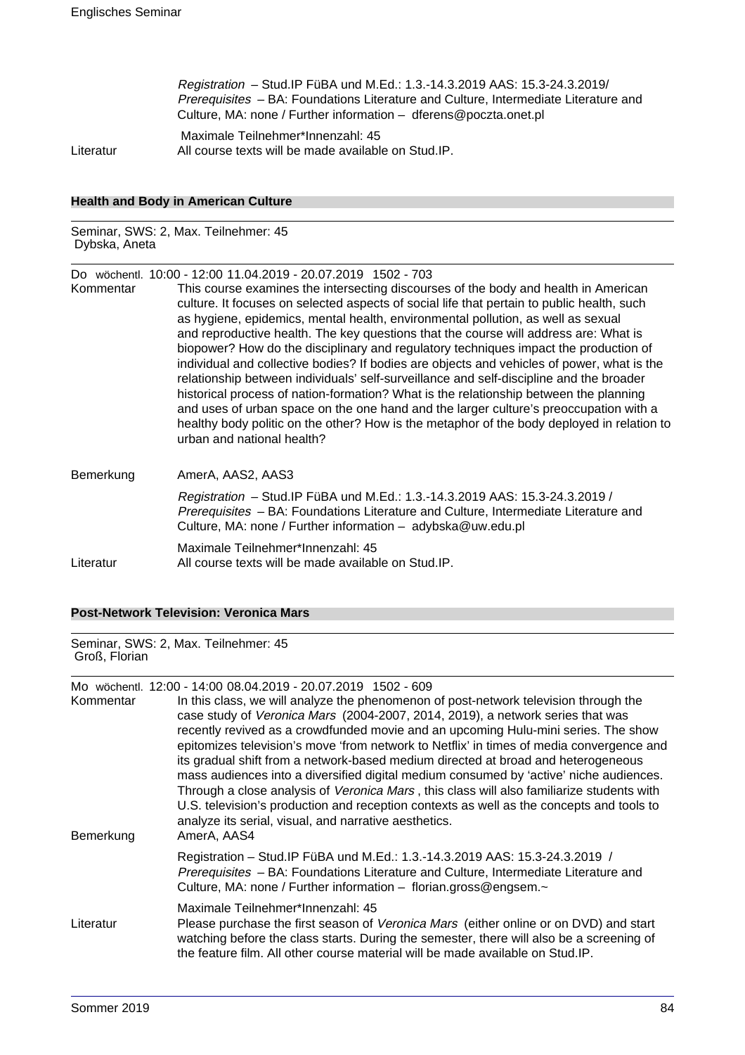Registration – Stud.IP FüBA und M.Ed.: 1.3.-14.3.2019 AAS: 15.3-24.3.2019/ Prerequisites – BA: Foundations Literature and Culture, Intermediate Literature and Culture, MA: none / Further information – dferens@poczta.onet.pl

 Maximale Teilnehmer\*Innenzahl: 45 Literatur All course texts will be made available on Stud.IP.

### **Health and Body in American Culture**

Seminar, SWS: 2, Max. Teilnehmer: 45 Dybska, Aneta

Do wöchentl. 10:00 - 12:00 11.04.2019 - 20.07.2019 1502 - 703

| Kommentar | This course examines the intersecting discourses of the body and health in American<br>culture. It focuses on selected aspects of social life that pertain to public health, such<br>as hygiene, epidemics, mental health, environmental pollution, as well as sexual<br>and reproductive health. The key questions that the course will address are: What is<br>biopower? How do the disciplinary and regulatory techniques impact the production of<br>individual and collective bodies? If bodies are objects and vehicles of power, what is the<br>relationship between individuals' self-surveillance and self-discipline and the broader<br>historical process of nation-formation? What is the relationship between the planning<br>and uses of urban space on the one hand and the larger culture's preoccupation with a<br>healthy body politic on the other? How is the metaphor of the body deployed in relation to<br>urban and national health? |
|-----------|--------------------------------------------------------------------------------------------------------------------------------------------------------------------------------------------------------------------------------------------------------------------------------------------------------------------------------------------------------------------------------------------------------------------------------------------------------------------------------------------------------------------------------------------------------------------------------------------------------------------------------------------------------------------------------------------------------------------------------------------------------------------------------------------------------------------------------------------------------------------------------------------------------------------------------------------------------------|
| Bemerkung | AmerA, AAS2, AAS3                                                                                                                                                                                                                                                                                                                                                                                                                                                                                                                                                                                                                                                                                                                                                                                                                                                                                                                                            |

Registration – Stud.IP FüBA und M.Ed.: 1.3.-14.3.2019 AAS: 15.3-24.3.2019 / Prerequisites – BA: Foundations Literature and Culture, Intermediate Literature and Culture, MA: none / Further information – adybska@uw.edu.pl

Maximale Teilnehmer\*Innenzahl: 45 Literatur All course texts will be made available on Stud.IP.

### **Post-Network Television: Veronica Mars**

Seminar, SWS: 2, Max. Teilnehmer: 45 Groß, Florian

Mo wöchentl. 12:00 - 14:00 08.04.2019 - 20.07.2019 1502 - 609

| Kommentar<br>Bemerkung | In this class, we will analyze the phenomenon of post-network television through the<br>case study of Veronica Mars (2004-2007, 2014, 2019), a network series that was<br>recently revived as a crowdfunded movie and an upcoming Hulu-mini series. The show<br>epitomizes television's move 'from network to Netflix' in times of media convergence and<br>its gradual shift from a network-based medium directed at broad and heterogeneous<br>mass audiences into a diversified digital medium consumed by 'active' niche audiences.<br>Through a close analysis of Veronica Mars, this class will also familiarize students with<br>U.S. television's production and reception contexts as well as the concepts and tools to<br>analyze its serial, visual, and narrative aesthetics.<br>AmerA, AAS4 |
|------------------------|----------------------------------------------------------------------------------------------------------------------------------------------------------------------------------------------------------------------------------------------------------------------------------------------------------------------------------------------------------------------------------------------------------------------------------------------------------------------------------------------------------------------------------------------------------------------------------------------------------------------------------------------------------------------------------------------------------------------------------------------------------------------------------------------------------|
|                        | Registration - Stud. IP FüBA und M.Ed.: 1.3.-14.3.2019 AAS: 15.3-24.3.2019 /<br>Prerequisites - BA: Foundations Literature and Culture, Intermediate Literature and<br>Culture, MA: none / Further information - florian.gross@engsem.~                                                                                                                                                                                                                                                                                                                                                                                                                                                                                                                                                                  |
| Literatur              | Maximale Teilnehmer*Innenzahl: 45<br>Please purchase the first season of Veronica Mars (either online or on DVD) and start<br>watching before the class starts. During the semester, there will also be a screening of<br>the feature film. All other course material will be made available on Stud.IP.                                                                                                                                                                                                                                                                                                                                                                                                                                                                                                 |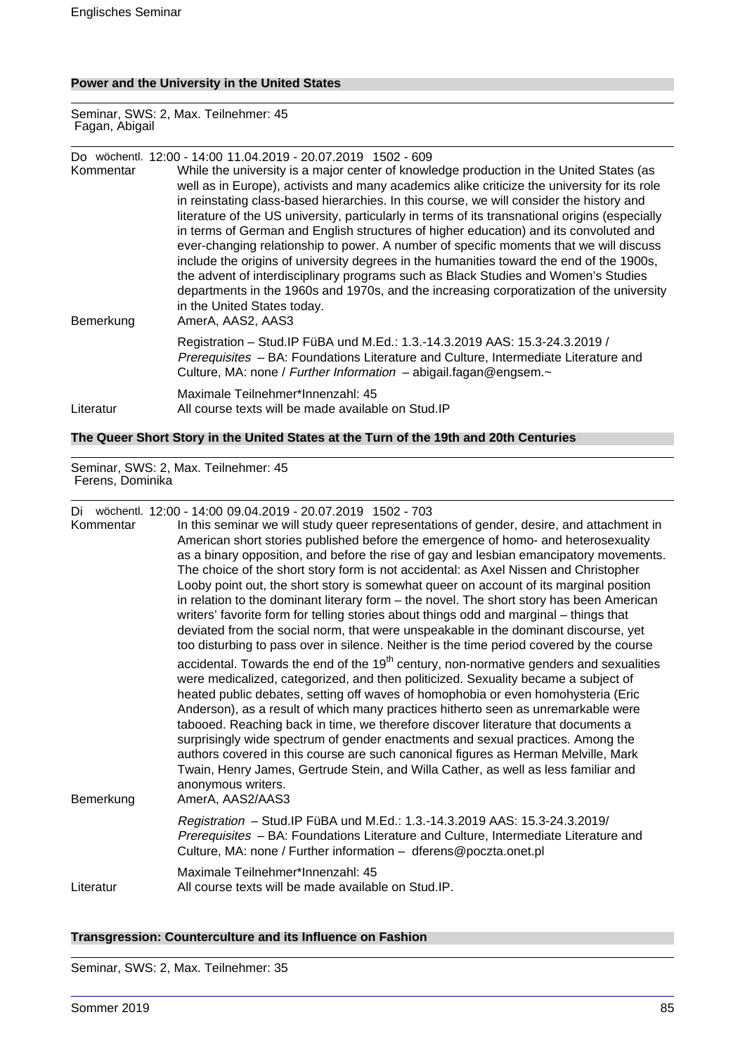### **Power and the University in the United States**

Seminar, SWS: 2, Max. Teilnehmer: 45 Fagan, Abigail

|           | Do wöchentl. 12:00 - 14:00 11.04.2019 - 20.07.2019 1502 - 609                                                                                                                                                                                                                                                                                                                                                                                                                                                                                                                                                                                                                                                                                                                                                                                                                          |
|-----------|----------------------------------------------------------------------------------------------------------------------------------------------------------------------------------------------------------------------------------------------------------------------------------------------------------------------------------------------------------------------------------------------------------------------------------------------------------------------------------------------------------------------------------------------------------------------------------------------------------------------------------------------------------------------------------------------------------------------------------------------------------------------------------------------------------------------------------------------------------------------------------------|
| Kommentar | While the university is a major center of knowledge production in the United States (as<br>well as in Europe), activists and many academics alike criticize the university for its role<br>in reinstating class-based hierarchies. In this course, we will consider the history and<br>literature of the US university, particularly in terms of its transnational origins (especially<br>in terms of German and English structures of higher education) and its convoluted and<br>ever-changing relationship to power. A number of specific moments that we will discuss<br>include the origins of university degrees in the humanities toward the end of the 1900s,<br>the advent of interdisciplinary programs such as Black Studies and Women's Studies<br>departments in the 1960s and 1970s, and the increasing corporatization of the university<br>in the United States today. |
| Bemerkung | AmerA, AAS2, AAS3                                                                                                                                                                                                                                                                                                                                                                                                                                                                                                                                                                                                                                                                                                                                                                                                                                                                      |
|           | Registration - Stud. IP FüBA und M.Ed.: 1.3.-14.3.2019 AAS: 15.3-24.3.2019 /<br>Prerequisites - BA: Foundations Literature and Culture, Intermediate Literature and<br>Culture, MA: none / Further Information - abigail.fagan@engsem.~                                                                                                                                                                                                                                                                                                                                                                                                                                                                                                                                                                                                                                                |
| Literatur | Maximale Teilnehmer*Innenzahl: 45<br>All course texts will be made available on Stud.IP                                                                                                                                                                                                                                                                                                                                                                                                                                                                                                                                                                                                                                                                                                                                                                                                |

# **The Queer Short Story in the United States at the Turn of the 19th and 20th Centuries**

Seminar, SWS: 2, Max. Teilnehmer: 45 Ferens, Dominika

Di wöchentl. 12:00 - 14:00 09.04.2019 - 20.07.2019 1502 - 703

| Kommentar | In this seminar we will study queer representations of gender, desire, and attachment in<br>American short stories published before the emergence of homo- and heterosexuality<br>as a binary opposition, and before the rise of gay and lesbian emancipatory movements.<br>The choice of the short story form is not accidental: as Axel Nissen and Christopher<br>Looby point out, the short story is somewhat queer on account of its marginal position<br>in relation to the dominant literary form - the novel. The short story has been American<br>writers' favorite form for telling stories about things odd and marginal – things that<br>deviated from the social norm, that were unspeakable in the dominant discourse, yet<br>too disturbing to pass over in silence. Neither is the time period covered by the course |
|-----------|-------------------------------------------------------------------------------------------------------------------------------------------------------------------------------------------------------------------------------------------------------------------------------------------------------------------------------------------------------------------------------------------------------------------------------------------------------------------------------------------------------------------------------------------------------------------------------------------------------------------------------------------------------------------------------------------------------------------------------------------------------------------------------------------------------------------------------------|
| Bemerkung | accidental. Towards the end of the $19th$ century, non-normative genders and sexualities<br>were medicalized, categorized, and then politicized. Sexuality became a subject of<br>heated public debates, setting off waves of homophobia or even homohysteria (Eric<br>Anderson), as a result of which many practices hitherto seen as unremarkable were<br>tabooed. Reaching back in time, we therefore discover literature that documents a<br>surprisingly wide spectrum of gender enactments and sexual practices. Among the<br>authors covered in this course are such canonical figures as Herman Melville, Mark<br>Twain, Henry James, Gertrude Stein, and Willa Cather, as well as less familiar and<br>anonymous writers.<br>AmerA, AAS2/AAS3                                                                              |
|           | Registration - Stud. IP FüBA und M.Ed.: 1.3.-14.3.2019 AAS: 15.3-24.3.2019/<br>Prerequisites - BA: Foundations Literature and Culture, Intermediate Literature and<br>Culture, MA: none / Further information - dferens@poczta.onet.pl                                                                                                                                                                                                                                                                                                                                                                                                                                                                                                                                                                                              |
| Literatur | Maximale Teilnehmer*Innenzahl: 45<br>All course texts will be made available on Stud. IP.                                                                                                                                                                                                                                                                                                                                                                                                                                                                                                                                                                                                                                                                                                                                           |

#### **Transgression: Counterculture and its Influence on Fashion**

Seminar, SWS: 2, Max. Teilnehmer: 35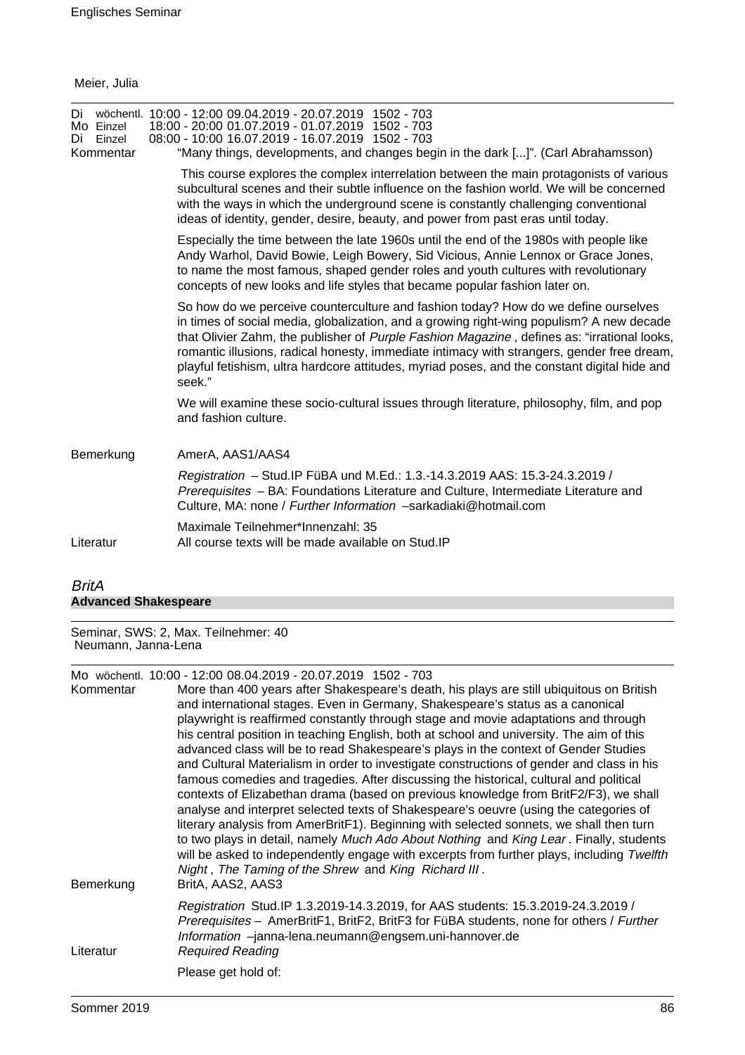Meier, Julia

| Di<br>Mo Einzel<br>Einzel<br>Di<br>Kommentar | wöchentl. 10:00 - 12:00 09.04.2019 - 20.07.2019 1502 - 703<br>18:00 - 20:00 01.07.2019 - 01.07.2019 1502 - 703<br>08:00 - 10:00 16.07.2019 - 16.07.2019 1502 - 703<br>"Many things, developments, and changes begin in the dark []". (Carl Abrahamsson)                                                                                                                                                                                                                               |
|----------------------------------------------|---------------------------------------------------------------------------------------------------------------------------------------------------------------------------------------------------------------------------------------------------------------------------------------------------------------------------------------------------------------------------------------------------------------------------------------------------------------------------------------|
|                                              | This course explores the complex interrelation between the main protagonists of various<br>subcultural scenes and their subtle influence on the fashion world. We will be concerned<br>with the ways in which the underground scene is constantly challenging conventional<br>ideas of identity, gender, desire, beauty, and power from past eras until today.                                                                                                                        |
|                                              | Especially the time between the late 1960s until the end of the 1980s with people like<br>Andy Warhol, David Bowie, Leigh Bowery, Sid Vicious, Annie Lennox or Grace Jones,<br>to name the most famous, shaped gender roles and youth cultures with revolutionary<br>concepts of new looks and life styles that became popular fashion later on.                                                                                                                                      |
|                                              | So how do we perceive counterculture and fashion today? How do we define ourselves<br>in times of social media, globalization, and a growing right-wing populism? A new decade<br>that Olivier Zahm, the publisher of Purple Fashion Magazine, defines as: "irrational looks,<br>romantic illusions, radical honesty, immediate intimacy with strangers, gender free dream,<br>playful fetishism, ultra hardcore attitudes, myriad poses, and the constant digital hide and<br>seek." |
|                                              | We will examine these socio-cultural issues through literature, philosophy, film, and pop<br>and fashion culture.                                                                                                                                                                                                                                                                                                                                                                     |
| Bemerkung                                    | AmerA, AAS1/AAS4                                                                                                                                                                                                                                                                                                                                                                                                                                                                      |
|                                              | Registration - Stud. IP FüBA und M.Ed.: 1.3.-14.3.2019 AAS: 15.3-24.3.2019 /<br>Prerequisites - BA: Foundations Literature and Culture, Intermediate Literature and<br>Culture, MA: none / Further Information -sarkadiaki@hotmail.com                                                                                                                                                                                                                                                |
| Literatur                                    | Maximale Teilnehmer*Innenzahl: 35<br>All course texts will be made available on Stud. IP                                                                                                                                                                                                                                                                                                                                                                                              |
|                                              |                                                                                                                                                                                                                                                                                                                                                                                                                                                                                       |

# BritA **Advanced Shakespeare**

Seminar, SWS: 2, Max. Teilnehmer: 40 Neumann, Janna-Lena

Mo wöchentl. 10:00 - 12:00 08.04.2019 - 20.07.2019 1502 - 703

| Kommentar | More than 400 years after Shakespeare's death, his plays are still ubiquitous on British<br>and international stages. Even in Germany, Shakespeare's status as a canonical<br>playwright is reaffirmed constantly through stage and movie adaptations and through<br>his central position in teaching English, both at school and university. The aim of this                                                                                                                                                                                                                                                                          |
|-----------|----------------------------------------------------------------------------------------------------------------------------------------------------------------------------------------------------------------------------------------------------------------------------------------------------------------------------------------------------------------------------------------------------------------------------------------------------------------------------------------------------------------------------------------------------------------------------------------------------------------------------------------|
|           | advanced class will be to read Shakespeare's plays in the context of Gender Studies<br>and Cultural Materialism in order to investigate constructions of gender and class in his                                                                                                                                                                                                                                                                                                                                                                                                                                                       |
| Bemerkung | famous comedies and tragedies. After discussing the historical, cultural and political<br>contexts of Elizabethan drama (based on previous knowledge from BritF2/F3), we shall<br>analyse and interpret selected texts of Shakespeare's oeuvre (using the categories of<br>literary analysis from AmerBritF1). Beginning with selected sonnets, we shall then turn<br>to two plays in detail, namely Much Ado About Nothing and King Lear. Finally, students<br>will be asked to independently engage with excerpts from further plays, including Twelfth<br>Night, The Taming of the Shrew and King Richard III.<br>BritA, AAS2, AAS3 |
| Literatur | Registration Stud.IP 1.3.2019-14.3.2019, for AAS students: 15.3.2019-24.3.2019 /<br>Prerequisites - AmerBritF1, BritF2, BritF3 for FüBA students, none for others / Further<br>Information -janna-lena.neumann@engsem.uni-hannover.de<br><b>Required Reading</b>                                                                                                                                                                                                                                                                                                                                                                       |
|           | Please get hold of:                                                                                                                                                                                                                                                                                                                                                                                                                                                                                                                                                                                                                    |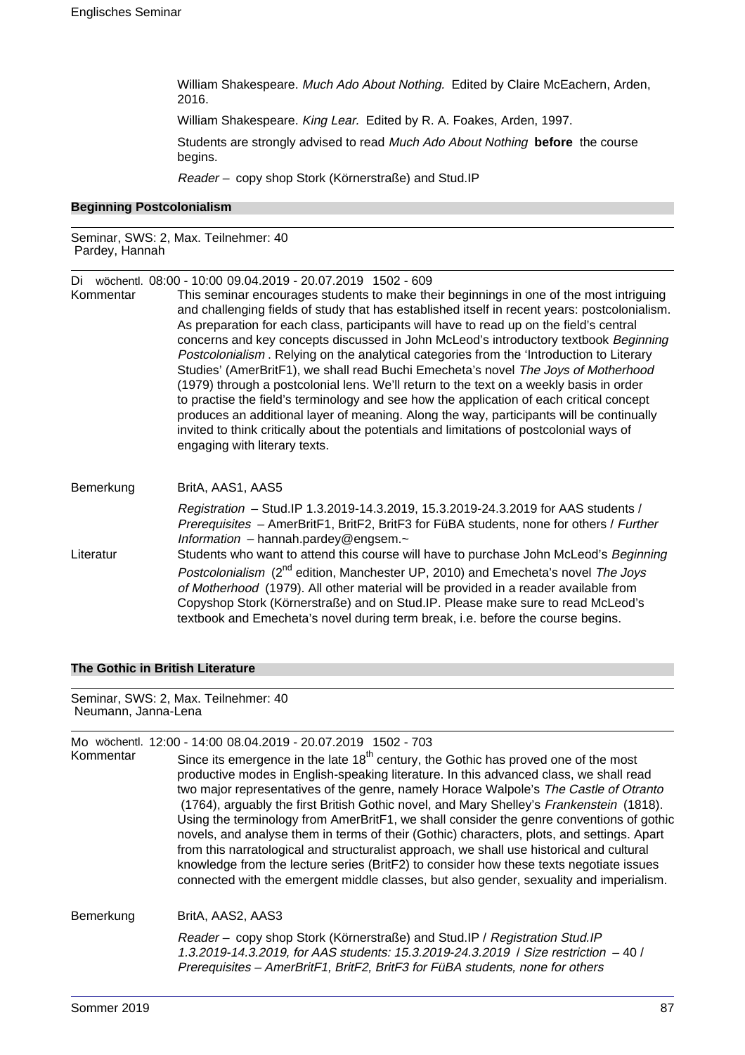William Shakespeare. Much Ado About Nothing. Edited by Claire McEachern, Arden, 2016.

William Shakespeare. King Lear. Edited by R. A. Foakes, Arden, 1997.

Students are strongly advised to read Much Ado About Nothing **before** the course begins.

Reader – copy shop Stork (Körnerstraße) and Stud.IP

#### **Beginning Postcolonialism**

Seminar, SWS: 2, Max. Teilnehmer: 40 Pardey, Hannah

Di wöchentl. 08:00 - 10:00 09.04.2019 - 20.07.2019 1502 - 609

This seminar encourages students to make their beginnings in one of the most intriguing and challenging fields of study that has established itself in recent years: postcolonialism. As preparation for each class, participants will have to read up on the field's central concerns and key concepts discussed in John McLeod's introductory textbook Beginning Postcolonialism . Relying on the analytical categories from the 'Introduction to Literary Studies' (AmerBritF1), we shall read Buchi Emecheta's novel The Joys of Motherhood (1979) through a postcolonial lens. We'll return to the text on a weekly basis in order to practise the field's terminology and see how the application of each critical concept produces an additional layer of meaning. Along the way, participants will be continually invited to think critically about the potentials and limitations of postcolonial ways of engaging with literary texts.

| Bemerkung | BritA, AAS1, AAS5                                                                                                                                                                                                                                                                                                                                          |
|-----------|------------------------------------------------------------------------------------------------------------------------------------------------------------------------------------------------------------------------------------------------------------------------------------------------------------------------------------------------------------|
|           | Registration - Stud. IP 1.3.2019-14.3.2019, 15.3.2019-24.3.2019 for AAS students /<br>Prerequisites - AmerBritF1, BritF2, BritF3 for FüBA students, none for others / Further<br>Information $-$ hannah.pardey@engsem. $\sim$                                                                                                                              |
| Literatur | Students who want to attend this course will have to purchase John McLeod's Beginning                                                                                                                                                                                                                                                                      |
|           | Postcolonialism (2 <sup>nd</sup> edition, Manchester UP, 2010) and Emecheta's novel The Joys<br>of Motherhood (1979). All other material will be provided in a reader available from<br>Copyshop Stork (Körnerstraße) and on Stud.IP. Please make sure to read McLeod's<br>textbook and Emecheta's novel during term break, i.e. before the course begins. |

#### **The Gothic in British Literature**

Seminar, SWS: 2, Max. Teilnehmer: 40 Neumann, Janna-Lena

|           | Mo wöchentl. 12:00 - 14:00 08.04.2019 - 20.07.2019 1502 - 703                                                                                                                                                                                                                                                                                                                                                                                                                                                                                                                                                                                                                                                                                                                                                                                               |
|-----------|-------------------------------------------------------------------------------------------------------------------------------------------------------------------------------------------------------------------------------------------------------------------------------------------------------------------------------------------------------------------------------------------------------------------------------------------------------------------------------------------------------------------------------------------------------------------------------------------------------------------------------------------------------------------------------------------------------------------------------------------------------------------------------------------------------------------------------------------------------------|
| Kommentar | Since its emergence in the late 18 <sup>th</sup> century, the Gothic has proved one of the most<br>productive modes in English-speaking literature. In this advanced class, we shall read<br>two major representatives of the genre, namely Horace Walpole's The Castle of Otranto<br>(1764), arguably the first British Gothic novel, and Mary Shelley's Frankenstein (1818).<br>Using the terminology from AmerBritF1, we shall consider the genre conventions of gothic<br>novels, and analyse them in terms of their (Gothic) characters, plots, and settings. Apart<br>from this narratological and structuralist approach, we shall use historical and cultural<br>knowledge from the lecture series (BritF2) to consider how these texts negotiate issues<br>connected with the emergent middle classes, but also gender, sexuality and imperialism. |
| Bemerkung | BritA, AAS2, AAS3                                                                                                                                                                                                                                                                                                                                                                                                                                                                                                                                                                                                                                                                                                                                                                                                                                           |
|           | Reader – copy shop Stork (Körnerstraße) and Stud.IP / Registration Stud.IP<br>1.3.2019-14.3.2019, for AAS students: 15.3.2019-24.3.2019 / Size restriction -40 /<br>Prerequisites - AmerBritF1, BritF2, BritF3 for FüBA students, none for others                                                                                                                                                                                                                                                                                                                                                                                                                                                                                                                                                                                                           |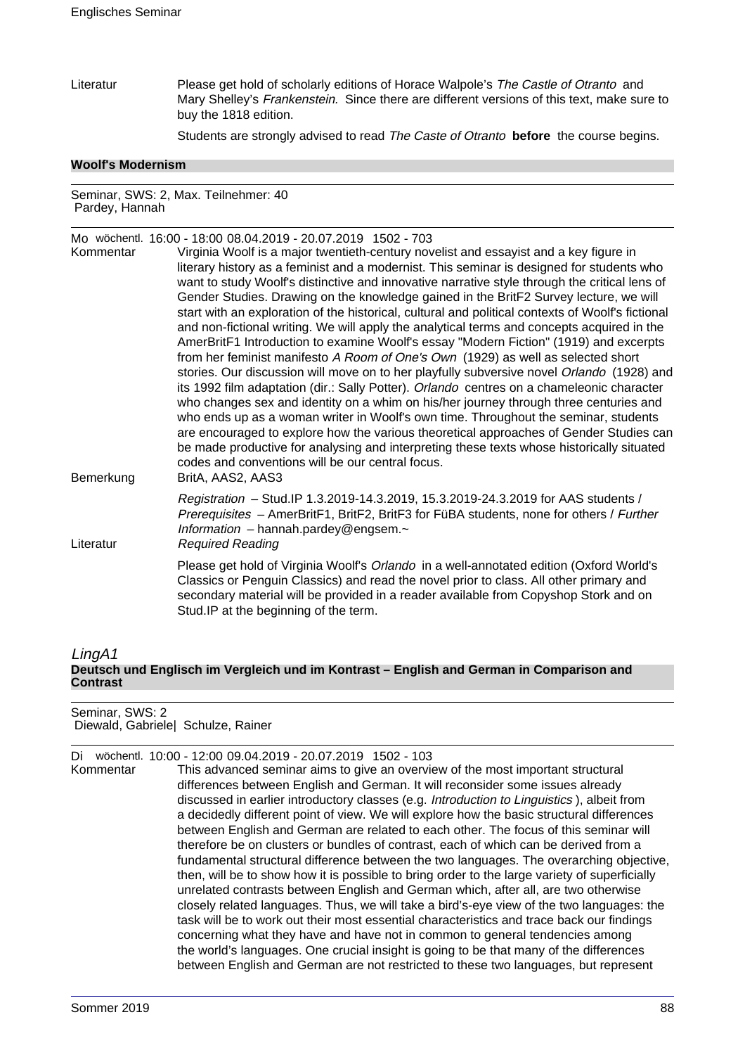Literatur Please get hold of scholarly editions of Horace Walpole's The Castle of Otranto and Mary Shelley's Frankenstein. Since there are different versions of this text, make sure to buy the 1818 edition.

Students are strongly advised to read The Caste of Otranto **before** the course begins.

#### **Woolf's Modernism**

Seminar, SWS: 2, Max. Teilnehmer: 40 Pardey, Hannah

Mo wöchentl. 16:00 - 18:00 08.04.2019 - 20.07.2019 1502 - 703 Kommentar Virginia Woolf is a major twentieth-century novelist and essayist and a key figure in literary history as a feminist and a modernist. This seminar is designed for students who want to study Woolf's distinctive and innovative narrative style through the critical lens of Gender Studies. Drawing on the knowledge gained in the BritF2 Survey lecture, we will start with an exploration of the historical, cultural and political contexts of Woolf's fictional and non-fictional writing. We will apply the analytical terms and concepts acquired in the AmerBritF1 Introduction to examine Woolf's essay "Modern Fiction" (1919) and excerpts from her feminist manifesto A Room of One's Own (1929) as well as selected short stories. Our discussion will move on to her playfully subversive novel Orlando (1928) and its 1992 film adaptation (dir.: Sally Potter). Orlando centres on a chameleonic character who changes sex and identity on a whim on his/her journey through three centuries and who ends up as a woman writer in Woolf's own time. Throughout the seminar, students are encouraged to explore how the various theoretical approaches of Gender Studies can be made productive for analysing and interpreting these texts whose historically situated codes and conventions will be our central focus. Bemerkung BritA, AAS2, AAS3 Registration – Stud.IP 1.3.2019-14.3.2019, 15.3.2019-24.3.2019 for AAS students / Prerequisites – AmerBritF1, BritF2, BritF3 for FüBA students, none for others / Further Information – hannah.pardey@engsem. $\sim$ Literatur Required Reading Please get hold of Virginia Woolf's Orlando in a well-annotated edition (Oxford World's Classics or Penguin Classics) and read the novel prior to class. All other primary and secondary material will be provided in a reader available from Copyshop Stork and on Stud.IP at the beginning of the term.

## LingA1 **Deutsch und Englisch im Vergleich und im Kontrast – English and German in Comparison and Contrast**

# Seminar, SWS: 2

Diewald, Gabriele| Schulze, Rainer

Di wöchentl. 10:00 - 12:00 09.04.2019 - 20.07.2019 1502 - 103

Kommentar This advanced seminar aims to give an overview of the most important structural differences between English and German. It will reconsider some issues already discussed in earlier introductory classes (e.g. Introduction to Linguistics ), albeit from a decidedly different point of view. We will explore how the basic structural differences between English and German are related to each other. The focus of this seminar will therefore be on clusters or bundles of contrast, each of which can be derived from a fundamental structural difference between the two languages. The overarching objective, then, will be to show how it is possible to bring order to the large variety of superficially unrelated contrasts between English and German which, after all, are two otherwise closely related languages. Thus, we will take a bird's-eye view of the two languages: the task will be to work out their most essential characteristics and trace back our findings concerning what they have and have not in common to general tendencies among the world's languages. One crucial insight is going to be that many of the differences between English and German are not restricted to these two languages, but represent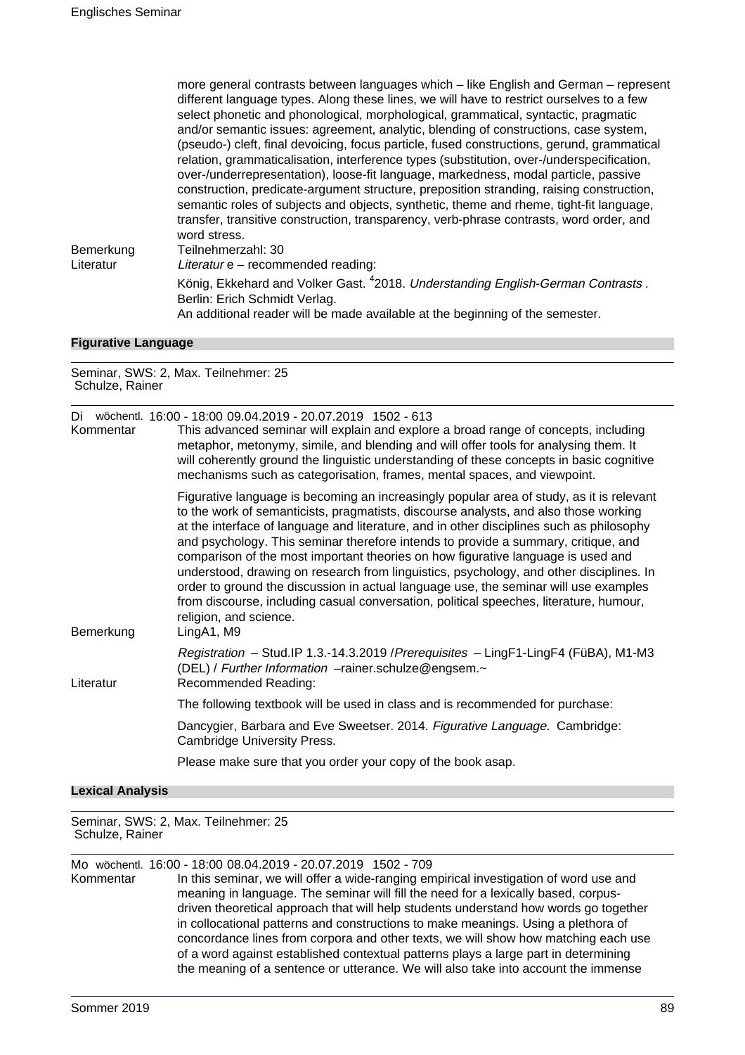| Bemerkung | more general contrasts between languages which – like English and German – represent<br>different language types. Along these lines, we will have to restrict ourselves to a few<br>select phonetic and phonological, morphological, grammatical, syntactic, pragmatic<br>and/or semantic issues: agreement, analytic, blending of constructions, case system,<br>(pseudo-) cleft, final devoicing, focus particle, fused constructions, gerund, grammatical<br>relation, grammaticalisation, interference types (substitution, over-/underspecification,<br>over-/underrepresentation), loose-fit language, markedness, modal particle, passive<br>construction, predicate-argument structure, preposition stranding, raising construction,<br>semantic roles of subjects and objects, synthetic, theme and rheme, tight-fit language,<br>transfer, transitive construction, transparency, verb-phrase contrasts, word order, and<br>word stress.<br>Teilnehmerzahl: 30 |
|-----------|--------------------------------------------------------------------------------------------------------------------------------------------------------------------------------------------------------------------------------------------------------------------------------------------------------------------------------------------------------------------------------------------------------------------------------------------------------------------------------------------------------------------------------------------------------------------------------------------------------------------------------------------------------------------------------------------------------------------------------------------------------------------------------------------------------------------------------------------------------------------------------------------------------------------------------------------------------------------------|
| Literatur | Literatur e – recommended reading:                                                                                                                                                                                                                                                                                                                                                                                                                                                                                                                                                                                                                                                                                                                                                                                                                                                                                                                                       |
|           | König, Ekkehard and Volker Gast. <sup>4</sup> 2018. Understanding English-German Contrasts.<br>Berlin: Erich Schmidt Verlag.<br>An additional reader will be made available at the beginning of the semester.                                                                                                                                                                                                                                                                                                                                                                                                                                                                                                                                                                                                                                                                                                                                                            |
|           |                                                                                                                                                                                                                                                                                                                                                                                                                                                                                                                                                                                                                                                                                                                                                                                                                                                                                                                                                                          |

#### **Figurative Language**

Seminar, SWS: 2, Max. Teilnehmer: 25 Schulze, Rainer

| Di<br>Kommentar | wöchentl. 16:00 - 18:00 09.04.2019 - 20.07.2019 1502 - 613<br>This advanced seminar will explain and explore a broad range of concepts, including<br>metaphor, metonymy, simile, and blending and will offer tools for analysing them. It<br>will coherently ground the linguistic understanding of these concepts in basic cognitive<br>mechanisms such as categorisation, frames, mental spaces, and viewpoint.                                                                                                                                                                                                                                                                                                                                                           |
|-----------------|-----------------------------------------------------------------------------------------------------------------------------------------------------------------------------------------------------------------------------------------------------------------------------------------------------------------------------------------------------------------------------------------------------------------------------------------------------------------------------------------------------------------------------------------------------------------------------------------------------------------------------------------------------------------------------------------------------------------------------------------------------------------------------|
| Bemerkung       | Figurative language is becoming an increasingly popular area of study, as it is relevant<br>to the work of semanticists, pragmatists, discourse analysts, and also those working<br>at the interface of language and literature, and in other disciplines such as philosophy<br>and psychology. This seminar therefore intends to provide a summary, critique, and<br>comparison of the most important theories on how figurative language is used and<br>understood, drawing on research from linguistics, psychology, and other disciplines. In<br>order to ground the discussion in actual language use, the seminar will use examples<br>from discourse, including casual conversation, political speeches, literature, humour,<br>religion, and science.<br>LingA1, M9 |
| Literatur       | Registration - Stud.IP 1.3.-14.3.2019 / Prerequisites - LingF1-LingF4 (FüBA), M1-M3<br>(DEL) / Further Information -rainer.schulze@engsem.~<br>Recommended Reading:                                                                                                                                                                                                                                                                                                                                                                                                                                                                                                                                                                                                         |
|                 | The following textbook will be used in class and is recommended for purchase:                                                                                                                                                                                                                                                                                                                                                                                                                                                                                                                                                                                                                                                                                               |
|                 | Dancygier, Barbara and Eve Sweetser. 2014. Figurative Language. Cambridge:<br>Cambridge University Press.                                                                                                                                                                                                                                                                                                                                                                                                                                                                                                                                                                                                                                                                   |
|                 | Please make sure that you order your copy of the book asap.                                                                                                                                                                                                                                                                                                                                                                                                                                                                                                                                                                                                                                                                                                                 |
|                 |                                                                                                                                                                                                                                                                                                                                                                                                                                                                                                                                                                                                                                                                                                                                                                             |

**Lexical Analysis**

Seminar, SWS: 2, Max. Teilnehmer: 25 Schulze, Rainer

Mo wöchentl. 16:00 - 18:00 08.04.2019 - 20.07.2019 1502 - 709

Kommentar In this seminar, we will offer a wide-ranging empirical investigation of word use and meaning in language. The seminar will fill the need for a lexically based, corpusdriven theoretical approach that will help students understand how words go together in collocational patterns and constructions to make meanings. Using a plethora of concordance lines from corpora and other texts, we will show how matching each use of a word against established contextual patterns plays a large part in determining the meaning of a sentence or utterance. We will also take into account the immense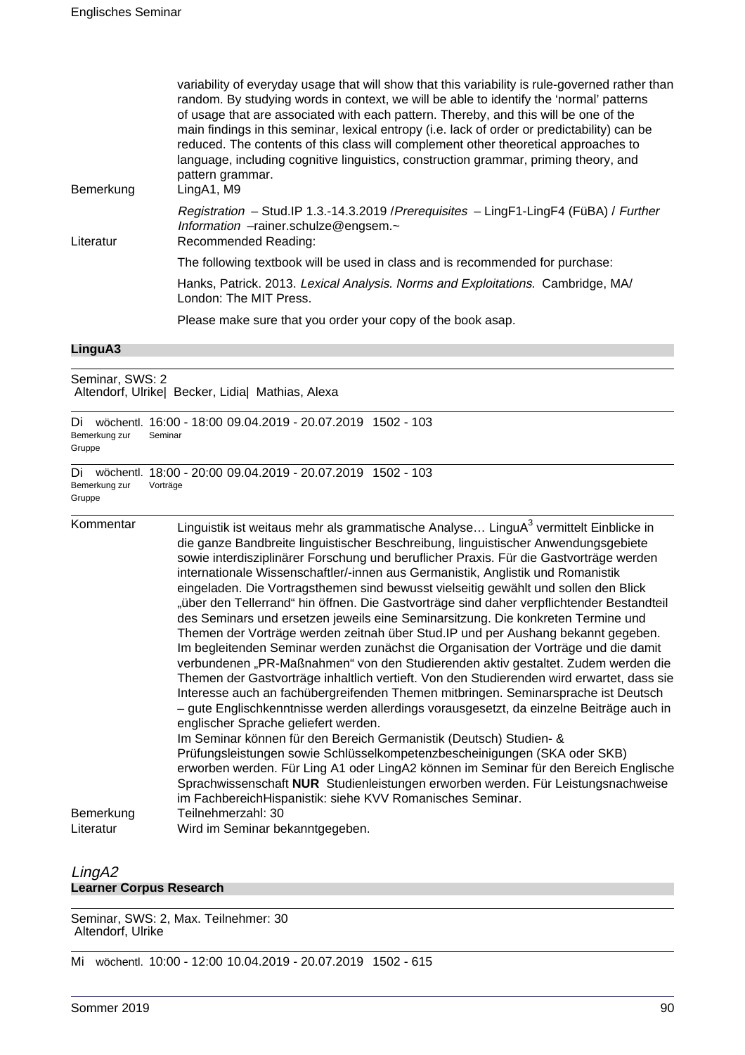| Bemerkung | variability of everyday usage that will show that this variability is rule-governed rather than<br>random. By studying words in context, we will be able to identify the 'normal' patterns<br>of usage that are associated with each pattern. Thereby, and this will be one of the<br>main findings in this seminar, lexical entropy (i.e. lack of order or predictability) can be<br>reduced. The contents of this class will complement other theoretical approaches to<br>language, including cognitive linguistics, construction grammar, priming theory, and<br>pattern grammar.<br>LingA1, M9 |
|-----------|-----------------------------------------------------------------------------------------------------------------------------------------------------------------------------------------------------------------------------------------------------------------------------------------------------------------------------------------------------------------------------------------------------------------------------------------------------------------------------------------------------------------------------------------------------------------------------------------------------|
| Literatur | Registration - Stud.IP 1.3.-14.3.2019 / Prerequisites - LingF1-LingF4 (FüBA) / Further<br>Information -rainer.schulze@engsem.~<br>Recommended Reading:                                                                                                                                                                                                                                                                                                                                                                                                                                              |
|           | The following textbook will be used in class and is recommended for purchase:                                                                                                                                                                                                                                                                                                                                                                                                                                                                                                                       |
|           | Hanks, Patrick. 2013. Lexical Analysis. Norms and Exploitations. Cambridge, MA/<br>London: The MIT Press.                                                                                                                                                                                                                                                                                                                                                                                                                                                                                           |
|           | Please make sure that you order your copy of the book asap.                                                                                                                                                                                                                                                                                                                                                                                                                                                                                                                                         |

#### **LinguA3**

Seminar, SWS: 2 Altendorf, Ulrike| Becker, Lidia| Mathias, Alexa

| Di<br>Bemerkung zur<br>Gruppe | wöchentl. 16:00 - 18:00 09.04.2019 - 20.07.2019 1502 - 103<br>Seminar                                                                                                                                                                                                                                                                                                                                                                                                                                                                                                                                                                                                                                                                                                                                                                                                                                                                                                                                                                                                                                                                                                                                                                                                                                                                                                                                                                                                                                                                                                                                                          |
|-------------------------------|--------------------------------------------------------------------------------------------------------------------------------------------------------------------------------------------------------------------------------------------------------------------------------------------------------------------------------------------------------------------------------------------------------------------------------------------------------------------------------------------------------------------------------------------------------------------------------------------------------------------------------------------------------------------------------------------------------------------------------------------------------------------------------------------------------------------------------------------------------------------------------------------------------------------------------------------------------------------------------------------------------------------------------------------------------------------------------------------------------------------------------------------------------------------------------------------------------------------------------------------------------------------------------------------------------------------------------------------------------------------------------------------------------------------------------------------------------------------------------------------------------------------------------------------------------------------------------------------------------------------------------|
| Di<br>Bemerkung zur<br>Gruppe | wöchentl. 18:00 - 20:00 09.04.2019 - 20.07.2019 1502 - 103<br>Vorträge                                                                                                                                                                                                                                                                                                                                                                                                                                                                                                                                                                                                                                                                                                                                                                                                                                                                                                                                                                                                                                                                                                                                                                                                                                                                                                                                                                                                                                                                                                                                                         |
| Kommentar                     | Linguistik ist weitaus mehr als grammatische Analyse LinguA <sup>3</sup> vermittelt Einblicke in<br>die ganze Bandbreite linguistischer Beschreibung, linguistischer Anwendungsgebiete<br>sowie interdisziplinärer Forschung und beruflicher Praxis. Für die Gastvorträge werden<br>internationale Wissenschaftler/-innen aus Germanistik, Anglistik und Romanistik<br>eingeladen. Die Vortragsthemen sind bewusst vielseitig gewählt und sollen den Blick<br>"über den Tellerrand" hin öffnen. Die Gastvorträge sind daher verpflichtender Bestandteil<br>des Seminars und ersetzen jeweils eine Seminarsitzung. Die konkreten Termine und<br>Themen der Vorträge werden zeitnah über Stud. IP und per Aushang bekannt gegeben.<br>Im begleitenden Seminar werden zunächst die Organisation der Vorträge und die damit<br>verbundenen "PR-Maßnahmen" von den Studierenden aktiv gestaltet. Zudem werden die<br>Themen der Gastvorträge inhaltlich vertieft. Von den Studierenden wird erwartet, dass sie<br>Interesse auch an fachübergreifenden Themen mitbringen. Seminarsprache ist Deutsch<br>- gute Englischkenntnisse werden allerdings vorausgesetzt, da einzelne Beiträge auch in<br>englischer Sprache geliefert werden.<br>Im Seminar können für den Bereich Germanistik (Deutsch) Studien- &<br>Prüfungsleistungen sowie Schlüsselkompetenzbescheinigungen (SKA oder SKB)<br>erworben werden. Für Ling A1 oder LingA2 können im Seminar für den Bereich Englische<br>Sprachwissenschaft NUR Studienleistungen erworben werden. Für Leistungsnachweise<br>im FachbereichHispanistik: siehe KVV Romanisches Seminar. |
| Bemerkung<br>Literatur        | Teilnehmerzahl: 30<br>Wird im Seminar bekanntgegeben.                                                                                                                                                                                                                                                                                                                                                                                                                                                                                                                                                                                                                                                                                                                                                                                                                                                                                                                                                                                                                                                                                                                                                                                                                                                                                                                                                                                                                                                                                                                                                                          |

# LingA2 **Learner Corpus Research**

Seminar, SWS: 2, Max. Teilnehmer: 30 Altendorf, Ulrike

Mi wöchentl. 10:00 - 12:00 10.04.2019 - 20.07.2019 1502 - 615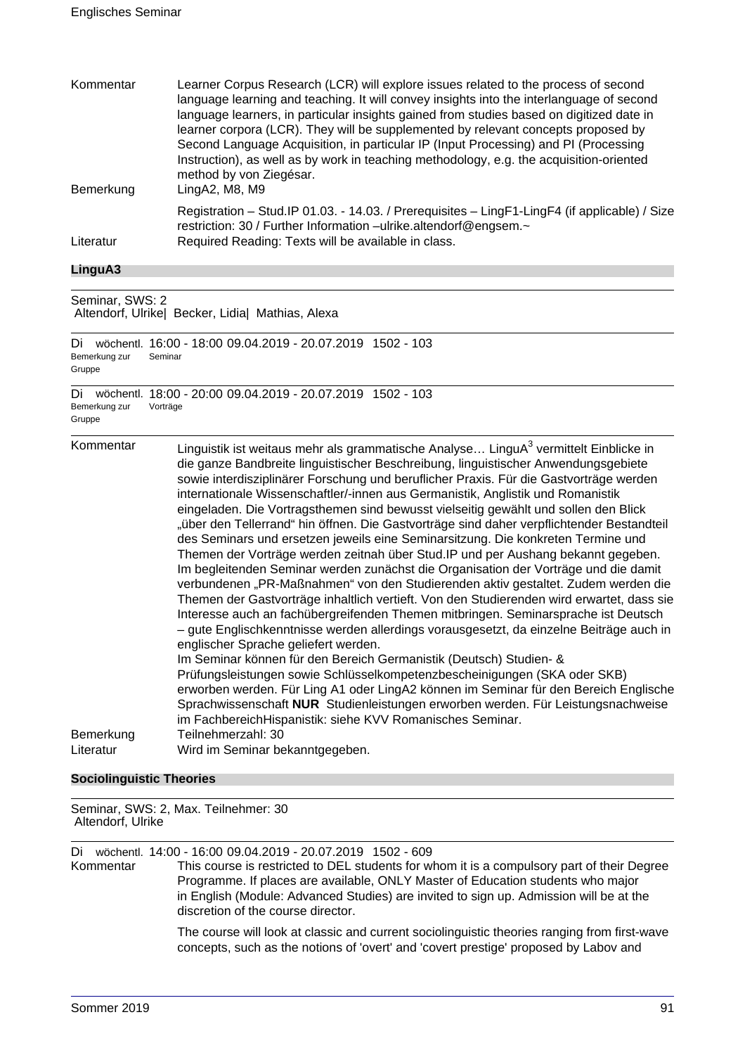| Kommentar | Learner Corpus Research (LCR) will explore issues related to the process of second<br>language learning and teaching. It will convey insights into the interlanguage of second<br>language learners, in particular insights gained from studies based on digitized date in<br>learner corpora (LCR). They will be supplemented by relevant concepts proposed by |
|-----------|-----------------------------------------------------------------------------------------------------------------------------------------------------------------------------------------------------------------------------------------------------------------------------------------------------------------------------------------------------------------|
| Bemerkung | Second Language Acquisition, in particular IP (Input Processing) and PI (Processing<br>Instruction), as well as by work in teaching methodology, e.g. the acquisition-oriented<br>method by von Ziegésar.<br>LingA2, M8, M9                                                                                                                                     |
| Literatur | Registration - Stud. IP 01.03. - 14.03. / Prerequisites - LingF1-LingF4 (if applicable) / Size<br>restriction: 30 / Further Information -ulrike.altendorf@engsem.~<br>Required Reading: Texts will be available in class.                                                                                                                                       |

#### **LinguA3**

Seminar, SWS: 2 Altendorf, Ulrike| Becker, Lidia| Mathias, Alexa

Di wöchentl. 16:00 - 18:00 09.04.2019 - 20.07.2019 1502 - 103 Bemerkung zur Gruppe Seminar

Di wöchentl. 18:00 - 20:00 09.04.2019 - 20.07.2019 1502 - 103 Bemerkung zur Gruppe Vorträge

Kommentar binguistik ist weitaus mehr als grammatische Analyse... LinguA $^3$  vermittelt Einblicke in die ganze Bandbreite linguistischer Beschreibung, linguistischer Anwendungsgebiete sowie interdisziplinärer Forschung und beruflicher Praxis. Für die Gastvorträge werden internationale Wissenschaftler/-innen aus Germanistik, Anglistik und Romanistik eingeladen. Die Vortragsthemen sind bewusst vielseitig gewählt und sollen den Blick "über den Tellerrand" hin öffnen. Die Gastvorträge sind daher verpflichtender Bestandteil des Seminars und ersetzen jeweils eine Seminarsitzung. Die konkreten Termine und Themen der Vorträge werden zeitnah über Stud.IP und per Aushang bekannt gegeben. Im begleitenden Seminar werden zunächst die Organisation der Vorträge und die damit verbundenen "PR-Maßnahmen" von den Studierenden aktiv gestaltet. Zudem werden die Themen der Gastvorträge inhaltlich vertieft. Von den Studierenden wird erwartet, dass sie Interesse auch an fachübergreifenden Themen mitbringen. Seminarsprache ist Deutsch – gute Englischkenntnisse werden allerdings vorausgesetzt, da einzelne Beiträge auch in englischer Sprache geliefert werden. Im Seminar können für den Bereich Germanistik (Deutsch) Studien- & Prüfungsleistungen sowie Schlüsselkompetenzbescheinigungen (SKA oder SKB) erworben werden. Für Ling A1 oder LingA2 können im Seminar für den Bereich Englische Sprachwissenschaft **NUR** Studienleistungen erworben werden. Für Leistungsnachweise im FachbereichHispanistik: siehe KVV Romanisches Seminar. Bemerkung Teilnehmerzahl: 30 Literatur Wird im Seminar bekanntgegeben.

# **Sociolinguistic Theories**

Seminar, SWS: 2, Max. Teilnehmer: 30 Altendorf, Ulrike

Di wöchentl. 14:00 - 16:00 09.04.2019 - 20.07.2019 1502 - 609 This course is restricted to DEL students for whom it is a compulsory part of their Degree Programme. If places are available, ONLY Master of Education students who major in English (Module: Advanced Studies) are invited to sign up. Admission will be at the discretion of the course director.

> The course will look at classic and current sociolinguistic theories ranging from first-wave concepts, such as the notions of 'overt' and 'covert prestige' proposed by Labov and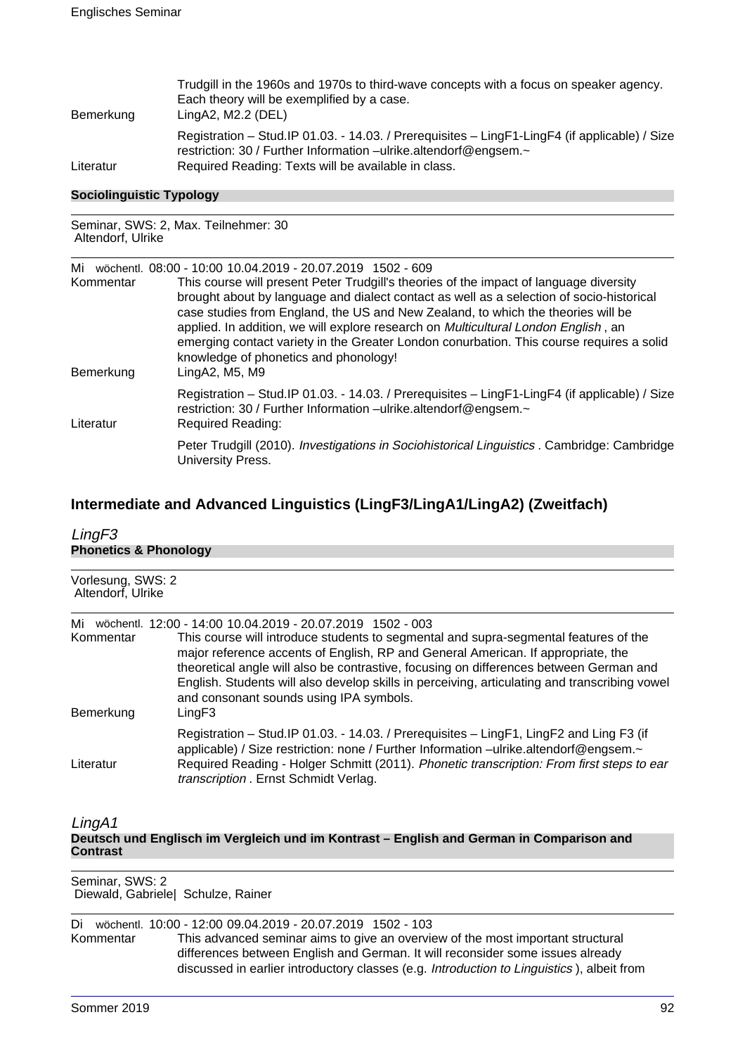| Bemerkung | Trudgill in the 1960s and 1970s to third-wave concepts with a focus on speaker agency.<br>Each theory will be exemplified by a case.<br>LingA2, M2.2 (DEL)                                                                |
|-----------|---------------------------------------------------------------------------------------------------------------------------------------------------------------------------------------------------------------------------|
| Literatur | Registration - Stud. IP 01.03. - 14.03. / Prerequisites - LingF1-LingF4 (if applicable) / Size<br>restriction: 30 / Further Information -ulrike.altendorf@engsem.~<br>Required Reading: Texts will be available in class. |

#### **Sociolinguistic Typology**

Seminar, SWS: 2, Max. Teilnehmer: 30 Altendorf, Ulrike

| Mi<br>Kommentar | wöchentl, 08:00 - 10:00 10.04.2019 - 20.07.2019 1502 - 609<br>This course will present Peter Trudgill's theories of the impact of language diversity<br>brought about by language and dialect contact as well as a selection of socio-historical<br>case studies from England, the US and New Zealand, to which the theories will be<br>applied. In addition, we will explore research on <i>Multicultural London English</i> , an<br>emerging contact variety in the Greater London conurbation. This course requires a solid |
|-----------------|--------------------------------------------------------------------------------------------------------------------------------------------------------------------------------------------------------------------------------------------------------------------------------------------------------------------------------------------------------------------------------------------------------------------------------------------------------------------------------------------------------------------------------|
| Bemerkung       | knowledge of phonetics and phonology!<br>LingA2, M5, M9                                                                                                                                                                                                                                                                                                                                                                                                                                                                        |
| Literatur       | Registration - Stud. IP 01.03. - 14.03. / Prerequisites - LingF1-LingF4 (if applicable) / Size<br>restriction: 30 / Further Information -ulrike.altendorf@engsem.~<br><b>Required Reading:</b>                                                                                                                                                                                                                                                                                                                                 |
|                 | Peter Trudgill (2010). Investigations in Sociohistorical Linguistics . Cambridge: Cambridge<br>University Press.                                                                                                                                                                                                                                                                                                                                                                                                               |

# **Intermediate and Advanced Linguistics (LingF3/LingA1/LingA2) (Zweitfach)**

| LingF3                                 |                                                                                                                                                                                                                                                                                                                                                                                                                                                                                        |
|----------------------------------------|----------------------------------------------------------------------------------------------------------------------------------------------------------------------------------------------------------------------------------------------------------------------------------------------------------------------------------------------------------------------------------------------------------------------------------------------------------------------------------------|
| <b>Phonetics &amp; Phonology</b>       |                                                                                                                                                                                                                                                                                                                                                                                                                                                                                        |
| Vorlesung, SWS: 2<br>Altendorf, Ulrike |                                                                                                                                                                                                                                                                                                                                                                                                                                                                                        |
| Mi<br>Kommentar<br>Bemerkung           | wöchentl. 12:00 - 14:00 10.04.2019 - 20.07.2019 1502 - 003<br>This course will introduce students to segmental and supra-segmental features of the<br>major reference accents of English, RP and General American. If appropriate, the<br>theoretical angle will also be contrastive, focusing on differences between German and<br>English. Students will also develop skills in perceiving, articulating and transcribing vowel<br>and consonant sounds using IPA symbols.<br>LingF3 |
| Literatur                              | Registration - Stud. IP 01.03. - 14.03. / Prerequisites - LingF1, LingF2 and Ling F3 (if<br>applicable) / Size restriction: none / Further Information -ulrike.altendorf@engsem.~<br>Required Reading - Holger Schmitt (2011). Phonetic transcription: From first steps to ear<br>transcription . Ernst Schmidt Verlag.                                                                                                                                                                |
| $\cdots$                               |                                                                                                                                                                                                                                                                                                                                                                                                                                                                                        |

LingA1

**Deutsch und Englisch im Vergleich und im Kontrast – English and German in Comparison and Contrast**

Seminar, SWS: 2 Diewald, Gabriele| Schulze, Rainer

Di wöchentl. 10:00 - 12:00 09.04.2019 - 20.07.2019 1502 - 103 Kommentar This advanced seminar aims to give an overview of the most important structural differences between English and German. It will reconsider some issues already discussed in earlier introductory classes (e.g. Introduction to Linguistics ), albeit from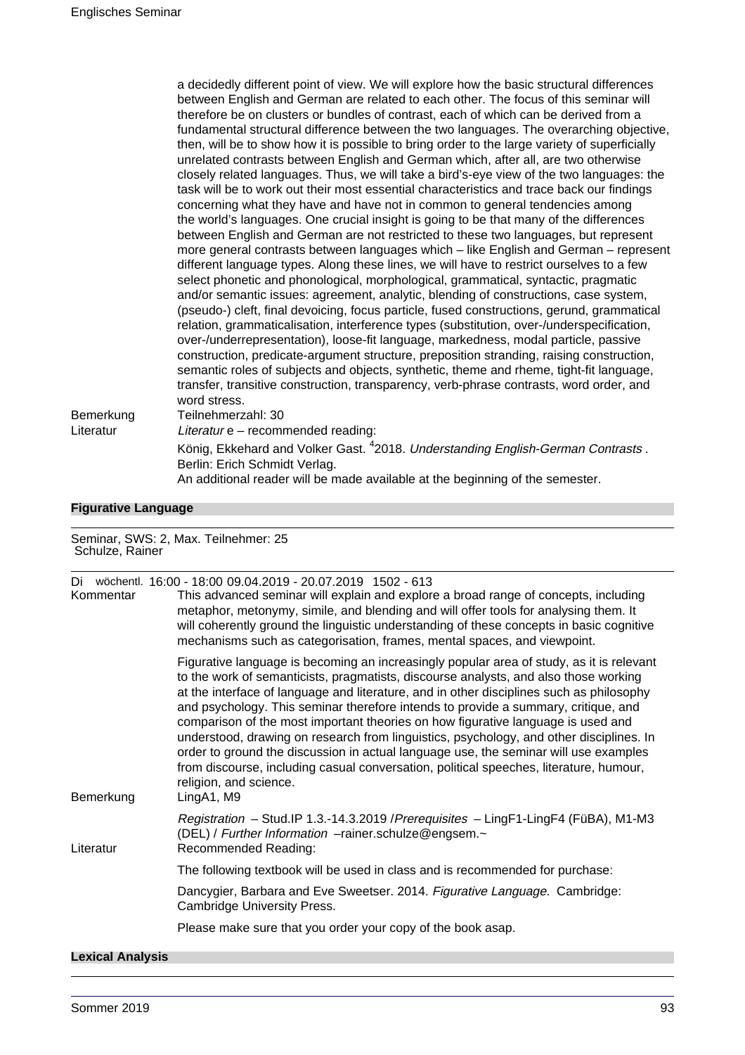|           | a decidedly different point of view. We will explore how the basic structural differences     |
|-----------|-----------------------------------------------------------------------------------------------|
|           | between English and German are related to each other. The focus of this seminar will          |
|           | therefore be on clusters or bundles of contrast, each of which can be derived from a          |
|           | fundamental structural difference between the two languages. The overarching objective,       |
|           | then, will be to show how it is possible to bring order to the large variety of superficially |
|           | unrelated contrasts between English and German which, after all, are two otherwise            |
|           | closely related languages. Thus, we will take a bird's-eye view of the two languages: the     |
|           | task will be to work out their most essential characteristics and trace back our findings     |
|           | concerning what they have and have not in common to general tendencies among                  |
|           | the world's languages. One crucial insight is going to be that many of the differences        |
|           | between English and German are not restricted to these two languages, but represent           |
|           | more general contrasts between languages which - like English and German - represent          |
|           | different language types. Along these lines, we will have to restrict ourselves to a few      |
|           | select phonetic and phonological, morphological, grammatical, syntactic, pragmatic            |
|           | and/or semantic issues: agreement, analytic, blending of constructions, case system,          |
|           | (pseudo-) cleft, final devoicing, focus particle, fused constructions, gerund, grammatical    |
|           | relation, grammaticalisation, interference types (substitution, over-/underspecification,     |
|           | over-/underrepresentation), loose-fit language, markedness, modal particle, passive           |
|           | construction, predicate-argument structure, preposition stranding, raising construction,      |
|           | semantic roles of subjects and objects, synthetic, theme and rheme, tight-fit language,       |
|           | transfer, transitive construction, transparency, verb-phrase contrasts, word order, and       |
|           | word stress.                                                                                  |
| Bemerkung | Teilnehmerzahl: 30                                                                            |
| Literatur | Literatur e - recommended reading:                                                            |
|           | König, Ekkehard and Volker Gast. <sup>4</sup> 2018. Understanding English-German Contrasts.   |
|           | Berlin: Erich Schmidt Verlag.                                                                 |
|           | An additional reader will be made available at the beginning of the semester.                 |
|           |                                                                                               |

# **Figurative Language**

| Schulze, Rainer         | Seminar, SWS: 2, Max. Teilnehmer: 25                                                                                                                                                                                                                                                                                                                                                                                                                                                                                                                                                                                                                                                                                                                                        |
|-------------------------|-----------------------------------------------------------------------------------------------------------------------------------------------------------------------------------------------------------------------------------------------------------------------------------------------------------------------------------------------------------------------------------------------------------------------------------------------------------------------------------------------------------------------------------------------------------------------------------------------------------------------------------------------------------------------------------------------------------------------------------------------------------------------------|
| Di<br>Kommentar         | wöchentl. 16:00 - 18:00 09.04.2019 - 20.07.2019 1502 - 613<br>This advanced seminar will explain and explore a broad range of concepts, including<br>metaphor, metonymy, simile, and blending and will offer tools for analysing them. It<br>will coherently ground the linguistic understanding of these concepts in basic cognitive<br>mechanisms such as categorisation, frames, mental spaces, and viewpoint.                                                                                                                                                                                                                                                                                                                                                           |
| Bemerkung               | Figurative language is becoming an increasingly popular area of study, as it is relevant<br>to the work of semanticists, pragmatists, discourse analysts, and also those working<br>at the interface of language and literature, and in other disciplines such as philosophy<br>and psychology. This seminar therefore intends to provide a summary, critique, and<br>comparison of the most important theories on how figurative language is used and<br>understood, drawing on research from linguistics, psychology, and other disciplines. In<br>order to ground the discussion in actual language use, the seminar will use examples<br>from discourse, including casual conversation, political speeches, literature, humour,<br>religion, and science.<br>LingA1, M9 |
| Literatur               | Registration - Stud.IP 1.3.-14.3.2019 / Prerequisites - LingF1-LingF4 (FüBA), M1-M3<br>(DEL) / Further Information -rainer.schulze@engsem.~<br>Recommended Reading:                                                                                                                                                                                                                                                                                                                                                                                                                                                                                                                                                                                                         |
|                         | The following textbook will be used in class and is recommended for purchase:                                                                                                                                                                                                                                                                                                                                                                                                                                                                                                                                                                                                                                                                                               |
|                         | Dancygier, Barbara and Eve Sweetser. 2014. Figurative Language. Cambridge:<br><b>Cambridge University Press.</b>                                                                                                                                                                                                                                                                                                                                                                                                                                                                                                                                                                                                                                                            |
|                         | Please make sure that you order your copy of the book asap.                                                                                                                                                                                                                                                                                                                                                                                                                                                                                                                                                                                                                                                                                                                 |
| <b>Lexical Analysis</b> |                                                                                                                                                                                                                                                                                                                                                                                                                                                                                                                                                                                                                                                                                                                                                                             |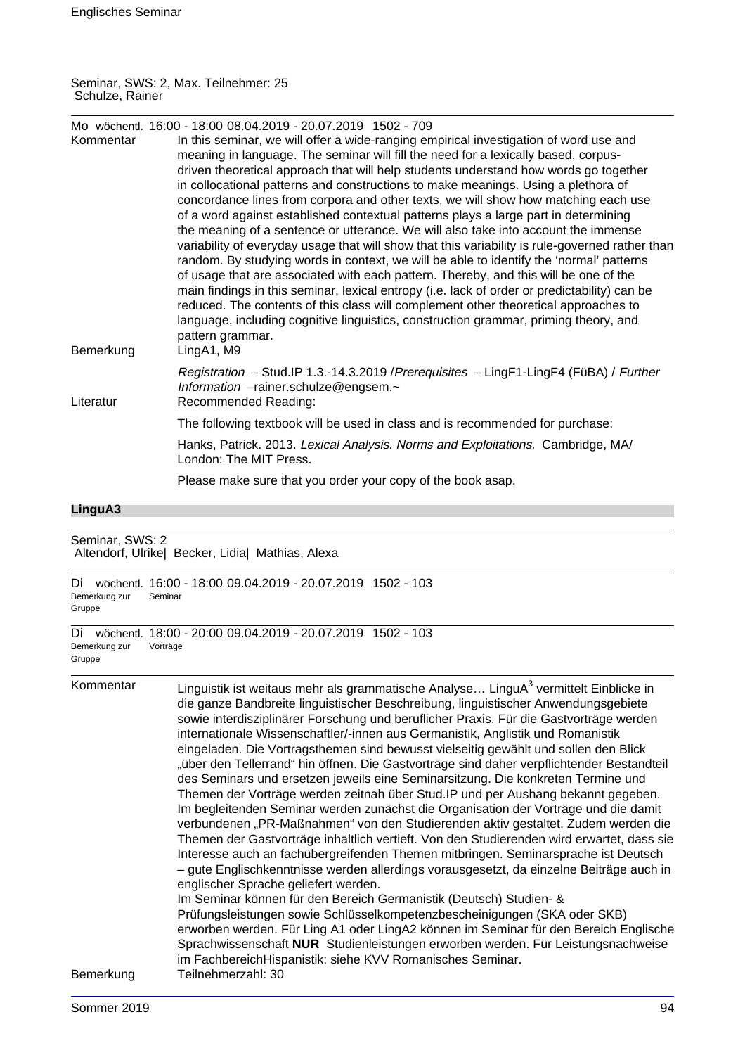#### Seminar, SWS: 2, Max. Teilnehmer: 25 Schulze, Rainer

| Kommentar                     | Mo wöchentl. 16:00 - 18:00 08.04.2019 - 20.07.2019 1502 - 709<br>In this seminar, we will offer a wide-ranging empirical investigation of word use and<br>meaning in language. The seminar will fill the need for a lexically based, corpus-<br>driven theoretical approach that will help students understand how words go together<br>in collocational patterns and constructions to make meanings. Using a plethora of<br>concordance lines from corpora and other texts, we will show how matching each use<br>of a word against established contextual patterns plays a large part in determining<br>the meaning of a sentence or utterance. We will also take into account the immense<br>variability of everyday usage that will show that this variability is rule-governed rather than<br>random. By studying words in context, we will be able to identify the 'normal' patterns<br>of usage that are associated with each pattern. Thereby, and this will be one of the<br>main findings in this seminar, lexical entropy (i.e. lack of order or predictability) can be<br>reduced. The contents of this class will complement other theoretical approaches to<br>language, including cognitive linguistics, construction grammar, priming theory, and<br>pattern grammar.                                                                                                                                                                                                                                                                                                                                          |
|-------------------------------|--------------------------------------------------------------------------------------------------------------------------------------------------------------------------------------------------------------------------------------------------------------------------------------------------------------------------------------------------------------------------------------------------------------------------------------------------------------------------------------------------------------------------------------------------------------------------------------------------------------------------------------------------------------------------------------------------------------------------------------------------------------------------------------------------------------------------------------------------------------------------------------------------------------------------------------------------------------------------------------------------------------------------------------------------------------------------------------------------------------------------------------------------------------------------------------------------------------------------------------------------------------------------------------------------------------------------------------------------------------------------------------------------------------------------------------------------------------------------------------------------------------------------------------------------------------------------------------------------------------------------------|
| Bemerkung                     | LingA1, M9                                                                                                                                                                                                                                                                                                                                                                                                                                                                                                                                                                                                                                                                                                                                                                                                                                                                                                                                                                                                                                                                                                                                                                                                                                                                                                                                                                                                                                                                                                                                                                                                                     |
| Literatur                     | Registration - Stud.IP 1.3.-14.3.2019 / Prerequisites - LingF1-LingF4 (FüBA) / Further<br>Information -rainer.schulze@engsem.~<br>Recommended Reading:                                                                                                                                                                                                                                                                                                                                                                                                                                                                                                                                                                                                                                                                                                                                                                                                                                                                                                                                                                                                                                                                                                                                                                                                                                                                                                                                                                                                                                                                         |
|                               | The following textbook will be used in class and is recommended for purchase:                                                                                                                                                                                                                                                                                                                                                                                                                                                                                                                                                                                                                                                                                                                                                                                                                                                                                                                                                                                                                                                                                                                                                                                                                                                                                                                                                                                                                                                                                                                                                  |
|                               | Hanks, Patrick. 2013. Lexical Analysis. Norms and Exploitations. Cambridge, MA/<br>London: The MIT Press.                                                                                                                                                                                                                                                                                                                                                                                                                                                                                                                                                                                                                                                                                                                                                                                                                                                                                                                                                                                                                                                                                                                                                                                                                                                                                                                                                                                                                                                                                                                      |
|                               | Please make sure that you order your copy of the book asap.                                                                                                                                                                                                                                                                                                                                                                                                                                                                                                                                                                                                                                                                                                                                                                                                                                                                                                                                                                                                                                                                                                                                                                                                                                                                                                                                                                                                                                                                                                                                                                    |
| LinguA3                       |                                                                                                                                                                                                                                                                                                                                                                                                                                                                                                                                                                                                                                                                                                                                                                                                                                                                                                                                                                                                                                                                                                                                                                                                                                                                                                                                                                                                                                                                                                                                                                                                                                |
| Seminar, SWS: 2               | Altendorf, Ulrike  Becker, Lidia  Mathias, Alexa                                                                                                                                                                                                                                                                                                                                                                                                                                                                                                                                                                                                                                                                                                                                                                                                                                                                                                                                                                                                                                                                                                                                                                                                                                                                                                                                                                                                                                                                                                                                                                               |
| Bemerkung zur<br>Gruppe       | Di wöchentl. 16:00 - 18:00 09.04.2019 - 20.07.2019 1502 - 103<br>Seminar                                                                                                                                                                                                                                                                                                                                                                                                                                                                                                                                                                                                                                                                                                                                                                                                                                                                                                                                                                                                                                                                                                                                                                                                                                                                                                                                                                                                                                                                                                                                                       |
| Di<br>Bemerkung zur<br>Gruppe | wöchentl. 18:00 - 20:00 09.04.2019 - 20.07.2019 1502 - 103<br>Vorträge                                                                                                                                                                                                                                                                                                                                                                                                                                                                                                                                                                                                                                                                                                                                                                                                                                                                                                                                                                                                                                                                                                                                                                                                                                                                                                                                                                                                                                                                                                                                                         |
| Kommentar                     | Linguistik ist weitaus mehr als grammatische Analyse LinguA <sup>3</sup> vermittelt Einblicke in<br>die ganze Bandbreite linguistischer Beschreibung, linguistischer Anwendungsgebiete<br>sowie interdisziplinärer Forschung und beruflicher Praxis. Für die Gastvorträge werden<br>internationale Wissenschaftler/-innen aus Germanistik, Anglistik und Romanistik<br>eingeladen. Die Vortragsthemen sind bewusst vielseitig gewählt und sollen den Blick<br>"über den Tellerrand" hin öffnen. Die Gastvorträge sind daher verpflichtender Bestandteil<br>des Seminars und ersetzen jeweils eine Seminarsitzung. Die konkreten Termine und<br>Themen der Vorträge werden zeitnah über Stud. IP und per Aushang bekannt gegeben.<br>Im begleitenden Seminar werden zunächst die Organisation der Vorträge und die damit<br>verbundenen "PR-Maßnahmen" von den Studierenden aktiv gestaltet. Zudem werden die<br>Themen der Gastvorträge inhaltlich vertieft. Von den Studierenden wird erwartet, dass sie<br>Interesse auch an fachübergreifenden Themen mitbringen. Seminarsprache ist Deutsch<br>- gute Englischkenntnisse werden allerdings vorausgesetzt, da einzelne Beiträge auch in<br>englischer Sprache geliefert werden.<br>Im Seminar können für den Bereich Germanistik (Deutsch) Studien- &<br>Prüfungsleistungen sowie Schlüsselkompetenzbescheinigungen (SKA oder SKB)<br>erworben werden. Für Ling A1 oder LingA2 können im Seminar für den Bereich Englische<br>Sprachwissenschaft NUR Studienleistungen erworben werden. Für Leistungsnachweise<br>im FachbereichHispanistik: siehe KVV Romanisches Seminar. |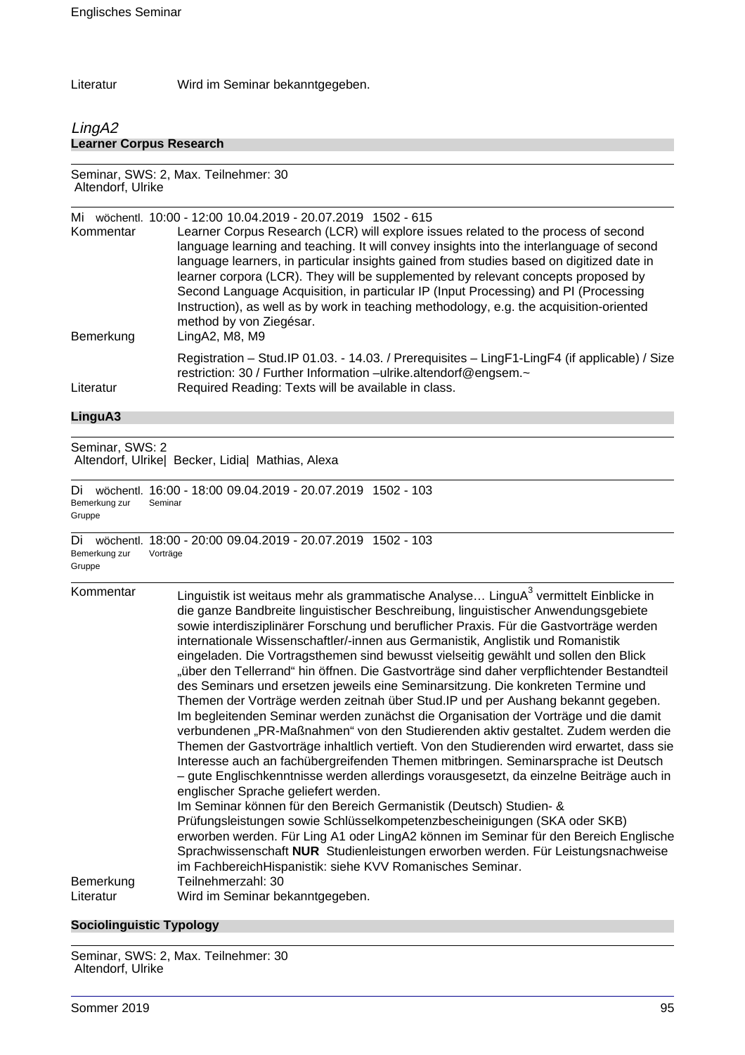Literatur Wird im Seminar bekanntgegeben.

# LingA2 **Learner Corpus Research**

Seminar, SWS: 2, Max. Teilnehmer: 30 Altendorf, Ulrike

| Kommentar<br>Bemerkung          | Mi wöchentl. 10:00 - 12:00 10.04.2019 - 20.07.2019 1502 - 615<br>Learner Corpus Research (LCR) will explore issues related to the process of second<br>language learning and teaching. It will convey insights into the interlanguage of second<br>language learners, in particular insights gained from studies based on digitized date in<br>learner corpora (LCR). They will be supplemented by relevant concepts proposed by<br>Second Language Acquisition, in particular IP (Input Processing) and PI (Processing<br>Instruction), as well as by work in teaching methodology, e.g. the acquisition-oriented<br>method by von Ziegésar.<br>LingA2, M8, M9                                                                                                                                                                                                                                                                                                                                                                                                                                                                                                                                                                                                                                                                                                                                                                                                                                                                                                                                                                                      |
|---------------------------------|------------------------------------------------------------------------------------------------------------------------------------------------------------------------------------------------------------------------------------------------------------------------------------------------------------------------------------------------------------------------------------------------------------------------------------------------------------------------------------------------------------------------------------------------------------------------------------------------------------------------------------------------------------------------------------------------------------------------------------------------------------------------------------------------------------------------------------------------------------------------------------------------------------------------------------------------------------------------------------------------------------------------------------------------------------------------------------------------------------------------------------------------------------------------------------------------------------------------------------------------------------------------------------------------------------------------------------------------------------------------------------------------------------------------------------------------------------------------------------------------------------------------------------------------------------------------------------------------------------------------------------------------------|
| Literatur                       | Registration - Stud.IP 01.03. - 14.03. / Prerequisites - LingF1-LingF4 (if applicable) / Size<br>restriction: 30 / Further Information -ulrike.altendorf@engsem.~<br>Required Reading: Texts will be available in class.                                                                                                                                                                                                                                                                                                                                                                                                                                                                                                                                                                                                                                                                                                                                                                                                                                                                                                                                                                                                                                                                                                                                                                                                                                                                                                                                                                                                                             |
| LinguA3                         |                                                                                                                                                                                                                                                                                                                                                                                                                                                                                                                                                                                                                                                                                                                                                                                                                                                                                                                                                                                                                                                                                                                                                                                                                                                                                                                                                                                                                                                                                                                                                                                                                                                      |
| Seminar, SWS: 2                 | Altendorf, Ulrike  Becker, Lidia  Mathias, Alexa                                                                                                                                                                                                                                                                                                                                                                                                                                                                                                                                                                                                                                                                                                                                                                                                                                                                                                                                                                                                                                                                                                                                                                                                                                                                                                                                                                                                                                                                                                                                                                                                     |
| Di l<br>Bemerkung zur<br>Gruppe | wöchentl. 16:00 - 18:00 09.04.2019 - 20.07.2019 1502 - 103<br>Seminar                                                                                                                                                                                                                                                                                                                                                                                                                                                                                                                                                                                                                                                                                                                                                                                                                                                                                                                                                                                                                                                                                                                                                                                                                                                                                                                                                                                                                                                                                                                                                                                |
| Di<br>Bemerkung zur<br>Gruppe   | wöchentl. 18:00 - 20:00 09.04.2019 - 20.07.2019 1502 - 103<br>Vorträge                                                                                                                                                                                                                                                                                                                                                                                                                                                                                                                                                                                                                                                                                                                                                                                                                                                                                                                                                                                                                                                                                                                                                                                                                                                                                                                                                                                                                                                                                                                                                                               |
| Kommentar<br>Bemerkung          | Linguistik ist weitaus mehr als grammatische Analyse LinguA <sup>3</sup> vermittelt Einblicke in<br>die ganze Bandbreite linguistischer Beschreibung, linguistischer Anwendungsgebiete<br>sowie interdisziplinärer Forschung und beruflicher Praxis. Für die Gastvorträge werden<br>internationale Wissenschaftler/-innen aus Germanistik, Anglistik und Romanistik<br>eingeladen. Die Vortragsthemen sind bewusst vielseitig gewählt und sollen den Blick<br>"über den Tellerrand" hin öffnen. Die Gastvorträge sind daher verpflichtender Bestandteil<br>des Seminars und ersetzen jeweils eine Seminarsitzung. Die konkreten Termine und<br>Themen der Vorträge werden zeitnah über Stud. IP und per Aushang bekannt gegeben.<br>Im begleitenden Seminar werden zunächst die Organisation der Vorträge und die damit<br>verbundenen "PR-Maßnahmen" von den Studierenden aktiv gestaltet. Zudem werden die<br>Themen der Gastvorträge inhaltlich vertieft. Von den Studierenden wird erwartet, dass sie<br>Interesse auch an fachübergreifenden Themen mitbringen. Seminarsprache ist Deutsch<br>- gute Englischkenntnisse werden allerdings vorausgesetzt, da einzelne Beiträge auch in<br>englischer Sprache geliefert werden.<br>Im Seminar können für den Bereich Germanistik (Deutsch) Studien- &<br>Prüfungsleistungen sowie Schlüsselkompetenzbescheinigungen (SKA oder SKB)<br>erworben werden. Für Ling A1 oder LingA2 können im Seminar für den Bereich Englische<br>Sprachwissenschaft NUR Studienleistungen erworben werden. Für Leistungsnachweise<br>im FachbereichHispanistik: siehe KVV Romanisches Seminar.<br>Teilnehmerzahl: 30 |
| Literatur                       | Wird im Seminar bekanntgegeben.                                                                                                                                                                                                                                                                                                                                                                                                                                                                                                                                                                                                                                                                                                                                                                                                                                                                                                                                                                                                                                                                                                                                                                                                                                                                                                                                                                                                                                                                                                                                                                                                                      |

# **Sociolinguistic Typology**

Seminar, SWS: 2, Max. Teilnehmer: 30 Altendorf, Ulrike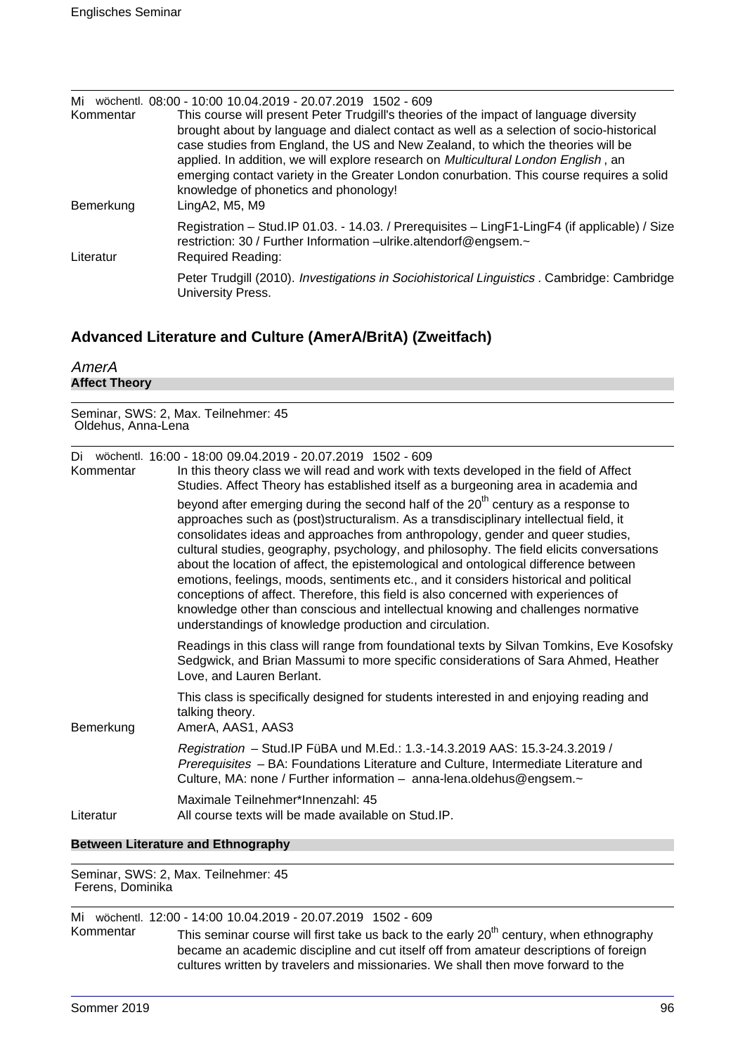| Mi<br>Kommentar<br>Bemerkung | wöchentl. 08:00 - 10:00 10.04.2019 - 20.07.2019 1502 - 609<br>This course will present Peter Trudgill's theories of the impact of language diversity<br>brought about by language and dialect contact as well as a selection of socio-historical<br>case studies from England, the US and New Zealand, to which the theories will be<br>applied. In addition, we will explore research on Multicultural London English, an<br>emerging contact variety in the Greater London conurbation. This course requires a solid<br>knowledge of phonetics and phonology!<br>LingA2, M5, M9 |
|------------------------------|-----------------------------------------------------------------------------------------------------------------------------------------------------------------------------------------------------------------------------------------------------------------------------------------------------------------------------------------------------------------------------------------------------------------------------------------------------------------------------------------------------------------------------------------------------------------------------------|
| Literatur                    | Registration - Stud. IP 01.03. - 14.03. / Prerequisites - LingF1-LingF4 (if applicable) / Size<br>restriction: 30 / Further Information -ulrike.altendorf@engsem.~<br><b>Required Reading:</b>                                                                                                                                                                                                                                                                                                                                                                                    |
|                              | Peter Trudgill (2010). Investigations in Sociohistorical Linguistics . Cambridge: Cambridge<br>University Press.                                                                                                                                                                                                                                                                                                                                                                                                                                                                  |

# **Advanced Literature and Culture (AmerA/BritA) (Zweitfach)**

| AmerA                |  |  |
|----------------------|--|--|
| <b>Affect Theory</b> |  |  |

Seminar, SWS: 2, Max. Teilnehmer: 45 Oldehus, Anna-Lena

| Di<br>Kommentar | wöchentl. 16:00 - 18:00 09.04.2019 - 20.07.2019 1502 - 609<br>In this theory class we will read and work with texts developed in the field of Affect                                                                                                                                                                                                                                                                                                                                                                                                                                                                                                                                                                                                                                                                                                                             |
|-----------------|----------------------------------------------------------------------------------------------------------------------------------------------------------------------------------------------------------------------------------------------------------------------------------------------------------------------------------------------------------------------------------------------------------------------------------------------------------------------------------------------------------------------------------------------------------------------------------------------------------------------------------------------------------------------------------------------------------------------------------------------------------------------------------------------------------------------------------------------------------------------------------|
|                 | Studies. Affect Theory has established itself as a burgeoning area in academia and<br>beyond after emerging during the second half of the 20 <sup>th</sup> century as a response to<br>approaches such as (post)structuralism. As a transdisciplinary intellectual field, it<br>consolidates ideas and approaches from anthropology, gender and queer studies,<br>cultural studies, geography, psychology, and philosophy. The field elicits conversations<br>about the location of affect, the epistemological and ontological difference between<br>emotions, feelings, moods, sentiments etc., and it considers historical and political<br>conceptions of affect. Therefore, this field is also concerned with experiences of<br>knowledge other than conscious and intellectual knowing and challenges normative<br>understandings of knowledge production and circulation. |
|                 | Readings in this class will range from foundational texts by Silvan Tomkins, Eve Kosofsky<br>Sedgwick, and Brian Massumi to more specific considerations of Sara Ahmed, Heather<br>Love, and Lauren Berlant.                                                                                                                                                                                                                                                                                                                                                                                                                                                                                                                                                                                                                                                                     |
| Bemerkung       | This class is specifically designed for students interested in and enjoying reading and<br>talking theory.<br>AmerA, AAS1, AAS3                                                                                                                                                                                                                                                                                                                                                                                                                                                                                                                                                                                                                                                                                                                                                  |
|                 | Registration - Stud.IP FüBA und M.Ed.: 1.3.-14.3.2019 AAS: 15.3-24.3.2019 /<br>Prerequisites - BA: Foundations Literature and Culture, Intermediate Literature and<br>Culture, MA: none / Further information - anna-lena.oldehus@engsem.~                                                                                                                                                                                                                                                                                                                                                                                                                                                                                                                                                                                                                                       |
| Literatur       | Maximale Teilnehmer*Innenzahl: 45<br>All course texts will be made available on Stud.IP.                                                                                                                                                                                                                                                                                                                                                                                                                                                                                                                                                                                                                                                                                                                                                                                         |

#### **Between Literature and Ethnography**

Seminar, SWS: 2, Max. Teilnehmer: 45 Ferens, Dominika

Mi wöchentl. 12:00 - 14:00 10.04.2019 - 20.07.2019 1502 - 609

Kommentar This seminar course will first take us back to the early 20<sup>th</sup> century, when ethnography became an academic discipline and cut itself off from amateur descriptions of foreign cultures written by travelers and missionaries. We shall then move forward to the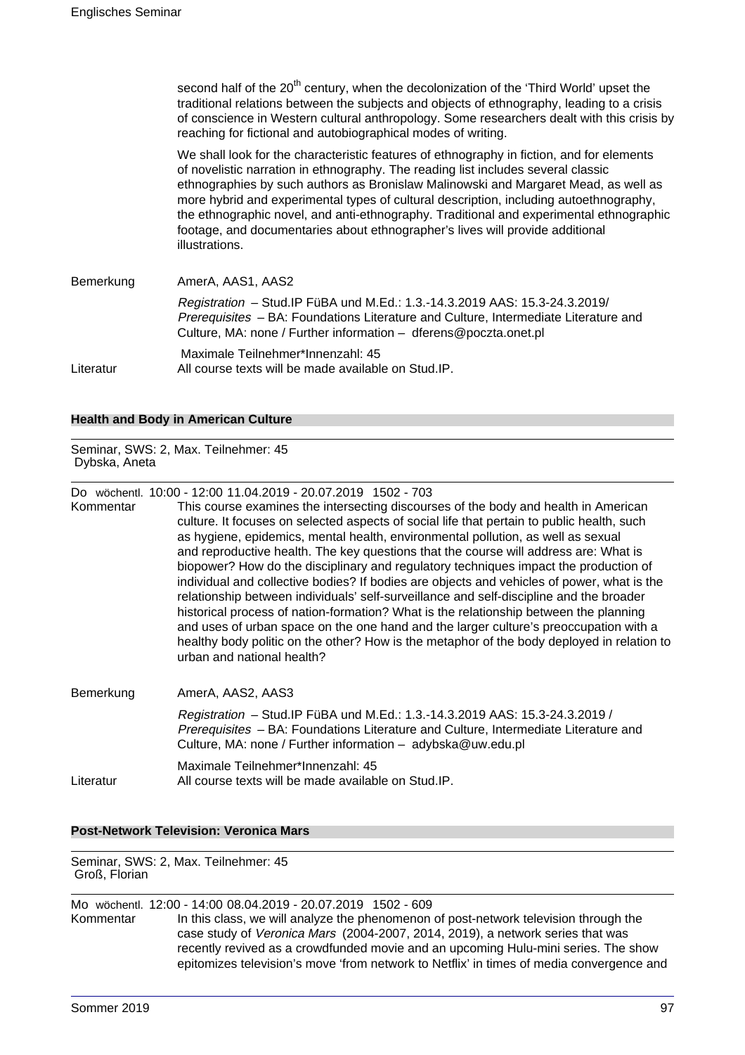second half of the  $20<sup>th</sup>$  century, when the decolonization of the 'Third World' upset the traditional relations between the subjects and objects of ethnography, leading to a crisis of conscience in Western cultural anthropology. Some researchers dealt with this crisis by reaching for fictional and autobiographical modes of writing. We shall look for the characteristic features of ethnography in fiction, and for elements of novelistic narration in ethnography. The reading list includes several classic ethnographies by such authors as Bronislaw Malinowski and Margaret Mead, as well as more hybrid and experimental types of cultural description, including autoethnography, the ethnographic novel, and anti-ethnography. Traditional and experimental ethnographic footage, and documentaries about ethnographer's lives will provide additional illustrations. Bemerkung AmerA, AAS1, AAS2 Registration – Stud.IP FüBA und M.Ed.: 1.3.-14.3.2019 AAS: 15.3-24.3.2019/ Prerequisites – BA: Foundations Literature and Culture, Intermediate Literature and Culture, MA: none / Further information – dferens@poczta.onet.pl Maximale Teilnehmer\*Innenzahl: 45 Literatur All course texts will be made available on Stud.IP.

#### **Health and Body in American Culture**

Seminar, SWS: 2, Max. Teilnehmer: 45 Dybska, Aneta

Do wöchentl. 10:00 - 12:00 11.04.2019 - 20.07.2019 1502 - 703

Kommentar This course examines the intersecting discourses of the body and health in American culture. It focuses on selected aspects of social life that pertain to public health, such as hygiene, epidemics, mental health, environmental pollution, as well as sexual and reproductive health. The key questions that the course will address are: What is biopower? How do the disciplinary and regulatory techniques impact the production of individual and collective bodies? If bodies are objects and vehicles of power, what is the relationship between individuals' self-surveillance and self-discipline and the broader historical process of nation-formation? What is the relationship between the planning and uses of urban space on the one hand and the larger culture's preoccupation with a healthy body politic on the other? How is the metaphor of the body deployed in relation to urban and national health?

| Bemerkung | AmerA, AAS2, AAS3                                                                                                                                                                                                                         |
|-----------|-------------------------------------------------------------------------------------------------------------------------------------------------------------------------------------------------------------------------------------------|
|           | Registration - Stud. IP FüBA und M.Ed.: 1.3.-14.3.2019 AAS: 15.3-24.3.2019 /<br><i>Prerequisites</i> – BA: Foundations Literature and Culture, Intermediate Literature and<br>Culture, MA: none / Further information - adybska@uw.edu.pl |
| Literatur | Maximale Teilnehmer*Innenzahl: 45<br>All course texts will be made available on Stud. IP.                                                                                                                                                 |

#### **Post-Network Television: Veronica Mars**

Seminar, SWS: 2, Max. Teilnehmer: 45 Groß, Florian

Mo wöchentl. 12:00 - 14:00 08.04.2019 - 20.07.2019 1502 - 609 Kommentar In this class, we will analyze the phenomenon of post-network television through the case study of Veronica Mars (2004-2007, 2014, 2019), a network series that was recently revived as a crowdfunded movie and an upcoming Hulu-mini series. The show epitomizes television's move 'from network to Netflix' in times of media convergence and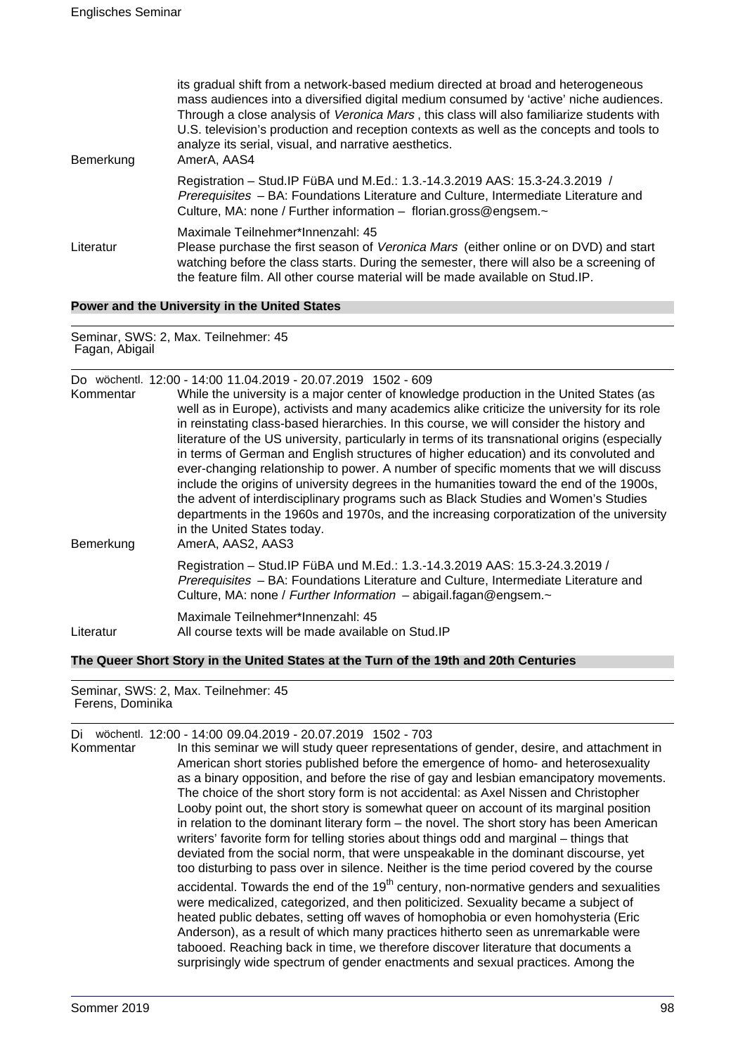| Bemerkung | its gradual shift from a network-based medium directed at broad and heterogeneous<br>mass audiences into a diversified digital medium consumed by 'active' niche audiences.<br>Through a close analysis of Veronica Mars, this class will also familiarize students with<br>U.S. television's production and reception contexts as well as the concepts and tools to<br>analyze its serial, visual, and narrative aesthetics.<br>AmerA, AAS4 |
|-----------|----------------------------------------------------------------------------------------------------------------------------------------------------------------------------------------------------------------------------------------------------------------------------------------------------------------------------------------------------------------------------------------------------------------------------------------------|
|           | Registration - Stud. IP FüBA und M.Ed.: 1.3.-14.3.2019 AAS: 15.3-24.3.2019 /<br>Prerequisites - BA: Foundations Literature and Culture, Intermediate Literature and<br>Culture, MA: none / Further information - florian.gross@engsem.~                                                                                                                                                                                                      |
| Literatur | Maximale Teilnehmer*Innenzahl: 45<br>Please purchase the first season of Veronica Mars (either online or on DVD) and start<br>watching before the class starts. During the semester, there will also be a screening of<br>the feature film. All other course material will be made available on Stud. IP.                                                                                                                                    |

**Power and the University in the United States**

Seminar, SWS: 2, Max. Teilnehmer: 45 Fagan, Abigail

| Kommentar | Do wöchentl. 12:00 - 14:00 11.04.2019 - 20.07.2019 1502 - 609<br>While the university is a major center of knowledge production in the United States (as<br>well as in Europe), activists and many academics alike criticize the university for its role<br>in reinstating class-based hierarchies. In this course, we will consider the history and<br>literature of the US university, particularly in terms of its transnational origins (especially<br>in terms of German and English structures of higher education) and its convoluted and<br>ever-changing relationship to power. A number of specific moments that we will discuss<br>include the origins of university degrees in the humanities toward the end of the 1900s,<br>the advent of interdisciplinary programs such as Black Studies and Women's Studies<br>departments in the 1960s and 1970s, and the increasing corporatization of the university<br>in the United States today. |
|-----------|---------------------------------------------------------------------------------------------------------------------------------------------------------------------------------------------------------------------------------------------------------------------------------------------------------------------------------------------------------------------------------------------------------------------------------------------------------------------------------------------------------------------------------------------------------------------------------------------------------------------------------------------------------------------------------------------------------------------------------------------------------------------------------------------------------------------------------------------------------------------------------------------------------------------------------------------------------|
| Bemerkung | AmerA, AAS2, AAS3                                                                                                                                                                                                                                                                                                                                                                                                                                                                                                                                                                                                                                                                                                                                                                                                                                                                                                                                       |
|           | Registration - Stud. IP FüBA und M.Ed.: 1.3.-14.3.2019 AAS: 15.3-24.3.2019 /<br>Prerequisites - BA: Foundations Literature and Culture, Intermediate Literature and<br>Culture, MA: none / Further Information - abigail.fagan@engsem.~                                                                                                                                                                                                                                                                                                                                                                                                                                                                                                                                                                                                                                                                                                                 |
| Literatur | Maximale Teilnehmer*Innenzahl: 45<br>All course texts will be made available on Stud. IP                                                                                                                                                                                                                                                                                                                                                                                                                                                                                                                                                                                                                                                                                                                                                                                                                                                                |

**The Queer Short Story in the United States at the Turn of the 19th and 20th Centuries**

Seminar, SWS: 2, Max. Teilnehmer: 45 Ferens, Dominika

| Di        | wöchentl. 12:00 - 14:00 09.04.2019 - 20.07.2019 1502 - 703                                                                                                                                                                                                                                                                                                                                                                                                                                                                       |
|-----------|----------------------------------------------------------------------------------------------------------------------------------------------------------------------------------------------------------------------------------------------------------------------------------------------------------------------------------------------------------------------------------------------------------------------------------------------------------------------------------------------------------------------------------|
| Kommentar | In this seminar we will study queer representations of gender, desire, and attachment in                                                                                                                                                                                                                                                                                                                                                                                                                                         |
|           | American short stories published before the emergence of homo- and heterosexuality                                                                                                                                                                                                                                                                                                                                                                                                                                               |
|           | as a binary opposition, and before the rise of gay and lesbian emancipatory movements.                                                                                                                                                                                                                                                                                                                                                                                                                                           |
|           | The choice of the short story form is not accidental: as Axel Nissen and Christopher                                                                                                                                                                                                                                                                                                                                                                                                                                             |
|           | Looby point out, the short story is somewhat queer on account of its marginal position                                                                                                                                                                                                                                                                                                                                                                                                                                           |
|           | in relation to the dominant literary form $-$ the novel. The short story has been American                                                                                                                                                                                                                                                                                                                                                                                                                                       |
|           | writers' favorite form for telling stories about things odd and marginal – things that                                                                                                                                                                                                                                                                                                                                                                                                                                           |
|           | deviated from the social norm, that were unspeakable in the dominant discourse, yet                                                                                                                                                                                                                                                                                                                                                                                                                                              |
|           | too disturbing to pass over in silence. Neither is the time period covered by the course                                                                                                                                                                                                                                                                                                                                                                                                                                         |
|           | accidental. Towards the end of the $19th$ century, non-normative genders and sexualities<br>were medicalized, categorized, and then politicized. Sexuality became a subject of<br>heated public debates, setting off waves of homophobia or even homohysteria (Eric<br>Anderson), as a result of which many practices hitherto seen as unremarkable were<br>tabooed. Reaching back in time, we therefore discover literature that documents a<br>surprisingly wide spectrum of gender enactments and sexual practices. Among the |
|           |                                                                                                                                                                                                                                                                                                                                                                                                                                                                                                                                  |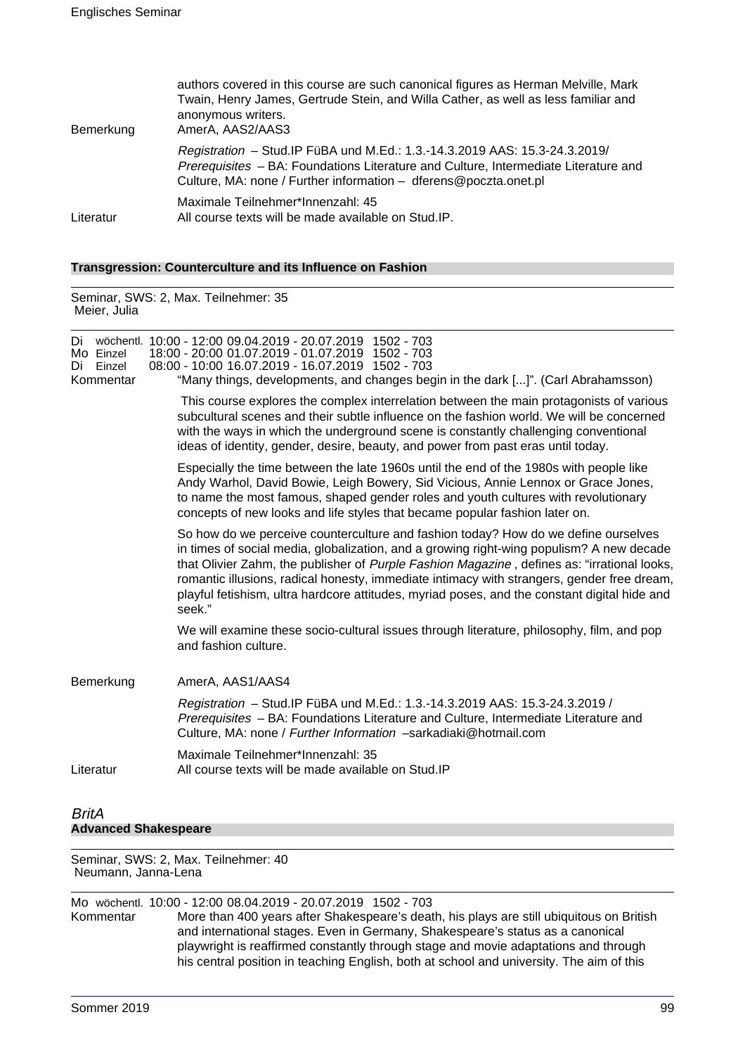| Bemerkung | authors covered in this course are such canonical figures as Herman Melville, Mark<br>Twain, Henry James, Gertrude Stein, and Willa Cather, as well as less familiar and<br>anonymous writers.<br>AmerA, AAS2/AAS3                     |
|-----------|----------------------------------------------------------------------------------------------------------------------------------------------------------------------------------------------------------------------------------------|
|           | Registration - Stud. IP FüBA und M.Ed.: 1.3.-14.3.2019 AAS: 15.3-24.3.2019/<br>Prerequisites - BA: Foundations Literature and Culture, Intermediate Literature and<br>Culture, MA: none / Further information - dferens@poczta.onet.pl |
| Literatur | Maximale Teilnehmer*Innenzahl: 45<br>All course texts will be made available on Stud.IP.                                                                                                                                               |

# **Transgression: Counterculture and its Influence on Fashion**

Seminar, SWS: 2, Max. Teilnehmer: 35 Meier, Julia

| Di<br>Mo Einzel<br>Einzel<br>Di<br>Kommentar | wöchentl. 10:00 - 12:00 09.04.2019 - 20.07.2019 1502 - 703<br>18:00 - 20:00 01.07.2019 - 01.07.2019 1502 - 703<br>08:00 - 10:00 16.07.2019 - 16.07.2019 1502 - 703<br>"Many things, developments, and changes begin in the dark []". (Carl Abrahamsson)                                                                                                                                                                                                                               |
|----------------------------------------------|---------------------------------------------------------------------------------------------------------------------------------------------------------------------------------------------------------------------------------------------------------------------------------------------------------------------------------------------------------------------------------------------------------------------------------------------------------------------------------------|
|                                              | This course explores the complex interrelation between the main protagonists of various<br>subcultural scenes and their subtle influence on the fashion world. We will be concerned<br>with the ways in which the underground scene is constantly challenging conventional<br>ideas of identity, gender, desire, beauty, and power from past eras until today.                                                                                                                        |
|                                              | Especially the time between the late 1960s until the end of the 1980s with people like<br>Andy Warhol, David Bowie, Leigh Bowery, Sid Vicious, Annie Lennox or Grace Jones,<br>to name the most famous, shaped gender roles and youth cultures with revolutionary<br>concepts of new looks and life styles that became popular fashion later on.                                                                                                                                      |
|                                              | So how do we perceive counterculture and fashion today? How do we define ourselves<br>in times of social media, globalization, and a growing right-wing populism? A new decade<br>that Olivier Zahm, the publisher of Purple Fashion Magazine, defines as: "irrational looks,<br>romantic illusions, radical honesty, immediate intimacy with strangers, gender free dream,<br>playful fetishism, ultra hardcore attitudes, myriad poses, and the constant digital hide and<br>seek." |
|                                              | We will examine these socio-cultural issues through literature, philosophy, film, and pop<br>and fashion culture.                                                                                                                                                                                                                                                                                                                                                                     |
| Bemerkung                                    | AmerA, AAS1/AAS4                                                                                                                                                                                                                                                                                                                                                                                                                                                                      |
|                                              | Registration - Stud. IP FüBA und M.Ed.: 1.3.-14.3.2019 AAS: 15.3-24.3.2019 /<br>Prerequisites - BA: Foundations Literature and Culture, Intermediate Literature and<br>Culture, MA: none / Further Information -sarkadiaki@hotmail.com                                                                                                                                                                                                                                                |
| Literatur                                    | Maximale Teilnehmer*Innenzahl: 35<br>All course texts will be made available on Stud. IP                                                                                                                                                                                                                                                                                                                                                                                              |
| <b>BritA</b><br><b>Advanced Shakespeare</b>  |                                                                                                                                                                                                                                                                                                                                                                                                                                                                                       |

#### Seminar, SWS: 2, Max. Teilnehmer: 40 Neumann, Janna-Lena

Mo wöchentl. 10:00 - 12:00 08.04.2019 - 20.07.2019 1502 - 703 More than 400 years after Shakespeare's death, his plays are still ubiquitous on British and international stages. Even in Germany, Shakespeare's status as a canonical playwright is reaffirmed constantly through stage and movie adaptations and through his central position in teaching English, both at school and university. The aim of this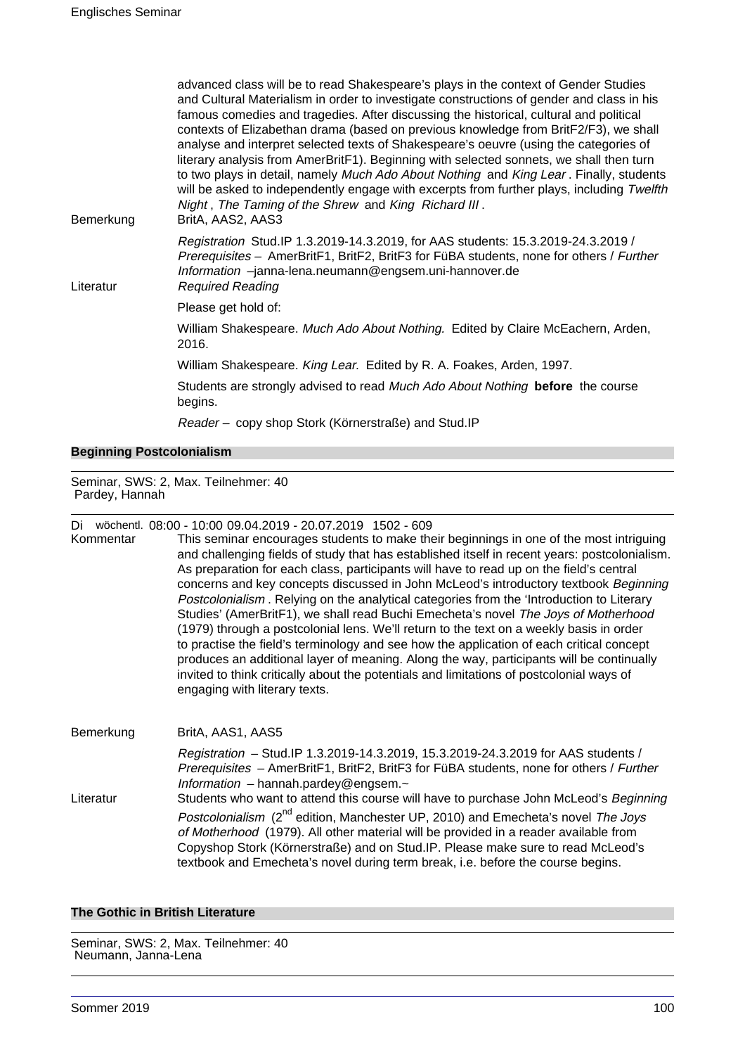| Bemerkung | advanced class will be to read Shakespeare's plays in the context of Gender Studies<br>and Cultural Materialism in order to investigate constructions of gender and class in his<br>famous comedies and tragedies. After discussing the historical, cultural and political<br>contexts of Elizabethan drama (based on previous knowledge from BritF2/F3), we shall<br>analyse and interpret selected texts of Shakespeare's oeuvre (using the categories of<br>literary analysis from AmerBritF1). Beginning with selected sonnets, we shall then turn<br>to two plays in detail, namely Much Ado About Nothing and King Lear. Finally, students<br>will be asked to independently engage with excerpts from further plays, including Twelfth<br>Night, The Taming of the Shrew and King Richard III.<br>BritA, AAS2, AAS3 |
|-----------|----------------------------------------------------------------------------------------------------------------------------------------------------------------------------------------------------------------------------------------------------------------------------------------------------------------------------------------------------------------------------------------------------------------------------------------------------------------------------------------------------------------------------------------------------------------------------------------------------------------------------------------------------------------------------------------------------------------------------------------------------------------------------------------------------------------------------|
| Literatur | Registration Stud.IP 1.3.2019-14.3.2019, for AAS students: 15.3.2019-24.3.2019 /<br>Prerequisites - AmerBritF1, BritF2, BritF3 for FüBA students, none for others / Further<br>Information -janna-lena.neumann@engsem.uni-hannover.de<br><b>Required Reading</b>                                                                                                                                                                                                                                                                                                                                                                                                                                                                                                                                                           |
|           | Please get hold of:                                                                                                                                                                                                                                                                                                                                                                                                                                                                                                                                                                                                                                                                                                                                                                                                        |
|           | William Shakespeare. Much Ado About Nothing. Edited by Claire McEachern, Arden,<br>2016.                                                                                                                                                                                                                                                                                                                                                                                                                                                                                                                                                                                                                                                                                                                                   |
|           | William Shakespeare. King Lear. Edited by R. A. Foakes, Arden, 1997.                                                                                                                                                                                                                                                                                                                                                                                                                                                                                                                                                                                                                                                                                                                                                       |
|           | Students are strongly advised to read Much Ado About Nothing before the course<br>begins.                                                                                                                                                                                                                                                                                                                                                                                                                                                                                                                                                                                                                                                                                                                                  |
|           | Reader - copy shop Stork (Körnerstraße) and Stud. IP                                                                                                                                                                                                                                                                                                                                                                                                                                                                                                                                                                                                                                                                                                                                                                       |

#### **Beginning Postcolonialism**

Seminar, SWS: 2, Max. Teilnehmer: 40 Pardey, Hannah

Di wöchentl. 08:00 - 10:00 09.04.2019 - 20.07.2019 1502 - 609

Kommentar This seminar encourages students to make their beginnings in one of the most intriguing and challenging fields of study that has established itself in recent years: postcolonialism. As preparation for each class, participants will have to read up on the field's central concerns and key concepts discussed in John McLeod's introductory textbook Beginning Postcolonialism . Relying on the analytical categories from the 'Introduction to Literary Studies' (AmerBritF1), we shall read Buchi Emecheta's novel The Joys of Motherhood (1979) through a postcolonial lens. We'll return to the text on a weekly basis in order to practise the field's terminology and see how the application of each critical concept produces an additional layer of meaning. Along the way, participants will be continually invited to think critically about the potentials and limitations of postcolonial ways of engaging with literary texts.

Bemerkung BritA, AAS1, AAS5 Registration – Stud.IP 1.3.2019-14.3.2019, 15.3.2019-24.3.2019 for AAS students / Prerequisites - AmerBritF1, BritF2, BritF3 for FüBA students, none for others / Further Information – hannah.pardey@engsem. $\sim$ Literatur Students who want to attend this course will have to purchase John McLeod's Beginning Postcolonialism (2<sup>nd</sup> edition, Manchester UP, 2010) and Emecheta's novel The Joys of Motherhood (1979). All other material will be provided in a reader available from Copyshop Stork (Körnerstraße) and on Stud.IP. Please make sure to read McLeod's textbook and Emecheta's novel during term break, i.e. before the course begins.

#### **The Gothic in British Literature**

Seminar, SWS: 2, Max. Teilnehmer: 40 Neumann, Janna-Lena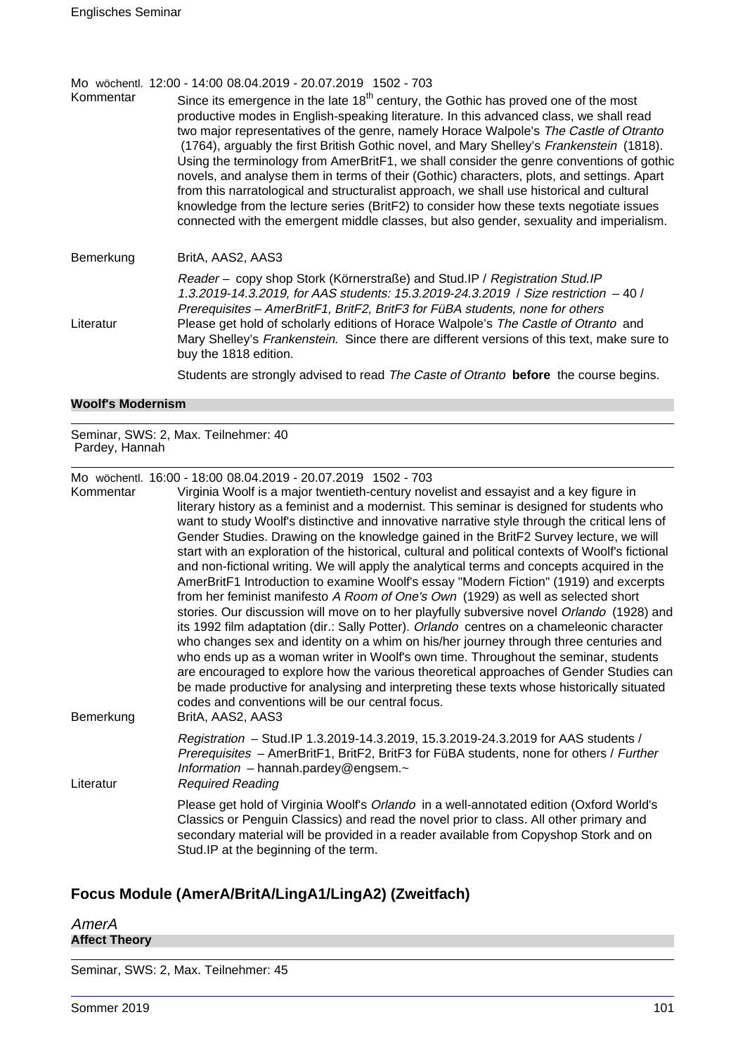Mo wöchentl. 12:00 - 14:00 08.04.2019 - 20.07.2019 1502 - 703

Kommentar Since its emergence in the late  $18<sup>th</sup>$  century, the Gothic has proved one of the most productive modes in English-speaking literature. In this advanced class, we shall read two major representatives of the genre, namely Horace Walpole's The Castle of Otranto (1764), arguably the first British Gothic novel, and Mary Shelley's Frankenstein (1818). Using the terminology from AmerBritF1, we shall consider the genre conventions of gothic novels, and analyse them in terms of their (Gothic) characters, plots, and settings. Apart from this narratological and structuralist approach, we shall use historical and cultural knowledge from the lecture series (BritF2) to consider how these texts negotiate issues connected with the emergent middle classes, but also gender, sexuality and imperialism.

Bemerkung BritA, AAS2, AAS3 Reader – copy shop Stork (Körnerstraße) and Stud.IP / Registration Stud.IP 1.3.2019-14.3.2019, for AAS students: 15.3.2019-24.3.2019 / Size restriction – 40 / Prerequisites – AmerBritF1, BritF2, BritF3 for FüBA students, none for others Literatur Please get hold of scholarly editions of Horace Walpole's The Castle of Otranto and Mary Shelley's Frankenstein. Since there are different versions of this text, make sure to buy the 1818 edition.

Students are strongly advised to read The Caste of Otranto **before** the course begins.

#### **Woolf's Modernism**

Seminar, SWS: 2, Max. Teilnehmer: 40 Pardey, Hannah

Mo wöchentl. 16:00 - 18:00 08.04.2019 - 20.07.2019 1502 - 703

Kommentar Virginia Woolf is a major twentieth-century novelist and essayist and a key figure in literary history as a feminist and a modernist. This seminar is designed for students who want to study Woolf's distinctive and innovative narrative style through the critical lens of Gender Studies. Drawing on the knowledge gained in the BritF2 Survey lecture, we will start with an exploration of the historical, cultural and political contexts of Woolf's fictional and non-fictional writing. We will apply the analytical terms and concepts acquired in the AmerBritF1 Introduction to examine Woolf's essay "Modern Fiction" (1919) and excerpts from her feminist manifesto A Room of One's Own (1929) as well as selected short stories. Our discussion will move on to her playfully subversive novel Orlando (1928) and its 1992 film adaptation (dir.: Sally Potter). Orlando centres on a chameleonic character who changes sex and identity on a whim on his/her journey through three centuries and who ends up as a woman writer in Woolf's own time. Throughout the seminar, students are encouraged to explore how the various theoretical approaches of Gender Studies can be made productive for analysing and interpreting these texts whose historically situated codes and conventions will be our central focus. Bemerkung BritA, AAS2, AAS3 Registration – Stud.IP 1.3.2019-14.3.2019, 15.3.2019-24.3.2019 for AAS students / Prerequisites – AmerBritF1, BritF2, BritF3 for FüBA students, none for others / Further

Information – hannah.pardey@engsem. $\sim$ Literatur Required Reading Please get hold of Virginia Woolf's Orlando in a well-annotated edition (Oxford World's Classics or Penguin Classics) and read the novel prior to class. All other primary and secondary material will be provided in a reader available from Copyshop Stork and on Stud.IP at the beginning of the term.

# **Focus Module (AmerA/BritA/LingA1/LingA2) (Zweitfach)**

AmerA **Affect Theory**

Seminar, SWS: 2, Max. Teilnehmer: 45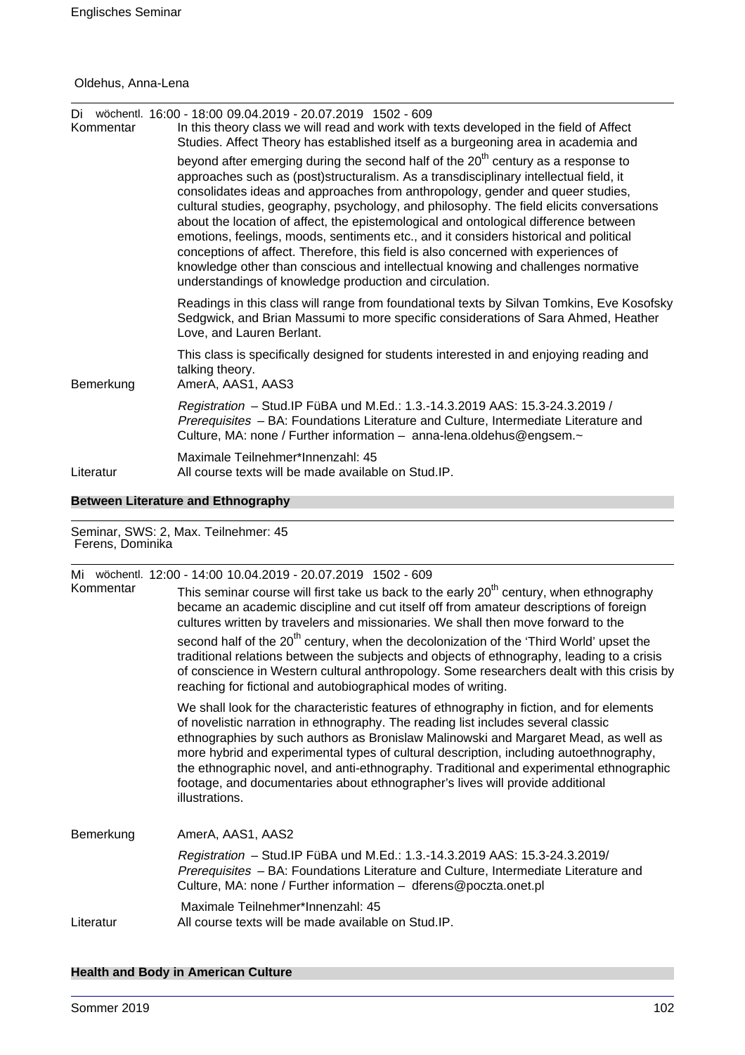# Oldehus, Anna-Lena

| Kommentar | Di wöchentl. 16:00 - 18:00 09.04.2019 - 20.07.2019 1502 - 609<br>In this theory class we will read and work with texts developed in the field of Affect<br>Studies. Affect Theory has established itself as a burgeoning area in academia and                                                                                                                                                                                                                                                                                                                                                                                                                                                                                                                                              |
|-----------|--------------------------------------------------------------------------------------------------------------------------------------------------------------------------------------------------------------------------------------------------------------------------------------------------------------------------------------------------------------------------------------------------------------------------------------------------------------------------------------------------------------------------------------------------------------------------------------------------------------------------------------------------------------------------------------------------------------------------------------------------------------------------------------------|
|           | beyond after emerging during the second half of the 20 <sup>th</sup> century as a response to<br>approaches such as (post)structuralism. As a transdisciplinary intellectual field, it<br>consolidates ideas and approaches from anthropology, gender and queer studies,<br>cultural studies, geography, psychology, and philosophy. The field elicits conversations<br>about the location of affect, the epistemological and ontological difference between<br>emotions, feelings, moods, sentiments etc., and it considers historical and political<br>conceptions of affect. Therefore, this field is also concerned with experiences of<br>knowledge other than conscious and intellectual knowing and challenges normative<br>understandings of knowledge production and circulation. |
|           | Readings in this class will range from foundational texts by Silvan Tomkins, Eve Kosofsky<br>Sedgwick, and Brian Massumi to more specific considerations of Sara Ahmed, Heather<br>Love, and Lauren Berlant.                                                                                                                                                                                                                                                                                                                                                                                                                                                                                                                                                                               |
| Bemerkung | This class is specifically designed for students interested in and enjoying reading and<br>talking theory.<br>AmerA, AAS1, AAS3                                                                                                                                                                                                                                                                                                                                                                                                                                                                                                                                                                                                                                                            |
|           | Registration - Stud. IP FüBA und M.Ed.: 1.3.-14.3.2019 AAS: 15.3-24.3.2019 /<br>Prerequisites - BA: Foundations Literature and Culture, Intermediate Literature and<br>Culture, MA: none / Further information - anna-lena.oldehus@engsem.~                                                                                                                                                                                                                                                                                                                                                                                                                                                                                                                                                |
| Literatur | Maximale Teilnehmer*Innenzahl: 45<br>All course texts will be made available on Stud. IP.                                                                                                                                                                                                                                                                                                                                                                                                                                                                                                                                                                                                                                                                                                  |

# **Between Literature and Ethnography**

Seminar, SWS: 2, Max. Teilnehmer: 45 Ferens, Dominika

|           | Mi wöchentl. 12:00 - 14:00 10.04.2019 - 20.07.2019 1502 - 609                                                                                                                                                                                                                                                                                                                                                                                                                                                                                                 |
|-----------|---------------------------------------------------------------------------------------------------------------------------------------------------------------------------------------------------------------------------------------------------------------------------------------------------------------------------------------------------------------------------------------------------------------------------------------------------------------------------------------------------------------------------------------------------------------|
| Kommentar | This seminar course will first take us back to the early 20 <sup>th</sup> century, when ethnography<br>became an academic discipline and cut itself off from amateur descriptions of foreign<br>cultures written by travelers and missionaries. We shall then move forward to the                                                                                                                                                                                                                                                                             |
|           | second half of the 20 <sup>th</sup> century, when the decolonization of the 'Third World' upset the<br>traditional relations between the subjects and objects of ethnography, leading to a crisis<br>of conscience in Western cultural anthropology. Some researchers dealt with this crisis by<br>reaching for fictional and autobiographical modes of writing.                                                                                                                                                                                              |
|           | We shall look for the characteristic features of ethnography in fiction, and for elements<br>of novelistic narration in ethnography. The reading list includes several classic<br>ethnographies by such authors as Bronislaw Malinowski and Margaret Mead, as well as<br>more hybrid and experimental types of cultural description, including autoethnography,<br>the ethnographic novel, and anti-ethnography. Traditional and experimental ethnographic<br>footage, and documentaries about ethnographer's lives will provide additional<br>illustrations. |
| Bemerkung | AmerA, AAS1, AAS2                                                                                                                                                                                                                                                                                                                                                                                                                                                                                                                                             |
|           | Registration - Stud.IP FüBA und M.Ed.: 1.3.-14.3.2019 AAS: 15.3-24.3.2019/<br>Prerequisites - BA: Foundations Literature and Culture, Intermediate Literature and<br>Culture, MA: none / Further information - dferens@poczta.onet.pl                                                                                                                                                                                                                                                                                                                         |
| Literatur | Maximale Teilnehmer*Innenzahl: 45<br>All course texts will be made available on Stud. IP.                                                                                                                                                                                                                                                                                                                                                                                                                                                                     |

# **Health and Body in American Culture**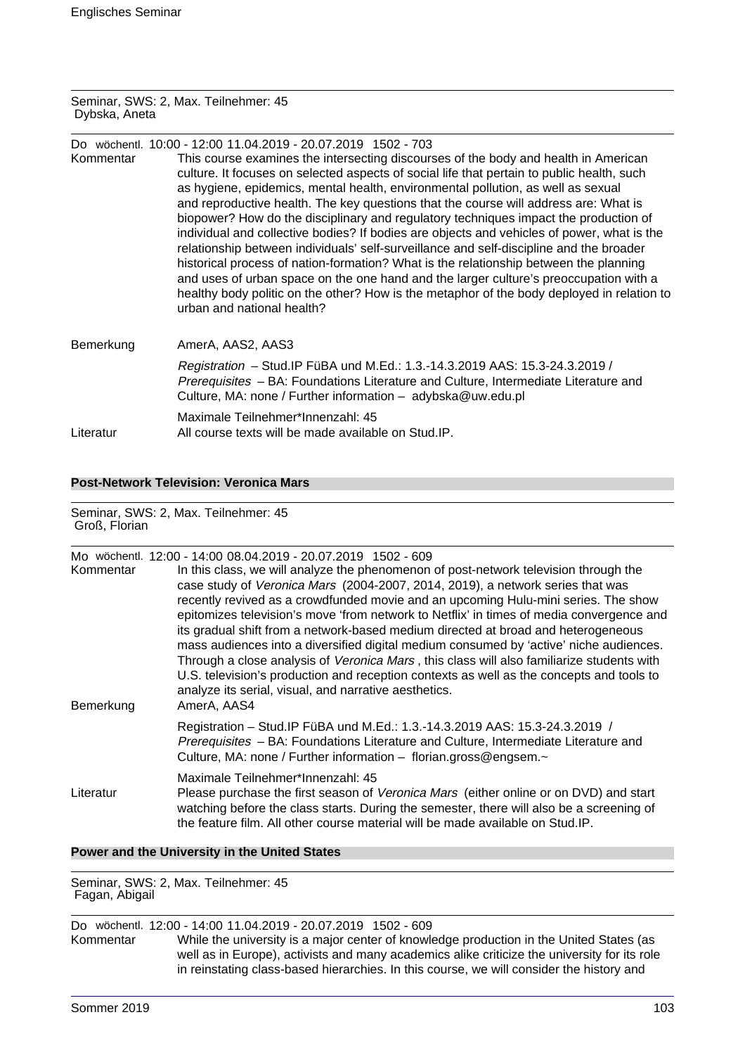#### Seminar, SWS: 2, Max. Teilnehmer: 45 Dybska, Aneta

| Kommentar | Do wöchentl. 10:00 - 12:00 11.04.2019 - 20.07.2019 1502 - 703<br>This course examines the intersecting discourses of the body and health in American<br>culture. It focuses on selected aspects of social life that pertain to public health, such<br>as hygiene, epidemics, mental health, environmental pollution, as well as sexual<br>and reproductive health. The key questions that the course will address are: What is<br>biopower? How do the disciplinary and regulatory techniques impact the production of<br>individual and collective bodies? If bodies are objects and vehicles of power, what is the<br>relationship between individuals' self-surveillance and self-discipline and the broader<br>historical process of nation-formation? What is the relationship between the planning<br>and uses of urban space on the one hand and the larger culture's preoccupation with a<br>healthy body politic on the other? How is the metaphor of the body deployed in relation to<br>urban and national health? |
|-----------|-------------------------------------------------------------------------------------------------------------------------------------------------------------------------------------------------------------------------------------------------------------------------------------------------------------------------------------------------------------------------------------------------------------------------------------------------------------------------------------------------------------------------------------------------------------------------------------------------------------------------------------------------------------------------------------------------------------------------------------------------------------------------------------------------------------------------------------------------------------------------------------------------------------------------------------------------------------------------------------------------------------------------------|
| Bemerkung | AmerA, AAS2, AAS3                                                                                                                                                                                                                                                                                                                                                                                                                                                                                                                                                                                                                                                                                                                                                                                                                                                                                                                                                                                                             |
|           | Registration - Stud. IP FüBA und M.Ed.: 1.3.-14.3.2019 AAS: 15.3-24.3.2019 /<br>Prerequisites - BA: Foundations Literature and Culture, Intermediate Literature and<br>Culture, MA: none / Further information - adybska@uw.edu.pl                                                                                                                                                                                                                                                                                                                                                                                                                                                                                                                                                                                                                                                                                                                                                                                            |
| Literatur | Maximale Teilnehmer*Innenzahl: 45<br>All course texts will be made available on Stud.IP.                                                                                                                                                                                                                                                                                                                                                                                                                                                                                                                                                                                                                                                                                                                                                                                                                                                                                                                                      |

**Post-Network Television: Veronica Mars**

Seminar, SWS: 2, Max. Teilnehmer: 45 Groß, Florian

| Kommentar<br>Bemerkung | Mo wöchentl. 12:00 - 14:00 08.04.2019 - 20.07.2019 1502 - 609<br>In this class, we will analyze the phenomenon of post-network television through the<br>case study of Veronica Mars (2004-2007, 2014, 2019), a network series that was<br>recently revived as a crowdfunded movie and an upcoming Hulu-mini series. The show<br>epitomizes television's move 'from network to Netflix' in times of media convergence and<br>its gradual shift from a network-based medium directed at broad and heterogeneous<br>mass audiences into a diversified digital medium consumed by 'active' niche audiences.<br>Through a close analysis of Veronica Mars, this class will also familiarize students with<br>U.S. television's production and reception contexts as well as the concepts and tools to<br>analyze its serial, visual, and narrative aesthetics.<br>AmerA, AAS4 |
|------------------------|---------------------------------------------------------------------------------------------------------------------------------------------------------------------------------------------------------------------------------------------------------------------------------------------------------------------------------------------------------------------------------------------------------------------------------------------------------------------------------------------------------------------------------------------------------------------------------------------------------------------------------------------------------------------------------------------------------------------------------------------------------------------------------------------------------------------------------------------------------------------------|
|                        | Registration - Stud. IP FüBA und M.Ed.: 1.3.-14.3.2019 AAS: 15.3-24.3.2019 /<br>Prerequisites - BA: Foundations Literature and Culture, Intermediate Literature and<br>Culture, MA: none / Further information - florian.gross@engsem.~                                                                                                                                                                                                                                                                                                                                                                                                                                                                                                                                                                                                                                   |
| Literatur              | Maximale Teilnehmer*Innenzahl: 45<br>Please purchase the first season of Veronica Mars (either online or on DVD) and start<br>watching before the class starts. During the semester, there will also be a screening of<br>the feature film. All other course material will be made available on Stud. IP.                                                                                                                                                                                                                                                                                                                                                                                                                                                                                                                                                                 |

# **Power and the University in the United States**

Seminar, SWS: 2, Max. Teilnehmer: 45 Fagan, Abigail

# Do wöchentl. 12:00 - 14:00 11.04.2019 - 20.07.2019 1502 - 609

While the university is a major center of knowledge production in the United States (as well as in Europe), activists and many academics alike criticize the university for its role in reinstating class-based hierarchies. In this course, we will consider the history and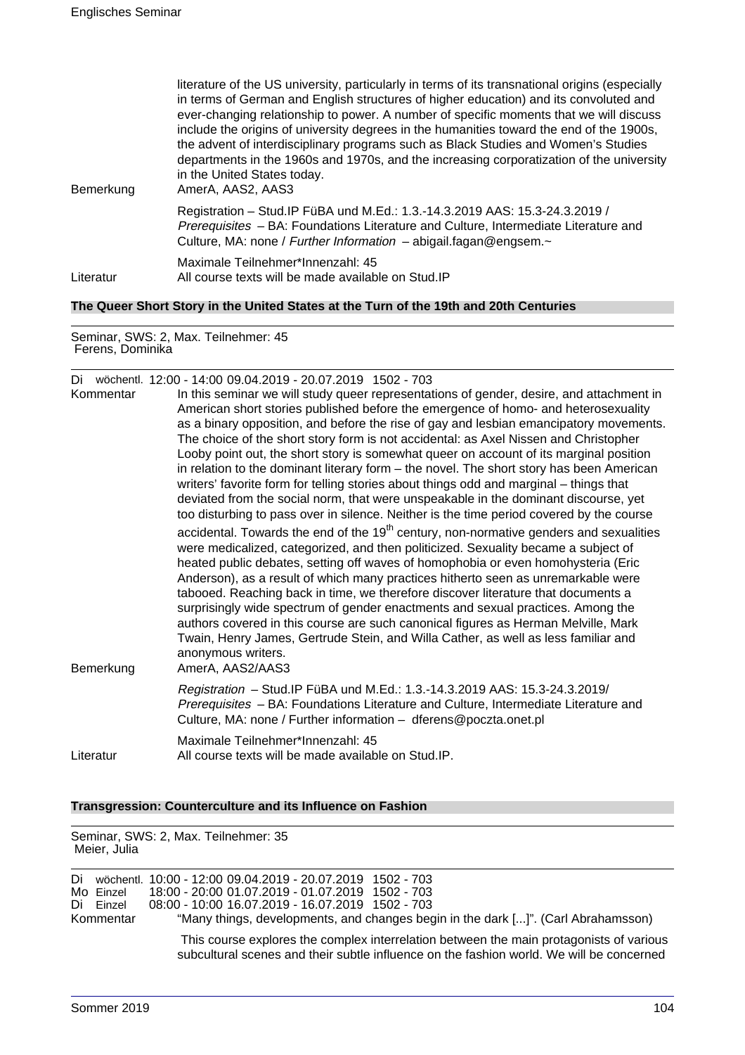| Bemerkung                                                                             | literature of the US university, particularly in terms of its transnational origins (especially<br>in terms of German and English structures of higher education) and its convoluted and<br>ever-changing relationship to power. A number of specific moments that we will discuss<br>include the origins of university degrees in the humanities toward the end of the 1900s,<br>the advent of interdisciplinary programs such as Black Studies and Women's Studies<br>departments in the 1960s and 1970s, and the increasing corporatization of the university<br>in the United States today.<br>AmerA, AAS2, AAS3 |
|---------------------------------------------------------------------------------------|----------------------------------------------------------------------------------------------------------------------------------------------------------------------------------------------------------------------------------------------------------------------------------------------------------------------------------------------------------------------------------------------------------------------------------------------------------------------------------------------------------------------------------------------------------------------------------------------------------------------|
|                                                                                       | Registration - Stud.IP FüBA und M.Ed.: 1.3.-14.3.2019 AAS: 15.3-24.3.2019 /<br>Prerequisites - BA: Foundations Literature and Culture, Intermediate Literature and<br>Culture, MA: none / Further Information $-$ abigail.fagan@engsem. $\sim$                                                                                                                                                                                                                                                                                                                                                                       |
| Literatur                                                                             | Maximale Teilnehmer*Innenzahl: 45<br>All course texts will be made available on Stud. IP                                                                                                                                                                                                                                                                                                                                                                                                                                                                                                                             |
| The Queer Short Story in the United States at the Turn of the 19th and 20th Centuries |                                                                                                                                                                                                                                                                                                                                                                                                                                                                                                                                                                                                                      |

Seminar, SWS: 2, Max. Teilnehmer: 45 Ferens, Dominika

| Kommentar | Di wöchentl. 12:00 - 14:00 09.04.2019 - 20.07.2019 1502 - 703<br>In this seminar we will study queer representations of gender, desire, and attachment in<br>American short stories published before the emergence of homo- and heterosexuality<br>as a binary opposition, and before the rise of gay and lesbian emancipatory movements.                                                                                                                                                                                                                                                                                                                                                                                                                        |
|-----------|------------------------------------------------------------------------------------------------------------------------------------------------------------------------------------------------------------------------------------------------------------------------------------------------------------------------------------------------------------------------------------------------------------------------------------------------------------------------------------------------------------------------------------------------------------------------------------------------------------------------------------------------------------------------------------------------------------------------------------------------------------------|
|           | The choice of the short story form is not accidental: as Axel Nissen and Christopher<br>Looby point out, the short story is somewhat queer on account of its marginal position<br>in relation to the dominant literary form – the novel. The short story has been American<br>writers' favorite form for telling stories about things odd and marginal – things that<br>deviated from the social norm, that were unspeakable in the dominant discourse, yet<br>too disturbing to pass over in silence. Neither is the time period covered by the course                                                                                                                                                                                                          |
| Bemerkung | accidental. Towards the end of the 19 <sup>th</sup> century, non-normative genders and sexualities<br>were medicalized, categorized, and then politicized. Sexuality became a subject of<br>heated public debates, setting off waves of homophobia or even homohysteria (Eric<br>Anderson), as a result of which many practices hitherto seen as unremarkable were<br>tabooed. Reaching back in time, we therefore discover literature that documents a<br>surprisingly wide spectrum of gender enactments and sexual practices. Among the<br>authors covered in this course are such canonical figures as Herman Melville, Mark<br>Twain, Henry James, Gertrude Stein, and Willa Cather, as well as less familiar and<br>anonymous writers.<br>AmerA, AAS2/AAS3 |
|           | Registration - Stud.IP FüBA und M.Ed.: 1.3.-14.3.2019 AAS: 15.3-24.3.2019/<br>Prerequisites - BA: Foundations Literature and Culture, Intermediate Literature and<br>Culture, MA: none / Further information - dferens@poczta.onet.pl                                                                                                                                                                                                                                                                                                                                                                                                                                                                                                                            |
| Literatur | Maximale Teilnehmer*Innenzahl: 45<br>All course texts will be made available on Stud.IP.                                                                                                                                                                                                                                                                                                                                                                                                                                                                                                                                                                                                                                                                         |

#### **Transgression: Counterculture and its Influence on Fashion**

Seminar, SWS: 2, Max. Teilnehmer: 35

| Meier, Julia |                                     |                                                                                                                                                                                                                                                            |
|--------------|-------------------------------------|------------------------------------------------------------------------------------------------------------------------------------------------------------------------------------------------------------------------------------------------------------|
|              | Mo Einzel<br>Di Einzel<br>Kommentar | Di wöchentl. 10:00 - 12:00 09.04.2019 - 20.07.2019 1502 - 703<br>18:00 - 20:00 01.07.2019 - 01.07.2019 1502 - 703<br>08:00 - 10:00 16.07.2019 - 16.07.2019 1502 - 703<br>"Many things, developments, and changes begin in the dark []". (Carl Abrahamsson) |
|              |                                     | This course explores the complex interrelation between the main protagonists of various<br>subcultural scenes and their subtle influence on the fashion world. We will be concerned                                                                        |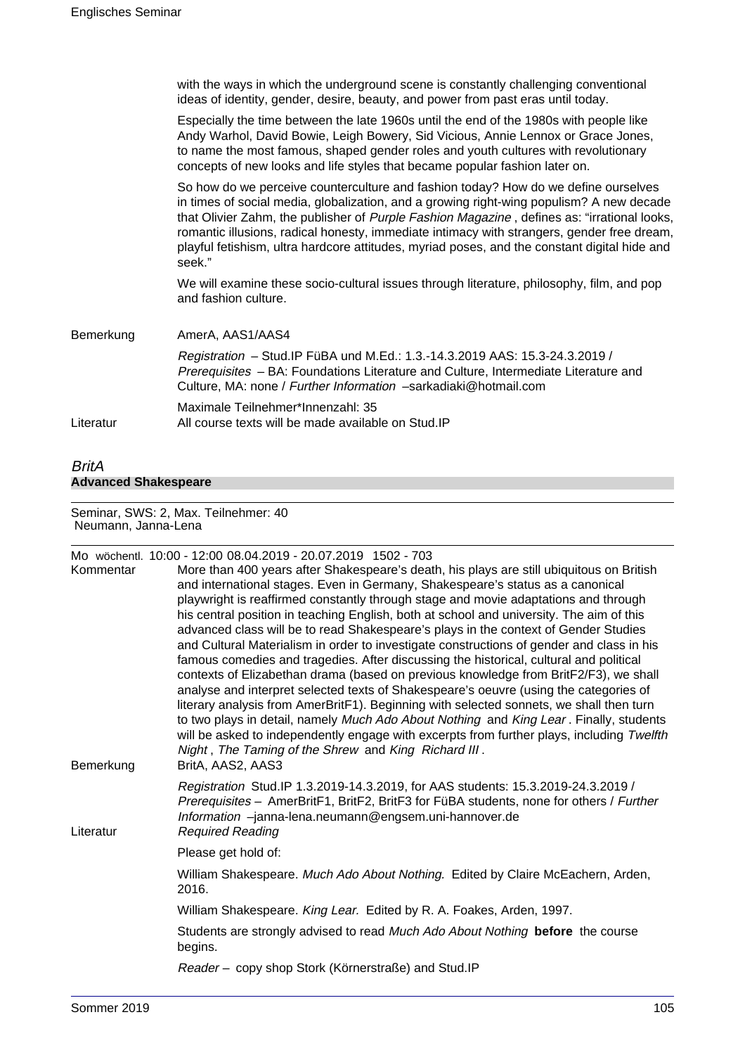|           | with the ways in which the underground scene is constantly challenging conventional<br>ideas of identity, gender, desire, beauty, and power from past eras until today.                                                                                                                                                                                                                                                                                                               |
|-----------|---------------------------------------------------------------------------------------------------------------------------------------------------------------------------------------------------------------------------------------------------------------------------------------------------------------------------------------------------------------------------------------------------------------------------------------------------------------------------------------|
|           | Especially the time between the late 1960s until the end of the 1980s with people like<br>Andy Warhol, David Bowie, Leigh Bowery, Sid Vicious, Annie Lennox or Grace Jones,<br>to name the most famous, shaped gender roles and youth cultures with revolutionary<br>concepts of new looks and life styles that became popular fashion later on.                                                                                                                                      |
|           | So how do we perceive counterculture and fashion today? How do we define ourselves<br>in times of social media, globalization, and a growing right-wing populism? A new decade<br>that Olivier Zahm, the publisher of Purple Fashion Magazine, defines as: "irrational looks,<br>romantic illusions, radical honesty, immediate intimacy with strangers, gender free dream,<br>playful fetishism, ultra hardcore attitudes, myriad poses, and the constant digital hide and<br>seek." |
|           | We will examine these socio-cultural issues through literature, philosophy, film, and pop<br>and fashion culture.                                                                                                                                                                                                                                                                                                                                                                     |
| Bemerkung | AmerA, AAS1/AAS4                                                                                                                                                                                                                                                                                                                                                                                                                                                                      |
|           | Registration - Stud.IP FüBA und M.Ed.: 1.3.-14.3.2019 AAS: 15.3-24.3.2019 /<br>Prerequisites - BA: Foundations Literature and Culture, Intermediate Literature and<br>Culture, MA: none / Further Information -sarkadiaki@hotmail.com                                                                                                                                                                                                                                                 |
| Literatur | Maximale Teilnehmer*Innenzahl: 35<br>All course texts will be made available on Stud. IP                                                                                                                                                                                                                                                                                                                                                                                              |
|           |                                                                                                                                                                                                                                                                                                                                                                                                                                                                                       |

# BritA **Advanced Shakespeare**

#### Seminar, SWS: 2, Max. Teilnehmer: 40 Neumann, Janna-Lena

|           | Mo wöchentl. 10:00 - 12:00 08.04.2019 - 20.07.2019 1502 - 703                                                                                                                                                                         |
|-----------|---------------------------------------------------------------------------------------------------------------------------------------------------------------------------------------------------------------------------------------|
| Kommentar | More than 400 years after Shakespeare's death, his plays are still ubiquitous on British                                                                                                                                              |
|           | and international stages. Even in Germany, Shakespeare's status as a canonical                                                                                                                                                        |
|           | playwright is reaffirmed constantly through stage and movie adaptations and through<br>his central position in teaching English, both at school and university. The aim of this                                                       |
|           | advanced class will be to read Shakespeare's plays in the context of Gender Studies                                                                                                                                                   |
|           | and Cultural Materialism in order to investigate constructions of gender and class in his                                                                                                                                             |
|           | famous comedies and tragedies. After discussing the historical, cultural and political                                                                                                                                                |
|           | contexts of Elizabethan drama (based on previous knowledge from BritF2/F3), we shall                                                                                                                                                  |
|           | analyse and interpret selected texts of Shakespeare's oeuvre (using the categories of                                                                                                                                                 |
|           | literary analysis from AmerBritF1). Beginning with selected sonnets, we shall then turn                                                                                                                                               |
|           | to two plays in detail, namely Much Ado About Nothing and King Lear. Finally, students                                                                                                                                                |
|           | will be asked to independently engage with excerpts from further plays, including Twelfth                                                                                                                                             |
| Bemerkung | Night, The Taming of the Shrew and King Richard III.<br>BritA, AAS2, AAS3                                                                                                                                                             |
|           |                                                                                                                                                                                                                                       |
|           | Registration Stud.IP 1.3.2019-14.3.2019, for AAS students: 15.3.2019-24.3.2019 /<br>Prerequisites - AmerBritF1, BritF2, BritF3 for FüBA students, none for others / Further<br>Information -janna-lena.neumann@engsem.uni-hannover.de |
| Literatur | <b>Required Reading</b>                                                                                                                                                                                                               |
|           | Please get hold of:                                                                                                                                                                                                                   |
|           | William Shakespeare. Much Ado About Nothing. Edited by Claire McEachern, Arden,<br>2016.                                                                                                                                              |
|           | William Shakespeare. King Lear. Edited by R. A. Foakes, Arden, 1997.                                                                                                                                                                  |
|           | Students are strongly advised to read Much Ado About Nothing before the course<br>begins.                                                                                                                                             |
|           | Reader - copy shop Stork (Körnerstraße) and Stud.IP                                                                                                                                                                                   |
|           |                                                                                                                                                                                                                                       |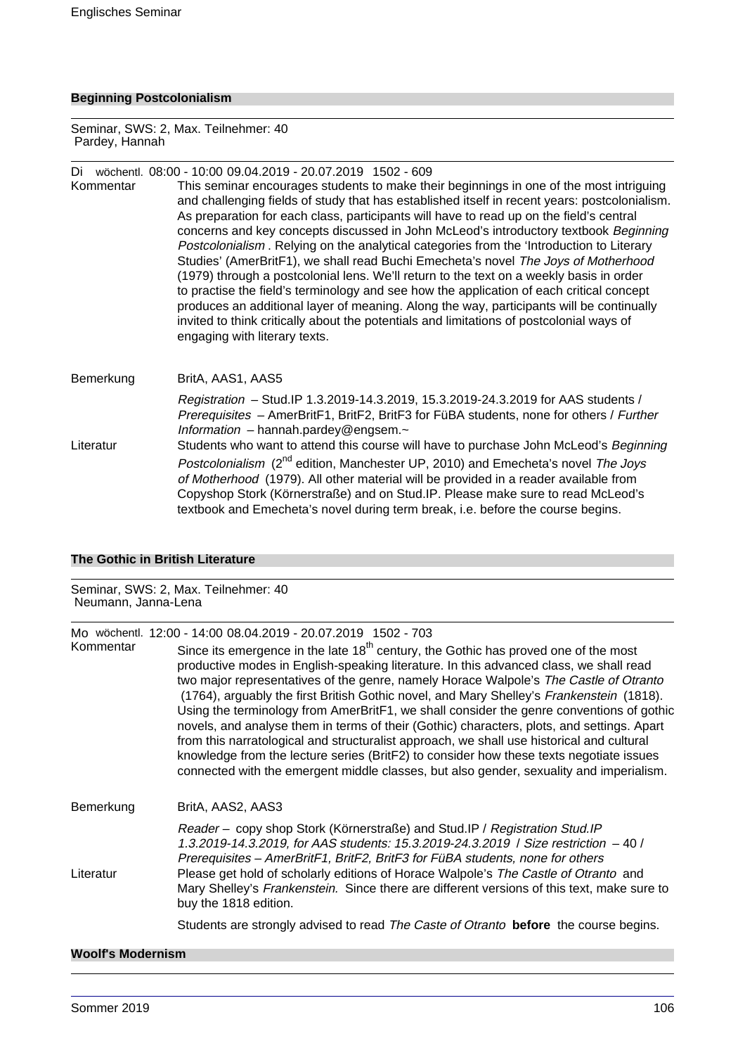# **Beginning Postcolonialism**

Seminar, SWS: 2, Max. Teilnehmer: 40 Pardey, Hannah

# Di wöchentl. 08:00 - 10:00 09.04.2019 - 20.07.2019 1502 - 609

Kommentar This seminar encourages students to make their beginnings in one of the most intriguing and challenging fields of study that has established itself in recent years: postcolonialism. As preparation for each class, participants will have to read up on the field's central concerns and key concepts discussed in John McLeod's introductory textbook Beginning Postcolonialism . Relying on the analytical categories from the 'Introduction to Literary Studies' (AmerBritF1), we shall read Buchi Emecheta's novel The Joys of Motherhood (1979) through a postcolonial lens. We'll return to the text on a weekly basis in order to practise the field's terminology and see how the application of each critical concept produces an additional layer of meaning. Along the way, participants will be continually invited to think critically about the potentials and limitations of postcolonial ways of engaging with literary texts.

# Bemerkung BritA, AAS1, AAS5 Registration – Stud.IP 1.3.2019-14.3.2019, 15.3.2019-24.3.2019 for AAS students / Prerequisites – AmerBritF1, BritF2, BritF3 for FüBA students, none for others / Further Information – hannah.pardey@engsem.~ Literatur Students who want to attend this course will have to purchase John McLeod's Beginning Postcolonialism (2<sup>nd</sup> edition, Manchester UP, 2010) and Emecheta's novel The Joys of Motherhood (1979). All other material will be provided in a reader available from Copyshop Stork (Körnerstraße) and on Stud.IP. Please make sure to read McLeod's textbook and Emecheta's novel during term break, i.e. before the course begins.

#### **The Gothic in British Literature**

#### Seminar, SWS: 2, Max. Teilnehmer: 40 Neumann, Janna-Lena

Mo wöchentl. 12:00 - 14:00 08.04.2019 - 20.07.2019 1502 - 703

| Kommentar | Since its emergence in the late $18th$ century, the Gothic has proved one of the most<br>productive modes in English-speaking literature. In this advanced class, we shall read<br>two major representatives of the genre, namely Horace Walpole's The Castle of Otranto<br>(1764), arguably the first British Gothic novel, and Mary Shelley's Frankenstein (1818).<br>Using the terminology from AmerBritF1, we shall consider the genre conventions of gothic<br>novels, and analyse them in terms of their (Gothic) characters, plots, and settings. Apart<br>from this narratological and structuralist approach, we shall use historical and cultural<br>knowledge from the lecture series (BritF2) to consider how these texts negotiate issues<br>connected with the emergent middle classes, but also gender, sexuality and imperialism. |
|-----------|---------------------------------------------------------------------------------------------------------------------------------------------------------------------------------------------------------------------------------------------------------------------------------------------------------------------------------------------------------------------------------------------------------------------------------------------------------------------------------------------------------------------------------------------------------------------------------------------------------------------------------------------------------------------------------------------------------------------------------------------------------------------------------------------------------------------------------------------------|
| Bemerkung | BritA, AAS2, AAS3                                                                                                                                                                                                                                                                                                                                                                                                                                                                                                                                                                                                                                                                                                                                                                                                                                 |
| Literatur | Reader - copy shop Stork (Körnerstraße) and Stud.IP / Registration Stud.IP<br>1.3.2019-14.3.2019, for AAS students: 15.3.2019-24.3.2019 / Size restriction -40 /<br>Prerequisites - AmerBritF1, BritF2, BritF3 for FüBA students, none for others<br>Please get hold of scholarly editions of Horace Walpole's The Castle of Otranto and<br>Mary Shelley's Frankenstein. Since there are different versions of this text, make sure to<br>buy the 1818 edition.                                                                                                                                                                                                                                                                                                                                                                                   |
|           | Students are strongly advised to read The Caste of Otranto before the course begins.                                                                                                                                                                                                                                                                                                                                                                                                                                                                                                                                                                                                                                                                                                                                                              |

## **Woolf's Modernism**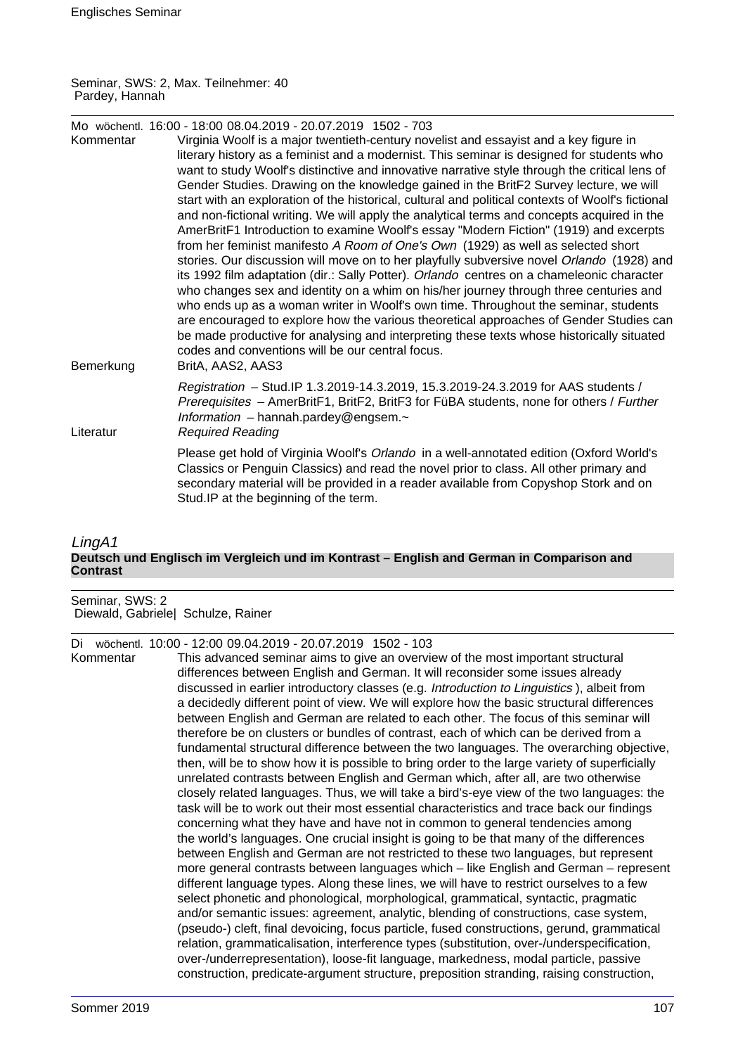Seminar, SWS: 2, Max. Teilnehmer: 40 Pardey, Hannah

| Kommentar | Mo wöchentl. 16:00 - 18:00 08.04.2019 - 20.07.2019 1502 - 703<br>Virginia Woolf is a major twentieth-century novelist and essayist and a key figure in<br>literary history as a feminist and a modernist. This seminar is designed for students who<br>want to study Woolf's distinctive and innovative narrative style through the critical lens of<br>Gender Studies. Drawing on the knowledge gained in the BritF2 Survey lecture, we will<br>start with an exploration of the historical, cultural and political contexts of Woolf's fictional                                                                                                                                                                                                                                                                                                                                                                |
|-----------|-------------------------------------------------------------------------------------------------------------------------------------------------------------------------------------------------------------------------------------------------------------------------------------------------------------------------------------------------------------------------------------------------------------------------------------------------------------------------------------------------------------------------------------------------------------------------------------------------------------------------------------------------------------------------------------------------------------------------------------------------------------------------------------------------------------------------------------------------------------------------------------------------------------------|
| Bemerkung | and non-fictional writing. We will apply the analytical terms and concepts acquired in the<br>AmerBritF1 Introduction to examine Woolf's essay "Modern Fiction" (1919) and excerpts<br>from her feminist manifesto A Room of One's Own (1929) as well as selected short<br>stories. Our discussion will move on to her playfully subversive novel Orlando (1928) and<br>its 1992 film adaptation (dir.: Sally Potter). Orlando centres on a chameleonic character<br>who changes sex and identity on a whim on his/her journey through three centuries and<br>who ends up as a woman writer in Woolf's own time. Throughout the seminar, students<br>are encouraged to explore how the various theoretical approaches of Gender Studies can<br>be made productive for analysing and interpreting these texts whose historically situated<br>codes and conventions will be our central focus.<br>BritA, AAS2, AAS3 |
| Literatur | Registration - Stud. IP 1.3.2019-14.3.2019, 15.3.2019-24.3.2019 for AAS students /<br>Prerequisites - AmerBritF1, BritF2, BritF3 for FüBA students, none for others / Further<br>Information $-$ hannah.pardey@engsem. $\sim$<br><b>Required Reading</b>                                                                                                                                                                                                                                                                                                                                                                                                                                                                                                                                                                                                                                                          |
|           | Please get hold of Virginia Woolf's Orlando in a well-annotated edition (Oxford World's<br>Classics or Penguin Classics) and read the novel prior to class. All other primary and<br>secondary material will be provided in a reader available from Copyshop Stork and on<br>Stud.IP at the beginning of the term.                                                                                                                                                                                                                                                                                                                                                                                                                                                                                                                                                                                                |

#### LingA1 **Deutsch und Englisch im Vergleich und im Kontrast – English and German in Comparison and Contrast**

Seminar, SWS: 2 Diewald, Gabriele| Schulze, Rainer

Di wöchentl. 10:00 - 12:00 09.04.2019 - 20.07.2019 1502 - 103

Kommentar This advanced seminar aims to give an overview of the most important structural differences between English and German. It will reconsider some issues already discussed in earlier introductory classes (e.g. Introduction to Linguistics ), albeit from a decidedly different point of view. We will explore how the basic structural differences between English and German are related to each other. The focus of this seminar will therefore be on clusters or bundles of contrast, each of which can be derived from a fundamental structural difference between the two languages. The overarching objective, then, will be to show how it is possible to bring order to the large variety of superficially unrelated contrasts between English and German which, after all, are two otherwise closely related languages. Thus, we will take a bird's-eye view of the two languages: the task will be to work out their most essential characteristics and trace back our findings concerning what they have and have not in common to general tendencies among the world's languages. One crucial insight is going to be that many of the differences between English and German are not restricted to these two languages, but represent more general contrasts between languages which – like English and German – represent different language types. Along these lines, we will have to restrict ourselves to a few select phonetic and phonological, morphological, grammatical, syntactic, pragmatic and/or semantic issues: agreement, analytic, blending of constructions, case system, (pseudo-) cleft, final devoicing, focus particle, fused constructions, gerund, grammatical relation, grammaticalisation, interference types (substitution, over-/underspecification, over-/underrepresentation), loose-fit language, markedness, modal particle, passive construction, predicate-argument structure, preposition stranding, raising construction,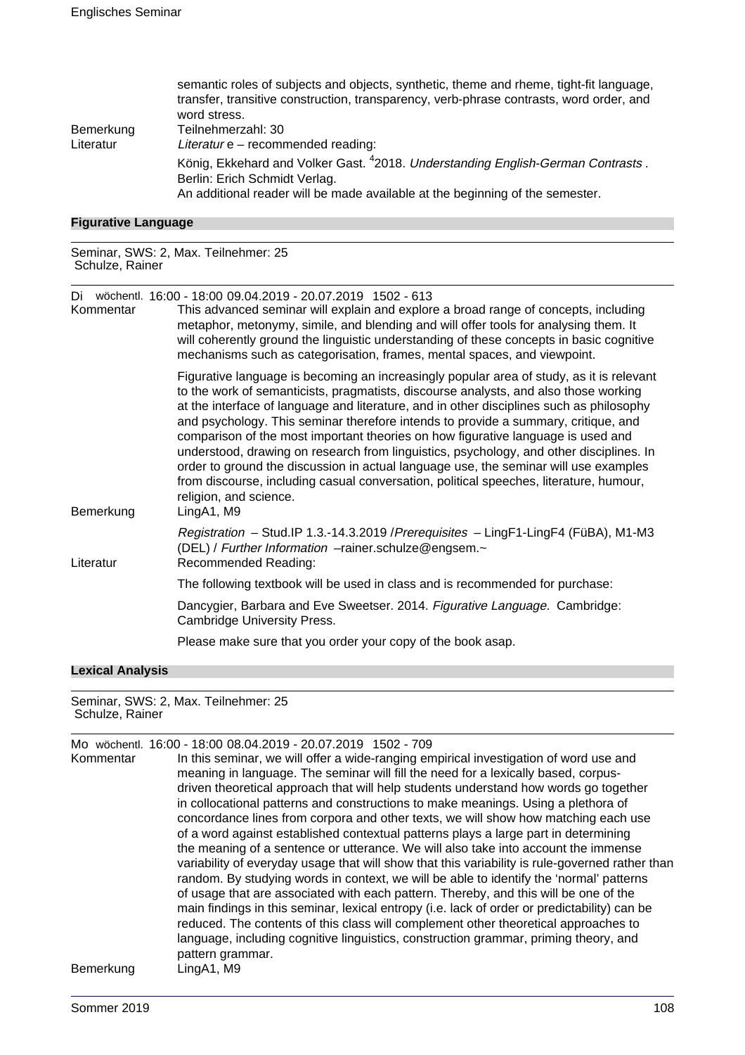|           | semantic roles of subjects and objects, synthetic, theme and rheme, tight-fit language,<br>transfer, transitive construction, transparency, verb-phrase contrasts, word order, and<br>word stress. |
|-----------|----------------------------------------------------------------------------------------------------------------------------------------------------------------------------------------------------|
|           |                                                                                                                                                                                                    |
| Bemerkung | Teilnehmerzahl: 30                                                                                                                                                                                 |
| Literatur | Literatur e - recommended reading:                                                                                                                                                                 |
|           | König, Ekkehard and Volker Gast. <sup>4</sup> 2018. Understanding English-German Contrasts.<br>Berlin: Erich Schmidt Verlag.                                                                       |
|           |                                                                                                                                                                                                    |
|           | An additional reader will be made available at the beginning of the semester.                                                                                                                      |

# **Figurative Language**

Seminar, SWS: 2, Max. Teilnehmer: 25 Schulze, Rainer

Di wöchentl. 16:00 - 18:00 09.04.2019 - 20.07.2019 1502 - 613

| Kommentar | This advanced seminar will explain and explore a broad range of concepts, including<br>metaphor, metonymy, simile, and blending and will offer tools for analysing them. It<br>will coherently ground the linguistic understanding of these concepts in basic cognitive<br>mechanisms such as categorisation, frames, mental spaces, and viewpoint.                                                                                                                                                                                                                                                                                                                                                                                                                         |
|-----------|-----------------------------------------------------------------------------------------------------------------------------------------------------------------------------------------------------------------------------------------------------------------------------------------------------------------------------------------------------------------------------------------------------------------------------------------------------------------------------------------------------------------------------------------------------------------------------------------------------------------------------------------------------------------------------------------------------------------------------------------------------------------------------|
| Bemerkung | Figurative language is becoming an increasingly popular area of study, as it is relevant<br>to the work of semanticists, pragmatists, discourse analysts, and also those working<br>at the interface of language and literature, and in other disciplines such as philosophy<br>and psychology. This seminar therefore intends to provide a summary, critique, and<br>comparison of the most important theories on how figurative language is used and<br>understood, drawing on research from linguistics, psychology, and other disciplines. In<br>order to ground the discussion in actual language use, the seminar will use examples<br>from discourse, including casual conversation, political speeches, literature, humour,<br>religion, and science.<br>LingA1, M9 |
| Literatur | Registration - Stud.IP 1.3.-14.3.2019 / Prerequisites - LingF1-LingF4 (FüBA), M1-M3<br>(DEL) / Further Information -rainer.schulze@engsem.~<br>Recommended Reading:                                                                                                                                                                                                                                                                                                                                                                                                                                                                                                                                                                                                         |
|           | The following textbook will be used in class and is recommended for purchase:                                                                                                                                                                                                                                                                                                                                                                                                                                                                                                                                                                                                                                                                                               |
|           | Dancygier, Barbara and Eve Sweetser. 2014. Figurative Language. Cambridge:<br><b>Cambridge University Press.</b>                                                                                                                                                                                                                                                                                                                                                                                                                                                                                                                                                                                                                                                            |
|           | Please make sure that you order your copy of the book asap.                                                                                                                                                                                                                                                                                                                                                                                                                                                                                                                                                                                                                                                                                                                 |

# **Lexical Analysis**

Seminar, SWS: 2, Max. Teilnehmer: 25 Schulze, Rainer

|           | Mo wöchentl. 16:00 - 18:00 08.04.2019 - 20.07.2019 1502 - 709                                   |
|-----------|-------------------------------------------------------------------------------------------------|
| Kommentar | In this seminar, we will offer a wide-ranging empirical investigation of word use and           |
|           | meaning in language. The seminar will fill the need for a lexically based, corpus-              |
|           | driven theoretical approach that will help students understand how words go together            |
|           | in collocational patterns and constructions to make meanings. Using a plethora of               |
|           | concordance lines from corpora and other texts, we will show how matching each use              |
|           | of a word against established contextual patterns plays a large part in determining             |
|           | the meaning of a sentence or utterance. We will also take into account the immense              |
|           | variability of everyday usage that will show that this variability is rule-governed rather than |
|           | random. By studying words in context, we will be able to identify the 'normal' patterns         |
|           | of usage that are associated with each pattern. Thereby, and this will be one of the            |
|           | main findings in this seminar, lexical entropy (i.e. lack of order or predictability) can be    |
|           | reduced. The contents of this class will complement other theoretical approaches to             |
|           | language, including cognitive linguistics, construction grammar, priming theory, and            |
|           | pattern grammar.                                                                                |
| Bemerkung | LingA1, M9                                                                                      |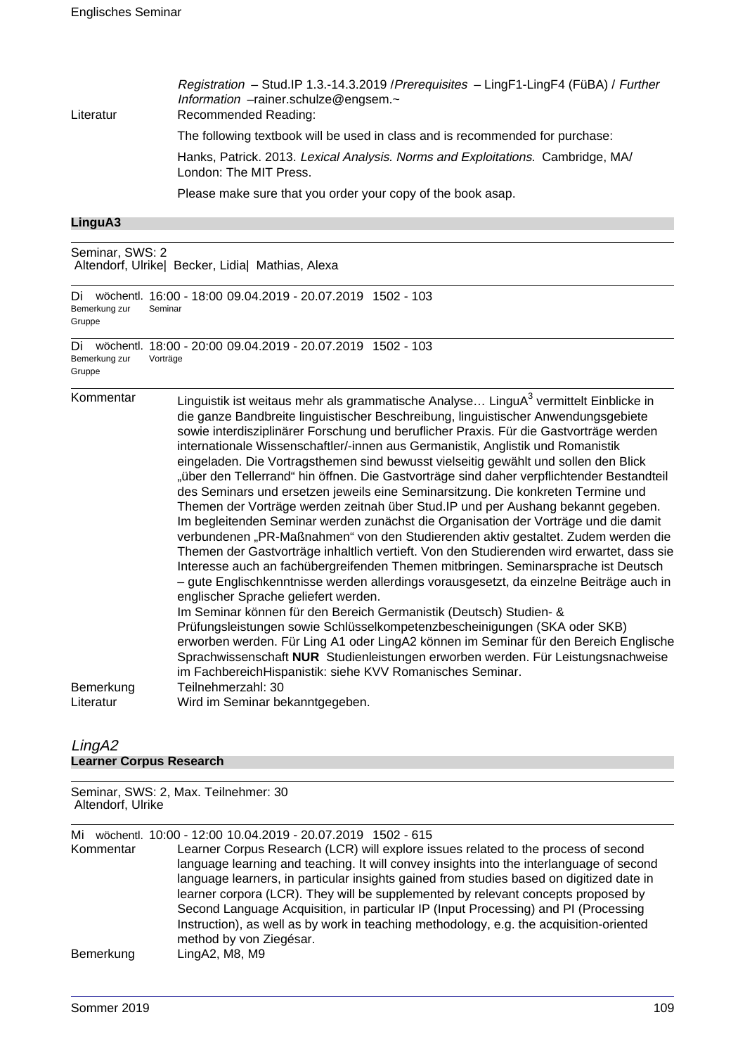| Literatur | Registration - Stud.IP 1.3.-14.3.2019 / Prerequisites - LingF1-LingF4 (FüBA) / Further<br>Information -rainer.schulze@engsem.~<br>Recommended Reading: |
|-----------|--------------------------------------------------------------------------------------------------------------------------------------------------------|
|           | The following textbook will be used in class and is recommended for purchase:                                                                          |
|           | Hanks, Patrick. 2013. Lexical Analysis. Norms and Exploitations. Cambridge, MA/<br>London: The MIT Press.                                              |
|           | Please make sure that you order your copy of the book asap.                                                                                            |
|           |                                                                                                                                                        |

#### **LinguA3**

Seminar, SWS: 2 Altendorf, Ulrike| Becker, Lidia| Mathias, Alexa

|        | Bemerkung zur | Di wöchentl. 16:00 - 18:00 09.04.2019 - 20.07.2019 1502 - 103<br>Seminar |  |
|--------|---------------|--------------------------------------------------------------------------|--|
| Gruppe |               |                                                                          |  |
|        |               | Di wöchentl. 18:00 - 20:00 09.04.2019 - 20.07.2019 1502 - 103            |  |
|        | Bemerkung zur | Vorträge                                                                 |  |
| Gruppe |               |                                                                          |  |

Kommentar  $\qquad \qquad$  Linguistik ist weitaus mehr als grammatische Analyse... LinguA $^3$  vermittelt Einblicke in die ganze Bandbreite linguistischer Beschreibung, linguistischer Anwendungsgebiete sowie interdisziplinärer Forschung und beruflicher Praxis. Für die Gastvorträge werden internationale Wissenschaftler/-innen aus Germanistik, Anglistik und Romanistik eingeladen. Die Vortragsthemen sind bewusst vielseitig gewählt und sollen den Blick "über den Tellerrand" hin öffnen. Die Gastvorträge sind daher verpflichtender Bestandteil des Seminars und ersetzen jeweils eine Seminarsitzung. Die konkreten Termine und Themen der Vorträge werden zeitnah über Stud.IP und per Aushang bekannt gegeben. Im begleitenden Seminar werden zunächst die Organisation der Vorträge und die damit verbundenen "PR-Maßnahmen" von den Studierenden aktiv gestaltet. Zudem werden die Themen der Gastvorträge inhaltlich vertieft. Von den Studierenden wird erwartet, dass sie Interesse auch an fachübergreifenden Themen mitbringen. Seminarsprache ist Deutsch – gute Englischkenntnisse werden allerdings vorausgesetzt, da einzelne Beiträge auch in englischer Sprache geliefert werden. Im Seminar können für den Bereich Germanistik (Deutsch) Studien- & Prüfungsleistungen sowie Schlüsselkompetenzbescheinigungen (SKA oder SKB) erworben werden. Für Ling A1 oder LingA2 können im Seminar für den Bereich Englische Sprachwissenschaft **NUR** Studienleistungen erworben werden. Für Leistungsnachweise im FachbereichHispanistik: siehe KVV Romanisches Seminar. Bemerkung Teilnehmerzahl: 30

## Literatur Wird im Seminar bekanntgegeben.

#### LingA2 **Learner Corpus Research**

| Seminar, SWS: 2, Max. Teilnehmer: 30 |  |
|--------------------------------------|--|
| Altendorf, Ulrike                    |  |

Mi wöchentl. 10:00 - 12:00 10.04.2019 - 20.07.2019 1502 - 615

Learner Corpus Research (LCR) will explore issues related to the process of second language learning and teaching. It will convey insights into the interlanguage of second language learners, in particular insights gained from studies based on digitized date in learner corpora (LCR). They will be supplemented by relevant concepts proposed by Second Language Acquisition, in particular IP (Input Processing) and PI (Processing Instruction), as well as by work in teaching methodology, e.g. the acquisition-oriented method by von Ziegésar. Bemerkung LingA2, M8, M9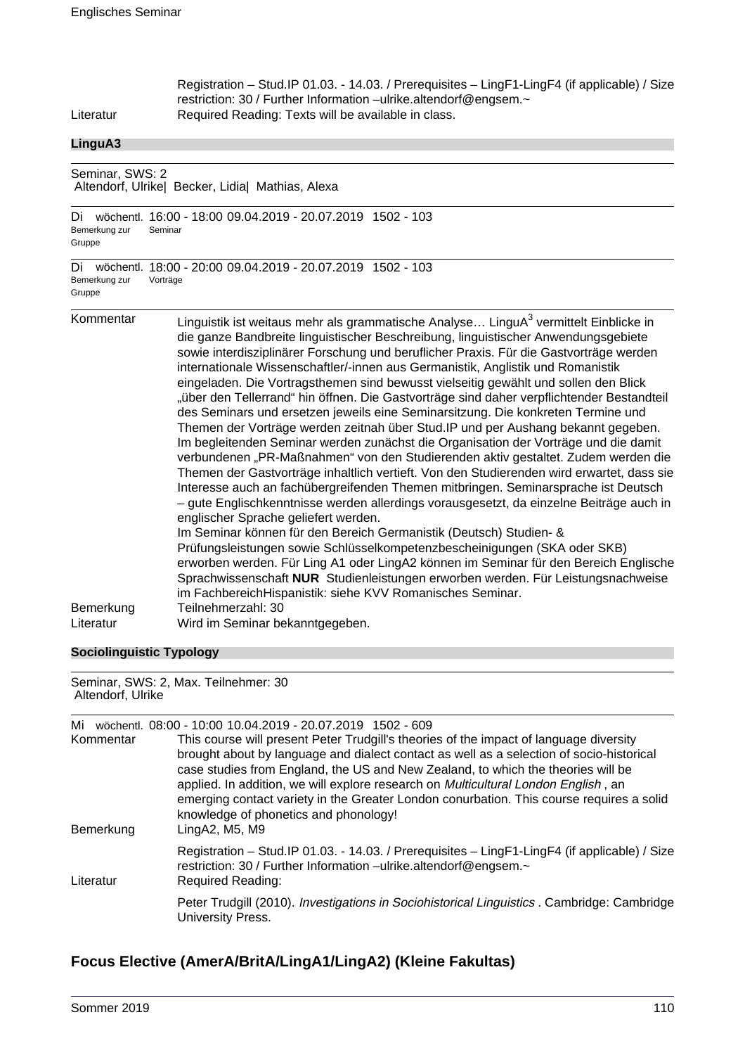| Registration - Stud. IP 01.03. - 14.03. / Prerequisites - LingF1-LingF4 (if applicable) / Size<br>restriction: 30 / Further Information -ulrike.altendorf@engsem.~<br>Required Reading: Texts will be available in class.                                                                                                                                                                                                                                                                                                                                                                                                                                                                                                                                                                                                                                                                                                                                                                                                                                                                                                                                                                                                                                                                                                                                                                                                                                                                                                                                                                                                                            |
|------------------------------------------------------------------------------------------------------------------------------------------------------------------------------------------------------------------------------------------------------------------------------------------------------------------------------------------------------------------------------------------------------------------------------------------------------------------------------------------------------------------------------------------------------------------------------------------------------------------------------------------------------------------------------------------------------------------------------------------------------------------------------------------------------------------------------------------------------------------------------------------------------------------------------------------------------------------------------------------------------------------------------------------------------------------------------------------------------------------------------------------------------------------------------------------------------------------------------------------------------------------------------------------------------------------------------------------------------------------------------------------------------------------------------------------------------------------------------------------------------------------------------------------------------------------------------------------------------------------------------------------------------|
|                                                                                                                                                                                                                                                                                                                                                                                                                                                                                                                                                                                                                                                                                                                                                                                                                                                                                                                                                                                                                                                                                                                                                                                                                                                                                                                                                                                                                                                                                                                                                                                                                                                      |
| Seminar, SWS: 2<br>Altendorf, Ulrike  Becker, Lidia  Mathias, Alexa                                                                                                                                                                                                                                                                                                                                                                                                                                                                                                                                                                                                                                                                                                                                                                                                                                                                                                                                                                                                                                                                                                                                                                                                                                                                                                                                                                                                                                                                                                                                                                                  |
| wöchentl. 16:00 - 18:00 09.04.2019 - 20.07.2019 1502 - 103<br>Seminar                                                                                                                                                                                                                                                                                                                                                                                                                                                                                                                                                                                                                                                                                                                                                                                                                                                                                                                                                                                                                                                                                                                                                                                                                                                                                                                                                                                                                                                                                                                                                                                |
| wöchentl. 18:00 - 20:00 09.04.2019 - 20.07.2019 1502 - 103<br>Vorträge                                                                                                                                                                                                                                                                                                                                                                                                                                                                                                                                                                                                                                                                                                                                                                                                                                                                                                                                                                                                                                                                                                                                                                                                                                                                                                                                                                                                                                                                                                                                                                               |
| Linguistik ist weitaus mehr als grammatische Analyse LinguA <sup>3</sup> vermittelt Einblicke in<br>die ganze Bandbreite linguistischer Beschreibung, linguistischer Anwendungsgebiete<br>sowie interdisziplinärer Forschung und beruflicher Praxis. Für die Gastvorträge werden<br>internationale Wissenschaftler/-innen aus Germanistik, Anglistik und Romanistik<br>eingeladen. Die Vortragsthemen sind bewusst vielseitig gewählt und sollen den Blick<br>"über den Tellerrand" hin öffnen. Die Gastvorträge sind daher verpflichtender Bestandteil<br>des Seminars und ersetzen jeweils eine Seminarsitzung. Die konkreten Termine und<br>Themen der Vorträge werden zeitnah über Stud. IP und per Aushang bekannt gegeben.<br>Im begleitenden Seminar werden zunächst die Organisation der Vorträge und die damit<br>verbundenen "PR-Maßnahmen" von den Studierenden aktiv gestaltet. Zudem werden die<br>Themen der Gastvorträge inhaltlich vertieft. Von den Studierenden wird erwartet, dass sie<br>Interesse auch an fachübergreifenden Themen mitbringen. Seminarsprache ist Deutsch<br>- gute Englischkenntnisse werden allerdings vorausgesetzt, da einzelne Beiträge auch in<br>englischer Sprache geliefert werden.<br>Im Seminar können für den Bereich Germanistik (Deutsch) Studien- &<br>Prüfungsleistungen sowie Schlüsselkompetenzbescheinigungen (SKA oder SKB)<br>erworben werden. Für Ling A1 oder LingA2 können im Seminar für den Bereich Englische<br>Sprachwissenschaft NUR Studienleistungen erworben werden. Für Leistungsnachweise<br>im FachbereichHispanistik: siehe KVV Romanisches Seminar.<br>Teilnehmerzahl: 30 |
| Wird im Seminar bekanntgegeben.                                                                                                                                                                                                                                                                                                                                                                                                                                                                                                                                                                                                                                                                                                                                                                                                                                                                                                                                                                                                                                                                                                                                                                                                                                                                                                                                                                                                                                                                                                                                                                                                                      |
|                                                                                                                                                                                                                                                                                                                                                                                                                                                                                                                                                                                                                                                                                                                                                                                                                                                                                                                                                                                                                                                                                                                                                                                                                                                                                                                                                                                                                                                                                                                                                                                                                                                      |

## **Sociolinguistic Typology**

Seminar, SWS: 2, Max. Teilnehmer: 30 Altendorf, Ulrike

| Mi<br>Kommentar<br>Bemerkung | wöchentl, 08:00 - 10:00 10.04.2019 - 20.07.2019 1502 - 609<br>This course will present Peter Trudgill's theories of the impact of language diversity<br>brought about by language and dialect contact as well as a selection of socio-historical<br>case studies from England, the US and New Zealand, to which the theories will be<br>applied. In addition, we will explore research on <i>Multicultural London English</i> , an<br>emerging contact variety in the Greater London conurbation. This course requires a solid<br>knowledge of phonetics and phonology!<br>LingA2, M5, M9 |
|------------------------------|-------------------------------------------------------------------------------------------------------------------------------------------------------------------------------------------------------------------------------------------------------------------------------------------------------------------------------------------------------------------------------------------------------------------------------------------------------------------------------------------------------------------------------------------------------------------------------------------|
| Literatur                    | Registration - Stud. IP 01.03. - 14.03. / Prerequisites - LingF1-LingF4 (if applicable) / Size<br>restriction: 30 / Further Information -ulrike.altendorf@engsem.~<br><b>Required Reading:</b>                                                                                                                                                                                                                                                                                                                                                                                            |
|                              | Peter Trudgill (2010). Investigations in Sociohistorical Linguistics . Cambridge: Cambridge<br>University Press.                                                                                                                                                                                                                                                                                                                                                                                                                                                                          |

# **Focus Elective (AmerA/BritA/LingA1/LingA2) (Kleine Fakultas)**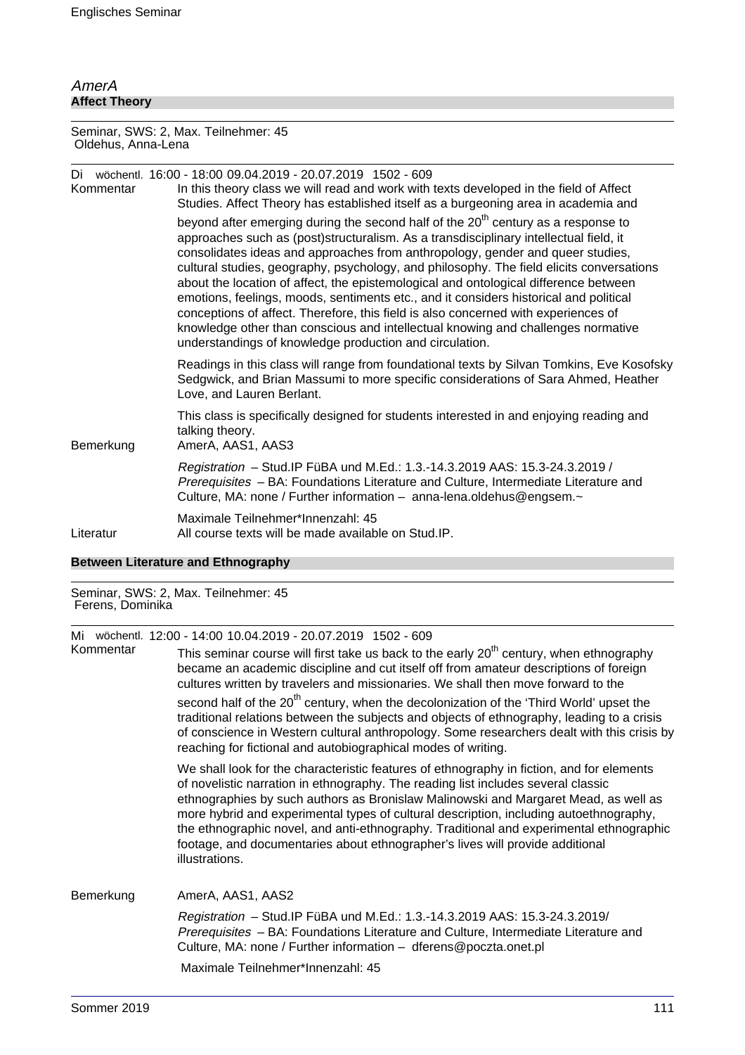### AmerA **Affect Theory**

Seminar, SWS: 2, Max. Teilnehmer: 45 Oldehus, Anna-Lena

| Kommentar | Di wöchentl. 16:00 - 18:00 09.04.2019 - 20.07.2019 1502 - 609<br>In this theory class we will read and work with texts developed in the field of Affect<br>Studies. Affect Theory has established itself as a burgeoning area in academia and                                                                                                                                                                                                                                                                                                                                                                                                                                                                                                                                              |
|-----------|--------------------------------------------------------------------------------------------------------------------------------------------------------------------------------------------------------------------------------------------------------------------------------------------------------------------------------------------------------------------------------------------------------------------------------------------------------------------------------------------------------------------------------------------------------------------------------------------------------------------------------------------------------------------------------------------------------------------------------------------------------------------------------------------|
|           | beyond after emerging during the second half of the 20 <sup>th</sup> century as a response to<br>approaches such as (post)structuralism. As a transdisciplinary intellectual field, it<br>consolidates ideas and approaches from anthropology, gender and queer studies,<br>cultural studies, geography, psychology, and philosophy. The field elicits conversations<br>about the location of affect, the epistemological and ontological difference between<br>emotions, feelings, moods, sentiments etc., and it considers historical and political<br>conceptions of affect. Therefore, this field is also concerned with experiences of<br>knowledge other than conscious and intellectual knowing and challenges normative<br>understandings of knowledge production and circulation. |
|           | Readings in this class will range from foundational texts by Silvan Tomkins, Eve Kosofsky<br>Sedgwick, and Brian Massumi to more specific considerations of Sara Ahmed, Heather<br>Love, and Lauren Berlant.                                                                                                                                                                                                                                                                                                                                                                                                                                                                                                                                                                               |
| Bemerkung | This class is specifically designed for students interested in and enjoying reading and<br>talking theory.<br>AmerA, AAS1, AAS3                                                                                                                                                                                                                                                                                                                                                                                                                                                                                                                                                                                                                                                            |
|           | Registration - Stud. IP FüBA und M.Ed.: 1.3.-14.3.2019 AAS: 15.3-24.3.2019 /<br>Prerequisites - BA: Foundations Literature and Culture, Intermediate Literature and<br>Culture, MA: none / Further information - anna-lena.oldehus@engsem.~                                                                                                                                                                                                                                                                                                                                                                                                                                                                                                                                                |
| Literatur | Maximale Teilnehmer*Innenzahl: 45<br>All course texts will be made available on Stud.IP.                                                                                                                                                                                                                                                                                                                                                                                                                                                                                                                                                                                                                                                                                                   |

#### **Between Literature and Ethnography**

#### Seminar, SWS: 2, Max. Teilnehmer: 45 Ferens, Dominika

Mi wöchentl. 12:00 - 14:00 10.04.2019 - 20.07.2019 1502 - 609

This seminar course will first take us back to the early  $20<sup>th</sup>$  century, when ethnography became an academic discipline and cut itself off from amateur descriptions of foreign cultures written by travelers and missionaries. We shall then move forward to the second half of the 20<sup>th</sup> century, when the decolonization of the 'Third World' upset the traditional relations between the subjects and objects of ethnography, leading to a crisis of conscience in Western cultural anthropology. Some researchers dealt with this crisis by reaching for fictional and autobiographical modes of writing.

We shall look for the characteristic features of ethnography in fiction, and for elements of novelistic narration in ethnography. The reading list includes several classic ethnographies by such authors as Bronislaw Malinowski and Margaret Mead, as well as more hybrid and experimental types of cultural description, including autoethnography, the ethnographic novel, and anti-ethnography. Traditional and experimental ethnographic footage, and documentaries about ethnographer's lives will provide additional illustrations.

Bemerkung AmerA, AAS1, AAS2

Registration – Stud.IP FüBA und M.Ed.: 1.3.-14.3.2019 AAS: 15.3-24.3.2019/ Prerequisites – BA: Foundations Literature and Culture, Intermediate Literature and Culture, MA: none / Further information – dferens@poczta.onet.pl

Maximale Teilnehmer\*Innenzahl: 45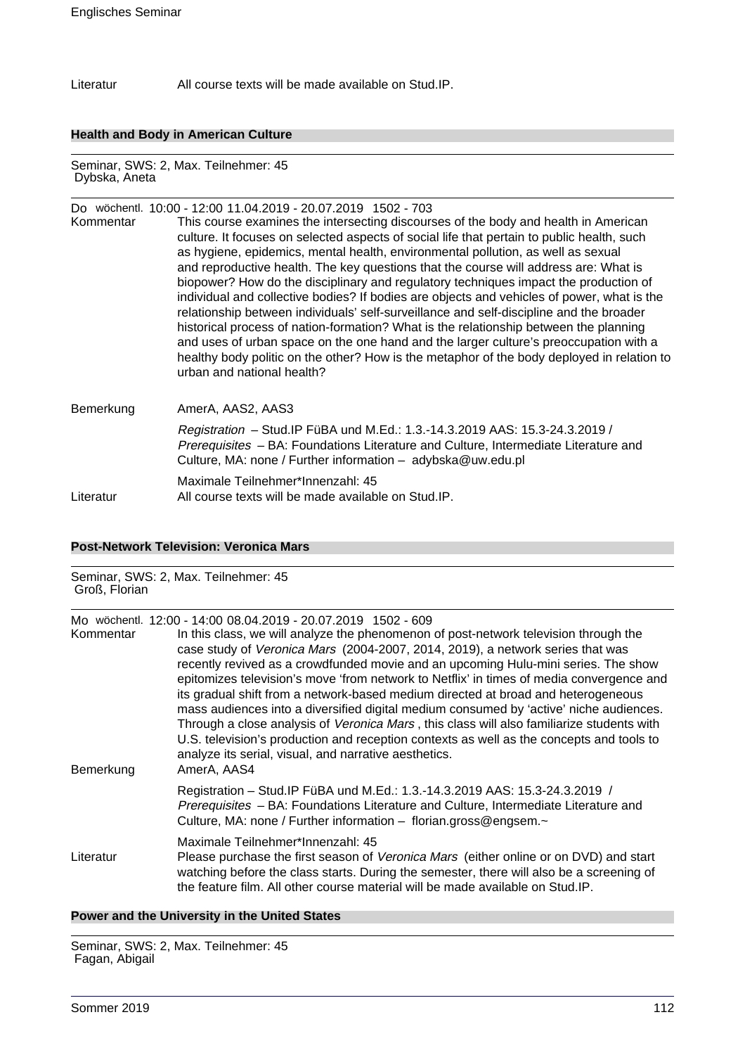Literatur All course texts will be made available on Stud.IP.

#### **Health and Body in American Culture**

Seminar, SWS: 2, Max. Teilnehmer: 45 Dybska, Aneta

## Do wöchentl. 10:00 - 12:00 11.04.2019 - 20.07.2019 1502 - 703 Kommentar This course examines the intersecting discourses of the body and health in American culture. It focuses on selected aspects of social life that pertain to public health, such as hygiene, epidemics, mental health, environmental pollution, as well as sexual and reproductive health. The key questions that the course will address are: What is biopower? How do the disciplinary and regulatory techniques impact the production of individual and collective bodies? If bodies are objects and vehicles of power, what is the relationship between individuals' self-surveillance and self-discipline and the broader historical process of nation-formation? What is the relationship between the planning and uses of urban space on the one hand and the larger culture's preoccupation with a healthy body politic on the other? How is the metaphor of the body deployed in relation to urban and national health?

## Bemerkung AmerA, AAS2, AAS3 Registration – Stud.IP FüBA und M.Ed.: 1.3.-14.3.2019 AAS: 15.3-24.3.2019 / Prerequisites - BA: Foundations Literature and Culture, Intermediate Literature and Culture, MA: none / Further information – adybska@uw.edu.pl Maximale Teilnehmer\*Innenzahl: 45 Literatur All course texts will be made available on Stud.IP.

#### **Post-Network Television: Veronica Mars**

## Seminar, SWS: 2, Max. Teilnehmer: 45 Groß, Florian Mo wöchentl. 12:00 - 14:00 08.04.2019 - 20.07.2019 1502 - 609 Kommentar In this class, we will analyze the phenomenon of post-network television through the case study of Veronica Mars (2004-2007, 2014, 2019), a network series that was recently revived as a crowdfunded movie and an upcoming Hulu-mini series. The show epitomizes television's move 'from network to Netflix' in times of media convergence and its gradual shift from a network-based medium directed at broad and heterogeneous mass audiences into a diversified digital medium consumed by 'active' niche audiences. Through a close analysis of Veronica Mars , this class will also familiarize students with U.S. television's production and reception contexts as well as the concepts and tools to analyze its serial, visual, and narrative aesthetics. Bemerkung AmerA, AAS4 Registration – Stud.IP FüBA und M.Ed.: 1.3.-14.3.2019 AAS: 15.3-24.3.2019 / Prerequisites – BA: Foundations Literature and Culture, Intermediate Literature and Culture, MA: none / Further information – florian.gross@engsem.~ Maximale Teilnehmer\*Innenzahl: 45 Literatur Please purchase the first season of Veronica Mars (either online or on DVD) and start watching before the class starts. During the semester, there will also be a screening of the feature film. All other course material will be made available on Stud.IP.

#### **Power and the University in the United States**

Seminar, SWS: 2, Max. Teilnehmer: 45 Fagan, Abigail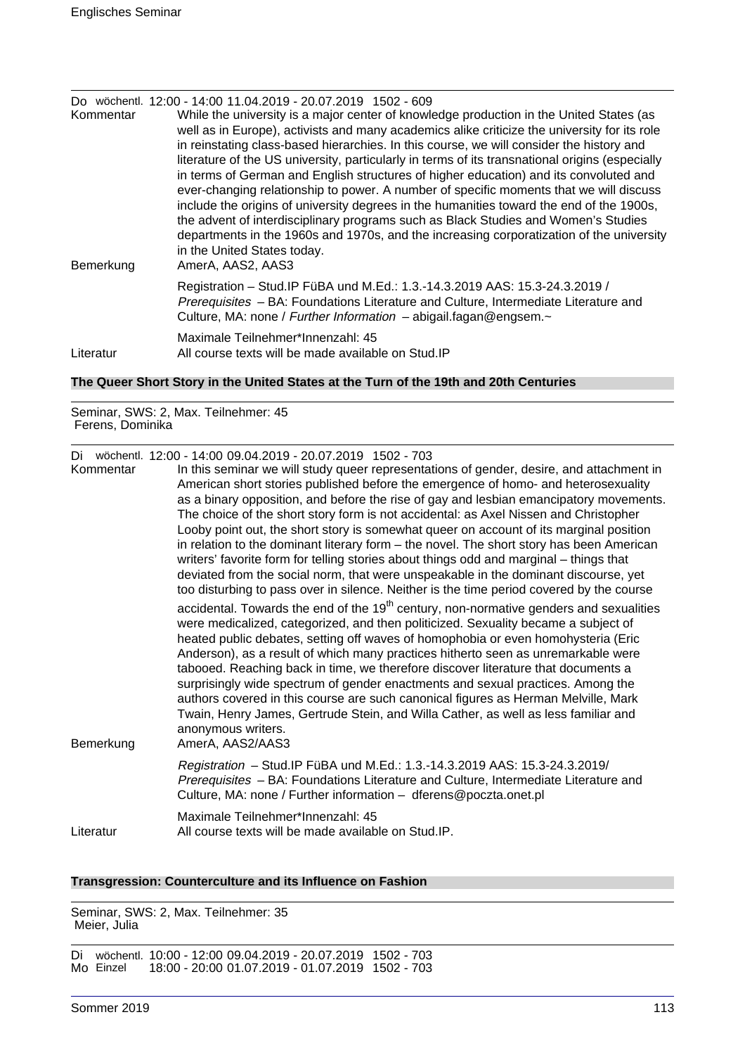| Kommentar<br>Bemerkung | Do wöchentl. 12:00 - 14:00 11.04.2019 - 20.07.2019 1502 - 609<br>While the university is a major center of knowledge production in the United States (as<br>well as in Europe), activists and many academics alike criticize the university for its role<br>in reinstating class-based hierarchies. In this course, we will consider the history and<br>literature of the US university, particularly in terms of its transnational origins (especially<br>in terms of German and English structures of higher education) and its convoluted and<br>ever-changing relationship to power. A number of specific moments that we will discuss<br>include the origins of university degrees in the humanities toward the end of the 1900s,<br>the advent of interdisciplinary programs such as Black Studies and Women's Studies<br>departments in the 1960s and 1970s, and the increasing corporatization of the university<br>in the United States today.<br>AmerA, AAS2, AAS3 |
|------------------------|------------------------------------------------------------------------------------------------------------------------------------------------------------------------------------------------------------------------------------------------------------------------------------------------------------------------------------------------------------------------------------------------------------------------------------------------------------------------------------------------------------------------------------------------------------------------------------------------------------------------------------------------------------------------------------------------------------------------------------------------------------------------------------------------------------------------------------------------------------------------------------------------------------------------------------------------------------------------------|
|                        | Registration - Stud. IP FüBA und M.Ed.: 1.3.-14.3.2019 AAS: 15.3-24.3.2019 /<br>Prerequisites - BA: Foundations Literature and Culture, Intermediate Literature and<br>Culture, MA: none / Further Information - abigail.fagan@engsem.~                                                                                                                                                                                                                                                                                                                                                                                                                                                                                                                                                                                                                                                                                                                                      |
| Literatur              | Maximale Teilnehmer*Innenzahl: 45<br>All course texts will be made available on Stud. IP                                                                                                                                                                                                                                                                                                                                                                                                                                                                                                                                                                                                                                                                                                                                                                                                                                                                                     |

### **The Queer Short Story in the United States at the Turn of the 19th and 20th Centuries**

Seminar, SWS: 2, Max. Teilnehmer: 45 Ferens, Dominika

Di wöchentl. 12:00 - 14:00 09.04.2019 - 20.07.2019 1502 - 703

| Kommentar<br>Bemerkung | In this seminar we will study queer representations of gender, desire, and attachment in<br>American short stories published before the emergence of homo- and heterosexuality<br>as a binary opposition, and before the rise of gay and lesbian emancipatory movements.<br>The choice of the short story form is not accidental: as Axel Nissen and Christopher<br>Looby point out, the short story is somewhat queer on account of its marginal position<br>in relation to the dominant literary form - the novel. The short story has been American<br>writers' favorite form for telling stories about things odd and marginal – things that<br>deviated from the social norm, that were unspeakable in the dominant discourse, yet<br>too disturbing to pass over in silence. Neither is the time period covered by the course<br>accidental. Towards the end of the $19th$ century, non-normative genders and sexualities<br>were medicalized, categorized, and then politicized. Sexuality became a subject of<br>heated public debates, setting off waves of homophobia or even homohysteria (Eric<br>Anderson), as a result of which many practices hitherto seen as unremarkable were<br>tabooed. Reaching back in time, we therefore discover literature that documents a<br>surprisingly wide spectrum of gender enactments and sexual practices. Among the<br>authors covered in this course are such canonical figures as Herman Melville, Mark<br>Twain, Henry James, Gertrude Stein, and Willa Cather, as well as less familiar and<br>anonymous writers.<br>AmerA, AAS2/AAS3 |
|------------------------|-----------------------------------------------------------------------------------------------------------------------------------------------------------------------------------------------------------------------------------------------------------------------------------------------------------------------------------------------------------------------------------------------------------------------------------------------------------------------------------------------------------------------------------------------------------------------------------------------------------------------------------------------------------------------------------------------------------------------------------------------------------------------------------------------------------------------------------------------------------------------------------------------------------------------------------------------------------------------------------------------------------------------------------------------------------------------------------------------------------------------------------------------------------------------------------------------------------------------------------------------------------------------------------------------------------------------------------------------------------------------------------------------------------------------------------------------------------------------------------------------------------------------------------------------------------------------------------------------|
|                        | Registration - Stud.IP FüBA und M.Ed.: 1.3.-14.3.2019 AAS: 15.3-24.3.2019/<br>Prerequisites - BA: Foundations Literature and Culture, Intermediate Literature and<br>Culture, MA: none / Further information - dferens@poczta.onet.pl                                                                                                                                                                                                                                                                                                                                                                                                                                                                                                                                                                                                                                                                                                                                                                                                                                                                                                                                                                                                                                                                                                                                                                                                                                                                                                                                                         |
| Literatur              | Maximale Teilnehmer*Innenzahl: 45<br>All course texts will be made available on Stud.IP.                                                                                                                                                                                                                                                                                                                                                                                                                                                                                                                                                                                                                                                                                                                                                                                                                                                                                                                                                                                                                                                                                                                                                                                                                                                                                                                                                                                                                                                                                                      |

#### **Transgression: Counterculture and its Influence on Fashion**

Seminar, SWS: 2, Max. Teilnehmer: 35 Meier, Julia

Di wöchentl. 10:00 - 12:00 09.04.2019 - 20.07.2019 1502 - 703 Mo Einzel 18:00 - 20:00 01.07.2019 - 01.07.2019 1502 - 703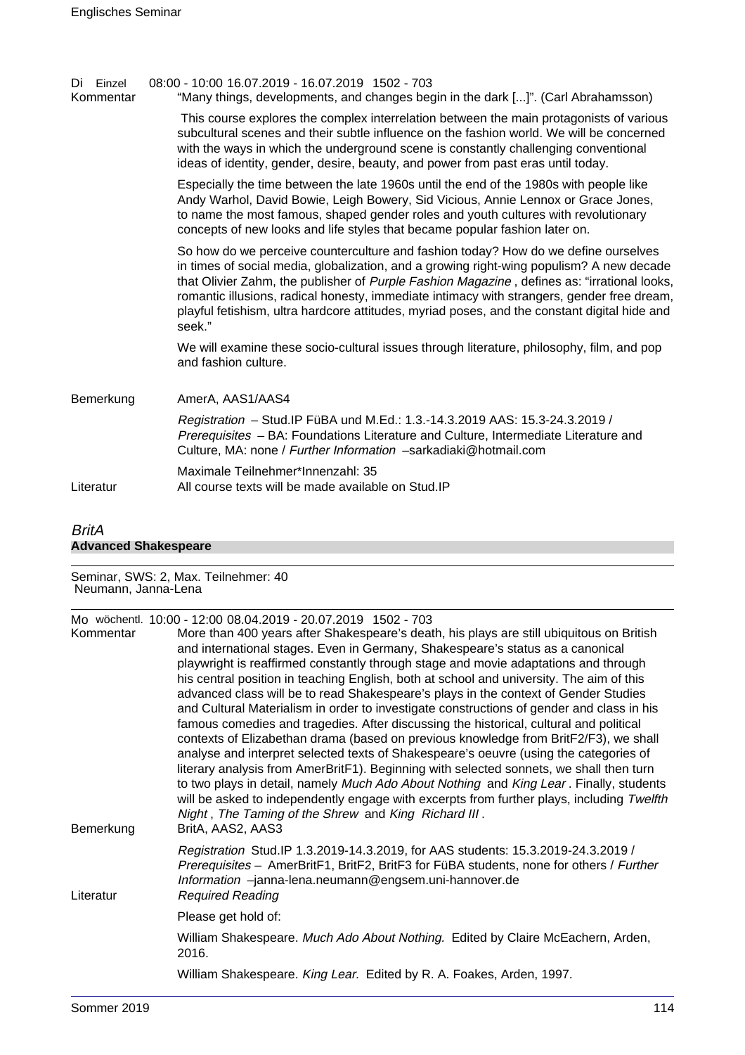| Einzel<br>Di<br>Kommentar | 08:00 - 10:00 16.07.2019 - 16.07.2019 1502 - 703<br>"Many things, developments, and changes begin in the dark []". (Carl Abrahamsson)                                                                                                                                                                                                                                                                                                                                                 |
|---------------------------|---------------------------------------------------------------------------------------------------------------------------------------------------------------------------------------------------------------------------------------------------------------------------------------------------------------------------------------------------------------------------------------------------------------------------------------------------------------------------------------|
|                           | This course explores the complex interrelation between the main protagonists of various<br>subcultural scenes and their subtle influence on the fashion world. We will be concerned<br>with the ways in which the underground scene is constantly challenging conventional<br>ideas of identity, gender, desire, beauty, and power from past eras until today.                                                                                                                        |
|                           | Especially the time between the late 1960s until the end of the 1980s with people like<br>Andy Warhol, David Bowie, Leigh Bowery, Sid Vicious, Annie Lennox or Grace Jones,<br>to name the most famous, shaped gender roles and youth cultures with revolutionary<br>concepts of new looks and life styles that became popular fashion later on.                                                                                                                                      |
|                           | So how do we perceive counterculture and fashion today? How do we define ourselves<br>in times of social media, globalization, and a growing right-wing populism? A new decade<br>that Olivier Zahm, the publisher of Purple Fashion Magazine, defines as: "irrational looks,<br>romantic illusions, radical honesty, immediate intimacy with strangers, gender free dream,<br>playful fetishism, ultra hardcore attitudes, myriad poses, and the constant digital hide and<br>seek." |
|                           | We will examine these socio-cultural issues through literature, philosophy, film, and pop<br>and fashion culture.                                                                                                                                                                                                                                                                                                                                                                     |
| Bemerkung                 | AmerA, AAS1/AAS4                                                                                                                                                                                                                                                                                                                                                                                                                                                                      |
|                           | Registration - Stud. IP FüBA und M.Ed.: 1.3.-14.3.2019 AAS: 15.3-24.3.2019 /<br>Prerequisites - BA: Foundations Literature and Culture, Intermediate Literature and<br>Culture, MA: none / Further Information -sarkadiaki@hotmail.com                                                                                                                                                                                                                                                |
| Literatur                 | Maximale Teilnehmer*Innenzahl: 35<br>All course texts will be made available on Stud. IP                                                                                                                                                                                                                                                                                                                                                                                              |
|                           |                                                                                                                                                                                                                                                                                                                                                                                                                                                                                       |

## BritA **Advanced Shakespeare**

Seminar, SWS: 2, Max. Teilnehmer: 40 Neumann, Janna-Lena

| Kommentar<br>Bemerkung | Mo wöchentl. 10:00 - 12:00 08.04.2019 - 20.07.2019 1502 - 703<br>More than 400 years after Shakespeare's death, his plays are still ubiquitous on British<br>and international stages. Even in Germany, Shakespeare's status as a canonical<br>playwright is reaffirmed constantly through stage and movie adaptations and through<br>his central position in teaching English, both at school and university. The aim of this<br>advanced class will be to read Shakespeare's plays in the context of Gender Studies<br>and Cultural Materialism in order to investigate constructions of gender and class in his<br>famous comedies and tragedies. After discussing the historical, cultural and political<br>contexts of Elizabethan drama (based on previous knowledge from BritF2/F3), we shall<br>analyse and interpret selected texts of Shakespeare's oeuvre (using the categories of<br>literary analysis from AmerBritF1). Beginning with selected sonnets, we shall then turn<br>to two plays in detail, namely Much Ado About Nothing and King Lear. Finally, students<br>will be asked to independently engage with excerpts from further plays, including Twelfth<br>Night, The Taming of the Shrew and King Richard III.<br>BritA, AAS2, AAS3 |
|------------------------|--------------------------------------------------------------------------------------------------------------------------------------------------------------------------------------------------------------------------------------------------------------------------------------------------------------------------------------------------------------------------------------------------------------------------------------------------------------------------------------------------------------------------------------------------------------------------------------------------------------------------------------------------------------------------------------------------------------------------------------------------------------------------------------------------------------------------------------------------------------------------------------------------------------------------------------------------------------------------------------------------------------------------------------------------------------------------------------------------------------------------------------------------------------------------------------------------------------------------------------------------------------|
| Literatur              | Registration Stud.IP 1.3.2019-14.3.2019, for AAS students: 15.3.2019-24.3.2019 /<br>Prerequisites - AmerBritF1, BritF2, BritF3 for FüBA students, none for others / Further<br>Information -janna-lena.neumann@engsem.uni-hannover.de<br><b>Required Reading</b>                                                                                                                                                                                                                                                                                                                                                                                                                                                                                                                                                                                                                                                                                                                                                                                                                                                                                                                                                                                             |
|                        | Please get hold of:                                                                                                                                                                                                                                                                                                                                                                                                                                                                                                                                                                                                                                                                                                                                                                                                                                                                                                                                                                                                                                                                                                                                                                                                                                          |
|                        | William Shakespeare. Much Ado About Nothing. Edited by Claire McEachern, Arden,<br>2016.                                                                                                                                                                                                                                                                                                                                                                                                                                                                                                                                                                                                                                                                                                                                                                                                                                                                                                                                                                                                                                                                                                                                                                     |
|                        | William Shakespeare. King Lear. Edited by R. A. Foakes, Arden, 1997.                                                                                                                                                                                                                                                                                                                                                                                                                                                                                                                                                                                                                                                                                                                                                                                                                                                                                                                                                                                                                                                                                                                                                                                         |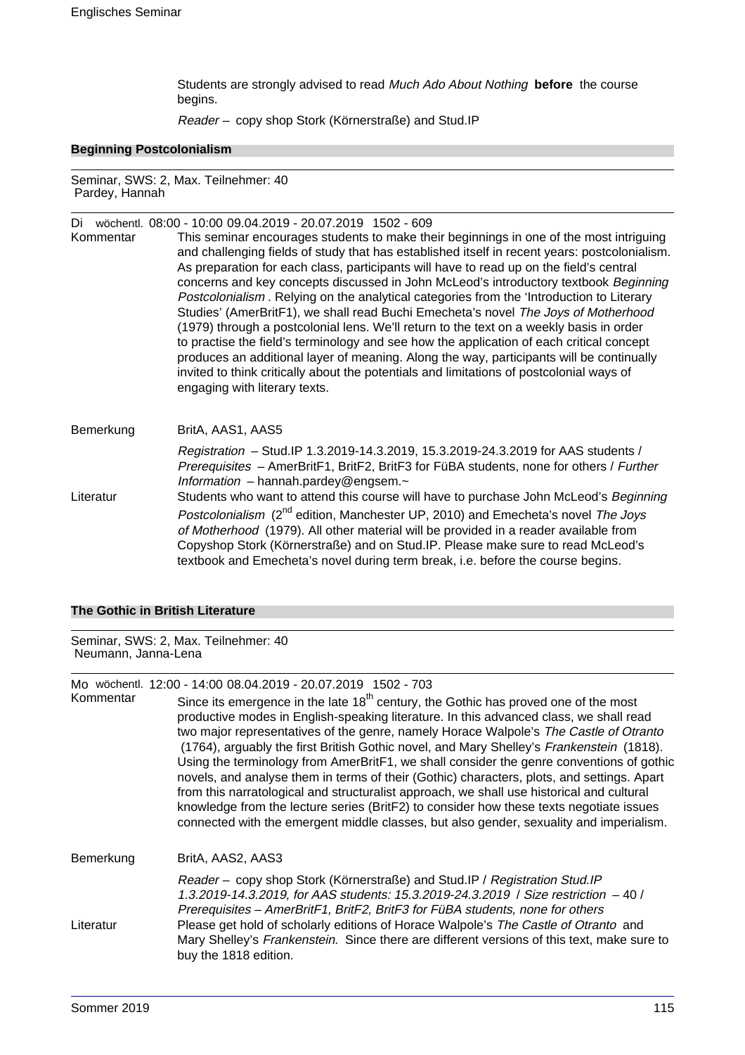Students are strongly advised to read Much Ado About Nothing **before** the course begins.

Reader – copy shop Stork (Körnerstraße) and Stud.IP

#### **Beginning Postcolonialism**

Seminar, SWS: 2, Max. Teilnehmer: 40 Pardey, Hannah

Di wöchentl. 08:00 - 10:00 09.04.2019 - 20.07.2019 1502 - 609

Kommentar This seminar encourages students to make their beginnings in one of the most intriguing and challenging fields of study that has established itself in recent years: postcolonialism. As preparation for each class, participants will have to read up on the field's central concerns and key concepts discussed in John McLeod's introductory textbook Beginning Postcolonialism . Relying on the analytical categories from the 'Introduction to Literary Studies' (AmerBritF1), we shall read Buchi Emecheta's novel The Joys of Motherhood (1979) through a postcolonial lens. We'll return to the text on a weekly basis in order to practise the field's terminology and see how the application of each critical concept produces an additional layer of meaning. Along the way, participants will be continually invited to think critically about the potentials and limitations of postcolonial ways of engaging with literary texts.

Bemerkung BritA, AAS1, AAS5 Registration – Stud.IP 1.3.2019-14.3.2019, 15.3.2019-24.3.2019 for AAS students / Prerequisites – AmerBritF1, BritF2, BritF3 for FüBA students, none for others / Further Information – hannah.pardey@engsem. $\sim$ Literatur Students who want to attend this course will have to purchase John McLeod's Beginning Postcolonialism (2<sup>nd</sup> edition, Manchester UP, 2010) and Emecheta's novel The Joys of Motherhood (1979). All other material will be provided in a reader available from Copyshop Stork (Körnerstraße) and on Stud.IP. Please make sure to read McLeod's textbook and Emecheta's novel during term break, i.e. before the course begins.

#### **The Gothic in British Literature**

Seminar, SWS: 2, Max. Teilnehmer: 40 Neumann, Janna-Lena

Mo wöchentl. 12:00 - 14:00 08.04.2019 - 20.07.2019 1502 - 703<br>Kommentar Since its emergence in the late 18<sup>th</sup> century the

Since its emergence in the late  $18<sup>th</sup>$  century, the Gothic has proved one of the most productive modes in English-speaking literature. In this advanced class, we shall read two major representatives of the genre, namely Horace Walpole's The Castle of Otranto (1764), arguably the first British Gothic novel, and Mary Shelley's Frankenstein (1818). Using the terminology from AmerBritF1, we shall consider the genre conventions of gothic novels, and analyse them in terms of their (Gothic) characters, plots, and settings. Apart from this narratological and structuralist approach, we shall use historical and cultural knowledge from the lecture series (BritF2) to consider how these texts negotiate issues connected with the emergent middle classes, but also gender, sexuality and imperialism. Bemerkung BritA, AAS2, AAS3 Reader – copy shop Stork (Körnerstraße) and Stud.IP / Registration Stud.IP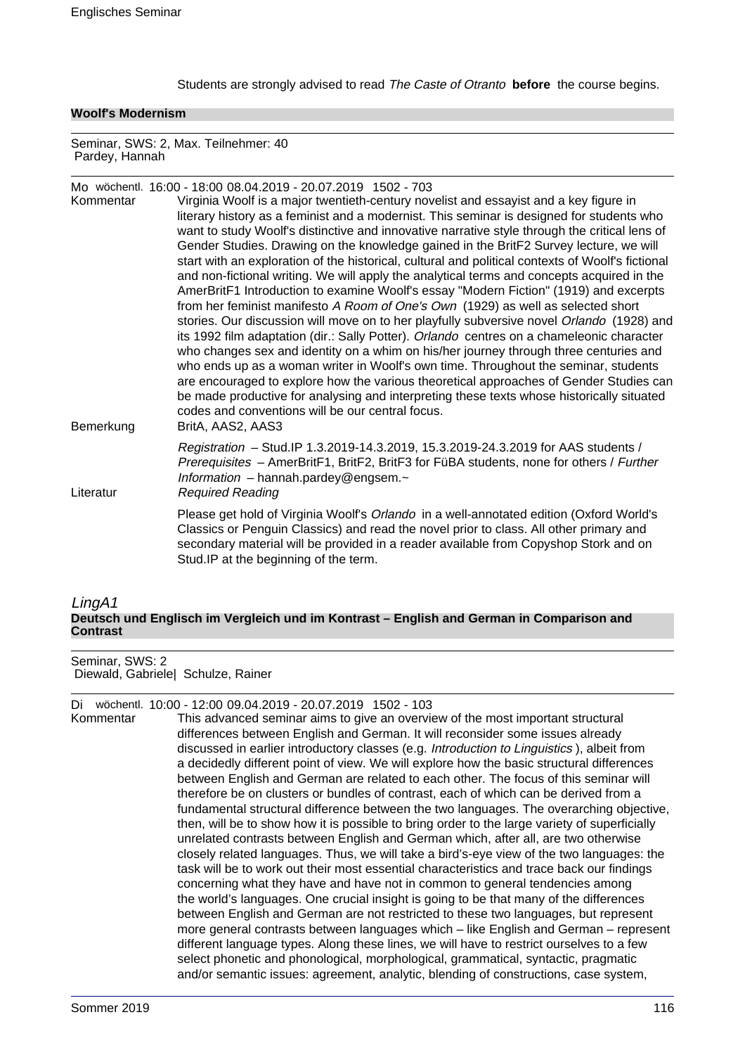Students are strongly advised to read The Caste of Otranto **before** the course begins.

#### **Woolf's Modernism**

Seminar, SWS: 2, Max. Teilnehmer: 40 Pardey, Hannah

Mo wöchentl. 16:00 - 18:00 08.04.2019 - 20.07.2019 1502 - 703 Virginia Woolf is a major twentieth-century novelist and essayist and a key figure in literary history as a feminist and a modernist. This seminar is designed for students who want to study Woolf's distinctive and innovative narrative style through the critical lens of Gender Studies. Drawing on the knowledge gained in the BritF2 Survey lecture, we will start with an exploration of the historical, cultural and political contexts of Woolf's fictional and non-fictional writing. We will apply the analytical terms and concepts acquired in the AmerBritF1 Introduction to examine Woolf's essay "Modern Fiction" (1919) and excerpts from her feminist manifesto A Room of One's Own (1929) as well as selected short stories. Our discussion will move on to her playfully subversive novel Orlando (1928) and its 1992 film adaptation (dir.: Sally Potter). Orlando centres on a chameleonic character who changes sex and identity on a whim on his/her journey through three centuries and who ends up as a woman writer in Woolf's own time. Throughout the seminar, students are encouraged to explore how the various theoretical approaches of Gender Studies can be made productive for analysing and interpreting these texts whose historically situated codes and conventions will be our central focus. Bemerkung BritA, AAS2, AAS3 Registration – Stud.IP 1.3.2019-14.3.2019, 15.3.2019-24.3.2019 for AAS students / Prerequisites – AmerBritF1, BritF2, BritF3 for FüBA students, none for others / Further Information – hannah.pardey@engsem. $\sim$ Literatur Required Reading Please get hold of Virginia Woolf's Orlando in a well-annotated edition (Oxford World's Classics or Penguin Classics) and read the novel prior to class. All other primary and secondary material will be provided in a reader available from Copyshop Stork and on Stud.IP at the beginning of the term.

#### LingA1 **Deutsch und Englisch im Vergleich und im Kontrast – English and German in Comparison and Contrast**

Seminar, SWS: 2 Diewald, Gabriele| Schulze, Rainer

Di wöchentl. 10:00 - 12:00 09.04.2019 - 20.07.2019 1502 - 103

This advanced seminar aims to give an overview of the most important structural differences between English and German. It will reconsider some issues already discussed in earlier introductory classes (e.g. Introduction to Linguistics ), albeit from a decidedly different point of view. We will explore how the basic structural differences between English and German are related to each other. The focus of this seminar will therefore be on clusters or bundles of contrast, each of which can be derived from a fundamental structural difference between the two languages. The overarching objective, then, will be to show how it is possible to bring order to the large variety of superficially unrelated contrasts between English and German which, after all, are two otherwise closely related languages. Thus, we will take a bird's-eye view of the two languages: the task will be to work out their most essential characteristics and trace back our findings concerning what they have and have not in common to general tendencies among the world's languages. One crucial insight is going to be that many of the differences between English and German are not restricted to these two languages, but represent more general contrasts between languages which – like English and German – represent different language types. Along these lines, we will have to restrict ourselves to a few select phonetic and phonological, morphological, grammatical, syntactic, pragmatic and/or semantic issues: agreement, analytic, blending of constructions, case system,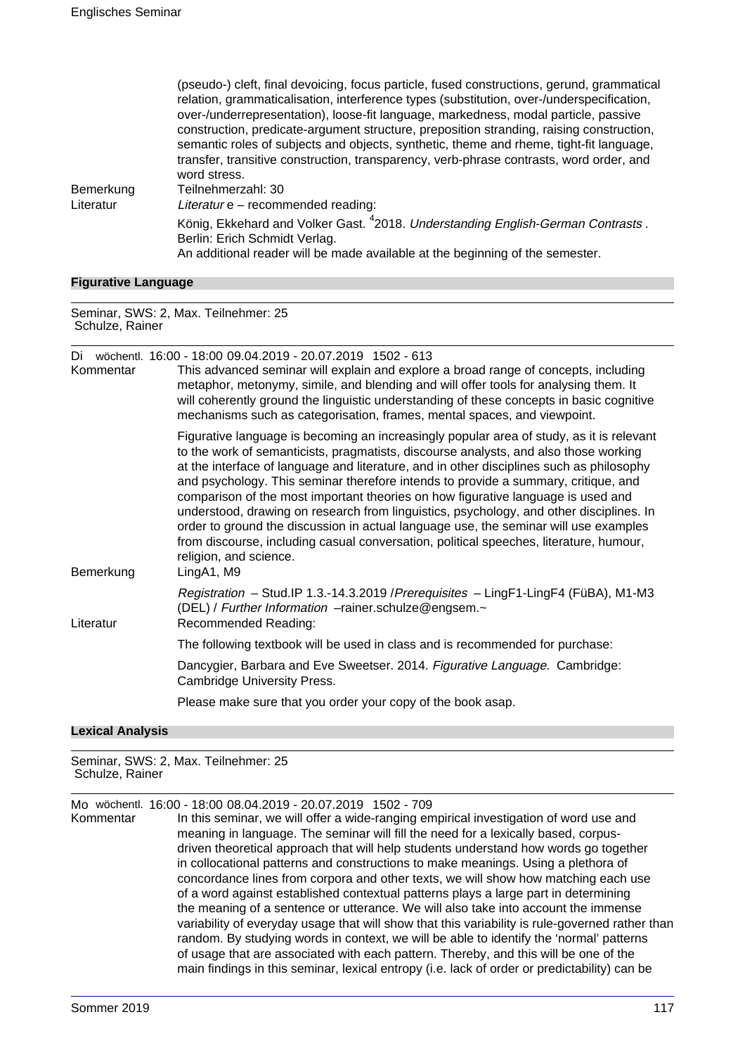|           | (pseudo-) cien, miai devoicing, locus panicle, lused constructions, gerunu, grammatical<br>relation, grammaticalisation, interference types (substitution, over-/underspecification,<br>over-/underrepresentation), loose-fit language, markedness, modal particle, passive<br>construction, predicate-argument structure, preposition stranding, raising construction,<br>semantic roles of subjects and objects, synthetic, theme and rheme, tight-fit language,<br>transfer, transitive construction, transparency, verb-phrase contrasts, word order, and<br>word stress.<br>Teilnehmerzahl: 30 |
|-----------|-----------------------------------------------------------------------------------------------------------------------------------------------------------------------------------------------------------------------------------------------------------------------------------------------------------------------------------------------------------------------------------------------------------------------------------------------------------------------------------------------------------------------------------------------------------------------------------------------------|
| Bemerkung |                                                                                                                                                                                                                                                                                                                                                                                                                                                                                                                                                                                                     |
| Literatur | Literatur e – recommended reading:                                                                                                                                                                                                                                                                                                                                                                                                                                                                                                                                                                  |
|           | König, Ekkehard and Volker Gast. <sup>4</sup> 2018. Understanding English-German Contrasts.<br>Berlin: Erich Schmidt Verlag.<br>An additional reader will be made available at the beginning of the semester.                                                                                                                                                                                                                                                                                                                                                                                       |

(pseudo-) cleft, final devoicing, focus particle, fused constructions, gerund, grammatical

#### **Figurative Language**

Seminar, SWS: 2, Max. Teilnehmer: 25 Schulze, Rainer

Di wöchentl. 16:00 - 18:00 09.04.2019 - 20.07.2019 1502 - 613 Kommentar This advanced seminar will explain and explore a broad range of concepts, including metaphor, metonymy, simile, and blending and will offer tools for analysing them. It will coherently ground the linguistic understanding of these concepts in basic cognitive mechanisms such as categorisation, frames, mental spaces, and viewpoint.

Figurative language is becoming an increasingly popular area of study, as it is relevant to the work of semanticists, pragmatists, discourse analysts, and also those working at the interface of language and literature, and in other disciplines such as philosophy and psychology. This seminar therefore intends to provide a summary, critique, and comparison of the most important theories on how figurative language is used and understood, drawing on research from linguistics, psychology, and other disciplines. In order to ground the discussion in actual language use, the seminar will use examples from discourse, including casual conversation, political speeches, literature, humour, religion, and science. Bemerkung LingA1, M9

Registration – Stud.IP 1.3.-14.3.2019 /Prerequisites – LingF1-LingF4 (FüBA), M1-M3 (DEL) / Further Information –rainer.schulze@engsem.~ Literatur Recommended Reading:

The following textbook will be used in class and is recommended for purchase:

Dancygier, Barbara and Eve Sweetser, 2014. Figurative Language. Cambridge: Cambridge University Press.

Please make sure that you order your copy of the book asap.

#### **Lexical Analysis**

Seminar, SWS: 2, Max. Teilnehmer: 25 Schulze, Rainer

Mo wöchentl. 16:00 - 18:00 08.04.2019 - 20.07.2019 1502 - 709

Kommentar In this seminar, we will offer a wide-ranging empirical investigation of word use and meaning in language. The seminar will fill the need for a lexically based, corpusdriven theoretical approach that will help students understand how words go together in collocational patterns and constructions to make meanings. Using a plethora of concordance lines from corpora and other texts, we will show how matching each use of a word against established contextual patterns plays a large part in determining the meaning of a sentence or utterance. We will also take into account the immense variability of everyday usage that will show that this variability is rule-governed rather than random. By studying words in context, we will be able to identify the 'normal' patterns of usage that are associated with each pattern. Thereby, and this will be one of the main findings in this seminar, lexical entropy (i.e. lack of order or predictability) can be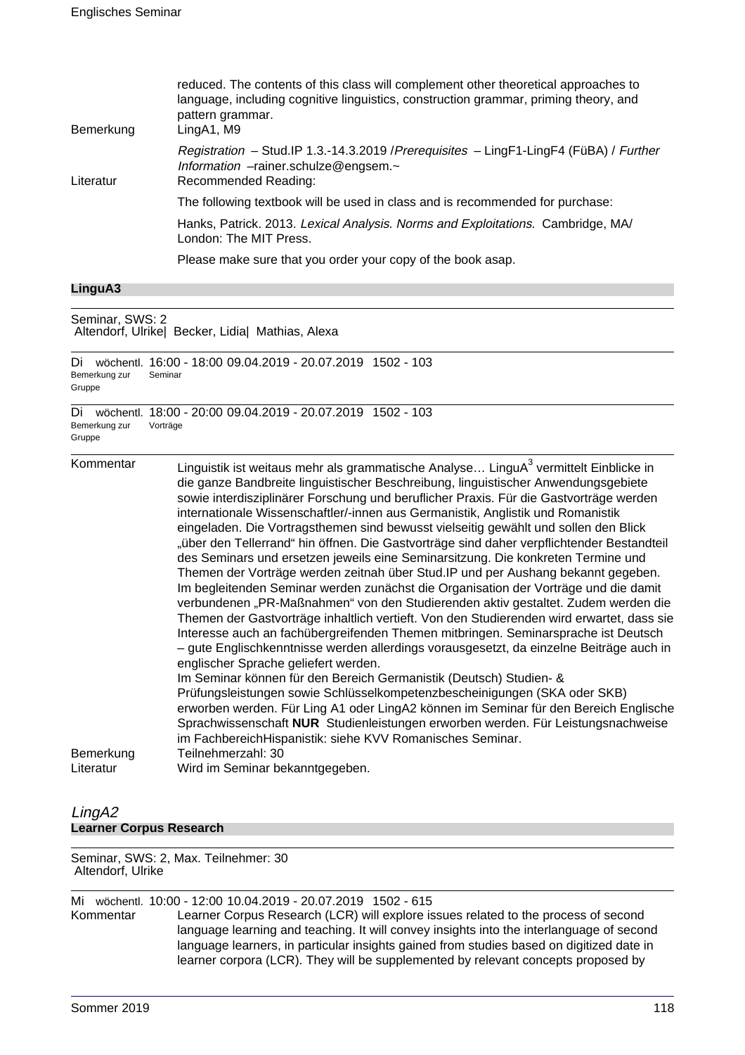| Bemerkung | reduced. The contents of this class will complement other theoretical approaches to<br>language, including cognitive linguistics, construction grammar, priming theory, and<br>pattern grammar.<br>LingA1, M9 |
|-----------|---------------------------------------------------------------------------------------------------------------------------------------------------------------------------------------------------------------|
| Literatur | Registration - Stud.IP 1.3.-14.3.2019 / Prerequisites - LingF1-LingF4 (FüBA) / Further<br>Information -rainer.schulze@engsem.~<br>Recommended Reading:                                                        |
|           | The following textbook will be used in class and is recommended for purchase:                                                                                                                                 |
|           | Hanks, Patrick. 2013. Lexical Analysis. Norms and Exploitations. Cambridge, MA/<br>London: The MIT Press.                                                                                                     |
|           | Please make sure that you order your copy of the book asap.                                                                                                                                                   |
|           |                                                                                                                                                                                                               |

## **LinguA3**

| Seminar, SWS: 2<br>Altendorf, Ulrike  Becker, Lidia  Mathias, Alexa |                                                                                                                                                                                                                                                                                                                                                                                                                                                                                                                                                                                                                                                                                                                                                                                                                                                                                                                                                                                                                                                                                                                                                                                                                                                                                                                                                                                                                                                                                                                                                                                                                                                                                         |
|---------------------------------------------------------------------|-----------------------------------------------------------------------------------------------------------------------------------------------------------------------------------------------------------------------------------------------------------------------------------------------------------------------------------------------------------------------------------------------------------------------------------------------------------------------------------------------------------------------------------------------------------------------------------------------------------------------------------------------------------------------------------------------------------------------------------------------------------------------------------------------------------------------------------------------------------------------------------------------------------------------------------------------------------------------------------------------------------------------------------------------------------------------------------------------------------------------------------------------------------------------------------------------------------------------------------------------------------------------------------------------------------------------------------------------------------------------------------------------------------------------------------------------------------------------------------------------------------------------------------------------------------------------------------------------------------------------------------------------------------------------------------------|
| Di<br>Bemerkung zur<br>Gruppe                                       | wöchentl. 16:00 - 18:00 09.04.2019 - 20.07.2019 1502 - 103<br>Seminar                                                                                                                                                                                                                                                                                                                                                                                                                                                                                                                                                                                                                                                                                                                                                                                                                                                                                                                                                                                                                                                                                                                                                                                                                                                                                                                                                                                                                                                                                                                                                                                                                   |
| Di<br>Bemerkung zur<br>Gruppe                                       | wöchentl. 18:00 - 20:00 09.04.2019 - 20.07.2019 1502 - 103<br>Vorträge                                                                                                                                                                                                                                                                                                                                                                                                                                                                                                                                                                                                                                                                                                                                                                                                                                                                                                                                                                                                                                                                                                                                                                                                                                                                                                                                                                                                                                                                                                                                                                                                                  |
| Kommentar<br>Bemerkung<br>Literatur                                 | Linguistik ist weitaus mehr als grammatische Analyse LinguA <sup>3</sup> vermittelt Einblicke in<br>die ganze Bandbreite linguistischer Beschreibung, linguistischer Anwendungsgebiete<br>sowie interdisziplinärer Forschung und beruflicher Praxis. Für die Gastvorträge werden<br>internationale Wissenschaftler/-innen aus Germanistik, Anglistik und Romanistik<br>eingeladen. Die Vortragsthemen sind bewusst vielseitig gewählt und sollen den Blick<br>"über den Tellerrand" hin öffnen. Die Gastvorträge sind daher verpflichtender Bestandteil<br>des Seminars und ersetzen jeweils eine Seminarsitzung. Die konkreten Termine und<br>Themen der Vorträge werden zeitnah über Stud. IP und per Aushang bekannt gegeben.<br>Im begleitenden Seminar werden zunächst die Organisation der Vorträge und die damit<br>verbundenen "PR-Maßnahmen" von den Studierenden aktiv gestaltet. Zudem werden die<br>Themen der Gastvorträge inhaltlich vertieft. Von den Studierenden wird erwartet, dass sie<br>Interesse auch an fachübergreifenden Themen mitbringen. Seminarsprache ist Deutsch<br>- gute Englischkenntnisse werden allerdings vorausgesetzt, da einzelne Beiträge auch in<br>englischer Sprache geliefert werden.<br>Im Seminar können für den Bereich Germanistik (Deutsch) Studien- &<br>Prüfungsleistungen sowie Schlüsselkompetenzbescheinigungen (SKA oder SKB)<br>erworben werden. Für Ling A1 oder LingA2 können im Seminar für den Bereich Englische<br>Sprachwissenschaft NUR Studienleistungen erworben werden. Für Leistungsnachweise<br>im FachbereichHispanistik: siehe KVV Romanisches Seminar.<br>Teilnehmerzahl: 30<br>Wird im Seminar bekanntgegeben. |

## LingA2 **Learner Corpus Research**

#### Seminar, SWS: 2, Max. Teilnehmer: 30 Altendorf, Ulrike

Mi wöchentl. 10:00 - 12:00 10.04.2019 - 20.07.2019 1502 - 615<br>Kommentar Learner Corpus Research (LCR) will explore is Learner Corpus Research (LCR) will explore issues related to the process of second language learning and teaching. It will convey insights into the interlanguage of second language learners, in particular insights gained from studies based on digitized date in learner corpora (LCR). They will be supplemented by relevant concepts proposed by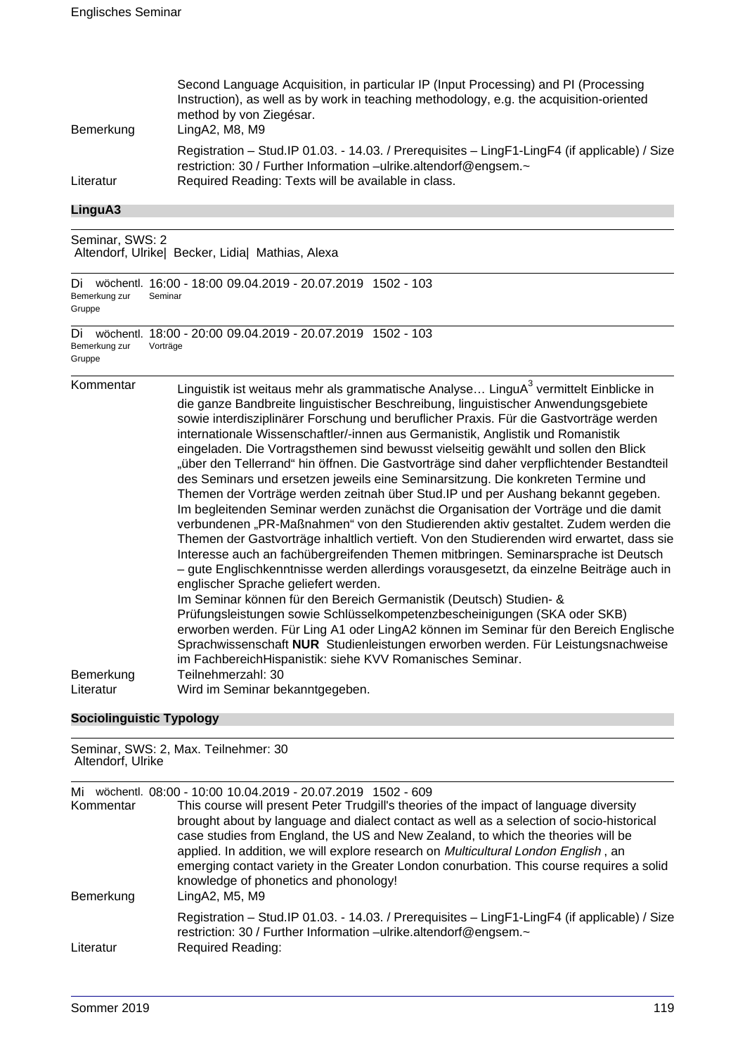| Bemerkung | Second Language Acquisition, in particular IP (Input Processing) and PI (Processing<br>Instruction), as well as by work in teaching methodology, e.g. the acquisition-oriented<br>method by von Ziegésar.<br>LingA2, M8, M9 |
|-----------|-----------------------------------------------------------------------------------------------------------------------------------------------------------------------------------------------------------------------------|
| Literatur | Registration - Stud. IP 01.03. - 14.03. / Prerequisites - LingF1-LingF4 (if applicable) / Size<br>restriction: 30 / Further Information -ulrike.altendorf@engsem.~<br>Required Reading: Texts will be available in class.   |

#### **LinguA3**

Seminar, SWS: 2 Altendorf, Ulrike| Becker, Lidia| Mathias, Alexa

Di wöchentl. 16:00 - 18:00 09.04.2019 - 20.07.2019 1502 - 103 Bemerkung zur Gruppe Seminar Di wöchentl. 18:00 - 20:00 09.04.2019 - 20.07.2019 1502 - 103 Bemerkung zur Vorträge

Gruppe

Kommentar binguistik ist weitaus mehr als grammatische Analyse... LinguA $^3$  vermittelt Einblicke in die ganze Bandbreite linguistischer Beschreibung, linguistischer Anwendungsgebiete sowie interdisziplinärer Forschung und beruflicher Praxis. Für die Gastvorträge werden internationale Wissenschaftler/-innen aus Germanistik, Anglistik und Romanistik eingeladen. Die Vortragsthemen sind bewusst vielseitig gewählt und sollen den Blick "über den Tellerrand" hin öffnen. Die Gastvorträge sind daher verpflichtender Bestandteil des Seminars und ersetzen jeweils eine Seminarsitzung. Die konkreten Termine und Themen der Vorträge werden zeitnah über Stud.IP und per Aushang bekannt gegeben. Im begleitenden Seminar werden zunächst die Organisation der Vorträge und die damit verbundenen "PR-Maßnahmen" von den Studierenden aktiv gestaltet. Zudem werden die Themen der Gastvorträge inhaltlich vertieft. Von den Studierenden wird erwartet, dass sie Interesse auch an fachübergreifenden Themen mitbringen. Seminarsprache ist Deutsch – gute Englischkenntnisse werden allerdings vorausgesetzt, da einzelne Beiträge auch in englischer Sprache geliefert werden. Im Seminar können für den Bereich Germanistik (Deutsch) Studien- & Prüfungsleistungen sowie Schlüsselkompetenzbescheinigungen (SKA oder SKB) erworben werden. Für Ling A1 oder LingA2 können im Seminar für den Bereich Englische Sprachwissenschaft **NUR** Studienleistungen erworben werden. Für Leistungsnachweise im FachbereichHispanistik: siehe KVV Romanisches Seminar. Bemerkung Teilnehmerzahl: 30 Literatur Wird im Seminar bekanntgegeben.

#### **Sociolinguistic Typology**

#### Seminar, SWS: 2, Max. Teilnehmer: 30 Altendorf, Ulrike

Mi wöchentl. 08:00 - 10:00 10.04.2019 - 20.07.2019 1502 - 609

| Kommentar<br>Bemerkung | This course will present Peter Trudgill's theories of the impact of language diversity<br>brought about by language and dialect contact as well as a selection of socio-historical<br>case studies from England, the US and New Zealand, to which the theories will be<br>applied. In addition, we will explore research on <i>Multicultural London English</i> , an<br>emerging contact variety in the Greater London conurbation. This course requires a solid<br>knowledge of phonetics and phonology!<br>LingA2, M5, M9 |
|------------------------|-----------------------------------------------------------------------------------------------------------------------------------------------------------------------------------------------------------------------------------------------------------------------------------------------------------------------------------------------------------------------------------------------------------------------------------------------------------------------------------------------------------------------------|
| Literatur              | Registration - Stud. IP 01.03. - 14.03. / Prerequisites - LingF1-LingF4 (if applicable) / Size<br>restriction: 30 / Further Information -ulrike.altendorf@engsem.~<br><b>Required Reading:</b>                                                                                                                                                                                                                                                                                                                              |
|                        |                                                                                                                                                                                                                                                                                                                                                                                                                                                                                                                             |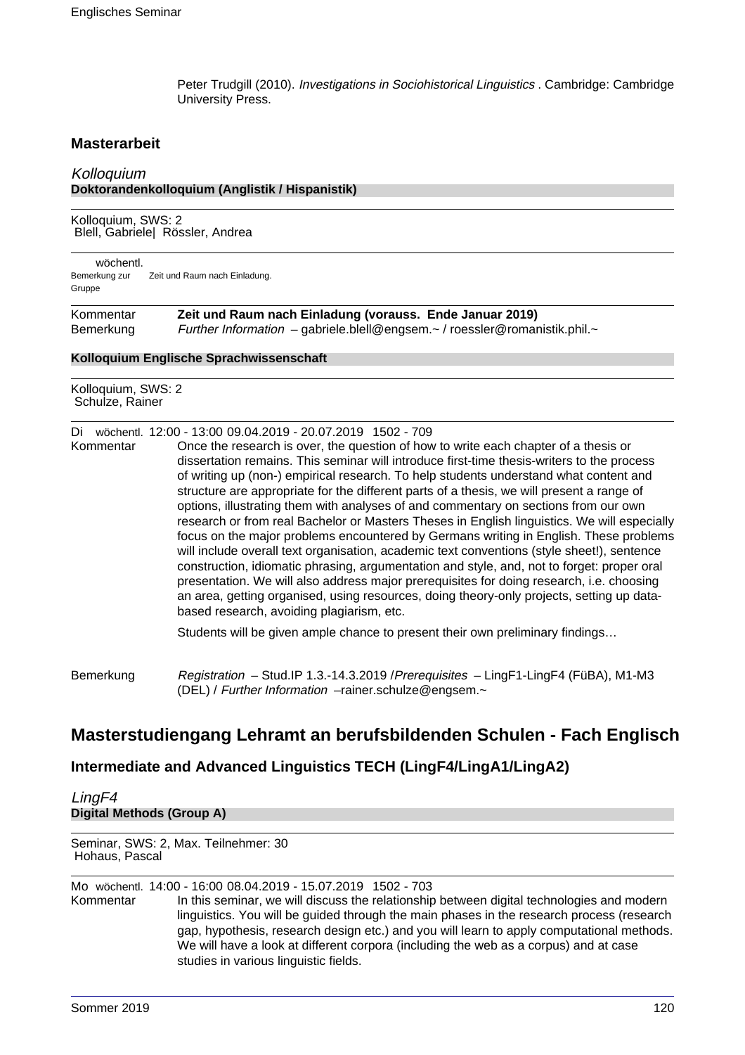Peter Trudgill (2010). Investigations in Sociohistorical Linguistics . Cambridge: Cambridge University Press.

## **Masterarbeit**

## Kolloquium **Doktorandenkolloquium (Anglistik / Hispanistik)**

Kolloquium, SWS: 2 Blell, Gabriele| Rössler, Andrea

wöchentl. Bemerkung zur Gruppe Zeit und Raum nach Einladung.

| Kommentar | Zeit und Raum nach Einladung (vorauss. Ende Januar 2019)                 |
|-----------|--------------------------------------------------------------------------|
| Bemerkung | Further Information - gabriele.blell@engsem.~/roessler@romanistik.phil.~ |

#### **Kolloquium Englische Sprachwissenschaft**

Kolloquium, SWS: 2 Schulze, Rainer

#### Di wöchentl. 12:00 - 13:00 09.04.2019 - 20.07.2019 1502 - 709

Kommentar Once the research is over, the question of how to write each chapter of a thesis or dissertation remains. This seminar will introduce first-time thesis-writers to the process of writing up (non-) empirical research. To help students understand what content and structure are appropriate for the different parts of a thesis, we will present a range of options, illustrating them with analyses of and commentary on sections from our own research or from real Bachelor or Masters Theses in English linguistics. We will especially focus on the major problems encountered by Germans writing in English. These problems will include overall text organisation, academic text conventions (style sheet!), sentence construction, idiomatic phrasing, argumentation and style, and, not to forget: proper oral presentation. We will also address major prerequisites for doing research, i.e. choosing an area, getting organised, using resources, doing theory-only projects, setting up databased research, avoiding plagiarism, etc.

Students will be given ample chance to present their own preliminary findings…

Bemerkung Registration – Stud.IP 1.3.-14.3.2019 / Prerequisites – LingF1-LingF4 (FüBA), M1-M3 (DEL) / Further Information –rainer.schulze@engsem.~

# **Masterstudiengang Lehramt an berufsbildenden Schulen - Fach Englisch**

## **Intermediate and Advanced Linguistics TECH (LingF4/LingA1/LingA2)**

## LingF4 **Digital Methods (Group A)**

Seminar, SWS: 2, Max. Teilnehmer: 30 Hohaus, Pascal

Mo wöchentl. 14:00 - 16:00 08.04.2019 - 15.07.2019 1502 - 703 In this seminar, we will discuss the relationship between digital technologies and modern linguistics. You will be guided through the main phases in the research process (research gap, hypothesis, research design etc.) and you will learn to apply computational methods. We will have a look at different corpora (including the web as a corpus) and at case studies in various linguistic fields.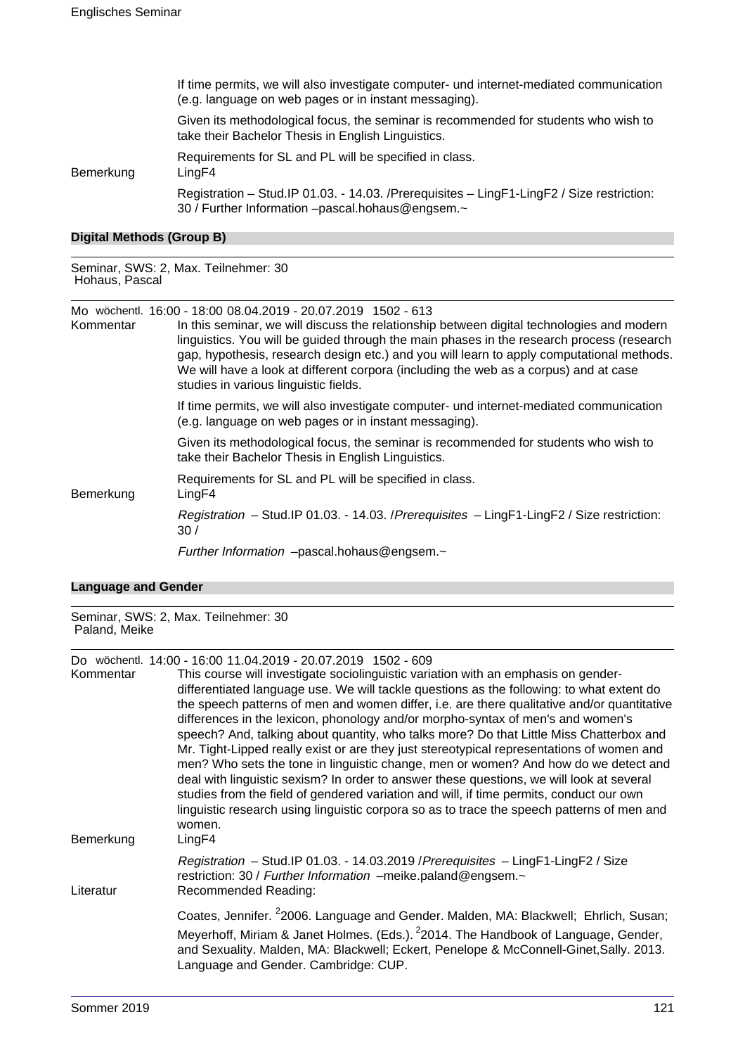If time permits, we will also investigate computer- und internet-mediated communication (e.g. language on web pages or in instant messaging).

Given its methodological focus, the seminar is recommended for students who wish to take their Bachelor Thesis in English Linguistics.

Requirements for SL and PL will be specified in class.

Bemerkung LingF4

Registration – Stud.IP 01.03. - 14.03. /Prerequisites – LingF1-LingF2 / Size restriction: 30 / Further Information –pascal.hohaus@engsem.~

#### **Digital Methods (Group B)**

Seminar, SWS: 2, Max. Teilnehmer: 30 Hohaus, Pascal

Mo wöchentl. 16:00 - 18:00 08.04.2019 - 20.07.2019 1502 - 613

| Kommentar | In this seminar, we will discuss the relationship between digital technologies and modern<br>linguistics. You will be guided through the main phases in the research process (research<br>gap, hypothesis, research design etc.) and you will learn to apply computational methods.<br>We will have a look at different corpora (including the web as a corpus) and at case<br>studies in various linguistic fields. |
|-----------|----------------------------------------------------------------------------------------------------------------------------------------------------------------------------------------------------------------------------------------------------------------------------------------------------------------------------------------------------------------------------------------------------------------------|
|           | If time permits, we will also investigate computer- und internet-mediated communication<br>(e.g. language on web pages or in instant messaging).                                                                                                                                                                                                                                                                     |
|           | Given its methodological focus, the seminar is recommended for students who wish to<br>take their Bachelor Thesis in English Linguistics.                                                                                                                                                                                                                                                                            |
| Bemerkung | Requirements for SL and PL will be specified in class.<br>LingF4                                                                                                                                                                                                                                                                                                                                                     |
|           | Registration - Stud.IP 01.03. - 14.03. / Prerequisites - LingF1-LingF2 / Size restriction:<br>30/                                                                                                                                                                                                                                                                                                                    |
|           | Further Information -pascal.hohaus@engsem.~                                                                                                                                                                                                                                                                                                                                                                          |

#### **Language and Gender**

Seminar, SWS: 2, Max. Teilnehmer: 30 Paland, Meike

## Do wöchentl. 14:00 - 16:00 11.04.2019 - 20.07.2019 1502 - 609

| Kommentar<br>Bemerkung | This course will investigate sociolinguistic variation with an emphasis on gender-<br>differentiated language use. We will tackle questions as the following: to what extent do<br>the speech patterns of men and women differ, i.e. are there qualitative and/or quantitative<br>differences in the lexicon, phonology and/or morpho-syntax of men's and women's<br>speech? And, talking about quantity, who talks more? Do that Little Miss Chatterbox and<br>Mr. Tight-Lipped really exist or are they just stereotypical representations of women and<br>men? Who sets the tone in linguistic change, men or women? And how do we detect and<br>deal with linguistic sexism? In order to answer these questions, we will look at several<br>studies from the field of gendered variation and will, if time permits, conduct our own<br>linguistic research using linguistic corpora so as to trace the speech patterns of men and<br>women.<br>LingF4 |
|------------------------|-----------------------------------------------------------------------------------------------------------------------------------------------------------------------------------------------------------------------------------------------------------------------------------------------------------------------------------------------------------------------------------------------------------------------------------------------------------------------------------------------------------------------------------------------------------------------------------------------------------------------------------------------------------------------------------------------------------------------------------------------------------------------------------------------------------------------------------------------------------------------------------------------------------------------------------------------------------|
| Literatur              | Registration - Stud.IP 01.03. - 14.03.2019 / Prerequisites - LingF1-LingF2 / Size<br>restriction: 30 / Further Information -meike.paland@engsem.~<br>Recommended Reading:                                                                                                                                                                                                                                                                                                                                                                                                                                                                                                                                                                                                                                                                                                                                                                                 |
|                        | Coates, Jennifer. <sup>2</sup> 2006. Language and Gender. Malden, MA: Blackwell; Ehrlich, Susan;<br>Meyerhoff, Miriam & Janet Holmes. (Eds.). <sup>2</sup> 2014. The Handbook of Language, Gender,<br>and Sexuality. Malden, MA: Blackwell; Eckert, Penelope & McConnell-Ginet, Sally. 2013.<br>Language and Gender. Cambridge: CUP.                                                                                                                                                                                                                                                                                                                                                                                                                                                                                                                                                                                                                      |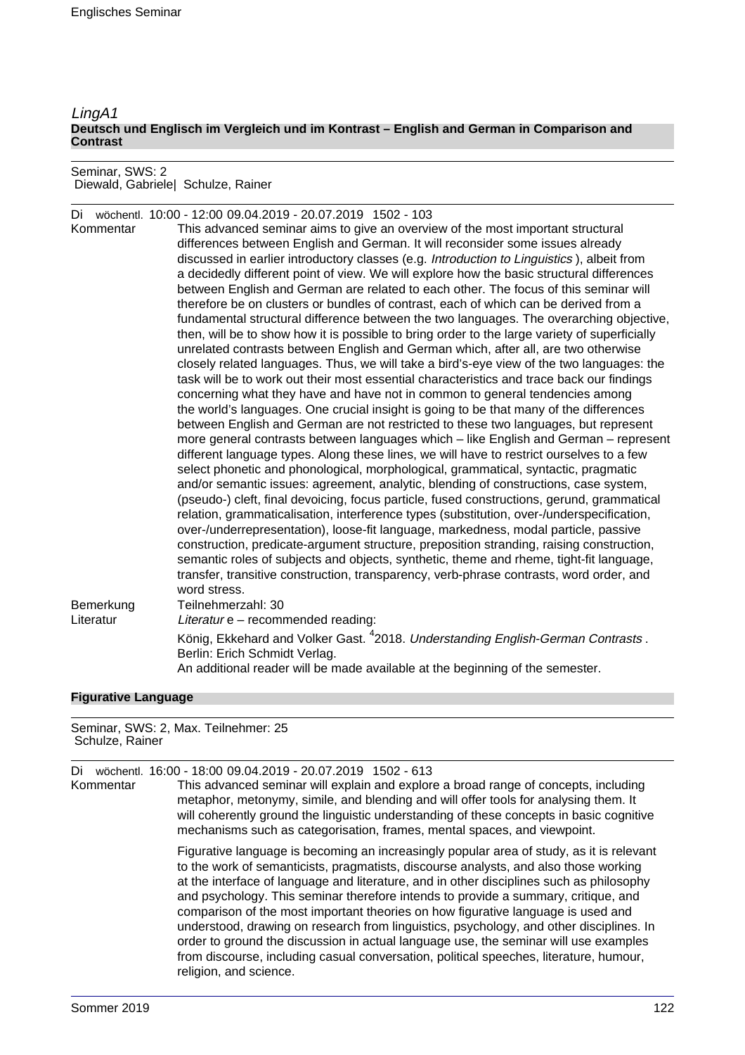#### LingA1 **Deutsch und Englisch im Vergleich und im Kontrast – English and German in Comparison and Contrast**

Seminar, SWS: 2 Diewald, Gabriele| Schulze, Rainer

|           | Di wöchentl. 10:00 - 12:00 09.04.2019 - 20.07.2019 1502 - 103                                 |
|-----------|-----------------------------------------------------------------------------------------------|
| Kommentar | This advanced seminar aims to give an overview of the most important structural               |
|           | differences between English and German. It will reconsider some issues already                |
|           | discussed in earlier introductory classes (e.g. Introduction to Linguistics), albeit from     |
|           | a decidedly different point of view. We will explore how the basic structural differences     |
|           | between English and German are related to each other. The focus of this seminar will          |
|           | therefore be on clusters or bundles of contrast, each of which can be derived from a          |
|           | fundamental structural difference between the two languages. The overarching objective,       |
|           | then, will be to show how it is possible to bring order to the large variety of superficially |
|           | unrelated contrasts between English and German which, after all, are two otherwise            |
|           | closely related languages. Thus, we will take a bird's-eye view of the two languages: the     |
|           | task will be to work out their most essential characteristics and trace back our findings     |
|           | concerning what they have and have not in common to general tendencies among                  |
|           | the world's languages. One crucial insight is going to be that many of the differences        |
|           | between English and German are not restricted to these two languages, but represent           |
|           | more general contrasts between languages which – like English and German – represent          |
|           | different language types. Along these lines, we will have to restrict ourselves to a few      |
|           | select phonetic and phonological, morphological, grammatical, syntactic, pragmatic            |
|           | and/or semantic issues: agreement, analytic, blending of constructions, case system,          |
|           | (pseudo-) cleft, final devoicing, focus particle, fused constructions, gerund, grammatical    |
|           | relation, grammaticalisation, interference types (substitution, over-/underspecification,     |
|           | over-/underrepresentation), loose-fit language, markedness, modal particle, passive           |
|           | construction, predicate-argument structure, preposition stranding, raising construction,      |
|           | semantic roles of subjects and objects, synthetic, theme and rheme, tight-fit language,       |
|           | transfer, transitive construction, transparency, verb-phrase contrasts, word order, and       |
|           | word stress.                                                                                  |
| Bemerkung | Teilnehmerzahl: 30                                                                            |
| Literatur | Literatur e - recommended reading:                                                            |
|           | König, Ekkehard and Volker Gast. <sup>4</sup> 2018. Understanding English-German Contrasts.   |
|           | Berlin: Erich Schmidt Verlag.                                                                 |
|           | An additional reader will be made available at the beginning of the semester.                 |

## **Figurative Language**

| Seminar, SWS: 2, Max. Teilnehmer: 25<br>Schulze, Rainer |                                                                                                                                                                                                                                                                                                                                                                                                                                                                                                                                                                                                                                                                                                                                                               |
|---------------------------------------------------------|---------------------------------------------------------------------------------------------------------------------------------------------------------------------------------------------------------------------------------------------------------------------------------------------------------------------------------------------------------------------------------------------------------------------------------------------------------------------------------------------------------------------------------------------------------------------------------------------------------------------------------------------------------------------------------------------------------------------------------------------------------------|
| Di<br>Kommentar                                         | wöchentl. 16:00 - 18:00 09:04.2019 - 20:07.2019 1502 - 613<br>This advanced seminar will explain and explore a broad range of concepts, including<br>metaphor, metonymy, simile, and blending and will offer tools for analysing them. It<br>will coherently ground the linguistic understanding of these concepts in basic cognitive<br>mechanisms such as categorisation, frames, mental spaces, and viewpoint.                                                                                                                                                                                                                                                                                                                                             |
|                                                         | Figurative language is becoming an increasingly popular area of study, as it is relevant<br>to the work of semanticists, pragmatists, discourse analysts, and also those working<br>at the interface of language and literature, and in other disciplines such as philosophy<br>and psychology. This seminar therefore intends to provide a summary, critique, and<br>comparison of the most important theories on how figurative language is used and<br>understood, drawing on research from linguistics, psychology, and other disciplines. In<br>order to ground the discussion in actual language use, the seminar will use examples<br>from discourse, including casual conversation, political speeches, literature, humour,<br>religion, and science. |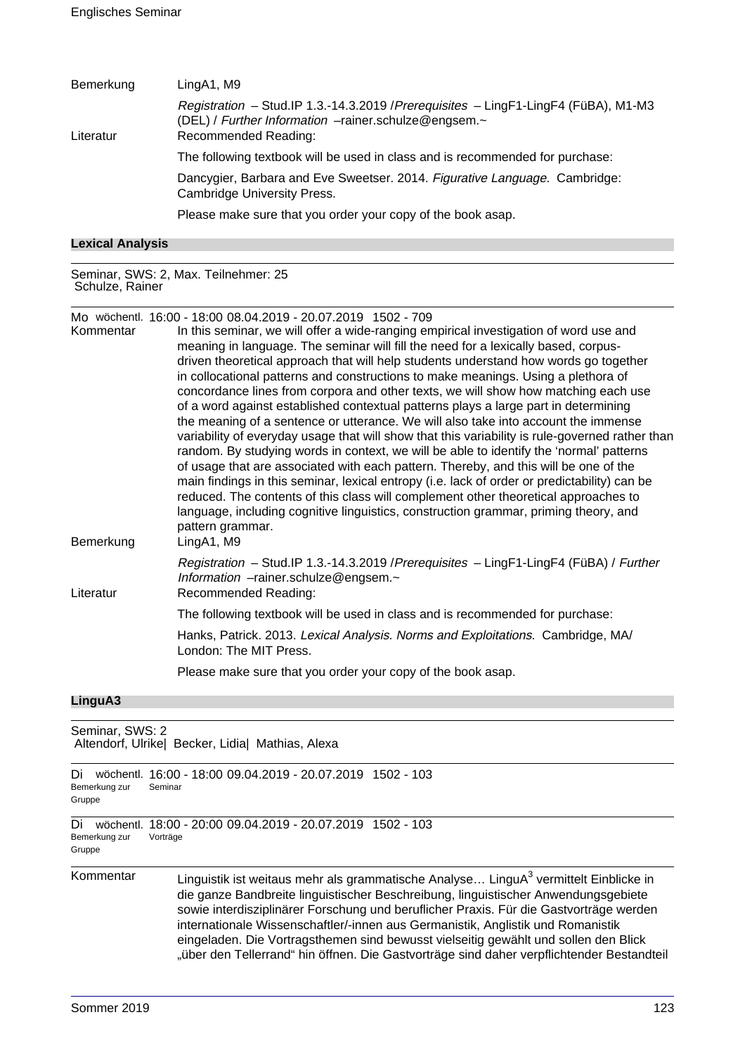| Bemerkung | LingA1, M9                                                                                                                                                          |
|-----------|---------------------------------------------------------------------------------------------------------------------------------------------------------------------|
| Literatur | Registration - Stud.IP 1.3.-14.3.2019 / Prerequisites - LingF1-LingF4 (FüBA), M1-M3<br>(DEL) / Further Information -rainer.schulze@engsem.~<br>Recommended Reading: |
|           | The following textbook will be used in class and is recommended for purchase:                                                                                       |
|           | Dancygier, Barbara and Eve Sweetser. 2014. Figurative Language. Cambridge:<br><b>Cambridge University Press.</b>                                                    |
|           | Please make sure that you order your copy of the book asap.                                                                                                         |
|           |                                                                                                                                                                     |

|  | <b>Lexical Analysis</b> |
|--|-------------------------|
|--|-------------------------|

Seminar, SWS: 2, Max. Teilnehmer: 25 Schulze, Rainer

Mo wöchentl. 16:00 - 18:00 08.04.2019 - 20.07.2019 1502 - 709

| Kommentar<br>Bemerkung | In this seminar, we will offer a wide-ranging empirical investigation of word use and<br>meaning in language. The seminar will fill the need for a lexically based, corpus-<br>driven theoretical approach that will help students understand how words go together<br>in collocational patterns and constructions to make meanings. Using a plethora of<br>concordance lines from corpora and other texts, we will show how matching each use<br>of a word against established contextual patterns plays a large part in determining<br>the meaning of a sentence or utterance. We will also take into account the immense<br>variability of everyday usage that will show that this variability is rule-governed rather than<br>random. By studying words in context, we will be able to identify the 'normal' patterns<br>of usage that are associated with each pattern. Thereby, and this will be one of the<br>main findings in this seminar, lexical entropy (i.e. lack of order or predictability) can be<br>reduced. The contents of this class will complement other theoretical approaches to<br>language, including cognitive linguistics, construction grammar, priming theory, and<br>pattern grammar.<br>LingA1, M9 |
|------------------------|------------------------------------------------------------------------------------------------------------------------------------------------------------------------------------------------------------------------------------------------------------------------------------------------------------------------------------------------------------------------------------------------------------------------------------------------------------------------------------------------------------------------------------------------------------------------------------------------------------------------------------------------------------------------------------------------------------------------------------------------------------------------------------------------------------------------------------------------------------------------------------------------------------------------------------------------------------------------------------------------------------------------------------------------------------------------------------------------------------------------------------------------------------------------------------------------------------------------------------|
| Literatur              | Registration - Stud.IP 1.3.-14.3.2019 / Prerequisites - LingF1-LingF4 (FüBA) / Further<br>Information -rainer.schulze@engsem.~<br>Recommended Reading:                                                                                                                                                                                                                                                                                                                                                                                                                                                                                                                                                                                                                                                                                                                                                                                                                                                                                                                                                                                                                                                                             |
|                        | The following textbook will be used in class and is recommended for purchase:                                                                                                                                                                                                                                                                                                                                                                                                                                                                                                                                                                                                                                                                                                                                                                                                                                                                                                                                                                                                                                                                                                                                                      |
|                        | Hanks, Patrick. 2013. Lexical Analysis. Norms and Exploitations. Cambridge, MA/<br>London: The MIT Press.                                                                                                                                                                                                                                                                                                                                                                                                                                                                                                                                                                                                                                                                                                                                                                                                                                                                                                                                                                                                                                                                                                                          |
|                        | Please make sure that you order your copy of the book asap.                                                                                                                                                                                                                                                                                                                                                                                                                                                                                                                                                                                                                                                                                                                                                                                                                                                                                                                                                                                                                                                                                                                                                                        |

# **LinguA3**

| Seminar, SWS: 2               | Altendorf, Ulrike  Becker, Lidia  Mathias, Alexa                                                                                                                                                                                                                                                                                                                                                                                                                                                                                                        |
|-------------------------------|---------------------------------------------------------------------------------------------------------------------------------------------------------------------------------------------------------------------------------------------------------------------------------------------------------------------------------------------------------------------------------------------------------------------------------------------------------------------------------------------------------------------------------------------------------|
| Di<br>Bemerkung zur<br>Gruppe | wöchentl. 16:00 - 18:00 09.04.2019 - 20.07.2019 1502 - 103<br>Seminar                                                                                                                                                                                                                                                                                                                                                                                                                                                                                   |
| Di<br>Bemerkung zur<br>Gruppe | wöchentl. 18:00 - 20:00 09:04.2019 - 20:07.2019 1502 - 103<br>Vorträge                                                                                                                                                                                                                                                                                                                                                                                                                                                                                  |
| Kommentar                     | Linguistik ist weitaus mehr als grammatische Analyse LinguA <sup>3</sup> vermittelt Einblicke in<br>die ganze Bandbreite linguistischer Beschreibung, linguistischer Anwendungsgebiete<br>sowie interdisziplinärer Forschung und beruflicher Praxis. Für die Gastvorträge werden<br>internationale Wissenschaftler/-innen aus Germanistik, Anglistik und Romanistik<br>eingeladen. Die Vortragsthemen sind bewusst vielseitig gewählt und sollen den Blick<br>"über den Tellerrand" hin öffnen. Die Gastvorträge sind daher verpflichtender Bestandteil |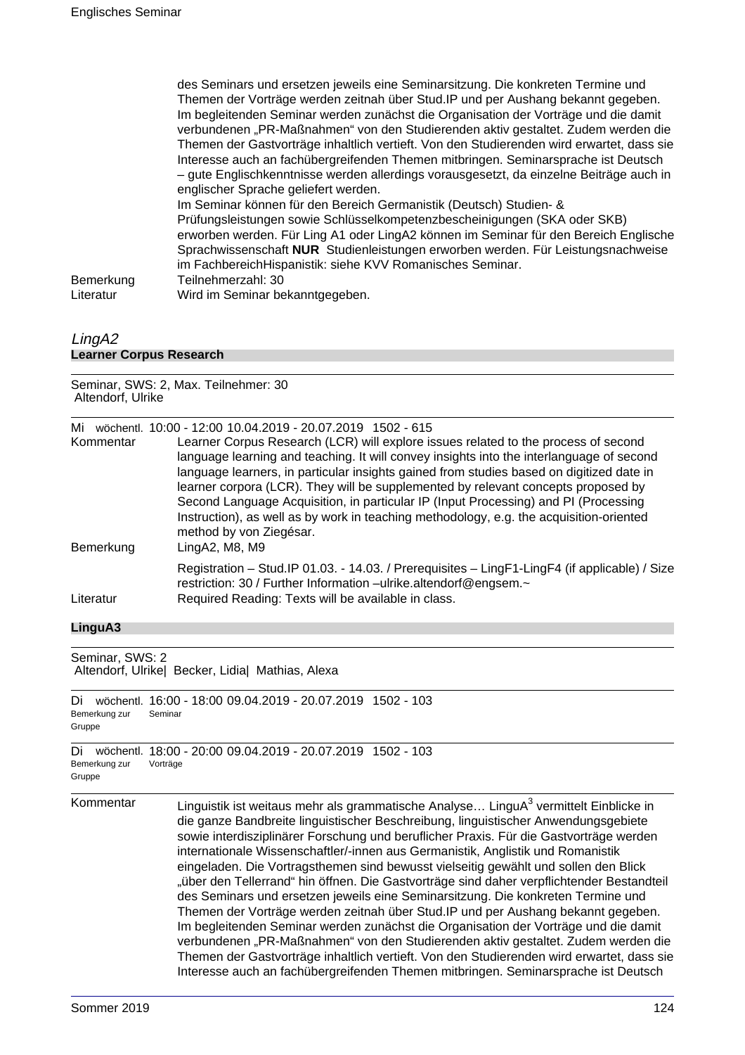des Seminars und ersetzen jeweils eine Seminarsitzung. Die konkreten Termine und Themen der Vorträge werden zeitnah über Stud.IP und per Aushang bekannt gegeben. Im begleitenden Seminar werden zunächst die Organisation der Vorträge und die damit verbundenen "PR-Maßnahmen" von den Studierenden aktiv gestaltet. Zudem werden die Themen der Gastvorträge inhaltlich vertieft. Von den Studierenden wird erwartet, dass sie Interesse auch an fachübergreifenden Themen mitbringen. Seminarsprache ist Deutsch – gute Englischkenntnisse werden allerdings vorausgesetzt, da einzelne Beiträge auch in englischer Sprache geliefert werden. Im Seminar können für den Bereich Germanistik (Deutsch) Studien- & Prüfungsleistungen sowie Schlüsselkompetenzbescheinigungen (SKA oder SKB) erworben werden. Für Ling A1 oder LingA2 können im Seminar für den Bereich Englische Sprachwissenschaft **NUR** Studienleistungen erworben werden. Für Leistungsnachweise im FachbereichHispanistik: siehe KVV Romanisches Seminar. Bemerkung Teilnehmerzahl: 30 Literatur Wird im Seminar bekanntgegeben.

#### LingA2 **Learner Corpus Research**

Seminar, SWS: 2, Max. Teilnehmer: 30 Altendorf, Ulrike

| Mi<br>Kommentar | wöchentl. 10:00 - 12:00 10:04.2019 - 20:07.2019 1502 - 615<br>Learner Corpus Research (LCR) will explore issues related to the process of second<br>language learning and teaching. It will convey insights into the interlanguage of second<br>language learners, in particular insights gained from studies based on digitized date in<br>learner corpora (LCR). They will be supplemented by relevant concepts proposed by<br>Second Language Acquisition, in particular IP (Input Processing) and PI (Processing<br>Instruction), as well as by work in teaching methodology, e.g. the acquisition-oriented<br>method by von Ziegésar. |
|-----------------|--------------------------------------------------------------------------------------------------------------------------------------------------------------------------------------------------------------------------------------------------------------------------------------------------------------------------------------------------------------------------------------------------------------------------------------------------------------------------------------------------------------------------------------------------------------------------------------------------------------------------------------------|
| Bemerkung       | LingA2, M8, M9<br>Registration - Stud. IP 01.03. - 14.03. / Prerequisites - LingF1-LingF4 (if applicable) / Size                                                                                                                                                                                                                                                                                                                                                                                                                                                                                                                           |
| Literatur       | restriction: 30 / Further Information -ulrike.altendorf@engsem.~<br>Required Reading: Texts will be available in class.                                                                                                                                                                                                                                                                                                                                                                                                                                                                                                                    |

#### **LinguA3**

Seminar, SWS: 2 Altendorf, Ulrike| Becker, Lidia| Mathias, Alexa

```
Di wöchentl. 16:00 - 18:00 09.04.2019 - 20.07.2019 1502 - 103
Bemerkung zur
Gruppe
              Seminar
```

```
Di wöchentl. 18:00 - 20:00 09.04.2019 - 20.07.2019 1502 - 103
Bemerkung zur
Gruppe
              Vorträge
```
Kommentar  $\qquad \qquad$  Linguistik ist weitaus mehr als grammatische Analyse... LinguA $^3$  vermittelt Einblicke in die ganze Bandbreite linguistischer Beschreibung, linguistischer Anwendungsgebiete sowie interdisziplinärer Forschung und beruflicher Praxis. Für die Gastvorträge werden internationale Wissenschaftler/-innen aus Germanistik, Anglistik und Romanistik eingeladen. Die Vortragsthemen sind bewusst vielseitig gewählt und sollen den Blick "über den Tellerrand" hin öffnen. Die Gastvorträge sind daher verpflichtender Bestandteil des Seminars und ersetzen jeweils eine Seminarsitzung. Die konkreten Termine und Themen der Vorträge werden zeitnah über Stud.IP und per Aushang bekannt gegeben. Im begleitenden Seminar werden zunächst die Organisation der Vorträge und die damit verbundenen "PR-Maßnahmen" von den Studierenden aktiv gestaltet. Zudem werden die Themen der Gastvorträge inhaltlich vertieft. Von den Studierenden wird erwartet, dass sie Interesse auch an fachübergreifenden Themen mitbringen. Seminarsprache ist Deutsch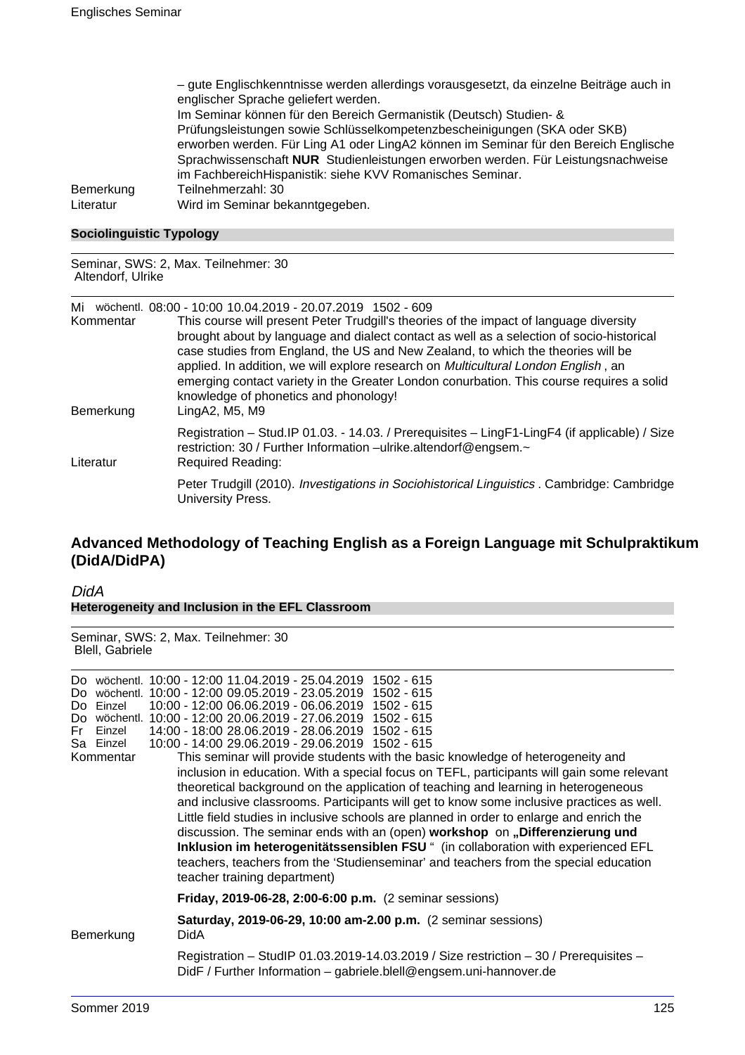| - gute Englischkenntnisse werden allerdings vorausgesetzt, da einzelne Beiträge auch in |
|-----------------------------------------------------------------------------------------|
| englischer Sprache geliefert werden.                                                    |
| Im Seminar können für den Bereich Germanistik (Deutsch) Studien- &                      |
| Prüfungsleistungen sowie Schlüsselkompetenzbescheinigungen (SKA oder SKB)               |
| erworben werden. Für Ling A1 oder LingA2 können im Seminar für den Bereich Englische    |
| Sprachwissenschaft NUR Studienleistungen erworben werden. Für Leistungsnachweise        |
| im FachbereichHispanistik: siehe KVV Romanisches Seminar.                               |
| Teilnehmerzahl: 30                                                                      |
| Wird im Seminar bekanntgegeben.                                                         |
|                                                                                         |

#### **Sociolinguistic Typology**

Seminar, SWS: 2, Max. Teilnehmer: 30 Altendorf, Ulrike

Mi wöchentl. 08:00 - 10:00 10.04.2019 - 20.07.2019 1502 - 609

| Kommentar<br>Bemerkung | This course will present Peter Trudgill's theories of the impact of language diversity<br>brought about by language and dialect contact as well as a selection of socio-historical<br>case studies from England, the US and New Zealand, to which the theories will be<br>applied. In addition, we will explore research on <i>Multicultural London English</i> , an<br>emerging contact variety in the Greater London conurbation. This course requires a solid<br>knowledge of phonetics and phonology!<br>LingA2, M5, M9 |
|------------------------|-----------------------------------------------------------------------------------------------------------------------------------------------------------------------------------------------------------------------------------------------------------------------------------------------------------------------------------------------------------------------------------------------------------------------------------------------------------------------------------------------------------------------------|
| Literatur              | Registration - Stud. IP 01.03. - 14.03. / Prerequisites - LingF1-LingF4 (if applicable) / Size<br>restriction: 30 / Further Information -ulrike.altendorf@engsem.~<br>Required Reading:                                                                                                                                                                                                                                                                                                                                     |
|                        | Peter Trudgill (2010). Investigations in Sociohistorical Linguistics . Cambridge: Cambridge<br>University Press.                                                                                                                                                                                                                                                                                                                                                                                                            |

# **Advanced Methodology of Teaching English as a Foreign Language mit Schulpraktikum (DidA/DidPA)**

DidA **Heterogeneity and Inclusion in the EFL Classroom**

Seminar, SWS: 2, Max. Teilnehmer: 30 Blell, Gabriele

| Do.<br>Fri | Do Einzel<br>Einzel<br>Sa Einzel<br>Kommentar | Do wöchentl. 10:00 - 12:00 11.04.2019 - 25.04.2019 1502 - 615<br>wöchentl. 10:00 - 12:00 09.05.2019 - 23.05.2019 1502 - 615<br>10:00 - 12:00 06.06.2019 - 06.06.2019 1502 - 615<br>Do wöchentl. 10:00 - 12:00 20.06.2019 - 27.06.2019 1502 - 615<br>14:00 - 18:00 28.06.2019 - 28.06.2019 1502 - 615<br>10:00 - 14:00 29.06.2019 - 29.06.2019 1502 - 615<br>This seminar will provide students with the basic knowledge of heterogeneity and<br>inclusion in education. With a special focus on TEFL, participants will gain some relevant<br>theoretical background on the application of teaching and learning in heterogeneous<br>and inclusive classrooms. Participants will get to know some inclusive practices as well.<br>Little field studies in inclusive schools are planned in order to enlarge and enrich the<br>discussion. The seminar ends with an (open) workshop on "Differenzierung und<br>Inklusion im heterogenitätssensiblen FSU " (in collaboration with experienced EFL<br>teachers, teachers from the 'Studienseminar' and teachers from the special education<br>teacher training department) |
|------------|-----------------------------------------------|-------------------------------------------------------------------------------------------------------------------------------------------------------------------------------------------------------------------------------------------------------------------------------------------------------------------------------------------------------------------------------------------------------------------------------------------------------------------------------------------------------------------------------------------------------------------------------------------------------------------------------------------------------------------------------------------------------------------------------------------------------------------------------------------------------------------------------------------------------------------------------------------------------------------------------------------------------------------------------------------------------------------------------------------------------------------------------------------------------------------------|
|            |                                               | Friday, 2019-06-28, 2:00-6:00 p.m. (2 seminar sessions)                                                                                                                                                                                                                                                                                                                                                                                                                                                                                                                                                                                                                                                                                                                                                                                                                                                                                                                                                                                                                                                                 |
|            | Bemerkung                                     | Saturday, 2019-06-29, 10:00 am-2.00 p.m. (2 seminar sessions)<br><b>DidA</b>                                                                                                                                                                                                                                                                                                                                                                                                                                                                                                                                                                                                                                                                                                                                                                                                                                                                                                                                                                                                                                            |
|            |                                               | Registration - StudIP 01.03.2019-14.03.2019 / Size restriction - 30 / Prerequisites -<br>DidF / Further Information - gabriele.blell@engsem.uni-hannover.de                                                                                                                                                                                                                                                                                                                                                                                                                                                                                                                                                                                                                                                                                                                                                                                                                                                                                                                                                             |
|            |                                               |                                                                                                                                                                                                                                                                                                                                                                                                                                                                                                                                                                                                                                                                                                                                                                                                                                                                                                                                                                                                                                                                                                                         |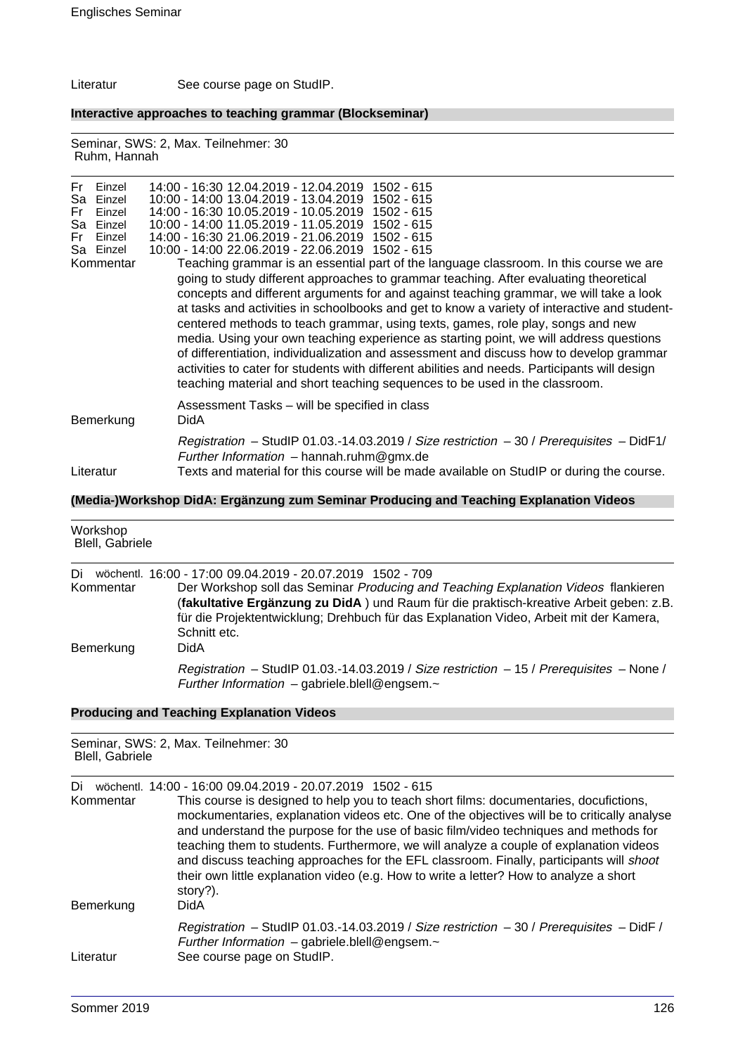Literatur See course page on StudIP.

**Interactive approaches to teaching grammar (Blockseminar)**

Seminar, SWS: 2, Max. Teilnehmer: 30 Ruhm, Hannah

| Fr Einzel<br>Sa Einzel<br>Fr<br>Einzel<br>Sa Einzel<br>Fr<br>Einzel<br>Sa Einzel<br>Kommentar | 14:00 - 16:30 12:04.2019 - 12:04.2019 1502 - 615<br>10:00 - 14:00 13.04.2019 - 13.04.2019 1502 - 615<br>14:00 - 16:30 10.05.2019 - 10.05.2019 1502 - 615<br>10:00 - 14:00 11.05.2019 - 11.05.2019 1502 - 615<br>14:00 - 16:30 21.06.2019 - 21.06.2019 1502 - 615<br>10:00 - 14:00 22.06.2019 - 22.06.2019 1502 - 615<br>Teaching grammar is an essential part of the language classroom. In this course we are<br>going to study different approaches to grammar teaching. After evaluating theoretical<br>concepts and different arguments for and against teaching grammar, we will take a look<br>at tasks and activities in schoolbooks and get to know a variety of interactive and student-<br>centered methods to teach grammar, using texts, games, role play, songs and new<br>media. Using your own teaching experience as starting point, we will address questions<br>of differentiation, individualization and assessment and discuss how to develop grammar<br>activities to cater for students with different abilities and needs. Participants will design<br>teaching material and short teaching sequences to be used in the classroom. |
|-----------------------------------------------------------------------------------------------|-----------------------------------------------------------------------------------------------------------------------------------------------------------------------------------------------------------------------------------------------------------------------------------------------------------------------------------------------------------------------------------------------------------------------------------------------------------------------------------------------------------------------------------------------------------------------------------------------------------------------------------------------------------------------------------------------------------------------------------------------------------------------------------------------------------------------------------------------------------------------------------------------------------------------------------------------------------------------------------------------------------------------------------------------------------------------------------------------------------------------------------------------------------|
| Bemerkung                                                                                     | Assessment Tasks - will be specified in class<br>DidA                                                                                                                                                                                                                                                                                                                                                                                                                                                                                                                                                                                                                                                                                                                                                                                                                                                                                                                                                                                                                                                                                                     |
|                                                                                               | Registration - StudIP 01.03.-14.03.2019 / Size restriction - 30 / Prerequisites - DidF1/                                                                                                                                                                                                                                                                                                                                                                                                                                                                                                                                                                                                                                                                                                                                                                                                                                                                                                                                                                                                                                                                  |

## **(Media-)Workshop DidA: Ergänzung zum Seminar Producing and Teaching Explanation Videos**

Literatur Texts and material for this course will be made available on StudIP or during the course.

Further Information – hannah.ruhm@gmx.de

| Workshop<br>Blell, Gabriele |                                                                                                                                                                                                                                                                                                                                                      |
|-----------------------------|------------------------------------------------------------------------------------------------------------------------------------------------------------------------------------------------------------------------------------------------------------------------------------------------------------------------------------------------------|
| Di<br>Kommentar             | wöchentl. 16:00 - 17:00 09:04.2019 - 20:07.2019 1502 - 709<br>Der Workshop soll das Seminar Producing and Teaching Explanation Videos flankieren<br>(fakultative Ergänzung zu DidA) und Raum für die praktisch-kreative Arbeit geben: z.B.<br>für die Projektentwicklung; Drehbuch für das Explanation Video, Arbeit mit der Kamera,<br>Schnitt etc. |
| Bemerkung                   | DidA<br>Registration - StudIP 01.03.-14.03.2019 / Size restriction - 15 / Prerequisites - None /<br>Further Information - gabriele.blell@engsem.~                                                                                                                                                                                                    |

## **Producing and Teaching Explanation Videos**

| Seminar, SWS: 2, Max. Teilnehmer: 30<br>Blell, Gabriele |                                                                                                                                                                                                                                                                                                                                                                                                                                                                                                                                                                                                                                         |
|---------------------------------------------------------|-----------------------------------------------------------------------------------------------------------------------------------------------------------------------------------------------------------------------------------------------------------------------------------------------------------------------------------------------------------------------------------------------------------------------------------------------------------------------------------------------------------------------------------------------------------------------------------------------------------------------------------------|
| Di<br>Kommentar                                         | wöchentl. 14:00 - 16:00 09:04.2019 - 20:07.2019 1502 - 615<br>This course is designed to help you to teach short films: documentaries, docufictions,<br>mockumentaries, explanation videos etc. One of the objectives will be to critically analyse<br>and understand the purpose for the use of basic film/video techniques and methods for<br>teaching them to students. Furthermore, we will analyze a couple of explanation videos<br>and discuss teaching approaches for the EFL classroom. Finally, participants will shoot<br>their own little explanation video (e.g. How to write a letter? How to analyze a short<br>story?). |
| Bemerkung                                               | DidA                                                                                                                                                                                                                                                                                                                                                                                                                                                                                                                                                                                                                                    |
| Literatur                                               | Registration – StudIP 01.03.-14.03.2019 / Size restriction – 30 / Prerequisites – DidF /<br>Further Information – gabriele.blell@engsem. $\sim$<br>See course page on StudIP.                                                                                                                                                                                                                                                                                                                                                                                                                                                           |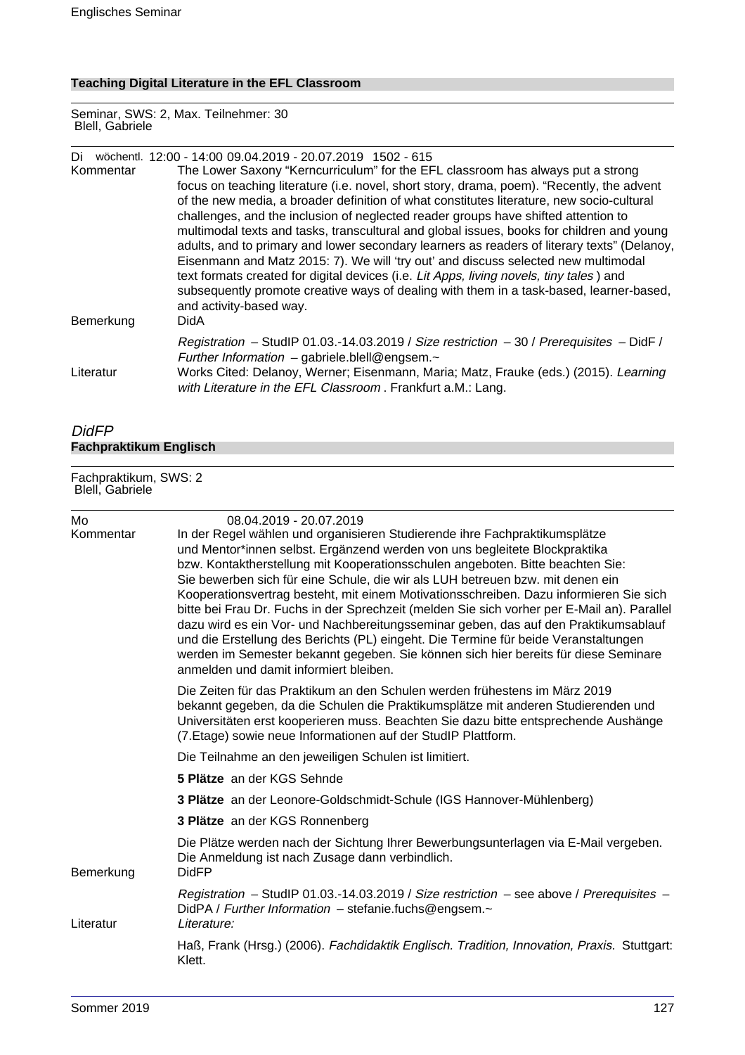## **Teaching Digital Literature in the EFL Classroom**

Seminar, SWS: 2, Max. Teilnehmer: 30 Blell, Gabriele

| Di        |                                                                                            | wöchentl. 12:00 - 14:00 09.04.2019 - 20.07.2019 1502 - 615                                  |
|-----------|--------------------------------------------------------------------------------------------|---------------------------------------------------------------------------------------------|
| Kommentar | The Lower Saxony "Kerncurriculum" for the EFL classroom has always put a strong            |                                                                                             |
|           | focus on teaching literature (i.e. novel, short story, drama, poem). "Recently, the advent |                                                                                             |
|           |                                                                                            | of the new media, a broader definition of what constitutes literature, new socio-cultural   |
|           |                                                                                            | challenges, and the inclusion of neglected reader groups have shifted attention to          |
|           |                                                                                            | multimodal texts and tasks, transcultural and global issues, books for children and young   |
|           |                                                                                            | adults, and to primary and lower secondary learners as readers of literary texts" (Delanoy, |
|           |                                                                                            | Eisenmann and Matz 2015: 7). We will 'try out' and discuss selected new multimodal          |
|           |                                                                                            | text formats created for digital devices (i.e. Lit Apps, living novels, tiny tales) and     |
|           |                                                                                            | subsequently promote creative ways of dealing with them in a task-based, learner-based,     |
|           |                                                                                            | and activity-based way.                                                                     |
|           | Bemerkung                                                                                  | DidA                                                                                        |
|           |                                                                                            | Registration - StudIP 01.03.-14.03.2019 / Size restriction - 30 / Prerequisites - DidF /    |
|           |                                                                                            | Further Information $-$ gabriele.blell@engsem. $\sim$                                       |
| Literatur |                                                                                            | Works Cited: Delanoy, Werner; Eisenmann, Maria; Matz, Frauke (eds.) (2015). Learning        |
|           |                                                                                            | with Literature in the EFL Classroom. Frankfurt a.M.: Lang.                                 |

## DidFP **Fachpraktikum Englisch**

#### Fachpraktikum, SWS: 2 Blell, Gabriele

| Mo<br>Kommentar | 08.04.2019 - 20.07.2019<br>In der Regel wählen und organisieren Studierende ihre Fachpraktikumsplätze<br>und Mentor*innen selbst. Ergänzend werden von uns begleitete Blockpraktika<br>bzw. Kontaktherstellung mit Kooperationsschulen angeboten. Bitte beachten Sie:<br>Sie bewerben sich für eine Schule, die wir als LUH betreuen bzw. mit denen ein<br>Kooperationsvertrag besteht, mit einem Motivationsschreiben. Dazu informieren Sie sich<br>bitte bei Frau Dr. Fuchs in der Sprechzeit (melden Sie sich vorher per E-Mail an). Parallel<br>dazu wird es ein Vor- und Nachbereitungsseminar geben, das auf den Praktikumsablauf<br>und die Erstellung des Berichts (PL) eingeht. Die Termine für beide Veranstaltungen<br>werden im Semester bekannt gegeben. Sie können sich hier bereits für diese Seminare<br>anmelden und damit informiert bleiben. |
|-----------------|-----------------------------------------------------------------------------------------------------------------------------------------------------------------------------------------------------------------------------------------------------------------------------------------------------------------------------------------------------------------------------------------------------------------------------------------------------------------------------------------------------------------------------------------------------------------------------------------------------------------------------------------------------------------------------------------------------------------------------------------------------------------------------------------------------------------------------------------------------------------|
|                 | Die Zeiten für das Praktikum an den Schulen werden frühestens im März 2019<br>bekannt gegeben, da die Schulen die Praktikumsplätze mit anderen Studierenden und<br>Universitäten erst kooperieren muss. Beachten Sie dazu bitte entsprechende Aushänge<br>(7. Etage) sowie neue Informationen auf der StudIP Plattform.                                                                                                                                                                                                                                                                                                                                                                                                                                                                                                                                         |
|                 | Die Teilnahme an den jeweiligen Schulen ist limitiert.                                                                                                                                                                                                                                                                                                                                                                                                                                                                                                                                                                                                                                                                                                                                                                                                          |
|                 | 5 Plätze an der KGS Sehnde                                                                                                                                                                                                                                                                                                                                                                                                                                                                                                                                                                                                                                                                                                                                                                                                                                      |
|                 | 3 Plätze an der Leonore-Goldschmidt-Schule (IGS Hannover-Mühlenberg)                                                                                                                                                                                                                                                                                                                                                                                                                                                                                                                                                                                                                                                                                                                                                                                            |
|                 | 3 Plätze an der KGS Ronnenberg                                                                                                                                                                                                                                                                                                                                                                                                                                                                                                                                                                                                                                                                                                                                                                                                                                  |
| Bemerkung       | Die Plätze werden nach der Sichtung Ihrer Bewerbungsunterlagen via E-Mail vergeben.<br>Die Anmeldung ist nach Zusage dann verbindlich.<br><b>DidFP</b>                                                                                                                                                                                                                                                                                                                                                                                                                                                                                                                                                                                                                                                                                                          |
| Literatur       | Registration - StudIP 01.03.-14.03.2019 / Size restriction - see above / Prerequisites -<br>DidPA / Further Information - stefanie.fuchs@engsem.~<br>Literature:                                                                                                                                                                                                                                                                                                                                                                                                                                                                                                                                                                                                                                                                                                |
|                 | Haß, Frank (Hrsg.) (2006). Fachdidaktik Englisch. Tradition, Innovation, Praxis. Stuttgart:<br>Klett.                                                                                                                                                                                                                                                                                                                                                                                                                                                                                                                                                                                                                                                                                                                                                           |
|                 |                                                                                                                                                                                                                                                                                                                                                                                                                                                                                                                                                                                                                                                                                                                                                                                                                                                                 |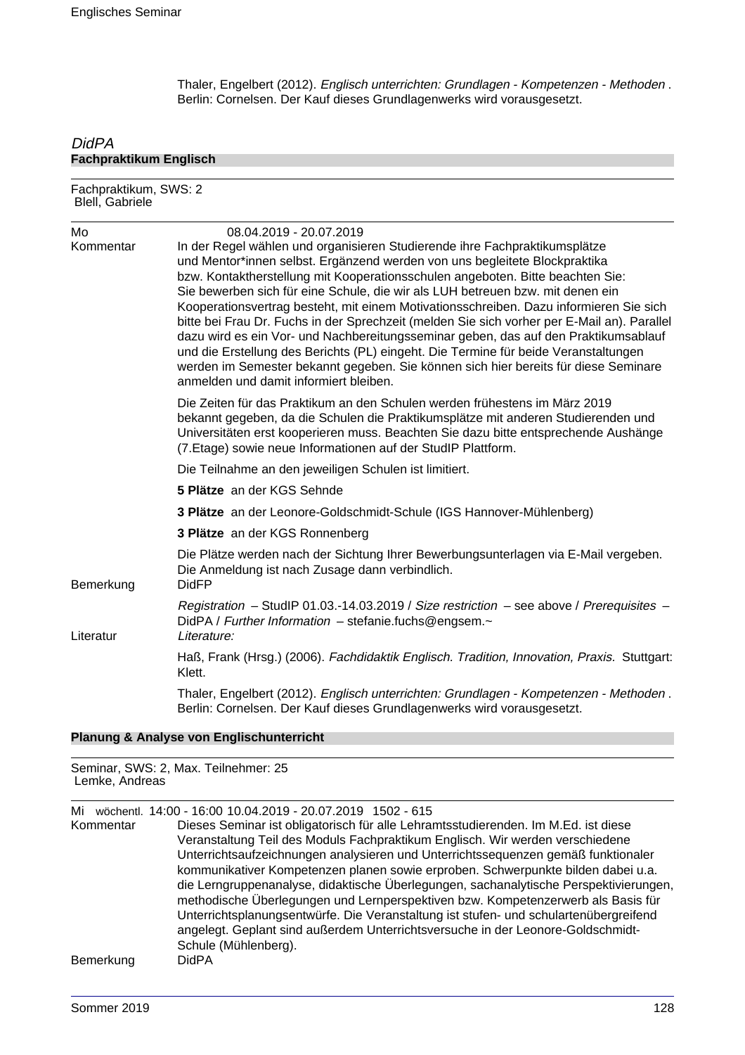Thaler, Engelbert (2012). Englisch unterrichten: Grundlagen - Kompetenzen - Methoden . Berlin: Cornelsen. Der Kauf dieses Grundlagenwerks wird vorausgesetzt.

### **DidPA Fachpraktikum Englisch**

Fachpraktikum, SWS: 2 Blell, Gabriele Mo 08.04.2019 - 20.07.2019 Kommentar In der Regel wählen und organisieren Studierende ihre Fachpraktikumsplätze und Mentor\*innen selbst. Ergänzend werden von uns begleitete Blockpraktika bzw. Kontaktherstellung mit Kooperationsschulen angeboten. Bitte beachten Sie: Sie bewerben sich für eine Schule, die wir als LUH betreuen bzw. mit denen ein Kooperationsvertrag besteht, mit einem Motivationsschreiben. Dazu informieren Sie sich bitte bei Frau Dr. Fuchs in der Sprechzeit (melden Sie sich vorher per E-Mail an). Parallel dazu wird es ein Vor- und Nachbereitungsseminar geben, das auf den Praktikumsablauf und die Erstellung des Berichts (PL) eingeht. Die Termine für beide Veranstaltungen werden im Semester bekannt gegeben. Sie können sich hier bereits für diese Seminare anmelden und damit informiert bleiben. Die Zeiten für das Praktikum an den Schulen werden frühestens im März 2019 bekannt gegeben, da die Schulen die Praktikumsplätze mit anderen Studierenden und Universitäten erst kooperieren muss. Beachten Sie dazu bitte entsprechende Aushänge (7.Etage) sowie neue Informationen auf der StudIP Plattform. Die Teilnahme an den jeweiligen Schulen ist limitiert. **5 Plätze** an der KGS Sehnde **3 Plätze** an der Leonore-Goldschmidt-Schule (IGS Hannover-Mühlenberg) **3 Plätze** an der KGS Ronnenberg Die Plätze werden nach der Sichtung Ihrer Bewerbungsunterlagen via E-Mail vergeben. Die Anmeldung ist nach Zusage dann verbindlich. Bemerkung DidFP Registration – StudIP 01.03.-14.03.2019 / Size restriction – see above / Prerequisites – DidPA / Further Information - stefanie.fuchs@engsem.~ Literatur Literature: Haß, Frank (Hrsg.) (2006). Fachdidaktik Englisch. Tradition, Innovation, Praxis. Stuttgart: Klett. Thaler, Engelbert (2012). Englisch unterrichten: Grundlagen - Kompetenzen - Methoden . Berlin: Cornelsen. Der Kauf dieses Grundlagenwerks wird vorausgesetzt.

#### **Planung & Analyse von Englischunterricht**

Seminar, SWS: 2, Max. Teilnehmer: 25 Lemke, Andreas

Mi wöchentl. 14:00 - 16:00 10.04.2019 - 20.07.2019 1502 - 615

Kommentar Dieses Seminar ist obligatorisch für alle Lehramtsstudierenden. Im M.Ed. ist diese Veranstaltung Teil des Moduls Fachpraktikum Englisch. Wir werden verschiedene Unterrichtsaufzeichnungen analysieren und Unterrichtssequenzen gemäß funktionaler kommunikativer Kompetenzen planen sowie erproben. Schwerpunkte bilden dabei u.a. die Lerngruppenanalyse, didaktische Überlegungen, sachanalytische Perspektivierungen, methodische Überlegungen und Lernperspektiven bzw. Kompetenzerwerb als Basis für Unterrichtsplanungsentwürfe. Die Veranstaltung ist stufen- und schulartenübergreifend angelegt. Geplant sind außerdem Unterrichtsversuche in der Leonore-Goldschmidt-Schule (Mühlenberg). Bemerkung DidPA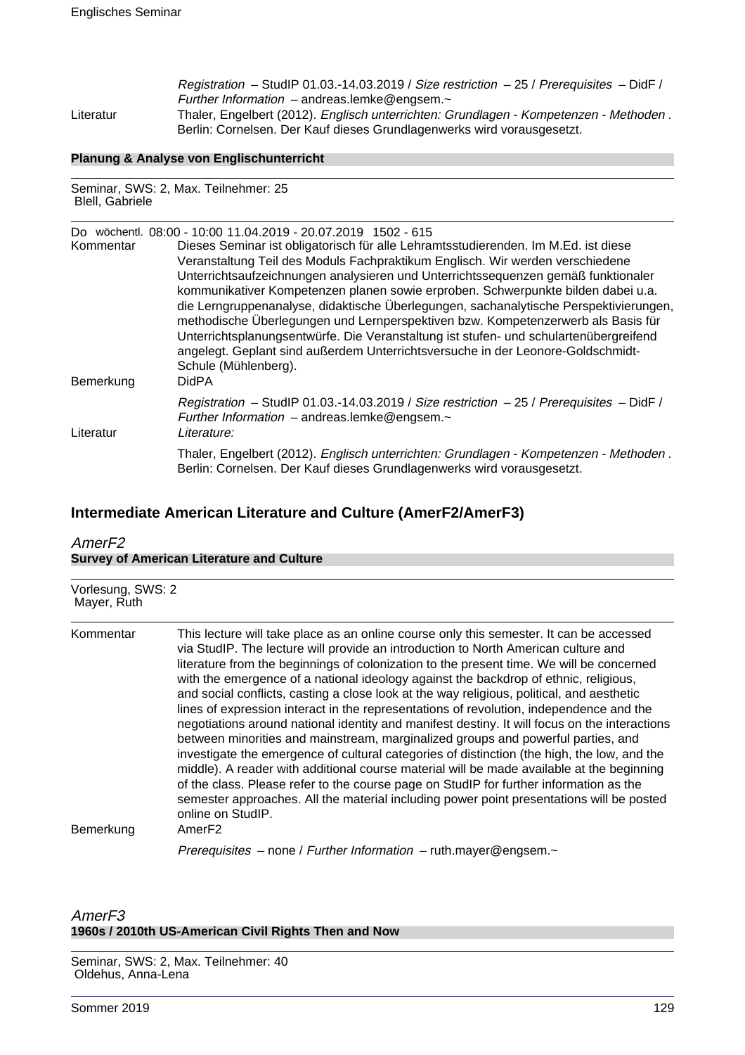Registration – StudIP 01.03.-14.03.2019 / Size restriction – 25 / Prerequisites – DidF / Further Information – andreas.lemke@engsem.~ Literatur Thaler, Engelbert (2012). Englisch unterrichten: Grundlagen - Kompetenzen - Methoden . Berlin: Cornelsen. Der Kauf dieses Grundlagenwerks wird vorausgesetzt.

#### **Planung & Analyse von Englischunterricht**

Seminar, SWS: 2, Max. Teilnehmer: 25 Blell, Gabriele

| Kommentar<br>Bemerkung | Do wöchentl. 08:00 - 10:00 11.04.2019 - 20.07.2019 1502 - 615<br>Dieses Seminar ist obligatorisch für alle Lehramtsstudierenden. Im M.Ed. ist diese<br>Veranstaltung Teil des Moduls Fachpraktikum Englisch. Wir werden verschiedene<br>Unterrichtsaufzeichnungen analysieren und Unterrichtssequenzen gemäß funktionaler<br>kommunikativer Kompetenzen planen sowie erproben. Schwerpunkte bilden dabei u.a.<br>die Lerngruppenanalyse, didaktische Überlegungen, sachanalytische Perspektivierungen,<br>methodische Überlegungen und Lernperspektiven bzw. Kompetenzerwerb als Basis für<br>Unterrichtsplanungsentwürfe. Die Veranstaltung ist stufen- und schulartenübergreifend<br>angelegt. Geplant sind außerdem Unterrichtsversuche in der Leonore-Goldschmidt-<br>Schule (Mühlenberg).<br><b>DidPA</b> |
|------------------------|----------------------------------------------------------------------------------------------------------------------------------------------------------------------------------------------------------------------------------------------------------------------------------------------------------------------------------------------------------------------------------------------------------------------------------------------------------------------------------------------------------------------------------------------------------------------------------------------------------------------------------------------------------------------------------------------------------------------------------------------------------------------------------------------------------------|
| Literatur              | Registration - StudIP 01.03.-14.03.2019 / Size restriction - 25 / Prerequisites - DidF /<br>Further Information $-$ andreas.lemke@engsem. $\sim$<br>Literature:                                                                                                                                                                                                                                                                                                                                                                                                                                                                                                                                                                                                                                                |
|                        | Thaler, Engelbert (2012). Englisch unterrichten: Grundlagen - Kompetenzen - Methoden.<br>Berlin: Cornelsen. Der Kauf dieses Grundlagenwerks wird vorausgesetzt.                                                                                                                                                                                                                                                                                                                                                                                                                                                                                                                                                                                                                                                |

## **Intermediate American Literature and Culture (AmerF2/AmerF3)**

## AmerF2 **Survey of American Literature and Culture**

| Mayer, Ruth            | Vorlesung, SWS: 2                                                                                                                                                                                                                                                                                                                                                                                                                                                                                                                                                                                                                                                                                                                                                                                                                                                                                                                                                                                                                                                                                                                                                           |  |
|------------------------|-----------------------------------------------------------------------------------------------------------------------------------------------------------------------------------------------------------------------------------------------------------------------------------------------------------------------------------------------------------------------------------------------------------------------------------------------------------------------------------------------------------------------------------------------------------------------------------------------------------------------------------------------------------------------------------------------------------------------------------------------------------------------------------------------------------------------------------------------------------------------------------------------------------------------------------------------------------------------------------------------------------------------------------------------------------------------------------------------------------------------------------------------------------------------------|--|
| Kommentar<br>Bemerkung | This lecture will take place as an online course only this semester. It can be accessed<br>via StudIP. The lecture will provide an introduction to North American culture and<br>literature from the beginnings of colonization to the present time. We will be concerned<br>with the emergence of a national ideology against the backdrop of ethnic, religious,<br>and social conflicts, casting a close look at the way religious, political, and aesthetic<br>lines of expression interact in the representations of revolution, independence and the<br>negotiations around national identity and manifest destiny. It will focus on the interactions<br>between minorities and mainstream, marginalized groups and powerful parties, and<br>investigate the emergence of cultural categories of distinction (the high, the low, and the<br>middle). A reader with additional course material will be made available at the beginning<br>of the class. Please refer to the course page on StudIP for further information as the<br>semester approaches. All the material including power point presentations will be posted<br>online on StudIP.<br>AmerF <sub>2</sub> |  |
|                        | Prerequisites – none / Further Information – ruth.mayer@engsem. $\sim$                                                                                                                                                                                                                                                                                                                                                                                                                                                                                                                                                                                                                                                                                                                                                                                                                                                                                                                                                                                                                                                                                                      |  |

## AmerF3 **1960s / 2010th US-American Civil Rights Then and Now**

Seminar, SWS: 2, Max. Teilnehmer: 40 Oldehus, Anna-Lena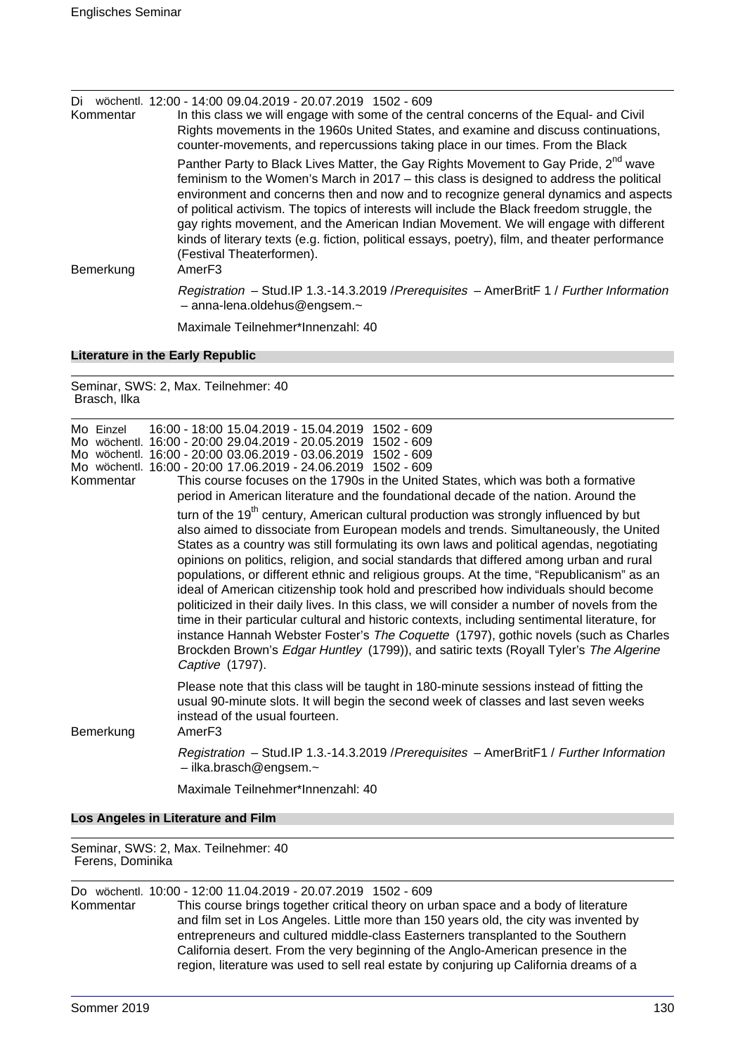| Di l<br>Kommentar                | wöchentl. 12:00 - 14:00 09.04.2019 - 20.07.2019 1502 - 609<br>In this class we will engage with some of the central concerns of the Equal- and Civil<br>Rights movements in the 1960s United States, and examine and discuss continuations,<br>counter-movements, and repercussions taking place in our times. From the Black                                                                                                                                                                                                                                                                                      |
|----------------------------------|--------------------------------------------------------------------------------------------------------------------------------------------------------------------------------------------------------------------------------------------------------------------------------------------------------------------------------------------------------------------------------------------------------------------------------------------------------------------------------------------------------------------------------------------------------------------------------------------------------------------|
| Bemerkung                        | Panther Party to Black Lives Matter, the Gay Rights Movement to Gay Pride, 2 <sup>nd</sup> wave<br>feminism to the Women's March in 2017 - this class is designed to address the political<br>environment and concerns then and now and to recognize general dynamics and aspects<br>of political activism. The topics of interests will include the Black freedom struggle, the<br>gay rights movement, and the American Indian Movement. We will engage with different<br>kinds of literary texts (e.g. fiction, political essays, poetry), film, and theater performance<br>(Festival Theaterformen).<br>AmerF3 |
|                                  | Registration - Stud. IP 1.3.-14.3.2019 / Prerequisites - AmerBritF 1 / Further Information<br>$-$ anna-lena.oldehus@engsem. $\sim$                                                                                                                                                                                                                                                                                                                                                                                                                                                                                 |
|                                  | Maximale Teilnehmer*Innenzahl: 40                                                                                                                                                                                                                                                                                                                                                                                                                                                                                                                                                                                  |
| Literature in the Early Depublic |                                                                                                                                                                                                                                                                                                                                                                                                                                                                                                                                                                                                                    |

## **Literature in the Early Republic**

Seminar, SWS: 2, Max. Teilnehmer: 40 Brasch, Ilka

| Mo Einzel<br>Kommentar | 16:00 - 18:00 15.04.2019 - 15.04.2019 1502 - 609<br>Mo wöchentl. 16:00 - 20:00 29.04.2019 - 20.05.2019 1502 - 609<br>Mo wöchentl. 16:00 - 20:00 03.06.2019 - 03.06.2019 1502 - 609<br>Mo wöchentl. 16:00 - 20:00 17.06.2019 - 24.06.2019 1502 - 609<br>This course focuses on the 1790s in the United States, which was both a formative<br>period in American literature and the foundational decade of the nation. Around the<br>turn of the 19 <sup>th</sup> century, American cultural production was strongly influenced by but<br>also aimed to dissociate from European models and trends. Simultaneously, the United<br>States as a country was still formulating its own laws and political agendas, negotiating<br>opinions on politics, religion, and social standards that differed among urban and rural<br>populations, or different ethnic and religious groups. At the time, "Republicanism" as an<br>ideal of American citizenship took hold and prescribed how individuals should become<br>politicized in their daily lives. In this class, we will consider a number of novels from the<br>time in their particular cultural and historic contexts, including sentimental literature, for<br>instance Hannah Webster Foster's The Coquette (1797), gothic novels (such as Charles<br>Brockden Brown's Edgar Huntley (1799)), and satiric texts (Royall Tyler's The Algerine<br>Captive (1797). |
|------------------------|--------------------------------------------------------------------------------------------------------------------------------------------------------------------------------------------------------------------------------------------------------------------------------------------------------------------------------------------------------------------------------------------------------------------------------------------------------------------------------------------------------------------------------------------------------------------------------------------------------------------------------------------------------------------------------------------------------------------------------------------------------------------------------------------------------------------------------------------------------------------------------------------------------------------------------------------------------------------------------------------------------------------------------------------------------------------------------------------------------------------------------------------------------------------------------------------------------------------------------------------------------------------------------------------------------------------------------------------------------------------------------------------------------------------|
| Bemerkung              | Please note that this class will be taught in 180-minute sessions instead of fitting the<br>usual 90-minute slots. It will begin the second week of classes and last seven weeks<br>instead of the usual fourteen.<br>Amer <sub>F3</sub>                                                                                                                                                                                                                                                                                                                                                                                                                                                                                                                                                                                                                                                                                                                                                                                                                                                                                                                                                                                                                                                                                                                                                                           |
|                        | Registration - Stud.IP 1.3.-14.3.2019 / Prerequisites - AmerBritF1 / Further Information<br>$-$ ilka.brasch@engsem. $\sim$                                                                                                                                                                                                                                                                                                                                                                                                                                                                                                                                                                                                                                                                                                                                                                                                                                                                                                                                                                                                                                                                                                                                                                                                                                                                                         |
|                        | Maximale Teilnehmer*Innenzahl: 40                                                                                                                                                                                                                                                                                                                                                                                                                                                                                                                                                                                                                                                                                                                                                                                                                                                                                                                                                                                                                                                                                                                                                                                                                                                                                                                                                                                  |
|                        | Los Angeles in Literature and Film                                                                                                                                                                                                                                                                                                                                                                                                                                                                                                                                                                                                                                                                                                                                                                                                                                                                                                                                                                                                                                                                                                                                                                                                                                                                                                                                                                                 |

Seminar, SWS: 2, Max. Teilnehmer: 40 Ferens, Dominika

|           | Do wöchentl. 10:00 - 12:00 11.04.2019 - 20.07.2019 1502 - 609                          |
|-----------|----------------------------------------------------------------------------------------|
| Kommentar | This course brings together critical theory on urban space and a body of literature    |
|           | and film set in Los Angeles. Little more than 150 years old, the city was invented by  |
|           | entrepreneurs and cultured middle-class Easterners transplanted to the Southern        |
|           | California desert. From the very beginning of the Anglo-American presence in the       |
|           | region, literature was used to sell real estate by conjuring up California dreams of a |
|           |                                                                                        |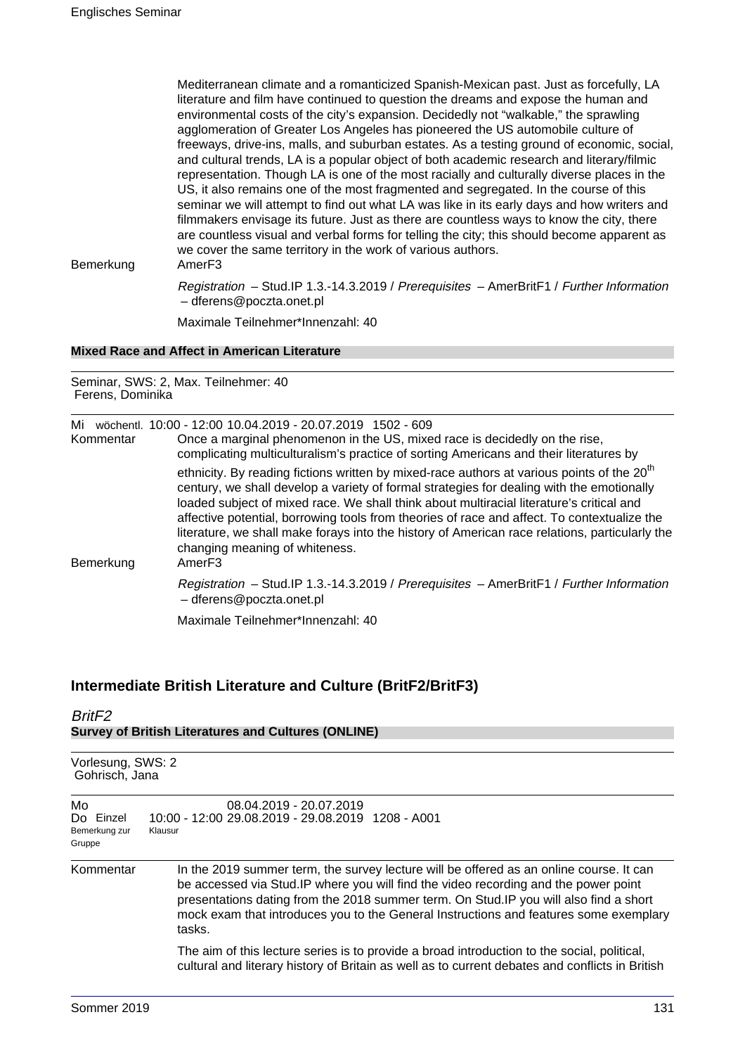Mediterranean climate and a romanticized Spanish-Mexican past. Just as forcefully, LA literature and film have continued to question the dreams and expose the human and environmental costs of the city's expansion. Decidedly not "walkable," the sprawling agglomeration of Greater Los Angeles has pioneered the US automobile culture of freeways, drive-ins, malls, and suburban estates. As a testing ground of economic, social, and cultural trends, LA is a popular object of both academic research and literary/filmic representation. Though LA is one of the most racially and culturally diverse places in the US, it also remains one of the most fragmented and segregated. In the course of this seminar we will attempt to find out what LA was like in its early days and how writers and filmmakers envisage its future. Just as there are countless ways to know the city, there are countless visual and verbal forms for telling the city; this should become apparent as we cover the same territory in the work of various authors.

Bemerkung AmerF3

Registration – Stud.IP 1.3.-14.3.2019 / Prerequisites – AmerBritF1 / Further Information – dferens@poczta.onet.pl

Maximale Teilnehmer\*Innenzahl: 40

### **Mixed Race and Affect in American Literature**

Seminar, SWS: 2, Max. Teilnehmer: 40 Ferens, Dominika

| Mi<br>Kommentar | wöchentl. 10:00 - 12:00 10.04.2019 - 20.07.2019 1502 - 609<br>Once a marginal phenomenon in the US, mixed race is decidedly on the rise,<br>complicating multiculturalism's practice of sorting Americans and their literatures by                                                                                                                                                                                                                                                                                                                       |
|-----------------|----------------------------------------------------------------------------------------------------------------------------------------------------------------------------------------------------------------------------------------------------------------------------------------------------------------------------------------------------------------------------------------------------------------------------------------------------------------------------------------------------------------------------------------------------------|
| Bemerkung       | ethnicity. By reading fictions written by mixed-race authors at various points of the 20 <sup>th</sup><br>century, we shall develop a variety of formal strategies for dealing with the emotionally<br>loaded subject of mixed race. We shall think about multiracial literature's critical and<br>affective potential, borrowing tools from theories of race and affect. To contextualize the<br>literature, we shall make forays into the history of American race relations, particularly the<br>changing meaning of whiteness.<br>Amer <sub>F3</sub> |
|                 | Registration - Stud.IP 1.3.-14.3.2019 / Prerequisites - AmerBritF1 / Further Information<br>- dferens@poczta.onet.pl                                                                                                                                                                                                                                                                                                                                                                                                                                     |
|                 | Maximale Teilnehmer*Innenzahl: 40                                                                                                                                                                                                                                                                                                                                                                                                                                                                                                                        |

## **Intermediate British Literature and Culture (BritF2/BritF3)**

## BritF2 **Survey of British Literatures and Cultures (ONLINE)**

| Vorlesung, SWS: 2<br>Gohrisch, Jana        |                                                                                                                                                                                                                                                                                                                                                                              |
|--------------------------------------------|------------------------------------------------------------------------------------------------------------------------------------------------------------------------------------------------------------------------------------------------------------------------------------------------------------------------------------------------------------------------------|
| Mo<br>Do Einzel<br>Bemerkung zur<br>Gruppe | 08.04.2019 - 20.07.2019<br>10:00 - 12:00 29.08.2019 - 29.08.2019 1208 - A001<br>Klausur                                                                                                                                                                                                                                                                                      |
| Kommentar                                  | In the 2019 summer term, the survey lecture will be offered as an online course. It can<br>be accessed via Stud. IP where you will find the video recording and the power point<br>presentations dating from the 2018 summer term. On Stud. IP you will also find a short<br>mock exam that introduces you to the General Instructions and features some exemplary<br>tasks. |
|                                            | The aim of this lecture series is to provide a broad introduction to the social, political,<br>cultural and literary history of Britain as well as to current debates and conflicts in British                                                                                                                                                                               |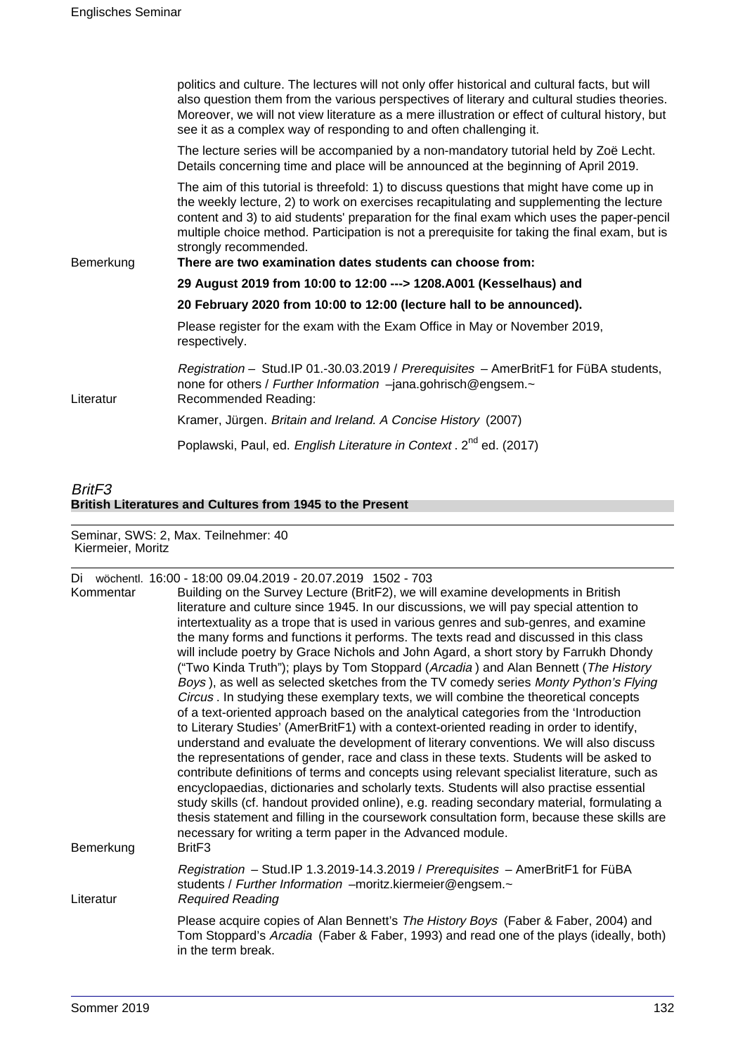|           | politics and culture. The lectures will not only offer historical and cultural facts, but will<br>also question them from the various perspectives of literary and cultural studies theories.<br>Moreover, we will not view literature as a mere illustration or effect of cultural history, but<br>see it as a complex way of responding to and often challenging it.                                                                                                     |
|-----------|----------------------------------------------------------------------------------------------------------------------------------------------------------------------------------------------------------------------------------------------------------------------------------------------------------------------------------------------------------------------------------------------------------------------------------------------------------------------------|
|           | The lecture series will be accompanied by a non-mandatory tutorial held by Zoë Lecht.<br>Details concerning time and place will be announced at the beginning of April 2019.                                                                                                                                                                                                                                                                                               |
| Bemerkung | The aim of this tutorial is threefold: 1) to discuss questions that might have come up in<br>the weekly lecture, 2) to work on exercises recapitulating and supplementing the lecture<br>content and 3) to aid students' preparation for the final exam which uses the paper-pencil<br>multiple choice method. Participation is not a prerequisite for taking the final exam, but is<br>strongly recommended.<br>There are two examination dates students can choose from: |
|           | 29 August 2019 from 10:00 to 12:00 ---> 1208.A001 (Kesselhaus) and                                                                                                                                                                                                                                                                                                                                                                                                         |
|           | 20 February 2020 from 10:00 to 12:00 (lecture hall to be announced).                                                                                                                                                                                                                                                                                                                                                                                                       |
|           | Please register for the exam with the Exam Office in May or November 2019,<br>respectively.                                                                                                                                                                                                                                                                                                                                                                                |
| Literatur | Registration - Stud.IP 01.-30.03.2019 / Prerequisites - AmerBritF1 for FüBA students,<br>none for others / Further Information -jana.gohrisch@engsem.~<br>Recommended Reading:                                                                                                                                                                                                                                                                                             |
|           | Kramer, Jürgen. Britain and Ireland. A Concise History (2007)                                                                                                                                                                                                                                                                                                                                                                                                              |
|           | Poplawski, Paul, ed. English Literature in Context. 2 <sup>nd</sup> ed. (2017)                                                                                                                                                                                                                                                                                                                                                                                             |

# BritF3 **British Literatures and Cultures from 1945 to the Present**

Seminar, SWS: 2, Max. Teilnehmer: 40 Kiermeier, Moritz

| Kommentar<br>Bemerkung | Di wöchentl. 16:00 - 18:00 09:04.2019 - 20:07.2019 1502 - 703<br>Building on the Survey Lecture (BritF2), we will examine developments in British<br>literature and culture since 1945. In our discussions, we will pay special attention to<br>intertextuality as a trope that is used in various genres and sub-genres, and examine<br>the many forms and functions it performs. The texts read and discussed in this class<br>will include poetry by Grace Nichols and John Agard, a short story by Farrukh Dhondy<br>("Two Kinda Truth"); plays by Tom Stoppard (Arcadia) and Alan Bennett (The History<br>Boys), as well as selected sketches from the TV comedy series Monty Python's Flying<br>Circus . In studying these exemplary texts, we will combine the theoretical concepts<br>of a text-oriented approach based on the analytical categories from the 'Introduction<br>to Literary Studies' (AmerBritF1) with a context-oriented reading in order to identify,<br>understand and evaluate the development of literary conventions. We will also discuss<br>the representations of gender, race and class in these texts. Students will be asked to<br>contribute definitions of terms and concepts using relevant specialist literature, such as<br>encyclopaedias, dictionaries and scholarly texts. Students will also practise essential<br>study skills (cf. handout provided online), e.g. reading secondary material, formulating a<br>thesis statement and filling in the coursework consultation form, because these skills are<br>necessary for writing a term paper in the Advanced module.<br>Brit <sub>F3</sub> |
|------------------------|---------------------------------------------------------------------------------------------------------------------------------------------------------------------------------------------------------------------------------------------------------------------------------------------------------------------------------------------------------------------------------------------------------------------------------------------------------------------------------------------------------------------------------------------------------------------------------------------------------------------------------------------------------------------------------------------------------------------------------------------------------------------------------------------------------------------------------------------------------------------------------------------------------------------------------------------------------------------------------------------------------------------------------------------------------------------------------------------------------------------------------------------------------------------------------------------------------------------------------------------------------------------------------------------------------------------------------------------------------------------------------------------------------------------------------------------------------------------------------------------------------------------------------------------------------------------------------------------------------------------------------------------|
| Literatur              | Registration - Stud.IP 1.3.2019-14.3.2019 / Prerequisites - AmerBritF1 for FüBA<br>students / Further Information -moritz.kiermeier@engsem.~<br><b>Required Reading</b>                                                                                                                                                                                                                                                                                                                                                                                                                                                                                                                                                                                                                                                                                                                                                                                                                                                                                                                                                                                                                                                                                                                                                                                                                                                                                                                                                                                                                                                                     |
|                        | Please acquire copies of Alan Bennett's The History Boys (Faber & Faber, 2004) and<br>Tom Stoppard's Arcadia (Faber & Faber, 1993) and read one of the plays (ideally, both)<br>in the term break.                                                                                                                                                                                                                                                                                                                                                                                                                                                                                                                                                                                                                                                                                                                                                                                                                                                                                                                                                                                                                                                                                                                                                                                                                                                                                                                                                                                                                                          |
|                        |                                                                                                                                                                                                                                                                                                                                                                                                                                                                                                                                                                                                                                                                                                                                                                                                                                                                                                                                                                                                                                                                                                                                                                                                                                                                                                                                                                                                                                                                                                                                                                                                                                             |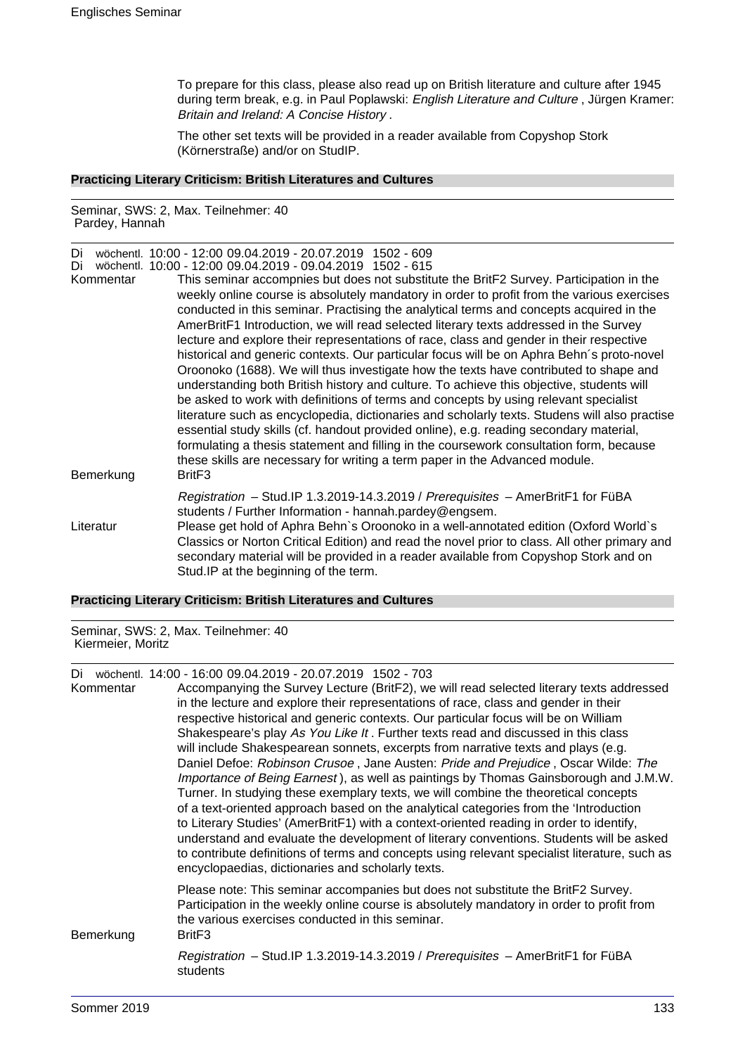To prepare for this class, please also read up on British literature and culture after 1945 during term break, e.g. in Paul Poplawski: English Literature and Culture, Jürgen Kramer: Britain and Ireland: A Concise History .

The other set texts will be provided in a reader available from Copyshop Stork (Körnerstraße) and/or on StudIP.

### **Practicing Literary Criticism: British Literatures and Cultures**

Seminar, SWS: 2, Max. Teilnehmer: 40 Pardey, Hannah

Di wöchentl. 10:00 - 12:00 09.04.2019 - 20.07.2019 1502 - 609

| Di        | wöchentl. 10:00 - 12:00 09.04.2019 - 09.04.2019 1502 - 615                                                                                                                                                                                                                                                                                                                                                                                                                                                                                                                                                                                                                                                                                                                                                                                                                                                                                                                                                                                                                                                                                                                                                          |
|-----------|---------------------------------------------------------------------------------------------------------------------------------------------------------------------------------------------------------------------------------------------------------------------------------------------------------------------------------------------------------------------------------------------------------------------------------------------------------------------------------------------------------------------------------------------------------------------------------------------------------------------------------------------------------------------------------------------------------------------------------------------------------------------------------------------------------------------------------------------------------------------------------------------------------------------------------------------------------------------------------------------------------------------------------------------------------------------------------------------------------------------------------------------------------------------------------------------------------------------|
| Kommentar | This seminar accompnies but does not substitute the BritF2 Survey. Participation in the<br>weekly online course is absolutely mandatory in order to profit from the various exercises<br>conducted in this seminar. Practising the analytical terms and concepts acquired in the<br>AmerBritF1 Introduction, we will read selected literary texts addressed in the Survey<br>lecture and explore their representations of race, class and gender in their respective<br>historical and generic contexts. Our particular focus will be on Aphra Behn's proto-novel<br>Oroonoko (1688). We will thus investigate how the texts have contributed to shape and<br>understanding both British history and culture. To achieve this objective, students will<br>be asked to work with definitions of terms and concepts by using relevant specialist<br>literature such as encyclopedia, dictionaries and scholarly texts. Studens will also practise<br>essential study skills (cf. handout provided online), e.g. reading secondary material,<br>formulating a thesis statement and filling in the coursework consultation form, because<br>these skills are necessary for writing a term paper in the Advanced module. |
| Bemerkung | Brit <sub>F3</sub>                                                                                                                                                                                                                                                                                                                                                                                                                                                                                                                                                                                                                                                                                                                                                                                                                                                                                                                                                                                                                                                                                                                                                                                                  |
|           | Registration - Stud.IP 1.3.2019-14.3.2019 / Prerequisites - AmerBritF1 for FüBA<br>students / Further Information - hannah.pardey@engsem.                                                                                                                                                                                                                                                                                                                                                                                                                                                                                                                                                                                                                                                                                                                                                                                                                                                                                                                                                                                                                                                                           |
| Literatur | Please get hold of Aphra Behn's Oroonoko in a well-annotated edition (Oxford World's<br>Classics or Norton Critical Edition) and read the novel prior to class. All other primary and<br>secondary material will be provided in a reader available from Copyshop Stork and on<br>Stud. IP at the beginning of the term.                                                                                                                                                                                                                                                                                                                                                                                                                                                                                                                                                                                                                                                                                                                                                                                                                                                                                             |

### **Practicing Literary Criticism: British Literatures and Cultures**

Seminar, SWS: 2, Max. Teilnehmer: 40 Kiermeier, Moritz

Di wöchentl. 14:00 - 16:00 09.04.2019 - 20.07.2019 1502 - 703

| Kommentar | Accompanying the Survey Lecture (BritF2), we will read selected literary texts addressed<br>in the lecture and explore their representations of race, class and gender in their<br>respective historical and generic contexts. Our particular focus will be on William<br>Shakespeare's play As You Like It. Further texts read and discussed in this class<br>will include Shakespearean sonnets, excerpts from narrative texts and plays (e.g.<br>Daniel Defoe: Robinson Crusoe, Jane Austen: Pride and Prejudice, Oscar Wilde: The<br>Importance of Being Earnest), as well as paintings by Thomas Gainsborough and J.M.W.<br>Turner. In studying these exemplary texts, we will combine the theoretical concepts<br>of a text-oriented approach based on the analytical categories from the 'Introduction<br>to Literary Studies' (AmerBritF1) with a context-oriented reading in order to identify,<br>understand and evaluate the development of literary conventions. Students will be asked<br>to contribute definitions of terms and concepts using relevant specialist literature, such as<br>encyclopaedias, dictionaries and scholarly texts. |
|-----------|-----------------------------------------------------------------------------------------------------------------------------------------------------------------------------------------------------------------------------------------------------------------------------------------------------------------------------------------------------------------------------------------------------------------------------------------------------------------------------------------------------------------------------------------------------------------------------------------------------------------------------------------------------------------------------------------------------------------------------------------------------------------------------------------------------------------------------------------------------------------------------------------------------------------------------------------------------------------------------------------------------------------------------------------------------------------------------------------------------------------------------------------------------------|
| Bemerkung | Please note: This seminar accompanies but does not substitute the BritF2 Survey.<br>Participation in the weekly online course is absolutely mandatory in order to profit from<br>the various exercises conducted in this seminar.<br>Brit <sub>F3</sub>                                                                                                                                                                                                                                                                                                                                                                                                                                                                                                                                                                                                                                                                                                                                                                                                                                                                                                   |
|           | Registration - Stud.IP 1.3.2019-14.3.2019 / Prerequisites - AmerBritF1 for FüBA<br>students                                                                                                                                                                                                                                                                                                                                                                                                                                                                                                                                                                                                                                                                                                                                                                                                                                                                                                                                                                                                                                                               |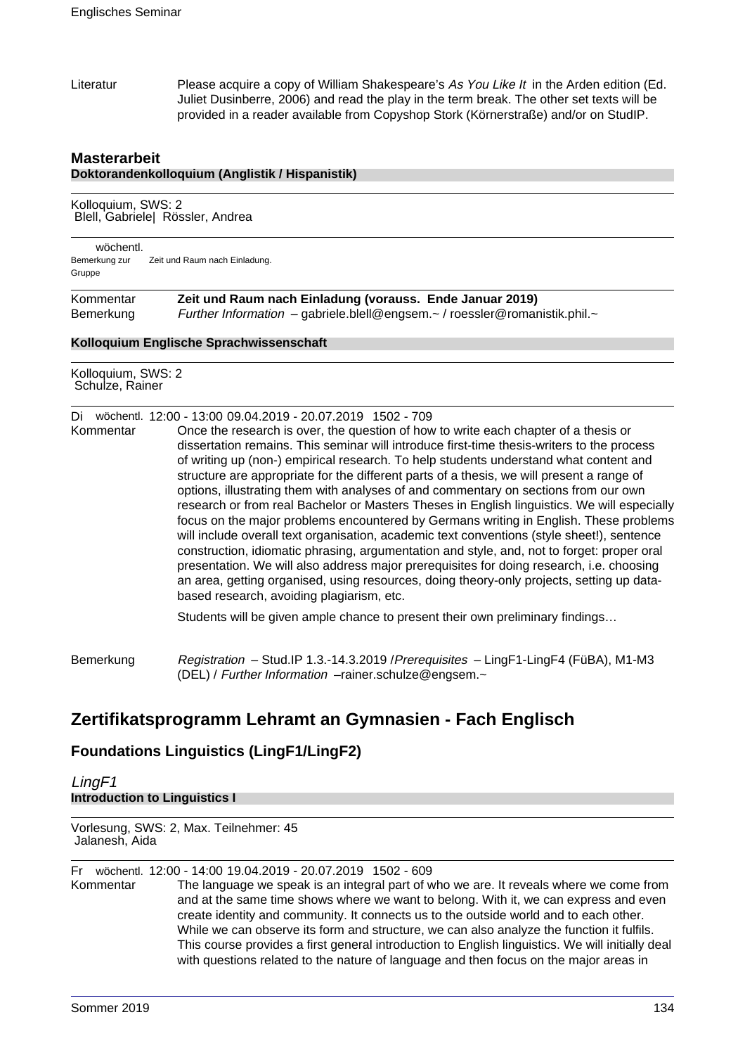Literatur Please acquire a copy of William Shakespeare's As You Like It in the Arden edition (Ed. Juliet Dusinberre, 2006) and read the play in the term break. The other set texts will be provided in a reader available from Copyshop Stork (Körnerstraße) and/or on StudIP.

## **Masterarbeit Doktorandenkolloquium (Anglistik / Hispanistik)**

Kolloquium, SWS: 2 Blell, Gabriele| Rössler, Andrea

wöchentl. Bemerkung zur Gruppe Zeit und Raum nach Einladung.

Kommentar **Zeit und Raum nach Einladung (vorauss. Ende Januar 2019)**  Bemerkung Further Information – gabriele.blell@engsem.~ / roessler@romanistik.phil.~

#### **Kolloquium Englische Sprachwissenschaft**

Kolloquium, SWS: 2 Schulze, Rainer

Di wöchentl. 12:00 - 13:00 09.04.2019 - 20.07.2019 1502 - 709

Kommentar Once the research is over, the question of how to write each chapter of a thesis or dissertation remains. This seminar will introduce first-time thesis-writers to the process of writing up (non-) empirical research. To help students understand what content and structure are appropriate for the different parts of a thesis, we will present a range of options, illustrating them with analyses of and commentary on sections from our own research or from real Bachelor or Masters Theses in English linguistics. We will especially focus on the major problems encountered by Germans writing in English. These problems will include overall text organisation, academic text conventions (style sheet!), sentence construction, idiomatic phrasing, argumentation and style, and, not to forget: proper oral presentation. We will also address major prerequisites for doing research, i.e. choosing an area, getting organised, using resources, doing theory-only projects, setting up databased research, avoiding plagiarism, etc.

Students will be given ample chance to present their own preliminary findings…

Bemerkung Registration - Stud.IP 1.3.-14.3.2019 / Prerequisites - LingF1-LingF4 (FüBA), M1-M3 (DEL) / Further Information –rainer.schulze@engsem.~

# **Zertifikatsprogramm Lehramt an Gymnasien - Fach Englisch**

# **Foundations Linguistics (LingF1/LingF2)**

LingF1 **Introduction to Linguistics I**

Vorlesung, SWS: 2, Max. Teilnehmer: 45 Jalanesh, Aida

Fr wöchentl. 12:00 - 14:00 19.04.2019 - 20.07.2019 1502 - 609

Kommentar The language we speak is an integral part of who we are. It reveals where we come from and at the same time shows where we want to belong. With it, we can express and even create identity and community. It connects us to the outside world and to each other. While we can observe its form and structure, we can also analyze the function it fulfils. This course provides a first general introduction to English linguistics. We will initially deal with questions related to the nature of language and then focus on the major areas in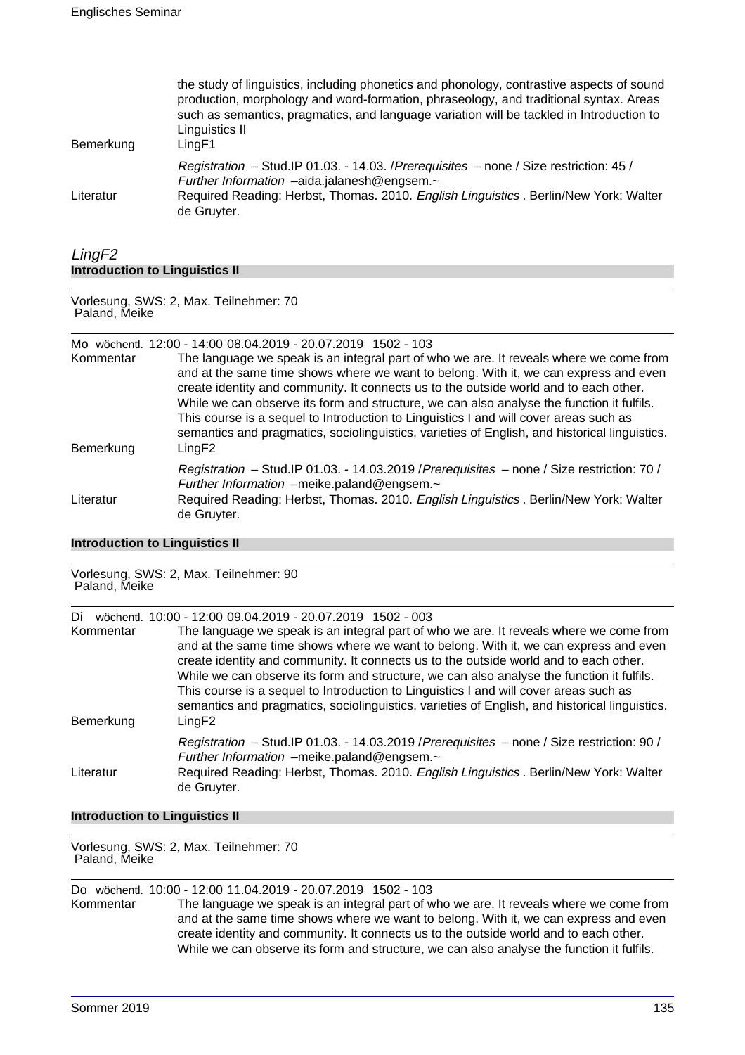| Bemerkung | the study of linguistics, including phonetics and phonology, contrastive aspects of sound<br>production, morphology and word-formation, phraseology, and traditional syntax. Areas<br>such as semantics, pragmatics, and language variation will be tackled in Introduction to<br>Linguistics II<br>LingF1 |
|-----------|------------------------------------------------------------------------------------------------------------------------------------------------------------------------------------------------------------------------------------------------------------------------------------------------------------|
| Literatur | Registration - Stud. IP 01.03. - 14.03. / Prerequisites - none / Size restriction: 45 /<br>Further Information -aida.jalanesh@engsem.~<br>Required Reading: Herbst, Thomas. 2010. English Linguistics . Berlin/New York: Walter<br>de Gruyter.                                                             |

## LingF2 **Introduction to Linguistics II**

Vorlesung, SWS: 2, Max. Teilnehmer: 70 Paland, Meike

Mo wöchentl. 12:00 - 14:00 08.04.2019 - 20.07.2019 1502 - 103

| Kommentar<br>Bemerkung | The language we speak is an integral part of who we are. It reveals where we come from<br>and at the same time shows where we want to belong. With it, we can express and even<br>create identity and community. It connects us to the outside world and to each other.<br>While we can observe its form and structure, we can also analyse the function it fulfils.<br>This course is a sequel to Introduction to Linguistics I and will cover areas such as<br>semantics and pragmatics, sociolinguistics, varieties of English, and historical linguistics.<br>LingF2 |
|------------------------|--------------------------------------------------------------------------------------------------------------------------------------------------------------------------------------------------------------------------------------------------------------------------------------------------------------------------------------------------------------------------------------------------------------------------------------------------------------------------------------------------------------------------------------------------------------------------|
|                        | Registration - Stud.IP 01.03. - 14.03.2019 / Prerequisites - none / Size restriction: 70 /<br>Further Information -meike.paland@engsem.~                                                                                                                                                                                                                                                                                                                                                                                                                                 |
| Literatur              | Required Reading: Herbst, Thomas. 2010. English Linguistics . Berlin/New York: Walter<br>de Gruyter.                                                                                                                                                                                                                                                                                                                                                                                                                                                                     |

#### **Introduction to Linguistics II**

Vorlesung, SWS: 2, Max. Teilnehmer: 90 Paland, Meike Di wöchentl. 10:00 - 12:00 09.04.2019 - 20.07.2019 1502 - 003 Kommentar The language we speak is an integral part of who we are. It reveals where we come from and at the same time shows where we want to belong. With it, we can express and even create identity and community. It connects us to the outside world and to each other. While we can observe its form and structure, we can also analyse the function it fulfils. This course is a sequel to Introduction to Linguistics I and will cover areas such as semantics and pragmatics, sociolinguistics, varieties of English, and historical linguistics. Bemerkung LingF2 Registration – Stud.IP 01.03. - 14.03.2019 /Prerequisites – none / Size restriction: 90 / Further Information –meike.paland@engsem.~ Literatur Required Reading: Herbst, Thomas. 2010. English Linguistics . Berlin/New York: Walter de Gruyter.

### **Introduction to Linguistics II**

Vorlesung, SWS: 2, Max. Teilnehmer: 70 Paland, Meike

Do wöchentl. 10:00 - 12:00 11.04.2019 - 20.07.2019 1502 - 103 Kommentar The language we speak is an integral part of who we are. It reveals where we come from and at the same time shows where we want to belong. With it, we can express and even create identity and community. It connects us to the outside world and to each other. While we can observe its form and structure, we can also analyse the function it fulfils.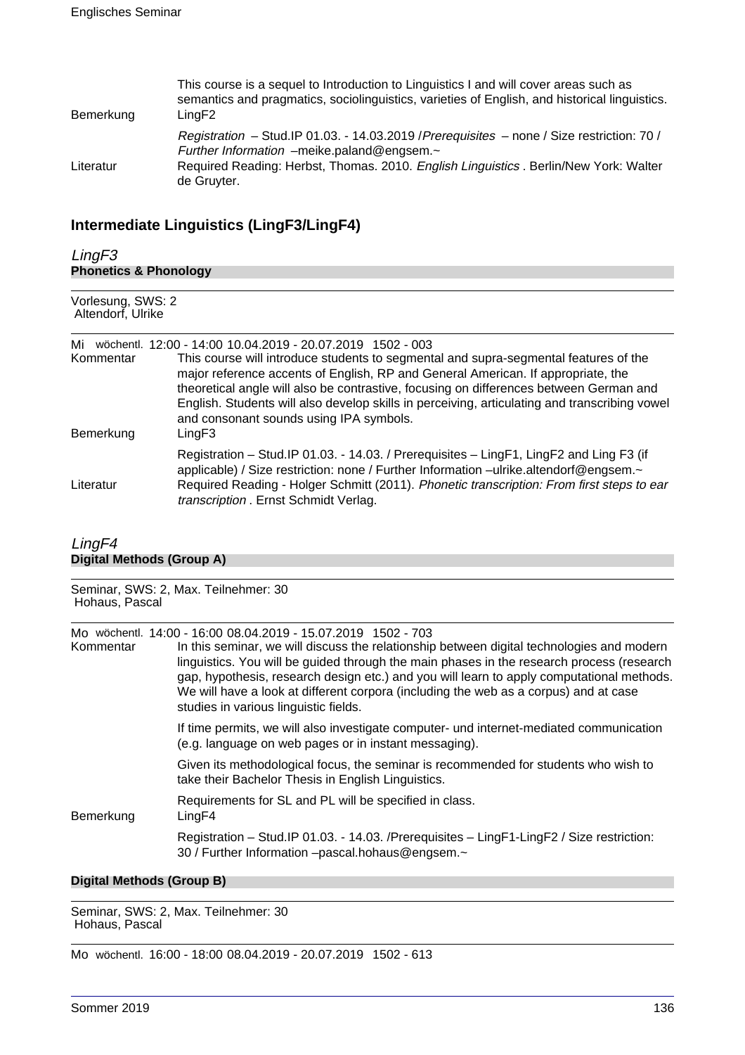| Bemerkung | This course is a sequel to Introduction to Linguistics I and will cover areas such as<br>semantics and pragmatics, sociolinguistics, varieties of English, and historical linguistics.<br>LingF2                                                  |
|-----------|---------------------------------------------------------------------------------------------------------------------------------------------------------------------------------------------------------------------------------------------------|
| Literatur | Registration - Stud. IP 01.03. - 14.03.2019 / Prerequisites - none / Size restriction: 70 /<br>Further Information -meike.paland@engsem.~<br>Required Reading: Herbst, Thomas. 2010. English Linguistics . Berlin/New York: Walter<br>de Gruyter. |

# **Intermediate Linguistics (LingF3/LingF4)**

| LingF3<br><b>Phonetics &amp; Phonology</b><br>Vorlesung, SWS: 2<br>Altendorf, Ulrike |                                                                                                                                                                                                                                                                                                                         |
|--------------------------------------------------------------------------------------|-------------------------------------------------------------------------------------------------------------------------------------------------------------------------------------------------------------------------------------------------------------------------------------------------------------------------|
|                                                                                      |                                                                                                                                                                                                                                                                                                                         |
| Literatur                                                                            | Registration - Stud. IP 01.03. - 14.03. / Prerequisites - LingF1, LingF2 and Ling F3 (if<br>applicable) / Size restriction: none / Further Information -ulrike.altendorf@engsem.~<br>Required Reading - Holger Schmitt (2011). Phonetic transcription: From first steps to ear<br>transcription . Ernst Schmidt Verlag. |

## LingF4 **Digital Methods (Group A)**

| Hohaus, Pascal | Seminar, SWS: 2, Max. Teilnehmer: 30                                                                                                                                                                                                                                                                                                                                                                                                                                                   |
|----------------|----------------------------------------------------------------------------------------------------------------------------------------------------------------------------------------------------------------------------------------------------------------------------------------------------------------------------------------------------------------------------------------------------------------------------------------------------------------------------------------|
| Kommentar      | Mo wöchentl. 14:00 - 16:00 08.04.2019 - 15.07.2019  1502 - 703<br>In this seminar, we will discuss the relationship between digital technologies and modern<br>linguistics. You will be guided through the main phases in the research process (research<br>gap, hypothesis, research design etc.) and you will learn to apply computational methods.<br>We will have a look at different corpora (including the web as a corpus) and at case<br>studies in various linguistic fields. |
|                | If time permits, we will also investigate computer- und internet-mediated communication<br>(e.g. language on web pages or in instant messaging).                                                                                                                                                                                                                                                                                                                                       |
|                | Given its methodological focus, the seminar is recommended for students who wish to<br>take their Bachelor Thesis in English Linguistics.                                                                                                                                                                                                                                                                                                                                              |
| Bemerkung      | Requirements for SL and PL will be specified in class.<br>LingF4                                                                                                                                                                                                                                                                                                                                                                                                                       |
|                | Registration - Stud.IP 01.03. - 14.03. /Prerequisites - LingF1-LingF2 / Size restriction:<br>30 / Further Information -pascal.hohaus@engsem.~                                                                                                                                                                                                                                                                                                                                          |

## **Digital Methods (Group B)**

Seminar, SWS: 2, Max. Teilnehmer: 30 Hohaus, Pascal

Mo wöchentl. 16:00 - 18:00 08.04.2019 - 20.07.2019 1502 - 613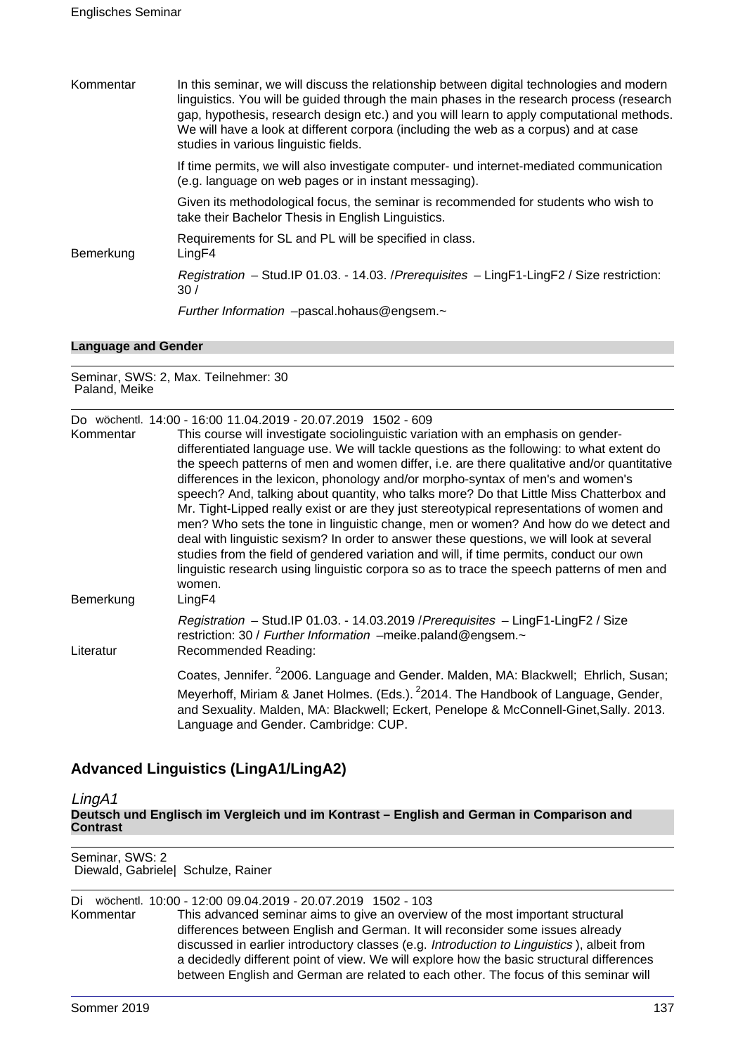| Kommentar | In this seminar, we will discuss the relationship between digital technologies and modern<br>linguistics. You will be guided through the main phases in the research process (research<br>gap, hypothesis, research design etc.) and you will learn to apply computational methods.<br>We will have a look at different corpora (including the web as a corpus) and at case<br>studies in various linguistic fields. |
|-----------|----------------------------------------------------------------------------------------------------------------------------------------------------------------------------------------------------------------------------------------------------------------------------------------------------------------------------------------------------------------------------------------------------------------------|
|           | If time permits, we will also investigate computer- und internet-mediated communication<br>(e.g. language on web pages or in instant messaging).                                                                                                                                                                                                                                                                     |
|           | Given its methodological focus, the seminar is recommended for students who wish to<br>take their Bachelor Thesis in English Linguistics.                                                                                                                                                                                                                                                                            |
| Bemerkung | Requirements for SL and PL will be specified in class.<br>LingF4                                                                                                                                                                                                                                                                                                                                                     |
|           | Registration - Stud. IP 01.03. - 14.03. / Prerequisites - Ling F1-Ling F2 / Size restriction:<br>30/                                                                                                                                                                                                                                                                                                                 |
|           | Further Information -pascal.hohaus@engsem.~                                                                                                                                                                                                                                                                                                                                                                          |

#### **Language and Gender**

Seminar, SWS: 2, Max. Teilnehmer: 30 Paland, Meike

| Kommentar              | Do wöchentl. 14:00 - 16:00 11.04.2019 - 20.07.2019 1502 - 609<br>This course will investigate sociolinguistic variation with an emphasis on gender-<br>differentiated language use. We will tackle questions as the following: to what extent do<br>the speech patterns of men and women differ, i.e. are there qualitative and/or quantitative<br>differences in the lexicon, phonology and/or morpho-syntax of men's and women's<br>speech? And, talking about quantity, who talks more? Do that Little Miss Chatterbox and<br>Mr. Tight-Lipped really exist or are they just stereotypical representations of women and<br>men? Who sets the tone in linguistic change, men or women? And how do we detect and<br>deal with linguistic sexism? In order to answer these questions, we will look at several<br>studies from the field of gendered variation and will, if time permits, conduct our own<br>linguistic research using linguistic corpora so as to trace the speech patterns of men and<br>women. |
|------------------------|------------------------------------------------------------------------------------------------------------------------------------------------------------------------------------------------------------------------------------------------------------------------------------------------------------------------------------------------------------------------------------------------------------------------------------------------------------------------------------------------------------------------------------------------------------------------------------------------------------------------------------------------------------------------------------------------------------------------------------------------------------------------------------------------------------------------------------------------------------------------------------------------------------------------------------------------------------------------------------------------------------------|
| Bemerkung<br>Literatur | LingF4<br>Registration - Stud.IP 01.03. - 14.03.2019 / Prerequisites - LingF1-LingF2 / Size<br>restriction: 30 / Further Information -meike.paland@engsem.~<br>Recommended Reading:                                                                                                                                                                                                                                                                                                                                                                                                                                                                                                                                                                                                                                                                                                                                                                                                                              |
|                        | Coates, Jennifer. <sup>2</sup> 2006. Language and Gender. Malden, MA: Blackwell; Ehrlich, Susan;<br>Meyerhoff, Miriam & Janet Holmes. (Eds.). <sup>2</sup> 2014. The Handbook of Language, Gender,<br>and Sexuality. Malden, MA: Blackwell; Eckert, Penelope & McConnell-Ginet, Sally. 2013.<br>Language and Gender. Cambridge: CUP.                                                                                                                                                                                                                                                                                                                                                                                                                                                                                                                                                                                                                                                                             |

# **Advanced Linguistics (LingA1/LingA2)**

LingA1

**Deutsch und Englisch im Vergleich und im Kontrast – English and German in Comparison and Contrast**

Seminar, SWS: 2 Diewald, Gabriele| Schulze, Rainer

|           | Di wöchentl. 10:00 - 12:00 09.04.2019 - 20.07.2019 1502 - 103                                     |
|-----------|---------------------------------------------------------------------------------------------------|
| Kommentar | This advanced seminar aims to give an overview of the most important structural                   |
|           | differences between English and German. It will reconsider some issues already                    |
|           | discussed in earlier introductory classes (e.g. <i>Introduction to Linguistics</i> ), albeit from |
|           | a decidedly different point of view. We will explore how the basic structural differences         |
|           | between English and German are related to each other. The focus of this seminar will              |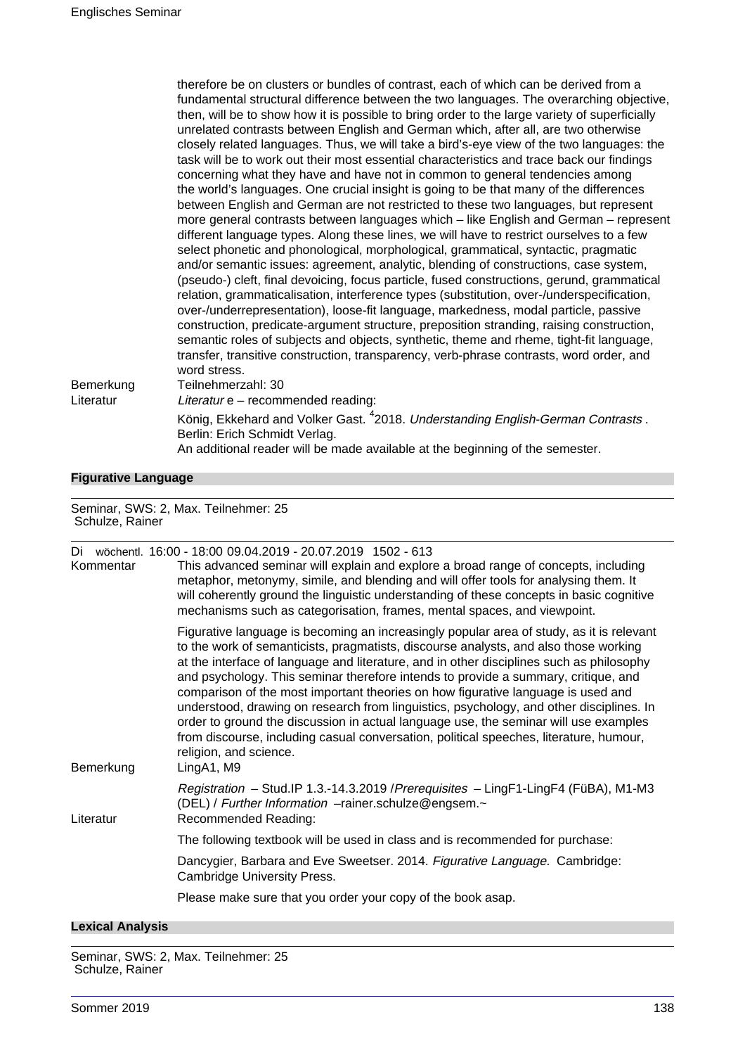| Bemerkung | therefore be on clusters or bundles of contrast, each of which can be derived from a<br>fundamental structural difference between the two languages. The overarching objective,<br>then, will be to show how it is possible to bring order to the large variety of superficially<br>unrelated contrasts between English and German which, after all, are two otherwise<br>closely related languages. Thus, we will take a bird's-eye view of the two languages: the<br>task will be to work out their most essential characteristics and trace back our findings<br>concerning what they have and have not in common to general tendencies among<br>the world's languages. One crucial insight is going to be that many of the differences<br>between English and German are not restricted to these two languages, but represent<br>more general contrasts between languages which - like English and German - represent<br>different language types. Along these lines, we will have to restrict ourselves to a few<br>select phonetic and phonological, morphological, grammatical, syntactic, pragmatic<br>and/or semantic issues: agreement, analytic, blending of constructions, case system,<br>(pseudo-) cleft, final devoicing, focus particle, fused constructions, gerund, grammatical<br>relation, grammaticalisation, interference types (substitution, over-/underspecification,<br>over-/underrepresentation), loose-fit language, markedness, modal particle, passive<br>construction, predicate-argument structure, preposition stranding, raising construction,<br>semantic roles of subjects and objects, synthetic, theme and rheme, tight-fit language,<br>transfer, transitive construction, transparency, verb-phrase contrasts, word order, and<br>word stress.<br>Teilnehmerzahl: 30 |
|-----------|---------------------------------------------------------------------------------------------------------------------------------------------------------------------------------------------------------------------------------------------------------------------------------------------------------------------------------------------------------------------------------------------------------------------------------------------------------------------------------------------------------------------------------------------------------------------------------------------------------------------------------------------------------------------------------------------------------------------------------------------------------------------------------------------------------------------------------------------------------------------------------------------------------------------------------------------------------------------------------------------------------------------------------------------------------------------------------------------------------------------------------------------------------------------------------------------------------------------------------------------------------------------------------------------------------------------------------------------------------------------------------------------------------------------------------------------------------------------------------------------------------------------------------------------------------------------------------------------------------------------------------------------------------------------------------------------------------------------------------------------------------------------------------------------------------------|
| Literatur | Literatur e - recommended reading:                                                                                                                                                                                                                                                                                                                                                                                                                                                                                                                                                                                                                                                                                                                                                                                                                                                                                                                                                                                                                                                                                                                                                                                                                                                                                                                                                                                                                                                                                                                                                                                                                                                                                                                                                                            |
|           | König, Ekkehard and Volker Gast. <sup>4</sup> 2018. Understanding English-German Contrasts.<br>Berlin: Erich Schmidt Verlag.<br>An additional reader will be made available at the beginning of the semester.                                                                                                                                                                                                                                                                                                                                                                                                                                                                                                                                                                                                                                                                                                                                                                                                                                                                                                                                                                                                                                                                                                                                                                                                                                                                                                                                                                                                                                                                                                                                                                                                 |

## **Figurative Language**

Seminar, SWS: 2, Max. Teilnehmer: 25 Schulze, Rainer

| Kommentar | Di wöchentl. 16:00 - 18:00 09.04.2019 - 20.07.2019 1502 - 613<br>This advanced seminar will explain and explore a broad range of concepts, including<br>metaphor, metonymy, simile, and blending and will offer tools for analysing them. It<br>will coherently ground the linguistic understanding of these concepts in basic cognitive<br>mechanisms such as categorisation, frames, mental spaces, and viewpoint.                                                                                                                                                                                                                                                                                                                                                        |
|-----------|-----------------------------------------------------------------------------------------------------------------------------------------------------------------------------------------------------------------------------------------------------------------------------------------------------------------------------------------------------------------------------------------------------------------------------------------------------------------------------------------------------------------------------------------------------------------------------------------------------------------------------------------------------------------------------------------------------------------------------------------------------------------------------|
| Bemerkung | Figurative language is becoming an increasingly popular area of study, as it is relevant<br>to the work of semanticists, pragmatists, discourse analysts, and also those working<br>at the interface of language and literature, and in other disciplines such as philosophy<br>and psychology. This seminar therefore intends to provide a summary, critique, and<br>comparison of the most important theories on how figurative language is used and<br>understood, drawing on research from linguistics, psychology, and other disciplines. In<br>order to ground the discussion in actual language use, the seminar will use examples<br>from discourse, including casual conversation, political speeches, literature, humour,<br>religion, and science.<br>LingA1, M9 |
| Literatur | Registration - Stud.IP 1.3.-14.3.2019 / Prerequisites - LingF1-LingF4 (FüBA), M1-M3<br>(DEL) / Further Information -rainer.schulze@engsem.~<br>Recommended Reading:                                                                                                                                                                                                                                                                                                                                                                                                                                                                                                                                                                                                         |
|           | The following textbook will be used in class and is recommended for purchase:                                                                                                                                                                                                                                                                                                                                                                                                                                                                                                                                                                                                                                                                                               |
|           | Dancygier, Barbara and Eve Sweetser. 2014. Figurative Language. Cambridge:<br><b>Cambridge University Press.</b>                                                                                                                                                                                                                                                                                                                                                                                                                                                                                                                                                                                                                                                            |
|           | Please make sure that you order your copy of the book asap.                                                                                                                                                                                                                                                                                                                                                                                                                                                                                                                                                                                                                                                                                                                 |
|           |                                                                                                                                                                                                                                                                                                                                                                                                                                                                                                                                                                                                                                                                                                                                                                             |

## **Lexical Analysis**

Seminar, SWS: 2, Max. Teilnehmer: 25 Schulze, Rainer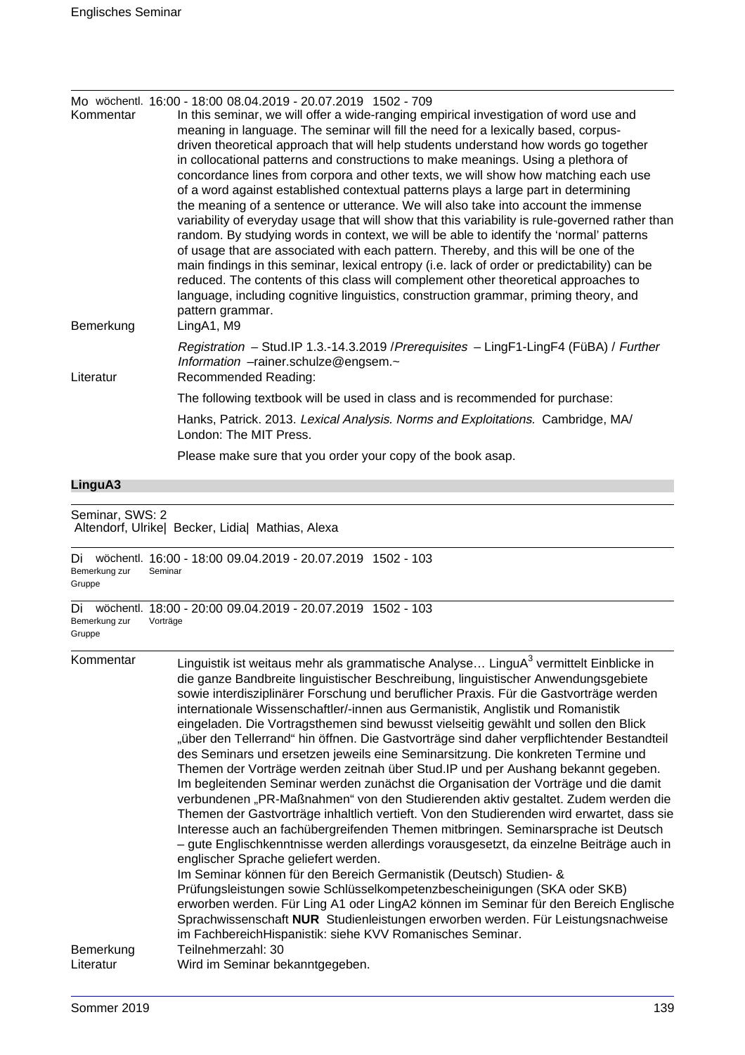| Kommentar | Mo wöchentl. 16:00 - 18:00 08.04.2019 - 20.07.2019 1502 - 709<br>In this seminar, we will offer a wide-ranging empirical investigation of word use and<br>meaning in language. The seminar will fill the need for a lexically based, corpus-<br>driven theoretical approach that will help students understand how words go together                                                                                                                                                                                                                                                                                                                                                                                                                                                                                                                                                                                                                        |
|-----------|-------------------------------------------------------------------------------------------------------------------------------------------------------------------------------------------------------------------------------------------------------------------------------------------------------------------------------------------------------------------------------------------------------------------------------------------------------------------------------------------------------------------------------------------------------------------------------------------------------------------------------------------------------------------------------------------------------------------------------------------------------------------------------------------------------------------------------------------------------------------------------------------------------------------------------------------------------------|
| Bemerkung | in collocational patterns and constructions to make meanings. Using a plethora of<br>concordance lines from corpora and other texts, we will show how matching each use<br>of a word against established contextual patterns plays a large part in determining<br>the meaning of a sentence or utterance. We will also take into account the immense<br>variability of everyday usage that will show that this variability is rule-governed rather than<br>random. By studying words in context, we will be able to identify the 'normal' patterns<br>of usage that are associated with each pattern. Thereby, and this will be one of the<br>main findings in this seminar, lexical entropy (i.e. lack of order or predictability) can be<br>reduced. The contents of this class will complement other theoretical approaches to<br>language, including cognitive linguistics, construction grammar, priming theory, and<br>pattern grammar.<br>LingA1, M9 |
| Literatur | Registration - Stud.IP 1.3.-14.3.2019 / Prerequisites - LingF1-LingF4 (FüBA) / Further<br>Information -rainer.schulze@engsem.~<br>Recommended Reading:                                                                                                                                                                                                                                                                                                                                                                                                                                                                                                                                                                                                                                                                                                                                                                                                      |
|           | The following textbook will be used in class and is recommended for purchase:                                                                                                                                                                                                                                                                                                                                                                                                                                                                                                                                                                                                                                                                                                                                                                                                                                                                               |
|           | Hanks, Patrick. 2013. Lexical Analysis. Norms and Exploitations. Cambridge, MA/<br>London: The MIT Press.                                                                                                                                                                                                                                                                                                                                                                                                                                                                                                                                                                                                                                                                                                                                                                                                                                                   |
|           | Please make sure that you order your copy of the book asap.                                                                                                                                                                                                                                                                                                                                                                                                                                                                                                                                                                                                                                                                                                                                                                                                                                                                                                 |
|           |                                                                                                                                                                                                                                                                                                                                                                                                                                                                                                                                                                                                                                                                                                                                                                                                                                                                                                                                                             |

#### **LinguA3**

Seminar, SWS: 2 Altendorf, Ulrike| Becker, Lidia| Mathias, Alexa

```
Di wöchentl. 16:00 - 18:00 09.04.2019 - 20.07.2019 1502 - 103
Bemerkung zur
Gruppe
             Seminar
Di wöchentl. 18:00 - 20:00 09.04.2019 - 20.07.2019 1502 - 103
Bemerkung zur
Gruppe
             Vorträge
Kommentar binguistik ist weitaus mehr als grammatische Analyse... LinguA^3 vermittelt Einblicke in
```
die ganze Bandbreite linguistischer Beschreibung, linguistischer Anwendungsgebiete sowie interdisziplinärer Forschung und beruflicher Praxis. Für die Gastvorträge werden internationale Wissenschaftler/-innen aus Germanistik, Anglistik und Romanistik eingeladen. Die Vortragsthemen sind bewusst vielseitig gewählt und sollen den Blick "über den Tellerrand" hin öffnen. Die Gastvorträge sind daher verpflichtender Bestandteil des Seminars und ersetzen jeweils eine Seminarsitzung. Die konkreten Termine und Themen der Vorträge werden zeitnah über Stud.IP und per Aushang bekannt gegeben. Im begleitenden Seminar werden zunächst die Organisation der Vorträge und die damit verbundenen "PR-Maßnahmen" von den Studierenden aktiv gestaltet. Zudem werden die Themen der Gastvorträge inhaltlich vertieft. Von den Studierenden wird erwartet, dass sie Interesse auch an fachübergreifenden Themen mitbringen. Seminarsprache ist Deutsch – gute Englischkenntnisse werden allerdings vorausgesetzt, da einzelne Beiträge auch in englischer Sprache geliefert werden. Im Seminar können für den Bereich Germanistik (Deutsch) Studien- & Prüfungsleistungen sowie Schlüsselkompetenzbescheinigungen (SKA oder SKB) erworben werden. Für Ling A1 oder LingA2 können im Seminar für den Bereich Englische Sprachwissenschaft **NUR** Studienleistungen erworben werden. Für Leistungsnachweise im FachbereichHispanistik: siehe KVV Romanisches Seminar. Bemerkung Teilnehmerzahl: 30 Literatur Wird im Seminar bekanntgegeben.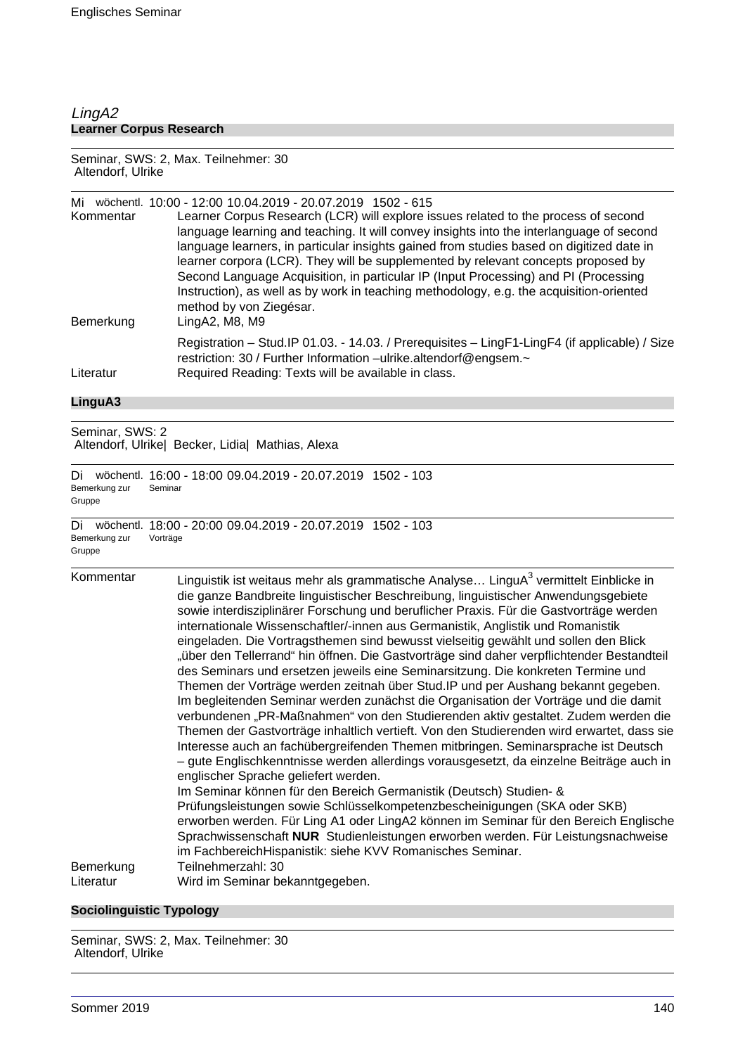## LingA2 **Learner Corpus Research**

#### Seminar, SWS: 2, Max. Teilnehmer: 30 Altendorf, Ulrike

| Mi<br>Kommentar | wöchentl. 10:00 - 12:00 10:04.2019 - 20:07.2019 1502 - 615<br>Learner Corpus Research (LCR) will explore issues related to the process of second<br>language learning and teaching. It will convey insights into the interlanguage of second<br>language learners, in particular insights gained from studies based on digitized date in<br>learner corpora (LCR). They will be supplemented by relevant concepts proposed by<br>Second Language Acquisition, in particular IP (Input Processing) and PI (Processing<br>Instruction), as well as by work in teaching methodology, e.g. the acquisition-oriented<br>method by von Ziegésar. |
|-----------------|--------------------------------------------------------------------------------------------------------------------------------------------------------------------------------------------------------------------------------------------------------------------------------------------------------------------------------------------------------------------------------------------------------------------------------------------------------------------------------------------------------------------------------------------------------------------------------------------------------------------------------------------|
| Bemerkung       | LingA2, M8, M9                                                                                                                                                                                                                                                                                                                                                                                                                                                                                                                                                                                                                             |
| Literatur       | Registration - Stud. IP 01.03. - 14.03. / Prerequisites - LingF1-LingF4 (if applicable) / Size<br>restriction: 30 / Further Information -ulrike.altendorf@engsem.~<br>Required Reading: Texts will be available in class.                                                                                                                                                                                                                                                                                                                                                                                                                  |

## **LinguA3**

Seminar, SWS: 2 Altendorf, Ulrike| Becker, Lidia| Mathias, Alexa

| Di<br>Bemerkung zur<br>Gruppe | wöchentl. 16:00 - 18:00 09.04.2019 - 20.07.2019 1502 - 103<br>Seminar  |
|-------------------------------|------------------------------------------------------------------------|
| Di<br>Bemerkung zur<br>Gruppe | wöchentl. 18:00 - 20:00 09.04.2019 - 20.07.2019 1502 - 103<br>Vorträge |

| Kommentar              | Linguistik ist weitaus mehr als grammatische Analyse LinguA <sup>3</sup> vermittelt Einblicke in<br>die ganze Bandbreite linguistischer Beschreibung, linguistischer Anwendungsgebiete<br>sowie interdisziplinärer Forschung und beruflicher Praxis. Für die Gastvorträge werden<br>internationale Wissenschaftler/-innen aus Germanistik, Anglistik und Romanistik<br>eingeladen. Die Vortragsthemen sind bewusst vielseitig gewählt und sollen den Blick<br>"über den Tellerrand" hin öffnen. Die Gastvorträge sind daher verpflichtender Bestandteil<br>des Seminars und ersetzen jeweils eine Seminarsitzung. Die konkreten Termine und<br>Themen der Vorträge werden zeitnah über Stud. IP und per Aushang bekannt gegeben.<br>Im begleitenden Seminar werden zunächst die Organisation der Vorträge und die damit<br>verbundenen "PR-Maßnahmen" von den Studierenden aktiv gestaltet. Zudem werden die<br>Themen der Gastvorträge inhaltlich vertieft. Von den Studierenden wird erwartet, dass sie<br>Interesse auch an fachübergreifenden Themen mitbringen. Seminarsprache ist Deutsch<br>- gute Englischkenntnisse werden allerdings vorausgesetzt, da einzelne Beiträge auch in<br>englischer Sprache geliefert werden.<br>Im Seminar können für den Bereich Germanistik (Deutsch) Studien- &<br>Prüfungsleistungen sowie Schlüsselkompetenzbescheinigungen (SKA oder SKB)<br>erworben werden. Für Ling A1 oder LingA2 können im Seminar für den Bereich Englische<br>Sprachwissenschaft NUR Studienleistungen erworben werden. Für Leistungsnachweise<br>im FachbereichHispanistik: siehe KVV Romanisches Seminar. |
|------------------------|--------------------------------------------------------------------------------------------------------------------------------------------------------------------------------------------------------------------------------------------------------------------------------------------------------------------------------------------------------------------------------------------------------------------------------------------------------------------------------------------------------------------------------------------------------------------------------------------------------------------------------------------------------------------------------------------------------------------------------------------------------------------------------------------------------------------------------------------------------------------------------------------------------------------------------------------------------------------------------------------------------------------------------------------------------------------------------------------------------------------------------------------------------------------------------------------------------------------------------------------------------------------------------------------------------------------------------------------------------------------------------------------------------------------------------------------------------------------------------------------------------------------------------------------------------------------------------------------------------------------------------|
| Bemerkung<br>Literatur | Teilnehmerzahl: 30<br>Wird im Seminar bekanntgegeben.                                                                                                                                                                                                                                                                                                                                                                                                                                                                                                                                                                                                                                                                                                                                                                                                                                                                                                                                                                                                                                                                                                                                                                                                                                                                                                                                                                                                                                                                                                                                                                          |
|                        |                                                                                                                                                                                                                                                                                                                                                                                                                                                                                                                                                                                                                                                                                                                                                                                                                                                                                                                                                                                                                                                                                                                                                                                                                                                                                                                                                                                                                                                                                                                                                                                                                                |

## **Sociolinguistic Typology**

Seminar, SWS: 2, Max. Teilnehmer: 30 Altendorf, Ulrike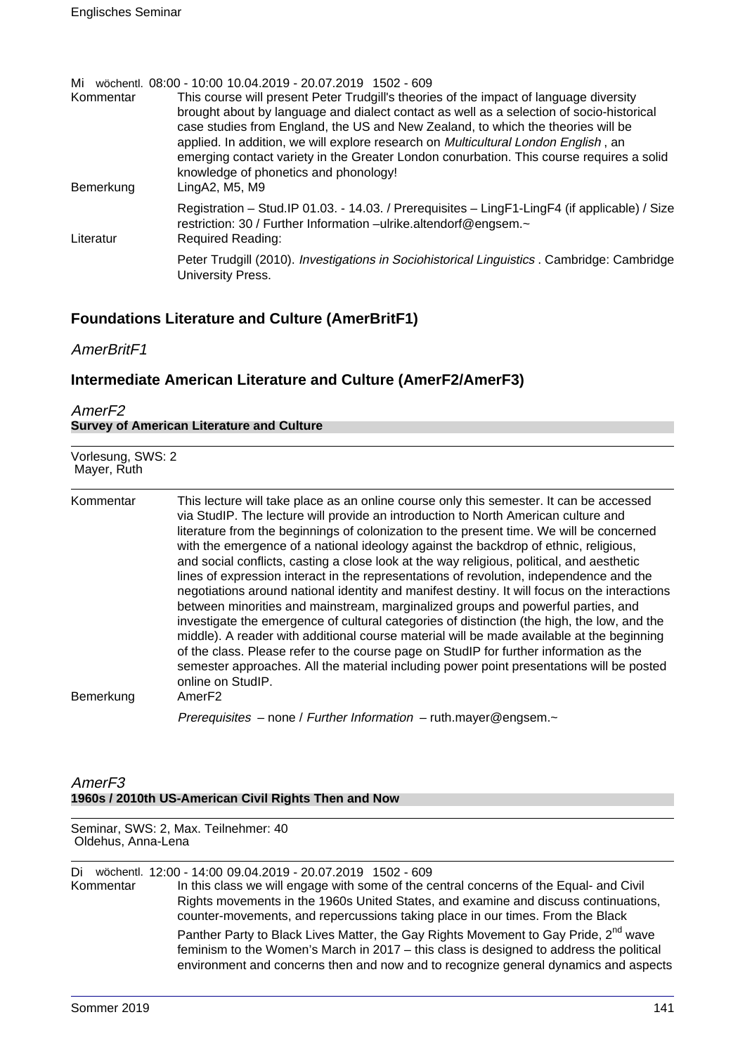| Mi        | wöchentl. 08:00 - 10:00 10.04.2019 - 20.07.2019 1502 - 609                                                                                                         |
|-----------|--------------------------------------------------------------------------------------------------------------------------------------------------------------------|
| Kommentar | This course will present Peter Trudgill's theories of the impact of language diversity                                                                             |
|           | brought about by language and dialect contact as well as a selection of socio-historical                                                                           |
|           | case studies from England, the US and New Zealand, to which the theories will be                                                                                   |
|           | applied. In addition, we will explore research on <i>Multicultural London English</i> , an                                                                         |
|           | emerging contact variety in the Greater London conurbation. This course requires a solid                                                                           |
|           | knowledge of phonetics and phonology!                                                                                                                              |
| Bemerkung | LingA2, M5, M9                                                                                                                                                     |
|           | Registration - Stud. IP 01.03. - 14.03. / Prerequisites - LingF1-LingF4 (if applicable) / Size<br>restriction: 30 / Further Information -ulrike.altendorf@engsem.~ |
| Literatur | <b>Required Reading:</b>                                                                                                                                           |
|           | Peter Trudgill (2010). Investigations in Sociohistorical Linguistics . Cambridge: Cambridge<br>University Press.                                                   |

# **Foundations Literature and Culture (AmerBritF1)**

AmerBritF1

# **Intermediate American Literature and Culture (AmerF2/AmerF3)**

| AmerF <sub>2</sub>                               |  |
|--------------------------------------------------|--|
| <b>Survey of American Literature and Culture</b> |  |

| Vorlesung, SWS: 2<br>Mayer, Ruth |                                                                                                                                                                                                                                                                                                                                                                                                                                                                                                                                                                                                                                                                                                                                                                                                                                                                                                                                                                                                                                                                                                                                                                             |  |  |
|----------------------------------|-----------------------------------------------------------------------------------------------------------------------------------------------------------------------------------------------------------------------------------------------------------------------------------------------------------------------------------------------------------------------------------------------------------------------------------------------------------------------------------------------------------------------------------------------------------------------------------------------------------------------------------------------------------------------------------------------------------------------------------------------------------------------------------------------------------------------------------------------------------------------------------------------------------------------------------------------------------------------------------------------------------------------------------------------------------------------------------------------------------------------------------------------------------------------------|--|--|
| Kommentar<br>Bemerkung           | This lecture will take place as an online course only this semester. It can be accessed<br>via StudIP. The lecture will provide an introduction to North American culture and<br>literature from the beginnings of colonization to the present time. We will be concerned<br>with the emergence of a national ideology against the backdrop of ethnic, religious,<br>and social conflicts, casting a close look at the way religious, political, and aesthetic<br>lines of expression interact in the representations of revolution, independence and the<br>negotiations around national identity and manifest destiny. It will focus on the interactions<br>between minorities and mainstream, marginalized groups and powerful parties, and<br>investigate the emergence of cultural categories of distinction (the high, the low, and the<br>middle). A reader with additional course material will be made available at the beginning<br>of the class. Please refer to the course page on StudIP for further information as the<br>semester approaches. All the material including power point presentations will be posted<br>online on StudIP.<br>AmerF <sub>2</sub> |  |  |
|                                  | Prerequisites - none / Further Information - ruth.mayer@engsem.~                                                                                                                                                                                                                                                                                                                                                                                                                                                                                                                                                                                                                                                                                                                                                                                                                                                                                                                                                                                                                                                                                                            |  |  |

## AmerF3 **1960s / 2010th US-American Civil Rights Then and Now**

Seminar, SWS: 2, Max. Teilnehmer: 40 Oldehus, Anna-Lena

Di wöchentl. 12:00 - 14:00 09.04.2019 - 20.07.2019 1502 - 609

Kommentar In this class we will engage with some of the central concerns of the Equal- and Civil Rights movements in the 1960s United States, and examine and discuss continuations, counter-movements, and repercussions taking place in our times. From the Black Panther Party to Black Lives Matter, the Gay Rights Movement to Gay Pride, 2<sup>nd</sup> wave feminism to the Women's March in 2017 – this class is designed to address the political environment and concerns then and now and to recognize general dynamics and aspects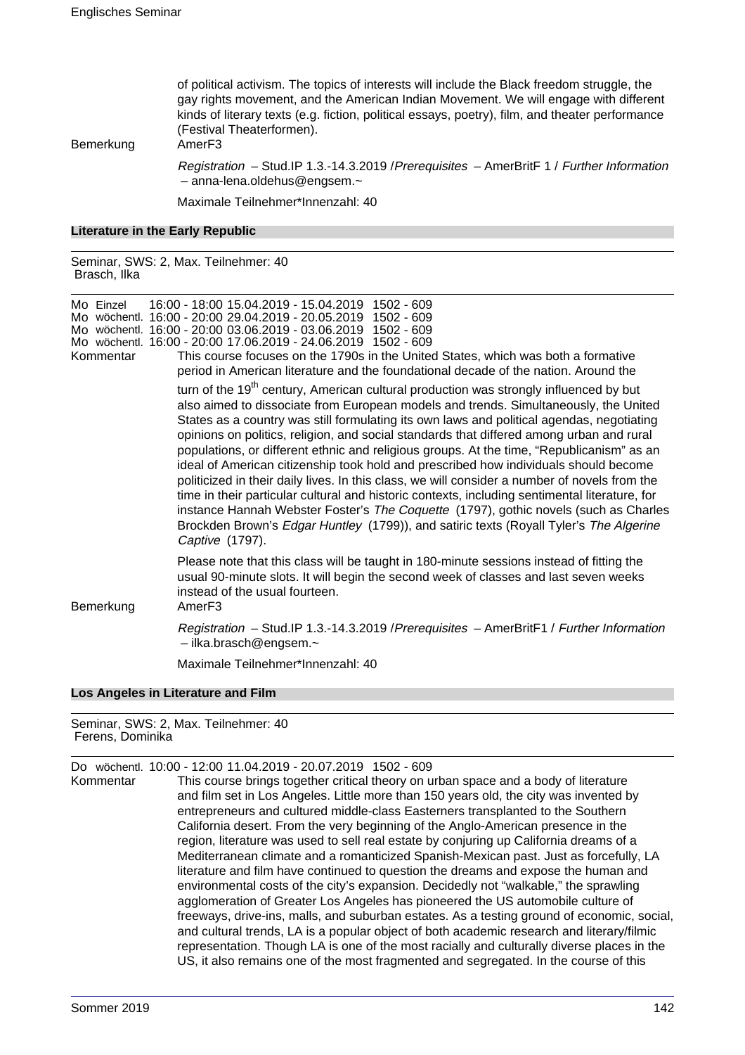of political activism. The topics of interests will include the Black freedom struggle, the gay rights movement, and the American Indian Movement. We will engage with different kinds of literary texts (e.g. fiction, political essays, poetry), film, and theater performance (Festival Theaterformen).

Bemerkung AmerF3

Registration – Stud.IP 1.3.-14.3.2019 /Prerequisites – AmerBritF 1 / Further Information – anna-lena.oldehus@engsem.~

Maximale Teilnehmer\*Innenzahl: 40

#### **Literature in the Early Republic**

Seminar, SWS: 2, Max. Teilnehmer: 40 Brasch, Ilka

| Mo Einzel<br>Kommentar | 16:00 - 18:00 15.04.2019 - 15.04.2019 1502 - 609<br>Mo wöchentl. 16:00 - 20:00 29.04.2019 - 20.05.2019 1502 - 609<br>Mo wöchentl. 16:00 - 20:00 03.06.2019 - 03.06.2019 1502 - 609<br>Mo wöchentl. 16:00 - 20:00 17.06.2019 - 24.06.2019 1502 - 609<br>This course focuses on the 1790s in the United States, which was both a formative<br>period in American literature and the foundational decade of the nation. Around the                                                                                                                                                                                                                                                                                                                                                                                                                                                                                                                                                 |
|------------------------|---------------------------------------------------------------------------------------------------------------------------------------------------------------------------------------------------------------------------------------------------------------------------------------------------------------------------------------------------------------------------------------------------------------------------------------------------------------------------------------------------------------------------------------------------------------------------------------------------------------------------------------------------------------------------------------------------------------------------------------------------------------------------------------------------------------------------------------------------------------------------------------------------------------------------------------------------------------------------------|
|                        | turn of the 19 <sup>th</sup> century, American cultural production was strongly influenced by but<br>also aimed to dissociate from European models and trends. Simultaneously, the United<br>States as a country was still formulating its own laws and political agendas, negotiating<br>opinions on politics, religion, and social standards that differed among urban and rural<br>populations, or different ethnic and religious groups. At the time, "Republicanism" as an<br>ideal of American citizenship took hold and prescribed how individuals should become<br>politicized in their daily lives. In this class, we will consider a number of novels from the<br>time in their particular cultural and historic contexts, including sentimental literature, for<br>instance Hannah Webster Foster's The Coquette (1797), gothic novels (such as Charles<br>Brockden Brown's Edgar Huntley (1799)), and satiric texts (Royall Tyler's The Algerine<br>Captive (1797). |
| Bemerkung              | Please note that this class will be taught in 180-minute sessions instead of fitting the<br>usual 90-minute slots. It will begin the second week of classes and last seven weeks<br>instead of the usual fourteen.<br>Amer <sub>F3</sub>                                                                                                                                                                                                                                                                                                                                                                                                                                                                                                                                                                                                                                                                                                                                        |
|                        | Registration - Stud.IP 1.3.-14.3.2019 / Prerequisites - AmerBritF1 / Further Information<br>$-$ ilka.brasch@engsem. $\sim$                                                                                                                                                                                                                                                                                                                                                                                                                                                                                                                                                                                                                                                                                                                                                                                                                                                      |
|                        | Maximale Teilnehmer*Innenzahl: 40                                                                                                                                                                                                                                                                                                                                                                                                                                                                                                                                                                                                                                                                                                                                                                                                                                                                                                                                               |
|                        | Los Angeles in Literature and Film                                                                                                                                                                                                                                                                                                                                                                                                                                                                                                                                                                                                                                                                                                                                                                                                                                                                                                                                              |

Seminar, SWS: 2, Max. Teilnehmer: 40 Ferens, Dominika

Do wöchentl. 10:00 - 12:00 11.04.2019 - 20.07.2019 1502 - 609

Kommentar This course brings together critical theory on urban space and a body of literature and film set in Los Angeles. Little more than 150 years old, the city was invented by entrepreneurs and cultured middle-class Easterners transplanted to the Southern California desert. From the very beginning of the Anglo-American presence in the region, literature was used to sell real estate by conjuring up California dreams of a Mediterranean climate and a romanticized Spanish-Mexican past. Just as forcefully, LA literature and film have continued to question the dreams and expose the human and environmental costs of the city's expansion. Decidedly not "walkable," the sprawling agglomeration of Greater Los Angeles has pioneered the US automobile culture of freeways, drive-ins, malls, and suburban estates. As a testing ground of economic, social, and cultural trends, LA is a popular object of both academic research and literary/filmic representation. Though LA is one of the most racially and culturally diverse places in the US, it also remains one of the most fragmented and segregated. In the course of this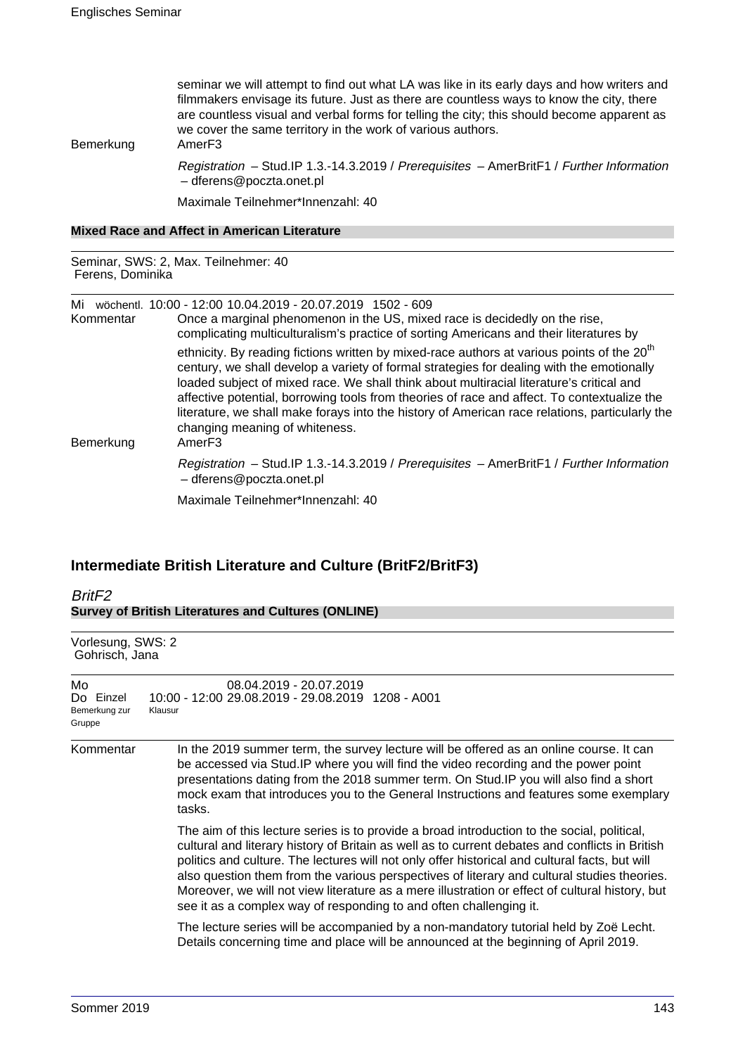seminar we will attempt to find out what LA was like in its early days and how writers and filmmakers envisage its future. Just as there are countless ways to know the city, there are countless visual and verbal forms for telling the city; this should become apparent as we cover the same territory in the work of various authors.

Bemerkung AmerF3

Registration – Stud.IP 1.3.-14.3.2019 / Prerequisites – AmerBritF1 / Further Information – dferens@poczta.onet.pl

Maximale Teilnehmer\*Innenzahl: 40

|  |  |  |  | <b>Mixed Race and Affect in American Literature</b> |  |
|--|--|--|--|-----------------------------------------------------|--|
|--|--|--|--|-----------------------------------------------------|--|

Seminar, SWS: 2, Max. Teilnehmer: 40 Ferens, Dominika

Mi wöchentl. 10:00 - 12:00 10.04.2019 - 20.07.2019 1502 - 609

Kommentar Once a marginal phenomenon in the US, mixed race is decidedly on the rise, complicating multiculturalism's practice of sorting Americans and their literatures by ethnicity. By reading fictions written by mixed-race authors at various points of the  $20<sup>th</sup>$ century, we shall develop a variety of formal strategies for dealing with the emotionally loaded subject of mixed race. We shall think about multiracial literature's critical and affective potential, borrowing tools from theories of race and affect. To contextualize the literature, we shall make forays into the history of American race relations, particularly the changing meaning of whiteness. Bemerkung AmerF3 Registration – Stud.IP 1.3.-14.3.2019 / Prerequisites – AmerBritF1 / Further Information – dferens@poczta.onet.pl Maximale Teilnehmer\*Innenzahl: 40

## **Intermediate British Literature and Culture (BritF2/BritF3)**

| BritF <sub>2</sub><br><b>Survey of British Literatures and Cultures (ONLINE)</b> |                                                                                                                                                                                                                                                                                                                                                                                                                                                                                                                                                                          |  |  |  |
|----------------------------------------------------------------------------------|--------------------------------------------------------------------------------------------------------------------------------------------------------------------------------------------------------------------------------------------------------------------------------------------------------------------------------------------------------------------------------------------------------------------------------------------------------------------------------------------------------------------------------------------------------------------------|--|--|--|
| Vorlesung, SWS: 2<br>Gohrisch, Jana                                              |                                                                                                                                                                                                                                                                                                                                                                                                                                                                                                                                                                          |  |  |  |
| Mo<br>Do Einzel<br>Bemerkung zur<br>Gruppe                                       | 08.04.2019 - 20.07.2019<br>10:00 - 12:00 29.08.2019 - 29.08.2019 1208 - A001<br>Klausur                                                                                                                                                                                                                                                                                                                                                                                                                                                                                  |  |  |  |
| Kommentar                                                                        | In the 2019 summer term, the survey lecture will be offered as an online course. It can<br>be accessed via Stud. IP where you will find the video recording and the power point<br>presentations dating from the 2018 summer term. On Stud. IP you will also find a short<br>mock exam that introduces you to the General Instructions and features some exemplary<br>tasks.                                                                                                                                                                                             |  |  |  |
|                                                                                  | The aim of this lecture series is to provide a broad introduction to the social, political,<br>cultural and literary history of Britain as well as to current debates and conflicts in British<br>politics and culture. The lectures will not only offer historical and cultural facts, but will<br>also question them from the various perspectives of literary and cultural studies theories.<br>Moreover, we will not view literature as a mere illustration or effect of cultural history, but<br>see it as a complex way of responding to and often challenging it. |  |  |  |
|                                                                                  | The lecture series will be accompanied by a non-mandatory tutorial held by Zoë Lecht.<br>Details concerning time and place will be announced at the beginning of April 2019.                                                                                                                                                                                                                                                                                                                                                                                             |  |  |  |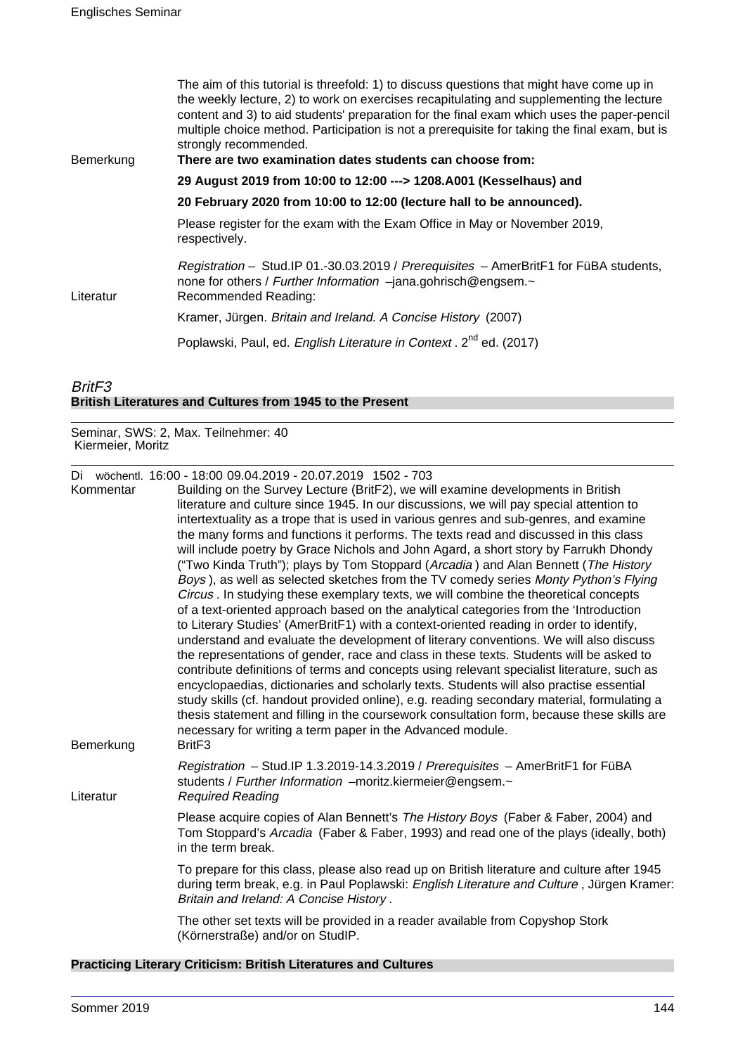| Bemerkung | The aim of this tutorial is threefold: 1) to discuss questions that might have come up in<br>the weekly lecture, 2) to work on exercises recapitulating and supplementing the lecture<br>content and 3) to aid students' preparation for the final exam which uses the paper-pencil<br>multiple choice method. Participation is not a prerequisite for taking the final exam, but is<br>strongly recommended.<br>There are two examination dates students can choose from: |  |  |  |  |  |
|-----------|----------------------------------------------------------------------------------------------------------------------------------------------------------------------------------------------------------------------------------------------------------------------------------------------------------------------------------------------------------------------------------------------------------------------------------------------------------------------------|--|--|--|--|--|
|           | 29 August 2019 from 10:00 to 12:00 ---> 1208.A001 (Kesselhaus) and                                                                                                                                                                                                                                                                                                                                                                                                         |  |  |  |  |  |
|           | 20 February 2020 from 10:00 to 12:00 (lecture hall to be announced).                                                                                                                                                                                                                                                                                                                                                                                                       |  |  |  |  |  |
|           | Please register for the exam with the Exam Office in May or November 2019,<br>respectively.                                                                                                                                                                                                                                                                                                                                                                                |  |  |  |  |  |
| Literatur | Registration – Stud. IP 01.-30.03.2019 / Prerequisites – AmerBritF1 for FüBA students,<br>none for others / Further Information -jana.gohrisch@engsem.~<br>Recommended Reading:                                                                                                                                                                                                                                                                                            |  |  |  |  |  |
|           | Kramer, Jürgen. Britain and Ireland. A Concise History (2007).                                                                                                                                                                                                                                                                                                                                                                                                             |  |  |  |  |  |
|           | Poplawski, Paul, ed. English Literature in Context. 2 <sup>nd</sup> ed. (2017)                                                                                                                                                                                                                                                                                                                                                                                             |  |  |  |  |  |
|           |                                                                                                                                                                                                                                                                                                                                                                                                                                                                            |  |  |  |  |  |

## BritF3 **British Literatures and Cultures from 1945 to the Present**

Seminar, SWS: 2, Max. Teilnehmer: 40 Kiermeier, Moritz

|  |  |  |  |  | Di wöchentl. 16:00 - 18:00 09.04.2019 - 20.07.2019 1502 - 703 |  |
|--|--|--|--|--|---------------------------------------------------------------|--|
|--|--|--|--|--|---------------------------------------------------------------|--|

| Kommentar              | Building on the Survey Lecture (BritF2), we will examine developments in British<br>literature and culture since 1945. In our discussions, we will pay special attention to<br>intertextuality as a trope that is used in various genres and sub-genres, and examine<br>the many forms and functions it performs. The texts read and discussed in this class<br>will include poetry by Grace Nichols and John Agard, a short story by Farrukh Dhondy<br>("Two Kinda Truth"); plays by Tom Stoppard (Arcadia) and Alan Bennett (The History<br>Boys), as well as selected sketches from the TV comedy series Monty Python's Flying<br>Circus . In studying these exemplary texts, we will combine the theoretical concepts<br>of a text-oriented approach based on the analytical categories from the 'Introduction<br>to Literary Studies' (AmerBritF1) with a context-oriented reading in order to identify,<br>understand and evaluate the development of literary conventions. We will also discuss<br>the representations of gender, race and class in these texts. Students will be asked to<br>contribute definitions of terms and concepts using relevant specialist literature, such as<br>encyclopaedias, dictionaries and scholarly texts. Students will also practise essential<br>study skills (cf. handout provided online), e.g. reading secondary material, formulating a<br>thesis statement and filling in the coursework consultation form, because these skills are<br>necessary for writing a term paper in the Advanced module. |  |  |  |  |  |
|------------------------|------------------------------------------------------------------------------------------------------------------------------------------------------------------------------------------------------------------------------------------------------------------------------------------------------------------------------------------------------------------------------------------------------------------------------------------------------------------------------------------------------------------------------------------------------------------------------------------------------------------------------------------------------------------------------------------------------------------------------------------------------------------------------------------------------------------------------------------------------------------------------------------------------------------------------------------------------------------------------------------------------------------------------------------------------------------------------------------------------------------------------------------------------------------------------------------------------------------------------------------------------------------------------------------------------------------------------------------------------------------------------------------------------------------------------------------------------------------------------------------------------------------------------------------------------|--|--|--|--|--|
| Bemerkung<br>Literatur | Brit <sub>F3</sub><br>Registration - Stud.IP 1.3.2019-14.3.2019 / Prerequisites - AmerBritF1 for FüBA<br>students / Further Information -moritz.kiermeier@engsem.~<br><b>Required Reading</b>                                                                                                                                                                                                                                                                                                                                                                                                                                                                                                                                                                                                                                                                                                                                                                                                                                                                                                                                                                                                                                                                                                                                                                                                                                                                                                                                                        |  |  |  |  |  |
|                        | Please acquire copies of Alan Bennett's The History Boys (Faber & Faber, 2004) and<br>Tom Stoppard's Arcadia (Faber & Faber, 1993) and read one of the plays (ideally, both)<br>in the term break.                                                                                                                                                                                                                                                                                                                                                                                                                                                                                                                                                                                                                                                                                                                                                                                                                                                                                                                                                                                                                                                                                                                                                                                                                                                                                                                                                   |  |  |  |  |  |
|                        | To prepare for this class, please also read up on British literature and culture after 1945<br>during term break, e.g. in Paul Poplawski: English Literature and Culture, Jürgen Kramer:<br>Britain and Ireland: A Concise History.                                                                                                                                                                                                                                                                                                                                                                                                                                                                                                                                                                                                                                                                                                                                                                                                                                                                                                                                                                                                                                                                                                                                                                                                                                                                                                                  |  |  |  |  |  |
|                        | The other set texts will be provided in a reader available from Copyshop Stork<br>(Körnerstraße) and/or on StudIP.                                                                                                                                                                                                                                                                                                                                                                                                                                                                                                                                                                                                                                                                                                                                                                                                                                                                                                                                                                                                                                                                                                                                                                                                                                                                                                                                                                                                                                   |  |  |  |  |  |
|                        |                                                                                                                                                                                                                                                                                                                                                                                                                                                                                                                                                                                                                                                                                                                                                                                                                                                                                                                                                                                                                                                                                                                                                                                                                                                                                                                                                                                                                                                                                                                                                      |  |  |  |  |  |

# **Practicing Literary Criticism: British Literatures and Cultures**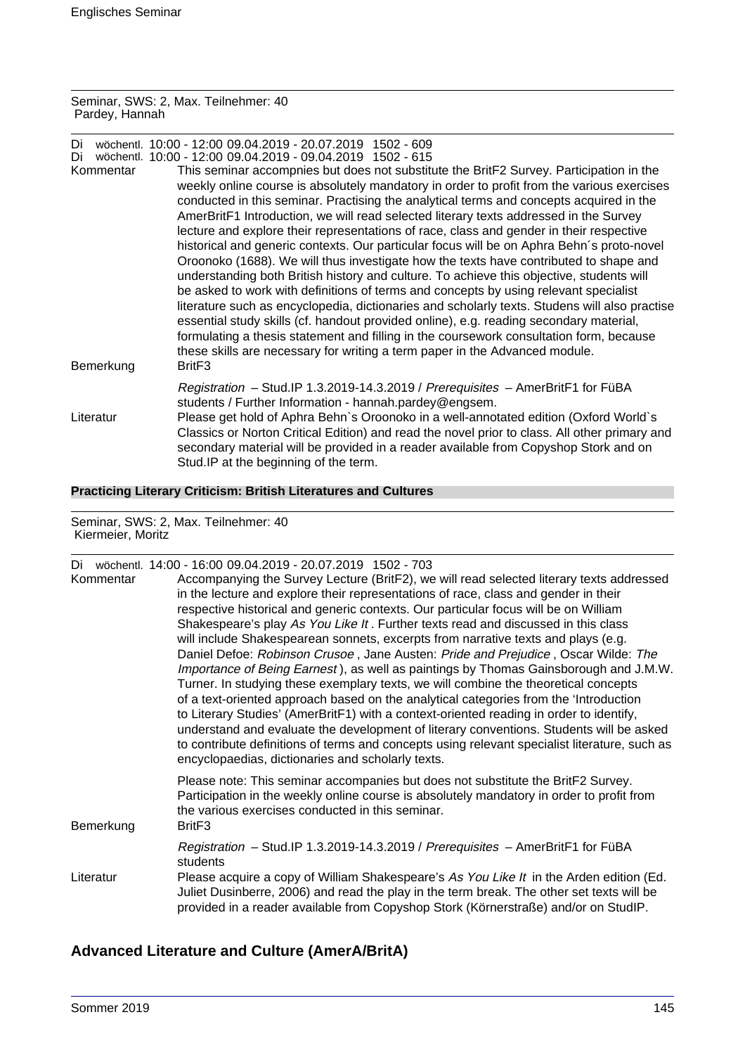Seminar, SWS: 2, Max. Teilnehmer: 40 Pardey, Hannah

Di wöchentl. 10:00 - 12:00 09.04.2019 - 20.07.2019 1502 - 609

| Di                     | wöchentl. 10:00 - 12:00 09.04.2019 - 09.04.2019 1502 - 615                                                                                                                                                                                                                                                                                                                                                                                                                                                                                                                                                                                                                                                                                                                                                                                                                                                                                                                                                                                                                                                                                                                                                                                |
|------------------------|-------------------------------------------------------------------------------------------------------------------------------------------------------------------------------------------------------------------------------------------------------------------------------------------------------------------------------------------------------------------------------------------------------------------------------------------------------------------------------------------------------------------------------------------------------------------------------------------------------------------------------------------------------------------------------------------------------------------------------------------------------------------------------------------------------------------------------------------------------------------------------------------------------------------------------------------------------------------------------------------------------------------------------------------------------------------------------------------------------------------------------------------------------------------------------------------------------------------------------------------|
| Kommentar<br>Bemerkung | This seminar accompnies but does not substitute the BritF2 Survey. Participation in the<br>weekly online course is absolutely mandatory in order to profit from the various exercises<br>conducted in this seminar. Practising the analytical terms and concepts acquired in the<br>AmerBritF1 Introduction, we will read selected literary texts addressed in the Survey<br>lecture and explore their representations of race, class and gender in their respective<br>historical and generic contexts. Our particular focus will be on Aphra Behn's proto-novel<br>Oroonoko (1688). We will thus investigate how the texts have contributed to shape and<br>understanding both British history and culture. To achieve this objective, students will<br>be asked to work with definitions of terms and concepts by using relevant specialist<br>literature such as encyclopedia, dictionaries and scholarly texts. Studens will also practise<br>essential study skills (cf. handout provided online), e.g. reading secondary material,<br>formulating a thesis statement and filling in the coursework consultation form, because<br>these skills are necessary for writing a term paper in the Advanced module.<br>Brit <sub>F3</sub> |
|                        | Registration - Stud.IP 1.3.2019-14.3.2019 / Prerequisites - AmerBritF1 for FüBA<br>students / Further Information - hannah.pardey@engsem.                                                                                                                                                                                                                                                                                                                                                                                                                                                                                                                                                                                                                                                                                                                                                                                                                                                                                                                                                                                                                                                                                                 |
| Literatur              | Please get hold of Aphra Behn's Oroonoko in a well-annotated edition (Oxford World's<br>Classics or Norton Critical Edition) and read the novel prior to class. All other primary and<br>secondary material will be provided in a reader available from Copyshop Stork and on<br>Stud. IP at the beginning of the term.                                                                                                                                                                                                                                                                                                                                                                                                                                                                                                                                                                                                                                                                                                                                                                                                                                                                                                                   |

# **Practicing Literary Criticism: British Literatures and Cultures**

Seminar, SWS: 2, Max. Teilnehmer: 40 Kiermeier, Moritz

| Di<br>Kommentar | wöchentl. 14:00 - 16:00 09.04.2019 - 20.07.2019 1502 - 703<br>Accompanying the Survey Lecture (BritF2), we will read selected literary texts addressed<br>in the lecture and explore their representations of race, class and gender in their<br>respective historical and generic contexts. Our particular focus will be on William<br>Shakespeare's play As You Like It. Further texts read and discussed in this class<br>will include Shakespearean sonnets, excerpts from narrative texts and plays (e.g.<br>Daniel Defoe: Robinson Crusoe, Jane Austen: Pride and Prejudice, Oscar Wilde: The<br>Importance of Being Earnest), as well as paintings by Thomas Gainsborough and J.M.W.<br>Turner. In studying these exemplary texts, we will combine the theoretical concepts<br>of a text-oriented approach based on the analytical categories from the 'Introduction<br>to Literary Studies' (AmerBritF1) with a context-oriented reading in order to identify,<br>understand and evaluate the development of literary conventions. Students will be asked<br>to contribute definitions of terms and concepts using relevant specialist literature, such as<br>encyclopaedias, dictionaries and scholarly texts. |
|-----------------|-------------------------------------------------------------------------------------------------------------------------------------------------------------------------------------------------------------------------------------------------------------------------------------------------------------------------------------------------------------------------------------------------------------------------------------------------------------------------------------------------------------------------------------------------------------------------------------------------------------------------------------------------------------------------------------------------------------------------------------------------------------------------------------------------------------------------------------------------------------------------------------------------------------------------------------------------------------------------------------------------------------------------------------------------------------------------------------------------------------------------------------------------------------------------------------------------------------------------|
| Bemerkung       | Please note: This seminar accompanies but does not substitute the BritF2 Survey.<br>Participation in the weekly online course is absolutely mandatory in order to profit from<br>the various exercises conducted in this seminar.<br>Brit <sub>F3</sub>                                                                                                                                                                                                                                                                                                                                                                                                                                                                                                                                                                                                                                                                                                                                                                                                                                                                                                                                                                 |
|                 | Registration - Stud.IP 1.3.2019-14.3.2019 / Prerequisites - AmerBritF1 for FüBA<br>students                                                                                                                                                                                                                                                                                                                                                                                                                                                                                                                                                                                                                                                                                                                                                                                                                                                                                                                                                                                                                                                                                                                             |
| Literatur       | Please acquire a copy of William Shakespeare's As You Like It in the Arden edition (Ed.<br>Juliet Dusinberre, 2006) and read the play in the term break. The other set texts will be<br>provided in a reader available from Copyshop Stork (Körnerstraße) and/or on StudIP.                                                                                                                                                                                                                                                                                                                                                                                                                                                                                                                                                                                                                                                                                                                                                                                                                                                                                                                                             |

# **Advanced Literature and Culture (AmerA/BritA)**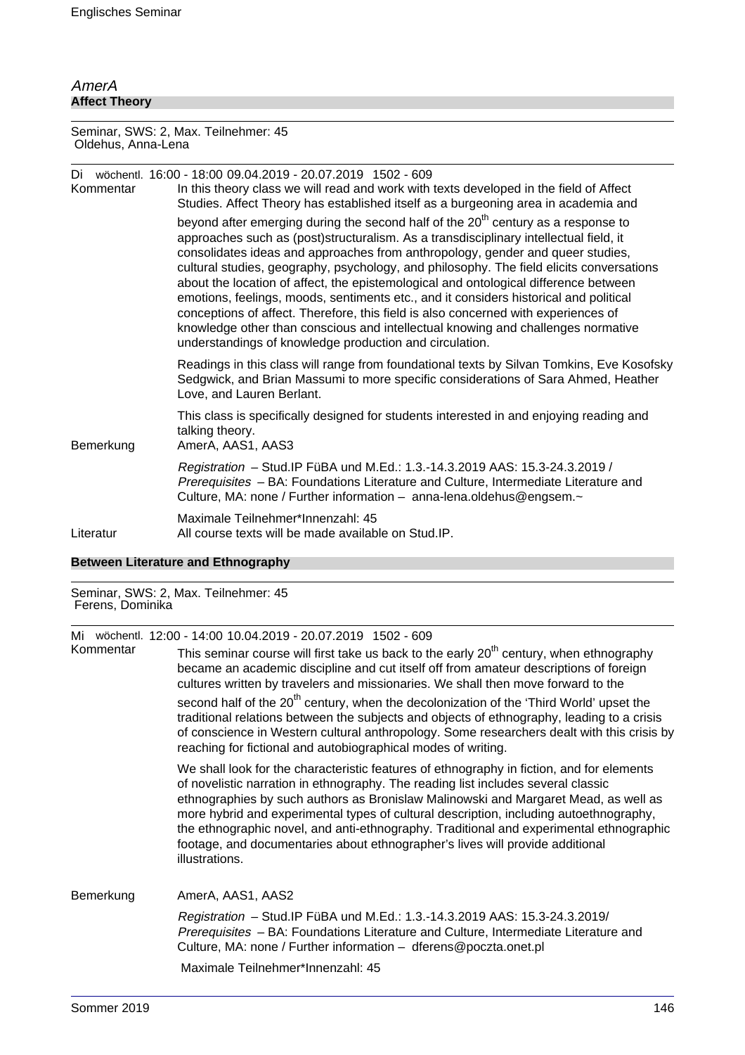# AmerA **Affect Theory**

Seminar, SWS: 2, Max. Teilnehmer: 45 Oldehus, Anna-Lena

| Kommentar | Di wöchentl. 16:00 - 18:00 09.04.2019 - 20.07.2019 1502 - 609<br>In this theory class we will read and work with texts developed in the field of Affect<br>Studies. Affect Theory has established itself as a burgeoning area in academia and                                                                                                                                                                                                                                                                                                                                                                                                                                                                                                                                              |
|-----------|--------------------------------------------------------------------------------------------------------------------------------------------------------------------------------------------------------------------------------------------------------------------------------------------------------------------------------------------------------------------------------------------------------------------------------------------------------------------------------------------------------------------------------------------------------------------------------------------------------------------------------------------------------------------------------------------------------------------------------------------------------------------------------------------|
|           | beyond after emerging during the second half of the 20 <sup>th</sup> century as a response to<br>approaches such as (post)structuralism. As a transdisciplinary intellectual field, it<br>consolidates ideas and approaches from anthropology, gender and queer studies,<br>cultural studies, geography, psychology, and philosophy. The field elicits conversations<br>about the location of affect, the epistemological and ontological difference between<br>emotions, feelings, moods, sentiments etc., and it considers historical and political<br>conceptions of affect. Therefore, this field is also concerned with experiences of<br>knowledge other than conscious and intellectual knowing and challenges normative<br>understandings of knowledge production and circulation. |
|           | Readings in this class will range from foundational texts by Silvan Tomkins, Eve Kosofsky<br>Sedgwick, and Brian Massumi to more specific considerations of Sara Ahmed, Heather<br>Love, and Lauren Berlant.                                                                                                                                                                                                                                                                                                                                                                                                                                                                                                                                                                               |
| Bemerkung | This class is specifically designed for students interested in and enjoying reading and<br>talking theory.<br>AmerA, AAS1, AAS3                                                                                                                                                                                                                                                                                                                                                                                                                                                                                                                                                                                                                                                            |
|           | Registration - Stud. IP FüBA und M.Ed.: 1.3.-14.3.2019 AAS: 15.3-24.3.2019 /<br>Prerequisites - BA: Foundations Literature and Culture, Intermediate Literature and<br>Culture, MA: none / Further information - anna-lena.oldehus@engsem.~                                                                                                                                                                                                                                                                                                                                                                                                                                                                                                                                                |
| Literatur | Maximale Teilnehmer*Innenzahl: 45<br>All course texts will be made available on Stud. IP.                                                                                                                                                                                                                                                                                                                                                                                                                                                                                                                                                                                                                                                                                                  |

#### **Between Literature and Ethnography**

#### Seminar, SWS: 2, Max. Teilnehmer: 45 Ferens, Dominika

Mi wöchentl. 12:00 - 14:00 10.04.2019 - 20.07.2019 1502 - 609

This seminar course will first take us back to the early  $20<sup>th</sup>$  century, when ethnography became an academic discipline and cut itself off from amateur descriptions of foreign cultures written by travelers and missionaries. We shall then move forward to the second half of the 20<sup>th</sup> century, when the decolonization of the 'Third World' upset the traditional relations between the subjects and objects of ethnography, leading to a crisis of conscience in Western cultural anthropology. Some researchers dealt with this crisis by reaching for fictional and autobiographical modes of writing.

We shall look for the characteristic features of ethnography in fiction, and for elements of novelistic narration in ethnography. The reading list includes several classic ethnographies by such authors as Bronislaw Malinowski and Margaret Mead, as well as more hybrid and experimental types of cultural description, including autoethnography, the ethnographic novel, and anti-ethnography. Traditional and experimental ethnographic footage, and documentaries about ethnographer's lives will provide additional illustrations.

Bemerkung AmerA, AAS1, AAS2

Registration – Stud.IP FüBA und M.Ed.: 1.3.-14.3.2019 AAS: 15.3-24.3.2019/ Prerequisites – BA: Foundations Literature and Culture, Intermediate Literature and Culture, MA: none / Further information – dferens@poczta.onet.pl

Maximale Teilnehmer\*Innenzahl: 45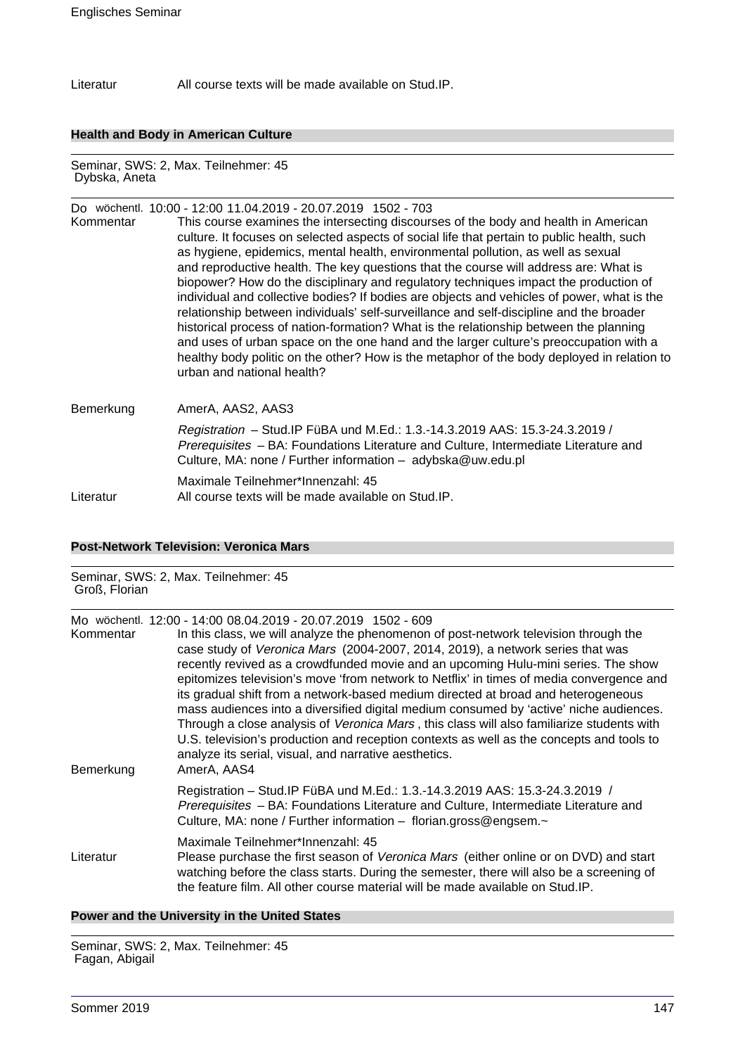Literatur All course texts will be made available on Stud.IP.

#### **Health and Body in American Culture**

Seminar, SWS: 2, Max. Teilnehmer: 45 Dybska, Aneta

# Do wöchentl. 10:00 - 12:00 11.04.2019 - 20.07.2019 1502 - 703 Kommentar This course examines the intersecting discourses of the body and health in American culture. It focuses on selected aspects of social life that pertain to public health, such as hygiene, epidemics, mental health, environmental pollution, as well as sexual and reproductive health. The key questions that the course will address are: What is biopower? How do the disciplinary and regulatory techniques impact the production of individual and collective bodies? If bodies are objects and vehicles of power, what is the relationship between individuals' self-surveillance and self-discipline and the broader historical process of nation-formation? What is the relationship between the planning and uses of urban space on the one hand and the larger culture's preoccupation with a healthy body politic on the other? How is the metaphor of the body deployed in relation to urban and national health?

# Bemerkung AmerA, AAS2, AAS3 Registration – Stud.IP FüBA und M.Ed.: 1.3.-14.3.2019 AAS: 15.3-24.3.2019 / Prerequisites - BA: Foundations Literature and Culture, Intermediate Literature and Culture, MA: none / Further information – adybska@uw.edu.pl Maximale Teilnehmer\*Innenzahl: 45 Literatur All course texts will be made available on Stud.IP.

#### **Post-Network Television: Veronica Mars**

# Seminar, SWS: 2, Max. Teilnehmer: 45 Groß, Florian Mo wöchentl. 12:00 - 14:00 08.04.2019 - 20.07.2019 1502 - 609 Kommentar In this class, we will analyze the phenomenon of post-network television through the case study of Veronica Mars (2004-2007, 2014, 2019), a network series that was recently revived as a crowdfunded movie and an upcoming Hulu-mini series. The show epitomizes television's move 'from network to Netflix' in times of media convergence and its gradual shift from a network-based medium directed at broad and heterogeneous mass audiences into a diversified digital medium consumed by 'active' niche audiences. Through a close analysis of Veronica Mars , this class will also familiarize students with U.S. television's production and reception contexts as well as the concepts and tools to analyze its serial, visual, and narrative aesthetics. Bemerkung AmerA, AAS4 Registration – Stud.IP FüBA und M.Ed.: 1.3.-14.3.2019 AAS: 15.3-24.3.2019 / Prerequisites – BA: Foundations Literature and Culture, Intermediate Literature and Culture, MA: none / Further information – florian.gross@engsem.~ Maximale Teilnehmer\*Innenzahl: 45 Literatur Please purchase the first season of Veronica Mars (either online or on DVD) and start watching before the class starts. During the semester, there will also be a screening of the feature film. All other course material will be made available on Stud.IP.

#### **Power and the University in the United States**

Seminar, SWS: 2, Max. Teilnehmer: 45 Fagan, Abigail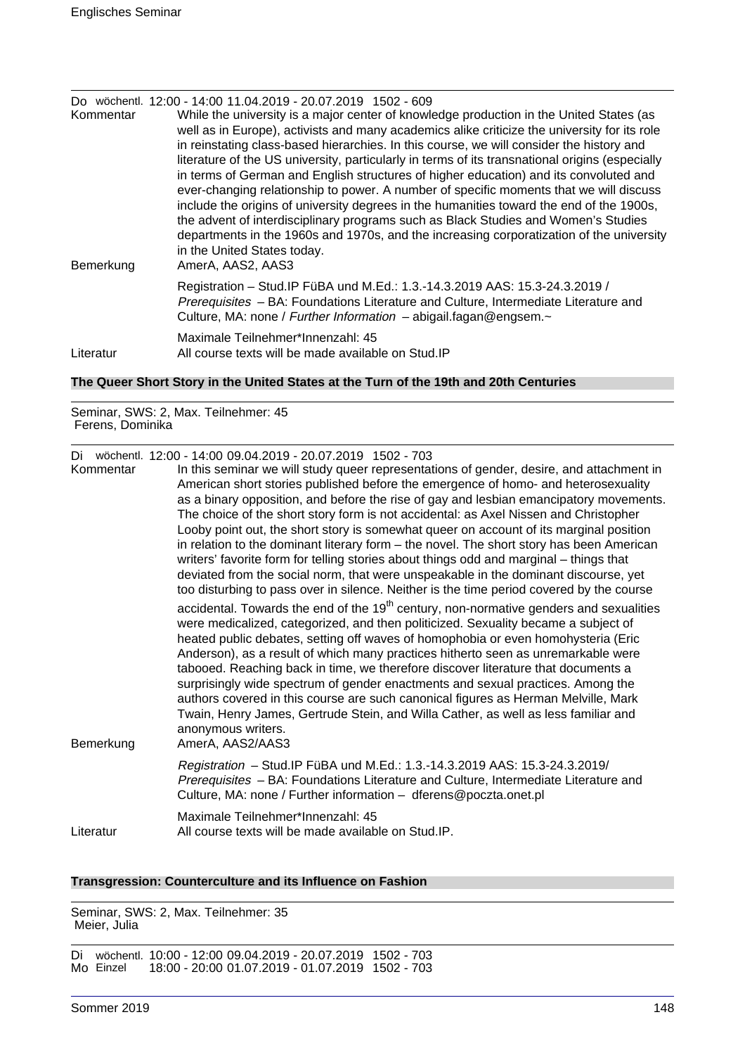| Kommentar<br>Bemerkung | Do wöchentl. 12:00 - 14:00 11.04.2019 - 20.07.2019 1502 - 609<br>While the university is a major center of knowledge production in the United States (as<br>well as in Europe), activists and many academics alike criticize the university for its role<br>in reinstating class-based hierarchies. In this course, we will consider the history and<br>literature of the US university, particularly in terms of its transnational origins (especially<br>in terms of German and English structures of higher education) and its convoluted and<br>ever-changing relationship to power. A number of specific moments that we will discuss<br>include the origins of university degrees in the humanities toward the end of the 1900s,<br>the advent of interdisciplinary programs such as Black Studies and Women's Studies<br>departments in the 1960s and 1970s, and the increasing corporatization of the university<br>in the United States today.<br>AmerA, AAS2, AAS3 |
|------------------------|------------------------------------------------------------------------------------------------------------------------------------------------------------------------------------------------------------------------------------------------------------------------------------------------------------------------------------------------------------------------------------------------------------------------------------------------------------------------------------------------------------------------------------------------------------------------------------------------------------------------------------------------------------------------------------------------------------------------------------------------------------------------------------------------------------------------------------------------------------------------------------------------------------------------------------------------------------------------------|
|                        | Registration - Stud. IP FüBA und M.Ed.: 1.3.-14.3.2019 AAS: 15.3-24.3.2019 /<br>Prerequisites - BA: Foundations Literature and Culture, Intermediate Literature and<br>Culture, MA: none / Further Information - abigail.fagan@engsem.~                                                                                                                                                                                                                                                                                                                                                                                                                                                                                                                                                                                                                                                                                                                                      |
| Literatur              | Maximale Teilnehmer*Innenzahl: 45<br>All course texts will be made available on Stud. IP                                                                                                                                                                                                                                                                                                                                                                                                                                                                                                                                                                                                                                                                                                                                                                                                                                                                                     |

# **The Queer Short Story in the United States at the Turn of the 19th and 20th Centuries**

Seminar, SWS: 2, Max. Teilnehmer: 45 Ferens, Dominika

Di wöchentl. 12:00 - 14:00 09.04.2019 - 20.07.2019 1502 - 703

| Kommentar<br>Bemerkung | In this seminar we will study queer representations of gender, desire, and attachment in<br>American short stories published before the emergence of homo- and heterosexuality<br>as a binary opposition, and before the rise of gay and lesbian emancipatory movements.<br>The choice of the short story form is not accidental: as Axel Nissen and Christopher<br>Looby point out, the short story is somewhat queer on account of its marginal position<br>in relation to the dominant literary form – the novel. The short story has been American<br>writers' favorite form for telling stories about things odd and marginal – things that<br>deviated from the social norm, that were unspeakable in the dominant discourse, yet<br>too disturbing to pass over in silence. Neither is the time period covered by the course<br>accidental. Towards the end of the 19 <sup>th</sup> century, non-normative genders and sexualities<br>were medicalized, categorized, and then politicized. Sexuality became a subject of<br>heated public debates, setting off waves of homophobia or even homohysteria (Eric<br>Anderson), as a result of which many practices hitherto seen as unremarkable were<br>tabooed. Reaching back in time, we therefore discover literature that documents a<br>surprisingly wide spectrum of gender enactments and sexual practices. Among the<br>authors covered in this course are such canonical figures as Herman Melville, Mark<br>Twain, Henry James, Gertrude Stein, and Willa Cather, as well as less familiar and<br>anonymous writers.<br>AmerA, AAS2/AAS3 |
|------------------------|---------------------------------------------------------------------------------------------------------------------------------------------------------------------------------------------------------------------------------------------------------------------------------------------------------------------------------------------------------------------------------------------------------------------------------------------------------------------------------------------------------------------------------------------------------------------------------------------------------------------------------------------------------------------------------------------------------------------------------------------------------------------------------------------------------------------------------------------------------------------------------------------------------------------------------------------------------------------------------------------------------------------------------------------------------------------------------------------------------------------------------------------------------------------------------------------------------------------------------------------------------------------------------------------------------------------------------------------------------------------------------------------------------------------------------------------------------------------------------------------------------------------------------------------------------------------------------------------------------|
|                        | Registration - Stud.IP FüBA und M.Ed.: 1.3.-14.3.2019 AAS: 15.3-24.3.2019/<br>Prerequisites - BA: Foundations Literature and Culture, Intermediate Literature and<br>Culture, MA: none / Further information - dferens@poczta.onet.pl                                                                                                                                                                                                                                                                                                                                                                                                                                                                                                                                                                                                                                                                                                                                                                                                                                                                                                                                                                                                                                                                                                                                                                                                                                                                                                                                                                   |
| Literatur              | Maximale Teilnehmer*Innenzahl: 45<br>All course texts will be made available on Stud. IP.                                                                                                                                                                                                                                                                                                                                                                                                                                                                                                                                                                                                                                                                                                                                                                                                                                                                                                                                                                                                                                                                                                                                                                                                                                                                                                                                                                                                                                                                                                               |

#### **Transgression: Counterculture and its Influence on Fashion**

Seminar, SWS: 2, Max. Teilnehmer: 35 Meier, Julia

Di wöchentl. 10:00 - 12:00 09.04.2019 - 20.07.2019 1502 - 703 Mo Einzel 18:00 - 20:00 01.07.2019 - 01.07.2019 1502 - 703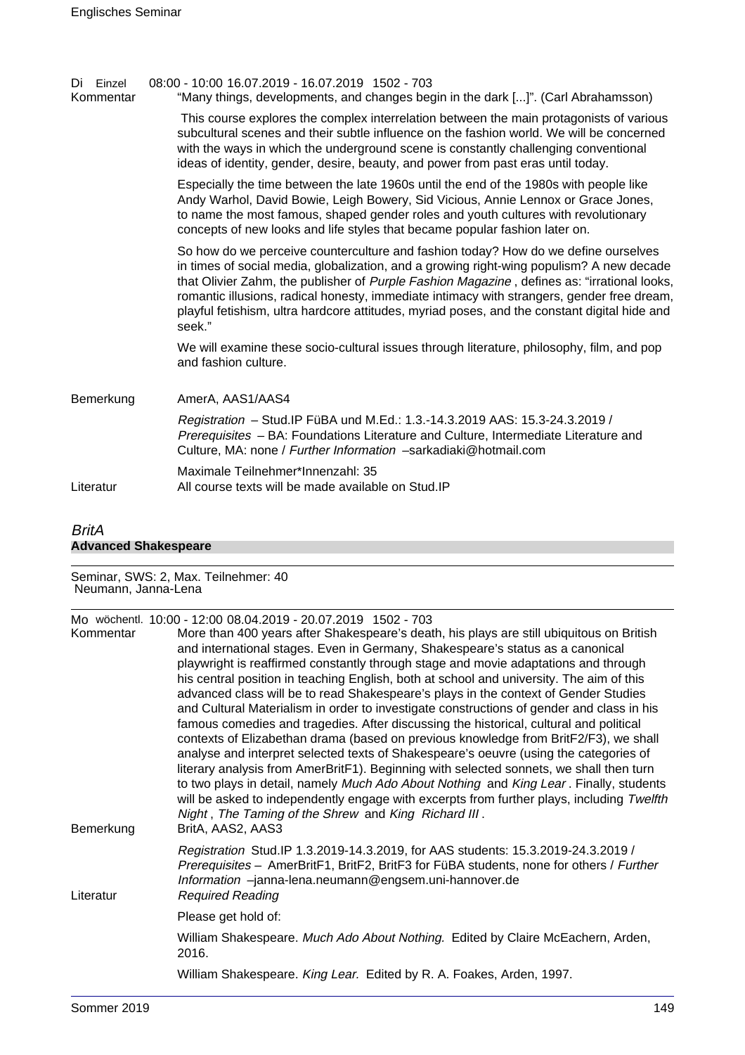| Einzel<br>Di<br>Kommentar | 08:00 - 10:00 16.07.2019 - 16.07.2019 1502 - 703<br>"Many things, developments, and changes begin in the dark []". (Carl Abrahamsson)                                                                                                                                                                                                                                                                                                                                                 |
|---------------------------|---------------------------------------------------------------------------------------------------------------------------------------------------------------------------------------------------------------------------------------------------------------------------------------------------------------------------------------------------------------------------------------------------------------------------------------------------------------------------------------|
|                           | This course explores the complex interrelation between the main protagonists of various<br>subcultural scenes and their subtle influence on the fashion world. We will be concerned<br>with the ways in which the underground scene is constantly challenging conventional<br>ideas of identity, gender, desire, beauty, and power from past eras until today.                                                                                                                        |
|                           | Especially the time between the late 1960s until the end of the 1980s with people like<br>Andy Warhol, David Bowie, Leigh Bowery, Sid Vicious, Annie Lennox or Grace Jones,<br>to name the most famous, shaped gender roles and youth cultures with revolutionary<br>concepts of new looks and life styles that became popular fashion later on.                                                                                                                                      |
|                           | So how do we perceive counterculture and fashion today? How do we define ourselves<br>in times of social media, globalization, and a growing right-wing populism? A new decade<br>that Olivier Zahm, the publisher of Purple Fashion Magazine, defines as: "irrational looks,<br>romantic illusions, radical honesty, immediate intimacy with strangers, gender free dream,<br>playful fetishism, ultra hardcore attitudes, myriad poses, and the constant digital hide and<br>seek." |
|                           | We will examine these socio-cultural issues through literature, philosophy, film, and pop<br>and fashion culture.                                                                                                                                                                                                                                                                                                                                                                     |
| Bemerkung                 | AmerA, AAS1/AAS4                                                                                                                                                                                                                                                                                                                                                                                                                                                                      |
|                           | Registration - Stud. IP FüBA und M.Ed.: 1.3.-14.3.2019 AAS: 15.3-24.3.2019 /<br>Prerequisites - BA: Foundations Literature and Culture, Intermediate Literature and<br>Culture, MA: none / Further Information -sarkadiaki@hotmail.com                                                                                                                                                                                                                                                |
| Literatur                 | Maximale Teilnehmer*Innenzahl: 35<br>All course texts will be made available on Stud. IP                                                                                                                                                                                                                                                                                                                                                                                              |
|                           |                                                                                                                                                                                                                                                                                                                                                                                                                                                                                       |

# BritA **Advanced Shakespeare**

Seminar, SWS: 2, Max. Teilnehmer: 40 Neumann, Janna-Lena

| Kommentar<br>Bemerkung | Mo wöchentl. 10:00 - 12:00 08.04.2019 - 20.07.2019 1502 - 703<br>More than 400 years after Shakespeare's death, his plays are still ubiquitous on British<br>and international stages. Even in Germany, Shakespeare's status as a canonical<br>playwright is reaffirmed constantly through stage and movie adaptations and through<br>his central position in teaching English, both at school and university. The aim of this<br>advanced class will be to read Shakespeare's plays in the context of Gender Studies<br>and Cultural Materialism in order to investigate constructions of gender and class in his<br>famous comedies and tragedies. After discussing the historical, cultural and political<br>contexts of Elizabethan drama (based on previous knowledge from BritF2/F3), we shall<br>analyse and interpret selected texts of Shakespeare's oeuvre (using the categories of<br>literary analysis from AmerBritF1). Beginning with selected sonnets, we shall then turn<br>to two plays in detail, namely Much Ado About Nothing and King Lear. Finally, students<br>will be asked to independently engage with excerpts from further plays, including Twelfth<br>Night, The Taming of the Shrew and King Richard III.<br>BritA, AAS2, AAS3 |
|------------------------|--------------------------------------------------------------------------------------------------------------------------------------------------------------------------------------------------------------------------------------------------------------------------------------------------------------------------------------------------------------------------------------------------------------------------------------------------------------------------------------------------------------------------------------------------------------------------------------------------------------------------------------------------------------------------------------------------------------------------------------------------------------------------------------------------------------------------------------------------------------------------------------------------------------------------------------------------------------------------------------------------------------------------------------------------------------------------------------------------------------------------------------------------------------------------------------------------------------------------------------------------------------|
| Literatur              | Registration Stud.IP 1.3.2019-14.3.2019, for AAS students: 15.3.2019-24.3.2019 /<br>Prerequisites - AmerBritF1, BritF2, BritF3 for FüBA students, none for others / Further<br>Information -janna-lena.neumann@engsem.uni-hannover.de<br><b>Required Reading</b>                                                                                                                                                                                                                                                                                                                                                                                                                                                                                                                                                                                                                                                                                                                                                                                                                                                                                                                                                                                             |
|                        | Please get hold of:                                                                                                                                                                                                                                                                                                                                                                                                                                                                                                                                                                                                                                                                                                                                                                                                                                                                                                                                                                                                                                                                                                                                                                                                                                          |
|                        | William Shakespeare. Much Ado About Nothing. Edited by Claire McEachern, Arden,<br>2016.                                                                                                                                                                                                                                                                                                                                                                                                                                                                                                                                                                                                                                                                                                                                                                                                                                                                                                                                                                                                                                                                                                                                                                     |
|                        | William Shakespeare. King Lear. Edited by R. A. Foakes, Arden, 1997.                                                                                                                                                                                                                                                                                                                                                                                                                                                                                                                                                                                                                                                                                                                                                                                                                                                                                                                                                                                                                                                                                                                                                                                         |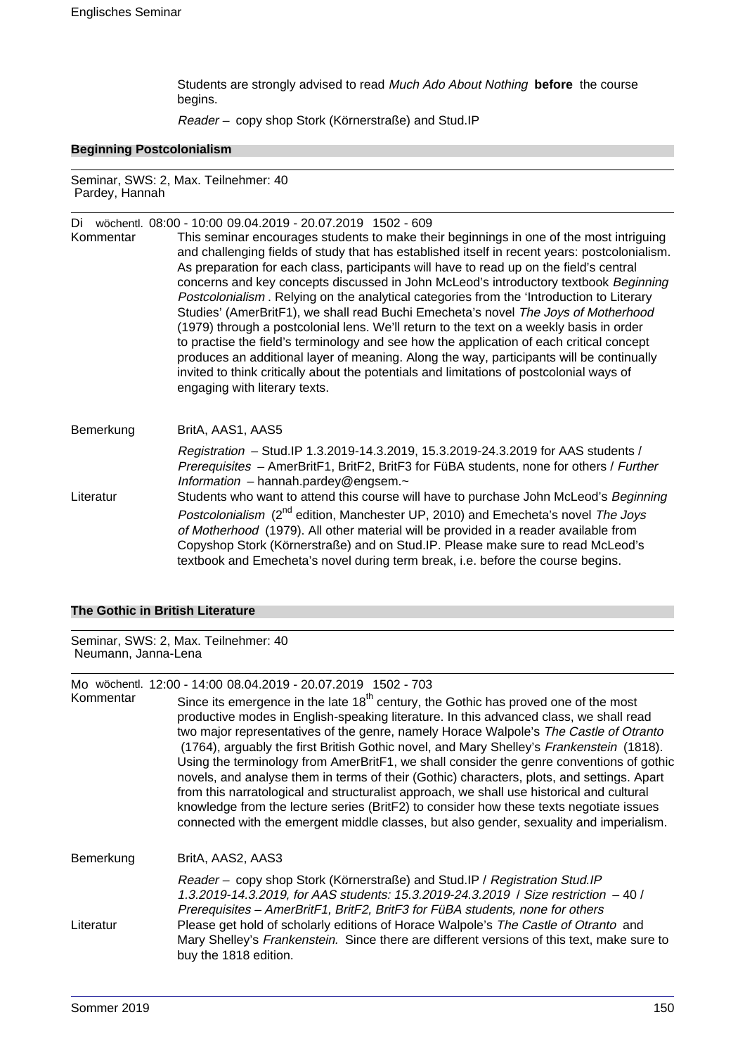Students are strongly advised to read Much Ado About Nothing **before** the course begins.

Reader – copy shop Stork (Körnerstraße) and Stud.IP

#### **Beginning Postcolonialism**

Seminar, SWS: 2, Max. Teilnehmer: 40 Pardey, Hannah

Di wöchentl. 08:00 - 10:00 09.04.2019 - 20.07.2019 1502 - 609

Kommentar This seminar encourages students to make their beginnings in one of the most intriguing and challenging fields of study that has established itself in recent years: postcolonialism. As preparation for each class, participants will have to read up on the field's central concerns and key concepts discussed in John McLeod's introductory textbook Beginning Postcolonialism . Relying on the analytical categories from the 'Introduction to Literary Studies' (AmerBritF1), we shall read Buchi Emecheta's novel The Joys of Motherhood (1979) through a postcolonial lens. We'll return to the text on a weekly basis in order to practise the field's terminology and see how the application of each critical concept produces an additional layer of meaning. Along the way, participants will be continually invited to think critically about the potentials and limitations of postcolonial ways of engaging with literary texts.

Bemerkung BritA, AAS1, AAS5 Registration – Stud.IP 1.3.2019-14.3.2019, 15.3.2019-24.3.2019 for AAS students / Prerequisites – AmerBritF1, BritF2, BritF3 for FüBA students, none for others / Further Information – hannah.pardey@engsem. $\sim$ Literatur Students who want to attend this course will have to purchase John McLeod's Beginning Postcolonialism (2<sup>nd</sup> edition, Manchester UP, 2010) and Emecheta's novel The Joys of Motherhood (1979). All other material will be provided in a reader available from Copyshop Stork (Körnerstraße) and on Stud.IP. Please make sure to read McLeod's textbook and Emecheta's novel during term break, i.e. before the course begins.

#### **The Gothic in British Literature**

Seminar, SWS: 2, Max. Teilnehmer: 40 Neumann, Janna-Lena

Mo wöchentl. 12:00 - 14:00 08.04.2019 - 20.07.2019 1502 - 703<br>Kommentar Since its emergence in the late 18<sup>th</sup> century the

Since its emergence in the late  $18<sup>th</sup>$  century, the Gothic has proved one of the most productive modes in English-speaking literature. In this advanced class, we shall read two major representatives of the genre, namely Horace Walpole's The Castle of Otranto (1764), arguably the first British Gothic novel, and Mary Shelley's Frankenstein (1818). Using the terminology from AmerBritF1, we shall consider the genre conventions of gothic novels, and analyse them in terms of their (Gothic) characters, plots, and settings. Apart from this narratological and structuralist approach, we shall use historical and cultural knowledge from the lecture series (BritF2) to consider how these texts negotiate issues connected with the emergent middle classes, but also gender, sexuality and imperialism. Bemerkung BritA, AAS2, AAS3 Reader – copy shop Stork (Körnerstraße) and Stud.IP / Registration Stud.IP

1.3.2019-14.3.2019, for AAS students: 15.3.2019-24.3.2019 / Size restriction – 40 / Prerequisites – AmerBritF1, BritF2, BritF3 for FüBA students, none for others Literatur Please get hold of scholarly editions of Horace Walpole's The Castle of Otranto and Mary Shelley's Frankenstein. Since there are different versions of this text, make sure to buy the 1818 edition.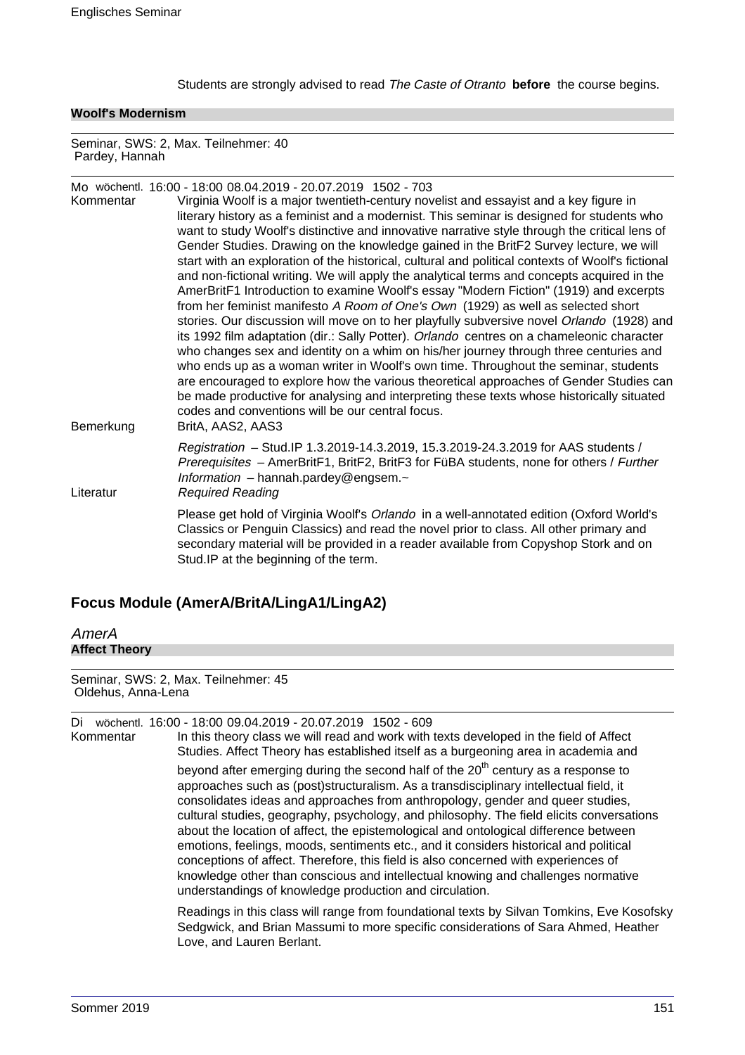Students are strongly advised to read The Caste of Otranto **before** the course begins.

#### **Woolf's Modernism**

Seminar, SWS: 2, Max. Teilnehmer: 40 Pardey, Hannah

Mo wöchentl. 16:00 - 18:00 08.04.2019 - 20.07.2019 1502 - 703 Virginia Woolf is a major twentieth-century novelist and essayist and a key figure in literary history as a feminist and a modernist. This seminar is designed for students who want to study Woolf's distinctive and innovative narrative style through the critical lens of Gender Studies. Drawing on the knowledge gained in the BritF2 Survey lecture, we will start with an exploration of the historical, cultural and political contexts of Woolf's fictional and non-fictional writing. We will apply the analytical terms and concepts acquired in the AmerBritF1 Introduction to examine Woolf's essay "Modern Fiction" (1919) and excerpts from her feminist manifesto A Room of One's Own (1929) as well as selected short stories. Our discussion will move on to her playfully subversive novel Orlando (1928) and its 1992 film adaptation (dir.: Sally Potter). Orlando centres on a chameleonic character who changes sex and identity on a whim on his/her journey through three centuries and who ends up as a woman writer in Woolf's own time. Throughout the seminar, students are encouraged to explore how the various theoretical approaches of Gender Studies can be made productive for analysing and interpreting these texts whose historically situated codes and conventions will be our central focus. Bemerkung BritA, AAS2, AAS3 Registration – Stud.IP 1.3.2019-14.3.2019, 15.3.2019-24.3.2019 for AAS students / Prerequisites – AmerBritF1, BritF2, BritF3 for FüBA students, none for others / Further Information – hannah.pardey@engsem. $\sim$ Literatur Required Reading Please get hold of Virginia Woolf's Orlando in a well-annotated edition (Oxford World's Classics or Penguin Classics) and read the novel prior to class. All other primary and secondary material will be provided in a reader available from Copyshop Stork and on Stud.IP at the beginning of the term.

# **Focus Module (AmerA/BritA/LingA1/LingA2)**

AmerA **Affect Theory**

Seminar, SWS: 2, Max. Teilnehmer: 45 Oldehus, Anna-Lena

Di wöchentl. 16:00 - 18:00 09.04.2019 - 20.07.2019 1502 - 609

Kommentar In this theory class we will read and work with texts developed in the field of Affect Studies. Affect Theory has established itself as a burgeoning area in academia and beyond after emerging during the second half of the  $20<sup>th</sup>$  century as a response to approaches such as (post)structuralism. As a transdisciplinary intellectual field, it consolidates ideas and approaches from anthropology, gender and queer studies, cultural studies, geography, psychology, and philosophy. The field elicits conversations about the location of affect, the epistemological and ontological difference between emotions, feelings, moods, sentiments etc., and it considers historical and political conceptions of affect. Therefore, this field is also concerned with experiences of knowledge other than conscious and intellectual knowing and challenges normative understandings of knowledge production and circulation.

> Readings in this class will range from foundational texts by Silvan Tomkins, Eve Kosofsky Sedgwick, and Brian Massumi to more specific considerations of Sara Ahmed, Heather Love, and Lauren Berlant.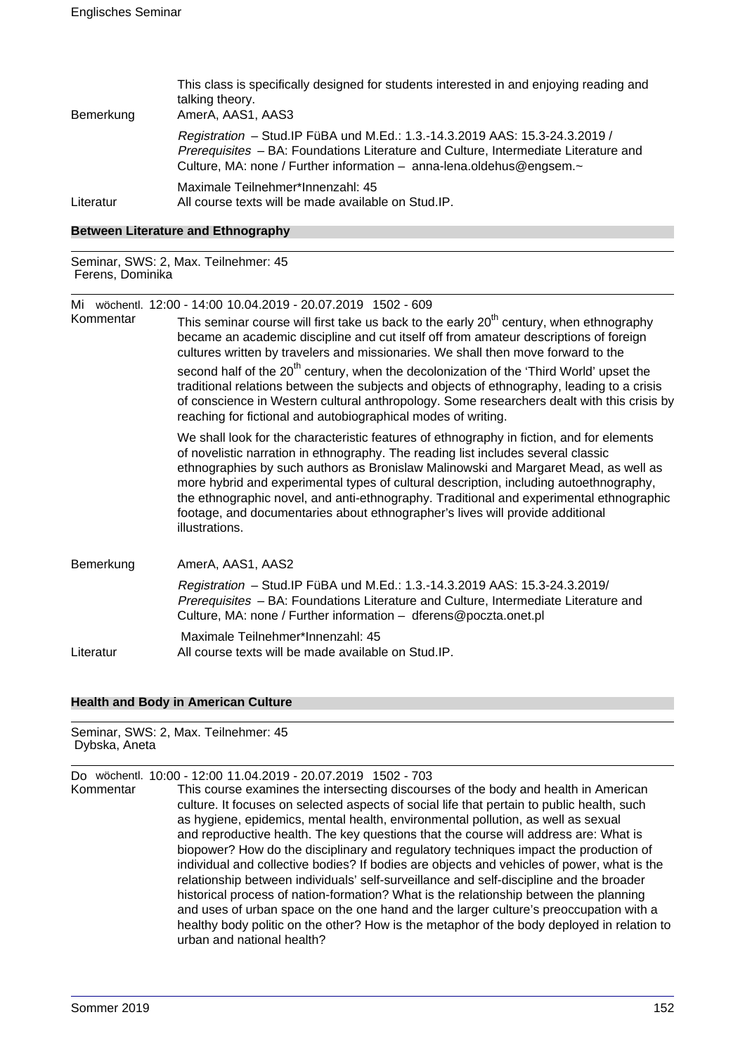| Bemerkung | This class is specifically designed for students interested in and enjoying reading and<br>talking theory.<br>AmerA, AAS1, AAS3                                                                                                             |
|-----------|---------------------------------------------------------------------------------------------------------------------------------------------------------------------------------------------------------------------------------------------|
|           | Registration - Stud. IP FüBA und M.Ed.: 1.3.-14.3.2019 AAS: 15.3-24.3.2019 /<br>Prerequisites - BA: Foundations Literature and Culture, Intermediate Literature and<br>Culture, MA: none / Further information - anna-lena.oldehus@engsem.~ |
| Literatur | Maximale Teilnehmer*Innenzahl: 45<br>All course texts will be made available on Stud. IP.                                                                                                                                                   |

#### **Between Literature and Ethnography**

Seminar, SWS: 2, Max. Teilnehmer: 45 Ferens, Dominika

|           | Mi wöchentl. 12:00 - 14:00 10.04.2019 - 20.07.2019 1502 - 609                                                                                                                                                                                                                                                                                                                                                                                                                                                                                                 |
|-----------|---------------------------------------------------------------------------------------------------------------------------------------------------------------------------------------------------------------------------------------------------------------------------------------------------------------------------------------------------------------------------------------------------------------------------------------------------------------------------------------------------------------------------------------------------------------|
| Kommentar | This seminar course will first take us back to the early 20 <sup>th</sup> century, when ethnography<br>became an academic discipline and cut itself off from amateur descriptions of foreign<br>cultures written by travelers and missionaries. We shall then move forward to the                                                                                                                                                                                                                                                                             |
|           | second half of the 20 <sup>th</sup> century, when the decolonization of the 'Third World' upset the<br>traditional relations between the subjects and objects of ethnography, leading to a crisis<br>of conscience in Western cultural anthropology. Some researchers dealt with this crisis by<br>reaching for fictional and autobiographical modes of writing.                                                                                                                                                                                              |
|           | We shall look for the characteristic features of ethnography in fiction, and for elements<br>of novelistic narration in ethnography. The reading list includes several classic<br>ethnographies by such authors as Bronislaw Malinowski and Margaret Mead, as well as<br>more hybrid and experimental types of cultural description, including autoethnography,<br>the ethnographic novel, and anti-ethnography. Traditional and experimental ethnographic<br>footage, and documentaries about ethnographer's lives will provide additional<br>illustrations. |
| Bemerkung | AmerA, AAS1, AAS2                                                                                                                                                                                                                                                                                                                                                                                                                                                                                                                                             |
|           | Registration - Stud. IP FüBA und M.Ed.: 1.3.-14.3.2019 AAS: 15.3-24.3.2019/<br>Prerequisites - BA: Foundations Literature and Culture, Intermediate Literature and<br>Culture, MA: none / Further information - dferens@poczta.onet.pl                                                                                                                                                                                                                                                                                                                        |
| Literatur | Maximale Teilnehmer*Innenzahl: 45<br>All course texts will be made available on Stud.IP.                                                                                                                                                                                                                                                                                                                                                                                                                                                                      |

#### **Health and Body in American Culture**

#### Seminar, SWS: 2, Max. Teilnehmer: 45 Dybska, Aneta

Do wöchentl. 10:00 - 12:00 11.04.2019 - 20.07.2019 1502 - 703 This course examines the intersecting discourses of the body and health in American culture. It focuses on selected aspects of social life that pertain to public health, such as hygiene, epidemics, mental health, environmental pollution, as well as sexual and reproductive health. The key questions that the course will address are: What is biopower? How do the disciplinary and regulatory techniques impact the production of individual and collective bodies? If bodies are objects and vehicles of power, what is the relationship between individuals' self-surveillance and self-discipline and the broader historical process of nation-formation? What is the relationship between the planning and uses of urban space on the one hand and the larger culture's preoccupation with a healthy body politic on the other? How is the metaphor of the body deployed in relation to urban and national health?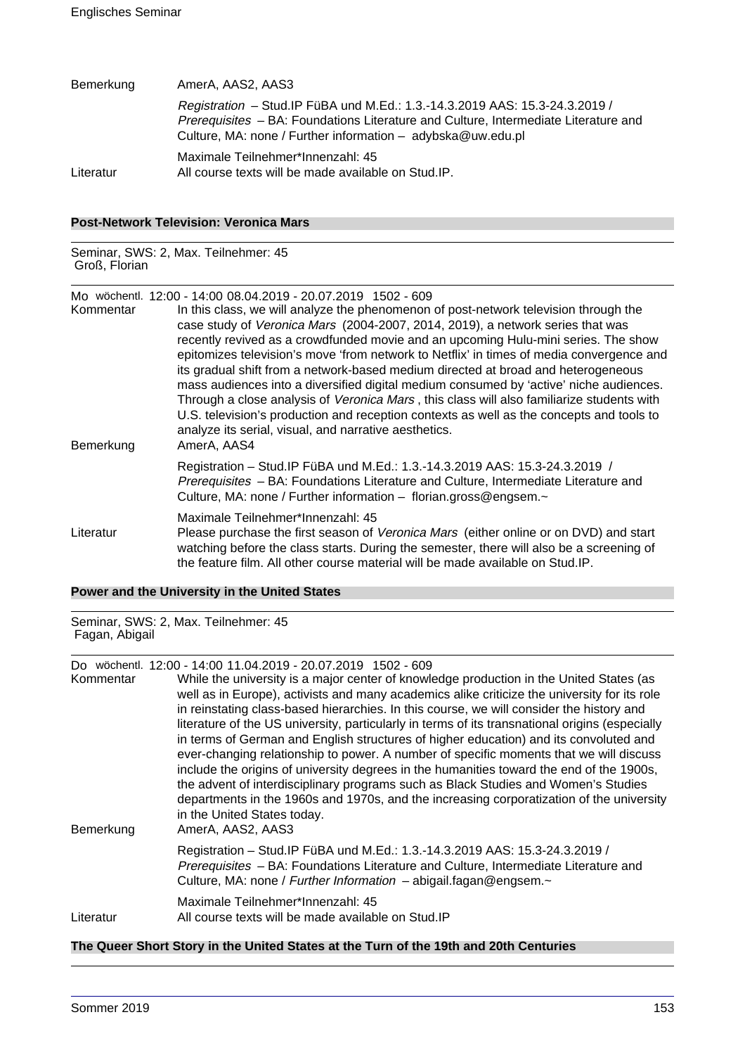| Bemerkung | AmerA, AAS2, AAS3                                                                                                                                                                                                                    |
|-----------|--------------------------------------------------------------------------------------------------------------------------------------------------------------------------------------------------------------------------------------|
|           | Registration - Stud. IP FüBA und M.Ed.: 1.3.-14.3.2019 AAS: 15.3-24.3.2019 /<br>Prerequisites - BA: Foundations Literature and Culture, Intermediate Literature and<br>Culture, MA: none / Further information $-$ adybska@uw.edu.pl |
| Literatur | Maximale Teilnehmer*Innenzahl: 45<br>All course texts will be made available on Stud.IP.                                                                                                                                             |

# **Post-Network Television: Veronica Mars**

Seminar, SWS: 2, Max. Teilnehmer: 45 Groß, Florian

Mo wöchentl. 12:00 - 14:00 08.04.2019 - 20.07.2019 1502 - 609

| Kommentar<br>Bemerkung | In this class, we will analyze the phenomenon of post-network television through the<br>case study of Veronica Mars (2004-2007, 2014, 2019), a network series that was<br>recently revived as a crowdfunded movie and an upcoming Hulu-mini series. The show<br>epitomizes television's move 'from network to Netflix' in times of media convergence and<br>its gradual shift from a network-based medium directed at broad and heterogeneous<br>mass audiences into a diversified digital medium consumed by 'active' niche audiences.<br>Through a close analysis of Veronica Mars, this class will also familiarize students with<br>U.S. television's production and reception contexts as well as the concepts and tools to<br>analyze its serial, visual, and narrative aesthetics.<br>AmerA, AAS4 |
|------------------------|----------------------------------------------------------------------------------------------------------------------------------------------------------------------------------------------------------------------------------------------------------------------------------------------------------------------------------------------------------------------------------------------------------------------------------------------------------------------------------------------------------------------------------------------------------------------------------------------------------------------------------------------------------------------------------------------------------------------------------------------------------------------------------------------------------|
|                        | Registration - Stud. IP FüBA und M.Ed.: 1.3.-14.3.2019 AAS: 15.3-24.3.2019 /<br>Prerequisites - BA: Foundations Literature and Culture, Intermediate Literature and<br>Culture, MA: none / Further information - florian.gross@engsem.~                                                                                                                                                                                                                                                                                                                                                                                                                                                                                                                                                                  |
| Literatur              | Maximale Teilnehmer*Innenzahl: 45<br>Please purchase the first season of Veronica Mars (either online or on DVD) and start<br>watching before the class starts. During the semester, there will also be a screening of<br>the feature film. All other course material will be made available on Stud. IP.                                                                                                                                                                                                                                                                                                                                                                                                                                                                                                |

### **Power and the University in the United States**

Seminar, SWS: 2, Max. Teilnehmer: 45 Fagan, Abigail

Do wöchentl. 12:00 - 14:00 11.04.2019 - 20.07.2019 1502 - 609

| <b>DU WUUNGU LAU</b><br>Kommentar | טטט ∟טטו טוט∟.µטוט∟ טוט∟דרי<br>While the university is a major center of knowledge production in the United States (as<br>well as in Europe), activists and many academics alike criticize the university for its role<br>in reinstating class-based hierarchies. In this course, we will consider the history and                                                                                                                                                                                                                                                                                                   |
|-----------------------------------|----------------------------------------------------------------------------------------------------------------------------------------------------------------------------------------------------------------------------------------------------------------------------------------------------------------------------------------------------------------------------------------------------------------------------------------------------------------------------------------------------------------------------------------------------------------------------------------------------------------------|
| Bemerkung                         | literature of the US university, particularly in terms of its transnational origins (especially<br>in terms of German and English structures of higher education) and its convoluted and<br>ever-changing relationship to power. A number of specific moments that we will discuss<br>include the origins of university degrees in the humanities toward the end of the 1900s,<br>the advent of interdisciplinary programs such as Black Studies and Women's Studies<br>departments in the 1960s and 1970s, and the increasing corporatization of the university<br>in the United States today.<br>AmerA, AAS2, AAS3 |
|                                   | Registration - Stud. IP FüBA und M.Ed.: 1.3.-14.3.2019 AAS: 15.3-24.3.2019 /<br>Prerequisites - BA: Foundations Literature and Culture, Intermediate Literature and<br>Culture, MA: none / Further Information - abigail.fagan@engsem.~                                                                                                                                                                                                                                                                                                                                                                              |
| Literatur                         | Maximale Teilnehmer*Innenzahl: 45<br>All course texts will be made available on Stud. IP                                                                                                                                                                                                                                                                                                                                                                                                                                                                                                                             |

# **The Queer Short Story in the United States at the Turn of the 19th and 20th Centuries**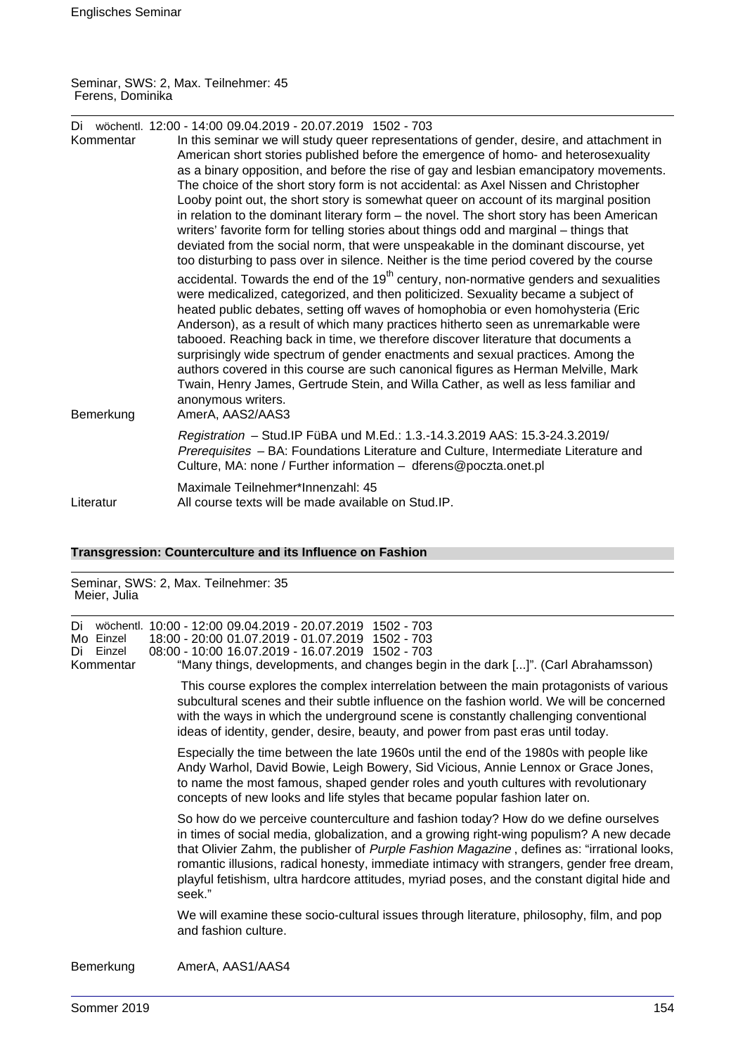Seminar, SWS: 2, Max. Teilnehmer: 45 Ferens, Dominika

| Kommentar | Di wöchentl. 12:00 - 14:00 09.04.2019 - 20.07.2019 1502 - 703<br>In this seminar we will study queer representations of gender, desire, and attachment in<br>American short stories published before the emergence of homo- and heterosexuality<br>as a binary opposition, and before the rise of gay and lesbian emancipatory movements.<br>The choice of the short story form is not accidental: as Axel Nissen and Christopher<br>Looby point out, the short story is somewhat queer on account of its marginal position<br>in relation to the dominant literary form – the novel. The short story has been American                                                                                                                                          |
|-----------|------------------------------------------------------------------------------------------------------------------------------------------------------------------------------------------------------------------------------------------------------------------------------------------------------------------------------------------------------------------------------------------------------------------------------------------------------------------------------------------------------------------------------------------------------------------------------------------------------------------------------------------------------------------------------------------------------------------------------------------------------------------|
|           | writers' favorite form for telling stories about things odd and marginal – things that<br>deviated from the social norm, that were unspeakable in the dominant discourse, yet<br>too disturbing to pass over in silence. Neither is the time period covered by the course                                                                                                                                                                                                                                                                                                                                                                                                                                                                                        |
| Bemerkung | accidental. Towards the end of the 19 <sup>th</sup> century, non-normative genders and sexualities<br>were medicalized, categorized, and then politicized. Sexuality became a subject of<br>heated public debates, setting off waves of homophobia or even homohysteria (Eric<br>Anderson), as a result of which many practices hitherto seen as unremarkable were<br>tabooed. Reaching back in time, we therefore discover literature that documents a<br>surprisingly wide spectrum of gender enactments and sexual practices. Among the<br>authors covered in this course are such canonical figures as Herman Melville, Mark<br>Twain, Henry James, Gertrude Stein, and Willa Cather, as well as less familiar and<br>anonymous writers.<br>AmerA, AAS2/AAS3 |
|           | Registration - Stud. IP FüBA und M.Ed.: 1.3.-14.3.2019 AAS: 15.3-24.3.2019/<br>Prerequisites - BA: Foundations Literature and Culture, Intermediate Literature and<br>Culture, MA: none / Further information - dferens@poczta.onet.pl                                                                                                                                                                                                                                                                                                                                                                                                                                                                                                                           |
| Literatur | Maximale Teilnehmer*Innenzahl: 45<br>All course texts will be made available on Stud. IP.                                                                                                                                                                                                                                                                                                                                                                                                                                                                                                                                                                                                                                                                        |

# **Transgression: Counterculture and its Influence on Fashion**

Seminar, SWS: 2, Max. Teilnehmer: 35 Meier, Julia

| Di<br>Mo Einzel<br>Einzel<br>Di<br>Kommentar                                                                                                                                                                                       | wöchentl. 10:00 - 12:00 09.04.2019 - 20.07.2019 1502 - 703<br>18:00 - 20:00 01.07.2019 - 01.07.2019 1502 - 703<br>08:00 - 10:00 16.07.2019 - 16.07.2019 1502 - 703<br>"Many things, developments, and changes begin in the dark []". (Carl Abrahamsson)                                                                                                                                                                                                                               |
|------------------------------------------------------------------------------------------------------------------------------------------------------------------------------------------------------------------------------------|---------------------------------------------------------------------------------------------------------------------------------------------------------------------------------------------------------------------------------------------------------------------------------------------------------------------------------------------------------------------------------------------------------------------------------------------------------------------------------------|
|                                                                                                                                                                                                                                    | This course explores the complex interrelation between the main protagonists of various<br>subcultural scenes and their subtle influence on the fashion world. We will be concerned<br>with the ways in which the underground scene is constantly challenging conventional<br>ideas of identity, gender, desire, beauty, and power from past eras until today.                                                                                                                        |
|                                                                                                                                                                                                                                    | Especially the time between the late 1960s until the end of the 1980s with people like<br>Andy Warhol, David Bowie, Leigh Bowery, Sid Vicious, Annie Lennox or Grace Jones,<br>to name the most famous, shaped gender roles and youth cultures with revolutionary<br>concepts of new looks and life styles that became popular fashion later on.                                                                                                                                      |
|                                                                                                                                                                                                                                    | So how do we perceive counterculture and fashion today? How do we define ourselves<br>in times of social media, globalization, and a growing right-wing populism? A new decade<br>that Olivier Zahm, the publisher of Purple Fashion Magazine, defines as: "irrational looks,<br>romantic illusions, radical honesty, immediate intimacy with strangers, gender free dream,<br>playful fetishism, ultra hardcore attitudes, myriad poses, and the constant digital hide and<br>seek." |
|                                                                                                                                                                                                                                    | We will examine these socio-cultural issues through literature, philosophy, film, and pop<br>and fashion culture.                                                                                                                                                                                                                                                                                                                                                                     |
| <b>D</b> a second contact to the second contact of the second contact of the second contact of the second contact of the second contact of the second contact of the second contact of the second contact of the second contact of | $\mathbf{A}$                                                                                                                                                                                                                                                                                                                                                                                                                                                                          |

# Bemerkung AmerA, AAS1/AAS4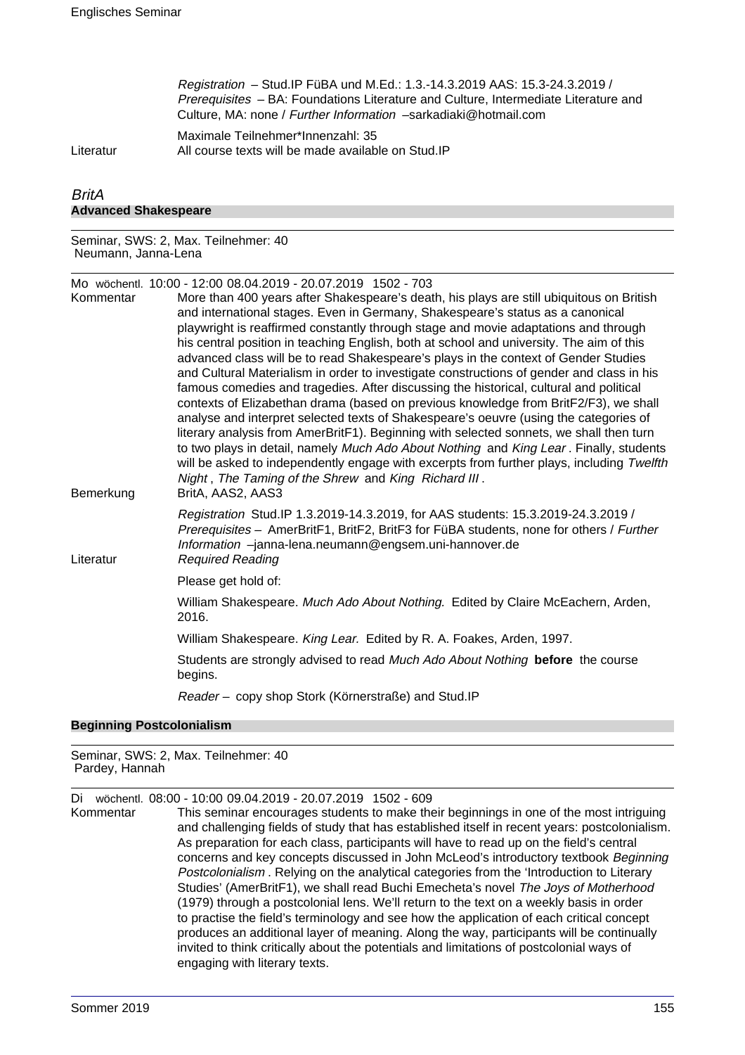Registration – Stud.IP FüBA und M.Ed.: 1.3.-14.3.2019 AAS: 15.3-24.3.2019 / Prerequisites – BA: Foundations Literature and Culture, Intermediate Literature and Culture, MA: none / Further Information –sarkadiaki@hotmail.com

Maximale Teilnehmer\*Innenzahl: 35 Literatur All course texts will be made available on Stud.IP

# **BritA Advanced Shakespeare**

Seminar, SWS: 2, Max. Teilnehmer: 40 Neumann, Janna-Lena

Mo wöchentl. 10:00 - 12:00 08.04.2019 - 20.07.2019 1502 - 703 More than 400 years after Shakespeare's death, his plays are still ubiquitous on British

| Bemerkung | $\sigma$ and the young and grandpoing a douth, the plays are can apiganous on British<br>and international stages. Even in Germany, Shakespeare's status as a canonical<br>playwright is reaffirmed constantly through stage and movie adaptations and through<br>his central position in teaching English, both at school and university. The aim of this<br>advanced class will be to read Shakespeare's plays in the context of Gender Studies<br>and Cultural Materialism in order to investigate constructions of gender and class in his<br>famous comedies and tragedies. After discussing the historical, cultural and political<br>contexts of Elizabethan drama (based on previous knowledge from BritF2/F3), we shall<br>analyse and interpret selected texts of Shakespeare's oeuvre (using the categories of<br>literary analysis from AmerBritF1). Beginning with selected sonnets, we shall then turn<br>to two plays in detail, namely Much Ado About Nothing and King Lear. Finally, students<br>will be asked to independently engage with excerpts from further plays, including Twelfth<br>Night, The Taming of the Shrew and King Richard III.<br>BritA, AAS2, AAS3 |
|-----------|------------------------------------------------------------------------------------------------------------------------------------------------------------------------------------------------------------------------------------------------------------------------------------------------------------------------------------------------------------------------------------------------------------------------------------------------------------------------------------------------------------------------------------------------------------------------------------------------------------------------------------------------------------------------------------------------------------------------------------------------------------------------------------------------------------------------------------------------------------------------------------------------------------------------------------------------------------------------------------------------------------------------------------------------------------------------------------------------------------------------------------------------------------------------------------------|
| Literatur | Registration Stud.IP 1.3.2019-14.3.2019, for AAS students: 15.3.2019-24.3.2019 /<br>Prerequisites - AmerBritF1, BritF2, BritF3 for FüBA students, none for others / Further<br>Information -janna-lena.neumann@engsem.uni-hannover.de<br><b>Required Reading</b>                                                                                                                                                                                                                                                                                                                                                                                                                                                                                                                                                                                                                                                                                                                                                                                                                                                                                                                         |
|           | Please get hold of:                                                                                                                                                                                                                                                                                                                                                                                                                                                                                                                                                                                                                                                                                                                                                                                                                                                                                                                                                                                                                                                                                                                                                                      |
|           | William Shakespeare. Much Ado About Nothing. Edited by Claire McEachern, Arden,<br>2016.                                                                                                                                                                                                                                                                                                                                                                                                                                                                                                                                                                                                                                                                                                                                                                                                                                                                                                                                                                                                                                                                                                 |
|           | William Shakespeare. King Lear. Edited by R. A. Foakes, Arden, 1997.                                                                                                                                                                                                                                                                                                                                                                                                                                                                                                                                                                                                                                                                                                                                                                                                                                                                                                                                                                                                                                                                                                                     |
|           | Students are strongly advised to read Much Ado About Nothing before the course<br>begins.                                                                                                                                                                                                                                                                                                                                                                                                                                                                                                                                                                                                                                                                                                                                                                                                                                                                                                                                                                                                                                                                                                |
|           | Reader - copy shop Stork (Körnerstraße) and Stud.IP                                                                                                                                                                                                                                                                                                                                                                                                                                                                                                                                                                                                                                                                                                                                                                                                                                                                                                                                                                                                                                                                                                                                      |

#### **Beginning Postcolonialism**

Seminar, SWS: 2, Max. Teilnehmer: 40 Pardey, Hannah

Di wöchentl. 08:00 - 10:00 09.04.2019 - 20.07.2019 1502 - 609

Kommentar This seminar encourages students to make their beginnings in one of the most intriguing and challenging fields of study that has established itself in recent years: postcolonialism. As preparation for each class, participants will have to read up on the field's central concerns and key concepts discussed in John McLeod's introductory textbook Beginning Postcolonialism . Relying on the analytical categories from the 'Introduction to Literary Studies' (AmerBritF1), we shall read Buchi Emecheta's novel The Joys of Motherhood (1979) through a postcolonial lens. We'll return to the text on a weekly basis in order to practise the field's terminology and see how the application of each critical concept produces an additional layer of meaning. Along the way, participants will be continually invited to think critically about the potentials and limitations of postcolonial ways of engaging with literary texts.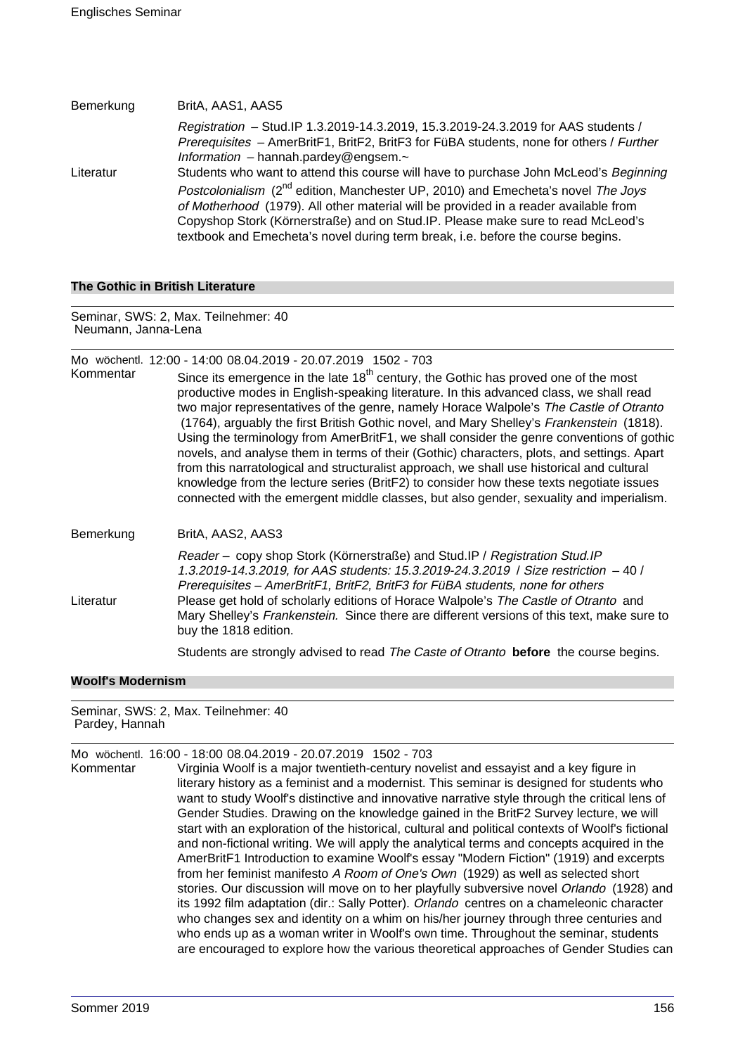| Bemerkung | BritA, AAS1, AAS5                                                                                                                                                                                                                                                                                                                                                                                                                                   |
|-----------|-----------------------------------------------------------------------------------------------------------------------------------------------------------------------------------------------------------------------------------------------------------------------------------------------------------------------------------------------------------------------------------------------------------------------------------------------------|
|           | Registration - Stud.IP 1.3.2019-14.3.2019, 15.3.2019-24.3.2019 for AAS students /<br>Prerequisites - AmerBritF1, BritF2, BritF3 for FüBA students, none for others / Further<br>Information - hannah.pardey@engsem. $\sim$                                                                                                                                                                                                                          |
| Literatur | Students who want to attend this course will have to purchase John McLeod's Beginning<br>Postcolonialism (2 <sup>nd</sup> edition, Manchester UP, 2010) and Emecheta's novel The Joys<br>of Motherhood (1979). All other material will be provided in a reader available from<br>Copyshop Stork (Körnerstraße) and on Stud.IP. Please make sure to read McLeod's<br>textbook and Emecheta's novel during term break, i.e. before the course begins. |

#### **The Gothic in British Literature**

Seminar, SWS: 2, Max. Teilnehmer: 40 Neumann, Janna-Lena

#### Mo wöchentl. 12:00 - 14:00 08.04.2019 - 20.07.2019 1502 - 703

Kommentar Since its emergence in the late  $18<sup>th</sup>$  century, the Gothic has proved one of the most productive modes in English-speaking literature. In this advanced class, we shall read two major representatives of the genre, namely Horace Walpole's The Castle of Otranto (1764), arguably the first British Gothic novel, and Mary Shelley's Frankenstein (1818). Using the terminology from AmerBritF1, we shall consider the genre conventions of gothic novels, and analyse them in terms of their (Gothic) characters, plots, and settings. Apart from this narratological and structuralist approach, we shall use historical and cultural knowledge from the lecture series (BritF2) to consider how these texts negotiate issues connected with the emergent middle classes, but also gender, sexuality and imperialism.

#### Bemerkung BritA, AAS2, AAS3

Reader – copy shop Stork (Körnerstraße) and Stud.IP / Registration Stud.IP 1.3.2019-14.3.2019, for AAS students: 15.3.2019-24.3.2019 / Size restriction – 40 / Prerequisites – AmerBritF1, BritF2, BritF3 for FüBA students, none for others Literatur Please get hold of scholarly editions of Horace Walpole's The Castle of Otranto and Mary Shelley's Frankenstein. Since there are different versions of this text, make sure to buy the 1818 edition.

Students are strongly advised to read The Caste of Otranto **before** the course begins.

#### **Woolf's Modernism**

Seminar, SWS: 2, Max. Teilnehmer: 40 Pardey, Hannah

Mo wöchentl. 16:00 - 18:00 08.04.2019 - 20.07.2019 1502 - 703

Virginia Woolf is a major twentieth-century novelist and essayist and a key figure in literary history as a feminist and a modernist. This seminar is designed for students who want to study Woolf's distinctive and innovative narrative style through the critical lens of Gender Studies. Drawing on the knowledge gained in the BritF2 Survey lecture, we will start with an exploration of the historical, cultural and political contexts of Woolf's fictional and non-fictional writing. We will apply the analytical terms and concepts acquired in the AmerBritF1 Introduction to examine Woolf's essay "Modern Fiction" (1919) and excerpts from her feminist manifesto A Room of One's Own (1929) as well as selected short stories. Our discussion will move on to her playfully subversive novel Orlando (1928) and its 1992 film adaptation (dir.: Sally Potter). Orlando centres on a chameleonic character who changes sex and identity on a whim on his/her journey through three centuries and who ends up as a woman writer in Woolf's own time. Throughout the seminar, students are encouraged to explore how the various theoretical approaches of Gender Studies can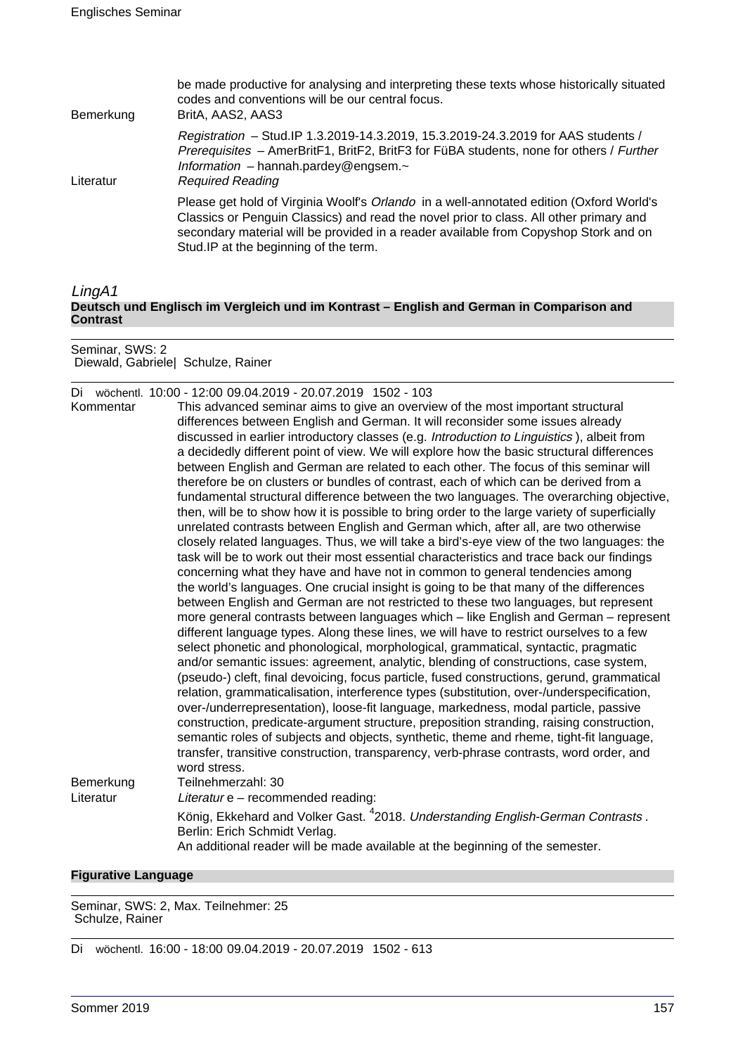| Bemerkung | be made productive for analysing and interpreting these texts whose historically situated<br>codes and conventions will be our central focus.<br>BritA, AAS2, AAS3                                                                                                                                                 |
|-----------|--------------------------------------------------------------------------------------------------------------------------------------------------------------------------------------------------------------------------------------------------------------------------------------------------------------------|
| Literatur | Registration - Stud.IP 1.3.2019-14.3.2019, 15.3.2019-24.3.2019 for AAS students /<br>Prerequisites - AmerBritF1, BritF2, BritF3 for FüBA students, none for others / Further<br>Information $-$ hannah.pardey@engsem. $\sim$<br><b>Required Reading</b>                                                            |
|           | Please get hold of Virginia Woolf's Orlando in a well-annotated edition (Oxford World's<br>Classics or Penguin Classics) and read the novel prior to class. All other primary and<br>secondary material will be provided in a reader available from Copyshop Stork and on<br>Stud.IP at the beginning of the term. |

LingA1 **Deutsch und Englisch im Vergleich und im Kontrast – English and German in Comparison and Contrast**

Seminar, SWS: 2 Diewald, Gabriele| Schulze, Rainer

|  | Di wöchentl. 10:00 - 12:00 09.04.2019 - 20.07.2019 1502 - 103 |  |
|--|---------------------------------------------------------------|--|
|  |                                                               |  |

| Kommentar              | This advanced seminar aims to give an overview of the most important structural<br>differences between English and German. It will reconsider some issues already<br>discussed in earlier introductory classes (e.g. <i>Introduction to Linguistics</i> ), albeit from<br>a decidedly different point of view. We will explore how the basic structural differences<br>between English and German are related to each other. The focus of this seminar will<br>therefore be on clusters or bundles of contrast, each of which can be derived from a<br>fundamental structural difference between the two languages. The overarching objective,<br>then, will be to show how it is possible to bring order to the large variety of superficially<br>unrelated contrasts between English and German which, after all, are two otherwise<br>closely related languages. Thus, we will take a bird's-eye view of the two languages: the<br>task will be to work out their most essential characteristics and trace back our findings<br>concerning what they have and have not in common to general tendencies among<br>the world's languages. One crucial insight is going to be that many of the differences<br>between English and German are not restricted to these two languages, but represent<br>more general contrasts between languages which - like English and German - represent<br>different language types. Along these lines, we will have to restrict ourselves to a few<br>select phonetic and phonological, morphological, grammatical, syntactic, pragmatic<br>and/or semantic issues: agreement, analytic, blending of constructions, case system,<br>(pseudo-) cleft, final devoicing, focus particle, fused constructions, gerund, grammatical<br>relation, grammaticalisation, interference types (substitution, over-/underspecification,<br>over-/underrepresentation), loose-fit language, markedness, modal particle, passive<br>construction, predicate-argument structure, preposition stranding, raising construction,<br>semantic roles of subjects and objects, synthetic, theme and rheme, tight-fit language, |
|------------------------|---------------------------------------------------------------------------------------------------------------------------------------------------------------------------------------------------------------------------------------------------------------------------------------------------------------------------------------------------------------------------------------------------------------------------------------------------------------------------------------------------------------------------------------------------------------------------------------------------------------------------------------------------------------------------------------------------------------------------------------------------------------------------------------------------------------------------------------------------------------------------------------------------------------------------------------------------------------------------------------------------------------------------------------------------------------------------------------------------------------------------------------------------------------------------------------------------------------------------------------------------------------------------------------------------------------------------------------------------------------------------------------------------------------------------------------------------------------------------------------------------------------------------------------------------------------------------------------------------------------------------------------------------------------------------------------------------------------------------------------------------------------------------------------------------------------------------------------------------------------------------------------------------------------------------------------------------------------------------------------------------------------------------------------------------------------------------------------------------------------------------------------------|
|                        | transfer, transitive construction, transparency, verb-phrase contrasts, word order, and<br>word stress.                                                                                                                                                                                                                                                                                                                                                                                                                                                                                                                                                                                                                                                                                                                                                                                                                                                                                                                                                                                                                                                                                                                                                                                                                                                                                                                                                                                                                                                                                                                                                                                                                                                                                                                                                                                                                                                                                                                                                                                                                                     |
| Bemerkung<br>Literatur | Teilnehmerzahl: 30<br>Literatur e - recommended reading:                                                                                                                                                                                                                                                                                                                                                                                                                                                                                                                                                                                                                                                                                                                                                                                                                                                                                                                                                                                                                                                                                                                                                                                                                                                                                                                                                                                                                                                                                                                                                                                                                                                                                                                                                                                                                                                                                                                                                                                                                                                                                    |
|                        | König, Ekkehard and Volker Gast. <sup>4</sup> 2018. Understanding English-German Contrasts.<br>Berlin: Erich Schmidt Verlag.<br>An additional reader will be made available at the beginning of the semester.                                                                                                                                                                                                                                                                                                                                                                                                                                                                                                                                                                                                                                                                                                                                                                                                                                                                                                                                                                                                                                                                                                                                                                                                                                                                                                                                                                                                                                                                                                                                                                                                                                                                                                                                                                                                                                                                                                                               |

### **Figurative Language**

Seminar, SWS: 2, Max. Teilnehmer: 25 Schulze, Rainer

Di wöchentl. 16:00 - 18:00 09.04.2019 - 20.07.2019 1502 - 613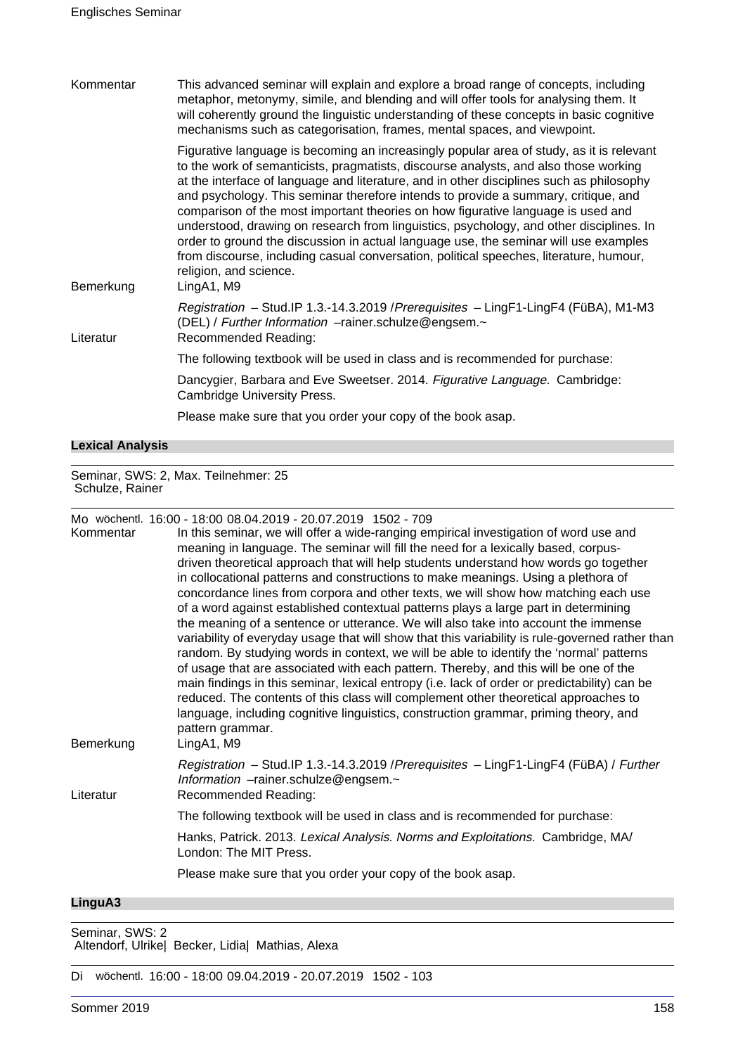| Kommentar | This advanced seminar will explain and explore a broad range of concepts, including<br>metaphor, metonymy, simile, and blending and will offer tools for analysing them. It<br>will coherently ground the linguistic understanding of these concepts in basic cognitive<br>mechanisms such as categorisation, frames, mental spaces, and viewpoint.                                                                                                                                                                                                                                                                                                                                                                                                                         |
|-----------|-----------------------------------------------------------------------------------------------------------------------------------------------------------------------------------------------------------------------------------------------------------------------------------------------------------------------------------------------------------------------------------------------------------------------------------------------------------------------------------------------------------------------------------------------------------------------------------------------------------------------------------------------------------------------------------------------------------------------------------------------------------------------------|
| Bemerkung | Figurative language is becoming an increasingly popular area of study, as it is relevant<br>to the work of semanticists, pragmatists, discourse analysts, and also those working<br>at the interface of language and literature, and in other disciplines such as philosophy<br>and psychology. This seminar therefore intends to provide a summary, critique, and<br>comparison of the most important theories on how figurative language is used and<br>understood, drawing on research from linguistics, psychology, and other disciplines. In<br>order to ground the discussion in actual language use, the seminar will use examples<br>from discourse, including casual conversation, political speeches, literature, humour,<br>religion, and science.<br>LingA1, M9 |
| Literatur | Registration - Stud.IP 1.3.-14.3.2019 / Prerequisites - LingF1-LingF4 (FüBA), M1-M3<br>(DEL) / Further Information -rainer.schulze@engsem.~<br>Recommended Reading:                                                                                                                                                                                                                                                                                                                                                                                                                                                                                                                                                                                                         |
|           | The following textbook will be used in class and is recommended for purchase:                                                                                                                                                                                                                                                                                                                                                                                                                                                                                                                                                                                                                                                                                               |
|           | Dancygier, Barbara and Eve Sweetser. 2014. Figurative Language. Cambridge:<br><b>Cambridge University Press.</b>                                                                                                                                                                                                                                                                                                                                                                                                                                                                                                                                                                                                                                                            |
|           | Please make sure that you order your copy of the book asap.                                                                                                                                                                                                                                                                                                                                                                                                                                                                                                                                                                                                                                                                                                                 |

**Lexical Analysis**

Seminar, SWS: 2, Max. Teilnehmer: 25 Schulze, Rainer

Mo wöchentl. 16:00 - 18:00 08.04.2019 - 20.07.2019 1502 - 709

|                   | UU. JUU UU. JEU U LU. JUU LU UU UU UU UU                                                        |
|-------------------|-------------------------------------------------------------------------------------------------|
| Kommentar         | In this seminar, we will offer a wide-ranging empirical investigation of word use and           |
|                   | meaning in language. The seminar will fill the need for a lexically based, corpus-              |
|                   | driven theoretical approach that will help students understand how words go together            |
|                   | in collocational patterns and constructions to make meanings. Using a plethora of               |
|                   | concordance lines from corpora and other texts, we will show how matching each use              |
|                   | of a word against established contextual patterns plays a large part in determining             |
|                   | the meaning of a sentence or utterance. We will also take into account the immense              |
|                   | variability of everyday usage that will show that this variability is rule-governed rather than |
|                   | random. By studying words in context, we will be able to identify the 'normal' patterns         |
|                   | of usage that are associated with each pattern. Thereby, and this will be one of the            |
|                   | main findings in this seminar, lexical entropy (i.e. lack of order or predictability) can be    |
|                   | reduced. The contents of this class will complement other theoretical approaches to             |
|                   | language, including cognitive linguistics, construction grammar, priming theory, and            |
|                   | pattern grammar.                                                                                |
| Bemerkung         | LingA1, M9                                                                                      |
|                   | Registration - Stud.IP 1.3.-14.3.2019 / Prerequisites - LingF1-LingF4 (FüBA) / Further          |
|                   | Information -rainer.schulze@engsem.~                                                            |
| Literatur         | Recommended Reading:                                                                            |
|                   | The following textbook will be used in class and is recommended for purchase:                   |
|                   | Hanks, Patrick. 2013. Lexical Analysis. Norms and Exploitations. Cambridge, MA/                 |
|                   | London: The MIT Press.                                                                          |
|                   | Please make sure that you order your copy of the book asap.                                     |
| $l$ in $a_1, A_2$ |                                                                                                 |

**LinguA3**

Altendorf, Ulrike| Becker, Lidia| Mathias, Alexa

Di wöchentl. 16:00 - 18:00 09.04.2019 - 20.07.2019 1502 - 103

Seminar, SWS: 2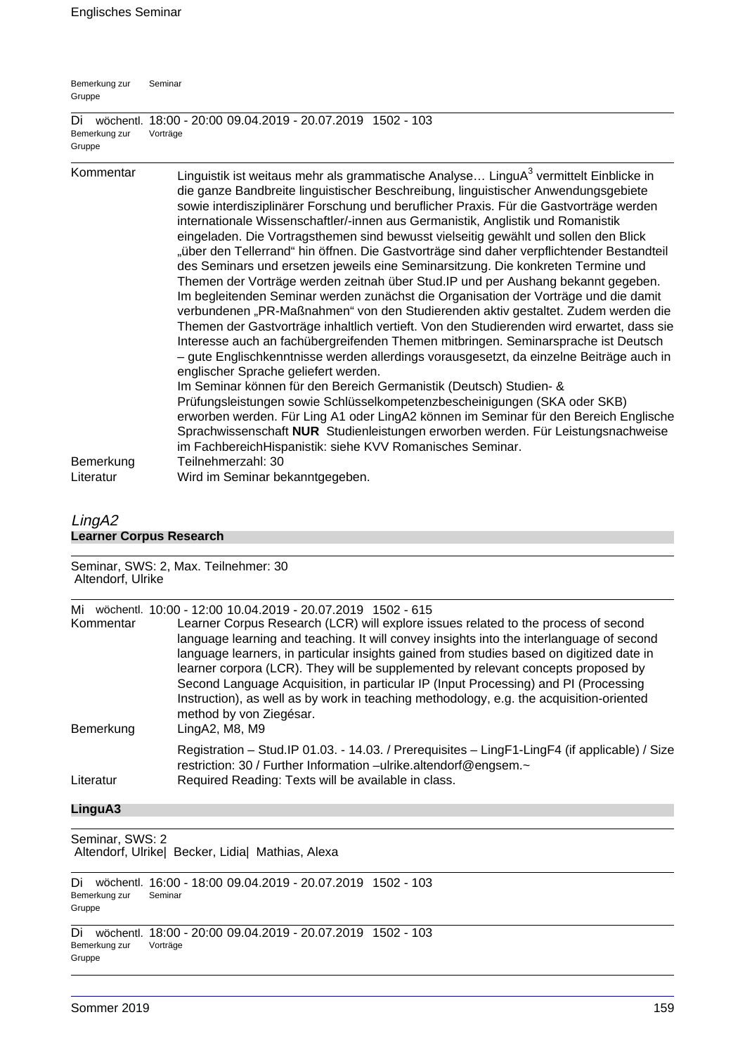| Bemerkung zur<br>Gruppe       | Seminar                                                                                                                                                                                                                                                                                                                                                                                                                                                                                                                                                                                                                                                                                                                                                                                                                                                                                                                                                                                                                                                                                                                                                                                                                                                                                                                                                                                                                                                                                                                                                                                                                        |
|-------------------------------|--------------------------------------------------------------------------------------------------------------------------------------------------------------------------------------------------------------------------------------------------------------------------------------------------------------------------------------------------------------------------------------------------------------------------------------------------------------------------------------------------------------------------------------------------------------------------------------------------------------------------------------------------------------------------------------------------------------------------------------------------------------------------------------------------------------------------------------------------------------------------------------------------------------------------------------------------------------------------------------------------------------------------------------------------------------------------------------------------------------------------------------------------------------------------------------------------------------------------------------------------------------------------------------------------------------------------------------------------------------------------------------------------------------------------------------------------------------------------------------------------------------------------------------------------------------------------------------------------------------------------------|
| Di<br>Bemerkung zur<br>Gruppe | wöchentl. 18:00 - 20:00 09.04.2019 - 20.07.2019 1502 - 103<br>Vorträge                                                                                                                                                                                                                                                                                                                                                                                                                                                                                                                                                                                                                                                                                                                                                                                                                                                                                                                                                                                                                                                                                                                                                                                                                                                                                                                                                                                                                                                                                                                                                         |
| Kommentar                     | Linguistik ist weitaus mehr als grammatische Analyse LinguA <sup>3</sup> vermittelt Einblicke in<br>die ganze Bandbreite linguistischer Beschreibung, linguistischer Anwendungsgebiete<br>sowie interdisziplinärer Forschung und beruflicher Praxis. Für die Gastvorträge werden<br>internationale Wissenschaftler/-innen aus Germanistik, Anglistik und Romanistik<br>eingeladen. Die Vortragsthemen sind bewusst vielseitig gewählt und sollen den Blick<br>"über den Tellerrand" hin öffnen. Die Gastvorträge sind daher verpflichtender Bestandteil<br>des Seminars und ersetzen jeweils eine Seminarsitzung. Die konkreten Termine und<br>Themen der Vorträge werden zeitnah über Stud. IP und per Aushang bekannt gegeben.<br>Im begleitenden Seminar werden zunächst die Organisation der Vorträge und die damit<br>verbundenen "PR-Maßnahmen" von den Studierenden aktiv gestaltet. Zudem werden die<br>Themen der Gastvorträge inhaltlich vertieft. Von den Studierenden wird erwartet, dass sie<br>Interesse auch an fachübergreifenden Themen mitbringen. Seminarsprache ist Deutsch<br>- gute Englischkenntnisse werden allerdings vorausgesetzt, da einzelne Beiträge auch in<br>englischer Sprache geliefert werden.<br>Im Seminar können für den Bereich Germanistik (Deutsch) Studien- &<br>Prüfungsleistungen sowie Schlüsselkompetenzbescheinigungen (SKA oder SKB)<br>erworben werden. Für Ling A1 oder LingA2 können im Seminar für den Bereich Englische<br>Sprachwissenschaft NUR Studienleistungen erworben werden. Für Leistungsnachweise<br>im FachbereichHispanistik: siehe KVV Romanisches Seminar. |
| Bemerkung<br>Literatur        | Teilnehmerzahl: 30<br>Wird im Seminar bekanntgegeben.                                                                                                                                                                                                                                                                                                                                                                                                                                                                                                                                                                                                                                                                                                                                                                                                                                                                                                                                                                                                                                                                                                                                                                                                                                                                                                                                                                                                                                                                                                                                                                          |

# LingA2 **Learner Corpus Research**

| Altendorf, Ulrike | Seminar, SWS: 2, Max. Teilnehmer: 30                                                                                                                                                                                                                                                                                                                                                                                                                                                                                                                                                                                                       |
|-------------------|--------------------------------------------------------------------------------------------------------------------------------------------------------------------------------------------------------------------------------------------------------------------------------------------------------------------------------------------------------------------------------------------------------------------------------------------------------------------------------------------------------------------------------------------------------------------------------------------------------------------------------------------|
| Mi<br>Kommentar   | wöchentl. 10:00 - 12:00 10.04.2019 - 20.07.2019 1502 - 615<br>Learner Corpus Research (LCR) will explore issues related to the process of second<br>language learning and teaching. It will convey insights into the interlanguage of second<br>language learners, in particular insights gained from studies based on digitized date in<br>learner corpora (LCR). They will be supplemented by relevant concepts proposed by<br>Second Language Acquisition, in particular IP (Input Processing) and PI (Processing<br>Instruction), as well as by work in teaching methodology, e.g. the acquisition-oriented<br>method by von Ziegésar. |
| Bemerkung         | LingA2, M8, M9                                                                                                                                                                                                                                                                                                                                                                                                                                                                                                                                                                                                                             |
| Literatur         | Registration - Stud. IP 01.03. - 14.03. / Prerequisites - LingF1-LingF4 (if applicable) / Size<br>restriction: 30 / Further Information -ulrike.altendorf@engsem.~<br>Required Reading: Texts will be available in class.                                                                                                                                                                                                                                                                                                                                                                                                                  |
| LinguA3           |                                                                                                                                                                                                                                                                                                                                                                                                                                                                                                                                                                                                                                            |

Seminar, SWS: 2 Altendorf, Ulrike| Becker, Lidia| Mathias, Alexa

Di wöchentl. 16:00 - 18:00 09.04.2019 - 20.07.2019 1502 - 103 Bemerkung zur Gruppe Seminar

Di wöchentl. 18:00 - 20:00 09.04.2019 - 20.07.2019 1502 - 103 Bemerkung zur Gruppe Vorträge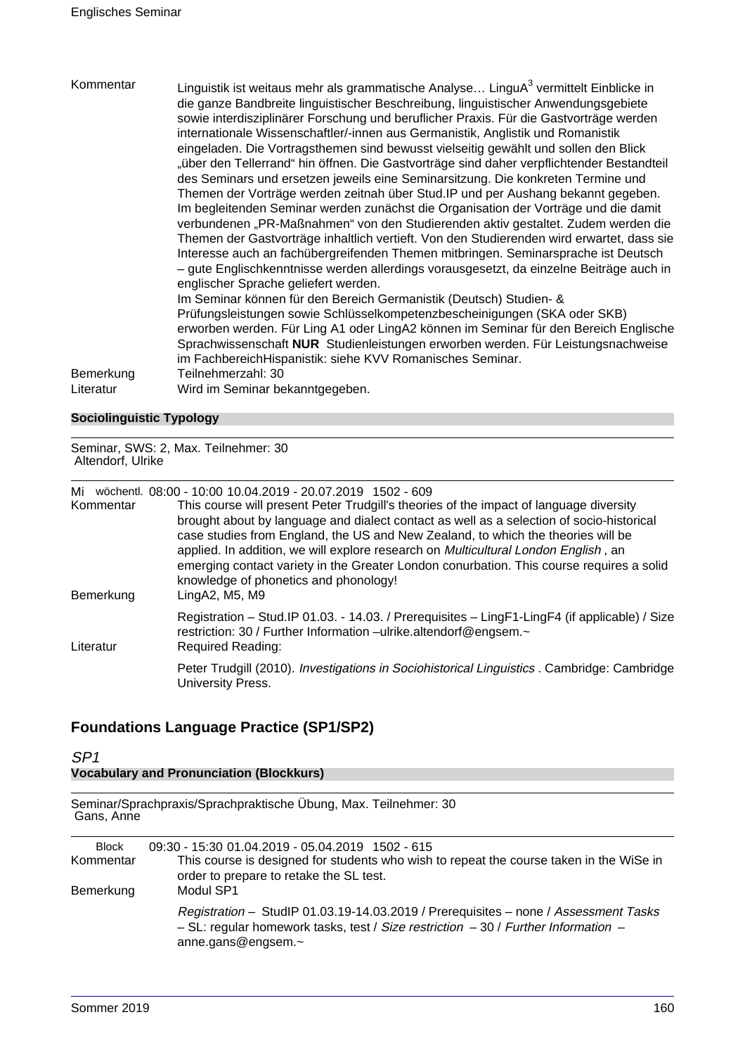| verbundenen "PR-Maßnahmen" von den Studierenden aktiv gestaltet. Zudem werden die<br>Themen der Gastvorträge inhaltlich vertieft. Von den Studierenden wird erwartet, dass sie<br>Interesse auch an fachübergreifenden Themen mitbringen. Seminarsprache ist Deutsch<br>- gute Englischkenntnisse werden allerdings vorausgesetzt, da einzelne Beiträge auch in<br>englischer Sprache geliefert werden.<br>Im Seminar können für den Bereich Germanistik (Deutsch) Studien- &<br>Prüfungsleistungen sowie Schlüsselkompetenzbescheinigungen (SKA oder SKB)<br>erworben werden. Für Ling A1 oder LingA2 können im Seminar für den Bereich Englische<br>Sprachwissenschaft NUR Studienleistungen erworben werden. Für Leistungsnachweise<br>im FachbereichHispanistik: siehe KVV Romanisches Seminar.<br>Teilnehmerzahl: 30 | eingeladen. Die Vortragsthemen sind bewusst vielseitig gewählt und sollen den Blick<br>"über den Tellerrand" hin öffnen. Die Gastvorträge sind daher verpflichtender Bestandteil<br>des Seminars und ersetzen jeweils eine Seminarsitzung. Die konkreten Termine und<br>Themen der Vorträge werden zeitnah über Stud. IP und per Aushang bekannt gegeben.<br>Im begleitenden Seminar werden zunächst die Organisation der Vorträge und die damit |
|---------------------------------------------------------------------------------------------------------------------------------------------------------------------------------------------------------------------------------------------------------------------------------------------------------------------------------------------------------------------------------------------------------------------------------------------------------------------------------------------------------------------------------------------------------------------------------------------------------------------------------------------------------------------------------------------------------------------------------------------------------------------------------------------------------------------------|--------------------------------------------------------------------------------------------------------------------------------------------------------------------------------------------------------------------------------------------------------------------------------------------------------------------------------------------------------------------------------------------------------------------------------------------------|
| Bemerkung<br>Literatur<br>Wird im Seminar bekanntgegeben.                                                                                                                                                                                                                                                                                                                                                                                                                                                                                                                                                                                                                                                                                                                                                                 |                                                                                                                                                                                                                                                                                                                                                                                                                                                  |

# **Sociolinguistic Typology**

Seminar, SWS: 2, Max. Teilnehmer: 30 Altendorf, Ulrike

Mi wöchentl. 08:00 - 10:00 10.04.2019 - 20.07.2019 1502 - 609

| Kommentar<br>Bemerkung | This course will present Peter Trudgill's theories of the impact of language diversity<br>brought about by language and dialect contact as well as a selection of socio-historical<br>case studies from England, the US and New Zealand, to which the theories will be<br>applied. In addition, we will explore research on <i>Multicultural London English</i> , an<br>emerging contact variety in the Greater London conurbation. This course requires a solid<br>knowledge of phonetics and phonology!<br>LingA2, M5, M9 |
|------------------------|-----------------------------------------------------------------------------------------------------------------------------------------------------------------------------------------------------------------------------------------------------------------------------------------------------------------------------------------------------------------------------------------------------------------------------------------------------------------------------------------------------------------------------|
| Literatur              | Registration - Stud.IP 01.03. - 14.03. / Prerequisites - LingF1-LingF4 (if applicable) / Size<br>restriction: 30 / Further Information -ulrike.altendorf@engsem.~<br>Required Reading:                                                                                                                                                                                                                                                                                                                                      |
|                        | Peter Trudgill (2010). Investigations in Sociohistorical Linguistics . Cambridge: Cambridge<br>University Press.                                                                                                                                                                                                                                                                                                                                                                                                            |

# **Foundations Language Practice (SP1/SP2)**

| SP <sub>1</sub>                                                                |                                                                                                                                                                                        |  |
|--------------------------------------------------------------------------------|----------------------------------------------------------------------------------------------------------------------------------------------------------------------------------------|--|
| <b>Vocabulary and Pronunciation (Blockkurs)</b>                                |                                                                                                                                                                                        |  |
| Seminar/Sprachpraxis/Sprachpraktische Übung, Max. Teilnehmer: 30<br>Gans, Anne |                                                                                                                                                                                        |  |
| <b>Block</b><br>Kommentar                                                      | 09:30 - 15:30 01.04.2019 - 05.04.2019 1502 - 615<br>This course is designed for students who wish to repeat the course taken in the WiSe in<br>order to prepare to retake the SL test. |  |
| Bemerkung                                                                      | Modul SP1                                                                                                                                                                              |  |

Registration – StudIP 01.03.19-14.03.2019 / Prerequisites – none / Assessment Tasks – SL: regular homework tasks, test / Size restriction – 30 / Further Information – anne.gans@engsem.~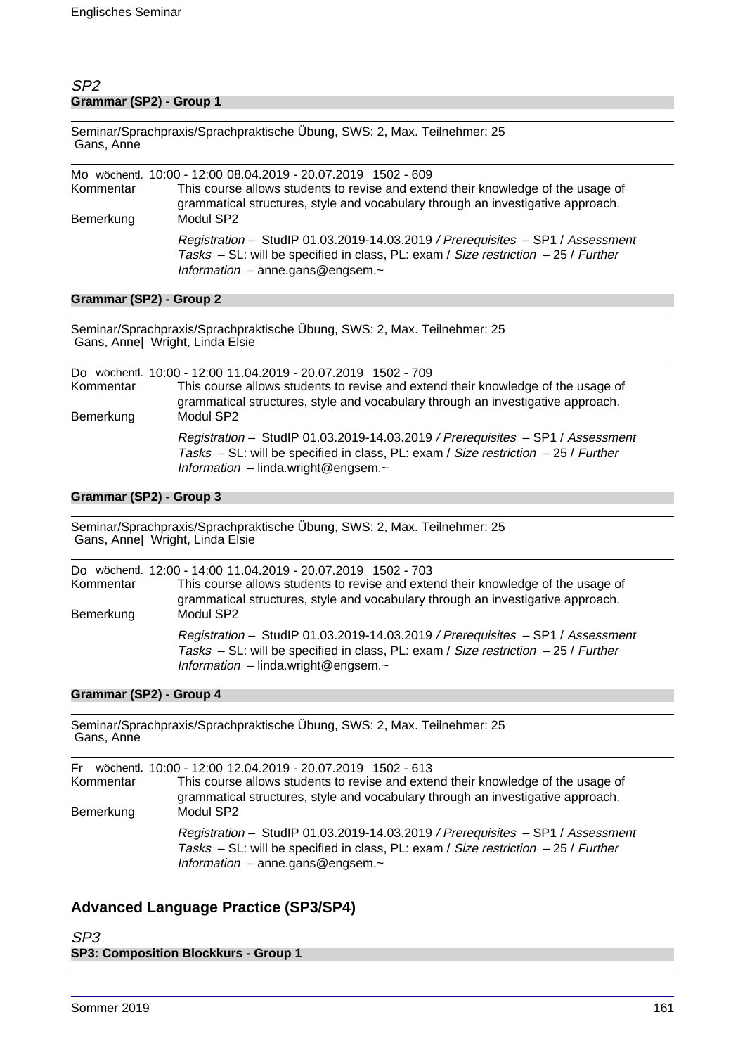# SP2 **Grammar (SP2) - Group 1**

Seminar/Sprachpraxis/Sprachpraktische Übung, SWS: 2, Max. Teilnehmer: 25 Gans, Anne

| Kommentar<br>Bemerkung | Mo wöchentl. 10:00 - 12:00 08.04.2019 - 20.07.2019 1502 - 609<br>This course allows students to revise and extend their knowledge of the usage of<br>grammatical structures, style and vocabulary through an investigative approach.<br>Modul SP2 |
|------------------------|---------------------------------------------------------------------------------------------------------------------------------------------------------------------------------------------------------------------------------------------------|
|                        | Registration - StudIP 01.03.2019-14.03.2019 / Prerequisites - SP1 / Assessment<br>Tasks $-$ SL: will be specified in class, PL: exam / Size restriction $-$ 25 / Further<br>Information $-$ anne gans @ engsem. $\sim$                            |

### **Grammar (SP2) - Group 2**

Seminar/Sprachpraxis/Sprachpraktische Übung, SWS: 2, Max. Teilnehmer: 25 Gans, Anne| Wright, Linda Elsie

| Kommentar<br>Bemerkung | Do wöchentl. 10:00 - 12:00 11.04.2019 - 20.07.2019 1502 - 709<br>This course allows students to revise and extend their knowledge of the usage of<br>grammatical structures, style and vocabulary through an investigative approach.<br>Modul SP2 |  |
|------------------------|---------------------------------------------------------------------------------------------------------------------------------------------------------------------------------------------------------------------------------------------------|--|
|                        | Registration - StudIP 01.03.2019-14.03.2019 / Prerequisites - SP1 / Assessment<br>Tasks – SL: will be specified in class, PL: exam / Size restriction – 25 / Further<br>Information $-$ linda.wright@engsem. $\sim$                               |  |

### **Grammar (SP2) - Group 3**

Seminar/Sprachpraxis/Sprachpraktische Übung, SWS: 2, Max. Teilnehmer: 25 Gans, Anne| Wright, Linda Elsie

| Kommentar<br>Bemerkung | Do wöchentl. 12:00 - 14:00 11.04.2019 - 20.07.2019 1502 - 703<br>This course allows students to revise and extend their knowledge of the usage of<br>grammatical structures, style and vocabulary through an investigative approach.<br>Modul SP2 |
|------------------------|---------------------------------------------------------------------------------------------------------------------------------------------------------------------------------------------------------------------------------------------------|
|                        | Registration - StudIP 01.03.2019-14.03.2019 / Prerequisites - SP1 / Assessment<br>Tasks – SL: will be specified in class, PL: exam / Size restriction – 25 / Further<br>Information $-$ linda.wright@engsem. $\sim$                               |

# **Grammar (SP2) - Group 4**

Seminar/Sprachpraxis/Sprachpraktische Übung, SWS: 2, Max. Teilnehmer: 25 Gans, Anne

| Kommentar<br>Bemerkung | Fr wöchentl. 10:00 - 12:00 12.04.2019 - 20.07.2019 1502 - 613<br>This course allows students to revise and extend their knowledge of the usage of<br>grammatical structures, style and vocabulary through an investigative approach.<br>Modul SP2 |
|------------------------|---------------------------------------------------------------------------------------------------------------------------------------------------------------------------------------------------------------------------------------------------|
|                        | Registration - StudIP 01.03.2019-14.03.2019 / Prerequisites - SP1 / Assessment<br>Tasks $-$ SL: will be specified in class, PL: exam / Size restriction $-$ 25 / Further<br>Information $-$ anne.gans@engsem. $\sim$                              |

# **Advanced Language Practice (SP3/SP4)**

SP3 **SP3: Composition Blockkurs - Group 1**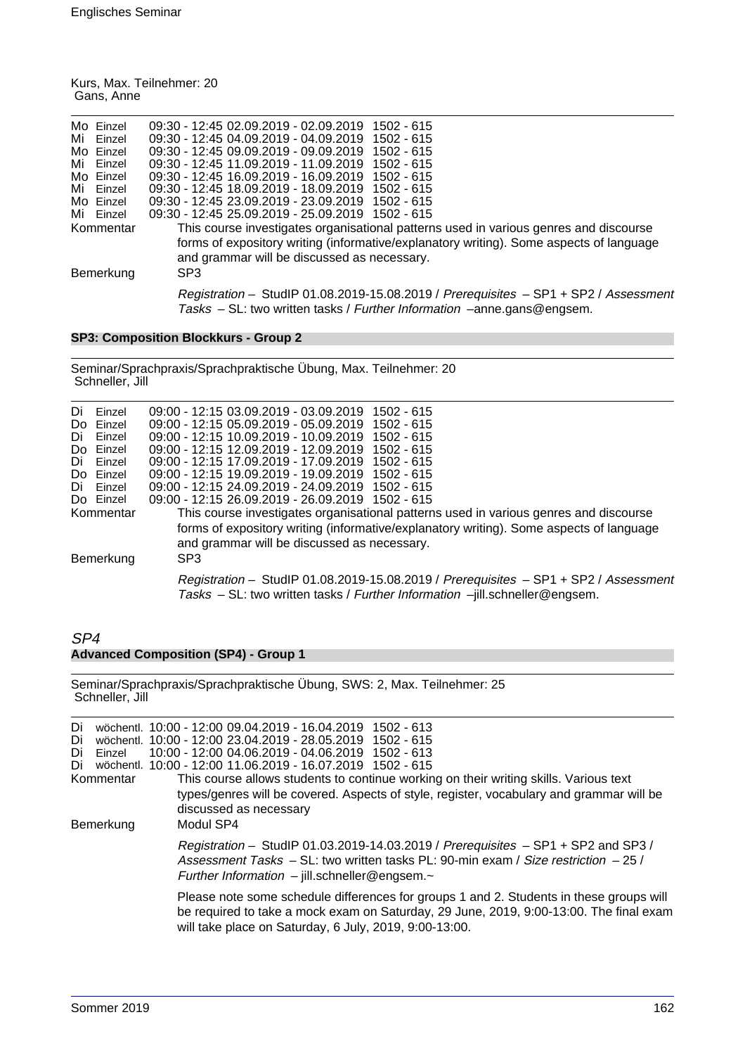|            | Kurs, Max. Teilnehmer: 20 |
|------------|---------------------------|
| Gans, Anne |                           |

|    | Mo Einzel | 09:30 - 12:45 02.09.2019 - 02.09.2019 1502 - 615                                        |
|----|-----------|-----------------------------------------------------------------------------------------|
| Mi | Einzel    | 09:30 - 12:45 04:09.2019 - 04:09.2019 1502 - 615                                        |
|    | Mo Einzel | 09:30 - 12:45 09.09.2019 - 09.09.2019<br>1502 - 615                                     |
|    | Mi Finzel | 09:30 - 12:45 11:09.2019 - 11:09.2019<br>$1502 - 615$                                   |
|    | Mo Einzel | 09:30 - 12:45 16:09.2019 - 16:09.2019<br>$1502 - 615$                                   |
|    | Mi Einzel | 09:30 - 12:45 18:09.2019 - 18:09.2019 1502 - 615                                        |
|    | Mo Einzel | 09:30 - 12:45 23.09.2019 - 23.09.2019 1502 - 615                                        |
|    | Mi Einzel | 09:30 - 12:45 25.09.2019 - 25.09.2019 1502 - 615                                        |
|    | Kommentar | This course investigates organisational patterns used in various genres and discourse   |
|    |           | forms of expository writing (informative/explanatory writing). Some aspects of language |
|    |           | and grammar will be discussed as necessary.                                             |
|    | Bemerkung | SP <sub>3</sub>                                                                         |
|    |           |                                                                                         |
|    |           | Registration - StudIP 01.08.2019-15.08.2019 / Prerequisites - SP1 + SP2 / Assessment    |
|    |           | Tasks - SL: two written tasks / Further Information -anne.gans@engsem.                  |
|    |           |                                                                                         |

# **SP3: Composition Blockkurs - Group 2**

Seminar/Sprachpraxis/Sprachpraktische Übung, Max. Teilnehmer: 20 Schneller, Jill

| Di<br>Do l | Einzel<br>Einzel | 09:00 - 12:15 03.09.2019 - 03.09.2019 1502 - 615<br>09:00 - 12:15 05:09.2019 - 05:09.2019 1502 - 615                                                                |
|------------|------------------|---------------------------------------------------------------------------------------------------------------------------------------------------------------------|
| Di         | Einzel           | 09:00 - 12:15 10:09.2019 - 10:09.2019<br>$1502 - 615$                                                                                                               |
|            | Do Einzel        | 09:00 - 12:15 12:09.2019 - 12:09.2019<br>1502 - 615                                                                                                                 |
| Di         | Einzel           | 09:00 - 12:15 17:09.2019 - 17:09.2019 1502 - 615                                                                                                                    |
|            | Do Einzel        | 09:00 - 12:15 19.09.2019 - 19.09.2019 1502 - 615                                                                                                                    |
| Di         | Einzel           | 09:00 - 12:15 24:09.2019 - 24:09.2019 1502 - 615                                                                                                                    |
|            | Do Einzel        | 09:00 - 12:15 26.09.2019 - 26.09.2019 1502 - 615                                                                                                                    |
|            | Kommentar        | This course investigates organisational patterns used in various genres and discourse                                                                               |
|            |                  | forms of expository writing (informative/explanatory writing). Some aspects of language<br>and grammar will be discussed as necessary.                              |
|            | Bemerkung        | SP <sub>3</sub>                                                                                                                                                     |
|            |                  | Registration - StudIP 01.08.2019-15.08.2019 / Prerequisites - SP1 + SP2 / Assessment<br>Tasks - SL: two written tasks / Further Information -jill.schneller@engsem. |

# SP4 **Advanced Composition (SP4) - Group 1**

Seminar/Sprachpraxis/Sprachpraktische Übung, SWS: 2, Max. Teilnehmer: 25 Schneller, Jill

| Di<br>Di<br>Einzel<br>Di<br>Di<br>Kommentar<br>Bemerkung |  | wöchentl. 10:00 - 12:00 09:04.2019 - 16:04.2019 1502 - 613<br>wöchentl. 10:00 - 12:00 23.04.2019 - 28.05.2019 1502 - 615<br>10:00 - 12:00 04.06.2019 - 04.06.2019 1502 - 613<br>wöchentl. 10:00 - 12:00 11.06.2019 - 16.07.2019 1502 - 615<br>This course allows students to continue working on their writing skills. Various text<br>types/genres will be covered. Aspects of style, register, vocabulary and grammar will be<br>discussed as necessary<br>Modul SP4 |
|----------------------------------------------------------|--|------------------------------------------------------------------------------------------------------------------------------------------------------------------------------------------------------------------------------------------------------------------------------------------------------------------------------------------------------------------------------------------------------------------------------------------------------------------------|
|                                                          |  | Registration - StudIP 01.03.2019-14.03.2019 / Prerequisites - SP1 + SP2 and SP3 /<br>Assessment Tasks $-$ SL: two written tasks PL: 90-min exam / Size restriction $-$ 25 /<br>Further Information $-$ jill.schneller@engsem. $\sim$                                                                                                                                                                                                                                   |
|                                                          |  | Please note some schedule differences for groups 1 and 2. Students in these groups will<br>be required to take a mock exam on Saturday, 29 June, 2019, 9:00-13:00. The final exam<br>will take place on Saturday, 6 July, 2019, 9:00-13:00.                                                                                                                                                                                                                            |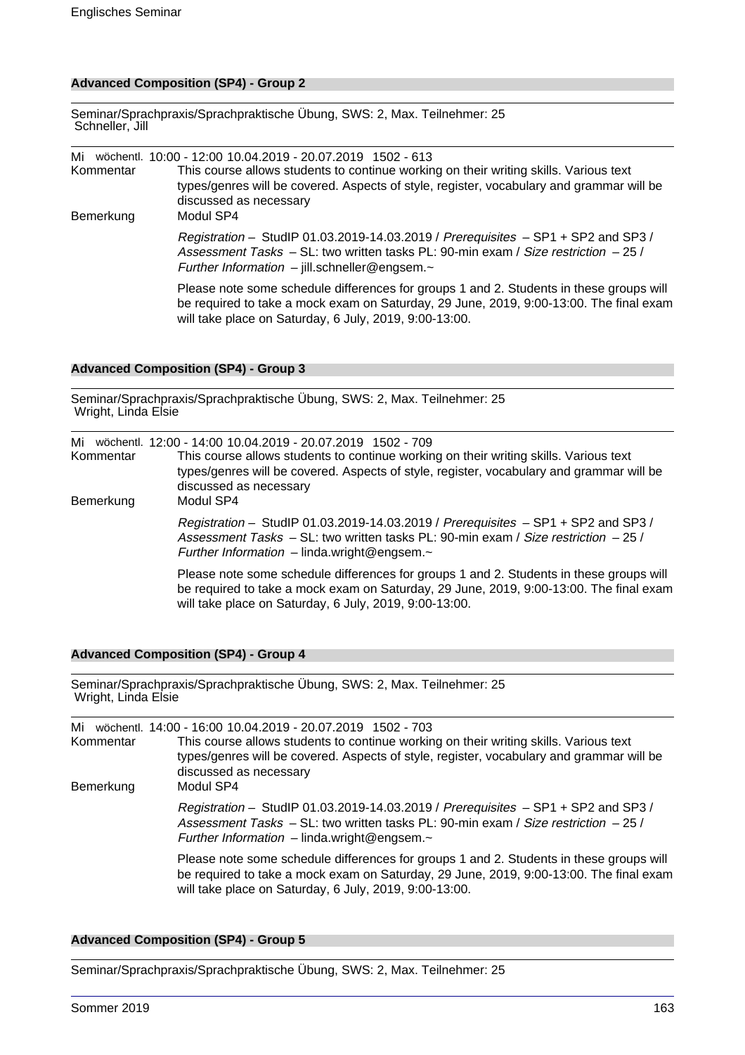### **Advanced Composition (SP4) - Group 2**

Seminar/Sprachpraxis/Sprachpraktische Übung, SWS: 2, Max. Teilnehmer: 25 Schneller, Jill

Mi wöchentl. 10:00 - 12:00 10.04.2019 - 20.07.2019 1502 - 613 This course allows students to continue working on their writing skills. Various text types/genres will be covered. Aspects of style, register, vocabulary and grammar will be discussed as necessary Bemerkung Modul SP4 Registration – StudIP 01.03.2019-14.03.2019 / Prerequisites – SP1 + SP2 and SP3 / Assessment Tasks – SL: two written tasks PL: 90-min exam / Size restriction – 25 / Further Information – jill.schneller@engsem.~ Please note some schedule differences for groups 1 and 2. Students in these groups will be required to take a mock exam on Saturday, 29 June, 2019, 9:00-13:00. The final exam will take place on Saturday, 6 July, 2019, 9:00-13:00.

#### **Advanced Composition (SP4) - Group 3**

Seminar/Sprachpraxis/Sprachpraktische Übung, SWS: 2, Max. Teilnehmer: 25 Wright, Linda Elsie

| Kommentar | Mi wöchentl. 12:00 - 14:00 10.04.2019 - 20.07.2019 1502 - 709<br>This course allows students to continue working on their writing skills. Various text<br>types/genres will be covered. Aspects of style, register, vocabulary and grammar will be<br>discussed as necessary |
|-----------|------------------------------------------------------------------------------------------------------------------------------------------------------------------------------------------------------------------------------------------------------------------------------|
| Bemerkung | Modul SP4<br>Registration - StudIP 01.03.2019-14.03.2019 / Prerequisites - SP1 + SP2 and SP3 /<br>Assessment Tasks – SL: two written tasks PL: 90-min exam / Size restriction – 25 /<br>Further Information $-$ linda.wright@engsem. $\sim$                                  |
|           | Please note some schedule differences for groups 1 and 2. Students in these groups will<br>be required to take a mock exam on Saturday, 29 June, 2019, 9:00-13:00. The final exam<br>will take place on Saturday, 6 July, 2019, 9:00-13:00.                                  |

#### **Advanced Composition (SP4) - Group 4**

Seminar/Sprachpraxis/Sprachpraktische Übung, SWS: 2, Max. Teilnehmer: 25 Wright, Linda Elsie

| Kommentar<br>Bemerkung | Mi wöchentl. 14:00 - 16:00 10.04.2019 - 20.07.2019 1502 - 703<br>This course allows students to continue working on their writing skills. Various text<br>types/genres will be covered. Aspects of style, register, vocabulary and grammar will be<br>discussed as necessary<br>Modul SP4 |
|------------------------|-------------------------------------------------------------------------------------------------------------------------------------------------------------------------------------------------------------------------------------------------------------------------------------------|
|                        | Registration - StudIP 01.03.2019-14.03.2019 / Prerequisites $-$ SP1 + SP2 and SP3 /<br>Assessment Tasks $-$ SL: two written tasks PL: 90-min exam / Size restriction $-$ 25 /<br>Further Information $-$ linda.wright@engsem. $\sim$                                                      |
|                        | Please note some schedule differences for groups 1 and 2. Students in these groups will<br>be required to take a mock exam on Saturday, 29 June, 2019, 9:00-13:00. The final exam<br>will take place on Saturday, 6 July, 2019, 9:00-13:00.                                               |

#### **Advanced Composition (SP4) - Group 5**

Seminar/Sprachpraxis/Sprachpraktische Übung, SWS: 2, Max. Teilnehmer: 25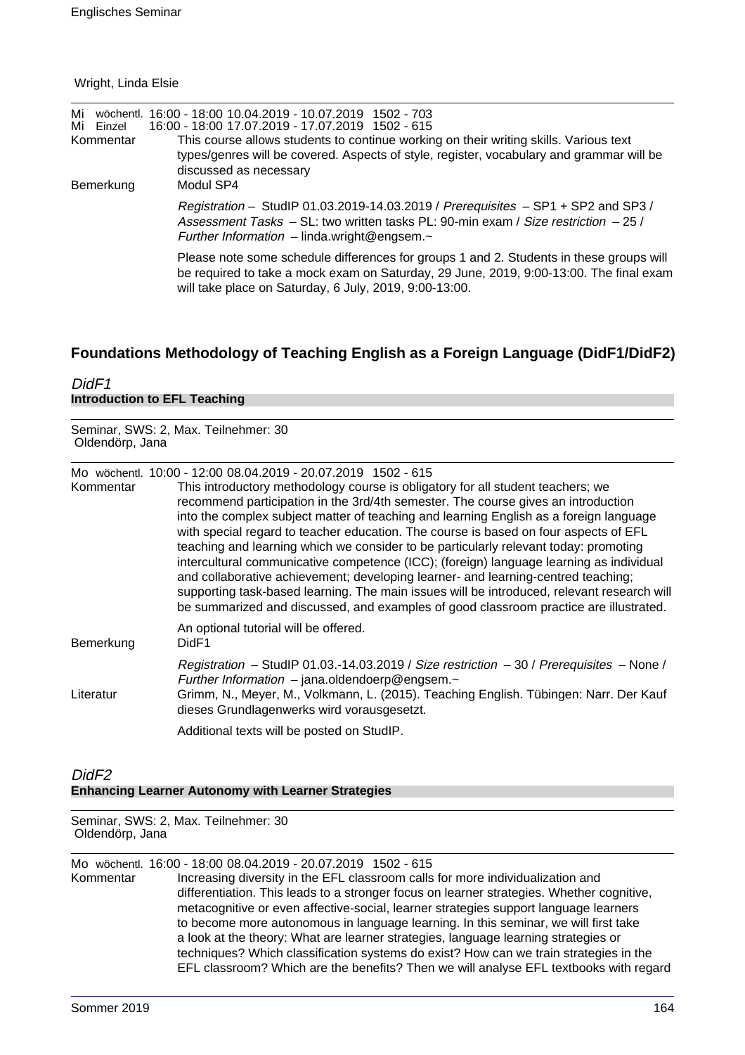#### Wright, Linda Elsie

| Mi<br>Mi Einzel<br>Kommentar<br>Bemerkung | wöchentl. 16:00 - 18:00 10.04.2019 - 10.07.2019 1502 - 703<br>16:00 - 18:00 17.07.2019 - 17.07.2019 1502 - 615<br>This course allows students to continue working on their writing skills. Various text<br>types/genres will be covered. Aspects of style, register, vocabulary and grammar will be<br>discussed as necessary<br>Modul SP4 |
|-------------------------------------------|--------------------------------------------------------------------------------------------------------------------------------------------------------------------------------------------------------------------------------------------------------------------------------------------------------------------------------------------|
|                                           | Registration - StudIP 01.03.2019-14.03.2019 / Prerequisites - SP1 + SP2 and SP3 /<br>Assessment Tasks – SL: two written tasks PL: 90-min exam / Size restriction – 25 /<br>Further Information $-$ linda wright @ engsem. $\sim$                                                                                                           |
|                                           | Please note some schedule differences for groups 1 and 2. Students in these groups will<br>be required to take a mock exam on Saturday, 29 June, 2019, 9:00-13:00. The final exam<br>will take place on Saturday, 6 July, 2019, 9:00-13:00.                                                                                                |

# **Foundations Methodology of Teaching English as a Foreign Language (DidF1/DidF2)**

| DidF1                               |  |  |
|-------------------------------------|--|--|
| <b>Introduction to EFL Teaching</b> |  |  |

Seminar, SWS: 2, Max. Teilnehmer: 30 Oldendörp, Jana

Mo wöchentl. 10:00 - 12:00 08.04.2019 - 20.07.2019 1502 - 615

| Kommentar | This introductory methodology course is obligatory for all student teachers; we<br>recommend participation in the 3rd/4th semester. The course gives an introduction<br>into the complex subject matter of teaching and learning English as a foreign language<br>with special regard to teacher education. The course is based on four aspects of EFL<br>teaching and learning which we consider to be particularly relevant today: promoting<br>intercultural communicative competence (ICC); (foreign) language learning as individual<br>and collaborative achievement; developing learner- and learning-centred teaching;<br>supporting task-based learning. The main issues will be introduced, relevant research will<br>be summarized and discussed, and examples of good classroom practice are illustrated. |
|-----------|-----------------------------------------------------------------------------------------------------------------------------------------------------------------------------------------------------------------------------------------------------------------------------------------------------------------------------------------------------------------------------------------------------------------------------------------------------------------------------------------------------------------------------------------------------------------------------------------------------------------------------------------------------------------------------------------------------------------------------------------------------------------------------------------------------------------------|
| Bemerkung | An optional tutorial will be offered.<br>DidF1                                                                                                                                                                                                                                                                                                                                                                                                                                                                                                                                                                                                                                                                                                                                                                        |
| Literatur | Registration - StudIP 01.03.-14.03.2019 / Size restriction - 30 / Prerequisites - None /<br>Further Information $-$ jana.oldendoerp@engsem. $\sim$<br>Grimm, N., Meyer, M., Volkmann, L. (2015). Teaching English. Tübingen: Narr. Der Kauf<br>dieses Grundlagenwerks wird vorausgesetzt.                                                                                                                                                                                                                                                                                                                                                                                                                                                                                                                             |
|           | Additional texts will be posted on StudIP.                                                                                                                                                                                                                                                                                                                                                                                                                                                                                                                                                                                                                                                                                                                                                                            |

# DidF2 **Enhancing Learner Autonomy with Learner Strategies**

Seminar, SWS: 2, Max. Teilnehmer: 30 Oldendörp, Jana

Mo wöchentl. 16:00 - 18:00 08.04.2019 - 20.07.2019 1502 - 615

Increasing diversity in the EFL classroom calls for more individualization and differentiation. This leads to a stronger focus on learner strategies. Whether cognitive, metacognitive or even affective-social, learner strategies support language learners to become more autonomous in language learning. In this seminar, we will first take a look at the theory: What are learner strategies, language learning strategies or techniques? Which classification systems do exist? How can we train strategies in the EFL classroom? Which are the benefits? Then we will analyse EFL textbooks with regard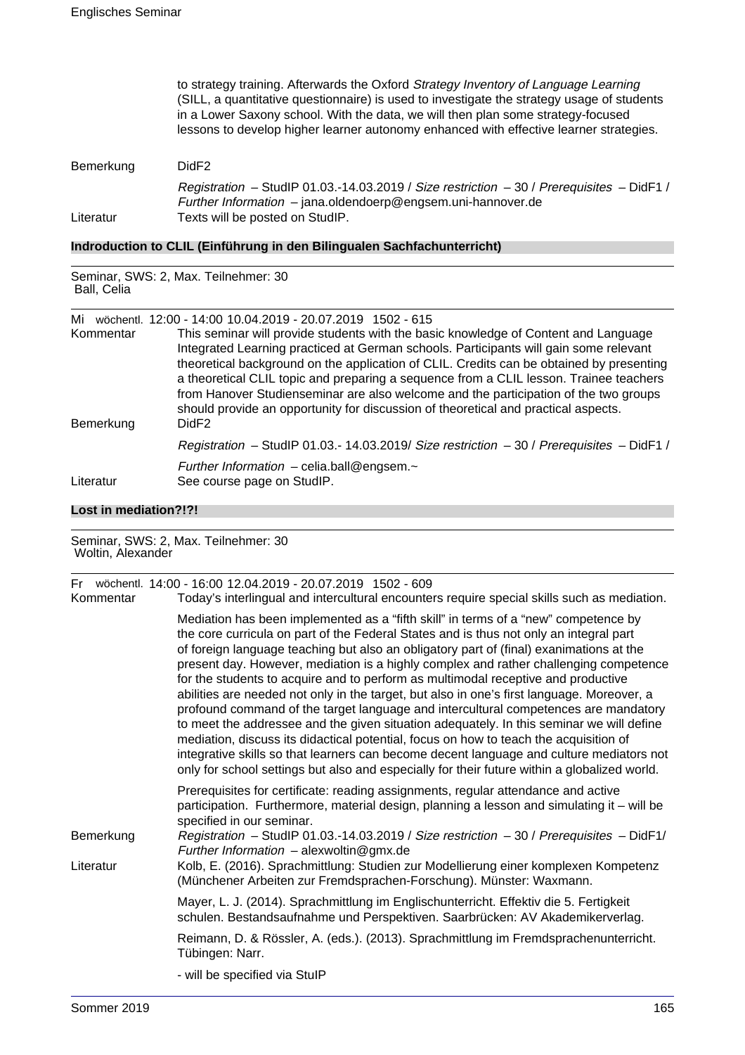|           | to strategy training. Afterwards the Oxford Strategy Inventory of Language Learning<br>(SILL, a quantitative questionnaire) is used to investigate the strategy usage of students<br>in a Lower Saxony school. With the data, we will then plan some strategy-focused<br>lessons to develop higher learner autonomy enhanced with effective learner strategies. |
|-----------|-----------------------------------------------------------------------------------------------------------------------------------------------------------------------------------------------------------------------------------------------------------------------------------------------------------------------------------------------------------------|
| Bemerkung | DidF <sub>2</sub>                                                                                                                                                                                                                                                                                                                                               |
| Literatur | Registration - StudIP 01.03.-14.03.2019 / Size restriction $-30$ / Prerequisites $-$ DidF1 /<br>Further Information $-$ jana.oldendoerp@engsem.uni-hannover.de<br>Texts will be posted on StudIP.                                                                                                                                                               |
|           |                                                                                                                                                                                                                                                                                                                                                                 |

# **Indroduction to CLIL (Einführung in den Bilingualen Sachfachunterricht)**

| Seminar, SWS: 2, Max. Teilnehmer: 30<br>Ball, Celia |                                                                                                                                                                                                                                                                                                                                                                                                                                                                                                                                                                                                                                     |  |
|-----------------------------------------------------|-------------------------------------------------------------------------------------------------------------------------------------------------------------------------------------------------------------------------------------------------------------------------------------------------------------------------------------------------------------------------------------------------------------------------------------------------------------------------------------------------------------------------------------------------------------------------------------------------------------------------------------|--|
| Mi<br>Kommentar<br>Bemerkung                        | wöchentl. 12:00 - 14:00 10.04.2019 - 20.07.2019 1502 - 615<br>This seminar will provide students with the basic knowledge of Content and Language<br>Integrated Learning practiced at German schools. Participants will gain some relevant<br>theoretical background on the application of CLIL. Credits can be obtained by presenting<br>a theoretical CLIL topic and preparing a sequence from a CLIL lesson. Trainee teachers<br>from Hanover Studienseminar are also welcome and the participation of the two groups<br>should provide an opportunity for discussion of theoretical and practical aspects.<br>DidF <sub>2</sub> |  |
|                                                     | Registration - StudIP 01.03.- 14.03.2019/ Size restriction $-30$ / Prerequisites $-$ DidF1 /                                                                                                                                                                                                                                                                                                                                                                                                                                                                                                                                        |  |
| Literatur                                           | Further Information - celia.ball@engsem.~<br>See course page on StudIP.                                                                                                                                                                                                                                                                                                                                                                                                                                                                                                                                                             |  |

# **Lost in mediation?!?!**

| Seminar, SWS: 2, Max. Teilnehmer: 30<br>Woltin, Alexander |                                                                                                                                                                                                                                                                                                                                                                                                                                                                                                                                                                                                                                                                                                                                                                                                                                                                                                                                                                                                                              |  |
|-----------------------------------------------------------|------------------------------------------------------------------------------------------------------------------------------------------------------------------------------------------------------------------------------------------------------------------------------------------------------------------------------------------------------------------------------------------------------------------------------------------------------------------------------------------------------------------------------------------------------------------------------------------------------------------------------------------------------------------------------------------------------------------------------------------------------------------------------------------------------------------------------------------------------------------------------------------------------------------------------------------------------------------------------------------------------------------------------|--|
| Fr -<br>Kommentar                                         | wöchentl. 14:00 - 16:00 12.04.2019 - 20.07.2019 1502 - 609<br>Today's interlingual and intercultural encounters require special skills such as mediation.                                                                                                                                                                                                                                                                                                                                                                                                                                                                                                                                                                                                                                                                                                                                                                                                                                                                    |  |
|                                                           | Mediation has been implemented as a "fifth skill" in terms of a "new" competence by<br>the core curricula on part of the Federal States and is thus not only an integral part<br>of foreign language teaching but also an obligatory part of (final) exanimations at the<br>present day. However, mediation is a highly complex and rather challenging competence<br>for the students to acquire and to perform as multimodal receptive and productive<br>abilities are needed not only in the target, but also in one's first language. Moreover, a<br>profound command of the target language and intercultural competences are mandatory<br>to meet the addressee and the given situation adequately. In this seminar we will define<br>mediation, discuss its didactical potential, focus on how to teach the acquisition of<br>integrative skills so that learners can become decent language and culture mediators not<br>only for school settings but also and especially for their future within a globalized world. |  |
| Bemerkung                                                 | Prerequisites for certificate: reading assignments, regular attendance and active<br>participation. Furthermore, material design, planning a lesson and simulating it – will be<br>specified in our seminar.<br>Registration - StudIP 01.03.-14.03.2019 / Size restriction - 30 / Prerequisites - DidF1/<br>Further Information $-$ alexwoltin@gmx.de                                                                                                                                                                                                                                                                                                                                                                                                                                                                                                                                                                                                                                                                        |  |
| Literatur                                                 | Kolb, E. (2016). Sprachmittlung: Studien zur Modellierung einer komplexen Kompetenz<br>(Münchener Arbeiten zur Fremdsprachen-Forschung). Münster: Waxmann.                                                                                                                                                                                                                                                                                                                                                                                                                                                                                                                                                                                                                                                                                                                                                                                                                                                                   |  |
|                                                           | Mayer, L. J. (2014). Sprachmittlung im Englischunterricht. Effektiv die 5. Fertigkeit<br>schulen. Bestandsaufnahme und Perspektiven. Saarbrücken: AV Akademikerverlag.                                                                                                                                                                                                                                                                                                                                                                                                                                                                                                                                                                                                                                                                                                                                                                                                                                                       |  |
|                                                           | Reimann, D. & Rössler, A. (eds.). (2013). Sprachmittlung im Fremdsprachenunterricht.<br>Tübingen: Narr.                                                                                                                                                                                                                                                                                                                                                                                                                                                                                                                                                                                                                                                                                                                                                                                                                                                                                                                      |  |
|                                                           | - will be specified via StulP                                                                                                                                                                                                                                                                                                                                                                                                                                                                                                                                                                                                                                                                                                                                                                                                                                                                                                                                                                                                |  |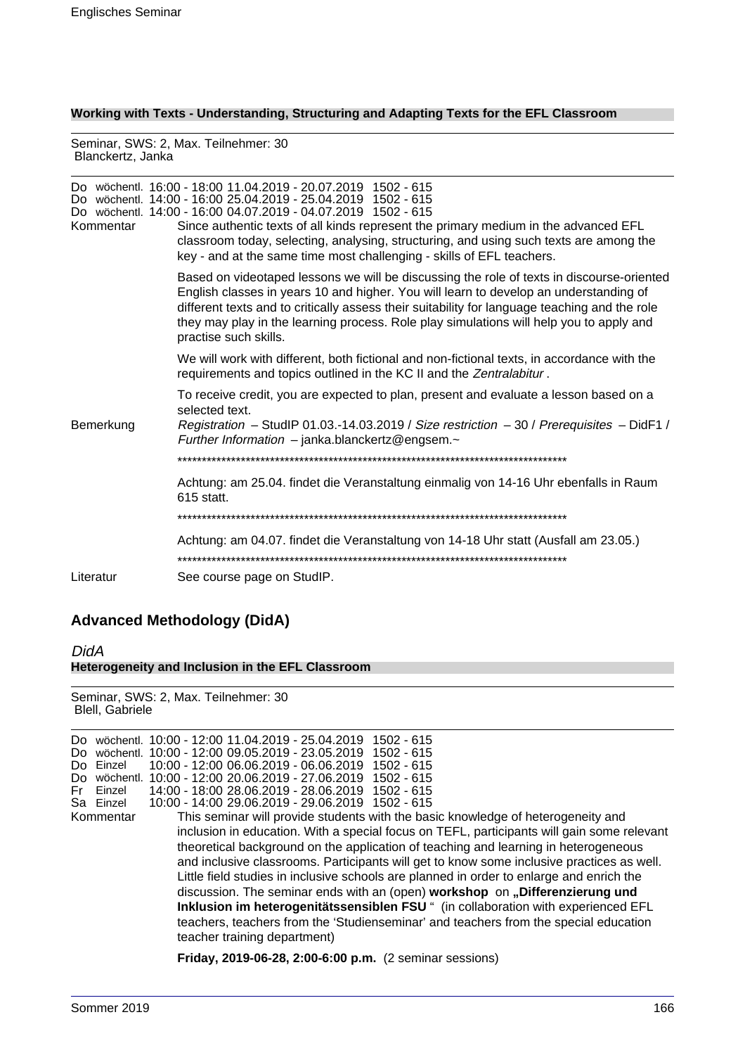**Working with Texts - Understanding, Structuring and Adapting Texts for the EFL Classroom**

Seminar, SWS: 2, Max. Teilnehmer: 30 Blanckertz, Janka

| Kommentar | Do wöchentl. 16:00 - 18:00 11.04.2019 - 20.07.2019 1502 - 615<br>Do wöchentl. 14:00 - 16:00 25.04.2019 - 25.04.2019 1502 - 615<br>Do wöchentl. 14:00 - 16:00 04.07.2019 - 04.07.2019 1502 - 615<br>Since authentic texts of all kinds represent the primary medium in the advanced EFL<br>classroom today, selecting, analysing, structuring, and using such texts are among the<br>key - and at the same time most challenging - skills of EFL teachers. |
|-----------|-----------------------------------------------------------------------------------------------------------------------------------------------------------------------------------------------------------------------------------------------------------------------------------------------------------------------------------------------------------------------------------------------------------------------------------------------------------|
|           | Based on videotaped lessons we will be discussing the role of texts in discourse-oriented<br>English classes in years 10 and higher. You will learn to develop an understanding of<br>different texts and to critically assess their suitability for language teaching and the role<br>they may play in the learning process. Role play simulations will help you to apply and<br>practise such skills.                                                   |
|           | We will work with different, both fictional and non-fictional texts, in accordance with the<br>requirements and topics outlined in the KC II and the Zentralabitur.                                                                                                                                                                                                                                                                                       |
|           | To receive credit, you are expected to plan, present and evaluate a lesson based on a<br>selected text.                                                                                                                                                                                                                                                                                                                                                   |
| Bemerkung | Registration - StudIP 01.03.-14.03.2019 / Size restriction $-30$ / Prerequisites - DidF1 /<br>Further Information $-$ janka.blanckertz@engsem. $\sim$                                                                                                                                                                                                                                                                                                     |
|           |                                                                                                                                                                                                                                                                                                                                                                                                                                                           |
|           | Achtung: am 25.04. findet die Veranstaltung einmalig von 14-16 Uhr ebenfalls in Raum<br>615 statt.                                                                                                                                                                                                                                                                                                                                                        |
|           |                                                                                                                                                                                                                                                                                                                                                                                                                                                           |
|           | Achtung: am 04.07. findet die Veranstaltung von 14-18 Uhr statt (Ausfall am 23.05.)                                                                                                                                                                                                                                                                                                                                                                       |
| Literatur | See course page on StudIP.                                                                                                                                                                                                                                                                                                                                                                                                                                |
|           |                                                                                                                                                                                                                                                                                                                                                                                                                                                           |

# **Advanced Methodology (DidA)**

DidA **Heterogeneity and Inclusion in the EFL Classroom**

Seminar, SWS: 2, Max. Teilnehmer: 30 Blell, Gabriele

**Friday, 2019-06-28, 2:00-6:00 p.m.** (2 seminar sessions)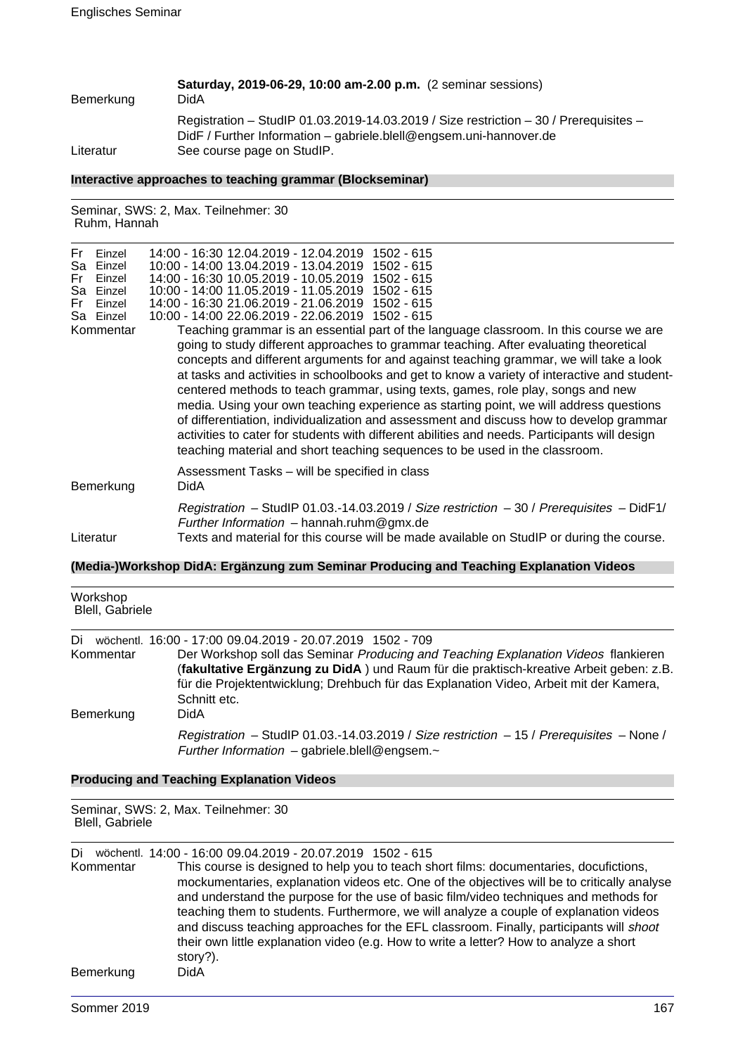| Bemerkung | Saturday, 2019-06-29, 10:00 am-2.00 p.m. (2 seminar sessions)<br>DidA                                                                                         |
|-----------|---------------------------------------------------------------------------------------------------------------------------------------------------------------|
|           | Registration - StudIP 01.03.2019-14.03.2019 / Size restriction - 30 / Prerequisites -<br>$DidF / Further Information - gabriele.blell@engsem.uni-hannover.de$ |
| Literatur | See course page on StudIP.                                                                                                                                    |

#### **Interactive approaches to teaching grammar (Blockseminar)**

Seminar, SWS: 2, Max. Teilnehmer: 30 Ruhm, Hannah

| Fri | Einzel    | 14:00 - 16:30 12.04.2019 - 12.04.2019 1502 - 615                                              |
|-----|-----------|-----------------------------------------------------------------------------------------------|
|     | Sa Einzel | 10:00 - 14:00 13.04.2019 - 13.04.2019 1502 - 615                                              |
| Fr. | Einzel    | 14:00 - 16:30 10.05.2019 - 10.05.2019 1502 - 615                                              |
|     | Sa Einzel | 10:00 - 14:00 11.05.2019 - 11.05.2019 1502 - 615                                              |
| Fri | Einzel    | 14:00 - 16:30 21.06.2019 - 21.06.2019 1502 - 615                                              |
|     | Sa Einzel | 10:00 - 14:00 22.06.2019 - 22.06.2019 1502 - 615                                              |
|     | Kommentar | Teaching grammar is an essential part of the language classroom. In this course we are        |
|     |           | going to study different approaches to grammar teaching. After evaluating theoretical         |
|     |           | concepts and different arguments for and against teaching grammar, we will take a look        |
|     |           | at tasks and activities in schoolbooks and get to know a variety of interactive and student-  |
|     |           | centered methods to teach grammar, using texts, games, role play, songs and new               |
|     |           | media. Using your own teaching experience as starting point, we will address questions        |
|     |           |                                                                                               |
|     |           | of differentiation, individualization and assessment and discuss how to develop grammar       |
|     |           | activities to cater for students with different abilities and needs. Participants will design |
|     |           | teaching material and short teaching sequences to be used in the classroom.                   |
|     |           | Assessment Tasks – will be specified in class                                                 |
|     | Bemerkung | DidA                                                                                          |
|     |           |                                                                                               |
|     |           | Registration - StudIP 01.03.-14.03.2019 / Size restriction - 30 / Prerequisites - DidF1/      |
|     |           | Further Information $-$ hannah.ruhm@gmx.de                                                    |
|     | Literatur | Texts and material for this course will be made available on StudIP or during the course.     |

# **(Media-)Workshop DidA: Ergänzung zum Seminar Producing and Teaching Explanation Videos**

| Workshop<br>Blell, Gabriele |                                                                                                                                                                                                                                                                                        |
|-----------------------------|----------------------------------------------------------------------------------------------------------------------------------------------------------------------------------------------------------------------------------------------------------------------------------------|
| Di                          | wöchentl. 16:00 - 17:00 09.04.2019 - 20.07.2019 1502 - 709                                                                                                                                                                                                                             |
| Kommentar                   | Der Workshop soll das Seminar Producing and Teaching Explanation Videos flankieren<br>(fakultative Ergänzung zu DidA) und Raum für die praktisch-kreative Arbeit geben: z.B.<br>für die Projektentwicklung; Drehbuch für das Explanation Video, Arbeit mit der Kamera,<br>Schnitt etc. |
| Bemerkung                   | DidA                                                                                                                                                                                                                                                                                   |
|                             | Registration - StudIP 01.03.-14.03.2019 / Size restriction - 15 / Prerequisites - None /<br>Further Information - gabriele.blell@engsem. $\sim$                                                                                                                                        |

# **Producing and Teaching Explanation Videos**

Seminar, SWS: 2, Max. Teilnehmer: 30 Blell, Gabriele

Di wöchentl. 14:00 - 16:00 09.04.2019 - 20.07.2019 1502 - 615 This course is designed to help you to teach short films: documentaries, docufictions, mockumentaries, explanation videos etc. One of the objectives will be to critically analyse and understand the purpose for the use of basic film/video techniques and methods for teaching them to students. Furthermore, we will analyze a couple of explanation videos and discuss teaching approaches for the EFL classroom. Finally, participants will shoot their own little explanation video (e.g. How to write a letter? How to analyze a short story?). Bemerkung DidA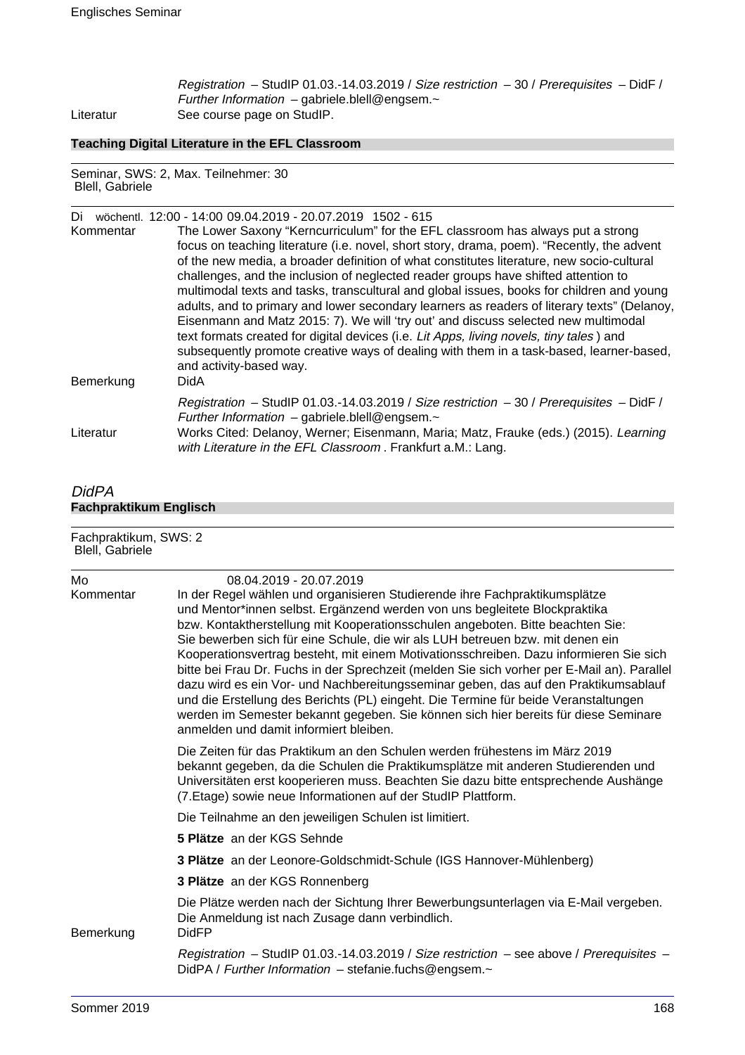Registration – StudIP 01.03.-14.03.2019 / Size restriction – 30 / Prerequisites – DidF / Further Information  $-$  gabriele.blell@engsem. $\sim$ Literatur See course page on StudIP.

# **Teaching Digital Literature in the EFL Classroom**

Seminar, SWS: 2, Max. Teilnehmer: 30 Blell, Gabriele

| Di        | wöchentl. 12:00 - 14:00 09:04.2019 - 20:07.2019 1502 - 615                                                                                                                    |
|-----------|-------------------------------------------------------------------------------------------------------------------------------------------------------------------------------|
| Kommentar | The Lower Saxony "Kerncurriculum" for the EFL classroom has always put a strong                                                                                               |
|           | focus on teaching literature (i.e. novel, short story, drama, poem). "Recently, the advent                                                                                    |
|           | of the new media, a broader definition of what constitutes literature, new socio-cultural                                                                                     |
|           | challenges, and the inclusion of neglected reader groups have shifted attention to                                                                                            |
|           | multimodal texts and tasks, transcultural and global issues, books for children and young                                                                                     |
|           | adults, and to primary and lower secondary learners as readers of literary texts" (Delanoy,                                                                                   |
|           | Eisenmann and Matz 2015: 7). We will 'try out' and discuss selected new multimodal<br>text formats created for digital devices (i.e. Lit Apps, living novels, tiny tales) and |
|           | subsequently promote creative ways of dealing with them in a task-based, learner-based,                                                                                       |
|           | and activity-based way.                                                                                                                                                       |
| Bemerkung | <b>DidA</b>                                                                                                                                                                   |
|           | Registration - StudIP 01.03.-14.03.2019 / Size restriction - 30 / Prerequisites - DidF /                                                                                      |
| Literatur | Further Information - gabriele.blell@engsem. $\sim$<br>Works Cited: Delanoy, Werner; Eisenmann, Maria; Matz, Frauke (eds.) (2015). Learning                                   |
|           | with Literature in the EFL Classroom. Frankfurt a.M.: Lang.                                                                                                                   |

# DidPA **Fachpraktikum Englisch**

| Fachpraktikum, SWS: 2<br>Blell, Gabriele |                                                                                                                                                                                                                                                                                                                                                                                                                                                                                                                                                                                                                                                                                                                                                                                                                                                                 |  |
|------------------------------------------|-----------------------------------------------------------------------------------------------------------------------------------------------------------------------------------------------------------------------------------------------------------------------------------------------------------------------------------------------------------------------------------------------------------------------------------------------------------------------------------------------------------------------------------------------------------------------------------------------------------------------------------------------------------------------------------------------------------------------------------------------------------------------------------------------------------------------------------------------------------------|--|
| Mo<br>Kommentar                          | 08.04.2019 - 20.07.2019<br>In der Regel wählen und organisieren Studierende ihre Fachpraktikumsplätze<br>und Mentor*innen selbst. Ergänzend werden von uns begleitete Blockpraktika<br>bzw. Kontaktherstellung mit Kooperationsschulen angeboten. Bitte beachten Sie:<br>Sie bewerben sich für eine Schule, die wir als LUH betreuen bzw. mit denen ein<br>Kooperationsvertrag besteht, mit einem Motivationsschreiben. Dazu informieren Sie sich<br>bitte bei Frau Dr. Fuchs in der Sprechzeit (melden Sie sich vorher per E-Mail an). Parallel<br>dazu wird es ein Vor- und Nachbereitungsseminar geben, das auf den Praktikumsablauf<br>und die Erstellung des Berichts (PL) eingeht. Die Termine für beide Veranstaltungen<br>werden im Semester bekannt gegeben. Sie können sich hier bereits für diese Seminare<br>anmelden und damit informiert bleiben. |  |
|                                          | Die Zeiten für das Praktikum an den Schulen werden frühestens im März 2019<br>bekannt gegeben, da die Schulen die Praktikumsplätze mit anderen Studierenden und<br>Universitäten erst kooperieren muss. Beachten Sie dazu bitte entsprechende Aushänge<br>(7. Etage) sowie neue Informationen auf der StudIP Plattform.                                                                                                                                                                                                                                                                                                                                                                                                                                                                                                                                         |  |
|                                          | Die Teilnahme an den jeweiligen Schulen ist limitiert.                                                                                                                                                                                                                                                                                                                                                                                                                                                                                                                                                                                                                                                                                                                                                                                                          |  |
|                                          | 5 Plätze an der KGS Sehnde                                                                                                                                                                                                                                                                                                                                                                                                                                                                                                                                                                                                                                                                                                                                                                                                                                      |  |
|                                          | 3 Plätze an der Leonore-Goldschmidt-Schule (IGS Hannover-Mühlenberg)                                                                                                                                                                                                                                                                                                                                                                                                                                                                                                                                                                                                                                                                                                                                                                                            |  |
|                                          | 3 Plätze an der KGS Ronnenberg                                                                                                                                                                                                                                                                                                                                                                                                                                                                                                                                                                                                                                                                                                                                                                                                                                  |  |
| Bemerkung                                | Die Plätze werden nach der Sichtung Ihrer Bewerbungsunterlagen via E-Mail vergeben.<br>Die Anmeldung ist nach Zusage dann verbindlich.<br><b>DidFP</b>                                                                                                                                                                                                                                                                                                                                                                                                                                                                                                                                                                                                                                                                                                          |  |
|                                          | Registration – StudIP 01.03.-14.03.2019 / Size restriction – see above / Prerequisites –<br>DidPA / Further Information - stefanie.fuchs@engsem.~                                                                                                                                                                                                                                                                                                                                                                                                                                                                                                                                                                                                                                                                                                               |  |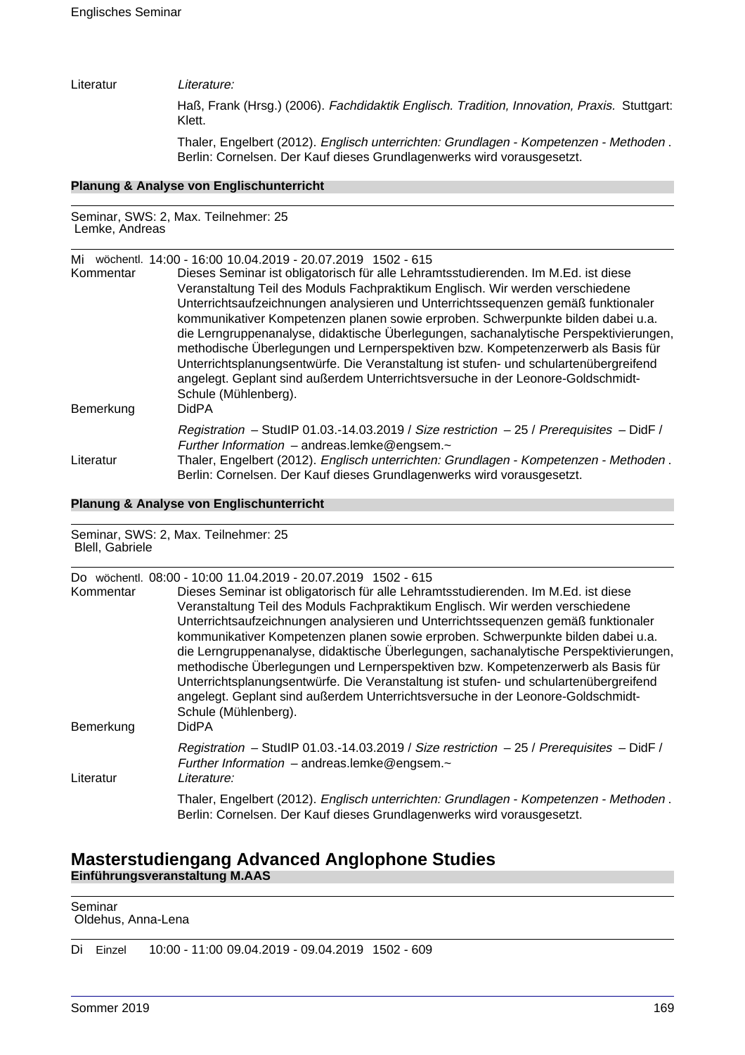#### Literatur Literature:

Haß, Frank (Hrsg.) (2006). Fachdidaktik Englisch. Tradition, Innovation, Praxis. Stuttgart: Klett.

Thaler, Engelbert (2012). Englisch unterrichten: Grundlagen - Kompetenzen - Methoden . Berlin: Cornelsen. Der Kauf dieses Grundlagenwerks wird vorausgesetzt.

# **Planung & Analyse von Englischunterricht**

### Seminar, SWS: 2, Max. Teilnehmer: 25 Lemke, Andreas

| Mi<br>Kommentar | wöchentl. 14:00 - 16:00 10.04.2019 - 20.07.2019 1502 - 615<br>Dieses Seminar ist obligatorisch für alle Lehramtsstudierenden. Im M.Ed. ist diese<br>Veranstaltung Teil des Moduls Fachpraktikum Englisch. Wir werden verschiedene<br>Unterrichtsaufzeichnungen analysieren und Unterrichtssequenzen gemäß funktionaler<br>kommunikativer Kompetenzen planen sowie erproben. Schwerpunkte bilden dabei u.a.<br>die Lerngruppenanalyse, didaktische Überlegungen, sachanalytische Perspektivierungen, |
|-----------------|-----------------------------------------------------------------------------------------------------------------------------------------------------------------------------------------------------------------------------------------------------------------------------------------------------------------------------------------------------------------------------------------------------------------------------------------------------------------------------------------------------|
| Bemerkung       | methodische Überlegungen und Lernperspektiven bzw. Kompetenzerwerb als Basis für<br>Unterrichtsplanungsentwürfe. Die Veranstaltung ist stufen- und schulartenübergreifend<br>angelegt. Geplant sind außerdem Unterrichtsversuche in der Leonore-Goldschmidt-<br>Schule (Mühlenberg).<br><b>DidPA</b>                                                                                                                                                                                                |
| Literatur       | Registration - StudIP 01.03.-14.03.2019 / Size restriction - 25 / Prerequisites - DidF /<br>Further Information - andreas.lemke@engsem.~<br>Thaler, Engelbert (2012). Englisch unterrichten: Grundlagen - Kompetenzen - Methoden.<br>Berlin: Cornelsen. Der Kauf dieses Grundlagenwerks wird vorausgesetzt.                                                                                                                                                                                         |

### **Planung & Analyse von Englischunterricht**

Seminar, SWS: 2, Max. Teilnehmer: 25 Blell, Gabriele

| Do∴<br>Kommentar<br>Bemerkung | wöchentl. 08:00 - 10:00 11.04.2019 - 20.07.2019 1502 - 615<br>Dieses Seminar ist obligatorisch für alle Lehramtsstudierenden. Im M.Ed. ist diese<br>Veranstaltung Teil des Moduls Fachpraktikum Englisch. Wir werden verschiedene<br>Unterrichtsaufzeichnungen analysieren und Unterrichtssequenzen gemäß funktionaler<br>kommunikativer Kompetenzen planen sowie erproben. Schwerpunkte bilden dabei u.a.<br>die Lerngruppenanalyse, didaktische Überlegungen, sachanalytische Perspektivierungen,<br>methodische Überlegungen und Lernperspektiven bzw. Kompetenzerwerb als Basis für<br>Unterrichtsplanungsentwürfe. Die Veranstaltung ist stufen- und schulartenübergreifend<br>angelegt. Geplant sind außerdem Unterrichtsversuche in der Leonore-Goldschmidt-<br>Schule (Mühlenberg).<br><b>DidPA</b> |
|-------------------------------|-------------------------------------------------------------------------------------------------------------------------------------------------------------------------------------------------------------------------------------------------------------------------------------------------------------------------------------------------------------------------------------------------------------------------------------------------------------------------------------------------------------------------------------------------------------------------------------------------------------------------------------------------------------------------------------------------------------------------------------------------------------------------------------------------------------|
| Literatur                     | Registration - StudIP 01.03.-14.03.2019 / Size restriction - 25 / Prerequisites - DidF /<br>Further Information $-$ andreas.lemke@engsem. $\sim$<br>Literature:                                                                                                                                                                                                                                                                                                                                                                                                                                                                                                                                                                                                                                             |
|                               | Thaler, Engelbert (2012). Englisch unterrichten: Grundlagen - Kompetenzen - Methoden.<br>Berlin: Cornelsen. Der Kauf dieses Grundlagenwerks wird vorausgesetzt.                                                                                                                                                                                                                                                                                                                                                                                                                                                                                                                                                                                                                                             |

# **Masterstudiengang Advanced Anglophone Studies Einführungsveranstaltung M.AAS**

| Seminar<br>Oldehus, Anna-Lena |  |  |
|-------------------------------|--|--|
|                               |  |  |

Di Einzel 10:00 - 11:00 09.04.2019 - 09.04.2019 1502 - 609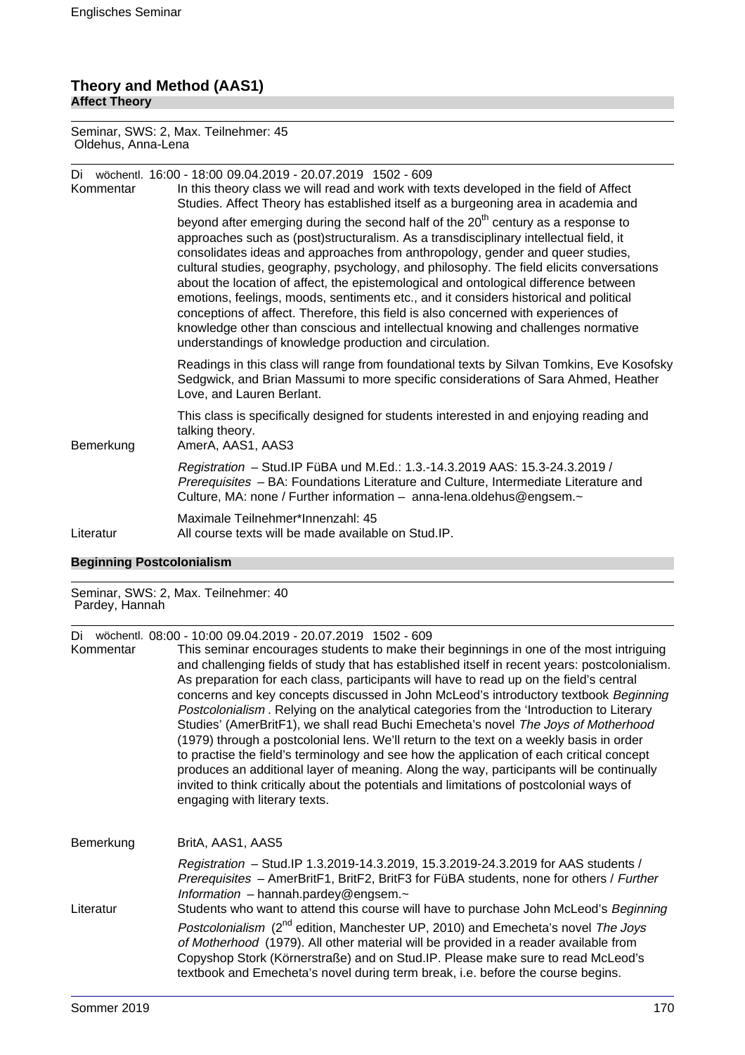### **Theory and Method (AAS1) Affect Theory**

Seminar, SWS: 2, Max. Teilnehmer: 45 Oldehus, Anna-Lena

| Di<br>Kommentar | wöchentl. 16:00 - 18:00 09.04.2019 - 20.07.2019 1502 - 609<br>In this theory class we will read and work with texts developed in the field of Affect<br>Studies. Affect Theory has established itself as a burgeoning area in academia and                                                                                                                                                                                                                                                                                                                                                                                                                                                                                                                                                 |
|-----------------|--------------------------------------------------------------------------------------------------------------------------------------------------------------------------------------------------------------------------------------------------------------------------------------------------------------------------------------------------------------------------------------------------------------------------------------------------------------------------------------------------------------------------------------------------------------------------------------------------------------------------------------------------------------------------------------------------------------------------------------------------------------------------------------------|
|                 | beyond after emerging during the second half of the 20 <sup>th</sup> century as a response to<br>approaches such as (post)structuralism. As a transdisciplinary intellectual field, it<br>consolidates ideas and approaches from anthropology, gender and queer studies,<br>cultural studies, geography, psychology, and philosophy. The field elicits conversations<br>about the location of affect, the epistemological and ontological difference between<br>emotions, feelings, moods, sentiments etc., and it considers historical and political<br>conceptions of affect. Therefore, this field is also concerned with experiences of<br>knowledge other than conscious and intellectual knowing and challenges normative<br>understandings of knowledge production and circulation. |
|                 | Readings in this class will range from foundational texts by Silvan Tomkins, Eve Kosofsky<br>Sedgwick, and Brian Massumi to more specific considerations of Sara Ahmed, Heather<br>Love, and Lauren Berlant.                                                                                                                                                                                                                                                                                                                                                                                                                                                                                                                                                                               |
| Bemerkung       | This class is specifically designed for students interested in and enjoying reading and<br>talking theory.<br>AmerA, AAS1, AAS3                                                                                                                                                                                                                                                                                                                                                                                                                                                                                                                                                                                                                                                            |
|                 | Registration - Stud. IP FüBA und M.Ed.: 1.3.-14.3.2019 AAS: 15.3-24.3.2019 /<br>Prerequisites - BA: Foundations Literature and Culture, Intermediate Literature and<br>Culture, MA: none / Further information - anna-lena.oldehus@engsem.~                                                                                                                                                                                                                                                                                                                                                                                                                                                                                                                                                |
| Literatur       | Maximale Teilnehmer*Innenzahl: 45<br>All course texts will be made available on Stud. IP.                                                                                                                                                                                                                                                                                                                                                                                                                                                                                                                                                                                                                                                                                                  |

# **Beginning Postcolonialism**

Seminar, SWS: 2, Max. Teilnehmer: 40 Pardey, Hannah

Di wöchentl. 08:00 - 10:00 09.04.2019 - 20.07.2019 1502 - 609

This seminar encourages students to make their beginnings in one of the most intriguing and challenging fields of study that has established itself in recent years: postcolonialism. As preparation for each class, participants will have to read up on the field's central concerns and key concepts discussed in John McLeod's introductory textbook Beginning Postcolonialism . Relying on the analytical categories from the 'Introduction to Literary Studies' (AmerBritF1), we shall read Buchi Emecheta's novel The Joys of Motherhood (1979) through a postcolonial lens. We'll return to the text on a weekly basis in order to practise the field's terminology and see how the application of each critical concept produces an additional layer of meaning. Along the way, participants will be continually invited to think critically about the potentials and limitations of postcolonial ways of engaging with literary texts.

| Bemerkung | BritA, AAS1, AAS5                                                                                                                                                                                                                                                                                                                                          |
|-----------|------------------------------------------------------------------------------------------------------------------------------------------------------------------------------------------------------------------------------------------------------------------------------------------------------------------------------------------------------------|
|           | Registration - Stud.IP 1.3.2019-14.3.2019, 15.3.2019-24.3.2019 for AAS students /<br>Prerequisites - AmerBritF1, BritF2, BritF3 for FüBA students, none for others / Further<br>Information - hannah.pardey@engsem. $\sim$                                                                                                                                 |
| Literatur | Students who want to attend this course will have to purchase John McLeod's Beginning                                                                                                                                                                                                                                                                      |
|           | Postcolonialism (2 <sup>nd</sup> edition, Manchester UP, 2010) and Emecheta's novel The Joys<br>of Motherhood (1979). All other material will be provided in a reader available from<br>Copyshop Stork (Körnerstraße) and on Stud.IP. Please make sure to read McLeod's<br>textbook and Emecheta's novel during term break, i.e. before the course begins. |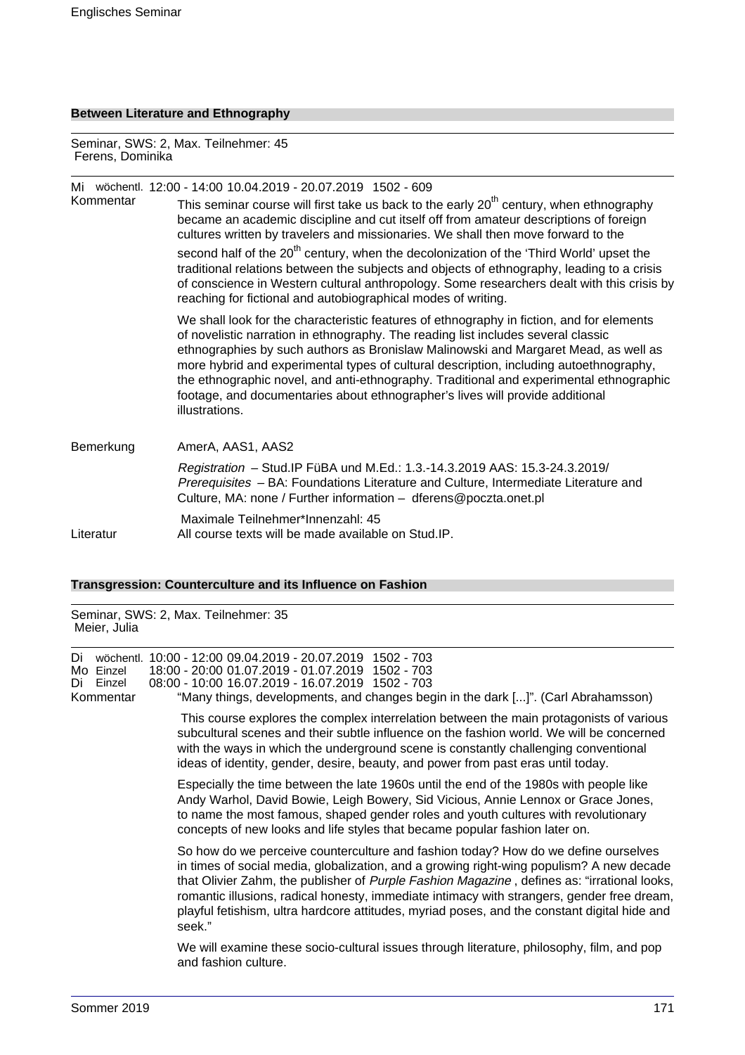# **Between Literature and Ethnography**

Seminar, SWS: 2, Max. Teilnehmer: 45 Ferens, Dominika

|           | Mi wöchentl. 12:00 - 14:00 10.04.2019 - 20.07.2019 1502 - 609                                                                                                                                                                                                                                                                                                                                                                                                                                                                                                 |
|-----------|---------------------------------------------------------------------------------------------------------------------------------------------------------------------------------------------------------------------------------------------------------------------------------------------------------------------------------------------------------------------------------------------------------------------------------------------------------------------------------------------------------------------------------------------------------------|
| Kommentar | This seminar course will first take us back to the early 20 <sup>th</sup> century, when ethnography<br>became an academic discipline and cut itself off from amateur descriptions of foreign<br>cultures written by travelers and missionaries. We shall then move forward to the<br>second half of the 20 <sup>th</sup> century, when the decolonization of the 'Third World' upset the                                                                                                                                                                      |
|           | traditional relations between the subjects and objects of ethnography, leading to a crisis<br>of conscience in Western cultural anthropology. Some researchers dealt with this crisis by<br>reaching for fictional and autobiographical modes of writing.                                                                                                                                                                                                                                                                                                     |
|           | We shall look for the characteristic features of ethnography in fiction, and for elements<br>of novelistic narration in ethnography. The reading list includes several classic<br>ethnographies by such authors as Bronislaw Malinowski and Margaret Mead, as well as<br>more hybrid and experimental types of cultural description, including autoethnography,<br>the ethnographic novel, and anti-ethnography. Traditional and experimental ethnographic<br>footage, and documentaries about ethnographer's lives will provide additional<br>illustrations. |
| Bemerkung | AmerA, AAS1, AAS2                                                                                                                                                                                                                                                                                                                                                                                                                                                                                                                                             |
|           | Registration - Stud.IP FüBA und M.Ed.: 1.3.-14.3.2019 AAS: 15.3-24.3.2019/<br>Prerequisites - BA: Foundations Literature and Culture, Intermediate Literature and<br>Culture, MA: none / Further information - dferens@poczta.onet.pl                                                                                                                                                                                                                                                                                                                         |
| Literatur | Maximale Teilnehmer*Innenzahl: 45<br>All course texts will be made available on Stud. IP.                                                                                                                                                                                                                                                                                                                                                                                                                                                                     |

# **Transgression: Counterculture and its Influence on Fashion**

Seminar, SWS: 2, Max. Teilnehmer: 35 Meier, Julia

| Di<br>Mo Einzel<br>Einzel<br>Di<br>Kommentar | wöchentl. 10:00 - 12:00 09:04.2019 - 20:07.2019 1502 - 703<br>18:00 - 20:00 01.07.2019 - 01.07.2019 1502 - 703<br>08:00 - 10:00 16.07.2019 - 16.07.2019 1502 - 703<br>"Many things, developments, and changes begin in the dark []". (Carl Abrahamsson)                                                                                                                                                                                                                               |
|----------------------------------------------|---------------------------------------------------------------------------------------------------------------------------------------------------------------------------------------------------------------------------------------------------------------------------------------------------------------------------------------------------------------------------------------------------------------------------------------------------------------------------------------|
|                                              | This course explores the complex interrelation between the main protagonists of various<br>subcultural scenes and their subtle influence on the fashion world. We will be concerned<br>with the ways in which the underground scene is constantly challenging conventional<br>ideas of identity, gender, desire, beauty, and power from past eras until today.                                                                                                                        |
|                                              | Especially the time between the late 1960s until the end of the 1980s with people like<br>Andy Warhol, David Bowie, Leigh Bowery, Sid Vicious, Annie Lennox or Grace Jones,<br>to name the most famous, shaped gender roles and youth cultures with revolutionary<br>concepts of new looks and life styles that became popular fashion later on.                                                                                                                                      |
|                                              | So how do we perceive counterculture and fashion today? How do we define ourselves<br>in times of social media, globalization, and a growing right-wing populism? A new decade<br>that Olivier Zahm, the publisher of Purple Fashion Magazine, defines as: "irrational looks,<br>romantic illusions, radical honesty, immediate intimacy with strangers, gender free dream,<br>playful fetishism, ultra hardcore attitudes, myriad poses, and the constant digital hide and<br>seek." |
|                                              | We will examine these socio-cultural issues through literature, philosophy, film, and pop<br>and fashion culture.                                                                                                                                                                                                                                                                                                                                                                     |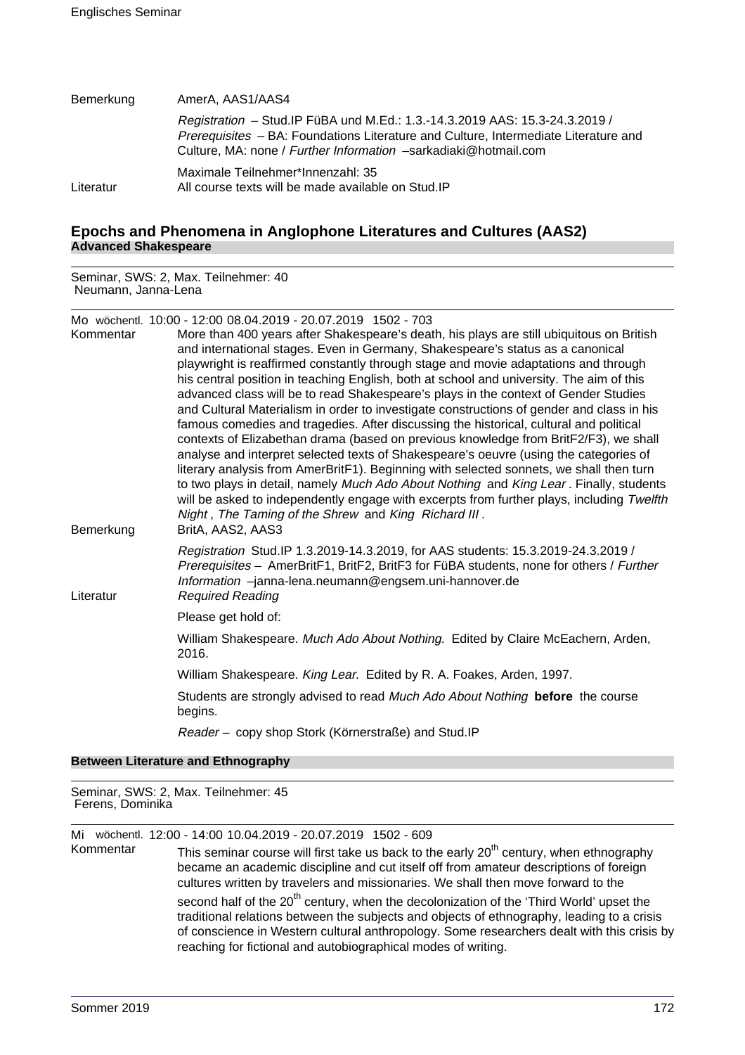| Bemerkung | AmerA, AAS1/AAS4                                                                                                                                                                                                                       |
|-----------|----------------------------------------------------------------------------------------------------------------------------------------------------------------------------------------------------------------------------------------|
|           | Registration - Stud. IP FüBA und M.Ed.: 1.3.-14.3.2019 AAS: 15.3-24.3.2019 /<br>Prerequisites - BA: Foundations Literature and Culture, Intermediate Literature and<br>Culture, MA: none / Further Information -sarkadiaki@hotmail.com |
| Literatur | Maximale Teilnehmer*Innenzahl: 35<br>All course texts will be made available on Stud. IP                                                                                                                                               |

# **Epochs and Phenomena in Anglophone Literatures and Cultures (AAS2) Advanced Shakespeare**

Seminar, SWS: 2, Max. Teilnehmer: 40 Neumann, Janna-Lena

Mo wöchentl. 10:00 - 12:00 08.04.2019 - 20.07.2019 1502 - 703 Kommentar More than 400 years after Shakespeare's death, his plays are still ubiquitous on British and international stages. Even in Germany, Shakespeare's status as a canonical playwright is reaffirmed constantly through stage and movie adaptations and through his central position in teaching English, both at school and university. The aim of this advanced class will be to read Shakespeare's plays in the context of Gender Studies and Cultural Materialism in order to investigate constructions of gender and class in his famous comedies and tragedies. After discussing the historical, cultural and political contexts of Elizabethan drama (based on previous knowledge from BritF2/F3), we shall analyse and interpret selected texts of Shakespeare's oeuvre (using the categories of literary analysis from AmerBritF1). Beginning with selected sonnets, we shall then turn to two plays in detail, namely Much Ado About Nothing and King Lear . Finally, students will be asked to independently engage with excerpts from further plays, including Twelfth Night . The Taming of the Shrew and King Richard III . Bemerkung BritA, AAS2, AAS3 Registration Stud.IP 1.3.2019-14.3.2019, for AAS students: 15.3.2019-24.3.2019 / Prerequisites – AmerBritF1, BritF2, BritF3 for FüBA students, none for others / Further Information –janna-lena.neumann@engsem.uni-hannover.de Literatur Required Reading Please get hold of: William Shakespeare. Much Ado About Nothing. Edited by Claire McEachern, Arden, 2016. William Shakespeare. King Lear. Edited by R. A. Foakes, Arden, 1997. Students are strongly advised to read Much Ado About Nothing **before** the course begins. Reader – copy shop Stork (Körnerstraße) and Stud.IP

# **Between Literature and Ethnography**

Seminar, SWS: 2, Max. Teilnehmer: 45 Ferens, Dominika

Mi wöchentl. 12:00 - 14:00 10.04.2019 - 20.07.2019 1502 - 609

This seminar course will first take us back to the early  $20<sup>th</sup>$  century, when ethnography became an academic discipline and cut itself off from amateur descriptions of foreign cultures written by travelers and missionaries. We shall then move forward to the second half of the 20<sup>th</sup> century, when the decolonization of the 'Third World' upset the traditional relations between the subjects and objects of ethnography, leading to a crisis of conscience in Western cultural anthropology. Some researchers dealt with this crisis by reaching for fictional and autobiographical modes of writing.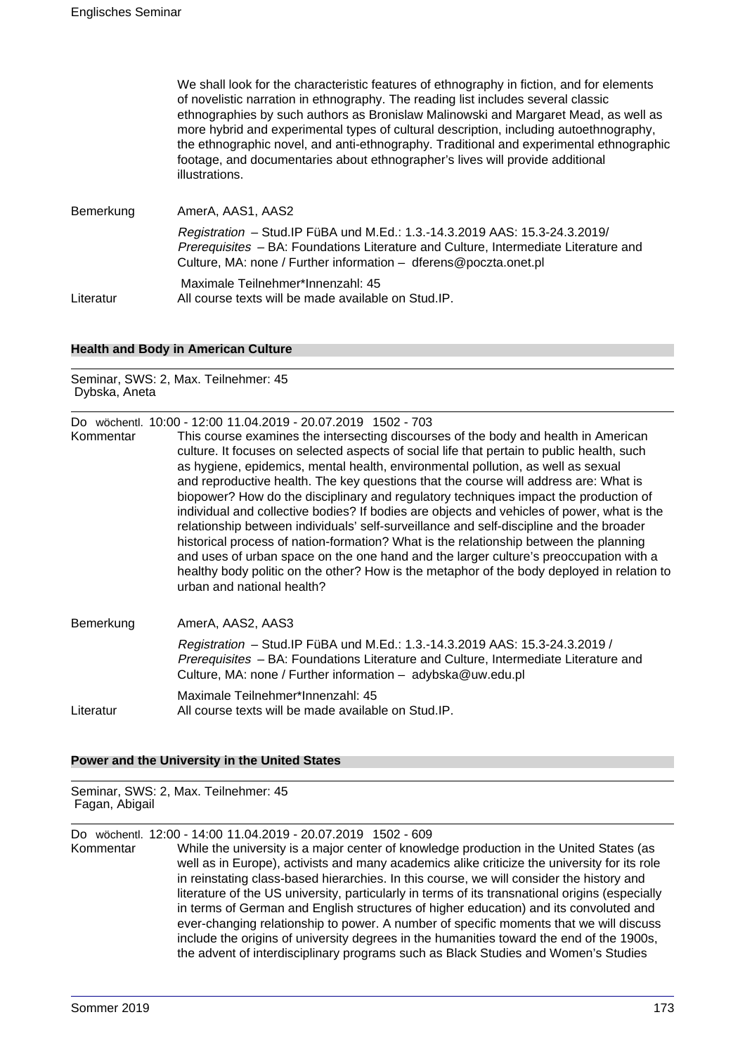|           | We shall look for the characteristic features of ethnography in fiction, and for elements<br>of novelistic narration in ethnography. The reading list includes several classic<br>ethnographies by such authors as Bronislaw Malinowski and Margaret Mead, as well as<br>more hybrid and experimental types of cultural description, including autoethnography,<br>the ethnographic novel, and anti-ethnography. Traditional and experimental ethnographic<br>footage, and documentaries about ethnographer's lives will provide additional<br>illustrations. |
|-----------|---------------------------------------------------------------------------------------------------------------------------------------------------------------------------------------------------------------------------------------------------------------------------------------------------------------------------------------------------------------------------------------------------------------------------------------------------------------------------------------------------------------------------------------------------------------|
| Bemerkung | AmerA, AAS1, AAS2                                                                                                                                                                                                                                                                                                                                                                                                                                                                                                                                             |
|           | Registration - Stud. IP FüBA und M.Ed.: 1.3.-14.3.2019 AAS: 15.3-24.3.2019/<br>Prerequisites - BA: Foundations Literature and Culture, Intermediate Literature and<br>Culture, MA: none / Further information - dferens@poczta.onet.pl                                                                                                                                                                                                                                                                                                                        |
| Literatur | Maximale Teilnehmer*Innenzahl: 45<br>All course texts will be made available on Stud.IP.                                                                                                                                                                                                                                                                                                                                                                                                                                                                      |

#### **Health and Body in American Culture**

Seminar, SWS: 2, Max. Teilnehmer: 45 Dybska, Aneta

|           | Do wöchentl. 10:00 - 12:00 11.04.2019 - 20.07.2019 1502 - 703                                                                                                                                                                                                                                                                                                                                                                                                                                                                                                                                                                                                                                                                                                                                                                                                                                                                                                |
|-----------|--------------------------------------------------------------------------------------------------------------------------------------------------------------------------------------------------------------------------------------------------------------------------------------------------------------------------------------------------------------------------------------------------------------------------------------------------------------------------------------------------------------------------------------------------------------------------------------------------------------------------------------------------------------------------------------------------------------------------------------------------------------------------------------------------------------------------------------------------------------------------------------------------------------------------------------------------------------|
| Kommentar | This course examines the intersecting discourses of the body and health in American<br>culture. It focuses on selected aspects of social life that pertain to public health, such<br>as hygiene, epidemics, mental health, environmental pollution, as well as sexual<br>and reproductive health. The key questions that the course will address are: What is<br>biopower? How do the disciplinary and regulatory techniques impact the production of<br>individual and collective bodies? If bodies are objects and vehicles of power, what is the<br>relationship between individuals' self-surveillance and self-discipline and the broader<br>historical process of nation-formation? What is the relationship between the planning<br>and uses of urban space on the one hand and the larger culture's preoccupation with a<br>healthy body politic on the other? How is the metaphor of the body deployed in relation to<br>urban and national health? |
|           |                                                                                                                                                                                                                                                                                                                                                                                                                                                                                                                                                                                                                                                                                                                                                                                                                                                                                                                                                              |

Bemerkung AmerA, AAS2, AAS3 Registration – Stud.IP FüBA und M.Ed.: 1.3.-14.3.2019 AAS: 15.3-24.3.2019 / Prerequisites – BA: Foundations Literature and Culture, Intermediate Literature and Culture, MA: none / Further information – adybska@uw.edu.pl Maximale Teilnehmer\*Innenzahl: 45 Literatur All course texts will be made available on Stud.IP.

### **Power and the University in the United States**

Seminar, SWS: 2, Max. Teilnehmer: 45 Fagan, Abigail

Do wöchentl. 12:00 - 14:00 11.04.2019 - 20.07.2019 1502 - 609

Kommentar While the university is a major center of knowledge production in the United States (as well as in Europe), activists and many academics alike criticize the university for its role in reinstating class-based hierarchies. In this course, we will consider the history and literature of the US university, particularly in terms of its transnational origins (especially in terms of German and English structures of higher education) and its convoluted and ever-changing relationship to power. A number of specific moments that we will discuss include the origins of university degrees in the humanities toward the end of the 1900s, the advent of interdisciplinary programs such as Black Studies and Women's Studies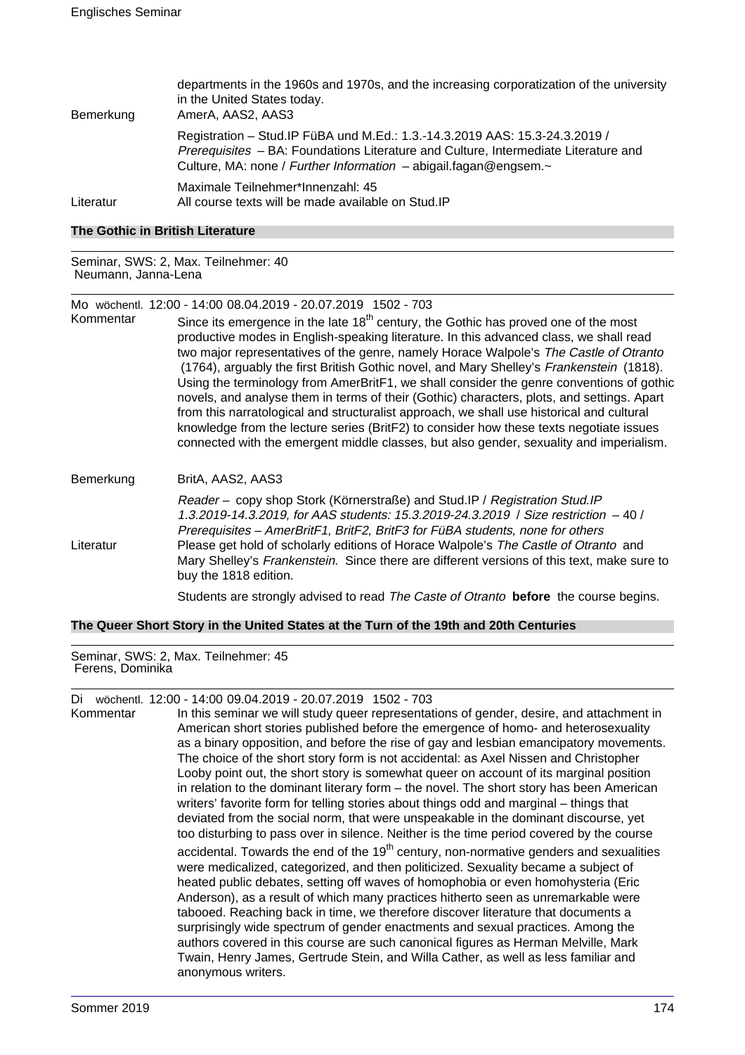| Bemerkung | departments in the 1960s and 1970s, and the increasing corporatization of the university<br>in the United States today.<br>AmerA, AAS2, AAS3                                                                                                    |
|-----------|-------------------------------------------------------------------------------------------------------------------------------------------------------------------------------------------------------------------------------------------------|
|           | Registration - Stud. IP FüBA und M.Ed.: 1.3.-14.3.2019 AAS: 15.3-24.3.2019 /<br>Prerequisites - BA: Foundations Literature and Culture, Intermediate Literature and<br>Culture, MA: none / Further Information $-$ abigail.fagan@engsem. $\sim$ |
| Literatur | Maximale Teilnehmer*Innenzahl: 45<br>All course texts will be made available on Stud.IP                                                                                                                                                         |

#### **The Gothic in British Literature**

Seminar, SWS: 2, Max. Teilnehmer: 40 Neumann, Janna-Lena

Mo wöchentl. 12:00 - 14:00 08.04.2019 - 20.07.2019 1502 - 703

Kommentar Since its emergence in the late  $18<sup>th</sup>$  century, the Gothic has proved one of the most productive modes in English-speaking literature. In this advanced class, we shall read two major representatives of the genre, namely Horace Walpole's The Castle of Otranto (1764), arguably the first British Gothic novel, and Mary Shelley's Frankenstein (1818). Using the terminology from AmerBritF1, we shall consider the genre conventions of gothic novels, and analyse them in terms of their (Gothic) characters, plots, and settings. Apart from this narratological and structuralist approach, we shall use historical and cultural knowledge from the lecture series (BritF2) to consider how these texts negotiate issues connected with the emergent middle classes, but also gender, sexuality and imperialism.

# Bemerkung BritA, AAS2, AAS3 Reader – copy shop Stork (Körnerstraße) and Stud.IP / Registration Stud.IP 1.3.2019-14.3.2019, for AAS students: 15.3.2019-24.3.2019 / Size restriction – 40 / Prerequisites – AmerBritF1, BritF2, BritF3 for FüBA students, none for others Literatur Please get hold of scholarly editions of Horace Walpole's The Castle of Otranto and Mary Shelley's Frankenstein. Since there are different versions of this text, make sure to buy the 1818 edition. Students are strongly advised to read The Caste of Otranto **before** the course begins.

#### **The Queer Short Story in the United States at the Turn of the 19th and 20th Centuries**

Seminar, SWS: 2, Max. Teilnehmer: 45 Ferens, Dominika

Di wöchentl. 12:00 - 14:00 09.04.2019 - 20.07.2019 1502 - 703

Kommentar In this seminar we will study queer representations of gender, desire, and attachment in American short stories published before the emergence of homo- and heterosexuality as a binary opposition, and before the rise of gay and lesbian emancipatory movements. The choice of the short story form is not accidental: as Axel Nissen and Christopher Looby point out, the short story is somewhat queer on account of its marginal position in relation to the dominant literary form – the novel. The short story has been American writers' favorite form for telling stories about things odd and marginal – things that deviated from the social norm, that were unspeakable in the dominant discourse, yet too disturbing to pass over in silence. Neither is the time period covered by the course accidental. Towards the end of the  $19<sup>th</sup>$  century, non-normative genders and sexualities were medicalized, categorized, and then politicized. Sexuality became a subject of heated public debates, setting off waves of homophobia or even homohysteria (Eric Anderson), as a result of which many practices hitherto seen as unremarkable were tabooed. Reaching back in time, we therefore discover literature that documents a surprisingly wide spectrum of gender enactments and sexual practices. Among the authors covered in this course are such canonical figures as Herman Melville, Mark Twain, Henry James, Gertrude Stein, and Willa Cather, as well as less familiar and anonymous writers.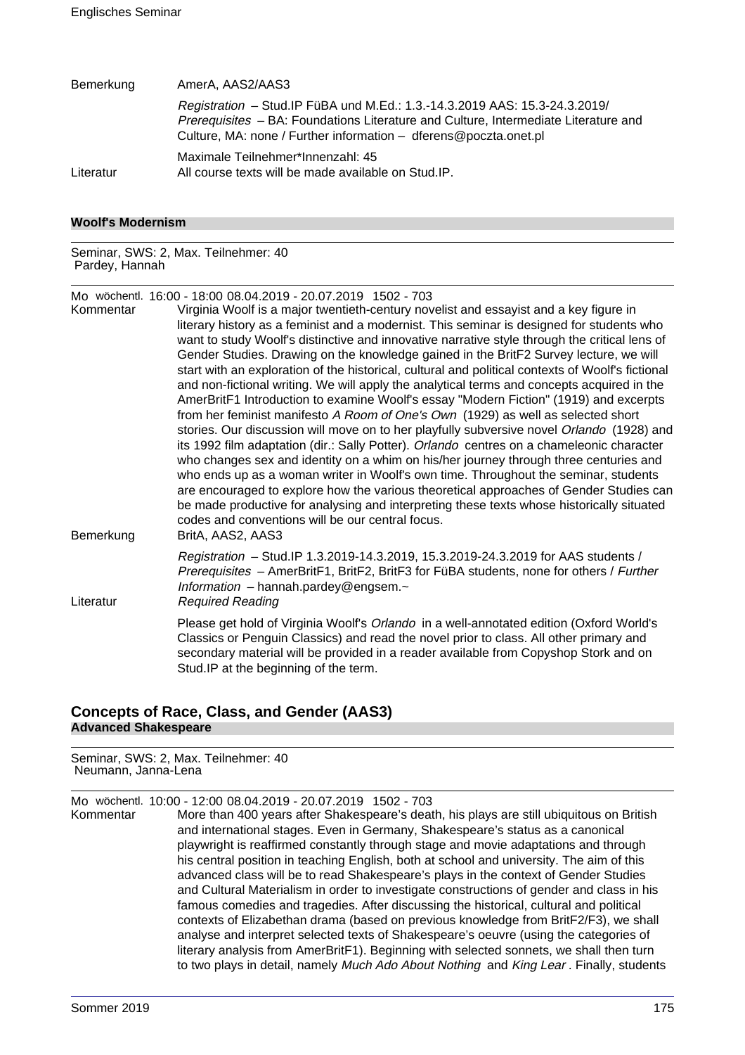| Bemerkung | AmerA, AAS2/AAS3                                                                                                                                                                                                                       |
|-----------|----------------------------------------------------------------------------------------------------------------------------------------------------------------------------------------------------------------------------------------|
|           | Registration - Stud. IP FüBA und M.Ed.: 1.3.-14.3.2019 AAS: 15.3-24.3.2019/<br>Prerequisites - BA: Foundations Literature and Culture, Intermediate Literature and<br>Culture, MA: none / Further information - dferens@poczta.onet.pl |
| Literatur | Maximale Teilnehmer*Innenzahl: 45<br>All course texts will be made available on Stud.IP.                                                                                                                                               |

#### **Woolf's Modernism**

Seminar, SWS: 2, Max. Teilnehmer: 40 Pardey, Hannah

Mo wöchentl. 16:00 - 18:00 08.04.2019 - 20.07.2019 1502 - 703

Virginia Woolf is a major twentieth-century novelist and essayist and a key figure in literary history as a feminist and a modernist. This seminar is designed for students who want to study Woolf's distinctive and innovative narrative style through the critical lens of Gender Studies. Drawing on the knowledge gained in the BritF2 Survey lecture, we will start with an exploration of the historical, cultural and political contexts of Woolf's fictional and non-fictional writing. We will apply the analytical terms and concepts acquired in the AmerBritF1 Introduction to examine Woolf's essay "Modern Fiction" (1919) and excerpts from her feminist manifesto A Room of One's Own (1929) as well as selected short stories. Our discussion will move on to her playfully subversive novel Orlando (1928) and its 1992 film adaptation (dir.: Sally Potter). Orlando centres on a chameleonic character who changes sex and identity on a whim on his/her journey through three centuries and who ends up as a woman writer in Woolf's own time. Throughout the seminar, students are encouraged to explore how the various theoretical approaches of Gender Studies can be made productive for analysing and interpreting these texts whose historically situated codes and conventions will be our central focus. Bemerkung BritA, AAS2, AAS3 Registration – Stud.IP 1.3.2019-14.3.2019, 15.3.2019-24.3.2019 for AAS students / Prerequisites – AmerBritF1, BritF2, BritF3 for FüBA students, none for others / Further Information – hannah.pardey@engsem. $\sim$ Literatur Required Reading Please get hold of Virginia Woolf's Orlando in a well-annotated edition (Oxford World's Classics or Penguin Classics) and read the novel prior to class. All other primary and

secondary material will be provided in a reader available from Copyshop Stork and on

# **Concepts of Race, Class, and Gender (AAS3) Advanced Shakespeare**

Stud.IP at the beginning of the term.

Seminar, SWS: 2, Max. Teilnehmer: 40 Neumann, Janna-Lena

Mo wöchentl. 10:00 - 12:00 08.04.2019 - 20.07.2019 1502 - 703

Kommentar More than 400 years after Shakespeare's death, his plays are still ubiquitous on British and international stages. Even in Germany, Shakespeare's status as a canonical playwright is reaffirmed constantly through stage and movie adaptations and through his central position in teaching English, both at school and university. The aim of this advanced class will be to read Shakespeare's plays in the context of Gender Studies and Cultural Materialism in order to investigate constructions of gender and class in his famous comedies and tragedies. After discussing the historical, cultural and political contexts of Elizabethan drama (based on previous knowledge from BritF2/F3), we shall analyse and interpret selected texts of Shakespeare's oeuvre (using the categories of literary analysis from AmerBritF1). Beginning with selected sonnets, we shall then turn to two plays in detail, namely Much Ado About Nothing and King Lear. Finally, students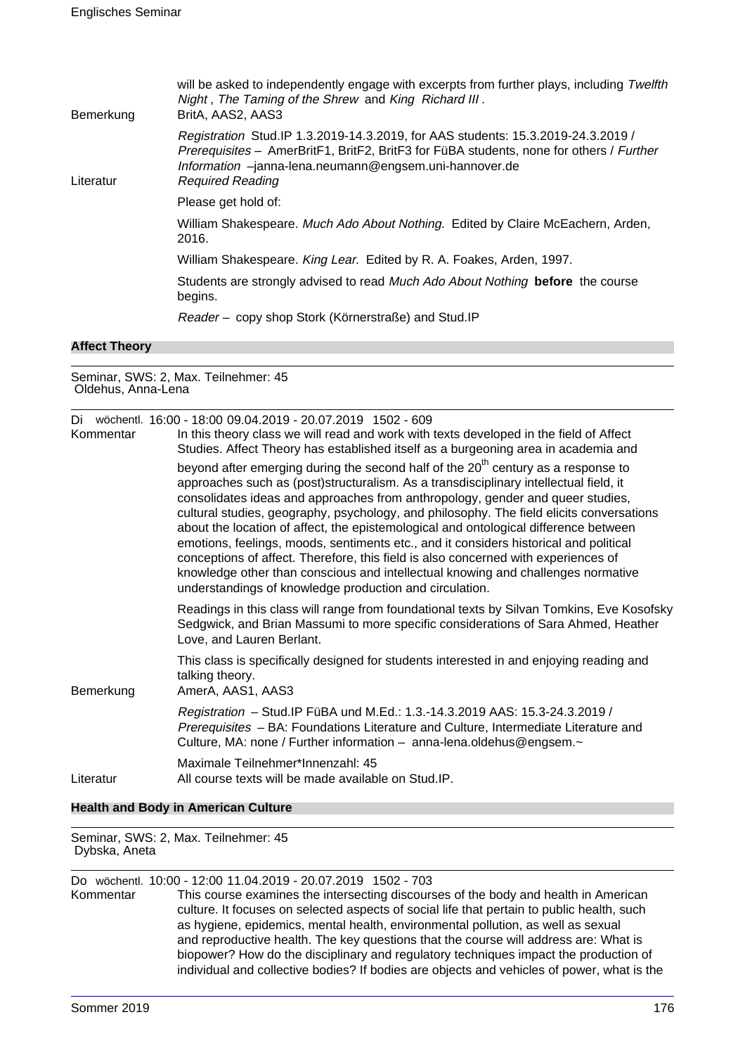| Bemerkung | will be asked to independently engage with excerpts from further plays, including Twelfth<br>Night, The Taming of the Shrew and King Richard III.<br>BritA, AAS2, AAS3                                                                                           |
|-----------|------------------------------------------------------------------------------------------------------------------------------------------------------------------------------------------------------------------------------------------------------------------|
| Literatur | Registration Stud.IP 1.3.2019-14.3.2019, for AAS students: 15.3.2019-24.3.2019 /<br>Prerequisites - AmerBritF1, BritF2, BritF3 for FüBA students, none for others / Further<br>Information -janna-lena.neumann@engsem.uni-hannover.de<br><b>Required Reading</b> |
|           | Please get hold of:                                                                                                                                                                                                                                              |
|           | William Shakespeare. Much Ado About Nothing. Edited by Claire McEachern, Arden,<br>2016.                                                                                                                                                                         |
|           | William Shakespeare. King Lear. Edited by R. A. Foakes, Arden, 1997.                                                                                                                                                                                             |
|           | Students are strongly advised to read Much Ado About Nothing before the course<br>begins.                                                                                                                                                                        |
|           | Reader - copy shop Stork (Körnerstraße) and Stud. IP                                                                                                                                                                                                             |
|           |                                                                                                                                                                                                                                                                  |

#### **Affect Theory**

Seminar, SWS: 2, Max. Teilnehmer: 45 Oldehus, Anna-Lena

| Di<br>Kommentar | wöchentl. 16:00 - 18:00 09.04.2019 - 20.07.2019 1502 - 609<br>In this theory class we will read and work with texts developed in the field of Affect<br>Studies. Affect Theory has established itself as a burgeoning area in academia and                                                                                                                                                                                                                                                                                                                                                                                                                                                                                                                                                 |
|-----------------|--------------------------------------------------------------------------------------------------------------------------------------------------------------------------------------------------------------------------------------------------------------------------------------------------------------------------------------------------------------------------------------------------------------------------------------------------------------------------------------------------------------------------------------------------------------------------------------------------------------------------------------------------------------------------------------------------------------------------------------------------------------------------------------------|
|                 | beyond after emerging during the second half of the 20 <sup>th</sup> century as a response to<br>approaches such as (post)structuralism. As a transdisciplinary intellectual field, it<br>consolidates ideas and approaches from anthropology, gender and queer studies,<br>cultural studies, geography, psychology, and philosophy. The field elicits conversations<br>about the location of affect, the epistemological and ontological difference between<br>emotions, feelings, moods, sentiments etc., and it considers historical and political<br>conceptions of affect. Therefore, this field is also concerned with experiences of<br>knowledge other than conscious and intellectual knowing and challenges normative<br>understandings of knowledge production and circulation. |
|                 | Readings in this class will range from foundational texts by Silvan Tomkins, Eve Kosofsky<br>Sedgwick, and Brian Massumi to more specific considerations of Sara Ahmed, Heather<br>Love, and Lauren Berlant.                                                                                                                                                                                                                                                                                                                                                                                                                                                                                                                                                                               |
| Bemerkung       | This class is specifically designed for students interested in and enjoying reading and<br>talking theory.<br>AmerA, AAS1, AAS3                                                                                                                                                                                                                                                                                                                                                                                                                                                                                                                                                                                                                                                            |
|                 | Registration - Stud. IP FüBA und M.Ed.: 1.3.-14.3.2019 AAS: 15.3-24.3.2019 /<br>Prerequisites - BA: Foundations Literature and Culture, Intermediate Literature and<br>Culture, MA: none / Further information - anna-lena.oldehus@engsem.~                                                                                                                                                                                                                                                                                                                                                                                                                                                                                                                                                |
| Literatur       | Maximale Teilnehmer*Innenzahl: 45<br>All course texts will be made available on Stud. IP.                                                                                                                                                                                                                                                                                                                                                                                                                                                                                                                                                                                                                                                                                                  |

#### **Health and Body in American Culture**

Seminar, SWS: 2, Max. Teilnehmer: 45 Dybska, Aneta

Do wöchentl. 10:00 - 12:00 11.04.2019 - 20.07.2019 1502 - 703 This course examines the intersecting discourses of the body and health in American culture. It focuses on selected aspects of social life that pertain to public health, such as hygiene, epidemics, mental health, environmental pollution, as well as sexual and reproductive health. The key questions that the course will address are: What is biopower? How do the disciplinary and regulatory techniques impact the production of individual and collective bodies? If bodies are objects and vehicles of power, what is the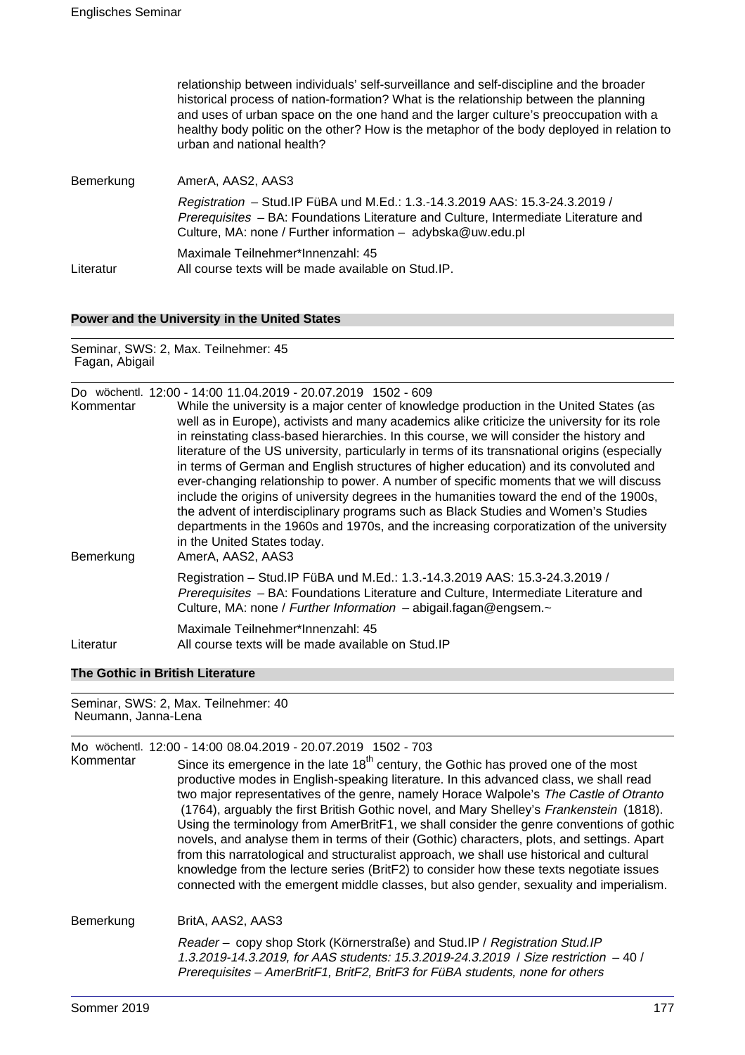|           | relationship between individuals' self-surveillance and self-discipline and the broader<br>historical process of nation-formation? What is the relationship between the planning<br>and uses of urban space on the one hand and the larger culture's preoccupation with a<br>healthy body politic on the other? How is the metaphor of the body deployed in relation to<br>urban and national health? |
|-----------|-------------------------------------------------------------------------------------------------------------------------------------------------------------------------------------------------------------------------------------------------------------------------------------------------------------------------------------------------------------------------------------------------------|
| Bemerkung | AmerA, AAS2, AAS3                                                                                                                                                                                                                                                                                                                                                                                     |
|           | Registration - Stud.IP FüBA und M.Ed.: 1.3.-14.3.2019 AAS: 15.3-24.3.2019 /<br>Prerequisites - BA: Foundations Literature and Culture, Intermediate Literature and<br>Culture, MA: none / Further information - adybska@uw.edu.pl                                                                                                                                                                     |
| Literatur | Maximale Teilnehmer*Innenzahl: 45<br>All course texts will be made available on Stud.IP.                                                                                                                                                                                                                                                                                                              |

# **Power and the University in the United States**

Seminar, SWS: 2, Max. Teilnehmer: 45 Fagan, Abigail

|                        | Do wöchentl. 12:00 - 14:00 11.04.2019 - 20.07.2019 1502 - 609                                                                                                                                                                                                                                                                                                                                                                                                                                                                                                                                                                                                                                                                                                                                                                                                                                               |
|------------------------|-------------------------------------------------------------------------------------------------------------------------------------------------------------------------------------------------------------------------------------------------------------------------------------------------------------------------------------------------------------------------------------------------------------------------------------------------------------------------------------------------------------------------------------------------------------------------------------------------------------------------------------------------------------------------------------------------------------------------------------------------------------------------------------------------------------------------------------------------------------------------------------------------------------|
| Kommentar<br>Bemerkung | While the university is a major center of knowledge production in the United States (as<br>well as in Europe), activists and many academics alike criticize the university for its role<br>in reinstating class-based hierarchies. In this course, we will consider the history and<br>literature of the US university, particularly in terms of its transnational origins (especially<br>in terms of German and English structures of higher education) and its convoluted and<br>ever-changing relationship to power. A number of specific moments that we will discuss<br>include the origins of university degrees in the humanities toward the end of the 1900s,<br>the advent of interdisciplinary programs such as Black Studies and Women's Studies<br>departments in the 1960s and 1970s, and the increasing corporatization of the university<br>in the United States today.<br>AmerA, AAS2, AAS3 |
|                        | Registration - Stud. IP FüBA und M.Ed.: 1.3.-14.3.2019 AAS: 15.3-24.3.2019 /<br>Prerequisites - BA: Foundations Literature and Culture, Intermediate Literature and<br>Culture, MA: none / Further Information - abigail.fagan@engsem.~                                                                                                                                                                                                                                                                                                                                                                                                                                                                                                                                                                                                                                                                     |
| Literatur              | Maximale Teilnehmer*Innenzahl: 45<br>All course texts will be made available on Stud. IP                                                                                                                                                                                                                                                                                                                                                                                                                                                                                                                                                                                                                                                                                                                                                                                                                    |

# **The Gothic in British Literature**

Seminar, SWS: 2, Max. Teilnehmer: 40 Neumann, Janna-Lena

|           | Mo wöchentl. 12:00 - 14:00 08.04.2019 - 20.07.2019 1502 - 703                                                                                                                                                                                                                                                                                                                                                                                                                                                                                                                                                                                                                                                                                                                                                                                               |
|-----------|-------------------------------------------------------------------------------------------------------------------------------------------------------------------------------------------------------------------------------------------------------------------------------------------------------------------------------------------------------------------------------------------------------------------------------------------------------------------------------------------------------------------------------------------------------------------------------------------------------------------------------------------------------------------------------------------------------------------------------------------------------------------------------------------------------------------------------------------------------------|
| Kommentar | Since its emergence in the late 18 <sup>th</sup> century, the Gothic has proved one of the most<br>productive modes in English-speaking literature. In this advanced class, we shall read<br>two major representatives of the genre, namely Horace Walpole's The Castle of Otranto<br>(1764), arguably the first British Gothic novel, and Mary Shelley's Frankenstein (1818).<br>Using the terminology from AmerBritF1, we shall consider the genre conventions of gothic<br>novels, and analyse them in terms of their (Gothic) characters, plots, and settings. Apart<br>from this narratological and structuralist approach, we shall use historical and cultural<br>knowledge from the lecture series (BritF2) to consider how these texts negotiate issues<br>connected with the emergent middle classes, but also gender, sexuality and imperialism. |
| Bemerkung | BritA, AAS2, AAS3                                                                                                                                                                                                                                                                                                                                                                                                                                                                                                                                                                                                                                                                                                                                                                                                                                           |
|           | Reader – copy shop Stork (Körnerstraße) and Stud.IP / Registration Stud.IP<br>1.3.2019-14.3.2019, for AAS students: 15.3.2019-24.3.2019 / Size restriction -40 /<br>Prerequisites - AmerBritF1, BritF2, BritF3 for FüBA students, none for others                                                                                                                                                                                                                                                                                                                                                                                                                                                                                                                                                                                                           |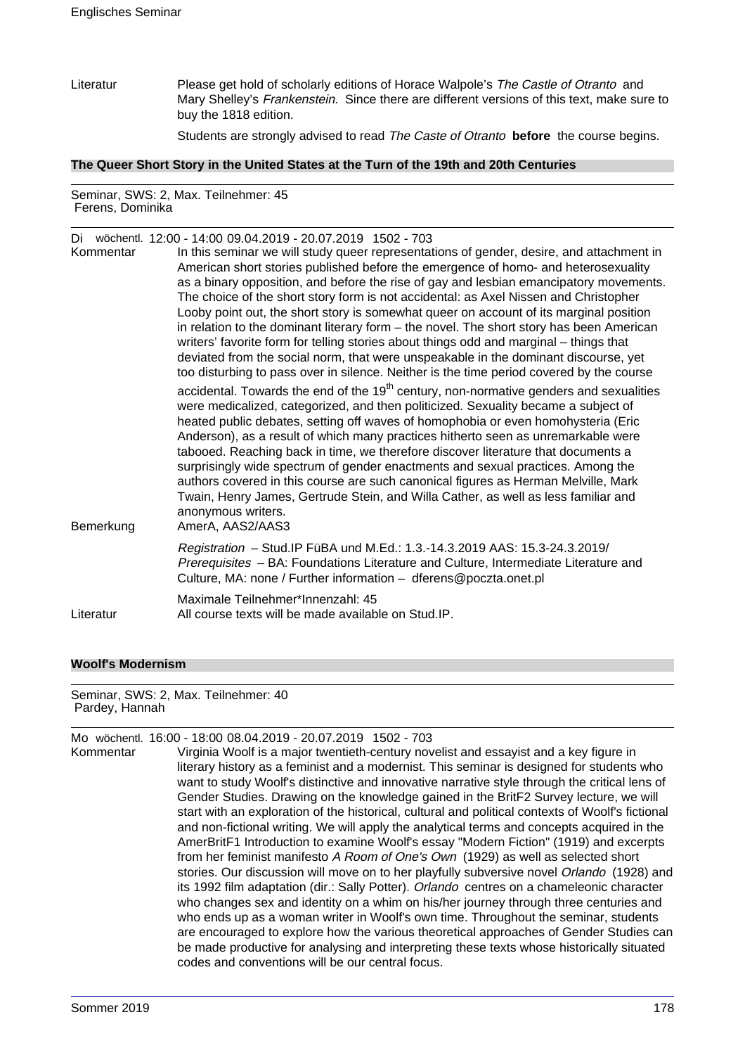Literatur Please get hold of scholarly editions of Horace Walpole's The Castle of Otranto and Mary Shelley's Frankenstein. Since there are different versions of this text, make sure to buy the 1818 edition.

Students are strongly advised to read The Caste of Otranto **before** the course begins.

#### **The Queer Short Story in the United States at the Turn of the 19th and 20th Centuries**

Seminar, SWS: 2, Max. Teilnehmer: 45 Ferens, Dominika

| Di wöchentl. 12:00 - 14:00 09.04.2019 - 20.07.2019 1502 - 703<br>In this seminar we will study queer representations of gender, desire, and attachment in<br>American short stories published before the emergence of homo- and heterosexuality<br>as a binary opposition, and before the rise of gay and lesbian emancipatory movements.<br>The choice of the short story form is not accidental: as Axel Nissen and Christopher<br>Looby point out, the short story is somewhat queer on account of its marginal position<br>in relation to the dominant literary form – the novel. The short story has been American<br>writers' favorite form for telling stories about things odd and marginal – things that<br>deviated from the social norm, that were unspeakable in the dominant discourse, yet                                                     |
|--------------------------------------------------------------------------------------------------------------------------------------------------------------------------------------------------------------------------------------------------------------------------------------------------------------------------------------------------------------------------------------------------------------------------------------------------------------------------------------------------------------------------------------------------------------------------------------------------------------------------------------------------------------------------------------------------------------------------------------------------------------------------------------------------------------------------------------------------------------|
| too disturbing to pass over in silence. Neither is the time period covered by the course<br>accidental. Towards the end of the 19 <sup>th</sup> century, non-normative genders and sexualities<br>were medicalized, categorized, and then politicized. Sexuality became a subject of<br>heated public debates, setting off waves of homophobia or even homohysteria (Eric<br>Anderson), as a result of which many practices hitherto seen as unremarkable were<br>tabooed. Reaching back in time, we therefore discover literature that documents a<br>surprisingly wide spectrum of gender enactments and sexual practices. Among the<br>authors covered in this course are such canonical figures as Herman Melville, Mark<br>Twain, Henry James, Gertrude Stein, and Willa Cather, as well as less familiar and<br>anonymous writers.<br>AmerA, AAS2/AAS3 |
| Registration - Stud.IP FüBA und M.Ed.: 1.3.-14.3.2019 AAS: 15.3-24.3.2019/<br>Prerequisites - BA: Foundations Literature and Culture, Intermediate Literature and<br>Culture, MA: none / Further information - dferens@poczta.onet.pl                                                                                                                                                                                                                                                                                                                                                                                                                                                                                                                                                                                                                        |
| Maximale Teilnehmer*Innenzahl: 45<br>All course texts will be made available on Stud. IP.                                                                                                                                                                                                                                                                                                                                                                                                                                                                                                                                                                                                                                                                                                                                                                    |
|                                                                                                                                                                                                                                                                                                                                                                                                                                                                                                                                                                                                                                                                                                                                                                                                                                                              |

### **Woolf's Modernism**

Seminar, SWS: 2, Max. Teilnehmer: 40 Pardey, Hannah

|           | Mo wöchentl. 16:00 - 18:00 08.04.2019 - 20.07.2019 1502 - 703                                     |
|-----------|---------------------------------------------------------------------------------------------------|
| Kommentar | Virginia Woolf is a major twentieth-century novelist and essayist and a key figure in             |
|           | literary history as a feminist and a modernist. This seminar is designed for students who         |
|           | want to study Woolf's distinctive and innovative narrative style through the critical lens of     |
|           | Gender Studies. Drawing on the knowledge gained in the BritF2 Survey lecture, we will             |
|           | start with an exploration of the historical, cultural and political contexts of Woolf's fictional |
|           | and non-fictional writing. We will apply the analytical terms and concepts acquired in the        |
|           | AmerBritF1 Introduction to examine Woolf's essay "Modern Fiction" (1919) and excerpts             |
|           | from her feminist manifesto A Room of One's Own (1929) as well as selected short                  |
|           | stories. Our discussion will move on to her playfully subversive novel Orlando (1928) and         |
|           | its 1992 film adaptation (dir.: Sally Potter). Orlando centres on a chameleonic character         |
|           | who changes sex and identity on a whim on his/her journey through three centuries and             |
|           | who ends up as a woman writer in Woolf's own time. Throughout the seminar, students               |
|           | are encouraged to explore how the various theoretical approaches of Gender Studies can            |
|           | be made productive for analysing and interpreting these texts whose historically situated         |
|           | codes and conventions will be our central focus.                                                  |
|           |                                                                                                   |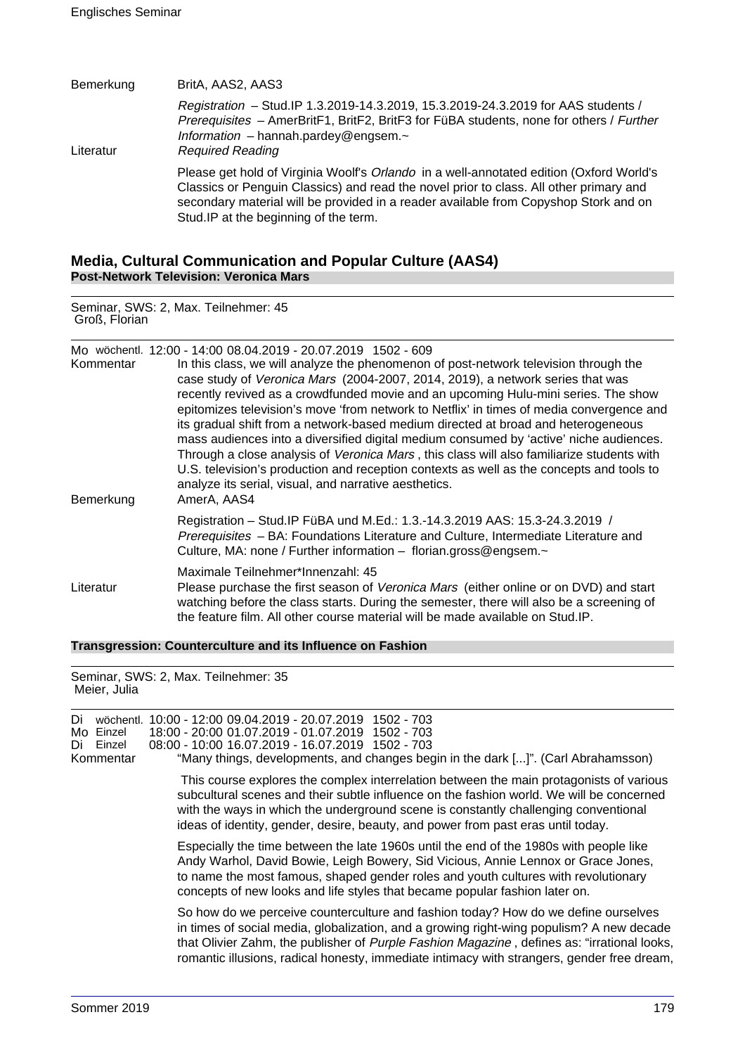| Bemerkung | BritA, AAS2, AAS3                                                                                                                                                                                                                                                                                                   |
|-----------|---------------------------------------------------------------------------------------------------------------------------------------------------------------------------------------------------------------------------------------------------------------------------------------------------------------------|
| Literatur | Registration - Stud. IP 1.3.2019-14.3.2019, 15.3.2019-24.3.2019 for AAS students /<br>Prerequisites - AmerBritF1, BritF2, BritF3 for FüBA students, none for others / Further<br>Information - hannah.pardey@engsem. $\sim$<br><b>Required Reading</b>                                                              |
|           | Please get hold of Virginia Woolf's Orlando in a well-annotated edition (Oxford World's<br>Classics or Penguin Classics) and read the novel prior to class. All other primary and<br>secondary material will be provided in a reader available from Copyshop Stork and on<br>Stud. IP at the beginning of the term. |

# **Media, Cultural Communication and Popular Culture (AAS4) Post-Network Television: Veronica Mars**

Seminar, SWS: 2, Max. Teilnehmer: 45 Groß, Florian

| Kommentar<br>Bemerkung | Mo wöchentl. 12:00 - 14:00 08.04.2019 - 20.07.2019 1502 - 609<br>In this class, we will analyze the phenomenon of post-network television through the<br>case study of Veronica Mars (2004-2007, 2014, 2019), a network series that was<br>recently revived as a crowdfunded movie and an upcoming Hulu-mini series. The show<br>epitomizes television's move 'from network to Netflix' in times of media convergence and<br>its gradual shift from a network-based medium directed at broad and heterogeneous<br>mass audiences into a diversified digital medium consumed by 'active' niche audiences.<br>Through a close analysis of Veronica Mars, this class will also familiarize students with<br>U.S. television's production and reception contexts as well as the concepts and tools to<br>analyze its serial, visual, and narrative aesthetics.<br>AmerA, AAS4 |
|------------------------|---------------------------------------------------------------------------------------------------------------------------------------------------------------------------------------------------------------------------------------------------------------------------------------------------------------------------------------------------------------------------------------------------------------------------------------------------------------------------------------------------------------------------------------------------------------------------------------------------------------------------------------------------------------------------------------------------------------------------------------------------------------------------------------------------------------------------------------------------------------------------|
|                        | Registration - Stud. IP FüBA und M.Ed.: 1.3.-14.3.2019 AAS: 15.3-24.3.2019 /<br>Prerequisites - BA: Foundations Literature and Culture, Intermediate Literature and<br>Culture, MA: none / Further information - florian.gross@engsem.~                                                                                                                                                                                                                                                                                                                                                                                                                                                                                                                                                                                                                                   |
| Literatur              | Maximale Teilnehmer*Innenzahl: 45<br>Please purchase the first season of Veronica Mars (either online or on DVD) and start<br>watching before the class starts. During the semester, there will also be a screening of<br>the feature film. All other course material will be made available on Stud. IP.                                                                                                                                                                                                                                                                                                                                                                                                                                                                                                                                                                 |

**Transgression: Counterculture and its Influence on Fashion**

Seminar, SWS: 2, Max. Teilnehmer: 35 Meier, Julia

| Di<br>Mo Einzel<br>Einzel<br>Di<br>Kommentar | wöchentl. | 10:00 - 12:00 09.04.2019 - 20.07.2019 1502 - 703<br>18:00 - 20:00 01.07.2019 - 01.07.2019 1502 - 703<br>08:00 - 10:00 16.07.2019 - 16.07.2019 1502 - 703<br>"Many things, developments, and changes begin in the dark []". (Carl Abrahamsson)                                                                                                                               |
|----------------------------------------------|-----------|-----------------------------------------------------------------------------------------------------------------------------------------------------------------------------------------------------------------------------------------------------------------------------------------------------------------------------------------------------------------------------|
|                                              |           | This course explores the complex interrelation between the main protagonists of various<br>subcultural scenes and their subtle influence on the fashion world. We will be concerned<br>with the ways in which the underground scene is constantly challenging conventional<br>ideas of identity, gender, desire, beauty, and power from past eras until today.              |
|                                              |           | Especially the time between the late 1960s until the end of the 1980s with people like<br>Andy Warhol, David Bowie, Leigh Bowery, Sid Vicious, Annie Lennox or Grace Jones,<br>to name the most famous, shaped gender roles and youth cultures with revolutionary<br>concepts of new looks and life styles that became popular fashion later on.                            |
|                                              |           | So how do we perceive counterculture and fashion today? How do we define ourselves<br>in times of social media, globalization, and a growing right-wing populism? A new decade<br>that Olivier Zahm, the publisher of Purple Fashion Magazine, defines as: "irrational looks,<br>romantic illusions, radical honesty, immediate intimacy with strangers, gender free dream, |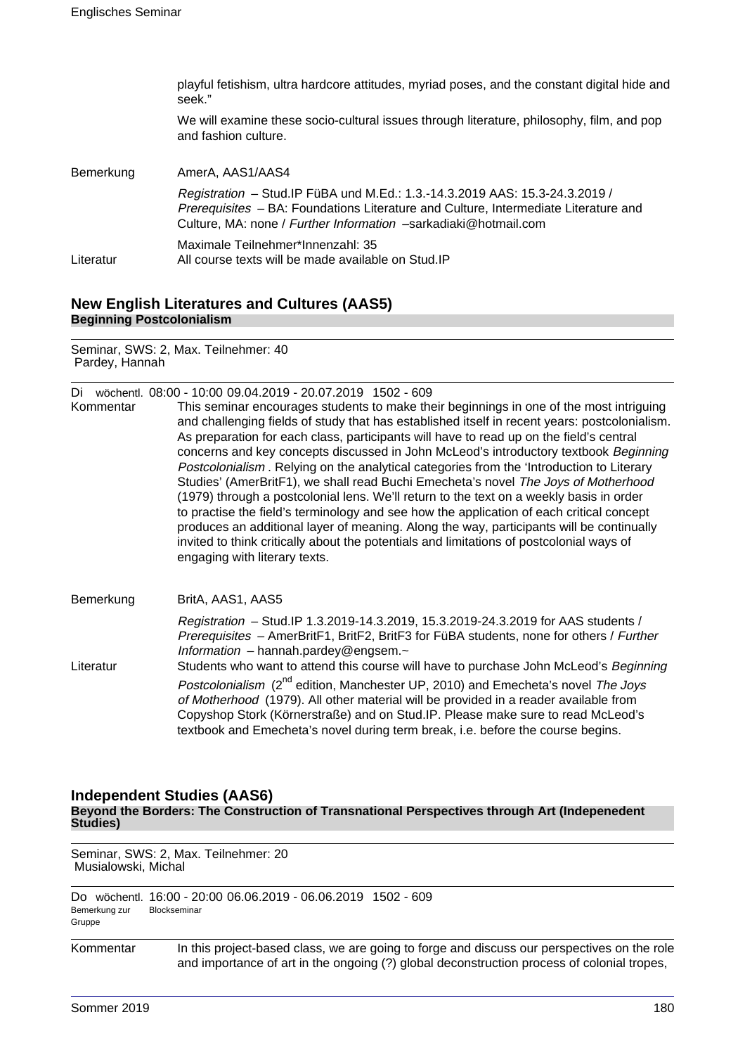|           | playful fetishism, ultra hardcore attitudes, myriad poses, and the constant digital hide and<br>seek."                                                                                                                                 |
|-----------|----------------------------------------------------------------------------------------------------------------------------------------------------------------------------------------------------------------------------------------|
|           | We will examine these socio-cultural issues through literature, philosophy, film, and pop<br>and fashion culture.                                                                                                                      |
| Bemerkung | AmerA, AAS1/AAS4                                                                                                                                                                                                                       |
|           | Registration - Stud. IP FüBA und M.Ed.: 1.3.-14.3.2019 AAS: 15.3-24.3.2019 /<br>Prerequisites - BA: Foundations Literature and Culture, Intermediate Literature and<br>Culture, MA: none / Further Information -sarkadiaki@hotmail.com |
| Literatur | Maximale Teilnehmer*Innenzahl: 35<br>All course texts will be made available on Stud. IP                                                                                                                                               |

# **New English Literatures and Cultures (AAS5) Beginning Postcolonialism**

Seminar, SWS: 2, Max. Teilnehmer: 40 Pardey, Hannah

| Di wöchentl. 08:00 - 10:00 09.04.2019 - 20.07.2019 1502 - 609 |  |  |  |  |  |  |  |
|---------------------------------------------------------------|--|--|--|--|--|--|--|
|---------------------------------------------------------------|--|--|--|--|--|--|--|

- Kommentar This seminar encourages students to make their beginnings in one of the most intriguing and challenging fields of study that has established itself in recent years: postcolonialism. As preparation for each class, participants will have to read up on the field's central concerns and key concepts discussed in John McLeod's introductory textbook Beginning Postcolonialism . Relying on the analytical categories from the 'Introduction to Literary Studies' (AmerBritF1), we shall read Buchi Emecheta's novel The Joys of Motherhood (1979) through a postcolonial lens. We'll return to the text on a weekly basis in order to practise the field's terminology and see how the application of each critical concept produces an additional layer of meaning. Along the way, participants will be continually invited to think critically about the potentials and limitations of postcolonial ways of engaging with literary texts.
- Bemerkung BritA, AAS1, AAS5 Registration – Stud.IP 1.3.2019-14.3.2019, 15.3.2019-24.3.2019 for AAS students / Prerequisites – AmerBritF1, BritF2, BritF3 for FüBA students, none for others / Further Information – hannah.pardey@engsem.~ Literatur Students who want to attend this course will have to purchase John McLeod's Beginning Postcolonialism (2<sup>nd</sup> edition, Manchester UP, 2010) and Emecheta's novel The Joys of Motherhood (1979). All other material will be provided in a reader available from Copyshop Stork (Körnerstraße) and on Stud.IP. Please make sure to read McLeod's textbook and Emecheta's novel during term break, i.e. before the course begins.

# **Independent Studies (AAS6)**

**Beyond the Borders: The Construction of Transnational Perspectives through Art (Indepenedent Studies)**

Seminar, SWS: 2, Max. Teilnehmer: 20 Musialowski, Michal

|        |               | Do wöchentl. 16:00 - 20:00 06.06.2019 - 06.06.2019 1502 - 609 |  |
|--------|---------------|---------------------------------------------------------------|--|
|        | Bemerkung zur | Blockseminar                                                  |  |
| Gruppe |               |                                                               |  |

Kommentar In this project-based class, we are going to forge and discuss our perspectives on the role and importance of art in the ongoing (?) global deconstruction process of colonial tropes,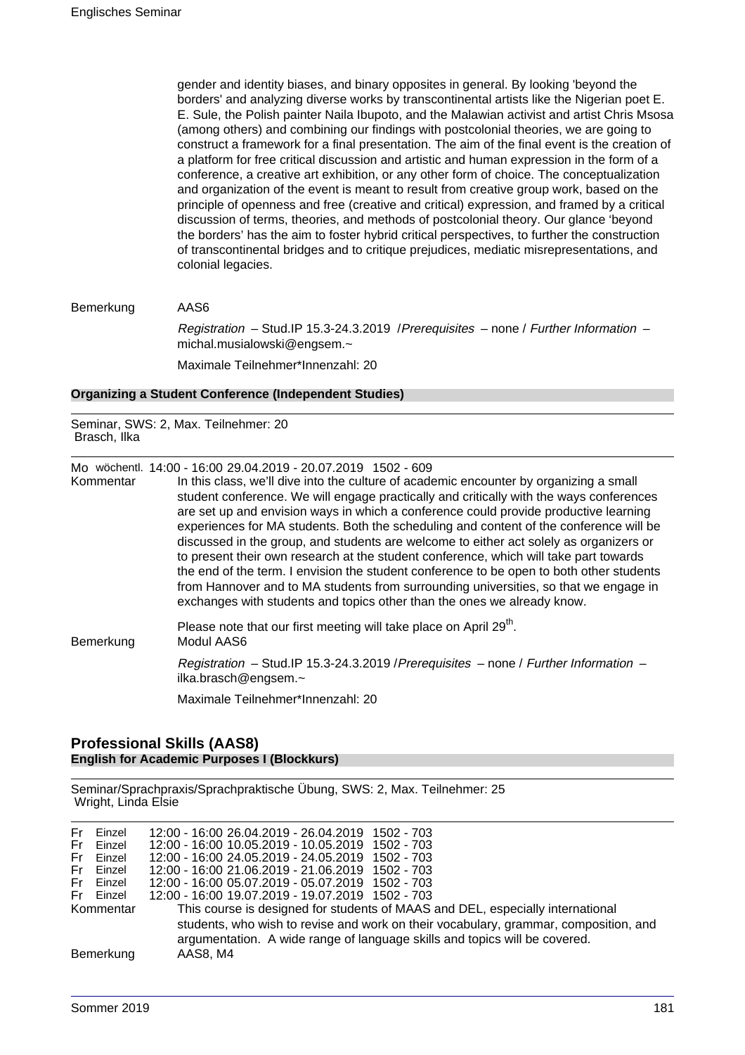gender and identity biases, and binary opposites in general. By looking 'beyond the borders' and analyzing diverse works by transcontinental artists like the Nigerian poet E. E. Sule, the Polish painter Naila Ibupoto, and the Malawian activist and artist Chris Msosa (among others) and combining our findings with postcolonial theories, we are going to construct a framework for a final presentation. The aim of the final event is the creation of a platform for free critical discussion and artistic and human expression in the form of a conference, a creative art exhibition, or any other form of choice. The conceptualization and organization of the event is meant to result from creative group work, based on the principle of openness and free (creative and critical) expression, and framed by a critical discussion of terms, theories, and methods of postcolonial theory. Our glance 'beyond the borders' has the aim to foster hybrid critical perspectives, to further the construction of transcontinental bridges and to critique prejudices, mediatic misrepresentations, and colonial legacies.

Bemerkung AAS6

Registration – Stud.IP 15.3-24.3.2019 /Prerequisites – none / Further Information – michal.musialowski@engsem.~ Maximale Teilnehmer\*Innenzahl: 20

### **Organizing a Student Conference (Independent Studies)**

Seminar, SWS: 2, Max. Teilnehmer: 20 Brasch, Ilka

Mo wöchentl. 14:00 - 16:00 29.04.2019 - 20.07.2019 1502 - 609

Kommentar In this class, we'll dive into the culture of academic encounter by organizing a small student conference. We will engage practically and critically with the ways conferences are set up and envision ways in which a conference could provide productive learning experiences for MA students. Both the scheduling and content of the conference will be discussed in the group, and students are welcome to either act solely as organizers or to present their own research at the student conference, which will take part towards the end of the term. I envision the student conference to be open to both other students from Hannover and to MA students from surrounding universities, so that we engage in exchanges with students and topics other than the ones we already know.

Please note that our first meeting will take place on April 29<sup>th</sup>. Bemerkung Modul AAS6 Registration – Stud.IP 15.3-24.3.2019 /Prerequisites – none / Further Information – ilka.brasch@engsem.~ Maximale Teilnehmer\*Innenzahl: 20

#### **Professional Skills (AAS8) English for Academic Purposes I (Blockkurs)**

Seminar/Sprachpraxis/Sprachpraktische Übung, SWS: 2, Max. Teilnehmer: 25 Wright, Linda Elsie

| Fr.<br>Einzel<br>Fr Einzel<br>Fr Einzel<br>Fr Einzel<br>Fr Einzel<br>Fr Einzel | 12:00 - 16:00 26.04.2019 - 26.04.2019 1502 - 703<br>12:00 - 16:00 10.05.2019 - 10.05.2019 1502 - 703<br>12:00 - 16:00 24.05.2019 - 24.05.2019 1502 - 703<br>12:00 - 16:00 21.06.2019 - 21.06.2019 1502 - 703<br>12:00 - 16:00 05.07.2019 - 05.07.2019 1502 - 703<br>12:00 - 16:00 19.07.2019 - 19.07.2019 1502 - 703 |
|--------------------------------------------------------------------------------|----------------------------------------------------------------------------------------------------------------------------------------------------------------------------------------------------------------------------------------------------------------------------------------------------------------------|
| Kommentar<br>Bemerkung                                                         | This course is designed for students of MAAS and DEL, especially international<br>students, who wish to revise and work on their vocabulary, grammar, composition, and<br>argumentation. A wide range of language skills and topics will be covered.<br>AAS8, M4                                                     |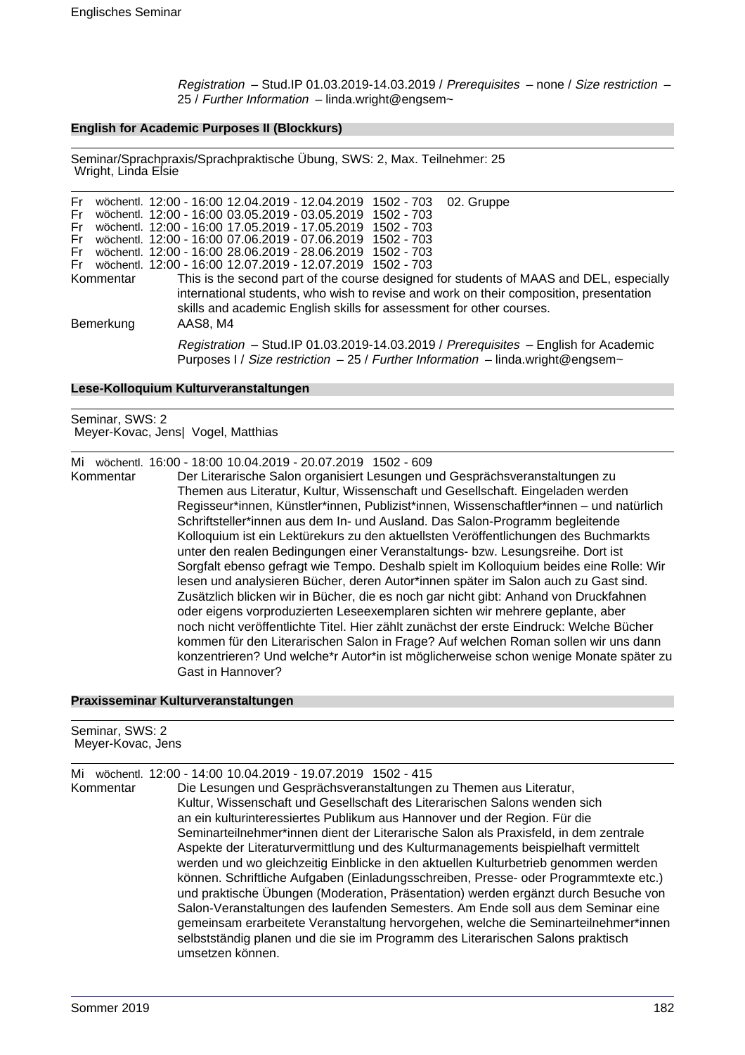Registration – Stud.IP 01.03.2019-14.03.2019 / Prerequisites – none / Size restriction – 25 / Further Information – linda.wright@engsem~

#### **English for Academic Purposes II (Blockkurs)**

Seminar/Sprachpraxis/Sprachpraktische Übung, SWS: 2, Max. Teilnehmer: 25 Wright, Linda Elsie

| Fr<br>Fri |           | wöchentl. 12:00 - 16:00 12.04.2019 - 12.04.2019 1502 - 703 02. Gruppe<br>wöchentl. 12:00 - 16:00 03.05.2019 - 03.05.2019 1502 - 703                                                                                                                       |
|-----------|-----------|-----------------------------------------------------------------------------------------------------------------------------------------------------------------------------------------------------------------------------------------------------------|
| Fri       |           | wöchentl. 12:00 - 16:00 17.05.2019 - 17.05.2019 1502 - 703                                                                                                                                                                                                |
| Fri       |           | wöchentl. 12:00 - 16:00 07.06.2019 - 07.06.2019 1502 - 703                                                                                                                                                                                                |
| Fr        |           | wöchentl. 12:00 - 16:00 28.06.2019 - 28.06.2019 1502 - 703                                                                                                                                                                                                |
|           |           | Fr wöchentl. 12:00 - 16:00 12.07.2019 - 12.07.2019 1502 - 703                                                                                                                                                                                             |
|           | Kommentar | This is the second part of the course designed for students of MAAS and DEL, especially<br>international students, who wish to revise and work on their composition, presentation<br>skills and academic English skills for assessment for other courses. |
| Bemerkung |           | AAS8, M4                                                                                                                                                                                                                                                  |
|           |           | Registration - Stud.IP 01.03.2019-14.03.2019 / Prerequisites - English for Academic<br>Purposes I / Size restriction - 25 / Further Information - linda.wright@engsem~                                                                                    |

#### **Lese-Kolloquium Kulturveranstaltungen**

Seminar, SWS: 2 Meyer-Kovac, Jens| Vogel, Matthias

#### Mi wöchentl. 16:00 - 18:00 10.04.2019 - 20.07.2019 1502 - 609

Kommentar Der Literarische Salon organisiert Lesungen und Gesprächsveranstaltungen zu Themen aus Literatur, Kultur, Wissenschaft und Gesellschaft. Eingeladen werden Regisseur\*innen, Künstler\*innen, Publizist\*innen, Wissenschaftler\*innen – und natürlich Schriftsteller\*innen aus dem In- und Ausland. Das Salon-Programm begleitende Kolloquium ist ein Lektürekurs zu den aktuellsten Veröffentlichungen des Buchmarkts unter den realen Bedingungen einer Veranstaltungs- bzw. Lesungsreihe. Dort ist Sorgfalt ebenso gefragt wie Tempo. Deshalb spielt im Kolloquium beides eine Rolle: Wir lesen und analysieren Bücher, deren Autor\*innen später im Salon auch zu Gast sind. Zusätzlich blicken wir in Bücher, die es noch gar nicht gibt: Anhand von Druckfahnen oder eigens vorproduzierten Leseexemplaren sichten wir mehrere geplante, aber noch nicht veröffentlichte Titel. Hier zählt zunächst der erste Eindruck: Welche Bücher kommen für den Literarischen Salon in Frage? Auf welchen Roman sollen wir uns dann konzentrieren? Und welche\*r Autor\*in ist möglicherweise schon wenige Monate später zu Gast in Hannover?

#### **Praxisseminar Kulturveranstaltungen**

| Seminar, SWS: 2<br>Meyer-Kovac, Jens |                                                                                                                                                                                                                                                                                                                                                                                                                                                                                                                                                                                                                                                                                                                                                                                                                                                                                                                                                                                                                                  |  |
|--------------------------------------|----------------------------------------------------------------------------------------------------------------------------------------------------------------------------------------------------------------------------------------------------------------------------------------------------------------------------------------------------------------------------------------------------------------------------------------------------------------------------------------------------------------------------------------------------------------------------------------------------------------------------------------------------------------------------------------------------------------------------------------------------------------------------------------------------------------------------------------------------------------------------------------------------------------------------------------------------------------------------------------------------------------------------------|--|
| Mi<br>Kommentar                      | wöchentl. 12:00 - 14:00 10:04.2019 - 19:07.2019 1502 - 415<br>Die Lesungen und Gesprächsveranstaltungen zu Themen aus Literatur,<br>Kultur, Wissenschaft und Gesellschaft des Literarischen Salons wenden sich<br>an ein kulturinteressiertes Publikum aus Hannover und der Region. Für die<br>Seminarteilnehmer*innen dient der Literarische Salon als Praxisfeld, in dem zentrale<br>Aspekte der Literaturvermittlung und des Kulturmanagements beispielhaft vermittelt<br>werden und wo gleichzeitig Einblicke in den aktuellen Kulturbetrieb genommen werden<br>können. Schriftliche Aufgaben (Einladungsschreiben, Presse- oder Programmtexte etc.)<br>und praktische Übungen (Moderation, Präsentation) werden ergänzt durch Besuche von<br>Salon-Veranstaltungen des laufenden Semesters. Am Ende soll aus dem Seminar eine<br>gemeinsam erarbeitete Veranstaltung hervorgehen, welche die Seminarteilnehmer*innen<br>selbstständig planen und die sie im Programm des Literarischen Salons praktisch<br>umsetzen können. |  |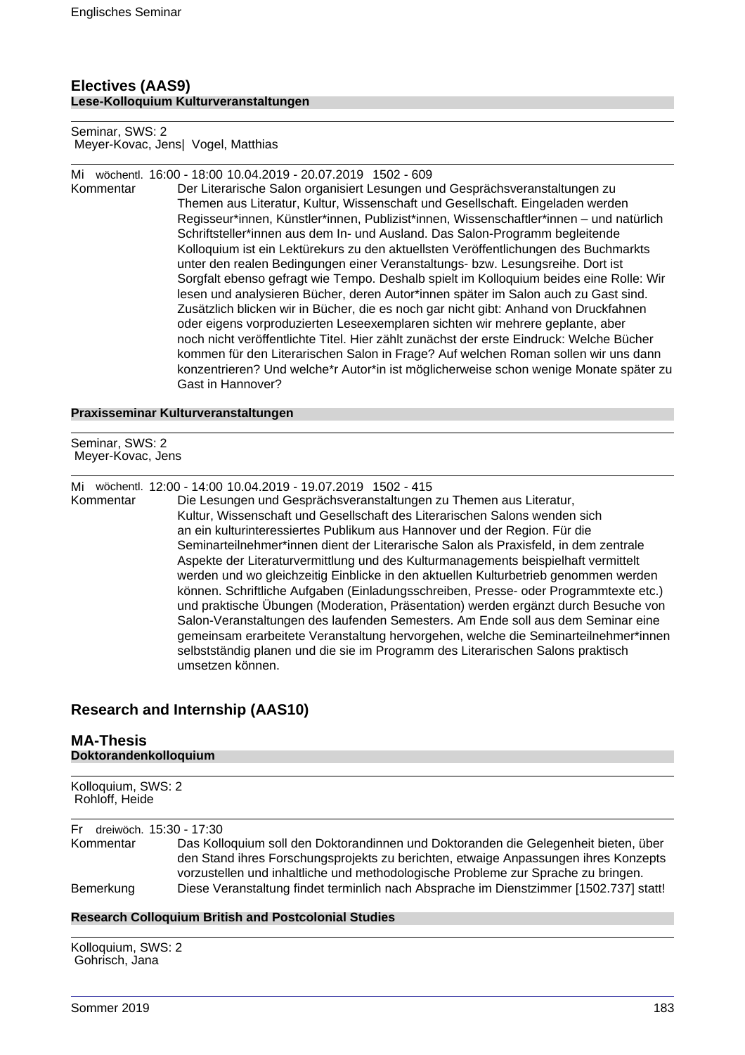# **Electives (AAS9) Lese-Kolloquium Kulturveranstaltungen**

Seminar, SWS: 2 Meyer-Kovac, Jens| Vogel, Matthias

Mi wöchentl. 16:00 - 18:00 10.04.2019 - 20.07.2019 1502 - 609

Kommentar Der Literarische Salon organisiert Lesungen und Gesprächsveranstaltungen zu Themen aus Literatur, Kultur, Wissenschaft und Gesellschaft. Eingeladen werden Regisseur\*innen, Künstler\*innen, Publizist\*innen, Wissenschaftler\*innen – und natürlich Schriftsteller\*innen aus dem In- und Ausland. Das Salon-Programm begleitende Kolloquium ist ein Lektürekurs zu den aktuellsten Veröffentlichungen des Buchmarkts unter den realen Bedingungen einer Veranstaltungs- bzw. Lesungsreihe. Dort ist Sorgfalt ebenso gefragt wie Tempo. Deshalb spielt im Kolloquium beides eine Rolle: Wir lesen und analysieren Bücher, deren Autor\*innen später im Salon auch zu Gast sind. Zusätzlich blicken wir in Bücher, die es noch gar nicht gibt: Anhand von Druckfahnen oder eigens vorproduzierten Leseexemplaren sichten wir mehrere geplante, aber noch nicht veröffentlichte Titel. Hier zählt zunächst der erste Eindruck: Welche Bücher kommen für den Literarischen Salon in Frage? Auf welchen Roman sollen wir uns dann konzentrieren? Und welche\*r Autor\*in ist möglicherweise schon wenige Monate später zu Gast in Hannover?

#### **Praxisseminar Kulturveranstaltungen**

#### Seminar, SWS: 2 Meyer-Kovac, Jens

Mi wöchentl. 12:00 - 14:00 10.04.2019 - 19.07.2019 1502 - 415

Die Lesungen und Gesprächsveranstaltungen zu Themen aus Literatur, Kultur, Wissenschaft und Gesellschaft des Literarischen Salons wenden sich an ein kulturinteressiertes Publikum aus Hannover und der Region. Für die Seminarteilnehmer\*innen dient der Literarische Salon als Praxisfeld, in dem zentrale Aspekte der Literaturvermittlung und des Kulturmanagements beispielhaft vermittelt werden und wo gleichzeitig Einblicke in den aktuellen Kulturbetrieb genommen werden können. Schriftliche Aufgaben (Einladungsschreiben, Presse- oder Programmtexte etc.) und praktische Übungen (Moderation, Präsentation) werden ergänzt durch Besuche von Salon-Veranstaltungen des laufenden Semesters. Am Ende soll aus dem Seminar eine gemeinsam erarbeitete Veranstaltung hervorgehen, welche die Seminarteilnehmer\*innen selbstständig planen und die sie im Programm des Literarischen Salons praktisch umsetzen können.

# **Research and Internship (AAS10)**

# **MA-Thesis Doktorandenkolloquium**

| Kolloquium, SWS: 2<br>Rohloff, Heide |                                                                                                                                                                                                                                                                 |  |
|--------------------------------------|-----------------------------------------------------------------------------------------------------------------------------------------------------------------------------------------------------------------------------------------------------------------|--|
| Fr dreiwöch, 15:30 - 17:30           |                                                                                                                                                                                                                                                                 |  |
| Kommentar                            | Das Kolloguium soll den Doktorandinnen und Doktoranden die Gelegenheit bieten, über<br>den Stand ihres Forschungsprojekts zu berichten, etwaige Anpassungen ihres Konzepts<br>vorzustellen und inhaltliche und methodologische Probleme zur Sprache zu bringen. |  |
| Bemerkung                            | Diese Veranstaltung findet terminlich nach Absprache im Dienstzimmer [1502.737] statt!                                                                                                                                                                          |  |

## **Research Colloquium British and Postcolonial Studies**

Kolloquium, SWS: 2 Gohrisch, Jana